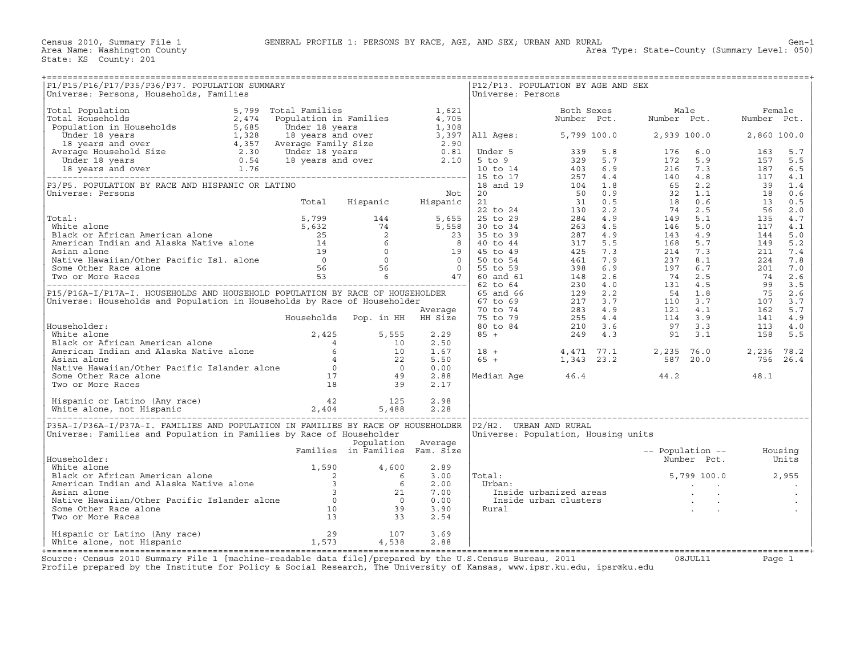Census 2010, Summary File 1 GENERAL PROFILE 1: PERSONS BY RACE, AGE, AND SEX; URBAN AND RURAL Gen−1

| P1/P15/P16/P17/P35/P36/P37. POPULATION SUMMARY<br>Universe: Persons, Households, Families                                                                                                                                                             |                                |                    |                      | Universe: Persons | P12/P13. POPULATION BY AGE AND SEX  |                                                                                                                                                                                                                                                    |          |
|-------------------------------------------------------------------------------------------------------------------------------------------------------------------------------------------------------------------------------------------------------|--------------------------------|--------------------|----------------------|-------------------|-------------------------------------|----------------------------------------------------------------------------------------------------------------------------------------------------------------------------------------------------------------------------------------------------|----------|
|                                                                                                                                                                                                                                                       |                                |                    |                      |                   |                                     |                                                                                                                                                                                                                                                    |          |
|                                                                                                                                                                                                                                                       |                                |                    |                      |                   |                                     |                                                                                                                                                                                                                                                    |          |
|                                                                                                                                                                                                                                                       |                                |                    |                      |                   |                                     |                                                                                                                                                                                                                                                    |          |
|                                                                                                                                                                                                                                                       |                                |                    |                      |                   |                                     |                                                                                                                                                                                                                                                    |          |
|                                                                                                                                                                                                                                                       |                                |                    |                      |                   |                                     |                                                                                                                                                                                                                                                    |          |
|                                                                                                                                                                                                                                                       |                                |                    |                      |                   |                                     |                                                                                                                                                                                                                                                    |          |
|                                                                                                                                                                                                                                                       |                                |                    |                      |                   |                                     |                                                                                                                                                                                                                                                    |          |
|                                                                                                                                                                                                                                                       |                                |                    |                      |                   |                                     |                                                                                                                                                                                                                                                    |          |
|                                                                                                                                                                                                                                                       |                                |                    |                      |                   |                                     |                                                                                                                                                                                                                                                    |          |
|                                                                                                                                                                                                                                                       |                                |                    |                      |                   |                                     |                                                                                                                                                                                                                                                    |          |
|                                                                                                                                                                                                                                                       |                                |                    |                      |                   |                                     |                                                                                                                                                                                                                                                    |          |
| Householder:<br>White alone<br>Black or African American alone<br>American Indian and Alaska Native alone<br>Asian alone<br>Asian alone<br>Native Hawaiian/Other Pacific Islander alone<br>Some Other Race alone<br>Two or More Races<br>18<br>29<br> |                                |                    | 0.00<br>2.88         |                   |                                     | Median Age $46.4$ $44.2$ $48.1$                                                                                                                                                                                                                    |          |
|                                                                                                                                                                                                                                                       |                                |                    | 2.17                 |                   |                                     |                                                                                                                                                                                                                                                    |          |
|                                                                                                                                                                                                                                                       |                                |                    |                      |                   |                                     |                                                                                                                                                                                                                                                    |          |
| P35A-I/P36A-I/P37A-I. FAMILIES AND POPULATION IN FAMILIES BY RACE OF HOUSEHOLDER  P2/H2. URBAN AND RURAL<br>Universe: Families and Population in Families by Race of Householder                                                                      |                                | Population Average |                      |                   | Universe: Population, Housing units |                                                                                                                                                                                                                                                    |          |
| Householder:                                                                                                                                                                                                                                          | Families in Families Fam. Size |                    | 2.89                 |                   |                                     | -- Population -- Housing<br>Number Pct. Units                                                                                                                                                                                                      |          |
|                                                                                                                                                                                                                                                       |                                |                    | 3.00<br>2.00<br>7.00 | Total:<br>Urban:  |                                     | al:<br>rban: 5,799 100.0 2,955<br>Inside urbanized areas<br>Inside urban clusters<br>ural inside urban clusters<br>inside urban clusters<br>inside urban clusters<br>inside urban clusters<br>inside urban clusters<br>inside urban clusters<br>in |          |
| Householder:<br>White alone<br>Black or African American alone<br>American Indian and Alaska Native alone<br>Asian alone<br>Asian alone<br>Native Hawaiian/Other Pacific Islander alone<br>Some Other Race alone<br>Two or More Races<br>13<br>33     |                                |                    | 0.00<br>3.90<br>2.54 | Rural             |                                     |                                                                                                                                                                                                                                                    |          |
| 13<br>Hispanic or Latino (Any race) 13<br>White alone, not Hispanic 1,573 4,538                                                                                                                                                                       |                                |                    | 3.69<br>2.88         |                   |                                     |                                                                                                                                                                                                                                                    |          |
| Source: Census 2010 Summary File 1 [machine-readable data file]/prepared by the U.S.Census Bureau, 2011 08JUL11                                                                                                                                       |                                |                    |                      |                   |                                     |                                                                                                                                                                                                                                                    | Page $1$ |

Profile prepared by the Institute for Policy & Social Research, The University of Kansas, www.ipsr.ku.edu, ipsr@ku.edu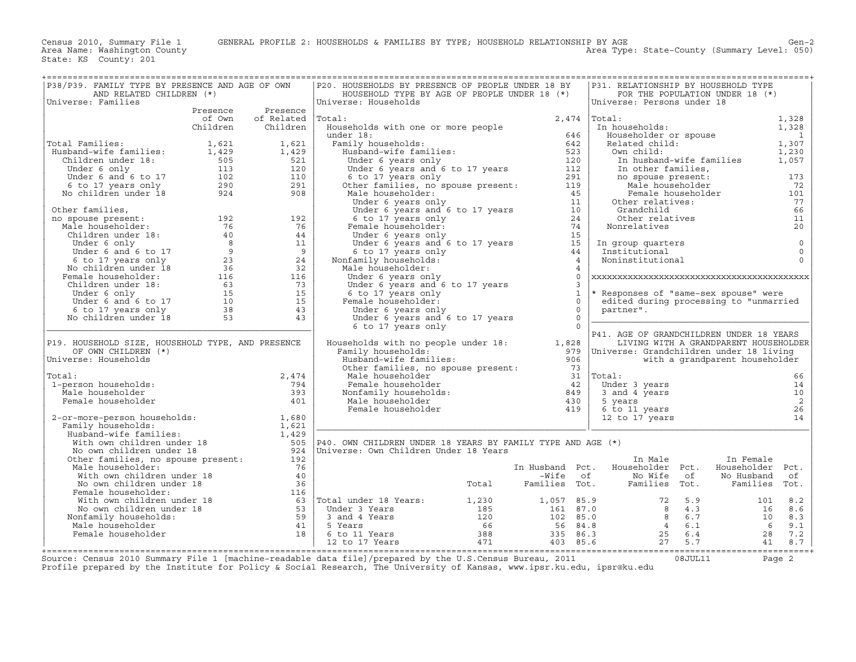| P38/P39. FAMILY TYPE BY PRESENCE AND AGE OF OWN<br>AND RELATED CHILDREN (*)                                                                                                                                                                               |          |                                                                                                                 | P20. HOUSEHOLDS BY PRESENCE OF PEOPLE UNDER 18 BY<br>HOUSEHOLD TYPE BY AGE OF PEOPLE UNDER 18 (*)                                                                                                                                                  |                |                | P31. RELATIONSHIP BY HOUSEHOLD TYPE                                   |    | FOR THE POPULATION UNDER 18 (*)       |                |
|-----------------------------------------------------------------------------------------------------------------------------------------------------------------------------------------------------------------------------------------------------------|----------|-----------------------------------------------------------------------------------------------------------------|----------------------------------------------------------------------------------------------------------------------------------------------------------------------------------------------------------------------------------------------------|----------------|----------------|-----------------------------------------------------------------------|----|---------------------------------------|----------------|
| Universe: Families                                                                                                                                                                                                                                        |          |                                                                                                                 | Universe: Households                                                                                                                                                                                                                               |                |                | Universe: Persons under 18                                            |    |                                       |                |
|                                                                                                                                                                                                                                                           | Presence | Presence                                                                                                        |                                                                                                                                                                                                                                                    |                |                |                                                                       |    |                                       |                |
|                                                                                                                                                                                                                                                           | of Own   | of Related Total:                                                                                               |                                                                                                                                                                                                                                                    | 2,474          |                | Total:                                                                |    |                                       | 1,328          |
|                                                                                                                                                                                                                                                           | Children | Children                                                                                                        | Households with one or more people                                                                                                                                                                                                                 |                |                | In households:                                                        |    |                                       | 1,328          |
|                                                                                                                                                                                                                                                           |          |                                                                                                                 | under 18:                                                                                                                                                                                                                                          | 646            |                | Householder or spouse                                                 |    |                                       | $\overline{1}$ |
| Total Families:                                                                                                                                                                                                                                           |          |                                                                                                                 | Family households:<br><br>mily households:<br>Husband-wife families:                                                                                                                                                                               | 642            |                | Related child:                                                        |    |                                       | 1,307          |
| Total Families: 1,621<br>Husband-wife families: 1,429<br>Children under 18: 505<br>Under 6 only 113<br>Under 6 and 6 to 17 102<br>6 to 17 years only 290<br>No children under 18 924                                                                      |          | 1,621<br>1,429                                                                                                  |                                                                                                                                                                                                                                                    | 523            |                | Own child:                                                            |    |                                       | 1,230          |
|                                                                                                                                                                                                                                                           |          | 521                                                                                                             | Musband-wife families:<br>Under 6 years and 6 to 17 years 1120<br>Under 6 years and 6 to 17 years 112                                                                                                                                              |                |                | In husband-wife families                                              |    |                                       | 1,057          |
|                                                                                                                                                                                                                                                           |          | 120                                                                                                             |                                                                                                                                                                                                                                                    |                |                | In other families,                                                    |    |                                       |                |
|                                                                                                                                                                                                                                                           |          | 110                                                                                                             |                                                                                                                                                                                                                                                    |                |                | no spouse present:                                                    |    |                                       | 173            |
|                                                                                                                                                                                                                                                           |          | 291                                                                                                             |                                                                                                                                                                                                                                                    |                |                | Male householder                                                      |    |                                       | 72             |
|                                                                                                                                                                                                                                                           |          | 908                                                                                                             |                                                                                                                                                                                                                                                    |                |                |                                                                       |    | Female householder                    | 101            |
|                                                                                                                                                                                                                                                           |          |                                                                                                                 |                                                                                                                                                                                                                                                    |                |                | Other relatives:                                                      |    |                                       | 77             |
|                                                                                                                                                                                                                                                           |          |                                                                                                                 | 6 to 17 years only<br>Other families, no spouse present:<br>112<br>Male householder:<br>Under 6 years only<br>Under 6 years and 6 to 17 years<br>6 to 17 years and 6 to 17 years<br>Temale householder:<br>24<br>Under 6 years only<br>Under 6 yea |                |                | Grandchild                                                            |    |                                       | 66             |
|                                                                                                                                                                                                                                                           |          |                                                                                                                 |                                                                                                                                                                                                                                                    |                |                | Other relatives                                                       |    |                                       | 11             |
|                                                                                                                                                                                                                                                           |          |                                                                                                                 |                                                                                                                                                                                                                                                    |                |                | Nonrelatives                                                          |    |                                       | 20             |
|                                                                                                                                                                                                                                                           |          |                                                                                                                 |                                                                                                                                                                                                                                                    |                |                |                                                                       |    |                                       |                |
|                                                                                                                                                                                                                                                           |          |                                                                                                                 |                                                                                                                                                                                                                                                    |                |                | In group quarters                                                     |    |                                       | $\mathsf 0$    |
|                                                                                                                                                                                                                                                           |          |                                                                                                                 |                                                                                                                                                                                                                                                    |                |                | Institutional                                                         |    |                                       | $\mathsf 0$    |
|                                                                                                                                                                                                                                                           |          |                                                                                                                 | Nonfamily households:                                                                                                                                                                                                                              | $\overline{4}$ |                | Noninstitutional                                                      |    |                                       | $\Omega$       |
|                                                                                                                                                                                                                                                           |          |                                                                                                                 | Male householder:                                                                                                                                                                                                                                  |                | $\overline{4}$ |                                                                       |    |                                       |                |
|                                                                                                                                                                                                                                                           |          |                                                                                                                 | Under 6 years only                                                                                                                                                                                                                                 |                | $\Omega$       |                                                                       |    |                                       |                |
|                                                                                                                                                                                                                                                           |          |                                                                                                                 | Under 6 years and 6 to 17 years                                                                                                                                                                                                                    |                | $\mathcal{L}$  |                                                                       |    |                                       |                |
|                                                                                                                                                                                                                                                           |          |                                                                                                                 | 6 to 17 years only                                                                                                                                                                                                                                 |                | $\mathbf{1}$   | * Responses of "same-sex spouse" were                                 |    |                                       |                |
|                                                                                                                                                                                                                                                           |          |                                                                                                                 | Female householder:                                                                                                                                                                                                                                |                | $\Omega$       | edited during processing to "unmarried                                |    |                                       |                |
|                                                                                                                                                                                                                                                           |          |                                                                                                                 | Under 6 years only                                                                                                                                                                                                                                 | $\overline{0}$ | $\Omega$       | partner".                                                             |    |                                       |                |
|                                                                                                                                                                                                                                                           |          |                                                                                                                 | Under 6 years and 6 to 17 years                                                                                                                                                                                                                    |                | $\cap$         |                                                                       |    |                                       |                |
|                                                                                                                                                                                                                                                           |          |                                                                                                                 | 6 to 17 years only                                                                                                                                                                                                                                 |                |                | P41. AGE OF GRANDCHILDREN UNDER 18 YEARS                              |    |                                       |                |
| P19. HOUSEHOLD SIZE, HOUSEHOLD TYPE, AND PRESENCE                                                                                                                                                                                                         |          |                                                                                                                 | Households with no people under 18: 1,828                                                                                                                                                                                                          |                |                |                                                                       |    | LIVING WITH A GRANDPARENT HOUSEHOLDER |                |
| OF OWN CHILDREN (*)                                                                                                                                                                                                                                       |          |                                                                                                                 | Family households:                                                                                                                                                                                                                                 | 979            |                | Universe: Grandchildren under 18 living                               |    |                                       |                |
| Universe: Households                                                                                                                                                                                                                                      |          |                                                                                                                 | Husband-wife families:                                                                                                                                                                                                                             | 906            |                |                                                                       |    | with a grandparent householder        |                |
|                                                                                                                                                                                                                                                           |          |                                                                                                                 | Other families, no spouse present:                                                                                                                                                                                                                 | 73             |                |                                                                       |    |                                       |                |
| Total:                                                                                                                                                                                                                                                    |          | 2,474                                                                                                           | Male householder                                                                                                                                                                                                                                   |                |                | $31$ $ Total:$                                                        |    |                                       | 66             |
| 1-person households:                                                                                                                                                                                                                                      |          | 794                                                                                                             | Female householder<br>Monfamily householder<br>Male householder<br>Male householder<br>Male householder                                                                                                                                            |                |                | Under 3 years                                                         |    |                                       | 14             |
| Male householder                                                                                                                                                                                                                                          |          | 393                                                                                                             |                                                                                                                                                                                                                                                    |                |                | 3 and 4 years                                                         |    |                                       | 10             |
| Female householder                                                                                                                                                                                                                                        |          | 401                                                                                                             | Male householder                                                                                                                                                                                                                                   | 430            |                | 5 years                                                               |    |                                       | 2              |
|                                                                                                                                                                                                                                                           |          |                                                                                                                 | Female householder                                                                                                                                                                                                                                 | 419            |                | 6 to 11 years                                                         |    |                                       | 26             |
| 2-or-more-person households: 1,680<br>Family households: 1,621<br>Husband-wife families: 1,429<br>With own children under 18<br>No own children under 18<br>Other families, no spouse present: 192<br>Other families, no spouse present: 1                |          |                                                                                                                 |                                                                                                                                                                                                                                                    |                |                | 12 to 17 years                                                        |    |                                       | 14             |
|                                                                                                                                                                                                                                                           |          |                                                                                                                 |                                                                                                                                                                                                                                                    |                |                |                                                                       |    |                                       |                |
|                                                                                                                                                                                                                                                           |          |                                                                                                                 |                                                                                                                                                                                                                                                    |                |                |                                                                       |    |                                       |                |
|                                                                                                                                                                                                                                                           |          |                                                                                                                 | $ P40.$ OWN CHILDREN UNDER 18 YEARS BY FAMILY TYPE AND AGE $(*)$                                                                                                                                                                                   |                |                |                                                                       |    |                                       |                |
|                                                                                                                                                                                                                                                           |          |                                                                                                                 | Universe: Own Children Under 18 Years                                                                                                                                                                                                              |                |                |                                                                       |    |                                       |                |
|                                                                                                                                                                                                                                                           |          |                                                                                                                 |                                                                                                                                                                                                                                                    |                |                | In Male                                                               |    | In Female                             |                |
| Male householder:                                                                                                                                                                                                                                         |          | 76                                                                                                              |                                                                                                                                                                                                                                                    |                |                | In Husband Pct. Householder Pct.                                      |    | Householder Pct.                      |                |
|                                                                                                                                                                                                                                                           |          | 40                                                                                                              |                                                                                                                                                                                                                                                    |                |                | Wife of No Wife – Wife of No Wife<br>Total – Families Tot. – Families | of | No Husband                            | of             |
| No own children under 18<br>Remale householder:                                                                                                                                                                                                           |          | 36                                                                                                              |                                                                                                                                                                                                                                                    |                |                | Families Tot.                                                         |    | Families                              | Tot.           |
|                                                                                                                                                                                                                                                           |          |                                                                                                                 |                                                                                                                                                                                                                                                    |                |                |                                                                       |    |                                       |                |
|                                                                                                                                                                                                                                                           |          |                                                                                                                 |                                                                                                                                                                                                                                                    |                |                |                                                                       |    |                                       |                |
|                                                                                                                                                                                                                                                           |          |                                                                                                                 |                                                                                                                                                                                                                                                    |                |                |                                                                       |    |                                       |                |
|                                                                                                                                                                                                                                                           |          |                                                                                                                 |                                                                                                                                                                                                                                                    |                |                |                                                                       |    |                                       |                |
|                                                                                                                                                                                                                                                           |          |                                                                                                                 |                                                                                                                                                                                                                                                    |                |                |                                                                       |    |                                       |                |
|                                                                                                                                                                                                                                                           |          |                                                                                                                 |                                                                                                                                                                                                                                                    |                |                |                                                                       |    |                                       |                |
| No own children under 18<br>No own children under 18<br>Female householder:<br>Muth own children under 18<br>We own children under 18<br>We own children under 18<br>We own children under 18<br>(1,230<br>(1,230<br>1,057<br>1,230<br>1,057<br>1,230<br> |          |                                                                                                                 |                                                                                                                                                                                                                                                    |                |                |                                                                       |    |                                       |                |
|                                                                                                                                                                                                                                                           |          | the contract of the contract of the contract of the contract of the contract of the contract of the contract of |                                                                                                                                                                                                                                                    |                |                |                                                                       |    |                                       |                |

Source: Census 2010 Summary File 1 [machine−readable data file]/prepared by the U.S.Census Bureau, 2011 08JUL11 Page 2 Profile prepared by the Institute for Policy & Social Research, The University of Kansas, www.ipsr.ku.edu, ipsr@ku.edu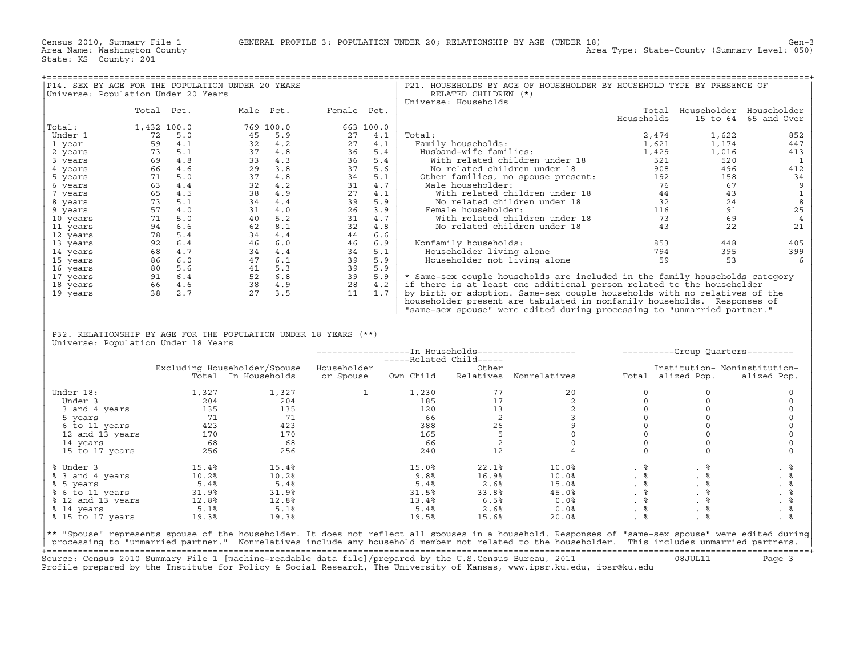| P14. SEX BY AGE FOR THE POPULATION UNDER 20 YEARS<br>Universe: Population Under 20 Years                                                                                                                                                                                                                                                                                                             |            |  |                                                                                                                                                                                                                                                                                        |        | RELATED CHILDREN (*)  | P21. HOUSEHOLDS BY AGE OF HOUSEHOLDER BY HOUSEHOLD TYPE BY PRESENCE OF                                                                                                                                                                                                                                                                                        |            |                               |                          |
|------------------------------------------------------------------------------------------------------------------------------------------------------------------------------------------------------------------------------------------------------------------------------------------------------------------------------------------------------------------------------------------------------|------------|--|----------------------------------------------------------------------------------------------------------------------------------------------------------------------------------------------------------------------------------------------------------------------------------------|--------|-----------------------|---------------------------------------------------------------------------------------------------------------------------------------------------------------------------------------------------------------------------------------------------------------------------------------------------------------------------------------------------------------|------------|-------------------------------|--------------------------|
|                                                                                                                                                                                                                                                                                                                                                                                                      |            |  |                                                                                                                                                                                                                                                                                        |        | Universe: Households  |                                                                                                                                                                                                                                                                                                                                                               |            |                               |                          |
|                                                                                                                                                                                                                                                                                                                                                                                                      | Total Pct. |  | Male Pct. Female Pct.                                                                                                                                                                                                                                                                  |        |                       |                                                                                                                                                                                                                                                                                                                                                               |            | Total Householder Householder |                          |
|                                                                                                                                                                                                                                                                                                                                                                                                      |            |  | 1,432 10.0<br>1,432 5.0<br>59 4.1<br>69 4.8<br>66 4.6<br>63 4.4<br>69 4.8<br>66 4.6<br>63 4.4<br>66 5.4<br>60 31 4.2<br>73 5.1<br>73 5.1<br>73 5.1<br>64 6<br>66 4.6<br>73 5.1<br>74 6.0<br>81 4.4<br>62 8.1<br>4.2<br>74 1.1<br>75 6.1<br>61<br>83 4.2<br>84 4.2<br>74 1.1<br>4.7<br> |        |                       |                                                                                                                                                                                                                                                                                                                                                               | Households |                               | 15 to 64 65 and Over     |
| Total:                                                                                                                                                                                                                                                                                                                                                                                               |            |  |                                                                                                                                                                                                                                                                                        |        |                       |                                                                                                                                                                                                                                                                                                                                                               |            |                               |                          |
| Under 1                                                                                                                                                                                                                                                                                                                                                                                              |            |  |                                                                                                                                                                                                                                                                                        | Total: |                       |                                                                                                                                                                                                                                                                                                                                                               |            |                               | 852                      |
|                                                                                                                                                                                                                                                                                                                                                                                                      |            |  |                                                                                                                                                                                                                                                                                        |        |                       |                                                                                                                                                                                                                                                                                                                                                               |            |                               |                          |
| 1 year                                                                                                                                                                                                                                                                                                                                                                                               |            |  |                                                                                                                                                                                                                                                                                        |        |                       |                                                                                                                                                                                                                                                                                                                                                               |            |                               | 447                      |
| 2 years                                                                                                                                                                                                                                                                                                                                                                                              |            |  |                                                                                                                                                                                                                                                                                        |        |                       |                                                                                                                                                                                                                                                                                                                                                               |            |                               | 413                      |
| 3 years                                                                                                                                                                                                                                                                                                                                                                                              |            |  |                                                                                                                                                                                                                                                                                        |        |                       |                                                                                                                                                                                                                                                                                                                                                               |            |                               | $\overline{\phantom{0}}$ |
| 4 years                                                                                                                                                                                                                                                                                                                                                                                              |            |  |                                                                                                                                                                                                                                                                                        |        |                       |                                                                                                                                                                                                                                                                                                                                                               |            |                               | 412                      |
| 5 years                                                                                                                                                                                                                                                                                                                                                                                              |            |  |                                                                                                                                                                                                                                                                                        |        |                       |                                                                                                                                                                                                                                                                                                                                                               |            |                               | 34                       |
| 6 years                                                                                                                                                                                                                                                                                                                                                                                              |            |  |                                                                                                                                                                                                                                                                                        |        |                       |                                                                                                                                                                                                                                                                                                                                                               |            |                               | 9                        |
|                                                                                                                                                                                                                                                                                                                                                                                                      |            |  |                                                                                                                                                                                                                                                                                        |        |                       |                                                                                                                                                                                                                                                                                                                                                               |            |                               |                          |
| 7 years                                                                                                                                                                                                                                                                                                                                                                                              |            |  |                                                                                                                                                                                                                                                                                        |        |                       |                                                                                                                                                                                                                                                                                                                                                               |            |                               | $\mathbf{1}$             |
| 8 years                                                                                                                                                                                                                                                                                                                                                                                              |            |  |                                                                                                                                                                                                                                                                                        |        |                       |                                                                                                                                                                                                                                                                                                                                                               |            |                               | 8                        |
| 9 years                                                                                                                                                                                                                                                                                                                                                                                              |            |  |                                                                                                                                                                                                                                                                                        |        |                       |                                                                                                                                                                                                                                                                                                                                                               |            |                               | 25                       |
| 10 years                                                                                                                                                                                                                                                                                                                                                                                             |            |  |                                                                                                                                                                                                                                                                                        |        |                       |                                                                                                                                                                                                                                                                                                                                                               |            |                               | $\overline{4}$           |
| 11 years                                                                                                                                                                                                                                                                                                                                                                                             |            |  |                                                                                                                                                                                                                                                                                        |        |                       |                                                                                                                                                                                                                                                                                                                                                               |            |                               | 21                       |
| 12 years                                                                                                                                                                                                                                                                                                                                                                                             |            |  |                                                                                                                                                                                                                                                                                        |        |                       |                                                                                                                                                                                                                                                                                                                                                               |            |                               |                          |
|                                                                                                                                                                                                                                                                                                                                                                                                      |            |  |                                                                                                                                                                                                                                                                                        |        |                       |                                                                                                                                                                                                                                                                                                                                                               |            |                               |                          |
| 13 years                                                                                                                                                                                                                                                                                                                                                                                             |            |  |                                                                                                                                                                                                                                                                                        |        | Nonfamily households: |                                                                                                                                                                                                                                                                                                                                                               |            |                               | 405                      |
| 14 years                                                                                                                                                                                                                                                                                                                                                                                             |            |  |                                                                                                                                                                                                                                                                                        |        |                       |                                                                                                                                                                                                                                                                                                                                                               |            |                               | 399                      |
| 15 years                                                                                                                                                                                                                                                                                                                                                                                             |            |  |                                                                                                                                                                                                                                                                                        |        |                       |                                                                                                                                                                                                                                                                                                                                                               |            |                               | 6                        |
| 16 years                                                                                                                                                                                                                                                                                                                                                                                             |            |  |                                                                                                                                                                                                                                                                                        |        |                       |                                                                                                                                                                                                                                                                                                                                                               |            |                               |                          |
| 17 years                                                                                                                                                                                                                                                                                                                                                                                             |            |  |                                                                                                                                                                                                                                                                                        |        |                       | * Same-sex couple households are included in the family households category                                                                                                                                                                                                                                                                                   |            |                               |                          |
| 18 years                                                                                                                                                                                                                                                                                                                                                                                             |            |  |                                                                                                                                                                                                                                                                                        |        |                       | if there is at least one additional person related to the householder                                                                                                                                                                                                                                                                                         |            |                               |                          |
|                                                                                                                                                                                                                                                                                                                                                                                                      |            |  |                                                                                                                                                                                                                                                                                        |        |                       |                                                                                                                                                                                                                                                                                                                                                               |            |                               |                          |
| 19 years                                                                                                                                                                                                                                                                                                                                                                                             |            |  |                                                                                                                                                                                                                                                                                        |        |                       | by birth or adoption. Same-sex couple households with no relatives of the                                                                                                                                                                                                                                                                                     |            |                               |                          |
|                                                                                                                                                                                                                                                                                                                                                                                                      |            |  |                                                                                                                                                                                                                                                                                        |        |                       | householder present are tabulated in nonfamily households. Responses of                                                                                                                                                                                                                                                                                       |            |                               |                          |
|                                                                                                                                                                                                                                                                                                                                                                                                      |            |  |                                                                                                                                                                                                                                                                                        |        |                       | "same-sex spouse" were edited during processing to "unmarried partner."                                                                                                                                                                                                                                                                                       |            |                               |                          |
|                                                                                                                                                                                                                                                                                                                                                                                                      |            |  |                                                                                                                                                                                                                                                                                        |        |                       |                                                                                                                                                                                                                                                                                                                                                               |            |                               |                          |
|                                                                                                                                                                                                                                                                                                                                                                                                      |            |  |                                                                                                                                                                                                                                                                                        |        |                       |                                                                                                                                                                                                                                                                                                                                                               |            |                               |                          |
|                                                                                                                                                                                                                                                                                                                                                                                                      |            |  |                                                                                                                                                                                                                                                                                        |        |                       |                                                                                                                                                                                                                                                                                                                                                               |            |                               |                          |
|                                                                                                                                                                                                                                                                                                                                                                                                      |            |  |                                                                                                                                                                                                                                                                                        |        |                       |                                                                                                                                                                                                                                                                                                                                                               |            |                               |                          |
| P32. RELATIONSHIP BY AGE FOR THE POPULATION UNDER 18 YEARS (**)                                                                                                                                                                                                                                                                                                                                      |            |  |                                                                                                                                                                                                                                                                                        |        |                       |                                                                                                                                                                                                                                                                                                                                                               |            |                               |                          |
| Universe: Population Under 18 Years                                                                                                                                                                                                                                                                                                                                                                  |            |  |                                                                                                                                                                                                                                                                                        |        |                       |                                                                                                                                                                                                                                                                                                                                                               |            |                               |                          |
|                                                                                                                                                                                                                                                                                                                                                                                                      |            |  |                                                                                                                                                                                                                                                                                        |        |                       |                                                                                                                                                                                                                                                                                                                                                               |            |                               |                          |
|                                                                                                                                                                                                                                                                                                                                                                                                      |            |  |                                                                                                                                                                                                                                                                                        |        |                       |                                                                                                                                                                                                                                                                                                                                                               |            |                               |                          |
|                                                                                                                                                                                                                                                                                                                                                                                                      |            |  | Excluding Householder/Spouse Householder                                                                                                                                                                                                                                               |        |                       |                                                                                                                                                                                                                                                                                                                                                               |            | Institution- Noninstitution-  |                          |
|                                                                                                                                                                                                                                                                                                                                                                                                      |            |  |                                                                                                                                                                                                                                                                                        |        |                       | -ing Housenolder/Spouse Housenolder (Uner Uther University of the Moninstitution<br>Total In-Households or-Spouse Own-Child Relatives Nonrelatives (Uner Total alized-Pop. alized-Pop.                                                                                                                                                                        |            |                               |                          |
|                                                                                                                                                                                                                                                                                                                                                                                                      |            |  |                                                                                                                                                                                                                                                                                        |        |                       |                                                                                                                                                                                                                                                                                                                                                               |            |                               |                          |
|                                                                                                                                                                                                                                                                                                                                                                                                      |            |  |                                                                                                                                                                                                                                                                                        |        |                       |                                                                                                                                                                                                                                                                                                                                                               |            | $\Omega$                      |                          |
| Under 18:                                                                                                                                                                                                                                                                                                                                                                                            |            |  | $1,327$ $1,327$ $1$ $1,230$                                                                                                                                                                                                                                                            |        |                       |                                                                                                                                                                                                                                                                                                                                                               |            |                               | $\mathbf 0$              |
|                                                                                                                                                                                                                                                                                                                                                                                                      |            |  |                                                                                                                                                                                                                                                                                        |        |                       |                                                                                                                                                                                                                                                                                                                                                               |            | $\circ$                       | $\circ$                  |
|                                                                                                                                                                                                                                                                                                                                                                                                      |            |  |                                                                                                                                                                                                                                                                                        |        |                       |                                                                                                                                                                                                                                                                                                                                                               |            | $\circ$                       | $\mathsf{O}$             |
|                                                                                                                                                                                                                                                                                                                                                                                                      |            |  |                                                                                                                                                                                                                                                                                        |        |                       |                                                                                                                                                                                                                                                                                                                                                               |            | $\circ$                       | $\mathbf 0$              |
|                                                                                                                                                                                                                                                                                                                                                                                                      |            |  |                                                                                                                                                                                                                                                                                        |        |                       |                                                                                                                                                                                                                                                                                                                                                               |            | $\circ$                       | $\mathsf O$              |
|                                                                                                                                                                                                                                                                                                                                                                                                      |            |  |                                                                                                                                                                                                                                                                                        |        |                       |                                                                                                                                                                                                                                                                                                                                                               |            | $\mathsf{O}\xspace$           | $\mathsf O$              |
|                                                                                                                                                                                                                                                                                                                                                                                                      |            |  |                                                                                                                                                                                                                                                                                        |        |                       |                                                                                                                                                                                                                                                                                                                                                               |            |                               |                          |
|                                                                                                                                                                                                                                                                                                                                                                                                      |            |  |                                                                                                                                                                                                                                                                                        |        |                       |                                                                                                                                                                                                                                                                                                                                                               |            | $\circ$                       | $\mathbf 0$              |
|                                                                                                                                                                                                                                                                                                                                                                                                      |            |  |                                                                                                                                                                                                                                                                                        |        |                       | $\begin{array}{cccc} 1,230 & & & 77 & & & 20\\ 185 & & & 17 & & & 2\\ 120 & & & 13 & & & 2\\ 66 & & & 2 & & & 3\\ 388 & & & 26 & & 9\\ 165 & & & 5 & & & 0\\ 66 & & & 2 & & & 0\\ 240 & & & 12 & & & 4 \end{array}$                                                                                                                                           |            | $\circ$                       | $\mathbf 0$              |
|                                                                                                                                                                                                                                                                                                                                                                                                      |            |  |                                                                                                                                                                                                                                                                                        |        |                       |                                                                                                                                                                                                                                                                                                                                                               |            |                               |                          |
|                                                                                                                                                                                                                                                                                                                                                                                                      |            |  |                                                                                                                                                                                                                                                                                        |        |                       |                                                                                                                                                                                                                                                                                                                                                               |            |                               | . 응                      |
|                                                                                                                                                                                                                                                                                                                                                                                                      |            |  |                                                                                                                                                                                                                                                                                        |        |                       |                                                                                                                                                                                                                                                                                                                                                               |            |                               |                          |
|                                                                                                                                                                                                                                                                                                                                                                                                      |            |  |                                                                                                                                                                                                                                                                                        |        |                       |                                                                                                                                                                                                                                                                                                                                                               |            |                               |                          |
|                                                                                                                                                                                                                                                                                                                                                                                                      |            |  |                                                                                                                                                                                                                                                                                        |        |                       |                                                                                                                                                                                                                                                                                                                                                               |            |                               | $. \circ$                |
|                                                                                                                                                                                                                                                                                                                                                                                                      |            |  |                                                                                                                                                                                                                                                                                        |        |                       |                                                                                                                                                                                                                                                                                                                                                               |            |                               |                          |
|                                                                                                                                                                                                                                                                                                                                                                                                      |            |  |                                                                                                                                                                                                                                                                                        |        |                       |                                                                                                                                                                                                                                                                                                                                                               |            |                               |                          |
|                                                                                                                                                                                                                                                                                                                                                                                                      |            |  |                                                                                                                                                                                                                                                                                        |        |                       |                                                                                                                                                                                                                                                                                                                                                               |            |                               | $. \circ$                |
|                                                                                                                                                                                                                                                                                                                                                                                                      |            |  |                                                                                                                                                                                                                                                                                        |        |                       |                                                                                                                                                                                                                                                                                                                                                               |            |                               | . 응                      |
| % Under 3 $\begin{array}{lllllllllllllllllll} \begin{array}{lllllllllllll} \begin{array}{lllllllllllll} \begin{array}{lllllllllllll} \begin{array}{lllllllllllll} \begin{array}{lllllllllll} \mathbf{8}\!\!&\!\!\!\!&\!\!\!\!&\!\!\!\!&\!\!\!\!&\!\!\!\!&\!\!\!\!&\!\!\!\!&\!\!\!\!&\!\!\!\!&\!\!\!\!&\!\!\!\!&\!\!\!\!&\!\!\!\!&\!\!\!\!&\!\!\!\!&\!\!\!\!&\!\!\!\!&\!\!\!\!&\!\!\!\!&\!\!\!\!&\!\$ |            |  |                                                                                                                                                                                                                                                                                        |        |                       | $\begin{array}{cccccccc} 15.0\frac{8}{8} & & 22.1\frac{8}{8} & & 10.0\frac{8}{8} & & \frac{8}{8} & & \frac{8}{8} \\ 9.8\frac{8}{8} & & 16.9\frac{8}{8} & & 10.0\frac{8}{8} & & \frac{8}{8} & & \frac{8}{8} \\ 5.4\frac{8}{8} & & 2.6\frac{8}{8} & & 15.0\frac{8}{8} & & \frac{8}{8} & & \frac{8}{8} \\ 31.5\frac{8}{8} & & 33.8\frac{8}{8} & & 45.0\frac{8}{$ |            |                               |                          |
| ** "Spouse" represents spouse of the householder. It does not reflect all spouses in a household. Responses of "same-sex spouse" were edited during<br>processing to "unmarried partner." Nonrelatives include any household member not related to the householder. This includes unmarried partners.                                                                                                |            |  |                                                                                                                                                                                                                                                                                        |        |                       |                                                                                                                                                                                                                                                                                                                                                               |            |                               |                          |

|                   |       |                              |             |                         |           | -In Households------------------- |     |                   | ----------Group Ouarters--------- |
|-------------------|-------|------------------------------|-------------|-------------------------|-----------|-----------------------------------|-----|-------------------|-----------------------------------|
|                   |       |                              |             | -----Related Child----- |           |                                   |     |                   |                                   |
|                   |       | Excluding Householder/Spouse | Householder |                         | Other     |                                   |     |                   | Institution- Noninstitution-      |
|                   |       | Total In Households          | or Spouse   | Own Child               | Relatives | Nonrelatives                      |     | Total alized Pop. | alized Pop.                       |
| Under 18:         | 1,327 | 1,327                        |             | 1,230                   | 77        | 20                                |     |                   |                                   |
| Under 3           | 204   | 204                          |             | 185                     | 17        |                                   |     |                   |                                   |
| 3 and 4 years     | 135   | 135                          |             | 120                     | 13        |                                   |     |                   |                                   |
| 5 years           | 71    | 71                           |             | 66                      |           |                                   |     |                   |                                   |
| 6 to 11 years     | 423   | 423                          |             | 388                     | 26        |                                   |     |                   |                                   |
| 12 and 13 years   | 170   | 170                          |             | 165                     |           |                                   |     |                   |                                   |
| 14 years          | 68    | 68                           |             | 66                      |           |                                   |     |                   |                                   |
| 15 to 17 years    | 256   | 256                          |             | 240                     | 12        |                                   |     |                   |                                   |
| % Under 3         | 15.4% | 15.4%                        |             | 15.0%                   | 22.1%     | 10.0%                             | . 응 | . ㅎ               | . .                               |
| % 3 and 4 years   | 10.2% | 10.2%                        |             | 9.8%                    | 16.9%     | 10.0%                             | . 응 | . ह               | . 6                               |
| % 5 years         | 5.4%  | 5.4%                         |             | 5.4%                    | 2.6%      | 15.0%                             | . * | . ह               | . .                               |
| % 6 to 11 years   | 31.9% | 31.9%                        |             | 31.5%                   | 33.8%     | 45.0%                             | . 응 | . る               | . .                               |
| % 12 and 13 years | 12.8% | 12.8%                        |             | 13.4%                   | 6.5%      | $0.0$ %                           | . 응 | . る               | . 6                               |
| % 14 years        | 5.1%  | 5.1%                         |             | 5.4%                    | 2.6%      | $0.0$ °                           | . 응 | . 응               | . る                               |
| % 15 to 17 years  | 19.3% | 19.3%                        |             | 19.5%                   | 15.6%     | 20.0%                             |     |                   |                                   |

+===================================================================================================================================================+ Source: Census 2010 Summary File 1 [machine−readable data file]/prepared by the U.S.Census Bureau, 2011 08JUL11 Page 3 Profile prepared by the Institute for Policy & Social Research, The University of Kansas, www.ipsr.ku.edu, ipsr@ku.edu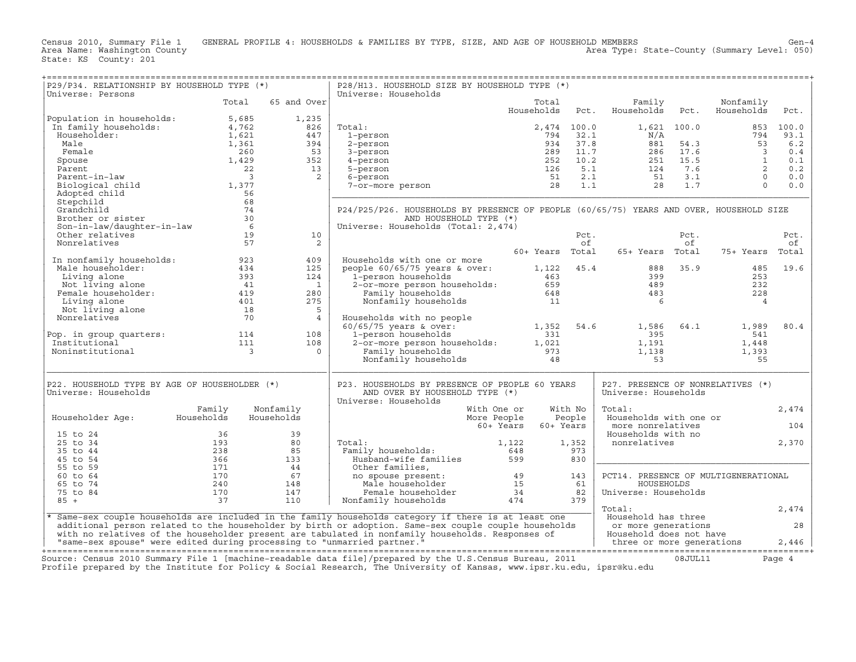Census 2010, Summary File 1 GENERAL PROFILE 4: HOUSEHOLDS & FAMILIES BY TYPE, SIZE, AND AGE OF HOUSEHOLD MEMBERS<br>Area Name: Washington County Level: 050) Area Type: State-County (Summary Level: 050)

| P29/P34. RELATIONSHIP BY HOUSEHOLD TYPE (*)                             |                       |                 | P28/H13. HOUSEHOLD SIZE BY HOUSEHOLD TYPE (*)                                                           |                        |             |                                         |            |                         |            |
|-------------------------------------------------------------------------|-----------------------|-----------------|---------------------------------------------------------------------------------------------------------|------------------------|-------------|-----------------------------------------|------------|-------------------------|------------|
| Universe: Persons                                                       | Total                 | 65 and Over     | Universe: Households                                                                                    | Total<br>Households    | Pct.        | Family<br>Households                    | Pct.       | Nonfamily<br>Households | Pct.       |
| Population in households:                                               | 5,685                 | 1,235           |                                                                                                         |                        |             |                                         |            |                         |            |
| In family households:                                                   | 4,762                 | 826             | Total:                                                                                                  |                        | 2,474 100.0 | 1,621 100.0                             |            | 853                     | 100.0      |
| Householder:                                                            | 1,621                 | 447             | 1-person                                                                                                | 794                    | 32.1        | N/A                                     |            | 794                     | 93.1       |
| Male                                                                    | 1,361                 | 394             | 2-person                                                                                                | 934                    | 37.8        | 881                                     | 54.3       | 53                      | 6.2        |
| Female                                                                  | 260                   | 53              | 3-person                                                                                                | 289                    | 11.7        | 286                                     | 17.6       | $\overline{\mathbf{3}}$ | 0.4        |
| Spouse                                                                  | 1,429                 | 352             | 4-person                                                                                                | 252                    | 10.2        | 251                                     | 15.5       | $\mathbf{1}$<br>2       | 0.1        |
| Parent<br>Parent-in-law                                                 | 22<br>$\overline{3}$  | 13<br>2         | 5-person                                                                                                | 126<br>51              | 5.1<br>2.1  | 124<br>51                               | 7.6<br>3.1 | $\Omega$                | 0.2<br>0.0 |
| Biological child                                                        | 1,377                 |                 | 6-person<br>7-or-more person                                                                            | 28                     | 1.1         | 28                                      | 1.7        | $\Omega$                | 0.0        |
| Adopted child                                                           | 56                    |                 |                                                                                                         |                        |             |                                         |            |                         |            |
| Stepchild                                                               | 68                    |                 |                                                                                                         |                        |             |                                         |            |                         |            |
| Grandchild                                                              | 74                    |                 | P24/P25/P26. HOUSEHOLDS BY PRESENCE OF PEOPLE (60/65/75) YEARS AND OVER, HOUSEHOLD SIZE                 |                        |             |                                         |            |                         |            |
| Brother or sister                                                       | 30                    |                 | AND HOUSEHOLD TYPE (*)                                                                                  |                        |             |                                         |            |                         |            |
| Son-in-law/daughter-in-law                                              | 6                     |                 | Universe: Households (Total: 2,474)                                                                     |                        |             |                                         |            |                         |            |
| Other relatives                                                         | 19                    | 10              |                                                                                                         |                        | Pct.        |                                         | Pct.       |                         | Pct.       |
| Nonrelatives                                                            | 57                    | 2               |                                                                                                         |                        | of          |                                         | of         |                         | οf         |
|                                                                         |                       |                 |                                                                                                         | 60+ Years Total        |             | 65+ Years Total                         |            | 75+ Years               | Total      |
| In nonfamily households:<br>Male householder:                           | 923<br>434            | 409<br>125      | Households with one or more                                                                             | 1,122                  | 45.4        | 888                                     | 35.9       | 485                     | 19.6       |
| Living alone                                                            | 393                   | 124             | people $60/65/75$ years & over:<br>1-person households                                                  | 463                    |             | 399                                     |            | 253                     |            |
| Not living alone                                                        | 41                    | $\mathbf{1}$    | 2-or-more person households:                                                                            | 659                    |             | 489                                     |            | 232                     |            |
| Female householder:                                                     | 419                   | 280             | Family households                                                                                       | 648                    |             | 483                                     |            | 228                     |            |
| Living alone                                                            | 401                   | 275             | Nonfamily households                                                                                    | 11                     |             | 6                                       |            | $\overline{4}$          |            |
| Not living alone                                                        | 18                    | 5               |                                                                                                         |                        |             |                                         |            |                         |            |
| Nonrelatives                                                            | 70                    | $\overline{4}$  | Households with no people                                                                               |                        |             |                                         |            |                         |            |
|                                                                         |                       |                 | $60/65/75$ years & over:                                                                                | 1,352                  | 54.6        | 1,586                                   | 64.1       | 1,989                   | 80.4       |
| Pop. in group quarters:                                                 | 114                   | 108             | 1-person households                                                                                     | 331                    |             | 395                                     |            | 541                     |            |
| Institutional                                                           | 111<br>$\overline{3}$ | 108<br>$\Omega$ | 2-or-more person households:                                                                            | 1,021<br>973           |             | 1,191                                   |            | 1,448                   |            |
| Noninstitutional                                                        |                       |                 | Family households<br>Nonfamily households                                                               | 48                     |             | 1,138<br>53                             |            | 1,393<br>55             |            |
|                                                                         |                       |                 |                                                                                                         |                        |             |                                         |            |                         |            |
| P22. HOUSEHOLD TYPE BY AGE OF HOUSEHOLDER (*)                           |                       |                 | P23. HOUSEHOLDS BY PRESENCE OF PEOPLE 60 YEARS                                                          |                        |             | P27. PRESENCE OF NONRELATIVES (*)       |            |                         |            |
| Universe: Households                                                    |                       |                 | AND OVER BY HOUSEHOLD TYPE (*)<br>Universe: Households                                                  |                        |             | Universe: Households                    |            |                         |            |
|                                                                         | Family                | Nonfamily       | With One or                                                                                             |                        | With No     | Total:                                  |            |                         | 2,474      |
| Householder Age:                                                        | Households            | Households      | More People                                                                                             |                        | People      | Households with one or                  |            |                         |            |
| 15 to 24                                                                | 36                    | 39              |                                                                                                         | 60+ Years<br>60+ Years |             | more nonrelatives<br>Households with no |            |                         | 104        |
| 25 to 34                                                                | 193                   | 80              | Total:                                                                                                  | 1,122                  | 1,352       | nonrelatives                            |            |                         | 2,370      |
| 35 to 44                                                                | 238                   | 85              | Family households:                                                                                      | 648                    | 973         |                                         |            |                         |            |
| 45 to 54                                                                | 366                   | 133             | Husband-wife families                                                                                   | 599                    | 830         |                                         |            |                         |            |
| 55 to 59                                                                | 171                   | 44              | Other families,                                                                                         |                        |             |                                         |            |                         |            |
| 60 to 64                                                                | 170                   | 67              | no spouse present:                                                                                      | 49                     | 143         | PCT14. PRESENCE OF MULTIGENERATIONAL    |            |                         |            |
| 65 to 74<br>75 to 84                                                    | 240<br>170            | 148<br>147      | Male householder                                                                                        | 15                     | 61<br>82    | HOUSEHOLDS                              |            |                         |            |
| $85 +$                                                                  | 37                    | 110             | Female householder<br>Nonfamily households                                                              | 34<br>474              | 379         | Universe: Households                    |            |                         |            |
|                                                                         |                       |                 |                                                                                                         |                        |             | Total:                                  |            |                         | 2,474      |
|                                                                         |                       |                 | * Same-sex couple households are included in the family households category if there is at least one    |                        |             | Household has three                     |            |                         |            |
|                                                                         |                       |                 | additional person related to the householder by birth or adoption. Same-sex couple couple households    |                        |             | or more generations                     |            |                         | 28         |
|                                                                         |                       |                 | with no relatives of the householder present are tabulated in nonfamily households. Responses of        |                        |             | Household does not have                 |            |                         |            |
| "same-sex spouse" were edited during processing to "unmarried partner." |                       |                 |                                                                                                         |                        |             | three or more generations               |            |                         | 2,446      |
|                                                                         |                       |                 | Source: Census 2010 Summary File 1 [machine-readable data file]/prepared by the U.S.Census Bureau, 2011 |                        |             |                                         | 08JUL11    |                         | Page 4     |

Profile prepared by the Institute for Policy & Social Research, The University of Kansas, www.ipsr.ku.edu, ipsr@ku.edu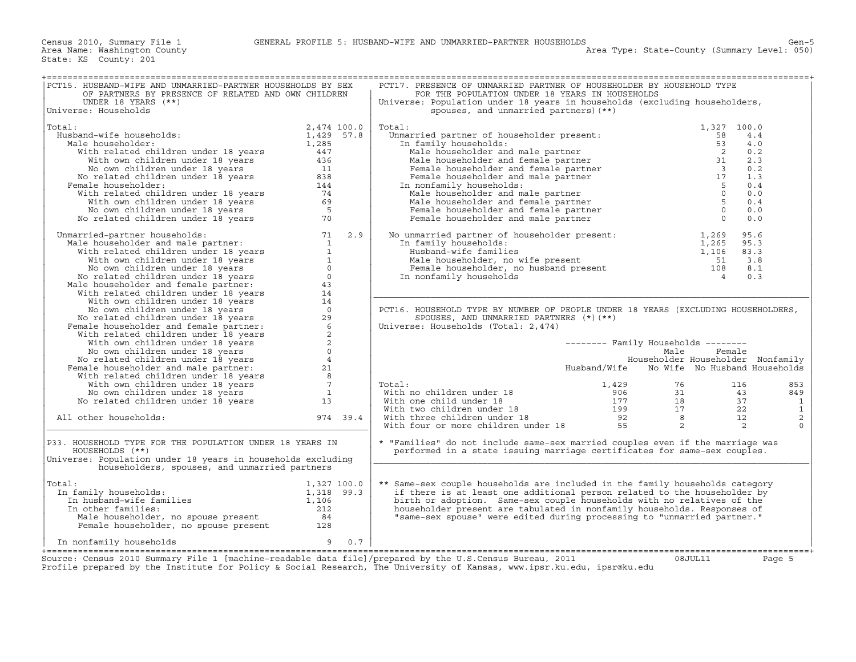| PCT15. HUSBAND-WIFE AND UNMARRIED-PARTNER HOUSEHOLDS BY SEX<br>OF PARTNERS BY PRESENCE OF RELATED AND OWN CHILDREN                                                                                                                                                          |              |     | PCT17. PRESENCE OF UNMARRIED PARTNER OF HOUSEHOLDER BY HOUSEHOLD TYPE<br>FOR THE POPULATION UNDER 18 YEARS IN HOUSEHOLDS                                                                                                                                                                                                                                        |              |                                     |                 |                |
|-----------------------------------------------------------------------------------------------------------------------------------------------------------------------------------------------------------------------------------------------------------------------------|--------------|-----|-----------------------------------------------------------------------------------------------------------------------------------------------------------------------------------------------------------------------------------------------------------------------------------------------------------------------------------------------------------------|--------------|-------------------------------------|-----------------|----------------|
| UNDER 18 YEARS $(**)$<br>Universe: Households                                                                                                                                                                                                                               |              |     | Universe: Population under 18 years in households (excluding householders,<br>spouses, and unmarried partners) (**)                                                                                                                                                                                                                                             |              |                                     |                 |                |
|                                                                                                                                                                                                                                                                             |              |     |                                                                                                                                                                                                                                                                                                                                                                 |              |                                     |                 |                |
| Total:                                                                                                                                                                                                                                                                      | 2,474 100.0  |     |                                                                                                                                                                                                                                                                                                                                                                 |              | 1,327 100.0                         |                 |                |
| Husband-wife households:                                                                                                                                                                                                                                                    | $1,429$ 57.8 |     |                                                                                                                                                                                                                                                                                                                                                                 |              |                                     | 4.4             |                |
| Male householder:                                                                                                                                                                                                                                                           |              |     |                                                                                                                                                                                                                                                                                                                                                                 |              |                                     | 4.0             |                |
|                                                                                                                                                                                                                                                                             |              |     |                                                                                                                                                                                                                                                                                                                                                                 |              |                                     | 0.2             |                |
|                                                                                                                                                                                                                                                                             |              |     |                                                                                                                                                                                                                                                                                                                                                                 |              |                                     | 2.3             |                |
|                                                                                                                                                                                                                                                                             | 11           |     |                                                                                                                                                                                                                                                                                                                                                                 |              |                                     | 0.2             |                |
|                                                                                                                                                                                                                                                                             |              |     |                                                                                                                                                                                                                                                                                                                                                                 |              |                                     | 1.3             |                |
| Female householder:                                                                                                                                                                                                                                                         |              |     |                                                                                                                                                                                                                                                                                                                                                                 |              |                                     | 0.4             |                |
|                                                                                                                                                                                                                                                                             |              |     |                                                                                                                                                                                                                                                                                                                                                                 |              |                                     | 0.0             |                |
|                                                                                                                                                                                                                                                                             |              |     |                                                                                                                                                                                                                                                                                                                                                                 |              |                                     | 0.4             |                |
|                                                                                                                                                                                                                                                                             |              |     |                                                                                                                                                                                                                                                                                                                                                                 |              |                                     | 0.0             |                |
| 1,429<br>ilale households:<br>ilale householder:<br>With related children under 18 years<br>447<br>With own children under 18 years<br>No own children under 18 years<br>No related children under 18 years<br>emale householder:<br>"With relat                            |              |     | spouses, $\frac{1}{327}$<br>otal:<br>Unmarried partner of householder present:<br>In family households:<br>Male householder and male partner<br>Male householder and female partner<br>Female householder and female partner<br>Female household                                                                                                                |              |                                     | 0.0             |                |
| No related children under 18 years<br>Mamarried-partner households:<br>Male householder and male partner:<br>With velated children under 18 years<br>Whow children under 18 years<br>No own children under 18 years<br>No own children und<br>Unmarried-partner households: |              |     | No unmarried partner of householder present: $1,269$                                                                                                                                                                                                                                                                                                            |              |                                     | 95.6            |                |
|                                                                                                                                                                                                                                                                             |              |     | In family households:                                                                                                                                                                                                                                                                                                                                           |              |                                     | 95.3            |                |
|                                                                                                                                                                                                                                                                             |              |     | mmarried partner of homocomous present<br>1,265<br>Husband-wife families<br>Male householder, no wife present<br>Female householder, no husband present<br>Temale householder, no husband present<br>108<br>108                                                                                                                                                 |              |                                     | 83.3            |                |
|                                                                                                                                                                                                                                                                             |              |     |                                                                                                                                                                                                                                                                                                                                                                 |              |                                     | 3.8             |                |
|                                                                                                                                                                                                                                                                             |              |     |                                                                                                                                                                                                                                                                                                                                                                 |              |                                     | 8.1             |                |
|                                                                                                                                                                                                                                                                             |              |     | In nonfamily households                                                                                                                                                                                                                                                                                                                                         |              |                                     | 0.3             |                |
|                                                                                                                                                                                                                                                                             |              |     |                                                                                                                                                                                                                                                                                                                                                                 |              |                                     |                 |                |
|                                                                                                                                                                                                                                                                             |              |     |                                                                                                                                                                                                                                                                                                                                                                 |              |                                     |                 |                |
|                                                                                                                                                                                                                                                                             |              |     |                                                                                                                                                                                                                                                                                                                                                                 |              |                                     |                 |                |
|                                                                                                                                                                                                                                                                             |              |     | PCT16. HOUSEHOLD TYPE BY NUMBER OF PEOPLE UNDER 18 YEARS (EXCLUDING HOUSEHOLDERS,                                                                                                                                                                                                                                                                               |              |                                     |                 |                |
|                                                                                                                                                                                                                                                                             |              |     | SPOUSES, AND UNMARRIED PARTNERS $(*)$ (**)                                                                                                                                                                                                                                                                                                                      |              |                                     |                 |                |
|                                                                                                                                                                                                                                                                             |              |     | Universe: Households (Total: 2,474)                                                                                                                                                                                                                                                                                                                             |              |                                     |                 |                |
|                                                                                                                                                                                                                                                                             |              |     |                                                                                                                                                                                                                                                                                                                                                                 |              |                                     |                 |                |
|                                                                                                                                                                                                                                                                             |              |     |                                                                                                                                                                                                                                                                                                                                                                 |              | $------$ Family Households $------$ |                 |                |
|                                                                                                                                                                                                                                                                             |              |     |                                                                                                                                                                                                                                                                                                                                                                 |              | Male                                | Female          |                |
|                                                                                                                                                                                                                                                                             |              |     |                                                                                                                                                                                                                                                                                                                                                                 |              | Householder Householder Nonfamily   |                 |                |
|                                                                                                                                                                                                                                                                             |              |     |                                                                                                                                                                                                                                                                                                                                                                 | Husband/Wife | No Wife No Husband Households       |                 |                |
|                                                                                                                                                                                                                                                                             |              |     |                                                                                                                                                                                                                                                                                                                                                                 |              |                                     |                 |                |
|                                                                                                                                                                                                                                                                             |              |     |                                                                                                                                                                                                                                                                                                                                                                 |              |                                     |                 |                |
|                                                                                                                                                                                                                                                                             |              |     | Total:                                                                                                                                                                                                                                                                                                                                                          |              |                                     | 116             | 853            |
|                                                                                                                                                                                                                                                                             |              |     |                                                                                                                                                                                                                                                                                                                                                                 |              |                                     | 43              | 849            |
|                                                                                                                                                                                                                                                                             |              |     |                                                                                                                                                                                                                                                                                                                                                                 |              |                                     | $\frac{37}{22}$ | $\mathbf{1}$   |
|                                                                                                                                                                                                                                                                             |              |     |                                                                                                                                                                                                                                                                                                                                                                 |              |                                     |                 | $\,1\,$        |
| All other households:                                                                                                                                                                                                                                                       | 974 39.4     |     |                                                                                                                                                                                                                                                                                                                                                                 |              |                                     | 12              | $\overline{c}$ |
|                                                                                                                                                                                                                                                                             |              |     | $\begin{array}{llllll} \text{Total:} & & & 1,429 & & 76 \\ \text{With one children under 18} & & & 906 & & 31 \\ \text{With true children under 18} & & & 177 & & 18 \\ \text{With three children under 18} & & & 199 & & 17 \\ \text{With three children under 18} & & & 92 & & 8 \\ \text{With four or more children under 18} & & & 55 & & 2 \\ \end{array}$ |              |                                     | 2               | $\cap$         |
| P33. HOUSEHOLD TYPE FOR THE POPULATION UNDER 18 YEARS IN<br>HOUSEHOLDS (**)<br>Universe: Population under 18 years in households excluding<br>householders, spouses, and unmarried partners                                                                                 |              |     | * "Families" do not include same-sex married couples even if the marriage was<br>performed in a state issuing marriage certificates for same-sex couples.                                                                                                                                                                                                       |              |                                     |                 |                |
|                                                                                                                                                                                                                                                                             |              |     |                                                                                                                                                                                                                                                                                                                                                                 |              |                                     |                 |                |
| Total:                                                                                                                                                                                                                                                                      |              |     | ** Same-sex couple households are included in the family households category                                                                                                                                                                                                                                                                                    |              |                                     |                 |                |
| al:<br>1,327 100.0<br>1,318 99.3<br>In husband-wife families<br>In other families<br>The other families<br>The other families<br>In family households:                                                                                                                      |              |     | if there is at least one additional person related to the householder by                                                                                                                                                                                                                                                                                        |              |                                     |                 |                |
|                                                                                                                                                                                                                                                                             |              |     | birth or adoption. Same-sex couple households with no relatives of the                                                                                                                                                                                                                                                                                          |              |                                     |                 |                |
|                                                                                                                                                                                                                                                                             |              |     |                                                                                                                                                                                                                                                                                                                                                                 |              |                                     |                 |                |
| In other families:                                                                                                                                                                                                                                                          |              |     | householder present are tabulated in nonfamily households. Responses of                                                                                                                                                                                                                                                                                         |              |                                     |                 |                |
|                                                                                                                                                                                                                                                                             |              |     | "same-sex spouse" were edited during processing to "unmarried partner."                                                                                                                                                                                                                                                                                         |              |                                     |                 |                |
| American contract to the contract of the contract of the contract of the state of the state of the state of the state of the state of the state of the state of the state of the state of the state of the state of the state                                               |              |     |                                                                                                                                                                                                                                                                                                                                                                 |              |                                     |                 |                |
| In nonfamily households                                                                                                                                                                                                                                                     | 9            | 0.7 |                                                                                                                                                                                                                                                                                                                                                                 |              |                                     |                 |                |
|                                                                                                                                                                                                                                                                             |              |     |                                                                                                                                                                                                                                                                                                                                                                 |              |                                     |                 |                |
| Source: Census 2010 Summary File 1 [machine-readable data file]/prepared by the U.S.Census Bureau, 2011<br>Profile prepared by the Institute for Policy & Social Research, The University of Kansas, www.ipsr.ku.edu, ipsr@ku.edu                                           |              |     |                                                                                                                                                                                                                                                                                                                                                                 |              | 08JUL11                             |                 | Page 5         |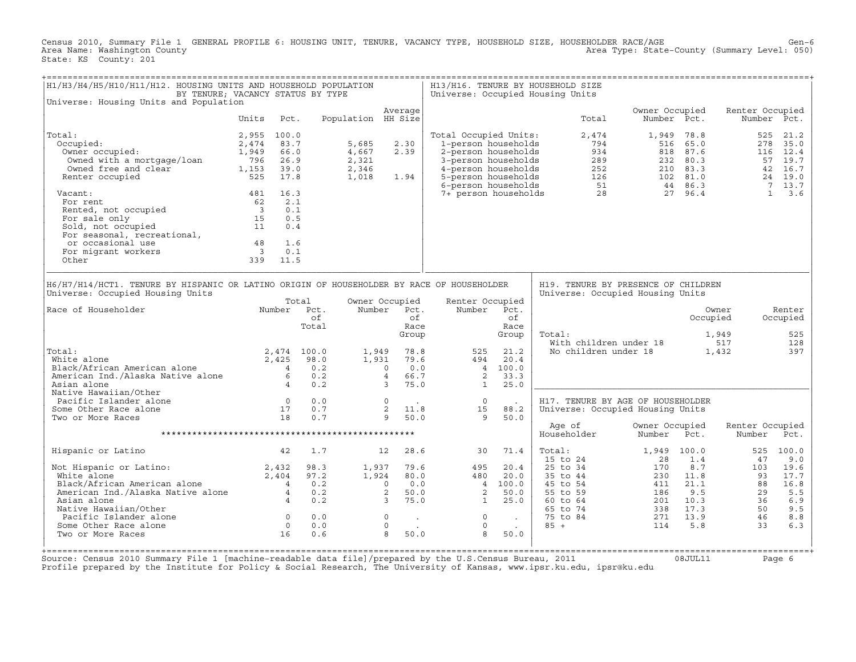Census 2010, Summary File 1 GENERAL PROFILE 6: HOUSING UNIT, TENURE, VACANCY TYPE, HOUSEHOLD SIZE, HOUSEHOLDER RACE/AGE Gen−6 Area Type: State-County (Summary Level: 050) State: KS County: 201

| H1/H3/H4/H5/H10/H11/H12. HOUSING UNITS AND HOUSEHOLD POPULATION                                                                                                                                    | BY TENURE; VACANCY STATUS BY TYPE                                              |                                          |                                           |                                                                                                                          |                                                                                            |                                                            | H13/H16. TENURE BY HOUSEHOLD SIZE<br>Universe: Occupied Housing Units                                                                                                                             |                                              |                                                        |                                               |                                                                                      |
|----------------------------------------------------------------------------------------------------------------------------------------------------------------------------------------------------|--------------------------------------------------------------------------------|------------------------------------------|-------------------------------------------|--------------------------------------------------------------------------------------------------------------------------|--------------------------------------------------------------------------------------------|------------------------------------------------------------|---------------------------------------------------------------------------------------------------------------------------------------------------------------------------------------------------|----------------------------------------------|--------------------------------------------------------|-----------------------------------------------|--------------------------------------------------------------------------------------|
| Universe: Housing Units and Population                                                                                                                                                             |                                                                                |                                          |                                           |                                                                                                                          |                                                                                            |                                                            |                                                                                                                                                                                                   |                                              |                                                        |                                               |                                                                                      |
|                                                                                                                                                                                                    | Units                                                                          | Pct.                                     | Population HH Size                        | Average                                                                                                                  |                                                                                            |                                                            | Total                                                                                                                                                                                             | Owner Occupied<br>Number Pct.                |                                                        | Renter Occupied<br>Number Pct.                |                                                                                      |
| Total:<br>Occupied:<br>Owner occupied:<br>Owned with a mortgage/loan<br>$\frac{1}{2}$ , $\frac{1}{2}$ 10an $\frac{796}{1.152}$<br>Owned free and clear<br>Renter occupied<br>Vacant:<br>For rent   | 2,955 100.0<br>2,474<br>1,949<br>66.0<br>26.9<br>525<br>17.8<br>481 16.3<br>62 | 83.7<br>39.0<br>2.1                      | 5,685<br>4,667<br>2,321<br>2,346<br>1,018 | 2.30<br>2.39<br>1.94                                                                                                     | Total Occupied Units:<br>1-person households<br>2-person households<br>3-person households |                                                            | 2,474<br>794<br>934<br>289<br>4 - person households<br>5 - person households<br>6 - person households<br>6 - person households<br>7 - person households<br>7 - person households<br>28<br>27 96.4 |                                              | 1,949 78.8<br>516 65.0<br>818 87.6<br>232 80.3         | 525<br>278                                    | 21.2<br>35.0<br>116 12.4<br>57 19.7<br>42 16.7<br>24 19.0<br>7 13.7<br>$1 \quad 3.6$ |
| Fented, not occupied<br>For sale only<br>Sold, not occupied<br>For seasonal, recreational,<br>$\begin{array}{ccc}\n & 3 \\ 15 \\ \end{array}$<br>or occasional use<br>For migrant workers<br>Other | 48 1.6<br>$\overline{\mathbf{3}}$<br>339 11.5                                  | 0.1<br>0.5<br>0.4<br>0.1                 |                                           |                                                                                                                          |                                                                                            |                                                            |                                                                                                                                                                                                   |                                              |                                                        |                                               |                                                                                      |
| H6/H7/H14/HCT1. TENURE BY HISPANIC OR LATINO ORIGIN OF HOUSEHOLDER BY RACE OF HOUSEHOLDER<br>Universe: Occupied Housing Units                                                                      |                                                                                |                                          |                                           |                                                                                                                          |                                                                                            |                                                            | H19. TENURE BY PRESENCE OF CHILDREN<br>Universe: Occupied Housing Units                                                                                                                           |                                              |                                                        |                                               |                                                                                      |
| Race of Householder                                                                                                                                                                                |                                                                                | Total<br>Number Pct.<br>оf<br>Total      |                                           | Owner Occupied<br>Number Pct.<br>of<br>Race<br>Group                                                                     | Renter Occupied<br>Number                                                                  | Pct.<br>of<br>Race<br>Group                                | Total:<br>With children under 18                                                                                                                                                                  |                                              | Occupied                                               | Owner<br>1,949<br>517                         | Renter<br>Occupied<br>525<br>128                                                     |
| Total:<br>White alone<br>White alone<br>Black/African American alone<br>American Ind./Alaska Native alone<br>6<br>Asian alone                                                                      | 2,425<br>$\begin{array}{c} 6 \\ 4 \end{array}$                                 | 2,474 100.0<br>98.0<br>0.2<br>0.2<br>0.2 | 1,949<br>1,931                            | 78.8<br>79.6<br>0.0<br>$\Omega$<br>4 66.7<br>$\overline{3}$<br>75.0                                                      | 525<br>494<br>$4\overline{4}$<br>2<br>$\overline{1}$                                       | 21.2<br>20.4<br>100.0<br>33.3<br>25.0                      | No children under 18                                                                                                                                                                              |                                              |                                                        | 1,432                                         | 397                                                                                  |
| Native Hawaiian/Other<br>Pacific Islander alone<br>Some Other Race alone<br>Two or More Races                                                                                                      | $\begin{array}{c}0\\17\\18\end{array}$                                         | 0.0<br>0.7<br>0.7                        |                                           | $\overline{0}$<br>2<br>11.8<br>9<br>50.0                                                                                 | $\overline{0}$<br>15<br>9                                                                  | 88.2<br>50.0                                               | H17. TENURE BY AGE OF HOUSEHOLDER<br>Universe: Occupied Housing Units                                                                                                                             |                                              |                                                        |                                               |                                                                                      |
|                                                                                                                                                                                                    |                                                                                |                                          |                                           |                                                                                                                          |                                                                                            |                                                            | Age of<br>Householder                                                                                                                                                                             | Owner Occupied<br>Number                     | Pct.                                                   | Renter Occupied<br>Number                     | Pct.                                                                                 |
| Hispanic or Latino                                                                                                                                                                                 | 42                                                                             | 1.7                                      |                                           | 12<br>28.6                                                                                                               | 30                                                                                         | 71.4                                                       | Total:<br>15 to 24                                                                                                                                                                                | 1,949 100.0                                  | 1.4                                                    | 525                                           | 100.0                                                                                |
| Not Hispanic or Latino:<br>White alone 2,404<br>Black/African American alone 2,404<br>American Ind./Alaska Native alone 4<br>Asian alone 4<br>Native Hawaiian/Other<br>Pacific Islander alone      |                                                                                | 98.3<br>97.2<br>0.2<br>0.2<br>0.2<br>0.0 | 1,937<br>1,924                            | 79.6<br>80.0<br>0.0<br>$\circ$<br>$\overline{a}$<br>50.0<br>$\overline{3}$<br>75.0<br>$\circ$<br>$\sim 100$ km s $^{-1}$ | 495<br>480<br>2<br>$\mathbf{1}$<br>$\circ$                                                 | 20.4<br>20.0<br>4 100.0<br>50.0<br>25.0<br><b>Contract</b> | 25 to 34<br>35 to 44<br>45 to 54<br>55 to 59<br>60 to 64<br>65 to 74<br>75 to 84                                                                                                                  | 28<br>170<br>230<br>411<br>186<br>338<br>271 | 8.7<br>11.8<br>21.1<br>9.5<br>201 10.3<br>17.3<br>13.9 | 47<br>103<br>93<br>88<br>29<br>36<br>50<br>46 | 9.0<br>19.6<br>17.7<br>16.8<br>5.5<br>6.9<br>9.5<br>8.8                              |
| Some Other Race alone<br>Two or More Races                                                                                                                                                         | $\begin{matrix} 0 \\ 0 \end{matrix}$<br>16                                     | 0.0<br>0.6                               |                                           | $\circ$<br><b>Contract</b><br>8<br>50.0                                                                                  | $\circ$<br>8                                                                               | $\sim 100$ km s $^{-1}$<br>50.0                            | $85 +$                                                                                                                                                                                            | 114                                          | 5.8                                                    | 33                                            | 6.3                                                                                  |

+===================================================================================================================================================+ Source: Census 2010 Summary File 1 [machine−readable data file]/prepared by the U.S.Census Bureau, 2011 08JUL11 Page 6 Profile prepared by the Institute for Policy & Social Research, The University of Kansas, www.ipsr.ku.edu, ipsr@ku.edu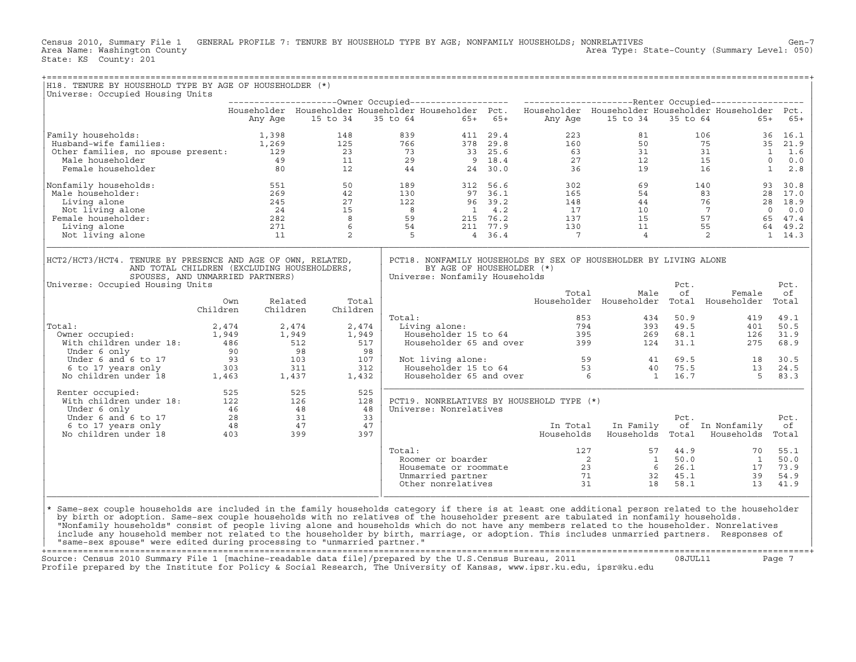Census 2010, Summary File 1 GENERAL PROFILE 7: TENURE BY HOUSEHOLD TYPE BY AGE; NONFAMILY HOUSEHOLDS; NONRELATIVES<br>Area Name: Washington County Level: 050) Area Type: State-County (Summary Level: 050) Area Type: State-County (Summary Level: 050) State: KS County: 201

| H18. TENURE BY HOUSEHOLD TYPE BY AGE OF HOUSEHOLDER (*)<br>Universe: Occupied Housing Units                                                                                                                                                                                                                                                                                                                                                                                                                                                                                                                                                                                 |                 |                     |          |                   |          |                                                             |           |                                                                                          |                                                                                                                                                                                                                                                                                                                            |            |                                   |            |
|-----------------------------------------------------------------------------------------------------------------------------------------------------------------------------------------------------------------------------------------------------------------------------------------------------------------------------------------------------------------------------------------------------------------------------------------------------------------------------------------------------------------------------------------------------------------------------------------------------------------------------------------------------------------------------|-----------------|---------------------|----------|-------------------|----------|-------------------------------------------------------------|-----------|------------------------------------------------------------------------------------------|----------------------------------------------------------------------------------------------------------------------------------------------------------------------------------------------------------------------------------------------------------------------------------------------------------------------------|------------|-----------------------------------|------------|
|                                                                                                                                                                                                                                                                                                                                                                                                                                                                                                                                                                                                                                                                             |                 |                     |          |                   |          |                                                             |           |                                                                                          |                                                                                                                                                                                                                                                                                                                            |            |                                   |            |
|                                                                                                                                                                                                                                                                                                                                                                                                                                                                                                                                                                                                                                                                             |                 |                     | 15 to 34 |                   | 35 to 64 |                                                             | $65+ 65+$ |                                                                                          | Householder Householder Householder Householder Pct. Householder Householder Householder Householder Pct.<br>15 to 34                                                                                                                                                                                                      |            | 35 to 64<br>$65+$                 |            |
|                                                                                                                                                                                                                                                                                                                                                                                                                                                                                                                                                                                                                                                                             |                 | Any Age             |          |                   |          |                                                             |           | Any Age                                                                                  |                                                                                                                                                                                                                                                                                                                            |            |                                   | $65+$      |
| Family households:                                                                                                                                                                                                                                                                                                                                                                                                                                                                                                                                                                                                                                                          |                 |                     |          |                   |          |                                                             |           |                                                                                          |                                                                                                                                                                                                                                                                                                                            |            | 106 36 16.1                       |            |
|                                                                                                                                                                                                                                                                                                                                                                                                                                                                                                                                                                                                                                                                             |                 |                     |          |                   |          |                                                             |           |                                                                                          |                                                                                                                                                                                                                                                                                                                            |            |                                   |            |
|                                                                                                                                                                                                                                                                                                                                                                                                                                                                                                                                                                                                                                                                             |                 |                     |          |                   |          |                                                             |           |                                                                                          |                                                                                                                                                                                                                                                                                                                            |            |                                   |            |
|                                                                                                                                                                                                                                                                                                                                                                                                                                                                                                                                                                                                                                                                             |                 |                     |          |                   |          |                                                             |           |                                                                                          |                                                                                                                                                                                                                                                                                                                            |            |                                   |            |
| 9 1,398 148 839 411 29.4 223 81 106 36 16.1<br>49 125 766 378 29.8 160 50 75 35 21.9<br>73 33 25.6 63 31 31 16 36 16.1<br>81 106 36 16.1<br>829 29.8 160 50 75 35 21.9<br>82 1,269 12 23 73 29.8 160 50 75 35 21.9<br>82 12 29 9 18.4 27 1                                                                                                                                                                                                                                                                                                                                                                                                                                  |                 |                     |          |                   |          |                                                             |           |                                                                                          |                                                                                                                                                                                                                                                                                                                            |            |                                   |            |
| Nonfamily households:                                                                                                                                                                                                                                                                                                                                                                                                                                                                                                                                                                                                                                                       |                 |                     |          |                   |          |                                                             |           |                                                                                          | $\begin{array}{cccccccc} 551 & & & 50 & & & 189 & & 312 & 56.6 & & & 302 & & & 69 & & 140 & & 93 & 30.8 \\ 269 & & & 42 & & & 130 & & 97 & 36.1 & & 165 & & 54 & & 83 & & 28 & 17.0 \\ 245 & & 27 & & & 122 & & 96 & 39.2 & & 148 & & 44 & & 76 & & 28 & 18.9 \\ 242 & & 15 & & 8 & & 1 & 4.2 & & 17 & & 10 & & 7 & & 0 &$ |            |                                   |            |
| Male householder:                                                                                                                                                                                                                                                                                                                                                                                                                                                                                                                                                                                                                                                           |                 |                     |          |                   |          |                                                             |           |                                                                                          |                                                                                                                                                                                                                                                                                                                            |            |                                   |            |
| Living alone                                                                                                                                                                                                                                                                                                                                                                                                                                                                                                                                                                                                                                                                |                 |                     |          |                   |          |                                                             |           |                                                                                          |                                                                                                                                                                                                                                                                                                                            |            |                                   |            |
| Not living alone                                                                                                                                                                                                                                                                                                                                                                                                                                                                                                                                                                                                                                                            |                 |                     |          |                   |          |                                                             |           |                                                                                          |                                                                                                                                                                                                                                                                                                                            |            |                                   |            |
| Female householder:<br>Living alone                                                                                                                                                                                                                                                                                                                                                                                                                                                                                                                                                                                                                                         |                 |                     |          |                   |          |                                                             |           |                                                                                          |                                                                                                                                                                                                                                                                                                                            |            |                                   |            |
| Not living alone                                                                                                                                                                                                                                                                                                                                                                                                                                                                                                                                                                                                                                                            |                 |                     |          |                   |          |                                                             |           |                                                                                          |                                                                                                                                                                                                                                                                                                                            |            |                                   |            |
|                                                                                                                                                                                                                                                                                                                                                                                                                                                                                                                                                                                                                                                                             |                 |                     |          |                   |          |                                                             |           |                                                                                          |                                                                                                                                                                                                                                                                                                                            |            |                                   |            |
| HCT2/HCT3/HCT4. TENURE BY PRESENCE AND AGE OF OWN, RELATED,<br>AND TOTAL CHILDREN (EXCLUDING HOUSEHOLDERS,<br>SPOUSES, AND UNMARRIED PARTNERS)                                                                                                                                                                                                                                                                                                                                                                                                                                                                                                                              |                 |                     |          |                   |          | BY AGE OF HOUSEHOLDER (*)<br>Universe: Nonfamily Households |           |                                                                                          | PCT18. NONFAMILY HOUSEHOLDS BY SEX OF HOUSEHOLDER BY LIVING ALONE                                                                                                                                                                                                                                                          |            |                                   |            |
| Universe: Occupied Housing Units                                                                                                                                                                                                                                                                                                                                                                                                                                                                                                                                                                                                                                            |                 |                     |          |                   |          |                                                             |           | Total                                                                                    | Male                                                                                                                                                                                                                                                                                                                       | Pct.<br>оf | Female                            | Pct.<br>оf |
|                                                                                                                                                                                                                                                                                                                                                                                                                                                                                                                                                                                                                                                                             | Own<br>Children | Related<br>Children |          | Total<br>Children |          |                                                             |           |                                                                                          | Householder Householder Total Householder                                                                                                                                                                                                                                                                                  |            |                                   | Total      |
|                                                                                                                                                                                                                                                                                                                                                                                                                                                                                                                                                                                                                                                                             |                 |                     |          |                   | Total:   |                                                             |           | tal: 853<br>Living alone: 794<br>Householder 15 to 64 395<br>Householder 65 and over 399 |                                                                                                                                                                                                                                                                                                                            | 434 50.9   |                                   | 419 49.1   |
| Total:<br>otal: 2,474<br>Owner occupied: 2,949<br>With children under 18: 486<br>The Caplus Computer of Computer 200                                                                                                                                                                                                                                                                                                                                                                                                                                                                                                                                                        |                 |                     | 2,474    | 2,474             |          | Living alone:                                               |           |                                                                                          | 393                                                                                                                                                                                                                                                                                                                        |            | 49.5<br>68.1<br>31.1              | 401 50.5   |
|                                                                                                                                                                                                                                                                                                                                                                                                                                                                                                                                                                                                                                                                             |                 |                     | 1,949    | 1,949             |          |                                                             |           |                                                                                          | 269                                                                                                                                                                                                                                                                                                                        |            | 126                               | 31.9       |
|                                                                                                                                                                                                                                                                                                                                                                                                                                                                                                                                                                                                                                                                             |                 | 512                 |          | 517               |          |                                                             |           |                                                                                          | 124                                                                                                                                                                                                                                                                                                                        |            | 275                               | 68.9       |
|                                                                                                                                                                                                                                                                                                                                                                                                                                                                                                                                                                                                                                                                             |                 |                     |          | 98<br>107         |          | Not living alone:                                           |           |                                                                                          |                                                                                                                                                                                                                                                                                                                            |            |                                   | 30.5       |
|                                                                                                                                                                                                                                                                                                                                                                                                                                                                                                                                                                                                                                                                             |                 |                     |          | 312               |          |                                                             |           |                                                                                          |                                                                                                                                                                                                                                                                                                                            |            |                                   | 24.5       |
| with children under 18:<br>With children under 18:<br>Under 6 and 6 to 17<br>6 to 17 years only<br>No children under 18<br>1,463<br>1,437<br>No children under 18                                                                                                                                                                                                                                                                                                                                                                                                                                                                                                           |                 |                     |          | 1,432             |          |                                                             |           |                                                                                          | Not living alone: 59 $\begin{array}{cccc} 59 & 41 & 69.5 & 18 \\ \text{Householder 15 to 64} & 53 & 40 & 75.5 & 13 \\ \text{Householder 65 and over} & 6 & 1 & 16.7 & 5 \end{array}$                                                                                                                                       |            | $5 \t 83.3$                       |            |
|                                                                                                                                                                                                                                                                                                                                                                                                                                                                                                                                                                                                                                                                             |                 |                     |          |                   |          |                                                             |           |                                                                                          |                                                                                                                                                                                                                                                                                                                            |            |                                   |            |
| Renter occupied:<br>Renter occupied: 525<br>With children under 18: 525<br>Under 6 only 526<br>Under 6 and 6 to 17 528<br>525<br>22 525<br>48<br>22 525<br>48<br>22 526<br>22 526<br>22 31<br>47<br>28 31<br>47<br>No children under 18 403<br>29                                                                                                                                                                                                                                                                                                                                                                                                                           |                 |                     |          | 525<br>128        |          |                                                             |           | PCT19. NONRELATIVES BY HOUSEHOLD TYPE (*)                                                |                                                                                                                                                                                                                                                                                                                            |            |                                   |            |
|                                                                                                                                                                                                                                                                                                                                                                                                                                                                                                                                                                                                                                                                             |                 |                     |          | 48                |          | Universe: Nonrelatives                                      |           |                                                                                          |                                                                                                                                                                                                                                                                                                                            |            |                                   |            |
|                                                                                                                                                                                                                                                                                                                                                                                                                                                                                                                                                                                                                                                                             |                 |                     |          | 33                |          |                                                             |           |                                                                                          |                                                                                                                                                                                                                                                                                                                            | Pct.       |                                   | Pct.       |
|                                                                                                                                                                                                                                                                                                                                                                                                                                                                                                                                                                                                                                                                             |                 |                     |          | 47                |          |                                                             |           |                                                                                          | In Total In Family                                                                                                                                                                                                                                                                                                         |            | of In Nonfamily                   | оf         |
|                                                                                                                                                                                                                                                                                                                                                                                                                                                                                                                                                                                                                                                                             |                 |                     |          | 397               |          |                                                             |           | Households                                                                               |                                                                                                                                                                                                                                                                                                                            |            | Households Total Households Total |            |
|                                                                                                                                                                                                                                                                                                                                                                                                                                                                                                                                                                                                                                                                             |                 |                     |          |                   | Total:   |                                                             |           |                                                                                          | 0121:<br>Roomer or boarder<br>Housemate or roommate<br>Unmarried partner<br>Unmarried partner<br>23<br>50.0<br>50.0<br>50.0<br>50.0<br>50.0<br>1 50.0<br>1 50.0<br>1 50.0<br>1 50.0<br>1 50.0<br>1 50.0<br>1 50.0<br>1 7 73.9<br>Unmarried partner<br>21<br>32<br>45.1<br>39                                               |            |                                   |            |
|                                                                                                                                                                                                                                                                                                                                                                                                                                                                                                                                                                                                                                                                             |                 |                     |          |                   |          |                                                             |           |                                                                                          |                                                                                                                                                                                                                                                                                                                            |            |                                   |            |
|                                                                                                                                                                                                                                                                                                                                                                                                                                                                                                                                                                                                                                                                             |                 |                     |          |                   |          |                                                             |           |                                                                                          |                                                                                                                                                                                                                                                                                                                            |            |                                   |            |
|                                                                                                                                                                                                                                                                                                                                                                                                                                                                                                                                                                                                                                                                             |                 |                     |          |                   |          |                                                             |           |                                                                                          |                                                                                                                                                                                                                                                                                                                            |            |                                   |            |
|                                                                                                                                                                                                                                                                                                                                                                                                                                                                                                                                                                                                                                                                             |                 |                     |          |                   |          |                                                             |           |                                                                                          |                                                                                                                                                                                                                                                                                                                            |            |                                   |            |
| Same-sex couple households are included in the family households category if there is at least one additional person related to the householder<br>$\star$<br>by birth or adoption. Same-sex couple households with no relatives of the householder present are tabulated in nonfamily households.<br>"Nonfamily households" consist of people living alone and households which do not have any members related to the householder. Nonrelatives<br>include any household member not related to the householder by birth, marriage, or adoption. This includes unmarried partners. Responses of<br>"same-sex spouse" were edited during processing to "unmarried partner." |                 |                     |          |                   |          |                                                             |           |                                                                                          |                                                                                                                                                                                                                                                                                                                            |            |                                   |            |

+===================================================================================================================================================+Source: Census 2010 Summary File 1 [machine−readable data file]/prepared by the U.S.Census Bureau, 2011 08JUL11 Page 7 Profile prepared by the Institute for Policy & Social Research, The University of Kansas, www.ipsr.ku.edu, ipsr@ku.edu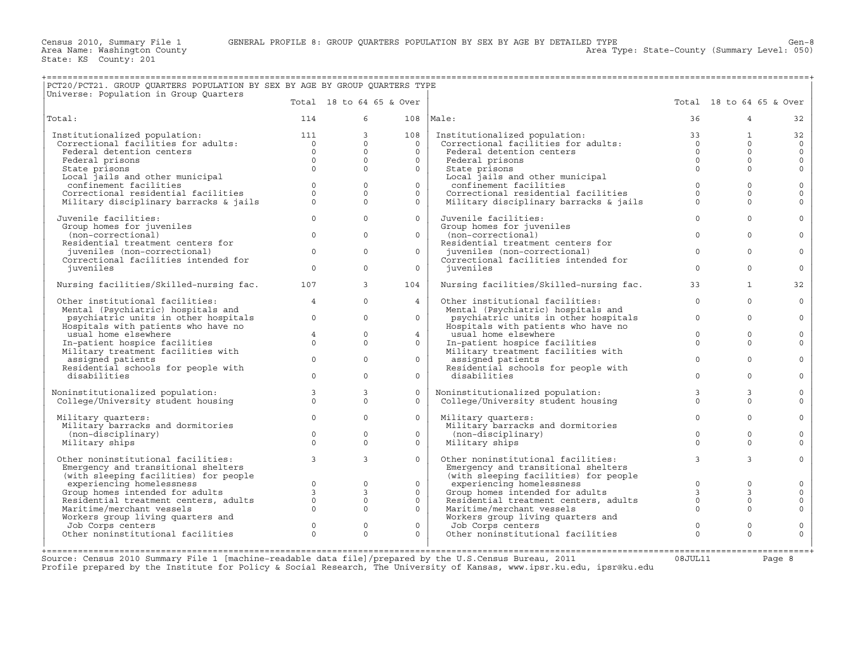+===================================================================================================================================================+

Area Type: State-County (Summary Level: 050)

| Total 18 to 64 65 & Over<br>Total 18 to 64 65 & Over<br>$6 \quad \Box$<br>114<br>$108$  Male:<br>36<br>$\overline{4}$<br>32<br>Institutionalized population: 111<br>Correctional facilities for adults: 0<br>Federal detention centers 0<br>Federal prisons 0<br>$\overline{3}$<br>108<br>Institutionalized population:<br>$\mathbf{1}$<br>32<br>Institutionalized population:<br>Correctional facilities for adults:<br>$\overline{0}$<br>$\Omega$<br>$\Omega$<br>$\circ$<br>$\Omega$<br>$\circ$<br>$\Omega$<br>Federal detention centers<br>$\Omega$<br>$\circ$<br>$\Omega$<br>$\Omega$<br>$\Omega$<br>$\Omega$<br>$\mathbf{0}$<br>$\Omega$<br>Federal prisons<br>Federal prisons<br>$\frac{1}{0}$<br>$\Omega$<br>$\Omega$<br>$\Omega$<br>$\mathsf{O}\xspace$<br>$\Omega$<br>State prisons<br>State prisons<br>State prisons<br>Local jails and other municipal<br>State prisons<br>Local jails and other municipal<br>Local jails and other municipal<br>confinement facilities<br>Correctional residential facilities<br>confinement facilities<br>$\begin{array}{c} 0 \\ 0 \\ 0 \end{array}$<br>$\circ$<br>$\circ$<br>$\circ$<br>$\mathbf{0}$<br>$\mathbf 0$<br>conrinement racilities<br>Correctional residential facilities<br>Military disciplinary barracks & jails<br>$\Omega$<br>$\Omega$<br>$\Omega$<br>$\Omega$<br>$\mathbf 0$<br>$\Omega$<br>$\Omega$<br>Military disciplinary barracks & jails<br>$\Omega$<br>$\Omega$<br>$\Omega$<br>$\Omega$<br>$\Omega$<br>$\Omega$<br>$\Omega$<br>Juvenile facilities:<br>$\Omega$<br>Juvenile facilities:<br>$\Omega$<br>Group homes for juveniles<br>Group homes for juveniles<br>$\Omega$<br>$\Omega$<br>$\Omega$<br>(non-correctional)<br>$\Omega$<br>(non-correctional)<br>$\Omega$<br>$\Omega$<br>Residential treatment centers for<br>Residential treatment centers for<br>juveniles (non-correctional)<br>$\overline{0}$<br>$\Omega$<br>$\Omega$<br>juveniles (non-correctional)<br>$\Omega$<br>$\Omega$<br>$\Omega$<br>Correctional facilities intended for<br>Correctional facilities intended for<br>$\Omega$<br>$\Omega$<br>$\Omega$<br>$\Omega$<br>juveniles<br>$\Omega$<br>juveniles<br>$\Omega$<br>$\mathbf{3}$<br>Nursing facilities/Skilled-nursing fac.<br>Nursing facilities/Skilled-nursing fac. 107<br>104<br>33<br>$\mathbf{1}$<br>32<br>$\Omega$<br>$\Omega$<br>Other institutional facilities:<br>$\overline{4}$<br>4<br>Other institutional facilities:<br>$\Omega$<br>$\mathbf 0$<br>Mental (Psychiatric) hospitals and<br>Mental (Psychiatric) hospitals and<br>psychiatric units in other hospitals<br>$\circ$<br>$\mathbf{0}$<br>psychiatric units in other hospitals<br>$\circ$<br>$\Omega$<br>$\overline{0}$<br>$\circ$<br>Hospitals with patients who have no<br>Hospitals with patients who have no<br>$\mathbf{0}$<br>usual home elsewhere<br>4<br>usual home elsewhere<br>$\Omega$<br>$\Omega$<br>$4\overline{ }$<br>$\mathbf 0$<br>$\Omega$<br>In-patient hospice facilities<br>$\Omega$<br>In-patient hospice facilities<br>$\Omega$<br>$\Omega$<br>$\Omega$<br>$\Omega$<br>Military treatment facilities with<br>Military treatment facilities with<br>$\Omega$<br>$\Omega$<br>$\Omega$<br>$\Omega$<br>$\Omega$<br>assigned patients<br>assigned patients<br>$\Omega$<br>Residential schools for people with<br>Residential schools for people with<br>$\Omega$<br>$\Omega$<br>$\Omega$<br>disabilities<br>$\Omega$<br>disabilities<br>$\Omega$<br>$\circ$<br>$3 \left( \frac{1}{2} \right)$<br>$\overline{3}$<br>Noninstitutionalized population:<br>College/University student housing<br>$\Omega$<br>$\mathbf{3}$<br>$\mathbf{3}$<br>Noninstitutionalized population:<br>College/University student housing<br>$\mathbf 0$<br>$\Omega$<br>$\Omega$<br>$\Omega$<br>$\Omega$<br>$\Omega$<br>$\Omega$<br>$\circ$<br>$\Omega$<br>$\Omega$<br>$\circ$<br>$\Omega$<br>Military quarters:<br>Military quarters:<br>$\mathbf 0$<br>Military barracks and dormitories<br>Military barracks and dormitories<br>$\Omega$<br>$\Omega$<br>$\Omega$<br>(non-disciplinary)<br>$\Omega$<br>$\Omega$<br>(non-disciplinary)<br>$\Omega$<br>$\Omega$<br>$\Omega$<br>$\Omega$<br>Military ships<br>Military ships<br>$\Omega$<br>$\Omega$<br>$\Omega$ | PCT20/PCT21. GROUP QUARTERS POPULATION BY SEX BY AGE BY GROUP QUARTERS TYPE<br>Universe: Population in Group Quarters |  |  |  |  |
|-------------------------------------------------------------------------------------------------------------------------------------------------------------------------------------------------------------------------------------------------------------------------------------------------------------------------------------------------------------------------------------------------------------------------------------------------------------------------------------------------------------------------------------------------------------------------------------------------------------------------------------------------------------------------------------------------------------------------------------------------------------------------------------------------------------------------------------------------------------------------------------------------------------------------------------------------------------------------------------------------------------------------------------------------------------------------------------------------------------------------------------------------------------------------------------------------------------------------------------------------------------------------------------------------------------------------------------------------------------------------------------------------------------------------------------------------------------------------------------------------------------------------------------------------------------------------------------------------------------------------------------------------------------------------------------------------------------------------------------------------------------------------------------------------------------------------------------------------------------------------------------------------------------------------------------------------------------------------------------------------------------------------------------------------------------------------------------------------------------------------------------------------------------------------------------------------------------------------------------------------------------------------------------------------------------------------------------------------------------------------------------------------------------------------------------------------------------------------------------------------------------------------------------------------------------------------------------------------------------------------------------------------------------------------------------------------------------------------------------------------------------------------------------------------------------------------------------------------------------------------------------------------------------------------------------------------------------------------------------------------------------------------------------------------------------------------------------------------------------------------------------------------------------------------------------------------------------------------------------------------------------------------------------------------------------------------------------------------------------------------------------------------------------------------------------------------------------------------------------------------------------------------------------------------------------------------------------------------------------------------------------------------------------------------------------------------------------------------------------------------------------------------------------------------------------------------------------------------------------------------------------------------------------------------------------------------------------------------------------------------------------------------------------------------------------------------------------------------------------------------------------------------------------------------------------------------------------------------------|-----------------------------------------------------------------------------------------------------------------------|--|--|--|--|
|                                                                                                                                                                                                                                                                                                                                                                                                                                                                                                                                                                                                                                                                                                                                                                                                                                                                                                                                                                                                                                                                                                                                                                                                                                                                                                                                                                                                                                                                                                                                                                                                                                                                                                                                                                                                                                                                                                                                                                                                                                                                                                                                                                                                                                                                                                                                                                                                                                                                                                                                                                                                                                                                                                                                                                                                                                                                                                                                                                                                                                                                                                                                                                                                                                                                                                                                                                                                                                                                                                                                                                                                                                                                                                                                                                                                                                                                                                                                                                                                                                                                                                                                                                                                                               |                                                                                                                       |  |  |  |  |
|                                                                                                                                                                                                                                                                                                                                                                                                                                                                                                                                                                                                                                                                                                                                                                                                                                                                                                                                                                                                                                                                                                                                                                                                                                                                                                                                                                                                                                                                                                                                                                                                                                                                                                                                                                                                                                                                                                                                                                                                                                                                                                                                                                                                                                                                                                                                                                                                                                                                                                                                                                                                                                                                                                                                                                                                                                                                                                                                                                                                                                                                                                                                                                                                                                                                                                                                                                                                                                                                                                                                                                                                                                                                                                                                                                                                                                                                                                                                                                                                                                                                                                                                                                                                                               | Total:                                                                                                                |  |  |  |  |
|                                                                                                                                                                                                                                                                                                                                                                                                                                                                                                                                                                                                                                                                                                                                                                                                                                                                                                                                                                                                                                                                                                                                                                                                                                                                                                                                                                                                                                                                                                                                                                                                                                                                                                                                                                                                                                                                                                                                                                                                                                                                                                                                                                                                                                                                                                                                                                                                                                                                                                                                                                                                                                                                                                                                                                                                                                                                                                                                                                                                                                                                                                                                                                                                                                                                                                                                                                                                                                                                                                                                                                                                                                                                                                                                                                                                                                                                                                                                                                                                                                                                                                                                                                                                                               |                                                                                                                       |  |  |  |  |
|                                                                                                                                                                                                                                                                                                                                                                                                                                                                                                                                                                                                                                                                                                                                                                                                                                                                                                                                                                                                                                                                                                                                                                                                                                                                                                                                                                                                                                                                                                                                                                                                                                                                                                                                                                                                                                                                                                                                                                                                                                                                                                                                                                                                                                                                                                                                                                                                                                                                                                                                                                                                                                                                                                                                                                                                                                                                                                                                                                                                                                                                                                                                                                                                                                                                                                                                                                                                                                                                                                                                                                                                                                                                                                                                                                                                                                                                                                                                                                                                                                                                                                                                                                                                                               |                                                                                                                       |  |  |  |  |
|                                                                                                                                                                                                                                                                                                                                                                                                                                                                                                                                                                                                                                                                                                                                                                                                                                                                                                                                                                                                                                                                                                                                                                                                                                                                                                                                                                                                                                                                                                                                                                                                                                                                                                                                                                                                                                                                                                                                                                                                                                                                                                                                                                                                                                                                                                                                                                                                                                                                                                                                                                                                                                                                                                                                                                                                                                                                                                                                                                                                                                                                                                                                                                                                                                                                                                                                                                                                                                                                                                                                                                                                                                                                                                                                                                                                                                                                                                                                                                                                                                                                                                                                                                                                                               |                                                                                                                       |  |  |  |  |
|                                                                                                                                                                                                                                                                                                                                                                                                                                                                                                                                                                                                                                                                                                                                                                                                                                                                                                                                                                                                                                                                                                                                                                                                                                                                                                                                                                                                                                                                                                                                                                                                                                                                                                                                                                                                                                                                                                                                                                                                                                                                                                                                                                                                                                                                                                                                                                                                                                                                                                                                                                                                                                                                                                                                                                                                                                                                                                                                                                                                                                                                                                                                                                                                                                                                                                                                                                                                                                                                                                                                                                                                                                                                                                                                                                                                                                                                                                                                                                                                                                                                                                                                                                                                                               |                                                                                                                       |  |  |  |  |
|                                                                                                                                                                                                                                                                                                                                                                                                                                                                                                                                                                                                                                                                                                                                                                                                                                                                                                                                                                                                                                                                                                                                                                                                                                                                                                                                                                                                                                                                                                                                                                                                                                                                                                                                                                                                                                                                                                                                                                                                                                                                                                                                                                                                                                                                                                                                                                                                                                                                                                                                                                                                                                                                                                                                                                                                                                                                                                                                                                                                                                                                                                                                                                                                                                                                                                                                                                                                                                                                                                                                                                                                                                                                                                                                                                                                                                                                                                                                                                                                                                                                                                                                                                                                                               |                                                                                                                       |  |  |  |  |
|                                                                                                                                                                                                                                                                                                                                                                                                                                                                                                                                                                                                                                                                                                                                                                                                                                                                                                                                                                                                                                                                                                                                                                                                                                                                                                                                                                                                                                                                                                                                                                                                                                                                                                                                                                                                                                                                                                                                                                                                                                                                                                                                                                                                                                                                                                                                                                                                                                                                                                                                                                                                                                                                                                                                                                                                                                                                                                                                                                                                                                                                                                                                                                                                                                                                                                                                                                                                                                                                                                                                                                                                                                                                                                                                                                                                                                                                                                                                                                                                                                                                                                                                                                                                                               |                                                                                                                       |  |  |  |  |
|                                                                                                                                                                                                                                                                                                                                                                                                                                                                                                                                                                                                                                                                                                                                                                                                                                                                                                                                                                                                                                                                                                                                                                                                                                                                                                                                                                                                                                                                                                                                                                                                                                                                                                                                                                                                                                                                                                                                                                                                                                                                                                                                                                                                                                                                                                                                                                                                                                                                                                                                                                                                                                                                                                                                                                                                                                                                                                                                                                                                                                                                                                                                                                                                                                                                                                                                                                                                                                                                                                                                                                                                                                                                                                                                                                                                                                                                                                                                                                                                                                                                                                                                                                                                                               |                                                                                                                       |  |  |  |  |
|                                                                                                                                                                                                                                                                                                                                                                                                                                                                                                                                                                                                                                                                                                                                                                                                                                                                                                                                                                                                                                                                                                                                                                                                                                                                                                                                                                                                                                                                                                                                                                                                                                                                                                                                                                                                                                                                                                                                                                                                                                                                                                                                                                                                                                                                                                                                                                                                                                                                                                                                                                                                                                                                                                                                                                                                                                                                                                                                                                                                                                                                                                                                                                                                                                                                                                                                                                                                                                                                                                                                                                                                                                                                                                                                                                                                                                                                                                                                                                                                                                                                                                                                                                                                                               |                                                                                                                       |  |  |  |  |
|                                                                                                                                                                                                                                                                                                                                                                                                                                                                                                                                                                                                                                                                                                                                                                                                                                                                                                                                                                                                                                                                                                                                                                                                                                                                                                                                                                                                                                                                                                                                                                                                                                                                                                                                                                                                                                                                                                                                                                                                                                                                                                                                                                                                                                                                                                                                                                                                                                                                                                                                                                                                                                                                                                                                                                                                                                                                                                                                                                                                                                                                                                                                                                                                                                                                                                                                                                                                                                                                                                                                                                                                                                                                                                                                                                                                                                                                                                                                                                                                                                                                                                                                                                                                                               |                                                                                                                       |  |  |  |  |
|                                                                                                                                                                                                                                                                                                                                                                                                                                                                                                                                                                                                                                                                                                                                                                                                                                                                                                                                                                                                                                                                                                                                                                                                                                                                                                                                                                                                                                                                                                                                                                                                                                                                                                                                                                                                                                                                                                                                                                                                                                                                                                                                                                                                                                                                                                                                                                                                                                                                                                                                                                                                                                                                                                                                                                                                                                                                                                                                                                                                                                                                                                                                                                                                                                                                                                                                                                                                                                                                                                                                                                                                                                                                                                                                                                                                                                                                                                                                                                                                                                                                                                                                                                                                                               |                                                                                                                       |  |  |  |  |
|                                                                                                                                                                                                                                                                                                                                                                                                                                                                                                                                                                                                                                                                                                                                                                                                                                                                                                                                                                                                                                                                                                                                                                                                                                                                                                                                                                                                                                                                                                                                                                                                                                                                                                                                                                                                                                                                                                                                                                                                                                                                                                                                                                                                                                                                                                                                                                                                                                                                                                                                                                                                                                                                                                                                                                                                                                                                                                                                                                                                                                                                                                                                                                                                                                                                                                                                                                                                                                                                                                                                                                                                                                                                                                                                                                                                                                                                                                                                                                                                                                                                                                                                                                                                                               |                                                                                                                       |  |  |  |  |
|                                                                                                                                                                                                                                                                                                                                                                                                                                                                                                                                                                                                                                                                                                                                                                                                                                                                                                                                                                                                                                                                                                                                                                                                                                                                                                                                                                                                                                                                                                                                                                                                                                                                                                                                                                                                                                                                                                                                                                                                                                                                                                                                                                                                                                                                                                                                                                                                                                                                                                                                                                                                                                                                                                                                                                                                                                                                                                                                                                                                                                                                                                                                                                                                                                                                                                                                                                                                                                                                                                                                                                                                                                                                                                                                                                                                                                                                                                                                                                                                                                                                                                                                                                                                                               |                                                                                                                       |  |  |  |  |
|                                                                                                                                                                                                                                                                                                                                                                                                                                                                                                                                                                                                                                                                                                                                                                                                                                                                                                                                                                                                                                                                                                                                                                                                                                                                                                                                                                                                                                                                                                                                                                                                                                                                                                                                                                                                                                                                                                                                                                                                                                                                                                                                                                                                                                                                                                                                                                                                                                                                                                                                                                                                                                                                                                                                                                                                                                                                                                                                                                                                                                                                                                                                                                                                                                                                                                                                                                                                                                                                                                                                                                                                                                                                                                                                                                                                                                                                                                                                                                                                                                                                                                                                                                                                                               |                                                                                                                       |  |  |  |  |
|                                                                                                                                                                                                                                                                                                                                                                                                                                                                                                                                                                                                                                                                                                                                                                                                                                                                                                                                                                                                                                                                                                                                                                                                                                                                                                                                                                                                                                                                                                                                                                                                                                                                                                                                                                                                                                                                                                                                                                                                                                                                                                                                                                                                                                                                                                                                                                                                                                                                                                                                                                                                                                                                                                                                                                                                                                                                                                                                                                                                                                                                                                                                                                                                                                                                                                                                                                                                                                                                                                                                                                                                                                                                                                                                                                                                                                                                                                                                                                                                                                                                                                                                                                                                                               |                                                                                                                       |  |  |  |  |
|                                                                                                                                                                                                                                                                                                                                                                                                                                                                                                                                                                                                                                                                                                                                                                                                                                                                                                                                                                                                                                                                                                                                                                                                                                                                                                                                                                                                                                                                                                                                                                                                                                                                                                                                                                                                                                                                                                                                                                                                                                                                                                                                                                                                                                                                                                                                                                                                                                                                                                                                                                                                                                                                                                                                                                                                                                                                                                                                                                                                                                                                                                                                                                                                                                                                                                                                                                                                                                                                                                                                                                                                                                                                                                                                                                                                                                                                                                                                                                                                                                                                                                                                                                                                                               |                                                                                                                       |  |  |  |  |
|                                                                                                                                                                                                                                                                                                                                                                                                                                                                                                                                                                                                                                                                                                                                                                                                                                                                                                                                                                                                                                                                                                                                                                                                                                                                                                                                                                                                                                                                                                                                                                                                                                                                                                                                                                                                                                                                                                                                                                                                                                                                                                                                                                                                                                                                                                                                                                                                                                                                                                                                                                                                                                                                                                                                                                                                                                                                                                                                                                                                                                                                                                                                                                                                                                                                                                                                                                                                                                                                                                                                                                                                                                                                                                                                                                                                                                                                                                                                                                                                                                                                                                                                                                                                                               |                                                                                                                       |  |  |  |  |
|                                                                                                                                                                                                                                                                                                                                                                                                                                                                                                                                                                                                                                                                                                                                                                                                                                                                                                                                                                                                                                                                                                                                                                                                                                                                                                                                                                                                                                                                                                                                                                                                                                                                                                                                                                                                                                                                                                                                                                                                                                                                                                                                                                                                                                                                                                                                                                                                                                                                                                                                                                                                                                                                                                                                                                                                                                                                                                                                                                                                                                                                                                                                                                                                                                                                                                                                                                                                                                                                                                                                                                                                                                                                                                                                                                                                                                                                                                                                                                                                                                                                                                                                                                                                                               |                                                                                                                       |  |  |  |  |
|                                                                                                                                                                                                                                                                                                                                                                                                                                                                                                                                                                                                                                                                                                                                                                                                                                                                                                                                                                                                                                                                                                                                                                                                                                                                                                                                                                                                                                                                                                                                                                                                                                                                                                                                                                                                                                                                                                                                                                                                                                                                                                                                                                                                                                                                                                                                                                                                                                                                                                                                                                                                                                                                                                                                                                                                                                                                                                                                                                                                                                                                                                                                                                                                                                                                                                                                                                                                                                                                                                                                                                                                                                                                                                                                                                                                                                                                                                                                                                                                                                                                                                                                                                                                                               |                                                                                                                       |  |  |  |  |
|                                                                                                                                                                                                                                                                                                                                                                                                                                                                                                                                                                                                                                                                                                                                                                                                                                                                                                                                                                                                                                                                                                                                                                                                                                                                                                                                                                                                                                                                                                                                                                                                                                                                                                                                                                                                                                                                                                                                                                                                                                                                                                                                                                                                                                                                                                                                                                                                                                                                                                                                                                                                                                                                                                                                                                                                                                                                                                                                                                                                                                                                                                                                                                                                                                                                                                                                                                                                                                                                                                                                                                                                                                                                                                                                                                                                                                                                                                                                                                                                                                                                                                                                                                                                                               |                                                                                                                       |  |  |  |  |
|                                                                                                                                                                                                                                                                                                                                                                                                                                                                                                                                                                                                                                                                                                                                                                                                                                                                                                                                                                                                                                                                                                                                                                                                                                                                                                                                                                                                                                                                                                                                                                                                                                                                                                                                                                                                                                                                                                                                                                                                                                                                                                                                                                                                                                                                                                                                                                                                                                                                                                                                                                                                                                                                                                                                                                                                                                                                                                                                                                                                                                                                                                                                                                                                                                                                                                                                                                                                                                                                                                                                                                                                                                                                                                                                                                                                                                                                                                                                                                                                                                                                                                                                                                                                                               |                                                                                                                       |  |  |  |  |
|                                                                                                                                                                                                                                                                                                                                                                                                                                                                                                                                                                                                                                                                                                                                                                                                                                                                                                                                                                                                                                                                                                                                                                                                                                                                                                                                                                                                                                                                                                                                                                                                                                                                                                                                                                                                                                                                                                                                                                                                                                                                                                                                                                                                                                                                                                                                                                                                                                                                                                                                                                                                                                                                                                                                                                                                                                                                                                                                                                                                                                                                                                                                                                                                                                                                                                                                                                                                                                                                                                                                                                                                                                                                                                                                                                                                                                                                                                                                                                                                                                                                                                                                                                                                                               |                                                                                                                       |  |  |  |  |
|                                                                                                                                                                                                                                                                                                                                                                                                                                                                                                                                                                                                                                                                                                                                                                                                                                                                                                                                                                                                                                                                                                                                                                                                                                                                                                                                                                                                                                                                                                                                                                                                                                                                                                                                                                                                                                                                                                                                                                                                                                                                                                                                                                                                                                                                                                                                                                                                                                                                                                                                                                                                                                                                                                                                                                                                                                                                                                                                                                                                                                                                                                                                                                                                                                                                                                                                                                                                                                                                                                                                                                                                                                                                                                                                                                                                                                                                                                                                                                                                                                                                                                                                                                                                                               |                                                                                                                       |  |  |  |  |
|                                                                                                                                                                                                                                                                                                                                                                                                                                                                                                                                                                                                                                                                                                                                                                                                                                                                                                                                                                                                                                                                                                                                                                                                                                                                                                                                                                                                                                                                                                                                                                                                                                                                                                                                                                                                                                                                                                                                                                                                                                                                                                                                                                                                                                                                                                                                                                                                                                                                                                                                                                                                                                                                                                                                                                                                                                                                                                                                                                                                                                                                                                                                                                                                                                                                                                                                                                                                                                                                                                                                                                                                                                                                                                                                                                                                                                                                                                                                                                                                                                                                                                                                                                                                                               |                                                                                                                       |  |  |  |  |
|                                                                                                                                                                                                                                                                                                                                                                                                                                                                                                                                                                                                                                                                                                                                                                                                                                                                                                                                                                                                                                                                                                                                                                                                                                                                                                                                                                                                                                                                                                                                                                                                                                                                                                                                                                                                                                                                                                                                                                                                                                                                                                                                                                                                                                                                                                                                                                                                                                                                                                                                                                                                                                                                                                                                                                                                                                                                                                                                                                                                                                                                                                                                                                                                                                                                                                                                                                                                                                                                                                                                                                                                                                                                                                                                                                                                                                                                                                                                                                                                                                                                                                                                                                                                                               |                                                                                                                       |  |  |  |  |
|                                                                                                                                                                                                                                                                                                                                                                                                                                                                                                                                                                                                                                                                                                                                                                                                                                                                                                                                                                                                                                                                                                                                                                                                                                                                                                                                                                                                                                                                                                                                                                                                                                                                                                                                                                                                                                                                                                                                                                                                                                                                                                                                                                                                                                                                                                                                                                                                                                                                                                                                                                                                                                                                                                                                                                                                                                                                                                                                                                                                                                                                                                                                                                                                                                                                                                                                                                                                                                                                                                                                                                                                                                                                                                                                                                                                                                                                                                                                                                                                                                                                                                                                                                                                                               |                                                                                                                       |  |  |  |  |
|                                                                                                                                                                                                                                                                                                                                                                                                                                                                                                                                                                                                                                                                                                                                                                                                                                                                                                                                                                                                                                                                                                                                                                                                                                                                                                                                                                                                                                                                                                                                                                                                                                                                                                                                                                                                                                                                                                                                                                                                                                                                                                                                                                                                                                                                                                                                                                                                                                                                                                                                                                                                                                                                                                                                                                                                                                                                                                                                                                                                                                                                                                                                                                                                                                                                                                                                                                                                                                                                                                                                                                                                                                                                                                                                                                                                                                                                                                                                                                                                                                                                                                                                                                                                                               |                                                                                                                       |  |  |  |  |
|                                                                                                                                                                                                                                                                                                                                                                                                                                                                                                                                                                                                                                                                                                                                                                                                                                                                                                                                                                                                                                                                                                                                                                                                                                                                                                                                                                                                                                                                                                                                                                                                                                                                                                                                                                                                                                                                                                                                                                                                                                                                                                                                                                                                                                                                                                                                                                                                                                                                                                                                                                                                                                                                                                                                                                                                                                                                                                                                                                                                                                                                                                                                                                                                                                                                                                                                                                                                                                                                                                                                                                                                                                                                                                                                                                                                                                                                                                                                                                                                                                                                                                                                                                                                                               |                                                                                                                       |  |  |  |  |
|                                                                                                                                                                                                                                                                                                                                                                                                                                                                                                                                                                                                                                                                                                                                                                                                                                                                                                                                                                                                                                                                                                                                                                                                                                                                                                                                                                                                                                                                                                                                                                                                                                                                                                                                                                                                                                                                                                                                                                                                                                                                                                                                                                                                                                                                                                                                                                                                                                                                                                                                                                                                                                                                                                                                                                                                                                                                                                                                                                                                                                                                                                                                                                                                                                                                                                                                                                                                                                                                                                                                                                                                                                                                                                                                                                                                                                                                                                                                                                                                                                                                                                                                                                                                                               |                                                                                                                       |  |  |  |  |
|                                                                                                                                                                                                                                                                                                                                                                                                                                                                                                                                                                                                                                                                                                                                                                                                                                                                                                                                                                                                                                                                                                                                                                                                                                                                                                                                                                                                                                                                                                                                                                                                                                                                                                                                                                                                                                                                                                                                                                                                                                                                                                                                                                                                                                                                                                                                                                                                                                                                                                                                                                                                                                                                                                                                                                                                                                                                                                                                                                                                                                                                                                                                                                                                                                                                                                                                                                                                                                                                                                                                                                                                                                                                                                                                                                                                                                                                                                                                                                                                                                                                                                                                                                                                                               |                                                                                                                       |  |  |  |  |
| $\overline{3}$<br>$\overline{3}$<br>$\mathbf{3}$<br>$\mathbf{3}$<br>Other noninstitutional facilities:<br>$\Omega$<br>Other noninstitutional facilities:<br>$\circ$<br>Emergency and transitional shelters<br>Emergency and transitional shelters                                                                                                                                                                                                                                                                                                                                                                                                                                                                                                                                                                                                                                                                                                                                                                                                                                                                                                                                                                                                                                                                                                                                                                                                                                                                                                                                                                                                                                                                                                                                                                                                                                                                                                                                                                                                                                                                                                                                                                                                                                                                                                                                                                                                                                                                                                                                                                                                                                                                                                                                                                                                                                                                                                                                                                                                                                                                                                                                                                                                                                                                                                                                                                                                                                                                                                                                                                                                                                                                                                                                                                                                                                                                                                                                                                                                                                                                                                                                                                             |                                                                                                                       |  |  |  |  |
| (with sleeping facilities) for people<br>Emergency and transitional sueliels<br>(with sleeping facilities) for people<br>experiencing homelessness<br>Group homes intended for adults<br>Residential treatment centers, adults<br>(abusing morphant vessels<br>(because of the cont                                                                                                                                                                                                                                                                                                                                                                                                                                                                                                                                                                                                                                                                                                                                                                                                                                                                                                                                                                                                                                                                                                                                                                                                                                                                                                                                                                                                                                                                                                                                                                                                                                                                                                                                                                                                                                                                                                                                                                                                                                                                                                                                                                                                                                                                                                                                                                                                                                                                                                                                                                                                                                                                                                                                                                                                                                                                                                                                                                                                                                                                                                                                                                                                                                                                                                                                                                                                                                                                                                                                                                                                                                                                                                                                                                                                                                                                                                                                           |                                                                                                                       |  |  |  |  |
| $\circ$<br>experiencing homelessness<br>$\Omega$<br>$\Omega$<br>$\Omega$<br>$\mathbf 0$                                                                                                                                                                                                                                                                                                                                                                                                                                                                                                                                                                                                                                                                                                                                                                                                                                                                                                                                                                                                                                                                                                                                                                                                                                                                                                                                                                                                                                                                                                                                                                                                                                                                                                                                                                                                                                                                                                                                                                                                                                                                                                                                                                                                                                                                                                                                                                                                                                                                                                                                                                                                                                                                                                                                                                                                                                                                                                                                                                                                                                                                                                                                                                                                                                                                                                                                                                                                                                                                                                                                                                                                                                                                                                                                                                                                                                                                                                                                                                                                                                                                                                                                       |                                                                                                                       |  |  |  |  |
| Group homes intended for adults<br>$\mathbf{3}$<br>3<br>$\overline{3}$<br>$\mathbf 0$<br>$\Omega$                                                                                                                                                                                                                                                                                                                                                                                                                                                                                                                                                                                                                                                                                                                                                                                                                                                                                                                                                                                                                                                                                                                                                                                                                                                                                                                                                                                                                                                                                                                                                                                                                                                                                                                                                                                                                                                                                                                                                                                                                                                                                                                                                                                                                                                                                                                                                                                                                                                                                                                                                                                                                                                                                                                                                                                                                                                                                                                                                                                                                                                                                                                                                                                                                                                                                                                                                                                                                                                                                                                                                                                                                                                                                                                                                                                                                                                                                                                                                                                                                                                                                                                             |                                                                                                                       |  |  |  |  |
| $\circ$<br>$\mathsf{O}\xspace$<br>Residential treatment centers, adults<br>$\circ$<br>$\mathsf{O}\xspace$<br>$\Omega$<br>$\Omega$<br>$\Omega$<br>$\Omega$                                                                                                                                                                                                                                                                                                                                                                                                                                                                                                                                                                                                                                                                                                                                                                                                                                                                                                                                                                                                                                                                                                                                                                                                                                                                                                                                                                                                                                                                                                                                                                                                                                                                                                                                                                                                                                                                                                                                                                                                                                                                                                                                                                                                                                                                                                                                                                                                                                                                                                                                                                                                                                                                                                                                                                                                                                                                                                                                                                                                                                                                                                                                                                                                                                                                                                                                                                                                                                                                                                                                                                                                                                                                                                                                                                                                                                                                                                                                                                                                                                                                     |                                                                                                                       |  |  |  |  |
| Maritime/merchant vessels<br>$\circ$<br>$\Omega$<br>Mailtime, mortunately and Morkers group living quarters and                                                                                                                                                                                                                                                                                                                                                                                                                                                                                                                                                                                                                                                                                                                                                                                                                                                                                                                                                                                                                                                                                                                                                                                                                                                                                                                                                                                                                                                                                                                                                                                                                                                                                                                                                                                                                                                                                                                                                                                                                                                                                                                                                                                                                                                                                                                                                                                                                                                                                                                                                                                                                                                                                                                                                                                                                                                                                                                                                                                                                                                                                                                                                                                                                                                                                                                                                                                                                                                                                                                                                                                                                                                                                                                                                                                                                                                                                                                                                                                                                                                                                                               |                                                                                                                       |  |  |  |  |
| Workers group living quarters and<br>Job Corps centers<br>$\Omega$<br>$\Omega$<br>Job Corps centers<br>$\Omega$<br>Job Corps centers<br>$\circ$<br>$\mathbf{0}$<br>$\mathbf 0$                                                                                                                                                                                                                                                                                                                                                                                                                                                                                                                                                                                                                                                                                                                                                                                                                                                                                                                                                                                                                                                                                                                                                                                                                                                                                                                                                                                                                                                                                                                                                                                                                                                                                                                                                                                                                                                                                                                                                                                                                                                                                                                                                                                                                                                                                                                                                                                                                                                                                                                                                                                                                                                                                                                                                                                                                                                                                                                                                                                                                                                                                                                                                                                                                                                                                                                                                                                                                                                                                                                                                                                                                                                                                                                                                                                                                                                                                                                                                                                                                                                |                                                                                                                       |  |  |  |  |
| Other noninstitutional facilities<br>Other noninstitutional facilities<br>$\Omega$<br>$\Omega$<br>$\Omega$<br>$\Omega$<br>$\Omega$<br>$\Omega$                                                                                                                                                                                                                                                                                                                                                                                                                                                                                                                                                                                                                                                                                                                                                                                                                                                                                                                                                                                                                                                                                                                                                                                                                                                                                                                                                                                                                                                                                                                                                                                                                                                                                                                                                                                                                                                                                                                                                                                                                                                                                                                                                                                                                                                                                                                                                                                                                                                                                                                                                                                                                                                                                                                                                                                                                                                                                                                                                                                                                                                                                                                                                                                                                                                                                                                                                                                                                                                                                                                                                                                                                                                                                                                                                                                                                                                                                                                                                                                                                                                                                |                                                                                                                       |  |  |  |  |
|                                                                                                                                                                                                                                                                                                                                                                                                                                                                                                                                                                                                                                                                                                                                                                                                                                                                                                                                                                                                                                                                                                                                                                                                                                                                                                                                                                                                                                                                                                                                                                                                                                                                                                                                                                                                                                                                                                                                                                                                                                                                                                                                                                                                                                                                                                                                                                                                                                                                                                                                                                                                                                                                                                                                                                                                                                                                                                                                                                                                                                                                                                                                                                                                                                                                                                                                                                                                                                                                                                                                                                                                                                                                                                                                                                                                                                                                                                                                                                                                                                                                                                                                                                                                                               |                                                                                                                       |  |  |  |  |

Source: Census 2010 Summary File 1 [machine−readable data file]/prepared by the U.S.Census Bureau, 2011 08JUL11 Page 8 Profile prepared by the Institute for Policy & Social Research, The University of Kansas, www.ipsr.ku.edu, ipsr@ku.edu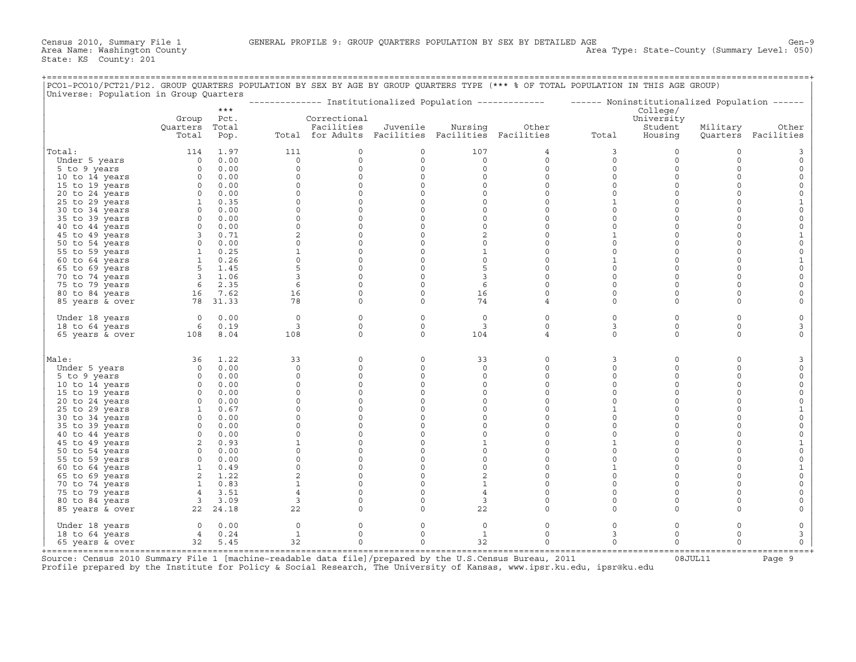+===================================================================================================================================================+

| Universe: Population in Group Quarters |                   | $***$         |                |                                                   |                     |                | ------------- Institutionalized Population ------------- | ------ Noninstitutionalized Population ------ | College/              |                     |                     |
|----------------------------------------|-------------------|---------------|----------------|---------------------------------------------------|---------------------|----------------|----------------------------------------------------------|-----------------------------------------------|-----------------------|---------------------|---------------------|
|                                        | Group<br>Quarters | Pct.<br>Total |                | Correctional<br>Facilities                        | Juvenile            | Nursing        | Other                                                    |                                               | University<br>Student | Military            | Other               |
|                                        | Total             | Pop.          |                | Total for Adults Facilities Facilities Facilities |                     |                |                                                          | Total                                         | Housing               |                     | Quarters Facilities |
| Total:                                 | 114               | 1.97          | 111            | 0                                                 | 0                   | 107            | 4                                                        | 3                                             | 0                     | 0                   | 3                   |
| Under 5 years                          | $\circ$           | 0.00          | $\circ$        | $\mathbf 0$                                       | $\circ$             | $\circ$        | $\circ$                                                  | $\mathbf 0$                                   | $\circ$               | $\circ$             | $\circ$             |
| 5 to 9 years                           | $\circ$           | 0.00          | $\circ$        | $\mathbf 0$                                       | $\circ$             | $\circ$        | $\circ$                                                  | $\mathbf 0$                                   | $\circ$               | $\circ$             | $\circ$             |
| 10 to 14 years                         | $\circ$           | 0.00          | $\Omega$       | $\mathbf 0$                                       | 0                   | $\circ$        | $\circ$                                                  | $\mathbf 0$                                   | $\circ$               | $\circ$             | $\circ$             |
| 15 to 19 years                         | $\circ$           | 0.00          | $\Omega$       | $\mathbf 0$                                       | $\circ$             | $\circ$        | $\circ$                                                  | $\mathbf 0$                                   | $\circ$               | $\Omega$            | $\mathsf{O}$        |
| 20 to 24 years                         | $\circ$           | 0.00          | $\circ$        | $\Omega$                                          | $\circ$             | $\Omega$       | $\Omega$                                                 | $\mathbf 0$                                   | $\circ$               | $\Omega$            | $\mathsf{O}\xspace$ |
| 25 to 29 years                         | $\mathbf{1}$      | 0.35          | $\circ$        | $\mathbf 0$                                       | $\circ$             | $\circ$        | $\circ$                                                  | $\mathbf{1}$                                  | $\circ$               | $\circ$             | $\mathbf{1}$        |
| 30 to 34 years                         | $\circ$           | 0.00          | $\Omega$       | $\mathbf 0$                                       | $\circ$             | $\circ$        | $\circ$                                                  | $\mathbf 0$                                   | $\circ$               | $\circ$             | $\mathsf{O}\xspace$ |
| 35 to 39 years                         | $\circ$           | 0.00          | 0              | $\mathbf 0$                                       | $\mathsf{O}\xspace$ | $\circ$        | $\circ$                                                  | $\mathsf O$                                   | $\circ$               | $\circ$             | $\mathsf{O}\xspace$ |
| 40 to 44 years                         | $\circ$           | 0.00          | $\circ$        | $\mathsf{O}\xspace$                               | $\circ$             | $\circ$        | $\mathsf{O}\xspace$                                      | $\mathbf 0$                                   | $\circ$               | $\circ$             | $\mathbb O$         |
| 45 to 49 years                         | 3                 | 0.71          | $\overline{c}$ | $\circ$                                           | $\circ$             | 2              | $\circ$                                                  | $\mathbf{1}$                                  | $\circ$               | $\circ$             | $\mathbf{1}$        |
| 50 to 54 years                         | $\circ$           | 0.00          | $\circ$        | $\mathbf 0$                                       | $\circ$             | $\circ$        | $\circ$                                                  | $\mathbf 0$                                   | $\circ$               | $\circ$             | $\mathsf{O}\xspace$ |
| 55 to 59 years                         | $\mathbf{1}$      | 0.25          | $\mathbf{1}$   | $\mathbf 0$                                       | $\circ$             | $\mathbf{1}$   | $\circ$                                                  | $\mathbf 0$                                   | $\circ$               | $\circ$             | $\circ$             |
| 60 to 64 years                         | $\mathbf{1}$      | 0.26          | $\Omega$       | $\circ$                                           | 0                   | $\circ$        | $\circ$                                                  | $\mathbf{1}$                                  | $\circ$               | $\circ$             | $\mathbf{1}$        |
| 65 to 69 years                         | 5                 | 1.45          | 5              | $\mathbf 0$                                       | $\mathbf 0$         | 5              | $\circ$                                                  | $\mathbf 0$                                   | $\circ$               | $\circ$             | $\mathsf{O}\xspace$ |
| 70 to 74 years                         | $\overline{3}$    | 1.06          | 3              | $\mathbf 0$                                       | $\mathbf 0$         | 3              | $\circ$                                                  | $\mathbf 0$                                   | $\circ$               | $\circ$             | $\mathsf O$         |
| 75 to 79 years                         | 6                 | 2.35          | 6              | $\circ$                                           | $\mathbf 0$         | 6              | $\circ$                                                  | $\mathbf 0$                                   | $\circ$               | $\Omega$            | $\mathsf{O}$        |
| 80 to 84 years                         | 16                | 7.62          | 16             | $\mathbf 0$                                       | $\circ$             | 16             | $\circ$                                                  | $\mathbf 0$                                   | $\circ$               | $\circ$             | $\mathsf{O}$        |
| 85 years & over                        | 78                | 31.33         | 78             | $\mathbf 0$                                       | $\mathbf 0$         | 74             | 4                                                        | $\mathbf 0$                                   | $\circ$               | $\Omega$            | $\mathsf{O}$        |
| Under 18 years                         | $\circ$           | 0.00          | $\circ$        | $\mathbf 0$                                       | $\mathbf 0$         | $\circ$        | $\circ$                                                  | $\mathbf 0$                                   | $\mathbf 0$           | $\circ$             | $\mathsf{O}$        |
| 18 to 64 years                         | 6                 | 0.19          | 3              | $\Omega$                                          | $\Omega$            | 3              | $\Omega$                                                 | 3                                             | $\circ$               | $\circ$             | 3                   |
| 65 years & over                        | 108               | 8.04          | 108            | $\Omega$                                          | $\circ$             | 104            | 4                                                        | $\Omega$                                      | $\mathbf 0$           | $\circ$             | $\circ$             |
| Male:                                  | 36                | 1.22          | 33             | 0                                                 | $\circ$             | 33             | $\circ$                                                  | 3                                             | $\circ$               | $\circ$             | 3                   |
| Under 5 years                          | $\circ$           | 0.00          | $\circ$        | 0                                                 | $\circ$             | $\circ$        | $\mathsf{O}\xspace$                                      | $\mathsf O$                                   | $\circ$               | $\mathsf{O}\xspace$ | $\mathsf{O}\xspace$ |
| 5 to 9 years                           | $\circ$           | 0.00          | $\circ$        | $\mathbf 0$                                       | $\circ$             | $\circ$        | $\circ$                                                  | $\mathbf 0$                                   | $\circ$               | $\circ$             | $\mathbb O$         |
| 10 to 14 years                         | $\circ$           | 0.00          | $\circ$        | $\mathsf{O}\xspace$                               | $\circ$             | 0              | $\mathsf{O}\xspace$                                      | $\mathbf 0$                                   | $\mathbf 0$           | $\mathsf{O}\xspace$ | $\mathsf{O}\xspace$ |
| 15 to 19 years                         | $\circ$           | 0.00          | $\circ$        | 0                                                 | $\mathsf{O}\xspace$ | 0              | $\mathsf{O}\xspace$                                      | $\mathbf 0$                                   | $\circ$               | $\circ$             | $\mathsf{O}\xspace$ |
| 20 to 24 years                         | $\circ$           | 0.00          | $\Omega$       | $\Omega$                                          | $\circ$             | $\circ$        | $\Omega$                                                 | $\Omega$                                      | $\circ$               | $\circ$             | $\mathsf{O}\xspace$ |
| 25 to 29 years                         | $\mathbf{1}$      | 0.67          | $\mathbf 0$    | 0                                                 | $\circ$             | 0              | $\circ$                                                  | $\mathbf{1}$                                  | $\circ$               | $\circ$             | $\mathbf{1}$        |
| 30 to 34 years                         | $\circ$           | 0.00          | $\Omega$       | $\mathbf 0$                                       | $\circ$             | $\circ$        | $\circ$                                                  | $\mathbf 0$                                   | $\circ$               | $\circ$             | $\mathsf{O}\xspace$ |
| 35 to 39 years                         | $\circ$           | 0.00          | $\Omega$       | $\mathbf 0$                                       | $\mathbf 0$         | $\circ$        | $\circ$                                                  | $\mathbf 0$                                   | $\circ$               | $\Omega$            | $\circ$             |
| 40 to 44 years                         | $\circ$           | 0.00          | $\Omega$       | $\mathbf 0$                                       | $\circ$             | $\circ$        | $\circ$                                                  | $\mathbf 0$                                   | $\circ$               | $\circ$             | $\circ$             |
| 45 to 49 years                         | 2                 | 0.93          | $\mathbf{1}$   | $\mathbf 0$                                       | $\circ$             | $\mathbf{1}$   | $\circ$                                                  | $\mathbf{1}$                                  | $\circ$               | $\circ$             | $\mathbf{1}$        |
| 50 to 54 years                         | $\Omega$          | 0.00          | $\Omega$       | $\Omega$                                          | $\Omega$            | $\Omega$       | $\Omega$                                                 | $\Omega$                                      | $\circ$               | $\Omega$            | $\mathsf{O}\xspace$ |
| 55 to 59 years                         | $\circ$           | 0.00          | $\circ$        | $\mathbf 0$                                       | $\circ$             | $\circ$        | $\circ$                                                  | $\mathbf 0$                                   | $\circ$               | $\circ$             | $\circ$             |
| 60 to 64 years                         | 1                 | 0.49          | $\Omega$       | $\circ$                                           | $\circ$             | $\circ$        | $\circ$                                                  | $\mathbf{1}$                                  | $\circ$               | $\circ$             | $\mathbf{1}$        |
| 65 to 69 years                         | 2                 | 1.22          | $\overline{a}$ | $\Omega$                                          | $\mathbf 0$         | $\overline{a}$ | $\Omega$                                                 | $\Omega$                                      | $\Omega$              | $\Omega$            | $\mathsf{O}\xspace$ |
| 70 to 74 years                         | $\mathbf{1}$      | 0.83          | $\mathbf{1}$   | $\mathbf 0$                                       | $\circ$             | $\mathbf{1}$   | $\circ$                                                  | $\mathbf 0$                                   | $\circ$               | $\circ$             | $\mathsf{O}$        |
| 75 to 79 years                         | 4                 | 3.51          | $\overline{4}$ | $\Omega$                                          | $\mathbf 0$         | $\overline{4}$ | $\circ$                                                  | $\mathbf 0$                                   | $\circ$               | $\circ$             | $\mathsf{O}$        |
| 80 to 84 years                         | $\overline{3}$    | 3.09          | 3              | $\Omega$                                          | $\Omega$            | 3              | $\Omega$                                                 | $\mathbf 0$                                   | $\circ$               | $\circ$             | $\circ$             |
| 85 years & over                        | 22                | 24.18         | 22             | $\Omega$                                          | $\circ$             | 22             | $\circ$                                                  | $\mathbf 0$                                   | $\circ$               | $\circ$             | $\circ$             |
| Under 18 years                         | $\circ$           | 0.00          | $\circ$        | 0                                                 | 0                   | 0              | 0                                                        | $\mathsf{O}$                                  | $\circ$               | 0                   | $\mathsf{O}$        |
| 18 to 64 years                         | 4                 | 0.24          | $\mathbf{1}$   | $\mathbf 0$                                       | $\circ$             | $\mathbf{1}$   | $\circ$                                                  | 3                                             | $\circ$               | $\circ$             | 3                   |
| 65 years & over                        | 32                | 5.45          | 32             | $\Omega$                                          | $\Omega$            | 32             | $\Omega$                                                 | $\mathbf 0$                                   | $\Omega$              | $\Omega$            | $\circ$             |

+===================================================================================================================================================+Source: Census 2010 Summary File 1 [machine−readable data file]/prepared by the U.S.Census Bureau, 2011 08JUL11 Page 9 Profile prepared by the Institute for Policy & Social Research, The University of Kansas, www.ipsr.ku.edu, ipsr@ku.edu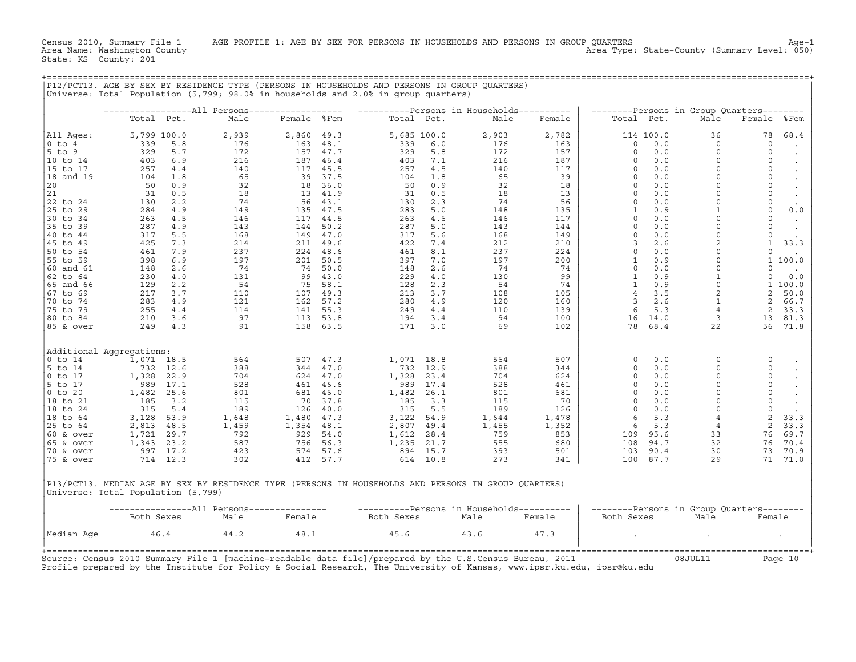Census 2010, Summary File 1 AGE PROFILE 1: AGE BY SEX FOR PERSONS IN HOUSEHOLDS AND PERSONS IN GROUP QUARTERS<br>Area Name: Washington County Age−1 (50) Area Type: State-County (Summary Level: 050)

+===================================================================================================================================================+

|                                                                                                      |             |            | Universe: Total Population (5,799; 98.0% in households and 2.0% in group quarters) |                                  |          |            |             |                                           |          |                     |            |                                           |                                |           |
|------------------------------------------------------------------------------------------------------|-------------|------------|------------------------------------------------------------------------------------|----------------------------------|----------|------------|-------------|-------------------------------------------|----------|---------------------|------------|-------------------------------------------|--------------------------------|-----------|
|                                                                                                      |             |            | -------------------All Persons------------------                                   |                                  |          |            |             | ----------Persons in Households---------- |          |                     |            | --------Persons in Group Quarters-------- |                                |           |
|                                                                                                      | Total Pct.  |            | Male                                                                               | Female %Fem                      |          |            | Total Pct.  | Male                                      | Female   |                     | Total Pct. | Male                                      | Female                         | %Fem      |
| All Ages:                                                                                            | 5,799 100.0 |            | 2,939                                                                              | 2,860 49.3                       |          |            | 5,685 100.0 | 2,903                                     | 2,782    |                     | 114 100.0  | 36                                        | 78                             | 68.4      |
| $0$ to $4$                                                                                           | 339         | 5.8        | 176                                                                                | 163 48.1                         |          | 339        | 6.0         | 176                                       | 163      | $\circ$             | 0.0        | $\circ$                                   | $\circ$                        | $\bullet$ |
| $5$ to $9$                                                                                           | 329         | 5.7        | 172                                                                                |                                  | 157 47.7 | 329        | 5.8         | 172                                       | 157      | $\circ$             | 0.0        | $\Omega$                                  | $\circ$                        |           |
| 10 to 14                                                                                             | 403         | 6.9        | $\begin{array}{c} 216 \\ 140 \end{array}$                                          | 187                              | 46.4     | 403        | 7.1         | 216                                       | 187      | $\circ$             | 0.0        | $\Omega$                                  | $\mathsf O$                    |           |
| 15 to 17                                                                                             | 257         | 4.4        |                                                                                    | 117 45.5<br>$39$ $37.5$          |          | 257        | 4.5         | 140                                       | 117      | $\Omega$            | 0.0        | $\Omega$<br>$\Omega$                      | $\circ$<br>$\mathsf{O}\xspace$ |           |
| 18 and 19<br>20                                                                                      | 104<br>50   | 1.8<br>0.9 | $\frac{65}{32}$                                                                    |                                  | 18 36.0  | 104<br>50  | 1.8<br>0.9  | $rac{65}{32}$                             | 39<br>18 | $\circ$<br>$\Omega$ | 0.0<br>0.0 | $\Omega$                                  | $\circ$                        |           |
| 21                                                                                                   | 31          | 0.5        |                                                                                    |                                  |          | 31         | 0.5         | 18                                        | 13       | $\Omega$            | 0.0        | $\Omega$                                  | $\circ$                        | $\cdot$   |
| 22 to 24                                                                                             | 130         | 2.2        | $\frac{18}{74}$<br>74                                                              | 13 41.9<br>56 43.1               |          | 130        | 2.3         | 74                                        | 56       | $\circ$             | 0.0        | $\Omega$                                  | $\mathsf{O}$                   | $\sim$    |
| 25 to 29                                                                                             | 284         | 4.9        | 149                                                                                |                                  | 135 47.5 | 283        | 5.0         | 148                                       | 135      | $\mathbf{1}$        | 0.9        | $\mathbf{1}$                              | $\circ$                        | 0.0       |
| 30 to 34                                                                                             | 263         | 4.5        | 146                                                                                |                                  | 117 44.5 | 263        | 4.6         | 146                                       | 117      | $\mathbf 0$         | 0.0        | $\Omega$                                  | $\circ$                        |           |
| 35 to 39                                                                                             | 287         | 4.9        | 143                                                                                |                                  | 144 50.2 | 287        | 5.0         | 143                                       | 144      | $\Omega$            | 0.0        | $\Omega$                                  | $\circ$                        | $\sim$    |
| 40 to 44                                                                                             | 317         | 5.5        | 168                                                                                |                                  | 149 47.0 | 317        | 5.6         | 168                                       | 149      | $\circ$             | 0.0        | $\Omega$                                  | $\circ$                        | $\cdot$   |
| 45 to 49                                                                                             | 425         | 7.3        | 214                                                                                |                                  | 211 49.6 | 422        | 7.4         | 212                                       | 210      | $\overline{3}$      | 2.6        | $\overline{c}$                            | $\mathbf{1}$                   | 33.3      |
| 50 to 54                                                                                             | 461         | 7.9        | 237                                                                                | 211 49.6<br>224 48.6             |          | 461        | 8.1         | 237                                       | 224      | $\Omega$            | 0.0        | $\Omega$                                  | $\Omega$                       |           |
| 55 to 59                                                                                             | 398         | 6.9        | $\begin{array}{r} 197 \\ 197 \\ 131 \\ 54 \\ 110 \\ 121 \\ 114 \\ 37 \end{array}$  |                                  | 201 50.5 | 397        | 7.0         | 197                                       | 200      | <sup>1</sup>        | 0.9        | $\Omega$                                  |                                | 1 100.0   |
| 60 and 61                                                                                            | 148         | 2.6        |                                                                                    | 74                               | 50.0     | 148        | 2.6         | 74                                        | 74       | $\circ$             | 0.0        | $\circ$                                   | $\Omega$                       |           |
| 62 to 64                                                                                             | 230         | 4.0        |                                                                                    |                                  | 99 43.0  | 229        | 4.0         | 130                                       | 99       | $\mathbf{1}$        | 0.9        | $\mathbf{1}$                              | $\mathbf 0$                    | 0.0       |
| 65 and 66                                                                                            | 129         | 2.2        |                                                                                    | 75                               | 58.1     | 128        | 2.3         | 54                                        | 74       | $\mathbf{1}$        | 0.9        | $\mathsf{O}\xspace$                       |                                | 1 100.0   |
| 67 to 69                                                                                             | 217         | 3.7        |                                                                                    | 107 49.3<br>162 57.2<br>141 55.3 |          | 213        | 3.7         | 108                                       | 105      | $\overline{4}$      | 3.5        | $\sqrt{2}$                                | 2                              | 50.0      |
| 70 to 74                                                                                             | 283         | 4.9        |                                                                                    |                                  |          | 280        | 4.9         | 120                                       | 160      | $\overline{3}$      | 2.6        | $\mathbf{1}$                              | $\overline{2}$                 | 66.7      |
| 75 to 79                                                                                             | 255         | 4.4        |                                                                                    |                                  |          | 249        | 4.4         | 110                                       | 139      | 6                   | 5.3        | $\overline{4}$                            | 2                              | 33.3      |
| 80 to 84                                                                                             | 210         | 3.6        | 97                                                                                 |                                  | 113 53.8 | 194        | 3.4         | 94                                        | 100      |                     | 16 14.0    | $\overline{3}$                            | 13                             | 81.3      |
| 85 & over                                                                                            | 249         | 4.3        | 91                                                                                 | 158                              | 63.5     | 171        | 3.0         | 69                                        | 102      | 78                  | 68.4       | 22                                        | 56                             | 71.8      |
| Additional Aggregations:                                                                             |             |            |                                                                                    |                                  |          |            |             |                                           |          |                     |            |                                           |                                |           |
| $0$ to $14$                                                                                          | 1,071 18.5  |            | 564                                                                                |                                  | 507 47.3 |            | 1,071 18.8  | 564                                       | 507      | $\circ$             | 0.0        | $\mathbf 0$                               | 0                              |           |
| 5 to 14                                                                                              |             | 732 12.6   | 388                                                                                | 344                              | 47.0     |            | 732 12.9    | 388                                       | 344      | $\circ$             | 0.0        | $\Omega$                                  | $\circ$                        |           |
| $0$ to $17$                                                                                          | 1,328 22.9  |            | 704                                                                                |                                  | 624 47.0 |            | 1,328 23.4  | 704                                       | 624      | $\circ$             | 0.0        | $\Omega$                                  | $\circ$                        |           |
| 5 to 17                                                                                              | 989 17.1    |            | 528                                                                                | 624 47.0<br>461 46.6<br>681 46.0 |          | 989        | 17.4        | 528                                       | 461      | $\circ$             | 0.0        | $\Omega$                                  | $\circ$                        |           |
| $0$ to $20$                                                                                          | 1,482 25.6  |            | 801                                                                                |                                  |          |            | 1,482 26.1  | 801                                       | 681      | $\Omega$            | 0.0        | $\Omega$                                  | $\circ$                        |           |
| 18 to 21                                                                                             | 185         | 3.2        | 115                                                                                |                                  | 70 37.8  | 185        | 3.3         | 115                                       | 70       | $\circ$             | 0.0        | $\Omega$                                  | $\circ$                        |           |
| 18 to 24                                                                                             | 315         | 5.4        | 189                                                                                |                                  | 126 40.0 | 315        | 5.5         | 189                                       | 126      | $\circ$             | 0.0        | $\mathbf 0$                               | $\circ$                        |           |
| 18 to 64                                                                                             | 3,128       | 53.9       |                                                                                    | $1,480$ 47.3<br>$1,354$ 48.1     |          |            | 3,122 54.9  | 1,644                                     | 1,478    | 6                   | 5.3        | $\overline{4}$                            | 2                              | 33.3      |
| 25 to 64                                                                                             | 2,813 48.5  |            |                                                                                    |                                  |          |            | 2,807 49.4  | 1,455                                     | 1,352    | 6                   | 5.3        | $\overline{4}$                            | 2                              | 33.3      |
| 60 & over                                                                                            | 1,721       | 29.7       | $\begin{array}{r} 189 \\ 1,648 \\ 1,459 \\ 792 \\ 587 \\ 423 \end{array}$          | 929                              | 54.0     |            | 1,612 28.4  | 759                                       | 853      |                     | 109 95.6   | 33                                        | 76                             | 69.7      |
| 65 & over                                                                                            | 1,343 23.2  |            |                                                                                    |                                  |          |            | 1,235 21.7  | 555                                       | 680      | 108                 | 94.7       | 32                                        | 76                             | 70.4      |
| 70 & over                                                                                            |             | 997 17.2   | 423                                                                                | $929$<br>756 56.3<br>574 57.6    |          |            | 894 15.7    | 393                                       | 501      | 103                 | 90.4       | 30                                        | 73                             | 70.9      |
| 75 & over                                                                                            |             | 714 12.3   | 302                                                                                |                                  | 412 57.7 |            | 614 10.8    | 273                                       | 341      |                     | 100 87.7   | 29                                        |                                | 71 71.0   |
| P13/PCT13. MEDIAN AGE BY SEX BY RESIDENCE TYPE (PERSONS IN HOUSEHOLDS AND PERSONS IN GROUP QUARTERS) |             |            |                                                                                    |                                  |          |            |             |                                           |          |                     |            |                                           |                                |           |
| Universe: Total Population (5,799)                                                                   |             |            |                                                                                    |                                  |          |            |             |                                           |          |                     |            |                                           |                                |           |
|                                                                                                      |             |            | ----------------All Persons---------------                                         |                                  |          |            |             | ----------Persons in Households---------- |          |                     |            | --------Persons in Group Quarters-------- |                                |           |
|                                                                                                      | Both Sexes  |            | Male                                                                               | Female                           |          | Both Sexes |             | Male                                      | Female   | Both Sexes          |            | Male                                      | Female                         |           |
| Median Age                                                                                           |             | 46.4       | 44.2                                                                               | 48.1                             |          | 45.6       |             | 43.6                                      | 47.3     |                     |            |                                           |                                |           |

Profile prepared by the Institute for Policy & Social Research, The University of Kansas, www.ipsr.ku.edu, ipsr@ku.edu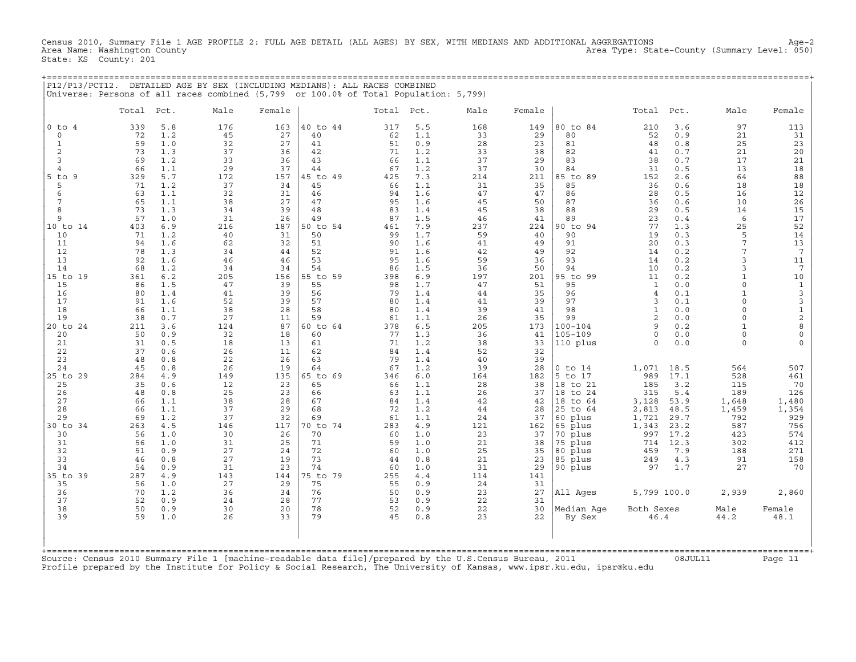Census 2010, Summary File 1 AGE PROFILE 2: FULL AGE DETAIL (ALL AGES) BY SEX, WITH MEDIANS AND ADDITIONAL AGGREGATIONS Age−2 Area Type: State-County (Summary Level: 050) State: KS County: 201

+===================================================================================================================================================+

|P12/P13/PCT12. DETAILED AGE BY SEX (INCLUDING MEDIANS): ALL RACES COMBINED | |Universe: Persons of all races combined (5,799 or 100.0% of Total Population: 5,799) | | | | Total Pct. Male Female | Total Pct. Male Female | Total Pct. Male Female | | | | | |0 to 4 339 5.8 176 163 |40 to 44 317 5.5 168 149 |80 to 84 210 3.6 97 113 | | 0 72 1.2 45 27 | 40 62 1.1 33 29 | 80 52 0.9 21 31 | | 1 59 1.0 32 27 | 41 51 0.9 28 23 | 81 48 0.8 25 23 | | 2 73 1.3 37 36 | 42 71 1.2 33 38 | 82 41 0.7 21 20 | | 3 69 1.2 33 36 | 43 66 1.1 37 29 | 83 38 0.7 17 21 | | 4 66 1.1 29 37 | 44 67 1.2 37 30 | 84 31 0.5 13 18 | |5 to 9 329 5.7 172 157 |45 to 49 425 7.3 214 211 |85 to 89 152 2.6 64 88 | | 5 71 1.2 37 34 | 45 66 1.1 31 35 | 85 36 0.6 18 18 | | 6 63 1.1 32 31 | 46 94 1.6 47 47 | 86 28 0.5 16 12 | | 7 65 1.1 38 27 | 47 95 1.6 45 50 | 87 36 0.6 10 26 | | 8 73 1.3 34 39 | 48 83 1.4 45 38 | 88 29 0.5 14 15 | | 9 57 1.0 31 26 | 49 87 1.5 46 41 | 89 23 0.4 6 17 | |10 to 14 403 6.9 216 187 |50 to 54 461 7.9 237 224 |90 to 94 77 1.3 25 52 | | 10 71 1.2 40 31 | 50 99 1.7 59 40 | 90 19 0.3 5 14 | | 11 94 1.6 62 32 | 51 90 1.6 41 49 | 91 20 0.3 7 13 | | 12 78 1.3 34 44 | 52 91 1.6 42 49 | 92 14 0.2 7 7 | | 13 92 1.6 46 46 | 53 95 1.6 59 36 | 93 14 0.2 3 11 | | 14 68 1.2 34 34 | 54 86 1.5 36 50 | 94 10 0.2 3 7 | |15 to 19 361 6.2 205 156 |55 to 59 398 6.9 197 201 |95 to 99 11 0.2 1 10 | | 15 86 1.5 47 39 | 55 98 1.7 47 51 | 95 1 0.0 0 1 | | 16 80 1.4 41 39 | 56 79 1.4 44 35 | 96 4 0.1 1 3 | | 17 91 1.6 52 39 | 57 80 1.4 41 39 | 97 3 0.1 0 3 | | 18 66 1.1 38 28 | 58 80 1.4 39 41 | 98 1 0.0 0 1 | | 19 38 0.7 27 11 | 59 61 1.1 26 35 | 99 2 0.0 0 2 | |20 to 24 211 3.6 124 87 |60 to 64 378 6.5 205 173 |100−104 9 0.2 1 8 | | 20 50 0.9 32 18 | 60 77 1.3 36 41 |105−109 0 0.0 0 0 | | 21 31 0.5 18 13 | 61 71 1.2 38 33 |110 plus 0 0.0 0 0 | | 22 37 0.6 26 11 | 62 84 1.4 52 32 | | | 23 48 0.8 22 26 | 63 79 1.4 40 39 | | | 24 45 0.8 26 19 | 64 67 1.2 39 28 |0 to 14 1,071 18.5 564 507 | |25 to 29 284 4.9 149 135 |65 to 69 346 6.0 164 182 |5 to 17 989 17.1 528 461 | | 25 35 0.6 12 23 | 65 66 1.1 28 38 |18 to 21 185 3.2 115 70 | | 26 48 0.8 25 23 | 66 63 1.1 26 37 |18 to 24 315 5.4 189 126 | | 27 66 1.1 38 28 | 67 84 1.4 42 42 |18 to 64 3,128 53.9 1,648 1,480 | | 28 66 1.1 37 29 | 68 72 1.2 44 28 |25 to 64 2,813 48.5 1,459 1,354 | | 29 69 1.2 37 32 | 69 61 1.1 24 37 |60 plus 1,721 29.7 792 929 | |30 to 34 263 4.5 146 117 |70 to 74 283 4.9 121 162 |65 plus 1,343 23.2 587 756 | | 30 56 1.0 30 26 | 70 60 1.0 23 37 |70 plus 997 17.2 423 574 | | 31 56 1.0 31 25 | 71 59 1.0 21 38 |75 plus 714 12.3 302 412 | | 32 51 0.9 27 24 | 72 60 1.0 25 35 |80 plus 459 7.9 188 271 | | 33 46 0.8 27 19 | 73 44 0.8 21 23 |85 plus 249 4.3 91 158 | | 34 54 0.9 31 23 | 74 60 1.0 31 29 |90 plus 97 1.7 27 70 | |35 to 39 287 4.9 143 144 |75 to 79 255 4.4 114 141 | | | 35 56 1.0 27 29 | 75 55 0.9 24 31 | | | 36 70 1.2 36 34 | 76 50 0.9 23 27 |All Ages 5,799 100.0 2,939 2,860 | | 37 52 0.9 24 28 | 77 53 0.9 22 31 | | | 38 50 0.9 30 20 | 78 52 0.9 22 30 |Median Age Both Sexes Male Female | | 39 59 1.0 26 33 | 79 45 0.8 23 22 | By Sex 46.4 44.2 48.1 | | | | | | | | | | |

+===================================================================================================================================================+Source: Census 2010 Summary File 1 [machine−readable data file]/prepared by the U.S.Census Bureau, 2011 08JUL11 Page 11 Profile prepared by the Institute for Policy & Social Research, The University of Kansas, www.ipsr.ku.edu, ipsr@ku.edu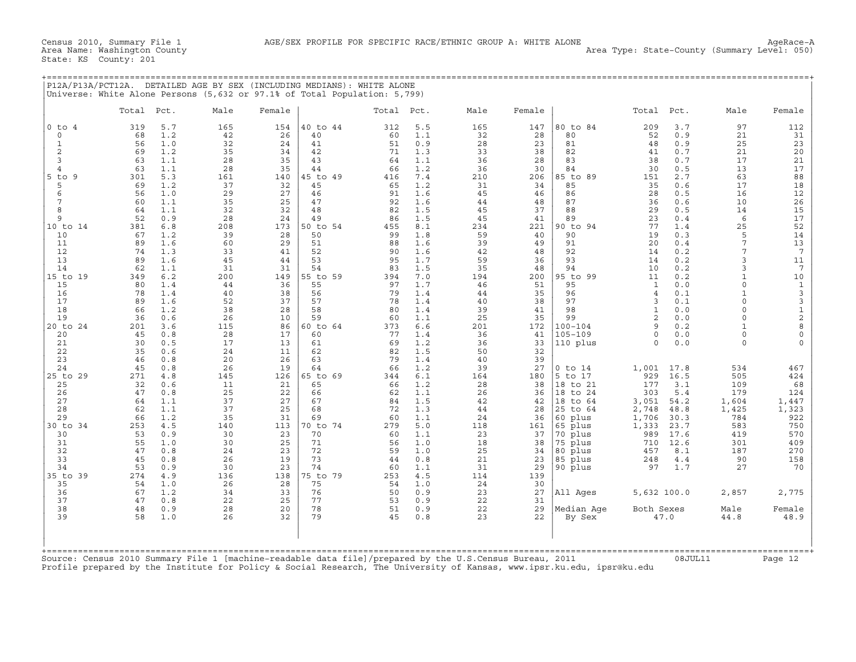| P12A/P13A/PCT12A. DETAILED AGE BY SEX (INCLUDING MEDIANS): WHITE ALONE    |
|---------------------------------------------------------------------------|
| Universe: White Alone Persons (5,632 or 97.1% of Total Population: 5,799) |
|                                                                           |

|                | Total     | Pct.       | Male      | Female    |                | Total     | Pct.       | Male      | Female    |                    | Total               | Pct.         | Male                     | Female              |
|----------------|-----------|------------|-----------|-----------|----------------|-----------|------------|-----------|-----------|--------------------|---------------------|--------------|--------------------------|---------------------|
| $0$ to $4$     | 319       | 5.7        | 165       | 154       | 40 to 44       | 312       | 5.5        | 165       | 147       | 80 to 84           | 209                 | 3.7          | 97                       | 112                 |
| $\circ$        | 68        | 1.2        | 42        | 26        | 40             | 60        | 1.1        | 32        | 28        | 80                 | 52                  | 0.9          | 21                       | 31                  |
| $\mathbf{1}$   | 56        | 1.0        | 32        | 24        | 41             | 51        | 0.9        | 28        | 23        | 81                 | 48                  | 0.9          | 25                       | 23                  |
| 2<br>3         | 69<br>63  | 1.2<br>1.1 | 35<br>28  | 34<br>35  | 42<br>43       | 71<br>64  | 1.3<br>1.1 | 33<br>36  | 38<br>28  | 82<br>83           | 41<br>38            | 0.7<br>0.7   | 21<br>17                 | 20<br>21            |
| $\overline{4}$ | 63        | 1.1        | 28        | 35        | 44             | 66        | 1.2        | 36        | 30        | 84                 | 30                  | 0.5          | 13                       | 17                  |
| $5$ to<br>9    | 301       | 5.3        | 161       | 140       | 45 to 49       | 416       | 7.4        | 210       | 206       | 85 to 89           | 151                 | 2.7          | 63                       | 88                  |
| 5              | 69        | 1.2        | 37        | 32        | 45             | 65        | 1.2        | 31        | 34        | 85                 | 35                  | 0.6          | 17                       | 18                  |
| 6              | 56        | 1.0        | 29        | 27        | 46             | 91        | 1.6        | 45        | 46        | 86                 | 28                  | 0.5          | 16                       | 12                  |
| 7              | 60        | 1.1        | 35        | 25        | 47             | 92        | 1.6        | 44        | 48        | 87                 | 36                  | 0.6          | 10                       | 26                  |
| 8<br>9         | 64        | 1.1        | 32        | 32        | 48             | 82        | 1.5        | 45        | 37        | 88                 | 29                  | 0.5          | 14                       | 15<br>17            |
| 10 to 14       | 52<br>381 | 0.9<br>6.8 | 28<br>208 | 24<br>173 | 49<br>50 to 54 | 86<br>455 | 1.5<br>8.1 | 45<br>234 | 41<br>221 | 89<br>90 to 94     | 23<br>77            | 0.4<br>1.4   | 6<br>25                  | 52                  |
| 10             | 67        | 1.2        | 39        | 28        | 50             | 99        | 1.8        | 59        | 40        | 90                 | 19                  | 0.3          | 5                        | 14                  |
| 11             | 89        | 1.6        | 60        | 29        | 51             | 88        | 1.6        | 39        | 49        | 91                 | 20                  | 0.4          | 7                        | 13                  |
| 12             | 74        | 1.3        | 33        | 41        | 52             | 90        | 1.6        | 42        | 48        | 92                 | 14                  | 0.2          | 7                        | $7\phantom{.0}$     |
| 13             | 89        | 1.6        | 45        | 44        | 53             | 95        | 1.7        | 59        | 36        | 93                 | 14                  | 0.2          | 3                        | 11                  |
| 14             | 62        | 1.1        | 31        | 31        | 54             | 83        | 1.5        | 35        | 48        | 94                 | 10                  | 0.2          | 3                        | $7\phantom{.0}$     |
| 15 to 19       | 349       | 6.2        | 200       | 149       | 55 to 59       | 394       | 7.0        | 194       | 200       | 95 to 99           | 11                  | 0.2          | $\mathbf{1}$<br>$\Omega$ | 10                  |
| 15<br>16       | 80<br>78  | 1.4<br>1.4 | 44<br>40  | 36<br>38  | 55<br>56       | 97<br>79  | 1.7<br>1.4 | 46<br>44  | 51<br>35  | 95<br>96           | 1<br>$\overline{4}$ | 0.0<br>0.1   | $\mathbf{1}$             | $\mathbf{1}$        |
| 17             | 89        | 1.6        | 52        | 37        | 57             | 78        | 1.4        | 40        | 38        | 97                 | 3                   | 0.1          | $\Omega$                 | 3<br>$\mathsf 3$    |
| 18             | 66        | 1.2        | 38        | 28        | 58             | 80        | 1.4        | 39        | 41        | 98                 | $\mathbf{1}$        | 0.0          | $\Omega$                 |                     |
| 19             | 36        | 0.6        | 26        | 10        | 59             | 60        | 1.1        | 25        | 35        | 99                 | 2                   | 0.0          | $\Omega$                 | $\frac{1}{2}$       |
| 20 to 24       | 201       | 3.6        | 115       | 86        | 60 to 64       | 373       | 6.6        | 201       | 172       | $100 - 104$        | $\mathbf{Q}$        | 0.2          | $\mathbf{1}$             | $\,$ 8 $\,$         |
| 20             | 45        | 0.8        | 28        | 17        | 60             | 77        | 1.4        | 36        | 41        | $105 - 109$        | $\Omega$            | $0.0$        | $\Omega$                 | $\mathsf{O}\xspace$ |
| 21             | 30        | 0.5        | 17        | 13        | 61             | 69        | 1.2        | 36        | 33        | 110 plus           | $\Omega$            | 0.0          | $\Omega$                 | $\Omega$            |
| 22<br>23       | 35<br>46  | 0.6<br>0.8 | 24<br>20  | 11<br>26  | 62<br>63       | 82<br>79  | 1.5<br>1.4 | 50<br>40  | 32<br>39  |                    |                     |              |                          |                     |
| 24             | 45        | 0.8        | 26        | 19        | 64             | 66        | 1.2        | 39        | 27        | $0$ to $14$        | 1,001               | 17.8         | 534                      | 467                 |
| 25 to 29       | 271       | 4.8        | 145       | 126       | 65 to 69       | 344       | 6.1        | 164       | 180       | 5 to 17            | 929                 | 16.5         | 505                      | 424                 |
| 25             | 32        | 0.6        | 11        | 21        | 65             | 66        | 1.2        | 28        | 38        | 18 to 21           | 177                 | 3.1          | 109                      | 68                  |
| 26             | 47        | 0.8        | 25        | 22        | 66             | 62        | 1.1        | 26        | 36        | 18 to 24           | 303                 | 5.4          | 179                      | 124                 |
| 27             | 64        | 1.1        | 37        | 27        | 67             | 84        | 1.5        | 42        | 42        | 18 to 64           | 3,051               | 54.2         | 1,604                    | 1,447               |
| 28             | 62        | 1.1        | 37        | 25        | 68             | 72        | 1.3        | 44        | 28        | 25 to 64           | 2,748               | 48.8         | 1,425                    | 1,323               |
| 29<br>30 to 34 | 66<br>253 | 1.2<br>4.5 | 35<br>140 | 31<br>113 | 69<br>70 to 74 | 60<br>279 | 1.1<br>5.0 | 24<br>118 | 36<br>161 | 60 plus<br>65 plus | 1,706<br>1,333      | 30.3<br>23.7 | 784<br>583               | 922<br>750          |
| 30             | 53        | 0.9        | 30        | 23        | 70             | 60        | 1.1        | 23        | 37        | 70 plus            | 989                 | 17.6         | 419                      | 570                 |
| 31             | 55        | 1.0        | 30        | 25        | 71             | 56        | 1.0        | 18        | 38        | 75 plus            | 710                 | 12.6         | 301                      | 409                 |
| 32             | 47        | 0.8        | 24        | 23        | 72             | 59        | 1.0        | 25        | 34        | 80 plus            | 457                 | 8.1          | 187                      | 270                 |
| 33             | 45        | 0.8        | 26        | 19        | 73             | 44        | 0.8        | 21        | 23        | 85 plus            | 248                 | 4.4          | 90                       | 158                 |
| 34             | 53        | 0.9        | 30        | 23        | 74             | 60        | 1.1        | 31        | 29        | 90 plus            | 97                  | 1.7          | 27                       | 70                  |
| 35 to 39       | 274       | 4.9        | 136       | 138       | 75 to 79       | 253       | 4.5        | 114       | 139       |                    |                     |              |                          |                     |
| 35<br>36       | 54<br>67  | 1.0<br>1.2 | 26<br>34  | 28<br>33  | 75<br>76       | 54<br>50  | 1.0<br>0.9 | 24<br>23  | 30<br>27  | All Ages           | 5,632 100.0         |              | 2,857                    | 2,775               |
| 37             | 47        | 0.8        | 22        | 25        | 77             | 53        | 0.9        | 22        | 31        |                    |                     |              |                          |                     |
| 38             | 48        | 0.9        | 28        | 20        | 78             | 51        | 0.9        | 22        | 29        | Median Age         | Both Sexes          |              | Male                     | Female              |
| 39             | 58        | 1.0        | 26        | 32        | 79             | 45        | 0.8        | 23        | 22        | By Sex             |                     | 47.0         | 44.8                     | 48.9                |
|                |           |            |           |           |                |           |            |           |           |                    |                     |              |                          |                     |

Profile prepared by the Institute for Policy & Social Research, The University of Kansas, www.ipsr.ku.edu, ipsr@ku.edu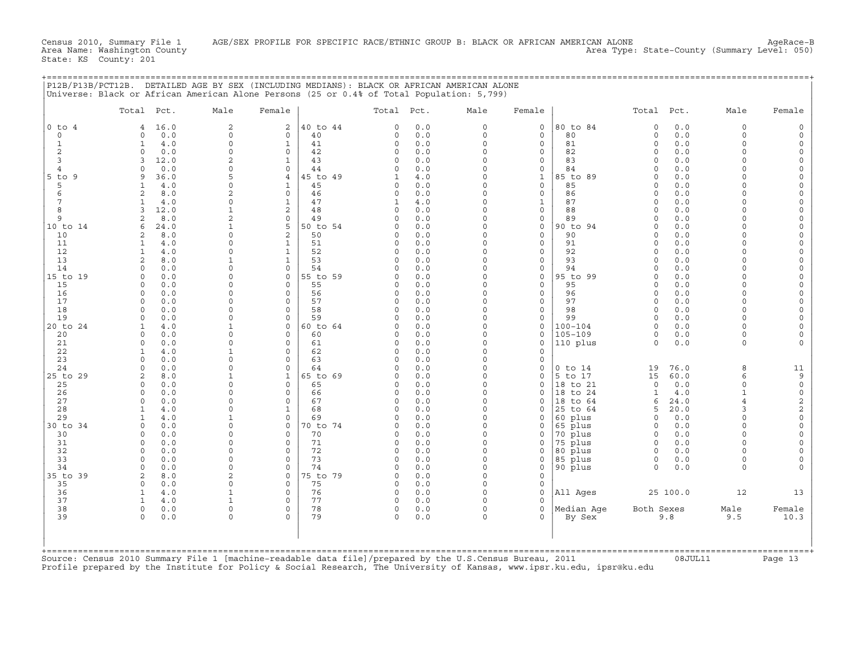| $\overline{c}$<br>$\overline{a}$<br>40 to 44<br>0.0<br>$\Omega$<br>$\mathbf 0$<br>80 to 84<br>0.0<br>$\Omega$<br>$0$ to $4$<br>16.0<br>$\Omega$<br>$\Omega$<br>$\overline{4}$<br>$\circ$<br>$\circ$<br>0.0<br>$\circ$<br>0.0<br>0<br>40<br>$\circ$<br>0.0<br>0<br>80<br>$\circ$<br>$\Omega$<br>0<br>$\mathsf{O}$<br>$\mathbf 1$<br>$\mathbf{1}$<br>4.0<br>$\mathbf{1}$<br>41<br>$\circ$<br>0.0<br>$\circ$<br>$\mathbf 0$<br>81<br>$\circ$<br>0.0<br>$\Omega$<br>2<br>0<br>0<br>42<br>0.0<br>$\circ$<br>0<br>82<br>0.0<br>$\Omega$<br>$\circ$<br>0.0<br>0<br>$\Omega$<br>2<br>3<br>12.0<br>43<br>0.0<br>$\Omega$<br>$\mathbf 0$<br>83<br>0.0<br>$\Omega$<br>$\Omega$<br>$\Omega$<br>3<br>1<br>$\Omega$<br>$\Omega$<br>0.0<br>$\Omega$<br>$\Omega$<br>84<br>0.0<br>$\Omega$<br>0.0<br>44<br>$\Omega$<br>$\Omega$<br>$\Omega$<br>$\overline{4}$<br>5<br>45 to 49<br>$\Omega$<br>$\mathbf{1}$<br>85 to 89<br>0.0<br>$5$ to $9$<br>9<br>36.0<br>4<br>4.0<br>$\Omega$<br>$\Omega$<br>$\mathbf{1}$<br>5<br>$\Omega$<br>45<br>0.0<br>$\Omega$<br>$\mathbf 0$<br>85<br>0.0<br>1<br>4.0<br>1<br>0<br>$\Omega$<br>$\cap$<br>$\overline{2}$<br>$0.0$<br>6<br>$\overline{2}$<br>8.0<br>0<br>46<br>$\circ$<br>0.0<br>$\Omega$<br>0<br>86<br>$\Omega$<br>$\cap$<br>$\mathsf{O}$<br>7<br>47<br>$\Omega$<br>$\mathbf{1}$<br>87<br>0.0<br>4.0<br>$\mathbf{1}$<br>4.0<br>$\Omega$<br>$\cap$<br>1<br>1<br>$\overline{a}$<br>8<br>12.0<br>$\mathbf{1}$<br>48<br>0.0<br>$\Omega$<br>$\mathbf 0$<br>88<br>0.0<br>3<br>$\Omega$<br>$\Omega$<br>$\Omega$<br>$\overline{c}$<br>9<br>$\Omega$<br>$\mathsf{O}\xspace$<br>$\overline{a}$<br>8.0<br>$\Omega$<br>49<br>0.0<br>89<br>0.0<br>$\Omega$<br>$\Omega$<br>$\cap$<br>5<br>$\Omega$<br>$\mathbf 0$<br>90 to 94<br>10 to 14<br>6<br>24.0<br>$\mathbf{1}$<br>50 to 54<br>0.0<br>$\Omega$<br>0.0<br>$\Omega$<br>$\Omega$<br>10<br>8.0<br>0<br>2<br>50<br>0.0<br>$\mathbf 0$<br>0<br>90<br>0.0<br>2<br>0<br>$\Omega$<br>$\Omega$<br>11<br>$\Omega$<br>51<br>0.0<br>$\Omega$<br>$\mathbf 0$<br>91<br>0.0<br>1<br>4.0<br>1<br>$\Omega$<br>$\Omega$<br>$\cap$<br>12<br>$\Omega$<br>$\mathbf{1}$<br>52<br>0.0<br>$\Omega$<br>$\mathbf 0$<br>92<br>0.0<br>$\mathbf{1}$<br>4.0<br>$\circ$<br>$\Omega$<br>$\Omega$<br>13<br>53<br>$\Omega$<br>$\mathbf 0$<br>93<br>2<br>8.0<br>$\mathbf{1}$<br>$\mathbf{1}$<br>$\Omega$<br>0.0<br>0.0<br>$\Omega$<br>$\Omega$<br>54<br>14<br>$\Omega$<br>$\Omega$<br>0.0<br>$\Omega$<br>0<br>94<br>0.0<br>$\Omega$<br>0.0<br>$\Omega$<br>$\Omega$<br>$\cap$<br>$\mathsf{O}\xspace$<br>15 to 19<br>0.0<br>$\mathbf 0$<br>0<br>55 to 59<br>0.0<br>$\Omega$<br>95 to 99<br>0.0<br>$\Omega$<br>$\Omega$<br>$\Omega$<br>$\Omega$<br>15<br>$\cap$<br>$\Omega$<br>0.0<br>$\Omega$<br>0.0<br>$\Omega$<br>$\cap$<br>55<br>$\Omega$<br>0.0<br>95<br>$\Omega$<br>$\cap$<br>$\Omega$<br>$\Omega$<br>56<br>0.0<br>$\circ$<br>$\mathbf 0$<br>0.0<br>$\Omega$<br>16<br>$\circ$<br>0.0<br>$\circ$<br>96<br>$\Omega$<br>57<br>$\Omega$<br>$\mathbf 0$<br>97<br>17<br>0.0<br>$\Omega$<br>$\Omega$<br>$\circ$<br>0.0<br>$\Omega$<br>0.0<br>$\Omega$<br>0<br>$\Omega$<br>0.0<br>18<br>0.0<br>$\Omega$<br>$\Omega$<br>58<br>0.0<br>$\mathbf 0$<br>98<br>$\Omega$<br>$\Omega$<br>$\Omega$<br>$\Omega$<br>19<br>0<br>59<br>$\Omega$<br>0<br>99<br>$\Omega$<br>0.0<br>0<br>$\Omega$<br>0.0<br>$\Omega$<br>0.0<br>$\Omega$<br>20 to 24<br>0.0<br>$\Omega$<br>$\mathbf 0$<br>$100 - 104$<br>0.0<br>4.0<br>$\mathbf{1}$<br>0<br>60 to 64<br>$\Omega$<br>$\Omega$<br>$\cap$<br>$\mathbf{1}$<br>$\mathbf 0$<br>$105 - 109$<br>20<br>$\circ$<br>0.0<br>$\Omega$<br>$\Omega$<br>60<br>0.0<br>$\Omega$<br>$\circ$<br>0.0<br>$\Omega$<br>$\Omega$<br>$\mathbf 0$<br>21<br>$\Omega$<br>0.0<br>$\Omega$<br>$\Omega$<br>61<br>$\circ$<br>0.0<br>$\Omega$<br>110 plus<br>$\Omega$<br>0.0<br>$\Omega$<br>$\circ$<br>22<br>$\mathbf{1}$<br>4.0<br>$\mathbf{1}$<br>$\Omega$<br>62<br>$\circ$<br>0.0<br>$\mathbf 0$<br>23<br>0<br>63<br>$\Omega$<br>0<br>0<br>0.0<br>0<br>$\Omega$<br>0.0<br>$\Omega$<br>$\Omega$<br>0.0<br>$\cap$<br>$\Omega$<br>76.0<br>8<br>24<br>$\Omega$<br>0.0<br>64<br>$\Omega$<br>$0$ to $14$<br>19<br>$\Omega$<br>60.0<br>25 to 29<br>2<br>8.0<br>$\mathbf{1}$<br>$\mathbf{1}$<br>65 to 69<br>0.0<br>$\mathbf 0$<br>5 to 17<br>15<br>6<br>0<br>65<br>$\Omega$<br>0.0<br>25<br>$\circ$<br>0.0<br>$\Omega$<br>0<br>0.0<br>$\mathbf 0$<br>18 to 21<br>$\circ$<br>$\Omega$<br>0<br>26<br>$\Omega$<br>0<br>66<br>0.0<br>$\circ$<br>$\mathbf 0$<br>18 to 24<br>$\mathbf{1}$<br>4.0<br>$\mathbf{1}$<br>$\mathbf 0$<br>0.0<br>0<br>$\Omega$<br>27<br>$\Omega$<br>0.0<br>$\Omega$<br>$\Omega$<br>67<br>0.0<br>$\Omega$<br>24.0<br>$\overline{4}$<br>$\Omega$<br>18 to 64<br>6<br>28<br>68<br>$\Omega$<br>20.0<br>$\mathbf{z}$<br>$\mathbf{1}$<br>4.0<br>$\Omega$<br>$\mathbf 1$<br>$\Omega$<br>0.0<br>$\mathbf 0$<br>25 to 64<br>5<br>$\Omega$<br>29<br>4.0<br>$\mathbf{1}$<br>0<br>69<br>$\Omega$<br>0.0<br>$\mathbf 0$<br>60 plus<br>$\Omega$<br>0.0<br>$\Omega$<br>1<br>30 to 34<br>$\Omega$<br>0.0<br>$\Omega$<br>$\Omega$<br>70 to 74<br>0.0<br>$\Omega$<br>$\Omega$<br>65 plus<br>0.0<br>$\Omega$<br>$\Omega$<br>$\Omega$<br>70 plus<br>30<br>0.0<br>0<br>0<br>70<br>0.0<br>$\circ$<br>0<br>0.0<br>$\Omega$<br>$\mathbf 0$<br>0<br>$\mathbf 0$<br>31<br>$\Omega$<br>71<br>$\Omega$<br>75 plus<br>0.0<br>$\cap$<br>$\Omega$<br>0.0<br>$\Omega$<br>0<br>0.0<br>0<br>$\Omega$<br>32<br>0.0<br>$\Omega$<br>$\Omega$<br>72<br>0.0<br>$\Omega$<br>80 plus<br>0.0<br>$\Omega$<br>$\Omega$<br>$\Omega$<br>$\Omega$<br>$\Omega$<br>$\Omega$<br>$\Omega$<br>33<br>$\circ$<br>0.0<br>$\Omega$<br>73<br>0.0<br>0<br>85 plus<br>0.0<br>$\Omega$<br>0<br>$\Omega$<br>34<br>$\Omega$<br>0.0<br>$\Omega$<br>$\Omega$<br>74<br>$\circ$<br>0.0<br>$\Omega$<br>0<br>90 plus<br>$\circ$<br>0.0<br>$\Omega$<br>2<br>35 to 39<br>2<br>0<br>75 to 79<br>0.0<br>$\Omega$<br>0<br>8.0<br>0<br>$\Omega$<br>0.0<br>$\Omega$<br>$\Omega$<br>75<br>0.0<br>$\Omega$<br>$\mathbf 0$<br>35<br>$\Omega$<br>$\Omega$<br>76<br>0.0<br>$\Omega$<br>$\mathbf 0$<br>All Ages<br>25 100.0<br>12<br>36<br>$\mathbf{1}$<br>4.0<br>$\mathbf{1}$<br>$\circ$<br>37<br>77<br>4.0<br>$\mathbf{1}$<br>0.0<br>$\Omega$<br>$\Omega$<br>1<br>$\Omega$<br>0<br>Median Age<br>38<br>$\Omega$<br>78<br>$\Omega$<br>Both Sexes<br>Male<br>$\Omega$<br>0.0<br>$\Omega$<br>0<br>0.0<br>$\Omega$<br>39<br>$\circ$<br>0<br>0<br>79<br>$\circ$<br>0.0<br>$\circ$<br>0<br>9.8<br>9.5<br>0.0<br>By Sex | Total Pct. | Male | Female | Total Pct. | Male | Female | Total Pct. | Male | Female                    |
|---------------------------------------------------------------------------------------------------------------------------------------------------------------------------------------------------------------------------------------------------------------------------------------------------------------------------------------------------------------------------------------------------------------------------------------------------------------------------------------------------------------------------------------------------------------------------------------------------------------------------------------------------------------------------------------------------------------------------------------------------------------------------------------------------------------------------------------------------------------------------------------------------------------------------------------------------------------------------------------------------------------------------------------------------------------------------------------------------------------------------------------------------------------------------------------------------------------------------------------------------------------------------------------------------------------------------------------------------------------------------------------------------------------------------------------------------------------------------------------------------------------------------------------------------------------------------------------------------------------------------------------------------------------------------------------------------------------------------------------------------------------------------------------------------------------------------------------------------------------------------------------------------------------------------------------------------------------------------------------------------------------------------------------------------------------------------------------------------------------------------------------------------------------------------------------------------------------------------------------------------------------------------------------------------------------------------------------------------------------------------------------------------------------------------------------------------------------------------------------------------------------------------------------------------------------------------------------------------------------------------------------------------------------------------------------------------------------------------------------------------------------------------------------------------------------------------------------------------------------------------------------------------------------------------------------------------------------------------------------------------------------------------------------------------------------------------------------------------------------------------------------------------------------------------------------------------------------------------------------------------------------------------------------------------------------------------------------------------------------------------------------------------------------------------------------------------------------------------------------------------------------------------------------------------------------------------------------------------------------------------------------------------------------------------------------------------------------------------------------------------------------------------------------------------------------------------------------------------------------------------------------------------------------------------------------------------------------------------------------------------------------------------------------------------------------------------------------------------------------------------------------------------------------------------------------------------------------------------------------------------------------------------------------------------------------------------------------------------------------------------------------------------------------------------------------------------------------------------------------------------------------------------------------------------------------------------------------------------------------------------------------------------------------------------------------------------------------------------------------------------------------------------------------------------------------------------------------------------------------------------------------------------------------------------------------------------------------------------------------------------------------------------------------------------------------------------------------------------------------------------------------------------------------------------------------------------------------------------------------------------------------------------------------------------------------------------------------------------------------------------------------------------------------------------------------------------------------------------------------------------------------------------------------------------------------------------------------------------------------------------------------------------------------------------------------------------------------------------------------------------------------------------------------------------------------------------------------------------------------------------------------------------------------------------------------------------------------------------------------------------------------------------------------------------------------------------------------------------------------------------------------------------------------------------------------------------------------------------------------------------------------------------------------------------------------------------------------------------------------------------------------------------------------------------------------------------------------------|------------|------|--------|------------|------|--------|------------|------|---------------------------|
|                                                                                                                                                                                                                                                                                                                                                                                                                                                                                                                                                                                                                                                                                                                                                                                                                                                                                                                                                                                                                                                                                                                                                                                                                                                                                                                                                                                                                                                                                                                                                                                                                                                                                                                                                                                                                                                                                                                                                                                                                                                                                                                                                                                                                                                                                                                                                                                                                                                                                                                                                                                                                                                                                                                                                                                                                                                                                                                                                                                                                                                                                                                                                                                                                                                                                                                                                                                                                                                                                                                                                                                                                                                                                                                                                                                                                                                                                                                                                                                                                                                                                                                                                                                                                                                                                                                                                                                                                                                                                                                                                                                                                                                                                                                                                                                                                                                                                                                                                                                                                                                                                                                                                                                                                                                                                                                                                                                                                                                                                                                                                                                                                                                                                                                                                                                                                                                                                                                                                                                                                                                                                                                                                                                                                                                                                                                                                                                                                                                                     |            |      |        |            |      |        |            |      | $\Omega$                  |
|                                                                                                                                                                                                                                                                                                                                                                                                                                                                                                                                                                                                                                                                                                                                                                                                                                                                                                                                                                                                                                                                                                                                                                                                                                                                                                                                                                                                                                                                                                                                                                                                                                                                                                                                                                                                                                                                                                                                                                                                                                                                                                                                                                                                                                                                                                                                                                                                                                                                                                                                                                                                                                                                                                                                                                                                                                                                                                                                                                                                                                                                                                                                                                                                                                                                                                                                                                                                                                                                                                                                                                                                                                                                                                                                                                                                                                                                                                                                                                                                                                                                                                                                                                                                                                                                                                                                                                                                                                                                                                                                                                                                                                                                                                                                                                                                                                                                                                                                                                                                                                                                                                                                                                                                                                                                                                                                                                                                                                                                                                                                                                                                                                                                                                                                                                                                                                                                                                                                                                                                                                                                                                                                                                                                                                                                                                                                                                                                                                                                     |            |      |        |            |      |        |            |      | $\circ$                   |
|                                                                                                                                                                                                                                                                                                                                                                                                                                                                                                                                                                                                                                                                                                                                                                                                                                                                                                                                                                                                                                                                                                                                                                                                                                                                                                                                                                                                                                                                                                                                                                                                                                                                                                                                                                                                                                                                                                                                                                                                                                                                                                                                                                                                                                                                                                                                                                                                                                                                                                                                                                                                                                                                                                                                                                                                                                                                                                                                                                                                                                                                                                                                                                                                                                                                                                                                                                                                                                                                                                                                                                                                                                                                                                                                                                                                                                                                                                                                                                                                                                                                                                                                                                                                                                                                                                                                                                                                                                                                                                                                                                                                                                                                                                                                                                                                                                                                                                                                                                                                                                                                                                                                                                                                                                                                                                                                                                                                                                                                                                                                                                                                                                                                                                                                                                                                                                                                                                                                                                                                                                                                                                                                                                                                                                                                                                                                                                                                                                                                     |            |      |        |            |      |        |            |      | $\circ$                   |
|                                                                                                                                                                                                                                                                                                                                                                                                                                                                                                                                                                                                                                                                                                                                                                                                                                                                                                                                                                                                                                                                                                                                                                                                                                                                                                                                                                                                                                                                                                                                                                                                                                                                                                                                                                                                                                                                                                                                                                                                                                                                                                                                                                                                                                                                                                                                                                                                                                                                                                                                                                                                                                                                                                                                                                                                                                                                                                                                                                                                                                                                                                                                                                                                                                                                                                                                                                                                                                                                                                                                                                                                                                                                                                                                                                                                                                                                                                                                                                                                                                                                                                                                                                                                                                                                                                                                                                                                                                                                                                                                                                                                                                                                                                                                                                                                                                                                                                                                                                                                                                                                                                                                                                                                                                                                                                                                                                                                                                                                                                                                                                                                                                                                                                                                                                                                                                                                                                                                                                                                                                                                                                                                                                                                                                                                                                                                                                                                                                                                     |            |      |        |            |      |        |            |      | $\mathsf O$               |
|                                                                                                                                                                                                                                                                                                                                                                                                                                                                                                                                                                                                                                                                                                                                                                                                                                                                                                                                                                                                                                                                                                                                                                                                                                                                                                                                                                                                                                                                                                                                                                                                                                                                                                                                                                                                                                                                                                                                                                                                                                                                                                                                                                                                                                                                                                                                                                                                                                                                                                                                                                                                                                                                                                                                                                                                                                                                                                                                                                                                                                                                                                                                                                                                                                                                                                                                                                                                                                                                                                                                                                                                                                                                                                                                                                                                                                                                                                                                                                                                                                                                                                                                                                                                                                                                                                                                                                                                                                                                                                                                                                                                                                                                                                                                                                                                                                                                                                                                                                                                                                                                                                                                                                                                                                                                                                                                                                                                                                                                                                                                                                                                                                                                                                                                                                                                                                                                                                                                                                                                                                                                                                                                                                                                                                                                                                                                                                                                                                                                     |            |      |        |            |      |        |            |      | $\Omega$<br>$\circ$       |
|                                                                                                                                                                                                                                                                                                                                                                                                                                                                                                                                                                                                                                                                                                                                                                                                                                                                                                                                                                                                                                                                                                                                                                                                                                                                                                                                                                                                                                                                                                                                                                                                                                                                                                                                                                                                                                                                                                                                                                                                                                                                                                                                                                                                                                                                                                                                                                                                                                                                                                                                                                                                                                                                                                                                                                                                                                                                                                                                                                                                                                                                                                                                                                                                                                                                                                                                                                                                                                                                                                                                                                                                                                                                                                                                                                                                                                                                                                                                                                                                                                                                                                                                                                                                                                                                                                                                                                                                                                                                                                                                                                                                                                                                                                                                                                                                                                                                                                                                                                                                                                                                                                                                                                                                                                                                                                                                                                                                                                                                                                                                                                                                                                                                                                                                                                                                                                                                                                                                                                                                                                                                                                                                                                                                                                                                                                                                                                                                                                                                     |            |      |        |            |      |        |            |      | $\Omega$                  |
|                                                                                                                                                                                                                                                                                                                                                                                                                                                                                                                                                                                                                                                                                                                                                                                                                                                                                                                                                                                                                                                                                                                                                                                                                                                                                                                                                                                                                                                                                                                                                                                                                                                                                                                                                                                                                                                                                                                                                                                                                                                                                                                                                                                                                                                                                                                                                                                                                                                                                                                                                                                                                                                                                                                                                                                                                                                                                                                                                                                                                                                                                                                                                                                                                                                                                                                                                                                                                                                                                                                                                                                                                                                                                                                                                                                                                                                                                                                                                                                                                                                                                                                                                                                                                                                                                                                                                                                                                                                                                                                                                                                                                                                                                                                                                                                                                                                                                                                                                                                                                                                                                                                                                                                                                                                                                                                                                                                                                                                                                                                                                                                                                                                                                                                                                                                                                                                                                                                                                                                                                                                                                                                                                                                                                                                                                                                                                                                                                                                                     |            |      |        |            |      |        |            |      | $\circ$                   |
|                                                                                                                                                                                                                                                                                                                                                                                                                                                                                                                                                                                                                                                                                                                                                                                                                                                                                                                                                                                                                                                                                                                                                                                                                                                                                                                                                                                                                                                                                                                                                                                                                                                                                                                                                                                                                                                                                                                                                                                                                                                                                                                                                                                                                                                                                                                                                                                                                                                                                                                                                                                                                                                                                                                                                                                                                                                                                                                                                                                                                                                                                                                                                                                                                                                                                                                                                                                                                                                                                                                                                                                                                                                                                                                                                                                                                                                                                                                                                                                                                                                                                                                                                                                                                                                                                                                                                                                                                                                                                                                                                                                                                                                                                                                                                                                                                                                                                                                                                                                                                                                                                                                                                                                                                                                                                                                                                                                                                                                                                                                                                                                                                                                                                                                                                                                                                                                                                                                                                                                                                                                                                                                                                                                                                                                                                                                                                                                                                                                                     |            |      |        |            |      |        |            |      | $\mathsf O$               |
|                                                                                                                                                                                                                                                                                                                                                                                                                                                                                                                                                                                                                                                                                                                                                                                                                                                                                                                                                                                                                                                                                                                                                                                                                                                                                                                                                                                                                                                                                                                                                                                                                                                                                                                                                                                                                                                                                                                                                                                                                                                                                                                                                                                                                                                                                                                                                                                                                                                                                                                                                                                                                                                                                                                                                                                                                                                                                                                                                                                                                                                                                                                                                                                                                                                                                                                                                                                                                                                                                                                                                                                                                                                                                                                                                                                                                                                                                                                                                                                                                                                                                                                                                                                                                                                                                                                                                                                                                                                                                                                                                                                                                                                                                                                                                                                                                                                                                                                                                                                                                                                                                                                                                                                                                                                                                                                                                                                                                                                                                                                                                                                                                                                                                                                                                                                                                                                                                                                                                                                                                                                                                                                                                                                                                                                                                                                                                                                                                                                                     |            |      |        |            |      |        |            |      | $\circ$                   |
|                                                                                                                                                                                                                                                                                                                                                                                                                                                                                                                                                                                                                                                                                                                                                                                                                                                                                                                                                                                                                                                                                                                                                                                                                                                                                                                                                                                                                                                                                                                                                                                                                                                                                                                                                                                                                                                                                                                                                                                                                                                                                                                                                                                                                                                                                                                                                                                                                                                                                                                                                                                                                                                                                                                                                                                                                                                                                                                                                                                                                                                                                                                                                                                                                                                                                                                                                                                                                                                                                                                                                                                                                                                                                                                                                                                                                                                                                                                                                                                                                                                                                                                                                                                                                                                                                                                                                                                                                                                                                                                                                                                                                                                                                                                                                                                                                                                                                                                                                                                                                                                                                                                                                                                                                                                                                                                                                                                                                                                                                                                                                                                                                                                                                                                                                                                                                                                                                                                                                                                                                                                                                                                                                                                                                                                                                                                                                                                                                                                                     |            |      |        |            |      |        |            |      | $\mathsf{O}\xspace$       |
|                                                                                                                                                                                                                                                                                                                                                                                                                                                                                                                                                                                                                                                                                                                                                                                                                                                                                                                                                                                                                                                                                                                                                                                                                                                                                                                                                                                                                                                                                                                                                                                                                                                                                                                                                                                                                                                                                                                                                                                                                                                                                                                                                                                                                                                                                                                                                                                                                                                                                                                                                                                                                                                                                                                                                                                                                                                                                                                                                                                                                                                                                                                                                                                                                                                                                                                                                                                                                                                                                                                                                                                                                                                                                                                                                                                                                                                                                                                                                                                                                                                                                                                                                                                                                                                                                                                                                                                                                                                                                                                                                                                                                                                                                                                                                                                                                                                                                                                                                                                                                                                                                                                                                                                                                                                                                                                                                                                                                                                                                                                                                                                                                                                                                                                                                                                                                                                                                                                                                                                                                                                                                                                                                                                                                                                                                                                                                                                                                                                                     |            |      |        |            |      |        |            |      | $\circ$                   |
|                                                                                                                                                                                                                                                                                                                                                                                                                                                                                                                                                                                                                                                                                                                                                                                                                                                                                                                                                                                                                                                                                                                                                                                                                                                                                                                                                                                                                                                                                                                                                                                                                                                                                                                                                                                                                                                                                                                                                                                                                                                                                                                                                                                                                                                                                                                                                                                                                                                                                                                                                                                                                                                                                                                                                                                                                                                                                                                                                                                                                                                                                                                                                                                                                                                                                                                                                                                                                                                                                                                                                                                                                                                                                                                                                                                                                                                                                                                                                                                                                                                                                                                                                                                                                                                                                                                                                                                                                                                                                                                                                                                                                                                                                                                                                                                                                                                                                                                                                                                                                                                                                                                                                                                                                                                                                                                                                                                                                                                                                                                                                                                                                                                                                                                                                                                                                                                                                                                                                                                                                                                                                                                                                                                                                                                                                                                                                                                                                                                                     |            |      |        |            |      |        |            |      | $\Omega$                  |
|                                                                                                                                                                                                                                                                                                                                                                                                                                                                                                                                                                                                                                                                                                                                                                                                                                                                                                                                                                                                                                                                                                                                                                                                                                                                                                                                                                                                                                                                                                                                                                                                                                                                                                                                                                                                                                                                                                                                                                                                                                                                                                                                                                                                                                                                                                                                                                                                                                                                                                                                                                                                                                                                                                                                                                                                                                                                                                                                                                                                                                                                                                                                                                                                                                                                                                                                                                                                                                                                                                                                                                                                                                                                                                                                                                                                                                                                                                                                                                                                                                                                                                                                                                                                                                                                                                                                                                                                                                                                                                                                                                                                                                                                                                                                                                                                                                                                                                                                                                                                                                                                                                                                                                                                                                                                                                                                                                                                                                                                                                                                                                                                                                                                                                                                                                                                                                                                                                                                                                                                                                                                                                                                                                                                                                                                                                                                                                                                                                                                     |            |      |        |            |      |        |            |      | $\mathbf 0$               |
|                                                                                                                                                                                                                                                                                                                                                                                                                                                                                                                                                                                                                                                                                                                                                                                                                                                                                                                                                                                                                                                                                                                                                                                                                                                                                                                                                                                                                                                                                                                                                                                                                                                                                                                                                                                                                                                                                                                                                                                                                                                                                                                                                                                                                                                                                                                                                                                                                                                                                                                                                                                                                                                                                                                                                                                                                                                                                                                                                                                                                                                                                                                                                                                                                                                                                                                                                                                                                                                                                                                                                                                                                                                                                                                                                                                                                                                                                                                                                                                                                                                                                                                                                                                                                                                                                                                                                                                                                                                                                                                                                                                                                                                                                                                                                                                                                                                                                                                                                                                                                                                                                                                                                                                                                                                                                                                                                                                                                                                                                                                                                                                                                                                                                                                                                                                                                                                                                                                                                                                                                                                                                                                                                                                                                                                                                                                                                                                                                                                                     |            |      |        |            |      |        |            |      | $\circ$<br>$\circ$        |
|                                                                                                                                                                                                                                                                                                                                                                                                                                                                                                                                                                                                                                                                                                                                                                                                                                                                                                                                                                                                                                                                                                                                                                                                                                                                                                                                                                                                                                                                                                                                                                                                                                                                                                                                                                                                                                                                                                                                                                                                                                                                                                                                                                                                                                                                                                                                                                                                                                                                                                                                                                                                                                                                                                                                                                                                                                                                                                                                                                                                                                                                                                                                                                                                                                                                                                                                                                                                                                                                                                                                                                                                                                                                                                                                                                                                                                                                                                                                                                                                                                                                                                                                                                                                                                                                                                                                                                                                                                                                                                                                                                                                                                                                                                                                                                                                                                                                                                                                                                                                                                                                                                                                                                                                                                                                                                                                                                                                                                                                                                                                                                                                                                                                                                                                                                                                                                                                                                                                                                                                                                                                                                                                                                                                                                                                                                                                                                                                                                                                     |            |      |        |            |      |        |            |      | $\mathsf{O}\xspace$       |
|                                                                                                                                                                                                                                                                                                                                                                                                                                                                                                                                                                                                                                                                                                                                                                                                                                                                                                                                                                                                                                                                                                                                                                                                                                                                                                                                                                                                                                                                                                                                                                                                                                                                                                                                                                                                                                                                                                                                                                                                                                                                                                                                                                                                                                                                                                                                                                                                                                                                                                                                                                                                                                                                                                                                                                                                                                                                                                                                                                                                                                                                                                                                                                                                                                                                                                                                                                                                                                                                                                                                                                                                                                                                                                                                                                                                                                                                                                                                                                                                                                                                                                                                                                                                                                                                                                                                                                                                                                                                                                                                                                                                                                                                                                                                                                                                                                                                                                                                                                                                                                                                                                                                                                                                                                                                                                                                                                                                                                                                                                                                                                                                                                                                                                                                                                                                                                                                                                                                                                                                                                                                                                                                                                                                                                                                                                                                                                                                                                                                     |            |      |        |            |      |        |            |      | $\mathsf O$               |
|                                                                                                                                                                                                                                                                                                                                                                                                                                                                                                                                                                                                                                                                                                                                                                                                                                                                                                                                                                                                                                                                                                                                                                                                                                                                                                                                                                                                                                                                                                                                                                                                                                                                                                                                                                                                                                                                                                                                                                                                                                                                                                                                                                                                                                                                                                                                                                                                                                                                                                                                                                                                                                                                                                                                                                                                                                                                                                                                                                                                                                                                                                                                                                                                                                                                                                                                                                                                                                                                                                                                                                                                                                                                                                                                                                                                                                                                                                                                                                                                                                                                                                                                                                                                                                                                                                                                                                                                                                                                                                                                                                                                                                                                                                                                                                                                                                                                                                                                                                                                                                                                                                                                                                                                                                                                                                                                                                                                                                                                                                                                                                                                                                                                                                                                                                                                                                                                                                                                                                                                                                                                                                                                                                                                                                                                                                                                                                                                                                                                     |            |      |        |            |      |        |            |      | $\mathsf O$               |
|                                                                                                                                                                                                                                                                                                                                                                                                                                                                                                                                                                                                                                                                                                                                                                                                                                                                                                                                                                                                                                                                                                                                                                                                                                                                                                                                                                                                                                                                                                                                                                                                                                                                                                                                                                                                                                                                                                                                                                                                                                                                                                                                                                                                                                                                                                                                                                                                                                                                                                                                                                                                                                                                                                                                                                                                                                                                                                                                                                                                                                                                                                                                                                                                                                                                                                                                                                                                                                                                                                                                                                                                                                                                                                                                                                                                                                                                                                                                                                                                                                                                                                                                                                                                                                                                                                                                                                                                                                                                                                                                                                                                                                                                                                                                                                                                                                                                                                                                                                                                                                                                                                                                                                                                                                                                                                                                                                                                                                                                                                                                                                                                                                                                                                                                                                                                                                                                                                                                                                                                                                                                                                                                                                                                                                                                                                                                                                                                                                                                     |            |      |        |            |      |        |            |      | $\circ$                   |
|                                                                                                                                                                                                                                                                                                                                                                                                                                                                                                                                                                                                                                                                                                                                                                                                                                                                                                                                                                                                                                                                                                                                                                                                                                                                                                                                                                                                                                                                                                                                                                                                                                                                                                                                                                                                                                                                                                                                                                                                                                                                                                                                                                                                                                                                                                                                                                                                                                                                                                                                                                                                                                                                                                                                                                                                                                                                                                                                                                                                                                                                                                                                                                                                                                                                                                                                                                                                                                                                                                                                                                                                                                                                                                                                                                                                                                                                                                                                                                                                                                                                                                                                                                                                                                                                                                                                                                                                                                                                                                                                                                                                                                                                                                                                                                                                                                                                                                                                                                                                                                                                                                                                                                                                                                                                                                                                                                                                                                                                                                                                                                                                                                                                                                                                                                                                                                                                                                                                                                                                                                                                                                                                                                                                                                                                                                                                                                                                                                                                     |            |      |        |            |      |        |            |      | $\mathsf{O}\xspace$       |
|                                                                                                                                                                                                                                                                                                                                                                                                                                                                                                                                                                                                                                                                                                                                                                                                                                                                                                                                                                                                                                                                                                                                                                                                                                                                                                                                                                                                                                                                                                                                                                                                                                                                                                                                                                                                                                                                                                                                                                                                                                                                                                                                                                                                                                                                                                                                                                                                                                                                                                                                                                                                                                                                                                                                                                                                                                                                                                                                                                                                                                                                                                                                                                                                                                                                                                                                                                                                                                                                                                                                                                                                                                                                                                                                                                                                                                                                                                                                                                                                                                                                                                                                                                                                                                                                                                                                                                                                                                                                                                                                                                                                                                                                                                                                                                                                                                                                                                                                                                                                                                                                                                                                                                                                                                                                                                                                                                                                                                                                                                                                                                                                                                                                                                                                                                                                                                                                                                                                                                                                                                                                                                                                                                                                                                                                                                                                                                                                                                                                     |            |      |        |            |      |        |            |      | $\circ$                   |
|                                                                                                                                                                                                                                                                                                                                                                                                                                                                                                                                                                                                                                                                                                                                                                                                                                                                                                                                                                                                                                                                                                                                                                                                                                                                                                                                                                                                                                                                                                                                                                                                                                                                                                                                                                                                                                                                                                                                                                                                                                                                                                                                                                                                                                                                                                                                                                                                                                                                                                                                                                                                                                                                                                                                                                                                                                                                                                                                                                                                                                                                                                                                                                                                                                                                                                                                                                                                                                                                                                                                                                                                                                                                                                                                                                                                                                                                                                                                                                                                                                                                                                                                                                                                                                                                                                                                                                                                                                                                                                                                                                                                                                                                                                                                                                                                                                                                                                                                                                                                                                                                                                                                                                                                                                                                                                                                                                                                                                                                                                                                                                                                                                                                                                                                                                                                                                                                                                                                                                                                                                                                                                                                                                                                                                                                                                                                                                                                                                                                     |            |      |        |            |      |        |            |      | $\circ$                   |
|                                                                                                                                                                                                                                                                                                                                                                                                                                                                                                                                                                                                                                                                                                                                                                                                                                                                                                                                                                                                                                                                                                                                                                                                                                                                                                                                                                                                                                                                                                                                                                                                                                                                                                                                                                                                                                                                                                                                                                                                                                                                                                                                                                                                                                                                                                                                                                                                                                                                                                                                                                                                                                                                                                                                                                                                                                                                                                                                                                                                                                                                                                                                                                                                                                                                                                                                                                                                                                                                                                                                                                                                                                                                                                                                                                                                                                                                                                                                                                                                                                                                                                                                                                                                                                                                                                                                                                                                                                                                                                                                                                                                                                                                                                                                                                                                                                                                                                                                                                                                                                                                                                                                                                                                                                                                                                                                                                                                                                                                                                                                                                                                                                                                                                                                                                                                                                                                                                                                                                                                                                                                                                                                                                                                                                                                                                                                                                                                                                                                     |            |      |        |            |      |        |            |      | $\mathbf 0$               |
|                                                                                                                                                                                                                                                                                                                                                                                                                                                                                                                                                                                                                                                                                                                                                                                                                                                                                                                                                                                                                                                                                                                                                                                                                                                                                                                                                                                                                                                                                                                                                                                                                                                                                                                                                                                                                                                                                                                                                                                                                                                                                                                                                                                                                                                                                                                                                                                                                                                                                                                                                                                                                                                                                                                                                                                                                                                                                                                                                                                                                                                                                                                                                                                                                                                                                                                                                                                                                                                                                                                                                                                                                                                                                                                                                                                                                                                                                                                                                                                                                                                                                                                                                                                                                                                                                                                                                                                                                                                                                                                                                                                                                                                                                                                                                                                                                                                                                                                                                                                                                                                                                                                                                                                                                                                                                                                                                                                                                                                                                                                                                                                                                                                                                                                                                                                                                                                                                                                                                                                                                                                                                                                                                                                                                                                                                                                                                                                                                                                                     |            |      |        |            |      |        |            |      | $\circ$                   |
|                                                                                                                                                                                                                                                                                                                                                                                                                                                                                                                                                                                                                                                                                                                                                                                                                                                                                                                                                                                                                                                                                                                                                                                                                                                                                                                                                                                                                                                                                                                                                                                                                                                                                                                                                                                                                                                                                                                                                                                                                                                                                                                                                                                                                                                                                                                                                                                                                                                                                                                                                                                                                                                                                                                                                                                                                                                                                                                                                                                                                                                                                                                                                                                                                                                                                                                                                                                                                                                                                                                                                                                                                                                                                                                                                                                                                                                                                                                                                                                                                                                                                                                                                                                                                                                                                                                                                                                                                                                                                                                                                                                                                                                                                                                                                                                                                                                                                                                                                                                                                                                                                                                                                                                                                                                                                                                                                                                                                                                                                                                                                                                                                                                                                                                                                                                                                                                                                                                                                                                                                                                                                                                                                                                                                                                                                                                                                                                                                                                                     |            |      |        |            |      |        |            |      | $\circ$<br>$\Omega$       |
|                                                                                                                                                                                                                                                                                                                                                                                                                                                                                                                                                                                                                                                                                                                                                                                                                                                                                                                                                                                                                                                                                                                                                                                                                                                                                                                                                                                                                                                                                                                                                                                                                                                                                                                                                                                                                                                                                                                                                                                                                                                                                                                                                                                                                                                                                                                                                                                                                                                                                                                                                                                                                                                                                                                                                                                                                                                                                                                                                                                                                                                                                                                                                                                                                                                                                                                                                                                                                                                                                                                                                                                                                                                                                                                                                                                                                                                                                                                                                                                                                                                                                                                                                                                                                                                                                                                                                                                                                                                                                                                                                                                                                                                                                                                                                                                                                                                                                                                                                                                                                                                                                                                                                                                                                                                                                                                                                                                                                                                                                                                                                                                                                                                                                                                                                                                                                                                                                                                                                                                                                                                                                                                                                                                                                                                                                                                                                                                                                                                                     |            |      |        |            |      |        |            |      |                           |
|                                                                                                                                                                                                                                                                                                                                                                                                                                                                                                                                                                                                                                                                                                                                                                                                                                                                                                                                                                                                                                                                                                                                                                                                                                                                                                                                                                                                                                                                                                                                                                                                                                                                                                                                                                                                                                                                                                                                                                                                                                                                                                                                                                                                                                                                                                                                                                                                                                                                                                                                                                                                                                                                                                                                                                                                                                                                                                                                                                                                                                                                                                                                                                                                                                                                                                                                                                                                                                                                                                                                                                                                                                                                                                                                                                                                                                                                                                                                                                                                                                                                                                                                                                                                                                                                                                                                                                                                                                                                                                                                                                                                                                                                                                                                                                                                                                                                                                                                                                                                                                                                                                                                                                                                                                                                                                                                                                                                                                                                                                                                                                                                                                                                                                                                                                                                                                                                                                                                                                                                                                                                                                                                                                                                                                                                                                                                                                                                                                                                     |            |      |        |            |      |        |            |      |                           |
|                                                                                                                                                                                                                                                                                                                                                                                                                                                                                                                                                                                                                                                                                                                                                                                                                                                                                                                                                                                                                                                                                                                                                                                                                                                                                                                                                                                                                                                                                                                                                                                                                                                                                                                                                                                                                                                                                                                                                                                                                                                                                                                                                                                                                                                                                                                                                                                                                                                                                                                                                                                                                                                                                                                                                                                                                                                                                                                                                                                                                                                                                                                                                                                                                                                                                                                                                                                                                                                                                                                                                                                                                                                                                                                                                                                                                                                                                                                                                                                                                                                                                                                                                                                                                                                                                                                                                                                                                                                                                                                                                                                                                                                                                                                                                                                                                                                                                                                                                                                                                                                                                                                                                                                                                                                                                                                                                                                                                                                                                                                                                                                                                                                                                                                                                                                                                                                                                                                                                                                                                                                                                                                                                                                                                                                                                                                                                                                                                                                                     |            |      |        |            |      |        |            |      | 11                        |
|                                                                                                                                                                                                                                                                                                                                                                                                                                                                                                                                                                                                                                                                                                                                                                                                                                                                                                                                                                                                                                                                                                                                                                                                                                                                                                                                                                                                                                                                                                                                                                                                                                                                                                                                                                                                                                                                                                                                                                                                                                                                                                                                                                                                                                                                                                                                                                                                                                                                                                                                                                                                                                                                                                                                                                                                                                                                                                                                                                                                                                                                                                                                                                                                                                                                                                                                                                                                                                                                                                                                                                                                                                                                                                                                                                                                                                                                                                                                                                                                                                                                                                                                                                                                                                                                                                                                                                                                                                                                                                                                                                                                                                                                                                                                                                                                                                                                                                                                                                                                                                                                                                                                                                                                                                                                                                                                                                                                                                                                                                                                                                                                                                                                                                                                                                                                                                                                                                                                                                                                                                                                                                                                                                                                                                                                                                                                                                                                                                                                     |            |      |        |            |      |        |            |      | $\mathsf 9$               |
|                                                                                                                                                                                                                                                                                                                                                                                                                                                                                                                                                                                                                                                                                                                                                                                                                                                                                                                                                                                                                                                                                                                                                                                                                                                                                                                                                                                                                                                                                                                                                                                                                                                                                                                                                                                                                                                                                                                                                                                                                                                                                                                                                                                                                                                                                                                                                                                                                                                                                                                                                                                                                                                                                                                                                                                                                                                                                                                                                                                                                                                                                                                                                                                                                                                                                                                                                                                                                                                                                                                                                                                                                                                                                                                                                                                                                                                                                                                                                                                                                                                                                                                                                                                                                                                                                                                                                                                                                                                                                                                                                                                                                                                                                                                                                                                                                                                                                                                                                                                                                                                                                                                                                                                                                                                                                                                                                                                                                                                                                                                                                                                                                                                                                                                                                                                                                                                                                                                                                                                                                                                                                                                                                                                                                                                                                                                                                                                                                                                                     |            |      |        |            |      |        |            |      | $\mathsf{O}\xspace$       |
|                                                                                                                                                                                                                                                                                                                                                                                                                                                                                                                                                                                                                                                                                                                                                                                                                                                                                                                                                                                                                                                                                                                                                                                                                                                                                                                                                                                                                                                                                                                                                                                                                                                                                                                                                                                                                                                                                                                                                                                                                                                                                                                                                                                                                                                                                                                                                                                                                                                                                                                                                                                                                                                                                                                                                                                                                                                                                                                                                                                                                                                                                                                                                                                                                                                                                                                                                                                                                                                                                                                                                                                                                                                                                                                                                                                                                                                                                                                                                                                                                                                                                                                                                                                                                                                                                                                                                                                                                                                                                                                                                                                                                                                                                                                                                                                                                                                                                                                                                                                                                                                                                                                                                                                                                                                                                                                                                                                                                                                                                                                                                                                                                                                                                                                                                                                                                                                                                                                                                                                                                                                                                                                                                                                                                                                                                                                                                                                                                                                                     |            |      |        |            |      |        |            |      | $\mathsf{O}\xspace$       |
|                                                                                                                                                                                                                                                                                                                                                                                                                                                                                                                                                                                                                                                                                                                                                                                                                                                                                                                                                                                                                                                                                                                                                                                                                                                                                                                                                                                                                                                                                                                                                                                                                                                                                                                                                                                                                                                                                                                                                                                                                                                                                                                                                                                                                                                                                                                                                                                                                                                                                                                                                                                                                                                                                                                                                                                                                                                                                                                                                                                                                                                                                                                                                                                                                                                                                                                                                                                                                                                                                                                                                                                                                                                                                                                                                                                                                                                                                                                                                                                                                                                                                                                                                                                                                                                                                                                                                                                                                                                                                                                                                                                                                                                                                                                                                                                                                                                                                                                                                                                                                                                                                                                                                                                                                                                                                                                                                                                                                                                                                                                                                                                                                                                                                                                                                                                                                                                                                                                                                                                                                                                                                                                                                                                                                                                                                                                                                                                                                                                                     |            |      |        |            |      |        |            |      | $\sqrt{2}$                |
|                                                                                                                                                                                                                                                                                                                                                                                                                                                                                                                                                                                                                                                                                                                                                                                                                                                                                                                                                                                                                                                                                                                                                                                                                                                                                                                                                                                                                                                                                                                                                                                                                                                                                                                                                                                                                                                                                                                                                                                                                                                                                                                                                                                                                                                                                                                                                                                                                                                                                                                                                                                                                                                                                                                                                                                                                                                                                                                                                                                                                                                                                                                                                                                                                                                                                                                                                                                                                                                                                                                                                                                                                                                                                                                                                                                                                                                                                                                                                                                                                                                                                                                                                                                                                                                                                                                                                                                                                                                                                                                                                                                                                                                                                                                                                                                                                                                                                                                                                                                                                                                                                                                                                                                                                                                                                                                                                                                                                                                                                                                                                                                                                                                                                                                                                                                                                                                                                                                                                                                                                                                                                                                                                                                                                                                                                                                                                                                                                                                                     |            |      |        |            |      |        |            |      | $\sqrt{2}$<br>$\mathbf 0$ |
|                                                                                                                                                                                                                                                                                                                                                                                                                                                                                                                                                                                                                                                                                                                                                                                                                                                                                                                                                                                                                                                                                                                                                                                                                                                                                                                                                                                                                                                                                                                                                                                                                                                                                                                                                                                                                                                                                                                                                                                                                                                                                                                                                                                                                                                                                                                                                                                                                                                                                                                                                                                                                                                                                                                                                                                                                                                                                                                                                                                                                                                                                                                                                                                                                                                                                                                                                                                                                                                                                                                                                                                                                                                                                                                                                                                                                                                                                                                                                                                                                                                                                                                                                                                                                                                                                                                                                                                                                                                                                                                                                                                                                                                                                                                                                                                                                                                                                                                                                                                                                                                                                                                                                                                                                                                                                                                                                                                                                                                                                                                                                                                                                                                                                                                                                                                                                                                                                                                                                                                                                                                                                                                                                                                                                                                                                                                                                                                                                                                                     |            |      |        |            |      |        |            |      | $\mathsf{O}\xspace$       |
|                                                                                                                                                                                                                                                                                                                                                                                                                                                                                                                                                                                                                                                                                                                                                                                                                                                                                                                                                                                                                                                                                                                                                                                                                                                                                                                                                                                                                                                                                                                                                                                                                                                                                                                                                                                                                                                                                                                                                                                                                                                                                                                                                                                                                                                                                                                                                                                                                                                                                                                                                                                                                                                                                                                                                                                                                                                                                                                                                                                                                                                                                                                                                                                                                                                                                                                                                                                                                                                                                                                                                                                                                                                                                                                                                                                                                                                                                                                                                                                                                                                                                                                                                                                                                                                                                                                                                                                                                                                                                                                                                                                                                                                                                                                                                                                                                                                                                                                                                                                                                                                                                                                                                                                                                                                                                                                                                                                                                                                                                                                                                                                                                                                                                                                                                                                                                                                                                                                                                                                                                                                                                                                                                                                                                                                                                                                                                                                                                                                                     |            |      |        |            |      |        |            |      | $\mathsf{O}\xspace$       |
|                                                                                                                                                                                                                                                                                                                                                                                                                                                                                                                                                                                                                                                                                                                                                                                                                                                                                                                                                                                                                                                                                                                                                                                                                                                                                                                                                                                                                                                                                                                                                                                                                                                                                                                                                                                                                                                                                                                                                                                                                                                                                                                                                                                                                                                                                                                                                                                                                                                                                                                                                                                                                                                                                                                                                                                                                                                                                                                                                                                                                                                                                                                                                                                                                                                                                                                                                                                                                                                                                                                                                                                                                                                                                                                                                                                                                                                                                                                                                                                                                                                                                                                                                                                                                                                                                                                                                                                                                                                                                                                                                                                                                                                                                                                                                                                                                                                                                                                                                                                                                                                                                                                                                                                                                                                                                                                                                                                                                                                                                                                                                                                                                                                                                                                                                                                                                                                                                                                                                                                                                                                                                                                                                                                                                                                                                                                                                                                                                                                                     |            |      |        |            |      |        |            |      | $\circ$                   |
|                                                                                                                                                                                                                                                                                                                                                                                                                                                                                                                                                                                                                                                                                                                                                                                                                                                                                                                                                                                                                                                                                                                                                                                                                                                                                                                                                                                                                                                                                                                                                                                                                                                                                                                                                                                                                                                                                                                                                                                                                                                                                                                                                                                                                                                                                                                                                                                                                                                                                                                                                                                                                                                                                                                                                                                                                                                                                                                                                                                                                                                                                                                                                                                                                                                                                                                                                                                                                                                                                                                                                                                                                                                                                                                                                                                                                                                                                                                                                                                                                                                                                                                                                                                                                                                                                                                                                                                                                                                                                                                                                                                                                                                                                                                                                                                                                                                                                                                                                                                                                                                                                                                                                                                                                                                                                                                                                                                                                                                                                                                                                                                                                                                                                                                                                                                                                                                                                                                                                                                                                                                                                                                                                                                                                                                                                                                                                                                                                                                                     |            |      |        |            |      |        |            |      | $\circ$                   |
|                                                                                                                                                                                                                                                                                                                                                                                                                                                                                                                                                                                                                                                                                                                                                                                                                                                                                                                                                                                                                                                                                                                                                                                                                                                                                                                                                                                                                                                                                                                                                                                                                                                                                                                                                                                                                                                                                                                                                                                                                                                                                                                                                                                                                                                                                                                                                                                                                                                                                                                                                                                                                                                                                                                                                                                                                                                                                                                                                                                                                                                                                                                                                                                                                                                                                                                                                                                                                                                                                                                                                                                                                                                                                                                                                                                                                                                                                                                                                                                                                                                                                                                                                                                                                                                                                                                                                                                                                                                                                                                                                                                                                                                                                                                                                                                                                                                                                                                                                                                                                                                                                                                                                                                                                                                                                                                                                                                                                                                                                                                                                                                                                                                                                                                                                                                                                                                                                                                                                                                                                                                                                                                                                                                                                                                                                                                                                                                                                                                                     |            |      |        |            |      |        |            |      | $\mathsf O$               |
|                                                                                                                                                                                                                                                                                                                                                                                                                                                                                                                                                                                                                                                                                                                                                                                                                                                                                                                                                                                                                                                                                                                                                                                                                                                                                                                                                                                                                                                                                                                                                                                                                                                                                                                                                                                                                                                                                                                                                                                                                                                                                                                                                                                                                                                                                                                                                                                                                                                                                                                                                                                                                                                                                                                                                                                                                                                                                                                                                                                                                                                                                                                                                                                                                                                                                                                                                                                                                                                                                                                                                                                                                                                                                                                                                                                                                                                                                                                                                                                                                                                                                                                                                                                                                                                                                                                                                                                                                                                                                                                                                                                                                                                                                                                                                                                                                                                                                                                                                                                                                                                                                                                                                                                                                                                                                                                                                                                                                                                                                                                                                                                                                                                                                                                                                                                                                                                                                                                                                                                                                                                                                                                                                                                                                                                                                                                                                                                                                                                                     |            |      |        |            |      |        |            |      | $\Omega$                  |
|                                                                                                                                                                                                                                                                                                                                                                                                                                                                                                                                                                                                                                                                                                                                                                                                                                                                                                                                                                                                                                                                                                                                                                                                                                                                                                                                                                                                                                                                                                                                                                                                                                                                                                                                                                                                                                                                                                                                                                                                                                                                                                                                                                                                                                                                                                                                                                                                                                                                                                                                                                                                                                                                                                                                                                                                                                                                                                                                                                                                                                                                                                                                                                                                                                                                                                                                                                                                                                                                                                                                                                                                                                                                                                                                                                                                                                                                                                                                                                                                                                                                                                                                                                                                                                                                                                                                                                                                                                                                                                                                                                                                                                                                                                                                                                                                                                                                                                                                                                                                                                                                                                                                                                                                                                                                                                                                                                                                                                                                                                                                                                                                                                                                                                                                                                                                                                                                                                                                                                                                                                                                                                                                                                                                                                                                                                                                                                                                                                                                     |            |      |        |            |      |        |            |      |                           |
|                                                                                                                                                                                                                                                                                                                                                                                                                                                                                                                                                                                                                                                                                                                                                                                                                                                                                                                                                                                                                                                                                                                                                                                                                                                                                                                                                                                                                                                                                                                                                                                                                                                                                                                                                                                                                                                                                                                                                                                                                                                                                                                                                                                                                                                                                                                                                                                                                                                                                                                                                                                                                                                                                                                                                                                                                                                                                                                                                                                                                                                                                                                                                                                                                                                                                                                                                                                                                                                                                                                                                                                                                                                                                                                                                                                                                                                                                                                                                                                                                                                                                                                                                                                                                                                                                                                                                                                                                                                                                                                                                                                                                                                                                                                                                                                                                                                                                                                                                                                                                                                                                                                                                                                                                                                                                                                                                                                                                                                                                                                                                                                                                                                                                                                                                                                                                                                                                                                                                                                                                                                                                                                                                                                                                                                                                                                                                                                                                                                                     |            |      |        |            |      |        |            |      |                           |
|                                                                                                                                                                                                                                                                                                                                                                                                                                                                                                                                                                                                                                                                                                                                                                                                                                                                                                                                                                                                                                                                                                                                                                                                                                                                                                                                                                                                                                                                                                                                                                                                                                                                                                                                                                                                                                                                                                                                                                                                                                                                                                                                                                                                                                                                                                                                                                                                                                                                                                                                                                                                                                                                                                                                                                                                                                                                                                                                                                                                                                                                                                                                                                                                                                                                                                                                                                                                                                                                                                                                                                                                                                                                                                                                                                                                                                                                                                                                                                                                                                                                                                                                                                                                                                                                                                                                                                                                                                                                                                                                                                                                                                                                                                                                                                                                                                                                                                                                                                                                                                                                                                                                                                                                                                                                                                                                                                                                                                                                                                                                                                                                                                                                                                                                                                                                                                                                                                                                                                                                                                                                                                                                                                                                                                                                                                                                                                                                                                                                     |            |      |        |            |      |        |            |      | 13                        |
|                                                                                                                                                                                                                                                                                                                                                                                                                                                                                                                                                                                                                                                                                                                                                                                                                                                                                                                                                                                                                                                                                                                                                                                                                                                                                                                                                                                                                                                                                                                                                                                                                                                                                                                                                                                                                                                                                                                                                                                                                                                                                                                                                                                                                                                                                                                                                                                                                                                                                                                                                                                                                                                                                                                                                                                                                                                                                                                                                                                                                                                                                                                                                                                                                                                                                                                                                                                                                                                                                                                                                                                                                                                                                                                                                                                                                                                                                                                                                                                                                                                                                                                                                                                                                                                                                                                                                                                                                                                                                                                                                                                                                                                                                                                                                                                                                                                                                                                                                                                                                                                                                                                                                                                                                                                                                                                                                                                                                                                                                                                                                                                                                                                                                                                                                                                                                                                                                                                                                                                                                                                                                                                                                                                                                                                                                                                                                                                                                                                                     |            |      |        |            |      |        |            |      |                           |
|                                                                                                                                                                                                                                                                                                                                                                                                                                                                                                                                                                                                                                                                                                                                                                                                                                                                                                                                                                                                                                                                                                                                                                                                                                                                                                                                                                                                                                                                                                                                                                                                                                                                                                                                                                                                                                                                                                                                                                                                                                                                                                                                                                                                                                                                                                                                                                                                                                                                                                                                                                                                                                                                                                                                                                                                                                                                                                                                                                                                                                                                                                                                                                                                                                                                                                                                                                                                                                                                                                                                                                                                                                                                                                                                                                                                                                                                                                                                                                                                                                                                                                                                                                                                                                                                                                                                                                                                                                                                                                                                                                                                                                                                                                                                                                                                                                                                                                                                                                                                                                                                                                                                                                                                                                                                                                                                                                                                                                                                                                                                                                                                                                                                                                                                                                                                                                                                                                                                                                                                                                                                                                                                                                                                                                                                                                                                                                                                                                                                     |            |      |        |            |      |        |            |      | Female<br>10.3            |
|                                                                                                                                                                                                                                                                                                                                                                                                                                                                                                                                                                                                                                                                                                                                                                                                                                                                                                                                                                                                                                                                                                                                                                                                                                                                                                                                                                                                                                                                                                                                                                                                                                                                                                                                                                                                                                                                                                                                                                                                                                                                                                                                                                                                                                                                                                                                                                                                                                                                                                                                                                                                                                                                                                                                                                                                                                                                                                                                                                                                                                                                                                                                                                                                                                                                                                                                                                                                                                                                                                                                                                                                                                                                                                                                                                                                                                                                                                                                                                                                                                                                                                                                                                                                                                                                                                                                                                                                                                                                                                                                                                                                                                                                                                                                                                                                                                                                                                                                                                                                                                                                                                                                                                                                                                                                                                                                                                                                                                                                                                                                                                                                                                                                                                                                                                                                                                                                                                                                                                                                                                                                                                                                                                                                                                                                                                                                                                                                                                                                     |            |      |        |            |      |        |            |      |                           |
|                                                                                                                                                                                                                                                                                                                                                                                                                                                                                                                                                                                                                                                                                                                                                                                                                                                                                                                                                                                                                                                                                                                                                                                                                                                                                                                                                                                                                                                                                                                                                                                                                                                                                                                                                                                                                                                                                                                                                                                                                                                                                                                                                                                                                                                                                                                                                                                                                                                                                                                                                                                                                                                                                                                                                                                                                                                                                                                                                                                                                                                                                                                                                                                                                                                                                                                                                                                                                                                                                                                                                                                                                                                                                                                                                                                                                                                                                                                                                                                                                                                                                                                                                                                                                                                                                                                                                                                                                                                                                                                                                                                                                                                                                                                                                                                                                                                                                                                                                                                                                                                                                                                                                                                                                                                                                                                                                                                                                                                                                                                                                                                                                                                                                                                                                                                                                                                                                                                                                                                                                                                                                                                                                                                                                                                                                                                                                                                                                                                                     |            |      |        |            |      |        |            |      |                           |

+===================================================================================================================================================+

Profile prepared by the Institute for Policy & Social Research, The University of Kansas, www.ipsr.ku.edu, ipsr@ku.edu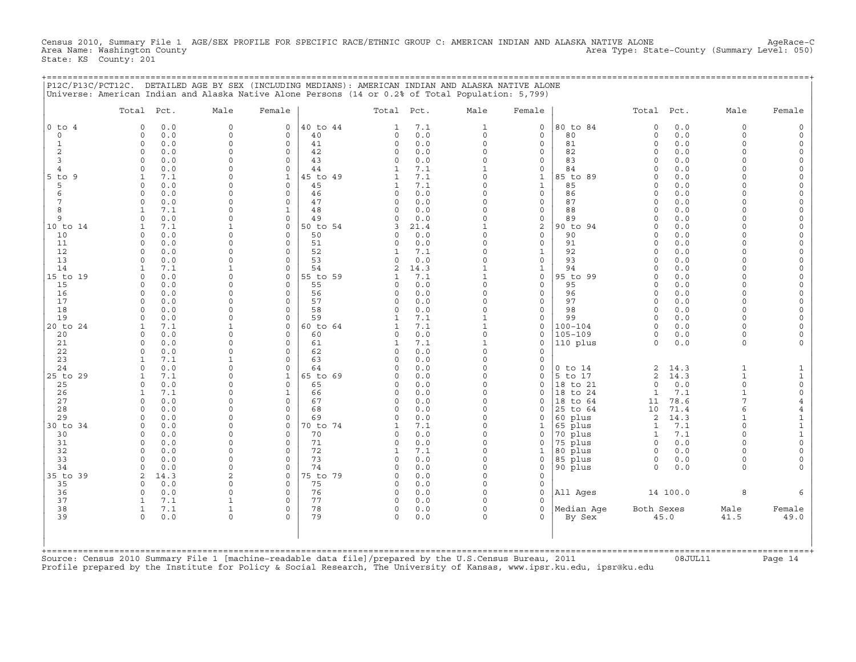Census 2010, Summary File 1 AGE/SEX PROFILE FOR SPECIFIC RACE/ETHNIC GROUP C: AMERICAN INDIAN AND ALASKA NATIVE ALONE AgeRace−C<br>Area Name: Washington County Level: 050) Area Type: State−County (Summary Level: 050) State: KS County: 201

| P12C/P13C/PCT12C. DETAILED AGE BY SEX (INCLUDING MEDIANS): AMERICAN INDIAN AND ALASKA NATIVE ALONE                                                                                                                                                                                                                         |  |
|----------------------------------------------------------------------------------------------------------------------------------------------------------------------------------------------------------------------------------------------------------------------------------------------------------------------------|--|
| $\frac{1}{\text{I}}$ $\frac{1}{2}$ $\frac{1}{2}$ $\frac{1}{2}$ $\frac{1}{2}$ $\frac{1}{2}$ $\frac{1}{2}$ $\frac{1}{2}$ $\frac{1}{2}$ $\frac{1}{2}$ $\frac{1}{2}$ $\frac{1}{2}$ $\frac{1}{2}$ $\frac{1}{2}$ $\frac{1}{2}$ $\frac{1}{2}$ $\frac{1}{2}$ $\frac{1}{2}$ $\frac{1}{2}$ $\frac{1}{2}$ $\frac{1}{2}$ $\frac{1}{2}$ |  |

| $\circ$<br>40 to 44<br>7.1<br>$\mathbf{1}$<br>$\circ$<br>80 to 84<br>0.0<br>$\Omega$<br>$0$ to $4$<br>$\Omega$<br>0.0<br>$\mathbf 0$<br>$\mathbf{1}$<br>$\Omega$<br>0.0<br>$\mathbf 0$<br>40<br>0.0<br>$\circ$<br>80<br>$\mathbf 0$<br>0.0<br>$\Omega$<br>$\circ$<br>$\mathbf 0$<br>0<br>$\mathbf 0$<br>$\Omega$<br>0.0<br>0.0<br>$\mathbf{1}$<br>0.0<br>$\Omega$<br>$\mathbf 0$<br>41<br>$\Omega$<br>$\Omega$<br>$\circ$<br>81<br>$\Omega$<br>$\Omega$<br>$\mathbf 0$<br>$\overline{2}$<br>0.0<br>$\Omega$<br>$\mathbf 0$<br>42<br>0.0<br>$\Omega$<br>$\mathbf{0}$<br>82<br>0.0<br>$\Omega$<br>$\Omega$<br>$\Omega$<br>$\Omega$<br>3<br>0.0<br>$\Omega$<br>$\Omega$<br>43<br>$\mathbf 0$<br>0.0<br>$\Omega$<br>$\mathbf 0$<br>83<br>$\Omega$<br>0.0<br>$\Omega$<br>$\Omega$<br>0.0<br>$\Omega$<br>$\circ$<br>44<br>7.1<br>$\mathbf{1}$<br>0<br>84<br>0.0<br>$\overline{4}$<br>$\mathbf{1}$<br>$\Omega$<br>$\mathbf{1}$<br>45 to 49<br>7.1<br>$\Omega$<br>85 to 89<br>0.0<br>$5$ to $9$<br>7.1<br>$\Omega$<br>$\mathbf{1}$<br>$\Omega$<br>1<br>5<br>0.0<br>$\Omega$<br>$\Omega$<br>45<br>7.1<br>$\Omega$<br>$\mathbf{1}$<br>85<br>0.0<br>$\Omega$<br>1<br>$\Omega$<br>$\cap$<br>6<br>0.0<br>$\Omega$<br>46<br>0.0<br>$\Omega$<br>$\circ$<br>0.0<br>$\Omega$<br>$\Omega$<br>$\Omega$<br>86<br>$\Omega$<br>$\cap$<br>0.0<br>47<br>0.0<br>$\circ$<br>87<br>0.0<br>7<br>$\mathbf 0$<br>$\Omega$<br>0<br>$\Omega$<br>$\Omega$<br>$\cap$<br>$\Omega$<br>8<br>7.1<br>$\Omega$<br>48<br>0.0<br>$\Omega$<br>$\mathbf{0}$<br>88<br>$\Omega$<br>0.0<br>$\cap$<br>$\mathbf{1}$<br>$\Omega$<br>9<br>0.0<br>$\Omega$<br>$\mathbf 0$<br>49<br>0.0<br>$\Omega$<br>0<br>89<br>0.0<br>$\Omega$<br>$\Omega$<br>$\Omega$<br>$\cap$<br>50 to 54<br>2<br>90 to 94<br>0.0<br>10 to 14<br>7.1<br>$\mathbf 0$<br>21.4<br>$\Omega$<br>$\Omega$<br>3<br>50<br>$\circ$<br>90<br>0.0<br>10<br>$\Omega$<br>0.0<br>$\Omega$<br>$\Omega$<br>0.0<br>$\Omega$<br>$\Omega$<br>$\Omega$<br>$\Omega$<br>$\Omega$<br>$\Omega$<br>51<br>0.0<br>$\Omega$<br>$\circ$<br>91<br>0.0<br>11<br>0.0<br>$\Omega$<br>$\Omega$<br>$\Omega$<br>12<br>52<br>7.1<br>$\Omega$<br>$\mathbf{1}$<br>92<br>0.0<br>$\Omega$<br>0.0<br>$\Omega$<br>$\Omega$<br>$\Omega$<br>$\Omega$<br>1<br>13<br>53<br>$\Omega$<br>93<br>0.0<br>0.0<br>$\Omega$<br>$\Omega$<br>$\Omega$<br>0.0<br>$\mathbf{0}$<br>$\Omega$<br>$\cap$<br>14<br>7.1<br>54<br>$\mathbf{1}$<br>94<br>0.0<br>$\mathbf{1}$<br>$\Omega$<br>2<br>14.3<br>$\mathbf 1$<br>$\Omega$<br>95 to 99<br>15 to 19<br>0.0<br>$\Omega$<br>0<br>55 to 59<br>7.1<br>$\mathbf{1}$<br>0<br>$\Omega$<br>0.0<br>$\Omega$<br>1<br>$\cap$<br>15<br>0.0<br>$\Omega$<br>$\Omega$<br>55<br>0.0<br>$\Omega$<br>$\mathbf 0$<br>95<br>$\Omega$<br>0.0<br>$\cap$<br>$\Omega$<br>$\cap$<br>0.0<br>0.0<br>16<br>0.0<br>$\Omega$<br>$\circ$<br>56<br>$\Omega$<br>$\Omega$<br>$\mathbf{0}$<br>96<br>$\Omega$<br>$\Omega$<br>$\Omega$<br>17<br>57<br>$\circ$<br>97<br>0.0<br>$\Omega$<br>$\Omega$<br>$\Omega$<br>0.0<br>$\Omega$<br>$\Omega$<br>0.0<br>$\cap$<br>$\Omega$<br>18<br>$\Omega$<br>58<br>0.0<br>$\Omega$<br>$\circ$<br>98<br>0.0<br>$\Omega$<br>$\Omega$<br>0.0<br>$\circ$<br>$\Omega$<br>$\Omega$<br>19<br>59<br>$\mathbf{1}$<br>99<br>$\Omega$<br>0.0<br>0.0<br>$\Omega$<br>$\Omega$<br>7.1<br>$\mathbf 0$<br>$\cap$<br>$\cap$<br>1<br>7.1<br>7.1<br>0.0<br>20 to 24<br>$\mathbf 0$<br>60 to 64<br>$\mathbf{1}$<br>$\circ$<br>$100 - 104$<br>$\Omega$<br>$\mathbf{1}$<br>$\mathbf{1}$<br>$\Omega$<br>1<br>$\circ$<br>$105 - 109$<br>0.0<br>$\Omega$<br>$\circ$<br>60<br>0.0<br>$\mathbf 0$<br>0.0<br>$\Omega$<br>20<br>$\Omega$<br>0<br>$\Omega$<br>21<br>$\Omega$<br>0.0<br>$\Omega$<br>$\mathbf 0$<br>61<br>7.1<br>$\mathbf{1}$<br>$\mathbf 0$<br>110 plus<br>0.0<br>$\Omega$<br>1<br>$\Omega$<br>22<br>0.0<br>$\Omega$<br>$\Omega$<br>62<br>$\mathbf 0$<br>0.0<br>$\Omega$<br>0<br>7.1<br>23<br>$\Omega$<br>63<br>0.0<br>$\Omega$<br>$\mathbf 0$<br>1<br>$\Omega$<br>$\Omega$<br>$\Omega$<br>24<br>$\cap$<br>0.0<br>$\Omega$<br>64<br>0.0<br>$\mathbf 0$<br>$0$ to $14$<br>2<br>14.3<br>$\mathbf{1}$<br>$\Omega$<br>$\Omega$<br>5 to 17<br>$\overline{c}$<br>14.3<br>$\mathbf{1}$<br>25 to 29<br>7.1<br>$\Omega$<br>$\mathbf{1}$<br>65 to 69<br>0.0<br>$\mathbf 0$<br>$\Omega$<br>25<br>0.0<br>$\mathbf 0$<br>65<br>0.0<br>$\Omega$<br>$\circ$<br>18 to 21<br>$\Omega$<br>0.0<br>$\Omega$<br>$\Omega$<br>$\Omega$<br>$\Omega$<br>26<br>7.1<br>$\Omega$<br>$\mathbf{1}$<br>66<br>0.0<br>$\Omega$<br>$\mathbf{0}$<br>18 to 24<br>$\mathbf{1}$<br>7.1<br>$\Omega$<br>$\overline{7}$<br>27<br>0.0<br>$\Omega$<br>$\Omega$<br>67<br>0.0<br>$\Omega$<br>$\mathbf 0$<br>18 to 64<br>78.6<br>$\Omega$<br>0<br>11<br>28<br>0.0<br>$\Omega$<br>$\Omega$<br>68<br>0.0<br>$\Omega$<br>25 to 64<br>10<br>71.4<br>6<br>$\cap$<br>$\Omega$<br>0<br>29<br>0.0<br>0.0<br>60 plus<br>2<br>14.3<br>$\Omega$<br>$\circ$<br>69<br>$\Omega$<br>$\mathbf 0$<br>$\cap$<br>$\Omega$<br>30 to 34<br>70 to 74<br>$\Omega$<br>65 plus<br>7.1<br>$\Omega$<br>0.0<br>$\Omega$<br>$\Omega$<br>7.1<br>$\mathbf{1}$<br>$\Omega$<br>1<br>1<br>0.0<br>0.0<br>$\Omega$<br>70 plus<br>7.1<br>$\Omega$<br>30<br>$\Omega$<br>$\Omega$<br>70<br>$\Omega$<br>$\mathbf 0$<br>$\mathbf{1}$<br>$\Omega$<br>31<br>$\Omega$<br>71<br>0.0<br>$\Omega$<br>75 plus<br>0.0<br>$\Omega$<br>0.0<br>$\Omega$<br>$\Omega$<br>$\mathbf 0$<br>$\Omega$<br>$\Omega$<br>32<br>0.0<br>$\Omega$<br>72<br>7.1<br>$\Omega$<br>80 plus<br>0.0<br>$\Omega$<br>$\Omega$<br>$\mathbf{1}$<br>$\mathbf 1$<br>$\Omega$<br>$\Omega$<br>33<br>$\Omega$<br>$\circ$<br>73<br>$\Omega$<br>85 plus<br>$\Omega$<br>0.0<br>0<br>0.0<br>0<br>0<br>0.0<br>$\Omega$<br>74<br>90 plus<br>34<br>0.0<br>$\Omega$<br>$\Omega$<br>$\Omega$<br>0.0<br>$\Omega$<br>$\mathbf 0$<br>$\Omega$<br>0.0<br>$\Omega$<br>$\cap$<br>35 to 39<br>14.3<br>$\overline{a}$<br>$\mathbf 0$<br>75 to 79<br>0.0<br>$\Omega$<br>$\mathbf{0}$<br>2<br>$\Omega$<br>75<br>35<br>0.0<br>$\Omega$<br>$\Omega$<br>$\Omega$<br>0.0<br>$\Omega$<br>$\mathbf{0}$<br>$\Omega$<br>76<br>All Ages<br>8<br>36<br>0.0<br>$\Omega$<br>$\mathbf 0$<br>0.0<br>$\Omega$<br>$\mathbf{0}$<br>14 100.0<br>$\Omega$<br>0<br>37<br>7.1<br>77<br>$\Omega$<br>$\Omega$<br>0.0<br>$\Omega$<br>$\Omega$<br>$\mathbf{1}$<br>38<br>7.1<br>78<br>0.0<br>$\circ$<br>Median Aqe<br>Both Sexes<br>$\circ$<br>0<br>$\circ$<br>Male<br>1<br>1<br>39<br>79<br>0.0<br>$\Omega$<br>$\Omega$<br>0.0<br>$\Omega$<br>45.0<br>41.5<br>$\Omega$<br>$\Omega$<br>$\Omega$<br>By Sex | Total Pct. | Male | Female | Total Pct. | Male | Female | Total Pct. | Male | Female                  |
|----------------------------------------------------------------------------------------------------------------------------------------------------------------------------------------------------------------------------------------------------------------------------------------------------------------------------------------------------------------------------------------------------------------------------------------------------------------------------------------------------------------------------------------------------------------------------------------------------------------------------------------------------------------------------------------------------------------------------------------------------------------------------------------------------------------------------------------------------------------------------------------------------------------------------------------------------------------------------------------------------------------------------------------------------------------------------------------------------------------------------------------------------------------------------------------------------------------------------------------------------------------------------------------------------------------------------------------------------------------------------------------------------------------------------------------------------------------------------------------------------------------------------------------------------------------------------------------------------------------------------------------------------------------------------------------------------------------------------------------------------------------------------------------------------------------------------------------------------------------------------------------------------------------------------------------------------------------------------------------------------------------------------------------------------------------------------------------------------------------------------------------------------------------------------------------------------------------------------------------------------------------------------------------------------------------------------------------------------------------------------------------------------------------------------------------------------------------------------------------------------------------------------------------------------------------------------------------------------------------------------------------------------------------------------------------------------------------------------------------------------------------------------------------------------------------------------------------------------------------------------------------------------------------------------------------------------------------------------------------------------------------------------------------------------------------------------------------------------------------------------------------------------------------------------------------------------------------------------------------------------------------------------------------------------------------------------------------------------------------------------------------------------------------------------------------------------------------------------------------------------------------------------------------------------------------------------------------------------------------------------------------------------------------------------------------------------------------------------------------------------------------------------------------------------------------------------------------------------------------------------------------------------------------------------------------------------------------------------------------------------------------------------------------------------------------------------------------------------------------------------------------------------------------------------------------------------------------------------------------------------------------------------------------------------------------------------------------------------------------------------------------------------------------------------------------------------------------------------------------------------------------------------------------------------------------------------------------------------------------------------------------------------------------------------------------------------------------------------------------------------------------------------------------------------------------------------------------------------------------------------------------------------------------------------------------------------------------------------------------------------------------------------------------------------------------------------------------------------------------------------------------------------------------------------------------------------------------------------------------------------------------------------------------------------------------------------------------------------------------------------------------------------------------------------------------------------------------------------------------------------------------------------------------------------------------------------------------------------------------------------------------------------------------------------------------------------------------------------------------------------------------------------------------------------------------------------------------------------------------------------------------------------------------------------------------------------------------------------------------------------------------------------------------------------------------------------------------------------------------------------------------------------------------------------------------------------------------------------------------------------------------------------------------------------------------------------------------------------------------------------------------------------------------------------------------------------------------------------------------------------------------|------------|------|--------|------------|------|--------|------------|------|-------------------------|
|                                                                                                                                                                                                                                                                                                                                                                                                                                                                                                                                                                                                                                                                                                                                                                                                                                                                                                                                                                                                                                                                                                                                                                                                                                                                                                                                                                                                                                                                                                                                                                                                                                                                                                                                                                                                                                                                                                                                                                                                                                                                                                                                                                                                                                                                                                                                                                                                                                                                                                                                                                                                                                                                                                                                                                                                                                                                                                                                                                                                                                                                                                                                                                                                                                                                                                                                                                                                                                                                                                                                                                                                                                                                                                                                                                                                                                                                                                                                                                                                                                                                                                                                                                                                                                                                                                                                                                                                                                                                                                                                                                                                                                                                                                                                                                                                                                                                                                                                                                                                                                                                                                                                                                                                                                                                                                                                                                                                                                                                                                                                                                                                                                                                                                                                                                                                                                                                                                                                                                                                                                                                                                                                                                                                                                                                                                                                                                                                                                                                                                                |            |      |        |            |      |        |            |      | $\Omega$                |
|                                                                                                                                                                                                                                                                                                                                                                                                                                                                                                                                                                                                                                                                                                                                                                                                                                                                                                                                                                                                                                                                                                                                                                                                                                                                                                                                                                                                                                                                                                                                                                                                                                                                                                                                                                                                                                                                                                                                                                                                                                                                                                                                                                                                                                                                                                                                                                                                                                                                                                                                                                                                                                                                                                                                                                                                                                                                                                                                                                                                                                                                                                                                                                                                                                                                                                                                                                                                                                                                                                                                                                                                                                                                                                                                                                                                                                                                                                                                                                                                                                                                                                                                                                                                                                                                                                                                                                                                                                                                                                                                                                                                                                                                                                                                                                                                                                                                                                                                                                                                                                                                                                                                                                                                                                                                                                                                                                                                                                                                                                                                                                                                                                                                                                                                                                                                                                                                                                                                                                                                                                                                                                                                                                                                                                                                                                                                                                                                                                                                                                                |            |      |        |            |      |        |            |      | $\Omega$                |
|                                                                                                                                                                                                                                                                                                                                                                                                                                                                                                                                                                                                                                                                                                                                                                                                                                                                                                                                                                                                                                                                                                                                                                                                                                                                                                                                                                                                                                                                                                                                                                                                                                                                                                                                                                                                                                                                                                                                                                                                                                                                                                                                                                                                                                                                                                                                                                                                                                                                                                                                                                                                                                                                                                                                                                                                                                                                                                                                                                                                                                                                                                                                                                                                                                                                                                                                                                                                                                                                                                                                                                                                                                                                                                                                                                                                                                                                                                                                                                                                                                                                                                                                                                                                                                                                                                                                                                                                                                                                                                                                                                                                                                                                                                                                                                                                                                                                                                                                                                                                                                                                                                                                                                                                                                                                                                                                                                                                                                                                                                                                                                                                                                                                                                                                                                                                                                                                                                                                                                                                                                                                                                                                                                                                                                                                                                                                                                                                                                                                                                                |            |      |        |            |      |        |            |      |                         |
|                                                                                                                                                                                                                                                                                                                                                                                                                                                                                                                                                                                                                                                                                                                                                                                                                                                                                                                                                                                                                                                                                                                                                                                                                                                                                                                                                                                                                                                                                                                                                                                                                                                                                                                                                                                                                                                                                                                                                                                                                                                                                                                                                                                                                                                                                                                                                                                                                                                                                                                                                                                                                                                                                                                                                                                                                                                                                                                                                                                                                                                                                                                                                                                                                                                                                                                                                                                                                                                                                                                                                                                                                                                                                                                                                                                                                                                                                                                                                                                                                                                                                                                                                                                                                                                                                                                                                                                                                                                                                                                                                                                                                                                                                                                                                                                                                                                                                                                                                                                                                                                                                                                                                                                                                                                                                                                                                                                                                                                                                                                                                                                                                                                                                                                                                                                                                                                                                                                                                                                                                                                                                                                                                                                                                                                                                                                                                                                                                                                                                                                |            |      |        |            |      |        |            |      | $\Omega$                |
|                                                                                                                                                                                                                                                                                                                                                                                                                                                                                                                                                                                                                                                                                                                                                                                                                                                                                                                                                                                                                                                                                                                                                                                                                                                                                                                                                                                                                                                                                                                                                                                                                                                                                                                                                                                                                                                                                                                                                                                                                                                                                                                                                                                                                                                                                                                                                                                                                                                                                                                                                                                                                                                                                                                                                                                                                                                                                                                                                                                                                                                                                                                                                                                                                                                                                                                                                                                                                                                                                                                                                                                                                                                                                                                                                                                                                                                                                                                                                                                                                                                                                                                                                                                                                                                                                                                                                                                                                                                                                                                                                                                                                                                                                                                                                                                                                                                                                                                                                                                                                                                                                                                                                                                                                                                                                                                                                                                                                                                                                                                                                                                                                                                                                                                                                                                                                                                                                                                                                                                                                                                                                                                                                                                                                                                                                                                                                                                                                                                                                                                |            |      |        |            |      |        |            |      | $\Omega$<br>$\Omega$    |
|                                                                                                                                                                                                                                                                                                                                                                                                                                                                                                                                                                                                                                                                                                                                                                                                                                                                                                                                                                                                                                                                                                                                                                                                                                                                                                                                                                                                                                                                                                                                                                                                                                                                                                                                                                                                                                                                                                                                                                                                                                                                                                                                                                                                                                                                                                                                                                                                                                                                                                                                                                                                                                                                                                                                                                                                                                                                                                                                                                                                                                                                                                                                                                                                                                                                                                                                                                                                                                                                                                                                                                                                                                                                                                                                                                                                                                                                                                                                                                                                                                                                                                                                                                                                                                                                                                                                                                                                                                                                                                                                                                                                                                                                                                                                                                                                                                                                                                                                                                                                                                                                                                                                                                                                                                                                                                                                                                                                                                                                                                                                                                                                                                                                                                                                                                                                                                                                                                                                                                                                                                                                                                                                                                                                                                                                                                                                                                                                                                                                                                                |            |      |        |            |      |        |            |      | $\Omega$                |
|                                                                                                                                                                                                                                                                                                                                                                                                                                                                                                                                                                                                                                                                                                                                                                                                                                                                                                                                                                                                                                                                                                                                                                                                                                                                                                                                                                                                                                                                                                                                                                                                                                                                                                                                                                                                                                                                                                                                                                                                                                                                                                                                                                                                                                                                                                                                                                                                                                                                                                                                                                                                                                                                                                                                                                                                                                                                                                                                                                                                                                                                                                                                                                                                                                                                                                                                                                                                                                                                                                                                                                                                                                                                                                                                                                                                                                                                                                                                                                                                                                                                                                                                                                                                                                                                                                                                                                                                                                                                                                                                                                                                                                                                                                                                                                                                                                                                                                                                                                                                                                                                                                                                                                                                                                                                                                                                                                                                                                                                                                                                                                                                                                                                                                                                                                                                                                                                                                                                                                                                                                                                                                                                                                                                                                                                                                                                                                                                                                                                                                                |            |      |        |            |      |        |            |      | $\Omega$                |
|                                                                                                                                                                                                                                                                                                                                                                                                                                                                                                                                                                                                                                                                                                                                                                                                                                                                                                                                                                                                                                                                                                                                                                                                                                                                                                                                                                                                                                                                                                                                                                                                                                                                                                                                                                                                                                                                                                                                                                                                                                                                                                                                                                                                                                                                                                                                                                                                                                                                                                                                                                                                                                                                                                                                                                                                                                                                                                                                                                                                                                                                                                                                                                                                                                                                                                                                                                                                                                                                                                                                                                                                                                                                                                                                                                                                                                                                                                                                                                                                                                                                                                                                                                                                                                                                                                                                                                                                                                                                                                                                                                                                                                                                                                                                                                                                                                                                                                                                                                                                                                                                                                                                                                                                                                                                                                                                                                                                                                                                                                                                                                                                                                                                                                                                                                                                                                                                                                                                                                                                                                                                                                                                                                                                                                                                                                                                                                                                                                                                                                                |            |      |        |            |      |        |            |      | $\Omega$                |
|                                                                                                                                                                                                                                                                                                                                                                                                                                                                                                                                                                                                                                                                                                                                                                                                                                                                                                                                                                                                                                                                                                                                                                                                                                                                                                                                                                                                                                                                                                                                                                                                                                                                                                                                                                                                                                                                                                                                                                                                                                                                                                                                                                                                                                                                                                                                                                                                                                                                                                                                                                                                                                                                                                                                                                                                                                                                                                                                                                                                                                                                                                                                                                                                                                                                                                                                                                                                                                                                                                                                                                                                                                                                                                                                                                                                                                                                                                                                                                                                                                                                                                                                                                                                                                                                                                                                                                                                                                                                                                                                                                                                                                                                                                                                                                                                                                                                                                                                                                                                                                                                                                                                                                                                                                                                                                                                                                                                                                                                                                                                                                                                                                                                                                                                                                                                                                                                                                                                                                                                                                                                                                                                                                                                                                                                                                                                                                                                                                                                                                                |            |      |        |            |      |        |            |      | $\Omega$                |
|                                                                                                                                                                                                                                                                                                                                                                                                                                                                                                                                                                                                                                                                                                                                                                                                                                                                                                                                                                                                                                                                                                                                                                                                                                                                                                                                                                                                                                                                                                                                                                                                                                                                                                                                                                                                                                                                                                                                                                                                                                                                                                                                                                                                                                                                                                                                                                                                                                                                                                                                                                                                                                                                                                                                                                                                                                                                                                                                                                                                                                                                                                                                                                                                                                                                                                                                                                                                                                                                                                                                                                                                                                                                                                                                                                                                                                                                                                                                                                                                                                                                                                                                                                                                                                                                                                                                                                                                                                                                                                                                                                                                                                                                                                                                                                                                                                                                                                                                                                                                                                                                                                                                                                                                                                                                                                                                                                                                                                                                                                                                                                                                                                                                                                                                                                                                                                                                                                                                                                                                                                                                                                                                                                                                                                                                                                                                                                                                                                                                                                                |            |      |        |            |      |        |            |      | $\mathbf 0$             |
|                                                                                                                                                                                                                                                                                                                                                                                                                                                                                                                                                                                                                                                                                                                                                                                                                                                                                                                                                                                                                                                                                                                                                                                                                                                                                                                                                                                                                                                                                                                                                                                                                                                                                                                                                                                                                                                                                                                                                                                                                                                                                                                                                                                                                                                                                                                                                                                                                                                                                                                                                                                                                                                                                                                                                                                                                                                                                                                                                                                                                                                                                                                                                                                                                                                                                                                                                                                                                                                                                                                                                                                                                                                                                                                                                                                                                                                                                                                                                                                                                                                                                                                                                                                                                                                                                                                                                                                                                                                                                                                                                                                                                                                                                                                                                                                                                                                                                                                                                                                                                                                                                                                                                                                                                                                                                                                                                                                                                                                                                                                                                                                                                                                                                                                                                                                                                                                                                                                                                                                                                                                                                                                                                                                                                                                                                                                                                                                                                                                                                                                |            |      |        |            |      |        |            |      | $\mathbf 0$             |
|                                                                                                                                                                                                                                                                                                                                                                                                                                                                                                                                                                                                                                                                                                                                                                                                                                                                                                                                                                                                                                                                                                                                                                                                                                                                                                                                                                                                                                                                                                                                                                                                                                                                                                                                                                                                                                                                                                                                                                                                                                                                                                                                                                                                                                                                                                                                                                                                                                                                                                                                                                                                                                                                                                                                                                                                                                                                                                                                                                                                                                                                                                                                                                                                                                                                                                                                                                                                                                                                                                                                                                                                                                                                                                                                                                                                                                                                                                                                                                                                                                                                                                                                                                                                                                                                                                                                                                                                                                                                                                                                                                                                                                                                                                                                                                                                                                                                                                                                                                                                                                                                                                                                                                                                                                                                                                                                                                                                                                                                                                                                                                                                                                                                                                                                                                                                                                                                                                                                                                                                                                                                                                                                                                                                                                                                                                                                                                                                                                                                                                                |            |      |        |            |      |        |            |      | $\Omega$                |
|                                                                                                                                                                                                                                                                                                                                                                                                                                                                                                                                                                                                                                                                                                                                                                                                                                                                                                                                                                                                                                                                                                                                                                                                                                                                                                                                                                                                                                                                                                                                                                                                                                                                                                                                                                                                                                                                                                                                                                                                                                                                                                                                                                                                                                                                                                                                                                                                                                                                                                                                                                                                                                                                                                                                                                                                                                                                                                                                                                                                                                                                                                                                                                                                                                                                                                                                                                                                                                                                                                                                                                                                                                                                                                                                                                                                                                                                                                                                                                                                                                                                                                                                                                                                                                                                                                                                                                                                                                                                                                                                                                                                                                                                                                                                                                                                                                                                                                                                                                                                                                                                                                                                                                                                                                                                                                                                                                                                                                                                                                                                                                                                                                                                                                                                                                                                                                                                                                                                                                                                                                                                                                                                                                                                                                                                                                                                                                                                                                                                                                                |            |      |        |            |      |        |            |      | $\Omega$                |
|                                                                                                                                                                                                                                                                                                                                                                                                                                                                                                                                                                                                                                                                                                                                                                                                                                                                                                                                                                                                                                                                                                                                                                                                                                                                                                                                                                                                                                                                                                                                                                                                                                                                                                                                                                                                                                                                                                                                                                                                                                                                                                                                                                                                                                                                                                                                                                                                                                                                                                                                                                                                                                                                                                                                                                                                                                                                                                                                                                                                                                                                                                                                                                                                                                                                                                                                                                                                                                                                                                                                                                                                                                                                                                                                                                                                                                                                                                                                                                                                                                                                                                                                                                                                                                                                                                                                                                                                                                                                                                                                                                                                                                                                                                                                                                                                                                                                                                                                                                                                                                                                                                                                                                                                                                                                                                                                                                                                                                                                                                                                                                                                                                                                                                                                                                                                                                                                                                                                                                                                                                                                                                                                                                                                                                                                                                                                                                                                                                                                                                                |            |      |        |            |      |        |            |      |                         |
|                                                                                                                                                                                                                                                                                                                                                                                                                                                                                                                                                                                                                                                                                                                                                                                                                                                                                                                                                                                                                                                                                                                                                                                                                                                                                                                                                                                                                                                                                                                                                                                                                                                                                                                                                                                                                                                                                                                                                                                                                                                                                                                                                                                                                                                                                                                                                                                                                                                                                                                                                                                                                                                                                                                                                                                                                                                                                                                                                                                                                                                                                                                                                                                                                                                                                                                                                                                                                                                                                                                                                                                                                                                                                                                                                                                                                                                                                                                                                                                                                                                                                                                                                                                                                                                                                                                                                                                                                                                                                                                                                                                                                                                                                                                                                                                                                                                                                                                                                                                                                                                                                                                                                                                                                                                                                                                                                                                                                                                                                                                                                                                                                                                                                                                                                                                                                                                                                                                                                                                                                                                                                                                                                                                                                                                                                                                                                                                                                                                                                                                |            |      |        |            |      |        |            |      | $\Omega$                |
|                                                                                                                                                                                                                                                                                                                                                                                                                                                                                                                                                                                                                                                                                                                                                                                                                                                                                                                                                                                                                                                                                                                                                                                                                                                                                                                                                                                                                                                                                                                                                                                                                                                                                                                                                                                                                                                                                                                                                                                                                                                                                                                                                                                                                                                                                                                                                                                                                                                                                                                                                                                                                                                                                                                                                                                                                                                                                                                                                                                                                                                                                                                                                                                                                                                                                                                                                                                                                                                                                                                                                                                                                                                                                                                                                                                                                                                                                                                                                                                                                                                                                                                                                                                                                                                                                                                                                                                                                                                                                                                                                                                                                                                                                                                                                                                                                                                                                                                                                                                                                                                                                                                                                                                                                                                                                                                                                                                                                                                                                                                                                                                                                                                                                                                                                                                                                                                                                                                                                                                                                                                                                                                                                                                                                                                                                                                                                                                                                                                                                                                |            |      |        |            |      |        |            |      | $\Omega$                |
|                                                                                                                                                                                                                                                                                                                                                                                                                                                                                                                                                                                                                                                                                                                                                                                                                                                                                                                                                                                                                                                                                                                                                                                                                                                                                                                                                                                                                                                                                                                                                                                                                                                                                                                                                                                                                                                                                                                                                                                                                                                                                                                                                                                                                                                                                                                                                                                                                                                                                                                                                                                                                                                                                                                                                                                                                                                                                                                                                                                                                                                                                                                                                                                                                                                                                                                                                                                                                                                                                                                                                                                                                                                                                                                                                                                                                                                                                                                                                                                                                                                                                                                                                                                                                                                                                                                                                                                                                                                                                                                                                                                                                                                                                                                                                                                                                                                                                                                                                                                                                                                                                                                                                                                                                                                                                                                                                                                                                                                                                                                                                                                                                                                                                                                                                                                                                                                                                                                                                                                                                                                                                                                                                                                                                                                                                                                                                                                                                                                                                                                |            |      |        |            |      |        |            |      | $\Omega$                |
|                                                                                                                                                                                                                                                                                                                                                                                                                                                                                                                                                                                                                                                                                                                                                                                                                                                                                                                                                                                                                                                                                                                                                                                                                                                                                                                                                                                                                                                                                                                                                                                                                                                                                                                                                                                                                                                                                                                                                                                                                                                                                                                                                                                                                                                                                                                                                                                                                                                                                                                                                                                                                                                                                                                                                                                                                                                                                                                                                                                                                                                                                                                                                                                                                                                                                                                                                                                                                                                                                                                                                                                                                                                                                                                                                                                                                                                                                                                                                                                                                                                                                                                                                                                                                                                                                                                                                                                                                                                                                                                                                                                                                                                                                                                                                                                                                                                                                                                                                                                                                                                                                                                                                                                                                                                                                                                                                                                                                                                                                                                                                                                                                                                                                                                                                                                                                                                                                                                                                                                                                                                                                                                                                                                                                                                                                                                                                                                                                                                                                                                |            |      |        |            |      |        |            |      | $\Omega$<br>$\Omega$    |
|                                                                                                                                                                                                                                                                                                                                                                                                                                                                                                                                                                                                                                                                                                                                                                                                                                                                                                                                                                                                                                                                                                                                                                                                                                                                                                                                                                                                                                                                                                                                                                                                                                                                                                                                                                                                                                                                                                                                                                                                                                                                                                                                                                                                                                                                                                                                                                                                                                                                                                                                                                                                                                                                                                                                                                                                                                                                                                                                                                                                                                                                                                                                                                                                                                                                                                                                                                                                                                                                                                                                                                                                                                                                                                                                                                                                                                                                                                                                                                                                                                                                                                                                                                                                                                                                                                                                                                                                                                                                                                                                                                                                                                                                                                                                                                                                                                                                                                                                                                                                                                                                                                                                                                                                                                                                                                                                                                                                                                                                                                                                                                                                                                                                                                                                                                                                                                                                                                                                                                                                                                                                                                                                                                                                                                                                                                                                                                                                                                                                                                                |            |      |        |            |      |        |            |      | $\Omega$                |
|                                                                                                                                                                                                                                                                                                                                                                                                                                                                                                                                                                                                                                                                                                                                                                                                                                                                                                                                                                                                                                                                                                                                                                                                                                                                                                                                                                                                                                                                                                                                                                                                                                                                                                                                                                                                                                                                                                                                                                                                                                                                                                                                                                                                                                                                                                                                                                                                                                                                                                                                                                                                                                                                                                                                                                                                                                                                                                                                                                                                                                                                                                                                                                                                                                                                                                                                                                                                                                                                                                                                                                                                                                                                                                                                                                                                                                                                                                                                                                                                                                                                                                                                                                                                                                                                                                                                                                                                                                                                                                                                                                                                                                                                                                                                                                                                                                                                                                                                                                                                                                                                                                                                                                                                                                                                                                                                                                                                                                                                                                                                                                                                                                                                                                                                                                                                                                                                                                                                                                                                                                                                                                                                                                                                                                                                                                                                                                                                                                                                                                                |            |      |        |            |      |        |            |      | $\Omega$                |
|                                                                                                                                                                                                                                                                                                                                                                                                                                                                                                                                                                                                                                                                                                                                                                                                                                                                                                                                                                                                                                                                                                                                                                                                                                                                                                                                                                                                                                                                                                                                                                                                                                                                                                                                                                                                                                                                                                                                                                                                                                                                                                                                                                                                                                                                                                                                                                                                                                                                                                                                                                                                                                                                                                                                                                                                                                                                                                                                                                                                                                                                                                                                                                                                                                                                                                                                                                                                                                                                                                                                                                                                                                                                                                                                                                                                                                                                                                                                                                                                                                                                                                                                                                                                                                                                                                                                                                                                                                                                                                                                                                                                                                                                                                                                                                                                                                                                                                                                                                                                                                                                                                                                                                                                                                                                                                                                                                                                                                                                                                                                                                                                                                                                                                                                                                                                                                                                                                                                                                                                                                                                                                                                                                                                                                                                                                                                                                                                                                                                                                                |            |      |        |            |      |        |            |      | $\Omega$                |
|                                                                                                                                                                                                                                                                                                                                                                                                                                                                                                                                                                                                                                                                                                                                                                                                                                                                                                                                                                                                                                                                                                                                                                                                                                                                                                                                                                                                                                                                                                                                                                                                                                                                                                                                                                                                                                                                                                                                                                                                                                                                                                                                                                                                                                                                                                                                                                                                                                                                                                                                                                                                                                                                                                                                                                                                                                                                                                                                                                                                                                                                                                                                                                                                                                                                                                                                                                                                                                                                                                                                                                                                                                                                                                                                                                                                                                                                                                                                                                                                                                                                                                                                                                                                                                                                                                                                                                                                                                                                                                                                                                                                                                                                                                                                                                                                                                                                                                                                                                                                                                                                                                                                                                                                                                                                                                                                                                                                                                                                                                                                                                                                                                                                                                                                                                                                                                                                                                                                                                                                                                                                                                                                                                                                                                                                                                                                                                                                                                                                                                                |            |      |        |            |      |        |            |      | $\Omega$                |
|                                                                                                                                                                                                                                                                                                                                                                                                                                                                                                                                                                                                                                                                                                                                                                                                                                                                                                                                                                                                                                                                                                                                                                                                                                                                                                                                                                                                                                                                                                                                                                                                                                                                                                                                                                                                                                                                                                                                                                                                                                                                                                                                                                                                                                                                                                                                                                                                                                                                                                                                                                                                                                                                                                                                                                                                                                                                                                                                                                                                                                                                                                                                                                                                                                                                                                                                                                                                                                                                                                                                                                                                                                                                                                                                                                                                                                                                                                                                                                                                                                                                                                                                                                                                                                                                                                                                                                                                                                                                                                                                                                                                                                                                                                                                                                                                                                                                                                                                                                                                                                                                                                                                                                                                                                                                                                                                                                                                                                                                                                                                                                                                                                                                                                                                                                                                                                                                                                                                                                                                                                                                                                                                                                                                                                                                                                                                                                                                                                                                                                                |            |      |        |            |      |        |            |      |                         |
|                                                                                                                                                                                                                                                                                                                                                                                                                                                                                                                                                                                                                                                                                                                                                                                                                                                                                                                                                                                                                                                                                                                                                                                                                                                                                                                                                                                                                                                                                                                                                                                                                                                                                                                                                                                                                                                                                                                                                                                                                                                                                                                                                                                                                                                                                                                                                                                                                                                                                                                                                                                                                                                                                                                                                                                                                                                                                                                                                                                                                                                                                                                                                                                                                                                                                                                                                                                                                                                                                                                                                                                                                                                                                                                                                                                                                                                                                                                                                                                                                                                                                                                                                                                                                                                                                                                                                                                                                                                                                                                                                                                                                                                                                                                                                                                                                                                                                                                                                                                                                                                                                                                                                                                                                                                                                                                                                                                                                                                                                                                                                                                                                                                                                                                                                                                                                                                                                                                                                                                                                                                                                                                                                                                                                                                                                                                                                                                                                                                                                                                |            |      |        |            |      |        |            |      |                         |
|                                                                                                                                                                                                                                                                                                                                                                                                                                                                                                                                                                                                                                                                                                                                                                                                                                                                                                                                                                                                                                                                                                                                                                                                                                                                                                                                                                                                                                                                                                                                                                                                                                                                                                                                                                                                                                                                                                                                                                                                                                                                                                                                                                                                                                                                                                                                                                                                                                                                                                                                                                                                                                                                                                                                                                                                                                                                                                                                                                                                                                                                                                                                                                                                                                                                                                                                                                                                                                                                                                                                                                                                                                                                                                                                                                                                                                                                                                                                                                                                                                                                                                                                                                                                                                                                                                                                                                                                                                                                                                                                                                                                                                                                                                                                                                                                                                                                                                                                                                                                                                                                                                                                                                                                                                                                                                                                                                                                                                                                                                                                                                                                                                                                                                                                                                                                                                                                                                                                                                                                                                                                                                                                                                                                                                                                                                                                                                                                                                                                                                                |            |      |        |            |      |        |            |      |                         |
|                                                                                                                                                                                                                                                                                                                                                                                                                                                                                                                                                                                                                                                                                                                                                                                                                                                                                                                                                                                                                                                                                                                                                                                                                                                                                                                                                                                                                                                                                                                                                                                                                                                                                                                                                                                                                                                                                                                                                                                                                                                                                                                                                                                                                                                                                                                                                                                                                                                                                                                                                                                                                                                                                                                                                                                                                                                                                                                                                                                                                                                                                                                                                                                                                                                                                                                                                                                                                                                                                                                                                                                                                                                                                                                                                                                                                                                                                                                                                                                                                                                                                                                                                                                                                                                                                                                                                                                                                                                                                                                                                                                                                                                                                                                                                                                                                                                                                                                                                                                                                                                                                                                                                                                                                                                                                                                                                                                                                                                                                                                                                                                                                                                                                                                                                                                                                                                                                                                                                                                                                                                                                                                                                                                                                                                                                                                                                                                                                                                                                                                |            |      |        |            |      |        |            |      |                         |
|                                                                                                                                                                                                                                                                                                                                                                                                                                                                                                                                                                                                                                                                                                                                                                                                                                                                                                                                                                                                                                                                                                                                                                                                                                                                                                                                                                                                                                                                                                                                                                                                                                                                                                                                                                                                                                                                                                                                                                                                                                                                                                                                                                                                                                                                                                                                                                                                                                                                                                                                                                                                                                                                                                                                                                                                                                                                                                                                                                                                                                                                                                                                                                                                                                                                                                                                                                                                                                                                                                                                                                                                                                                                                                                                                                                                                                                                                                                                                                                                                                                                                                                                                                                                                                                                                                                                                                                                                                                                                                                                                                                                                                                                                                                                                                                                                                                                                                                                                                                                                                                                                                                                                                                                                                                                                                                                                                                                                                                                                                                                                                                                                                                                                                                                                                                                                                                                                                                                                                                                                                                                                                                                                                                                                                                                                                                                                                                                                                                                                                                |            |      |        |            |      |        |            |      |                         |
|                                                                                                                                                                                                                                                                                                                                                                                                                                                                                                                                                                                                                                                                                                                                                                                                                                                                                                                                                                                                                                                                                                                                                                                                                                                                                                                                                                                                                                                                                                                                                                                                                                                                                                                                                                                                                                                                                                                                                                                                                                                                                                                                                                                                                                                                                                                                                                                                                                                                                                                                                                                                                                                                                                                                                                                                                                                                                                                                                                                                                                                                                                                                                                                                                                                                                                                                                                                                                                                                                                                                                                                                                                                                                                                                                                                                                                                                                                                                                                                                                                                                                                                                                                                                                                                                                                                                                                                                                                                                                                                                                                                                                                                                                                                                                                                                                                                                                                                                                                                                                                                                                                                                                                                                                                                                                                                                                                                                                                                                                                                                                                                                                                                                                                                                                                                                                                                                                                                                                                                                                                                                                                                                                                                                                                                                                                                                                                                                                                                                                                                |            |      |        |            |      |        |            |      | 1                       |
|                                                                                                                                                                                                                                                                                                                                                                                                                                                                                                                                                                                                                                                                                                                                                                                                                                                                                                                                                                                                                                                                                                                                                                                                                                                                                                                                                                                                                                                                                                                                                                                                                                                                                                                                                                                                                                                                                                                                                                                                                                                                                                                                                                                                                                                                                                                                                                                                                                                                                                                                                                                                                                                                                                                                                                                                                                                                                                                                                                                                                                                                                                                                                                                                                                                                                                                                                                                                                                                                                                                                                                                                                                                                                                                                                                                                                                                                                                                                                                                                                                                                                                                                                                                                                                                                                                                                                                                                                                                                                                                                                                                                                                                                                                                                                                                                                                                                                                                                                                                                                                                                                                                                                                                                                                                                                                                                                                                                                                                                                                                                                                                                                                                                                                                                                                                                                                                                                                                                                                                                                                                                                                                                                                                                                                                                                                                                                                                                                                                                                                                |            |      |        |            |      |        |            |      | $\mathbf{1}$<br>$\circ$ |
|                                                                                                                                                                                                                                                                                                                                                                                                                                                                                                                                                                                                                                                                                                                                                                                                                                                                                                                                                                                                                                                                                                                                                                                                                                                                                                                                                                                                                                                                                                                                                                                                                                                                                                                                                                                                                                                                                                                                                                                                                                                                                                                                                                                                                                                                                                                                                                                                                                                                                                                                                                                                                                                                                                                                                                                                                                                                                                                                                                                                                                                                                                                                                                                                                                                                                                                                                                                                                                                                                                                                                                                                                                                                                                                                                                                                                                                                                                                                                                                                                                                                                                                                                                                                                                                                                                                                                                                                                                                                                                                                                                                                                                                                                                                                                                                                                                                                                                                                                                                                                                                                                                                                                                                                                                                                                                                                                                                                                                                                                                                                                                                                                                                                                                                                                                                                                                                                                                                                                                                                                                                                                                                                                                                                                                                                                                                                                                                                                                                                                                                |            |      |        |            |      |        |            |      | $\mathsf{O}\xspace$     |
|                                                                                                                                                                                                                                                                                                                                                                                                                                                                                                                                                                                                                                                                                                                                                                                                                                                                                                                                                                                                                                                                                                                                                                                                                                                                                                                                                                                                                                                                                                                                                                                                                                                                                                                                                                                                                                                                                                                                                                                                                                                                                                                                                                                                                                                                                                                                                                                                                                                                                                                                                                                                                                                                                                                                                                                                                                                                                                                                                                                                                                                                                                                                                                                                                                                                                                                                                                                                                                                                                                                                                                                                                                                                                                                                                                                                                                                                                                                                                                                                                                                                                                                                                                                                                                                                                                                                                                                                                                                                                                                                                                                                                                                                                                                                                                                                                                                                                                                                                                                                                                                                                                                                                                                                                                                                                                                                                                                                                                                                                                                                                                                                                                                                                                                                                                                                                                                                                                                                                                                                                                                                                                                                                                                                                                                                                                                                                                                                                                                                                                                |            |      |        |            |      |        |            |      | $\overline{4}$          |
|                                                                                                                                                                                                                                                                                                                                                                                                                                                                                                                                                                                                                                                                                                                                                                                                                                                                                                                                                                                                                                                                                                                                                                                                                                                                                                                                                                                                                                                                                                                                                                                                                                                                                                                                                                                                                                                                                                                                                                                                                                                                                                                                                                                                                                                                                                                                                                                                                                                                                                                                                                                                                                                                                                                                                                                                                                                                                                                                                                                                                                                                                                                                                                                                                                                                                                                                                                                                                                                                                                                                                                                                                                                                                                                                                                                                                                                                                                                                                                                                                                                                                                                                                                                                                                                                                                                                                                                                                                                                                                                                                                                                                                                                                                                                                                                                                                                                                                                                                                                                                                                                                                                                                                                                                                                                                                                                                                                                                                                                                                                                                                                                                                                                                                                                                                                                                                                                                                                                                                                                                                                                                                                                                                                                                                                                                                                                                                                                                                                                                                                |            |      |        |            |      |        |            |      | $\overline{4}$          |
|                                                                                                                                                                                                                                                                                                                                                                                                                                                                                                                                                                                                                                                                                                                                                                                                                                                                                                                                                                                                                                                                                                                                                                                                                                                                                                                                                                                                                                                                                                                                                                                                                                                                                                                                                                                                                                                                                                                                                                                                                                                                                                                                                                                                                                                                                                                                                                                                                                                                                                                                                                                                                                                                                                                                                                                                                                                                                                                                                                                                                                                                                                                                                                                                                                                                                                                                                                                                                                                                                                                                                                                                                                                                                                                                                                                                                                                                                                                                                                                                                                                                                                                                                                                                                                                                                                                                                                                                                                                                                                                                                                                                                                                                                                                                                                                                                                                                                                                                                                                                                                                                                                                                                                                                                                                                                                                                                                                                                                                                                                                                                                                                                                                                                                                                                                                                                                                                                                                                                                                                                                                                                                                                                                                                                                                                                                                                                                                                                                                                                                                |            |      |        |            |      |        |            |      | $\mathbf{1}$            |
|                                                                                                                                                                                                                                                                                                                                                                                                                                                                                                                                                                                                                                                                                                                                                                                                                                                                                                                                                                                                                                                                                                                                                                                                                                                                                                                                                                                                                                                                                                                                                                                                                                                                                                                                                                                                                                                                                                                                                                                                                                                                                                                                                                                                                                                                                                                                                                                                                                                                                                                                                                                                                                                                                                                                                                                                                                                                                                                                                                                                                                                                                                                                                                                                                                                                                                                                                                                                                                                                                                                                                                                                                                                                                                                                                                                                                                                                                                                                                                                                                                                                                                                                                                                                                                                                                                                                                                                                                                                                                                                                                                                                                                                                                                                                                                                                                                                                                                                                                                                                                                                                                                                                                                                                                                                                                                                                                                                                                                                                                                                                                                                                                                                                                                                                                                                                                                                                                                                                                                                                                                                                                                                                                                                                                                                                                                                                                                                                                                                                                                                |            |      |        |            |      |        |            |      | $\mathbf 1$             |
|                                                                                                                                                                                                                                                                                                                                                                                                                                                                                                                                                                                                                                                                                                                                                                                                                                                                                                                                                                                                                                                                                                                                                                                                                                                                                                                                                                                                                                                                                                                                                                                                                                                                                                                                                                                                                                                                                                                                                                                                                                                                                                                                                                                                                                                                                                                                                                                                                                                                                                                                                                                                                                                                                                                                                                                                                                                                                                                                                                                                                                                                                                                                                                                                                                                                                                                                                                                                                                                                                                                                                                                                                                                                                                                                                                                                                                                                                                                                                                                                                                                                                                                                                                                                                                                                                                                                                                                                                                                                                                                                                                                                                                                                                                                                                                                                                                                                                                                                                                                                                                                                                                                                                                                                                                                                                                                                                                                                                                                                                                                                                                                                                                                                                                                                                                                                                                                                                                                                                                                                                                                                                                                                                                                                                                                                                                                                                                                                                                                                                                                |            |      |        |            |      |        |            |      | $\mathbf 1$             |
|                                                                                                                                                                                                                                                                                                                                                                                                                                                                                                                                                                                                                                                                                                                                                                                                                                                                                                                                                                                                                                                                                                                                                                                                                                                                                                                                                                                                                                                                                                                                                                                                                                                                                                                                                                                                                                                                                                                                                                                                                                                                                                                                                                                                                                                                                                                                                                                                                                                                                                                                                                                                                                                                                                                                                                                                                                                                                                                                                                                                                                                                                                                                                                                                                                                                                                                                                                                                                                                                                                                                                                                                                                                                                                                                                                                                                                                                                                                                                                                                                                                                                                                                                                                                                                                                                                                                                                                                                                                                                                                                                                                                                                                                                                                                                                                                                                                                                                                                                                                                                                                                                                                                                                                                                                                                                                                                                                                                                                                                                                                                                                                                                                                                                                                                                                                                                                                                                                                                                                                                                                                                                                                                                                                                                                                                                                                                                                                                                                                                                                                |            |      |        |            |      |        |            |      | $\mathbf 0$             |
|                                                                                                                                                                                                                                                                                                                                                                                                                                                                                                                                                                                                                                                                                                                                                                                                                                                                                                                                                                                                                                                                                                                                                                                                                                                                                                                                                                                                                                                                                                                                                                                                                                                                                                                                                                                                                                                                                                                                                                                                                                                                                                                                                                                                                                                                                                                                                                                                                                                                                                                                                                                                                                                                                                                                                                                                                                                                                                                                                                                                                                                                                                                                                                                                                                                                                                                                                                                                                                                                                                                                                                                                                                                                                                                                                                                                                                                                                                                                                                                                                                                                                                                                                                                                                                                                                                                                                                                                                                                                                                                                                                                                                                                                                                                                                                                                                                                                                                                                                                                                                                                                                                                                                                                                                                                                                                                                                                                                                                                                                                                                                                                                                                                                                                                                                                                                                                                                                                                                                                                                                                                                                                                                                                                                                                                                                                                                                                                                                                                                                                                |            |      |        |            |      |        |            |      | $\mathbf 0$             |
|                                                                                                                                                                                                                                                                                                                                                                                                                                                                                                                                                                                                                                                                                                                                                                                                                                                                                                                                                                                                                                                                                                                                                                                                                                                                                                                                                                                                                                                                                                                                                                                                                                                                                                                                                                                                                                                                                                                                                                                                                                                                                                                                                                                                                                                                                                                                                                                                                                                                                                                                                                                                                                                                                                                                                                                                                                                                                                                                                                                                                                                                                                                                                                                                                                                                                                                                                                                                                                                                                                                                                                                                                                                                                                                                                                                                                                                                                                                                                                                                                                                                                                                                                                                                                                                                                                                                                                                                                                                                                                                                                                                                                                                                                                                                                                                                                                                                                                                                                                                                                                                                                                                                                                                                                                                                                                                                                                                                                                                                                                                                                                                                                                                                                                                                                                                                                                                                                                                                                                                                                                                                                                                                                                                                                                                                                                                                                                                                                                                                                                                |            |      |        |            |      |        |            |      | $\Omega$                |
|                                                                                                                                                                                                                                                                                                                                                                                                                                                                                                                                                                                                                                                                                                                                                                                                                                                                                                                                                                                                                                                                                                                                                                                                                                                                                                                                                                                                                                                                                                                                                                                                                                                                                                                                                                                                                                                                                                                                                                                                                                                                                                                                                                                                                                                                                                                                                                                                                                                                                                                                                                                                                                                                                                                                                                                                                                                                                                                                                                                                                                                                                                                                                                                                                                                                                                                                                                                                                                                                                                                                                                                                                                                                                                                                                                                                                                                                                                                                                                                                                                                                                                                                                                                                                                                                                                                                                                                                                                                                                                                                                                                                                                                                                                                                                                                                                                                                                                                                                                                                                                                                                                                                                                                                                                                                                                                                                                                                                                                                                                                                                                                                                                                                                                                                                                                                                                                                                                                                                                                                                                                                                                                                                                                                                                                                                                                                                                                                                                                                                                                |            |      |        |            |      |        |            |      |                         |
|                                                                                                                                                                                                                                                                                                                                                                                                                                                                                                                                                                                                                                                                                                                                                                                                                                                                                                                                                                                                                                                                                                                                                                                                                                                                                                                                                                                                                                                                                                                                                                                                                                                                                                                                                                                                                                                                                                                                                                                                                                                                                                                                                                                                                                                                                                                                                                                                                                                                                                                                                                                                                                                                                                                                                                                                                                                                                                                                                                                                                                                                                                                                                                                                                                                                                                                                                                                                                                                                                                                                                                                                                                                                                                                                                                                                                                                                                                                                                                                                                                                                                                                                                                                                                                                                                                                                                                                                                                                                                                                                                                                                                                                                                                                                                                                                                                                                                                                                                                                                                                                                                                                                                                                                                                                                                                                                                                                                                                                                                                                                                                                                                                                                                                                                                                                                                                                                                                                                                                                                                                                                                                                                                                                                                                                                                                                                                                                                                                                                                                                |            |      |        |            |      |        |            |      |                         |
|                                                                                                                                                                                                                                                                                                                                                                                                                                                                                                                                                                                                                                                                                                                                                                                                                                                                                                                                                                                                                                                                                                                                                                                                                                                                                                                                                                                                                                                                                                                                                                                                                                                                                                                                                                                                                                                                                                                                                                                                                                                                                                                                                                                                                                                                                                                                                                                                                                                                                                                                                                                                                                                                                                                                                                                                                                                                                                                                                                                                                                                                                                                                                                                                                                                                                                                                                                                                                                                                                                                                                                                                                                                                                                                                                                                                                                                                                                                                                                                                                                                                                                                                                                                                                                                                                                                                                                                                                                                                                                                                                                                                                                                                                                                                                                                                                                                                                                                                                                                                                                                                                                                                                                                                                                                                                                                                                                                                                                                                                                                                                                                                                                                                                                                                                                                                                                                                                                                                                                                                                                                                                                                                                                                                                                                                                                                                                                                                                                                                                                                |            |      |        |            |      |        |            |      |                         |
|                                                                                                                                                                                                                                                                                                                                                                                                                                                                                                                                                                                                                                                                                                                                                                                                                                                                                                                                                                                                                                                                                                                                                                                                                                                                                                                                                                                                                                                                                                                                                                                                                                                                                                                                                                                                                                                                                                                                                                                                                                                                                                                                                                                                                                                                                                                                                                                                                                                                                                                                                                                                                                                                                                                                                                                                                                                                                                                                                                                                                                                                                                                                                                                                                                                                                                                                                                                                                                                                                                                                                                                                                                                                                                                                                                                                                                                                                                                                                                                                                                                                                                                                                                                                                                                                                                                                                                                                                                                                                                                                                                                                                                                                                                                                                                                                                                                                                                                                                                                                                                                                                                                                                                                                                                                                                                                                                                                                                                                                                                                                                                                                                                                                                                                                                                                                                                                                                                                                                                                                                                                                                                                                                                                                                                                                                                                                                                                                                                                                                                                |            |      |        |            |      |        |            |      |                         |
|                                                                                                                                                                                                                                                                                                                                                                                                                                                                                                                                                                                                                                                                                                                                                                                                                                                                                                                                                                                                                                                                                                                                                                                                                                                                                                                                                                                                                                                                                                                                                                                                                                                                                                                                                                                                                                                                                                                                                                                                                                                                                                                                                                                                                                                                                                                                                                                                                                                                                                                                                                                                                                                                                                                                                                                                                                                                                                                                                                                                                                                                                                                                                                                                                                                                                                                                                                                                                                                                                                                                                                                                                                                                                                                                                                                                                                                                                                                                                                                                                                                                                                                                                                                                                                                                                                                                                                                                                                                                                                                                                                                                                                                                                                                                                                                                                                                                                                                                                                                                                                                                                                                                                                                                                                                                                                                                                                                                                                                                                                                                                                                                                                                                                                                                                                                                                                                                                                                                                                                                                                                                                                                                                                                                                                                                                                                                                                                                                                                                                                                |            |      |        |            |      |        |            |      | Female                  |
|                                                                                                                                                                                                                                                                                                                                                                                                                                                                                                                                                                                                                                                                                                                                                                                                                                                                                                                                                                                                                                                                                                                                                                                                                                                                                                                                                                                                                                                                                                                                                                                                                                                                                                                                                                                                                                                                                                                                                                                                                                                                                                                                                                                                                                                                                                                                                                                                                                                                                                                                                                                                                                                                                                                                                                                                                                                                                                                                                                                                                                                                                                                                                                                                                                                                                                                                                                                                                                                                                                                                                                                                                                                                                                                                                                                                                                                                                                                                                                                                                                                                                                                                                                                                                                                                                                                                                                                                                                                                                                                                                                                                                                                                                                                                                                                                                                                                                                                                                                                                                                                                                                                                                                                                                                                                                                                                                                                                                                                                                                                                                                                                                                                                                                                                                                                                                                                                                                                                                                                                                                                                                                                                                                                                                                                                                                                                                                                                                                                                                                                |            |      |        |            |      |        |            |      | 49.0                    |
|                                                                                                                                                                                                                                                                                                                                                                                                                                                                                                                                                                                                                                                                                                                                                                                                                                                                                                                                                                                                                                                                                                                                                                                                                                                                                                                                                                                                                                                                                                                                                                                                                                                                                                                                                                                                                                                                                                                                                                                                                                                                                                                                                                                                                                                                                                                                                                                                                                                                                                                                                                                                                                                                                                                                                                                                                                                                                                                                                                                                                                                                                                                                                                                                                                                                                                                                                                                                                                                                                                                                                                                                                                                                                                                                                                                                                                                                                                                                                                                                                                                                                                                                                                                                                                                                                                                                                                                                                                                                                                                                                                                                                                                                                                                                                                                                                                                                                                                                                                                                                                                                                                                                                                                                                                                                                                                                                                                                                                                                                                                                                                                                                                                                                                                                                                                                                                                                                                                                                                                                                                                                                                                                                                                                                                                                                                                                                                                                                                                                                                                |            |      |        |            |      |        |            |      |                         |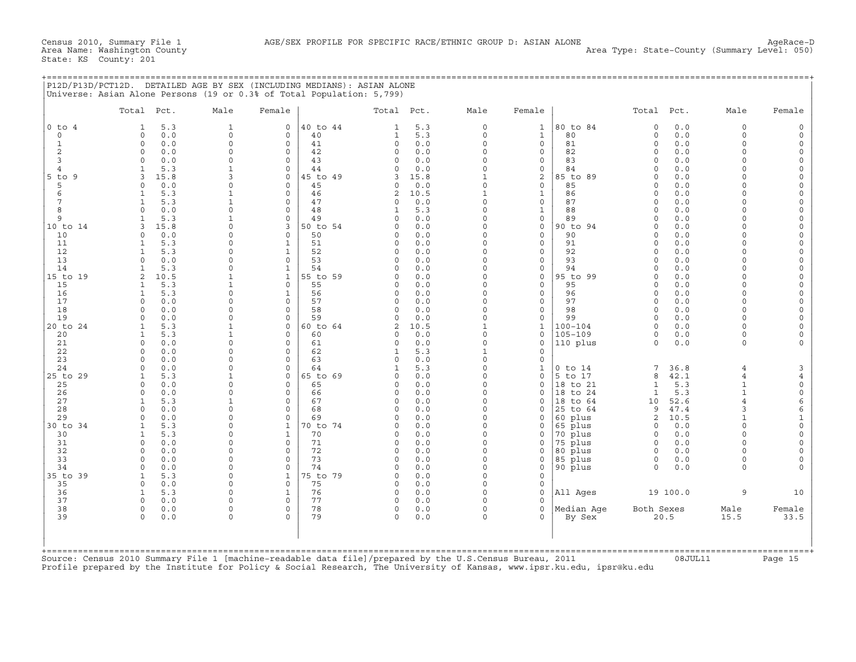## +===================================================================================================================================================+

|                | Total Pct.                            | Male                 | Female                  |                | Total Pct.          |             | Male                    | Female                             |                | Total Pct.           |            | Male           | Female               |
|----------------|---------------------------------------|----------------------|-------------------------|----------------|---------------------|-------------|-------------------------|------------------------------------|----------------|----------------------|------------|----------------|----------------------|
| $0$ to $4$     | 5.3<br>1                              | $\mathbf{1}$         | $\mathbf 0$             | 40 to 44       | $\mathbf{1}$        | 5.3         | $\circ$                 | $\mathbf{1}$                       | 80 to 84       | $\mathbf 0$          | 0.0        | $\Omega$       | $\circ$              |
| $\mathbf 0$    | 0.0<br>$\Omega$                       | $\mathbf 0$          | $\Omega$                | 40             | $\mathbf{1}$        | 5.3         | $\circ$                 | $\mathbf{1}$                       | 80             | $\mathbf 0$          | 0.0        | $\Omega$       | $\circ$              |
| $\mathbf{1}$   | 0.0<br>$\mathbf 0$                    | $\Omega$             | $\mathbf 0$             | 41             | 0                   | 0.0         | $\mathbf 0$             | $\circ$                            | 81             | $\Omega$             | 0.0        | $\Omega$       | $\Omega$             |
| $\overline{2}$ | 0.0<br>$\Omega$                       | $\Omega$             | $\mathbf 0$             | 42             | $\Omega$            | 0.0         | $\Omega$                | $\mathbf{0}$                       | 82             | $\Omega$             | 0.0        | $\Omega$       | $\circ$              |
| 3              | 0.0<br>$\Omega$                       | $\Omega$             | $\Omega$                | 43             | $\Omega$            | 0.0         | $\Omega$                | $\mathbf 0$                        | 83             | $\Omega$             | 0.0        | $\Omega$       | $\circ$              |
| $\overline{4}$ | 5.3                                   | 1<br>$\mathbf{3}$    | $\circ$                 | 44             | $\Omega$            | 0.0         | $\Omega$                | 0                                  | 84             | $\Omega$<br>$\Omega$ | 0.0        | $\cap$         | $\Omega$             |
| 5 to 9         | 15.8<br>κ<br>$\Omega$                 | $\Omega$             | $\Omega$<br>$\Omega$    | 45 to 49<br>45 | 3<br>$\Omega$       | 15.8        | 1<br>$\circ$            | $\overline{\mathbf{c}}$<br>$\circ$ | 85 to 89<br>85 | $\Omega$             | 0.0<br>0.0 | $\Omega$       | $\Omega$<br>$\Omega$ |
| 5<br>6         | 0.0<br>5.3                            | $\mathbf{1}$         | $\Omega$                | 46             | $\overline{2}$      | 0.0<br>10.5 | $\mathbf{1}$            | $\mathbf{1}$                       | 86             | $\Omega$             | 0.0        | $\cap$         | $\circ$              |
| 7              | 5.3<br>1                              | $\mathbf{1}$         | $\Omega$                | 47             | $\Omega$            | 0.0         | $\Omega$                | $\circ$                            | 87             | $\Omega$             | 0.0        | $\cap$         | $\overline{0}$       |
| 8              | 0.0<br>$\Omega$                       | $\Omega$             | $\circ$                 | 48             | 1                   | 5.3         | $\Omega$                | $\mathbf{1}$                       | 88             | $\Omega$             | 0.0        | $\cap$         | $\mathbf 0$          |
| 9              | 5.3                                   | 1                    | $\circ$                 | 49             | $\Omega$            | 0.0         | $\Omega$                | 0                                  | 89             | $\Omega$             | 0.0        | $\Omega$       | $\mathbf 0$          |
| 10 to 14       | 15.8                                  | $\Omega$             | 3                       | 50 to 54       | $\Omega$            | 0.0         | $\Omega$                | $\mathsf{O}\xspace$                | 90 to 94       | $\Omega$             | 0.0        | $\Omega$       | $\mathbf 0$          |
| 10             | $\Omega$<br>0.0                       | $\Omega$             | $\Omega$                | 50             | $\Omega$            | 0.0         | $\Omega$                | $\circ$                            | 90             | $\Omega$             | 0.0        | $\Omega$       | $\Omega$             |
| 11             | 5.3                                   | $\Omega$             | $\mathbf{1}$            | 51             | $\Omega$            | 0.0         | $\Omega$                | $\circ$                            | 91             | $\Omega$             | 0.0        |                | $\Omega$             |
| 12             | 5.3<br>$\mathbf{1}$                   | $\Omega$             | $\mathbf{1}$            | 52             | $\Omega$            | 0.0         | $\Omega$                | $\circ$                            | 92             | $\Omega$             | 0.0        | $\Omega$       | $\Omega$             |
| 13             | 0.0<br>$\cap$                         | $\Omega$             | $\Omega$                | 53             | $\Omega$            | 0.0         | $\Omega$                | $\mathbf 0$                        | 93             | $\Omega$             | 0.0        |                | $\Omega$             |
| 14             | 5.3                                   | $\Omega$             | $\mathbf{1}$            | 54             | $\Omega$            | 0.0         | $\Omega$                | $\circ$                            | 94             | $\Omega$             | 0.0        | $\Omega$       | $\Omega$             |
| 15 to 19       | 10.5<br>2                             | 1                    | $\mathbf{1}$            | 55 to 59       | $\Omega$            | 0.0         | $\Omega$                | $\circ$                            | 95 to 99       | $\Omega$             | 0.0        | $\cap$         | $\mathbf 0$          |
| 15             | 5.3                                   | $\mathbf{1}$         | $\Omega$                | 55             | $\Omega$            | 0.0         | $\Omega$                | $\mathbf{0}$                       | 95             | $\Omega$             | 0.0        | $\cap$         | $\Omega$             |
| 16             | 5.3<br>1                              | $\Omega$             | $\mathbf{1}$            | 56             | $\Omega$            | 0.0         | $\Omega$                | $\circ$                            | 96             | $\Omega$             | 0.0        | $\Omega$       | $\Omega$             |
| 17             | $\Omega$<br>0.0                       | $\Omega$             | $\Omega$                | 57             | $\Omega$            | 0.0         | $\Omega$                | $\circ$                            | 97             | $\Omega$             | 0.0        | $\cap$         | $\Omega$             |
| 18             | 0.0<br>$\Omega$                       | $\Omega$             | $\Omega$                | 58             | $\Omega$            | 0.0         | $\circ$                 | $\circ$                            | 98             | $\Omega$             | 0.0        | $\Omega$       | $\Omega$             |
| 19             | 0.0<br>$\cap$                         | $\Omega$             | $\Omega$                | 59             | $\Omega$            | 0.0         | $\circ$                 | $\circ$                            | 99             | $\Omega$             | 0.0        | $\cap$         | $\circ$              |
| 20 to 24       | 5.3<br>$\mathbf{1}$                   |                      | $\mathbf 0$             | 60 to 64       | $\overline{2}$      | 10.5        | $\mathbf{1}$            | $\mathbf{1}$                       | $100 - 104$    | $\Omega$             | 0.0        | $\Omega$       | $\Omega$             |
| 20             | 5.3                                   | $\mathbf{1}$         | $\circ$                 | 60             | $\Omega$            | 0.0         | $\Omega$                | $\mathbf 0$                        | $105 - 109$    | $\circ$              | 0.0        | $\Omega$       | $\mathbf 0$          |
| 21<br>22       | $\Omega$<br>0.0<br>0.0                | $\Omega$<br>$\Omega$ | $\mathbf 0$<br>$\Omega$ | 61             | $\Omega$<br>1       | 0.0<br>5.3  | $\circ$<br>$\mathbf{1}$ | $\circ$                            | 110 plus       | $\Omega$             | 0.0        | $\Omega$       |                      |
| 23             | 0.0<br>$\Omega$                       | $\Omega$             | $\Omega$                | 62<br>63       | $\Omega$            | 0.0         | $\Omega$                | $\mathbf 0$<br>$\mathbf 0$         |                |                      |            |                |                      |
| 24             | $\Omega$<br>0.0                       | $\Omega$             | $\Omega$                | 64             | $\mathbf{1}$        | 5.3         | $\Omega$                | $\mathbf{1}$                       | $0$ to $14$    | 7                    | 36.8       | $\overline{4}$ | 3                    |
| 25 to 29       | 5.3                                   | 1                    | $\Omega$                | 65 to 69       | $\Omega$            | 0.0         | $\Omega$                | $\circ$                            | 5 to 17        | 8                    | 42.1       | $\overline{4}$ | $\overline{4}$       |
| 25             | 0.0<br>$\Omega$                       | $\Omega$             | $\Omega$                | 65             | $\Omega$            | 0.0         | $\Omega$                | $\circ$                            | 18 to 21       | $\mathbf{1}$         | 5.3        | $\mathbf{1}$   | $\circ$              |
| 26             | 0.0<br>$\Omega$                       | $\Omega$             | $\Omega$                | 66             | $\Omega$            | 0.0         | $\Omega$                | $\mathbf{0}$                       | 18 to 24       | $\mathbf{1}$         | 5.3        |                | $\mathsf{O}\xspace$  |
| 27             | 5.3<br>1                              | 1                    | $\circ$                 | 67             | 0                   | 0.0         | $\Omega$                | $\mathbf 0$                        | 18 to 64       | 10                   | 52.6       | $\overline{4}$ | 6                    |
| 28             | 0.0<br>$\Omega$                       | $\Omega$             | $\circ$                 | 68             | $\Omega$            | 0.0         | $\Omega$                | 0                                  | 25 to 64       | 9                    | 47.4       | 3              | 6                    |
| 29             | 0.0<br>$\cap$                         | $\Omega$             | $\Omega$                | 69             | $\Omega$            | 0.0         | $\Omega$                | $\mathbf 0$                        | 60 plus        | 2                    | 10.5       |                | $\mathbf{1}$         |
| 30 to 34       | 5.3                                   | $\Omega$             | $\mathbf{1}$            | 70 to 74       | $\Omega$            | 0.0         | $\Omega$                | $\mathbf 0$                        | 65 plus        | $\circ$              | 0.0        | $\Omega$       | $\mathbf 0$          |
| 30             | 5.3<br>$\mathbf{1}$                   | $\Omega$             | $\mathbf{1}$            | 70             | $\Omega$            | 0.0         | $\Omega$                | $\mathbf 0$                        | 70 plus        | $\Omega$             | 0.0        | $\Omega$       | $\mathsf{O}\xspace$  |
| 31             | 0.0<br>$\Omega$                       | $\Omega$             | $\Omega$                | 71             | $\Omega$            | 0.0         | $\Omega$                | $\mathbf 0$                        | 75 plus        | $\Omega$             | 0.0        | $\Omega$       | $\Omega$             |
| 32             | 0.0<br>$\Omega$                       | $\Omega$             | $\Omega$                | 72             | $\Omega$            | 0.0         | $\Omega$                | $\mathbf 0$                        | 80 plus        | $\Omega$             | 0.0        | $\Omega$       | $\Omega$             |
| 33             | 0.0<br>$\Omega$                       | $\Omega$             | $\circ$                 | 73             | 0                   | 0.0         | $\Omega$                | 0                                  | 85 plus        | 0                    | 0.0        | $\Omega$       | $\Omega$             |
| 34             | 0.0<br>$\Omega$                       | $\Omega$             | $\Omega$                | 74             | $\Omega$            | 0.0         | $\Omega$                | $\mathbf{0}$                       | 90 plus        | $\Omega$             | 0.0        | $\Omega$       |                      |
| 35 to 39       | 5.3<br>$\mathbf{1}$                   | $\Omega$             | $\mathbf{1}$            | 75 to 79       | $\Omega$            | 0.0         | $\Omega$                | $\mathbf{0}$                       |                |                      |            |                |                      |
| 35             | $\Omega$<br>0.0                       | $\Omega$             | $\Omega$                | 75             | $\Omega$            | 0.0         | $\Omega$                | $\mathbf{0}$                       |                |                      |            |                |                      |
| 36             | $\mathbf{1}$<br>5.3                   | $\Omega$             | $\mathbf{1}$            | 76             | $\circ$             | 0.0         | $\circ$                 | $\mathbf{0}$                       | All Ages       |                      | 19 100.0   | 9              | 10                   |
| 37             | 0.0<br>$\Omega$                       | $\Omega$             | $\Omega$                | 77             | $\Omega$            | 0.0         | $\Omega$                | $\Omega$                           |                |                      |            |                |                      |
| 38<br>39       | $\mathbf 0$<br>0.0<br>$\Omega$<br>0.0 | $\Omega$<br>$\Omega$ | $\circ$<br>$\Omega$     | 78<br>79       | $\circ$<br>$\Omega$ | 0.0<br>0.0  | $\circ$<br>$\Omega$     | $\circ$<br>$\Omega$                | Median Aqe     | Both Sexes<br>20.5   |            | Male<br>15.5   | Female<br>33.5       |
|                |                                       |                      |                         |                |                     |             |                         |                                    | By Sex         |                      |            |                |                      |
|                |                                       |                      |                         |                |                     |             |                         |                                    |                |                      |            |                |                      |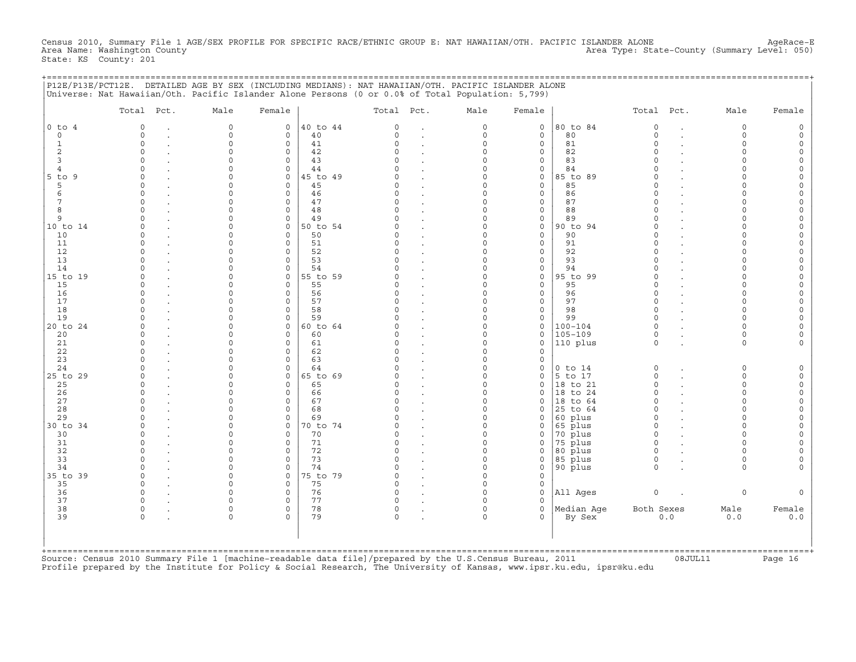Census 2010, Summary File 1 AGE/SEX PROFILE FOR SPECIFIC RACE/ETHNIC GROUP E: NAT HAWAIIAN/OTH. PACIFIC ISLANDER ALONE AgeRace−E<br>Area Name: Washington County Level: 050) Area Type: State-County (Summary Level: 050) State: KS County: 201

|  |                                                                                                   | P12E/P13E/PCT12E. DETAILED AGE BY SEX (INCLUDING MEDIANS): NAT HAWAIIAN/OTH. PACIFIC ISLANDER ALONE |  |
|--|---------------------------------------------------------------------------------------------------|-----------------------------------------------------------------------------------------------------|--|
|  | Universe: Nat Hawaiian/Oth. Pacific Islander Alone Persons (0 or 0.0% of Total Population: 5,799) |                                                                                                     |  |

|                           | Total Pct. | Male         | Female       |          | Total Pct. |                      | Male     | Female              |             | Total Pct.         |        | Male        | Female |
|---------------------------|------------|--------------|--------------|----------|------------|----------------------|----------|---------------------|-------------|--------------------|--------|-------------|--------|
| $0$ to $4$                | $\Omega$   | $\circ$      | $\mathbf{0}$ | 40 to 44 | $\Omega$   | $\ddot{\phantom{a}}$ | $\Omega$ | $\mathbf 0$         | 80 to 84    | $\circ$            | $\sim$ | $\mathbf 0$ |        |
|                           | $\Omega$   | $\circ$      | $\Omega$     | 40       | $\Omega$   |                      | $\Omega$ | $\mathbf 0$         | 80          | $\Omega$           |        | $\Omega$    |        |
|                           | $\circ$    | $\circ$      | $\mathbf 0$  | 41       | $\Omega$   |                      | $\circ$  | $\mathbf 0$         | 81          | $\Omega$           |        | $\Omega$    |        |
|                           | $\Omega$   | $\mathsf{O}$ | $\Omega$     | 42       | $\cap$     |                      | $\Omega$ | $\mathbf 0$         | 82          | $\Omega$           |        |             |        |
|                           |            | $\Omega$     | $\Omega$     | 43       |            |                      | $\Omega$ | $\mathbf 0$         | 83          | $\Omega$           |        |             |        |
|                           |            | $\Omega$     | $\Omega$     | 44       |            |                      | $\Omega$ | $\mathsf{O}\xspace$ | 84          |                    |        |             |        |
| $5$ to $9$                |            | $\cap$       | $\Omega$     | 45 to 49 |            |                      | $\cap$   | $\Omega$            | 85 to 89    |                    |        |             |        |
|                           | $\Omega$   | $\Omega$     | $\Omega$     | 45       |            |                      | $\Omega$ | $\mathbf 0$         | 85          | $\Omega$           |        |             |        |
|                           | $\Omega$   | $\cap$       | $\Omega$     | 46       | $\cap$     |                      | $\cap$   | $\mathbf 0$         | 86          | $\Omega$           |        |             |        |
|                           | $\Omega$   | $\Omega$     | $\Omega$     | 47       | $\cap$     |                      | $\Omega$ | $\mathsf{O}\xspace$ | 87          |                    |        |             |        |
|                           | $\Omega$   | $\Omega$     | $\Omega$     | 48       | $\cap$     |                      | $\Omega$ | $\mathbf 0$         | 88          | $\Omega$           |        |             |        |
|                           | O          | $\Omega$     | 0            | 49       | $\cap$     |                      | $\Omega$ | 0                   | 89          | $\Omega$           |        |             |        |
| 10 to 14                  |            | $\Omega$     | 0            | 50 to 54 |            |                      | $\Omega$ | $\mathsf{O}\xspace$ | 90 to 94    | $\Omega$           |        |             |        |
| 10                        | O          | $\Omega$     | $\Omega$     | 50       |            |                      | $\Omega$ | $\mathbf 0$         | 90          | $\Omega$           |        |             |        |
| 11                        | O          | $\Omega$     | $\Omega$     | 51       |            |                      | $\Omega$ | $\mathbf 0$         | 91          | $\Omega$           |        |             |        |
| 12                        | $\Omega$   | $\Omega$     | $\Omega$     | 52       |            |                      | $\cap$   | $\mathbf 0$         | 92          | $\Omega$           |        |             |        |
| 13                        |            | $\Omega$     | $\Omega$     | 53       |            |                      | $\cap$   | $\mathbf 0$         | 93          |                    |        |             |        |
|                           |            | $\Omega$     | $\Omega$     | 54       |            |                      | $\Omega$ | $\mathbf 0$         | 94          |                    |        |             |        |
| 15 to 19                  | $\Omega$   | $\Omega$     | 0            | 55 to 59 |            |                      | $\Omega$ | $\mathsf{O}\xspace$ | 95 to 99    | $\Omega$           |        |             |        |
|                           |            | $\Omega$     | $\Omega$     | 55       | $\cap$     |                      | $\Omega$ | $\mathbf 0$         | 95          | $\Omega$           |        |             |        |
|                           | O          | $\Omega$     | $\Omega$     | 56       | $\Omega$   |                      | $\Omega$ | $\mathbf 0$         | 96          | $\Omega$           |        |             |        |
|                           |            | $\Omega$     | $\Omega$     | 57       | $\cap$     |                      | $\cap$   | $\mathbf{0}$        | 97          | $\Omega$           |        |             |        |
|                           |            |              |              |          |            |                      |          |                     |             |                    |        |             |        |
|                           | $\Omega$   | $\Omega$     | $\Omega$     | 58       | $\Omega$   |                      | $\Omega$ | $\mathbf 0$         | 98          | $\Omega$<br>$\cap$ |        |             |        |
|                           |            | $\Omega$     | $\Omega$     | 59       |            |                      | $\cap$   | $\mathbf 0$         | 99          |                    |        |             |        |
| 20 to 24                  |            | $\Omega$     | $\circ$      | 60 to 64 |            |                      | $\Omega$ | $\mathbf 0$         | $100 - 104$ | $\Omega$           |        |             |        |
|                           | O          | $\Omega$     | $\Omega$     | 60       |            |                      | $\Omega$ | $\mathbf 0$         | $105 - 109$ | $\Omega$           |        |             |        |
|                           | O          | $\Omega$     | $\Omega$     | 61       | $\Omega$   |                      | $\Omega$ | $\mathbf 0$         | 110 plus    | $\Omega$           |        | $\Omega$    |        |
|                           |            | $\Omega$     | $\Omega$     | 62       |            |                      | $\Omega$ | $\mathbf 0$         |             |                    |        |             |        |
|                           |            | $\Omega$     | $\Omega$     | 63       |            |                      | $\cap$   | $\Omega$            |             |                    |        |             |        |
|                           |            | $\Omega$     | $\Omega$     | 64       |            |                      | $\Omega$ | $\mathsf{O}\xspace$ | $0$ to $14$ | $\Omega$           |        | $\Omega$    |        |
| 25 to 29                  |            | $\Omega$     | $\Omega$     | 65 to 69 |            |                      | $\cap$   | $\mathbf 0$         | 5 to 17     | $\Omega$           |        | $\Omega$    |        |
|                           | $\Omega$   | $\Omega$     | $\Omega$     | 65       | $\Omega$   |                      | $\cap$   | $\mathbf 0$         | 18 to 21    | $\Omega$           |        | $\cap$      |        |
|                           | O          | $\Omega$     | $\Omega$     | 66       | $\cap$     |                      | $\cap$   | $\Omega$            | 18 to 24    | $\Omega$           |        | $\cap$      |        |
|                           | $\Omega$   | $\Omega$     | 0            | 67       | $\Omega$   |                      | $\Omega$ | 0                   | 18 to 64    | $\Omega$           |        | $\cap$      |        |
|                           |            | $\Omega$     | $\Omega$     | 68       | $\cap$     |                      | $\Omega$ | $\mathbf 0$         | 25 to 64    | $\Omega$           |        |             |        |
|                           |            | $\Omega$     | $\Omega$     | 69       |            |                      | $\Omega$ | $\mathbf 0$         | 60 plus     | $\Omega$           |        |             |        |
| 30 to 34                  | O          | $\Omega$     | $\Omega$     | 70 to 74 |            |                      | $\Omega$ | $\mathbf 0$         | 65 plus     | $\Omega$           |        |             |        |
|                           | $\cap$     | $\Omega$     | $\Omega$     | 70       | $\Omega$   |                      | $\Omega$ | $\mathbf 0$         | 70 plus     | $\Omega$           |        |             |        |
|                           | O          | $\Omega$     | $\Omega$     | 71       | $\Omega$   |                      | $\Omega$ | $\mathbf 0$         | 75 plus     | $\Omega$           |        |             |        |
|                           | $\Omega$   | $\Omega$     | $\Omega$     | 72       |            |                      | $\Omega$ | $\mathbf 0$         | 80 plus     | $\Omega$           |        |             |        |
|                           |            | $\Omega$     | 0            | 73       |            |                      | $\Omega$ | 0                   | 85 plus     | $\Omega$           |        |             |        |
|                           | U          | $\Omega$     | $\Omega$     | 74       | $\cap$     |                      | $\Omega$ | $\mathbf 0$         | 90 plus     | $\Omega$           |        | $\cap$      |        |
| 34<br>35 to 39            | O          | $\Omega$     | 0            | 75 to 79 | $\cap$     |                      | $\Omega$ | $\mathbf 0$         |             |                    |        |             |        |
|                           | $\cap$     | $\cap$       | $\Omega$     | 75       | $\cap$     |                      | $\cap$   | $\mathbf 0$         |             |                    |        |             |        |
|                           | $\Omega$   | $\Omega$     | $\Omega$     | 76       | $\Omega$   |                      | $\Omega$ | $\mathbf{0}$        | All Ages    | $\mathbf 0$        |        | $\Omega$    |        |
| 36<br>37                  | O          | $\cap$       | $\Omega$     | 77       |            |                      |          | $\Omega$            |             |                    |        |             |        |
| 38                        | $\Omega$   | $\Omega$     | 0            | 78       | $\Omega$   |                      | $\Omega$ | $\mathbf 0$         | Median Age  | Both Sexes         |        | Male        | Female |
|                           | $\Omega$   | $\Omega$     | $\Omega$     | 79       | $\Omega$   |                      | $\Omega$ | $\Omega$            |             |                    | 0.0    | 0.0         |        |
|                           |            |              |              |          |            |                      |          |                     | By Sex      |                    |        |             |        |
| $+$ = = = = = = = = = = = |            |              |              |          |            |                      |          |                     |             |                    |        |             |        |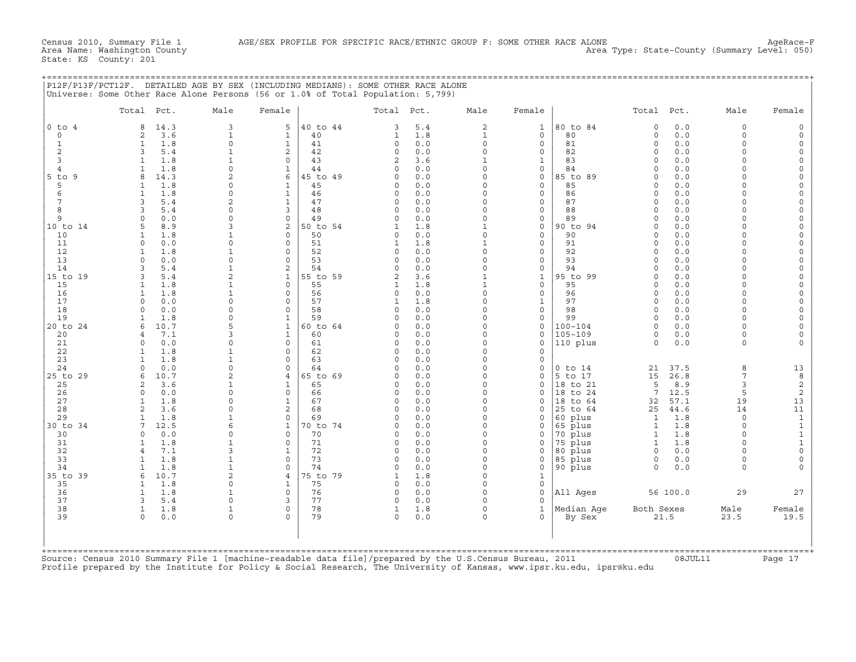Area Name: Washington County Area Type: State−County (Summary Level: 050)

| P12F/P13F/PCT12F. DETAILED AGE BY SEX (INCLUDING MEDIANS): SOME OTHER RACE ALONE |            |        |       |          |         |                              |  |        |  |
|----------------------------------------------------------------------------------|------------|--------|-------|----------|---------|------------------------------|--|--------|--|
| Universe: Some Other Race Alone Persons (56 or 1.0% of Total Population: 5,799)  |            |        |       |          |         |                              |  |        |  |
|                                                                                  |            |        |       |          |         |                              |  |        |  |
| Total                                                                            | $M = \Box$ | Female | Total | $P \cap$ | △ 1 △ M | $F$ $\cap$ $R$ $\cap$ $\cap$ |  | Female |  |

|                   | Total Pct.                             | Male                        | Female                         |                | Total Pct.           |            | Male                     | Female                      |                      | Total Pct.           |              | Male                    | Female                  |
|-------------------|----------------------------------------|-----------------------------|--------------------------------|----------------|----------------------|------------|--------------------------|-----------------------------|----------------------|----------------------|--------------|-------------------------|-------------------------|
| $0$ to $4$        | 14.3<br>8                              | 3                           | 5                              | 40 to 44       | 3                    | 5.4        | 2                        | $\mathbf{1}$                | 80 to 84             | $\circ$              | 0.0          | $\mathbf 0$             | $\Omega$                |
| 0                 | 3.6<br>2                               | $\mathbf{1}$                | $\mathbf{1}$                   | 40             | 1                    | 1.8        | $\mathbf{1}$             | $\mathsf{O}$                | 80                   | $\circ$              | 0.0          | $\mathbf 0$<br>$\Omega$ | $\circ$                 |
| 1<br>$\mathbf{2}$ | 1.8<br>$\mathbf{1}$<br>3               | $\Omega$                    | $\mathbf{1}$<br>$\overline{c}$ | 41<br>42       | $\Omega$<br>0        | 0.0<br>0.0 | $\circ$<br>$\circ$       | $\mathbf 0$<br>$\mathbf 0$  | 81<br>82             | $\Omega$<br>$\Omega$ | 0.0<br>0.0   | $\Omega$                | $\circ$<br>$\Omega$     |
| 3                 | 5.4<br>1.8                             | $\mathbf{1}$<br>$\mathbf 1$ | $\mathbf 0$                    | 43             | 2                    | 3.6        | $\mathbf{1}$             | $\mathbf{1}$                | 83                   | $\Omega$             | 0.0          | $\Omega$                | $\circ$                 |
| $\overline{4}$    | 1.8                                    | $\Omega$                    | $\mathbf{1}$                   | 44             | $\cap$               | 0.0        | $\Omega$                 | $\Omega$                    | 84                   | $\cap$               | 0.0          | $\cap$                  | $\Omega$                |
| $5$ to<br>9       | $\mathsf{R}$<br>14.3                   | $\overline{a}$              | 6                              | 45 to 49       | $\Omega$             | 0.0        | $\circ$                  | $\mathbf 0$                 | 85 to 89             | $\Omega$             | 0.0          | $\Omega$                | $\Omega$                |
| 5                 | 1.8                                    | 0                           | $\mathbf{1}$                   | 45             | 0                    | 0.0        | $\circ$                  | $\mathbf 0$                 | 85                   | $\Omega$             | 0.0          | $\cap$                  | $\circ$                 |
| 6                 | 1.8<br>-1                              | $\Omega$                    | $\mathbf{1}$                   | 46             | $\Omega$             | 0.0        | $\Omega$                 | $\Omega$                    | 86                   | $\Omega$             | 0.0          | $\cap$                  | $\Omega$                |
| 7                 | 5.4<br>3                               | 2                           | $\mathbf{1}$                   | 47             | $\Omega$             | 0.0        | $\Omega$                 | $\mathbf 0$                 | 87                   | $\Omega$             | 0.0          | $\Omega$                | $\circ$                 |
| 8                 | 5.4<br>3                               | $\Omega$                    | 3                              | 48             | $\Omega$             | 0.0        | $\circ$                  | $\mathbf 0$                 | 88                   | $\Omega$             | 0.0          | $\Omega$                | $\Omega$                |
| 9                 | 0.0<br>$\Omega$                        | 0                           | $\mathbf 0$                    | 49             | 0                    | 0.0        | $\circ$                  | $\mathsf{O}$                | 89                   | $\Omega$             | 0.0          | $\cap$                  | $\Omega$                |
| 10 to 14          | 8.9                                    | κ                           | $\overline{c}$                 | 50 to 54       |                      | 1.8        | $\mathbf{1}$             | $\mathbf 0$                 | 90 to 94             | $\Omega$             | 0.0          | $\cap$                  | $\Omega$                |
| 10                | 1.8<br>1                               | $\mathbf 1$                 | $\mathbf 0$                    | 50             | 0                    | 0.0        | $\circ$                  | $\mathbf 0$                 | 90                   | $\Omega$             | 0.0          | $\Omega$                | $\Omega$                |
| 11                | 0.0<br>$\Omega$                        | 0                           | 0                              | 51             | 1                    | 1.8        | $\mathbf{1}$             | $\mathsf{O}$                | 91                   | $\Omega$             | $0.0$        |                         | $\circ$                 |
| 12                | 1.8<br>-1                              | 1                           | $\Omega$                       | 52             | $\Omega$             | 0.0        | $\Omega$                 | $\Omega$                    | 92                   | $\cap$               | 0.0          | $\cap$                  | $\Omega$                |
| 13                | $\Omega$<br>0.0                        | $\circ$                     | $\circ$                        | 53             | 0                    | 0.0        | $\circ$                  | $\mathbf 0$                 | 93                   | $\Omega$             | 0.0          | $\Omega$                | $\Omega$                |
| 14                | 5.4<br>3<br>3                          | 1<br>$\overline{2}$         | 2                              | 54<br>55 to 59 | $\Omega$             | 0.0<br>3.6 | $\Omega$<br>$\mathbf{1}$ | $\mathsf{O}$                | 94<br>95 to 99       | $\Omega$             | 0.0<br>0.0   | $\cap$<br>$\Omega$      | $\Omega$                |
| 15 to 19<br>15    | 5.4<br>1.8                             | $\mathbf 1$                 | $\mathbf{1}$<br>$\Omega$       | 55             | $\overline{2}$<br>1  | 1.8        | $\mathbf{1}$             | $\mathbf{1}$<br>$\mathbf 0$ | 95                   | $\Omega$<br>$\Omega$ | 0.0          | $\Omega$                | $\mathbf 0$<br>$\Omega$ |
| 16                | 1.8<br>$\mathbf{1}$                    | $\mathbf 1$                 | $\circ$                        | 56             | $\Omega$             | 0.0        | $\circ$                  | $\mathbf 0$                 | 96                   | $\Omega$             | $0.0$        | $\Omega$                | $\Omega$                |
| 17                | 0.0<br>0                               | 0                           | $\mathbf 0$                    | 57             | 1                    | 1.8        | 0                        | $\mathbf{1}$                | 97                   | $\Omega$             | 0.0          | $\Omega$                | $\Omega$                |
| 18                | 0.0<br>$\cap$                          | $\Omega$                    | $\Omega$                       | 58             | $\Omega$             | 0.0        | $\Omega$                 | $\Omega$                    | 98                   | $\Omega$             | 0.0          | $\cap$                  | $\Omega$                |
| 19                | 1.8<br>$\mathbf{1}$                    | $\Omega$                    | $\mathbf{1}$                   | 59             | $\Omega$             | 0.0        | $\circ$                  | $\mathbf 0$                 | 99                   | $\circ$              | 0.0          | $\Omega$                | $\Omega$                |
| 20 to 24          | 10.7<br>6                              | 5                           | $\mathbf{1}$                   | 60 to 64       | $\Omega$             | 0.0        | $\Omega$                 | $\mathsf{O}$                | $100 - 104$          | $\Omega$             | 0.0          | $\Omega$                | $\Omega$                |
| 20                | 7.1<br>$\overline{a}$                  | ς                           | $\mathbf{1}$                   | 60             | $\cap$               | 0.0        | $\cap$                   | $\Omega$                    | $105 - 109$          | $\Omega$             | 0.0          | $\Omega$                | $\Omega$                |
| 21                | 0.0<br>$\Omega$                        | 0                           | $\circ$                        | 61             | 0                    | 0.0        | $\circ$                  | $\mathbf 0$                 | 110 plus             | $\Omega$             | 0.0          | $\Omega$                | $\Omega$                |
| 22                | 1.8<br>-1                              | $\mathbf{1}$                | $\mathbf 0$                    | 62             | $\Omega$             | 0.0        | $\Omega$                 | $\mathbf 0$                 |                      |                      |              |                         |                         |
| 23                | 1.8                                    | 1                           | $\mathbf 0$                    | 63             | $\Omega$             | 0.0        | $\Omega$                 | $\mathsf{O}$                |                      |                      |              |                         |                         |
| 24                | 0.0<br>$\cap$                          | $\Omega$                    | $\Omega$                       | 64             | $\Omega$             | 0.0        | $\Omega$                 | $\mathbf 0$                 | $0$ to $14$          | 21                   | 37.5         | 8                       | 13                      |
| 25 to 29          | 10.7<br>6                              | $\overline{2}$              | $\overline{4}$                 | 65 to 69       | $\Omega$             | 0.0        | $\Omega$                 | $\mathbf 0$                 | 5 to 17              | 15                   | 26.8         | 7                       | 8                       |
| 25                | 3.6<br>2                               | 1                           | $\mathbf{1}$                   | 65             | 0                    | 0.0        | $\Omega$                 | $\mathsf{O}$                | 18 to 21             | 5                    | 8.9          | $\overline{3}$          | $\frac{2}{2}$           |
| 26<br>27          | 0.0<br>$\Omega$<br>1.8<br>$\mathbf{1}$ | $\Omega$<br>$\Omega$        | $\Omega$<br>$\mathbf{1}$       | 66<br>67       | $\Omega$<br>$\Omega$ | 0.0<br>0.0 | $\Omega$<br>$\circ$      | $\Omega$                    | 18 to 24             | 7                    | 12.5<br>57.1 | 5<br>19                 | 13                      |
| 28                | 2<br>3.6                               | 0                           | $\mathbf{2}$                   | 68             | 0                    | 0.0        | $\Omega$                 | $\mathbf 0$<br>$\mathbf 0$  | 18 to 64<br>25 to 64 | 32<br>25             | 44.6         | 14                      | $11$                    |
| 29                | 1.8                                    | $\mathbf{1}$                | $\Omega$                       | 69             | $\Omega$             | 0.0        | $\Omega$                 | $\mathbf 0$                 | 60 plus              | $\mathbf{1}$         | 1.8          | $\Omega$                | $\mathbf 1$             |
| 30 to 34          | 12.5                                   | 6                           | $\mathbf{1}$                   | 70 to 74       | $\Omega$             | 0.0        | $\Omega$                 | $\mathbf 0$                 | 65 plus              | $\mathbf{1}$         | 1.8          | $\Omega$                | $\mathbf 1$             |
| 30                | 0.0<br>$\Omega$                        | $\Omega$                    | $\mathbf 0$                    | 70             | 0                    | 0.0        | $\circ$                  | $\mathbf 0$                 | 70 plus              | $\mathbf{1}$         | 1.8          | $\Omega$                | $\mathbf 1$             |
| 31                | 1.8<br>1                               | $\mathbf{1}$                | $\mathbf 0$                    | 71             | 0                    | 0.0        | $\circ$                  | 0                           | 75 plus              | 1                    | 1.8          | $\Omega$                | $\mathbf{1}$            |
| 32                | 7.1                                    | 3                           | $\mathbf{1}$                   | 72             | $\Omega$             | 0.0        | $\Omega$                 | $\Omega$                    | 80 plus              | $\Omega$             | 0.0          | $\Omega$                | $\circ$                 |
| 33                | 1.8                                    | $\mathbf 1$                 | $\Omega$                       | 73             | $\Omega$             | 0.0        | $\circ$                  | $\mathbf 0$                 | 85 plus              | $\circ$              | 0.0          | $\Omega$                | $\mathsf O$             |
| 34                | 1.8                                    | $\mathbf{1}$                | $\Omega$                       | 74             | 0                    | 0.0        | $\circ$                  | $\mathsf{O}$                | 90 plus              | $\circ$              | 0.0          | $\Omega$                | $\Omega$                |
| 35 to 39          | 10.7<br>6                              | $\overline{2}$              | 4                              | 75 to 79       | 1                    | 1.8        | $\Omega$                 | $\mathbf{1}$                |                      |                      |              |                         |                         |
| 35                | 1.8<br>$\mathbf{1}$                    | 0                           | $\mathbf{1}$                   | 75             | $\Omega$             | 0.0        | $\circ$                  | $\mathbf 0$                 |                      |                      |              |                         |                         |
| 36                | 1.8<br>1                               | 1                           | $\circ$                        | 76             | 0                    | 0.0        | $\Omega$                 | $\mathbf 0$                 | All Ages             |                      | 56 100.0     | 29                      | 27                      |
| 37                | 5.4<br>3                               | $\Omega$                    | 3                              | 77             | $\Omega$             | 0.0        | $\Omega$                 | $\Omega$                    |                      |                      |              |                         |                         |
| 38                | 1.8<br>1                               | $\mathbf{1}$                | $\mathbf 0$                    | 78             | $\mathbf{1}$         | 1.8        | $\circ$                  | $\mathbf{1}$                | Median Age           | Both Sexes           |              | Male                    | Female                  |
| 39                | 0.0<br>$\Omega$                        | 0                           | $\Omega$                       | 79             | $\Omega$             | 0.0        | $\circ$                  | $\Omega$                    | By Sex               |                      | 21.5         | 23.5                    | 19.5                    |
|                   |                                        |                             |                                |                |                      |            |                          |                             |                      |                      |              |                         |                         |

Source: Census 2010 Summary File 1 [machine−readable data file]/prepared by the U.S.Census Bureau, 2011 08JUL11 Page 17 Profile prepared by the Institute for Policy & Social Research, The University of Kansas, www.ipsr.ku.edu, ipsr@ku.edu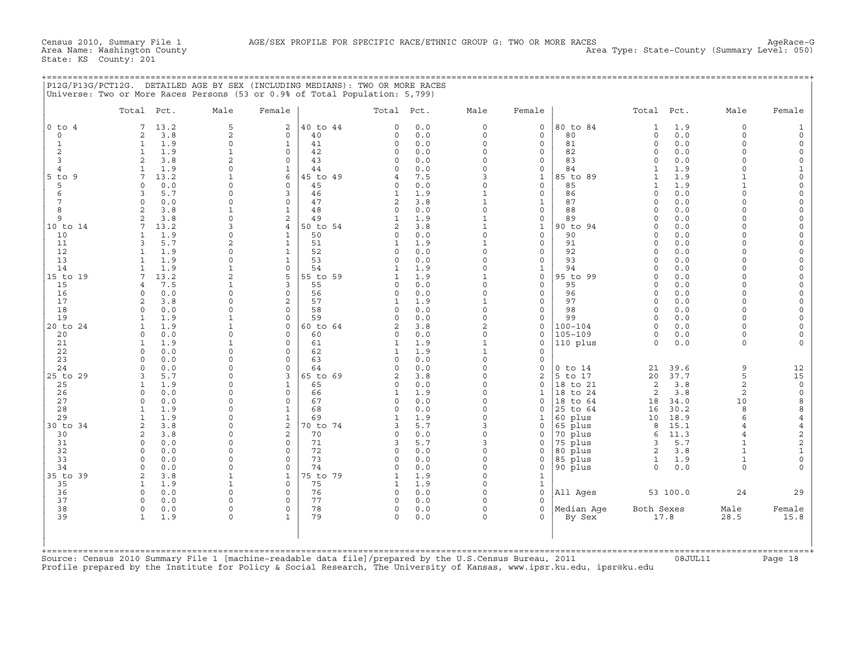+===================================================================================================================================================+

State: KS County: 201

|                                                                                                                                                                                                                                          | P12G/P13G/PCT12G. DETAILED AGE BY SEX (INCLUDING MEDIANS): TWO OR MORE RACES<br>Universe: Two or More Races Persons (53 or 0.9% of Total Population: 5,799)                                                                                                                                                                                                                                                                                                                                                  |                                                                                                                                                                                                                                                                                                                                                                                                                                   |                                                                                                                                                                                                                                                                                                                                                      |                                                                                                                                                                                              |                                                                                                                                                                                                                                                                                                            |                                                                                                                                                                                           |                                                                                                                                                                                                                                                                                                                                    |                                                                                                                                                                                                                                                                                                                                                                                                       |                                                                                                                                                                                                                |                                                                                                                                                                                                                                                                                                                                                                                                                                                                                                                                                  |                                                                                                                                                                                                                                                                                                                                   |                                                                                                                                                                                                                                                                                                                                                                                                     |
|------------------------------------------------------------------------------------------------------------------------------------------------------------------------------------------------------------------------------------------|--------------------------------------------------------------------------------------------------------------------------------------------------------------------------------------------------------------------------------------------------------------------------------------------------------------------------------------------------------------------------------------------------------------------------------------------------------------------------------------------------------------|-----------------------------------------------------------------------------------------------------------------------------------------------------------------------------------------------------------------------------------------------------------------------------------------------------------------------------------------------------------------------------------------------------------------------------------|------------------------------------------------------------------------------------------------------------------------------------------------------------------------------------------------------------------------------------------------------------------------------------------------------------------------------------------------------|----------------------------------------------------------------------------------------------------------------------------------------------------------------------------------------------|------------------------------------------------------------------------------------------------------------------------------------------------------------------------------------------------------------------------------------------------------------------------------------------------------------|-------------------------------------------------------------------------------------------------------------------------------------------------------------------------------------------|------------------------------------------------------------------------------------------------------------------------------------------------------------------------------------------------------------------------------------------------------------------------------------------------------------------------------------|-------------------------------------------------------------------------------------------------------------------------------------------------------------------------------------------------------------------------------------------------------------------------------------------------------------------------------------------------------------------------------------------------------|----------------------------------------------------------------------------------------------------------------------------------------------------------------------------------------------------------------|--------------------------------------------------------------------------------------------------------------------------------------------------------------------------------------------------------------------------------------------------------------------------------------------------------------------------------------------------------------------------------------------------------------------------------------------------------------------------------------------------------------------------------------------------|-----------------------------------------------------------------------------------------------------------------------------------------------------------------------------------------------------------------------------------------------------------------------------------------------------------------------------------|-----------------------------------------------------------------------------------------------------------------------------------------------------------------------------------------------------------------------------------------------------------------------------------------------------------------------------------------------------------------------------------------------------|
|                                                                                                                                                                                                                                          | Total Pct.                                                                                                                                                                                                                                                                                                                                                                                                                                                                                                   | Male                                                                                                                                                                                                                                                                                                                                                                                                                              | Female                                                                                                                                                                                                                                                                                                                                               |                                                                                                                                                                                              | Total                                                                                                                                                                                                                                                                                                      | Pct.                                                                                                                                                                                      | Male                                                                                                                                                                                                                                                                                                                               | Female                                                                                                                                                                                                                                                                                                                                                                                                |                                                                                                                                                                                                                | Pct.<br>Total                                                                                                                                                                                                                                                                                                                                                                                                                                                                                                                                    | Male                                                                                                                                                                                                                                                                                                                              | Female                                                                                                                                                                                                                                                                                                                                                                                              |
| $0$ to $4$<br>$\circ$<br>$1\,$<br>$\overline{2}$<br>3<br>$\overline{4}$<br>$5$ to $9$<br>5<br>6<br>$7\phantom{.0}$<br>8<br>9<br>10 to 14<br>10<br>11<br>12<br>13<br>14<br>15 to 19<br>15<br>16<br>17<br>18<br>19<br>20 to 24<br>20<br>21 | 7<br>13.2<br>2<br>3.8<br>1.9<br>$\mathbf{1}$<br>$\mathbf{1}$<br>1.9<br>2<br>3.8<br>1.9<br>$\mathbf{1}$<br>7<br>13.2<br>$\circ$<br>0.0<br>3<br>5.7<br>$\Omega$<br>0.0<br>$\overline{a}$<br>3.8<br>2<br>3.8<br>7<br>13.2<br>$\mathbf{1}$<br>1.9<br>5.7<br>3<br>1.9<br>$\mathbf{1}$<br>$\mathbf{1}$<br>1.9<br>1.9<br>$\mathbf{1}$<br>7<br>13.2<br>7.5<br>$\overline{4}$<br>0.0<br>$\Omega$<br>2<br>3.8<br>$\circ$<br>0.0<br>1.9<br>$\mathbf{1}$<br>$\mathbf{1}$<br>1.9<br>$\circ$<br>0.0<br>$\mathbf{1}$<br>1.9 | 5<br>$\overline{c}$<br>$\mathsf{O}\xspace$<br>$\mathbf 1$<br>2<br>$\mathsf{O}\xspace$<br>$\mathbf{1}$<br>$\mathbf 0$<br>$\mathsf{O}\xspace$<br>$\circ$<br>$\mathtt 1$<br>$\mathsf{O}\xspace$<br>3<br>$\mathbf 0$<br>$\overline{c}$<br>$\mathsf{O}\xspace$<br>$\circ$<br>$\mathtt 1$<br>2<br>$\mathbf{1}$<br>$\mathsf{O}\xspace$<br>$\mathbf 0$<br>$\mathsf{O}\xspace$<br>$\mathtt 1$<br>$\mathbf 1$<br>$\mathbf 0$<br>$\mathtt 1$ | $\overline{2}$<br>$\circ$<br>$\mathbf 1$<br>$\Omega$<br>$\mathbf 0$<br>$\mathbf{1}$<br>6<br>$\Omega$<br>3<br>$\Omega$<br>$\mathbf{1}$<br>2<br>$\overline{4}$<br>$\mathbf{1}$<br>$\mathbf{1}$<br>$\mathbf{1}$<br>$\mathbf{1}$<br>$\mathsf{O}\xspace$<br>5<br>3<br>$\circ$<br>2<br>$\mathbf 0$<br>$\circ$<br>$\mathbf 0$<br>$\mathbf 0$<br>$\mathbf 0$ | 40 to 44<br>40<br>41<br>42<br>43<br>44<br>45 to 49<br>45<br>46<br>47<br>48<br>49<br>50 to 54<br>50<br>51<br>52<br>53<br>54<br>55 to 59<br>55<br>56<br>57<br>58<br>59<br>60 to 64<br>60<br>61 | $\Omega$<br>0<br>0<br>0<br>$\mathbf 0$<br>$\Omega$<br>4<br>$\mathbf 0$<br>$\mathbf{1}$<br>$\overline{c}$<br>0<br>$\mathbf{1}$<br>$\overline{2}$<br>0<br>$\mathbf{1}$<br>0<br>0<br>$\mathbf{1}$<br>$\mathbf{1}$<br>0<br>$\mathbf 0$<br>$\mathbf{1}$<br>0<br>$\Omega$<br>$\overline{2}$<br>0<br>$\mathbf{1}$ | 0.0<br>0.0<br>0.0<br>0.0<br>0.0<br>0.0<br>7.5<br>0.0<br>1.9<br>3.8<br>0.0<br>1.9<br>3.8<br>0.0<br>1.9<br>0.0<br>0.0<br>1.9<br>1.9<br>0.0<br>0.0<br>1.9<br>0.0<br>0.0<br>3.8<br>0.0<br>1.9 | $\circ$<br>$\circ$<br>0<br>$\circ$<br>$\circ$<br>$\circ$<br>3<br>$\circ$<br>$\mathbf{1}$<br>$\mathbf 1$<br>$\circ$<br>$\mathbf{1}$<br>$\mathbf{1}$<br>$\circ$<br>$\mathbf{1}$<br>$\circ$<br>$\circ$<br>$\circ$<br>$\mathbf{1}$<br>$\circ$<br>$\Omega$<br>$\mathbf{1}$<br>$\circ$<br>0<br>$\overline{a}$<br>$\circ$<br>$\mathbf{1}$ | $\circ$<br>$\circ$<br>$\mathsf{O}\xspace$<br>$\mathbf{0}$<br>$\mathbf{0}$<br>$\mathsf{O}$<br>$\mathbf{1}$<br>$\mathbf{0}$<br>$\circ$<br>$\mathbf{1}$<br>$\circ$<br>$\mathsf{O}$<br>$\mathbf{1}$<br>$\mathbf{0}$<br>0<br>$\mathbf{0}$<br>$\mathbf{0}$<br>$\mathbf{1}$<br>$\mathsf{O}$<br>$\mathbf{0}$<br>$\mathsf{O}$<br>$\mathbf{0}$<br>$\circ$<br>$\mathsf{O}\xspace$<br>$\circ$<br>$\mathbf 0$<br>0 | 80 to 84<br>80<br>81<br>82<br>83<br>84<br>85 to 89<br>85<br>86<br>87<br>88<br>89<br>90 to 94<br>90<br>91<br>92<br>93<br>94<br>95 to 99<br>95<br>96<br>97<br>98<br>99<br>$100 - 104$<br>$105 - 109$<br>110 plus | 1.9<br>$\mathbf 1$<br>0.0<br>0<br>$\mathsf O$<br>0.0<br>0.0<br>$\mathbf 0$<br>$\circ$<br>0.0<br>1.9<br>$\mathbf 1$<br>1.9<br>$\mathbf{1}$<br>1.9<br>$\mathbf{1}$<br>$\circ$<br>0.0<br>$\circ$<br>0.0<br>0.0<br>$\circ$<br>$\circ$<br>0.0<br>0.0<br>$\mathbf 0$<br>0.0<br>$\circ$<br>0.0<br>$\mathbf 0$<br>0.0<br>$\mathbf 0$<br>$\circ$<br>0.0<br>$\mathsf O$<br>0.0<br>$\circ$<br>0.0<br>0.0<br>$\circ$<br>0.0<br>$\mathbf 0$<br>$\Omega$<br>0.0<br>$\circ$<br>0.0<br>$\mathbf 0$<br>0.0<br>$\Omega$<br>0.0<br>$\circ$<br>0.0<br>0.0<br>$\circ$ | $\circ$<br>$\circ$<br>$\circ$<br>$\circ$<br>$\circ$<br>$\Omega$<br>$\mathbf{1}$<br>$\mathbf{1}$<br>$\Omega$<br>$\Omega$<br>$\Omega$<br>$\Omega$<br>$\Omega$<br>$\Omega$<br>$\Omega$<br>$\Omega$<br>$\Omega$<br>$\Omega$<br>$\Omega$<br>$\Omega$<br>$\Omega$<br>$\Omega$<br>$\Omega$<br>$\Omega$<br>$\Omega$<br>$\circ$<br>$\circ$ | 1<br>$\circ$<br>$\mathsf{O}\xspace$<br>0<br>$\mathbf 0$<br>$\mathbf{1}$<br>$\mathbf 0$<br>$\mathbf 0$<br>$\mathsf{O}\xspace$<br>0<br>$\mathsf{O}\xspace$<br>0<br>$\circ$<br>$\mathbf 0$<br>$\mathsf{O}\xspace$<br>0<br>$\mathsf{O}\xspace$<br>$\mathsf{O}\xspace$<br>0<br>$\mathbf 0$<br>$\mathbf 0$<br>$\circ$<br>$\mathsf{O}\xspace$<br>$\mathsf{O}\xspace$<br>$\circ$<br>$\mathbf 0$<br>$\Omega$ |
| 22<br>23<br>24<br>25 to 29<br>25<br>26<br>27<br>28<br>29<br>30 to 34<br>30<br>31<br>32<br>33<br>34<br>35 to 39<br>35<br>36<br>37<br>38<br>39                                                                                             | $\Omega$<br>0.0<br>$\circ$<br>0.0<br>0.0<br>$\circ$<br>5.7<br>3<br>$\mathbf{1}$<br>1.9<br>$\circ$<br>0.0<br>$\Omega$<br>0.0<br>$\mathbf{1}$<br>1.9<br>1.9<br>$\mathbf{1}$<br>$\overline{c}$<br>3.8<br>$\overline{c}$<br>3.8<br>$\circ$<br>0.0<br>$\Omega$<br>0.0<br>$\Omega$<br>0.0<br>$\Omega$<br>0.0<br>2<br>3.8<br>$\mathbf{1}$<br>1.9<br>$\circ$<br>0.0<br>$\Omega$<br>0.0<br>$\circ$<br>0.0<br>1.9<br>$\mathbf{1}$                                                                                      | $\mathbf 0$<br>$\mathbf 0$<br>$\mathsf{O}\xspace$<br>$\circ$<br>$\mathbf 0$<br>0<br>$\mathbf 0$<br>$\circ$<br>$\circ$<br>$\circ$<br>$\circ$<br>0<br>$\circ$<br>$\circ$<br>$\mathsf{O}\xspace$<br>$\mathbf{1}$<br>$\mathbf{1}$<br>$\mathsf{O}\xspace$<br>$\circ$<br>$\mathsf{O}\xspace$<br>$\circ$                                                                                                                                 | $\Omega$<br>$\mathbf 0$<br>$\mathsf{O}\xspace$<br>3<br>$\mathbf{1}$<br>$\mathbf 0$<br>$\Omega$<br>$\mathbf{1}$<br>$\mathbf{1}$<br>$\overline{c}$<br>$\overline{c}$<br>$\circ$<br>$\circ$<br>$\Omega$<br>$\circ$<br>$\mathbf{1}$<br>$\circ$<br>$\circ$<br>$\circ$<br>$\circ$<br>$\mathbf{1}$                                                          | 62<br>63<br>64<br>65 to 69<br>65<br>66<br>67<br>68<br>69<br>70 to 74<br>70<br>71<br>72<br>73<br>74<br>75 to 79<br>75<br>76<br>77<br>78<br>79                                                 | $\mathbf{1}$<br>$\circ$<br>$\Omega$<br>$\overline{2}$<br>0<br>$\mathbf{1}$<br>$\Omega$<br>$\mathbf 0$<br>$\mathbf{1}$<br>3<br>$\circ$<br>3<br>0<br>$\mathbf 0$<br>$\Omega$<br>$\mathbf{1}$<br>$\mathbf{1}$<br>$\mathsf O$<br>0<br>$\mathbf 0$<br>$\mathbf 0$                                               | 1.9<br>0.0<br>0.0<br>3.8<br>0.0<br>1.9<br>0.0<br>0.0<br>1.9<br>5.7<br>0.0<br>5.7<br>0.0<br>0.0<br>0.0<br>1.9<br>1.9<br>0.0<br>0.0<br>0.0<br>0.0                                           | $\mathbf{1}$<br>$\circ$<br>0<br>$\circ$<br>$\circ$<br>$\circ$<br>$\Omega$<br>$\circ$<br>$\circ$<br>3<br>$\circ$<br>3<br>$\circ$<br>$\circ$<br>0<br>$\circ$<br>$\circ$<br>$\circ$<br>0<br>$\mathbf 0$<br>$\circ$                                                                                                                    | $\circ$<br>$\mathbf 0$<br>$\mathsf{O}\xspace$<br>$\overline{c}$<br>0<br>$\mathbf 1$<br>$\Omega$<br>0<br>1<br>$\Omega$<br>0<br>0<br>0<br>0<br>0<br>$\mathbf{1}$<br>$\mathbf{1}$<br>$\circ$<br>0<br>$\mathbf{0}$<br>$\Omega$                                                                                                                                                                            | $0$ to $14$<br>5 to 17<br>18 to 21<br>18<br>to 24<br>18 to 64<br>25 to 64<br>60 plus<br>65 plus<br>70 plus<br>75 plus<br>80 plus<br>85 plus<br>90 plus<br>All Ages<br>Median Age<br>By Sex                     | 39.6<br>21<br>37.7<br>20<br>3.8<br>2<br>3.8<br>2<br>34.0<br>18<br>30.2<br>16<br>18.9<br>10<br>15.1<br>8<br>11.3<br>6<br>5.7<br>3<br>$\overline{2}$<br>3.8<br>1.9<br>$\mathbf{1}$<br>$\circ$<br>0.0<br>53 100.0<br>Both Sexes<br>17.8                                                                                                                                                                                                                                                                                                             | 9<br>5<br>$\overline{a}$<br>$\overline{2}$<br>10<br>8<br>6<br>$\overline{4}$<br>$\overline{4}$<br>$\mathbf{1}$<br>$\mathbf{1}$<br>$\mathbf{1}$<br>$\Omega$<br>24<br>Male<br>28.5                                                                                                                                                  | 12<br>15<br>$\mathbb O$<br>$\mathsf{O}\xspace$<br>8<br>8<br>4<br>$\overline{4}$<br>$\sqrt{2}$<br>$\overline{\mathbf{c}}$<br>$\mathbf 1$<br>$\mathsf{O}\xspace$<br>$\Omega$<br>29<br>Female<br>15.8                                                                                                                                                                                                  |

+===================================================================================================================================================+Source: Census 2010 Summary File 1 [machine−readable data file]/prepared by the U.S.Census Bureau, 2011 08JUL11 Page 18 Profile prepared by the Institute for Policy & Social Research, The University of Kansas, www.ipsr.ku.edu, ipsr@ku.edu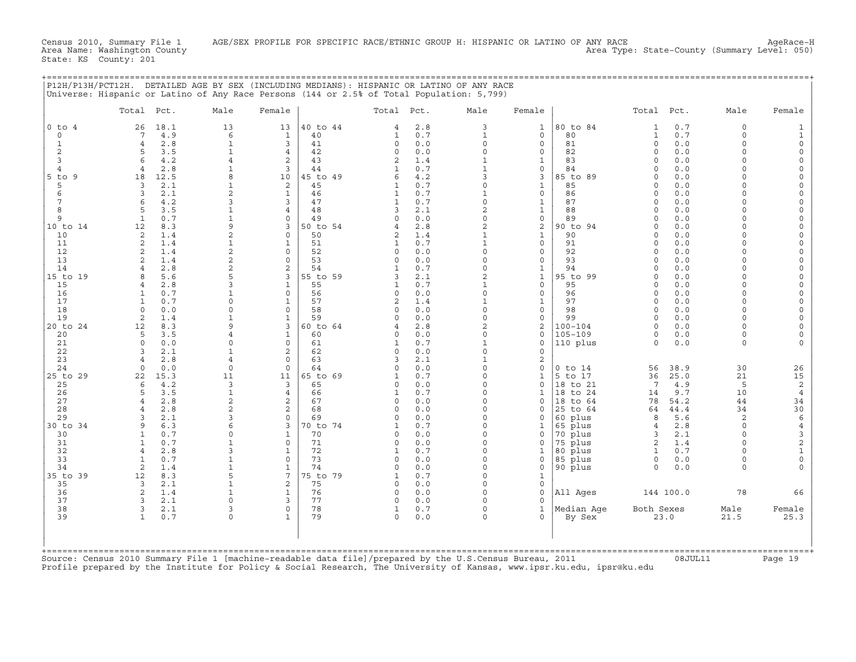Census 2010, Summary File 1 AGE/SEX PROFILE FOR SPECIFIC RACE/ETHNIC GROUP H: HISPANIC OR LATINO OF ANY RACE<br>Area Name: Washington County Area Name: Washington County Area Type: State−County (Summary Level: 050)

State: KS County: 201

|        |            |                  |      |        |                   |            |              | P12H/P13H/PCT12H. DETAILED AGE BY SEX (INCLUDING MEDIANS): HISPANIC OR LATINO OF ANY RACE<br>Universe: Hispanic or Latino of Any Race Persons (144 or 2.5% of Total Population: 5,799) |        |                                  |            |              |      |        |
|--------|------------|------------------|------|--------|-------------------|------------|--------------|----------------------------------------------------------------------------------------------------------------------------------------------------------------------------------------|--------|----------------------------------|------------|--------------|------|--------|
|        | Total Pct. |                  | Male | Female |                   | Total Pct. |              | Male                                                                                                                                                                                   | Female |                                  | Total Pct. |              | Male | Female |
| O to 4 |            | 26 18.1<br>7 4 9 |      |        | 13 40 to 44<br>40 |            | 4 2.8<br>0.7 |                                                                                                                                                                                        |        | $1 \vert 80 \vert$ to $84$<br>80 |            | 1 0.7<br>0.7 |      |        |

|                | Total<br>Pct.                     | Male                        | Female                      |                | Total Pct.        |            | Male                     | Female                       |                         | Total Pct.              |             | Male                  | Female                          |
|----------------|-----------------------------------|-----------------------------|-----------------------------|----------------|-------------------|------------|--------------------------|------------------------------|-------------------------|-------------------------|-------------|-----------------------|---------------------------------|
| $0$ to $4$     | 18.1<br>26                        | 13                          | 13                          | 40 to 44       | $\overline{4}$    | 2.8        | 3                        | $\mathbf{1}$                 | 80 to 84                | 1                       | 0.7         | $\Omega$              | 1                               |
| $\circ$        | 4.9<br>7                          | 6                           | $\mathbf{1}$                | 40             | 1                 | 0.7        | $\mathbf{1}$             | $\mathsf{O}$                 | 80                      | $\mathbf{1}$            | 0.7         | $\mathbf 0$           | 1                               |
| 1<br>2         | 2.8<br>$\overline{4}$<br>5<br>3.5 | $\mathbf{1}$<br>$\mathbf 1$ | 3<br>$\overline{4}$         | 41<br>42       | $\Omega$<br>0     | 0.0<br>0.0 | $\Omega$<br>$\circ$      | $\Omega$<br>$\mathbf 0$      | 81<br>82                | $\Omega$<br>$\Omega$    | 0.0<br>0.0  | $\Omega$<br>$\Omega$  | $\mathbf 0$<br>$\circ$          |
| 3              | 4.2<br>6                          | 4                           | 2                           | 43             | $\overline{2}$    | 1.4        | $\mathbf{1}$             | $\mathbf{1}$                 | 83                      | $\Omega$                | 0.0         | $\cap$                | $\Omega$                        |
| $\overline{4}$ | 2.8<br>$\overline{4}$             | 1                           | 3                           | 44             | 1                 | 0.7        | $\mathbf{1}$             | $\mathbf 0$                  | 84                      | $\Omega$                | 0.0         | $\cap$                | $\Omega$                        |
| $5$ to<br>9    | 12.5<br>18                        | 8                           | 10                          | 45 to 49       | 6                 | 4.2        | 3                        | 3                            | 85 to 89                | $\Omega$                | 0.0         | $\cap$                | $\Omega$                        |
| 5              | 3<br>2.1                          | 1                           | 2                           | 45             | 1                 | 0.7        | $\circ$                  | $\mathbf{1}$                 | 85                      | $\Omega$                | 0.0         | $\cap$                | $\Omega$                        |
| 6              | 2.1<br>3                          | $\overline{a}$              | $\mathbf{1}$                | 46             | $\mathbf{1}$      | 0.7        | $\mathbf{1}$             | $\mathbf 0$                  | 86                      | $\Omega$                | 0.0         | $\Omega$              | $\Omega$                        |
| 7              | 4.2<br>6                          | 3                           | 3                           | 47             | 1                 | 0.7        | $\circ$                  | $\mathbf{1}$                 | 87                      | $\Omega$                | 0.0         | $\cap$                | $\Omega$                        |
| 8<br>9         | 3.5<br>5<br>0.7<br>1              | $\mathbf 1$<br>$\mathbf 1$  | 4<br>$\Omega$               | 48<br>49       | 3<br>$\Omega$     | 2.1<br>0.0 | 2<br>$\Omega$            | $\mathbf{1}$<br>$\mathsf{O}$ | 88<br>89                | $\Omega$<br>$\Omega$    | 0.0<br>0.0  | $\cap$<br>$\cap$      | $\Omega$<br>$\Omega$            |
| 10 to 14       | 12<br>8.3                         | 9                           | 3                           | 50 to 54       | $\overline{4}$    | 2.8        | $\overline{c}$           | 2                            | 90 to 94                | $\Omega$                | 0.0         | $\cap$                | $\Omega$                        |
| 10             | 2<br>1.4                          | 2                           | 0                           | 50             | 2                 | 1.4        | $\mathbf{1}$             | $\mathbf{1}$                 | 90                      | $\Omega$                | 0.0         | $\Omega$              | $\Omega$                        |
| 11             | 2<br>1.4                          | $\mathbf{1}$                | 1                           | 51             | 1                 | 0.7        | $\mathbf{1}$             | $\mathbf{0}$                 | 91                      | $\Omega$                | 0.0         | $\cap$                | $\Omega$                        |
| 12             | 2<br>1.4                          | 2                           | $\circ$                     | 52             | $\Omega$          | 0.0        | $\Omega$                 | $\mathbf 0$                  | 92                      | $\Omega$                | 0.0         | $\cap$                |                                 |
| 13             | 2<br>1.4                          | $\overline{2}$              | $\mathbf 0$                 | 53             | 0                 | 0.0        | 0                        | $\mathsf{O}$                 | 93                      | $\Omega$                | 0.0         | $\cap$                | $\Omega$                        |
| 14             | 2.8<br>4                          | 2                           | 2                           | 54             | 1                 | 0.7        | 0<br>$\overline{a}$      | $\mathbf{1}$                 | 94                      | $\Omega$                | 0.0         | $\cap$<br>$\cap$      | $\Omega$                        |
| 15 to 19<br>15 | 5.6<br>8<br>2.8<br>4              | 5<br>3                      | 3<br>$\mathbf{1}$           | 55 to 59<br>55 | 3<br>$\mathbf{1}$ | 2.1<br>0.7 | $\mathbf{1}$             | $\mathbf{1}$<br>$\mathbf 0$  | 95 to 99<br>95          | $\Omega$<br>$\Omega$    | 0.0<br>0.0  | $\Omega$              | $\Omega$<br>$\Omega$            |
| 16             | 0.7<br>1                          | $\mathbf 1$                 | $\circ$                     | 56             | 0                 | 0.0        | $\circ$                  | $\mathbf 0$                  | 96                      | $\Omega$                | 0.0         | $\Omega$              | $\Omega$                        |
| 17             | 0.7<br>1                          | 0                           | 1                           | 57             | $\overline{c}$    | 1.4        | $\mathbf{1}$             | 1                            | 97                      | $\Omega$                | 0.0         | $\Omega$              | $\Omega$                        |
| 18             | 0.0<br>$\Omega$                   | $\Omega$                    | $\Omega$                    | 58             | $\Omega$          | 0.0        | $\Omega$                 | $\mathbf 0$                  | 98                      | $\Omega$                | 0.0         | $\cap$                | $\Omega$                        |
| 19             | 2<br>1.4                          | $\mathbf 1$                 | $\mathbf{1}$                | 59             | $\Omega$          | 0.0        | $\circ$                  | $\mathsf{O}$                 | 99                      | $\Omega$                | 0.0         | $\Omega$              | $\Omega$                        |
| 20 to 24       | 8.3<br>12                         | 9                           | 3                           | 60 to 64       |                   | 2.8        | 2                        | 2                            | $100 - 104$             | $\Omega$                | 0.0         | $\Omega$              | $\Omega$                        |
| 20<br>21       | 3.5<br>5<br>$\Omega$<br>0.0       | 4<br>$\Omega$               | $\mathbf{1}$<br>$\circ$     | 60<br>61       | $\Omega$<br>1     | 0.0<br>0.7 | $\Omega$<br>$\mathbf{1}$ | $\mathbf 0$<br>$\mathbf 0$   | $105 - 109$<br>110 plus | $\Omega$<br>$\Omega$    | 0.0<br>0.0  | $\Omega$<br>$\Omega$  |                                 |
| 22             | 3<br>2.1                          | $\mathbf{1}$                | $\overline{c}$              | 62             | $\Omega$          | 0.0        | $\circ$                  | $\mathbf 0$                  |                         |                         |             |                       |                                 |
| 23             | 2.8<br>4                          | 4                           | $\mathbf 0$                 | 63             | 3                 | 2.1        | $\mathbf{1}$             | 2                            |                         |                         |             |                       |                                 |
| 24             | 0.0<br>$\Omega$                   | $\Omega$                    | $\Omega$                    | 64             | $\Omega$          | 0.0        | $\Omega$                 | $\Omega$                     | $0$ to $14$             | 56                      | 38.9        | 30                    | 26                              |
| 25 to 29       | 15.3<br>22                        | 11                          | 11                          | 65 to 69       | $\mathbf{1}$      | 0.7        | $\circ$                  | $\mathbf{1}$                 | 5 to 17                 | 36                      | 25.0        | 21                    | 15                              |
| 25             | 4.2<br>6                          | 3                           | 3                           | 65             | $\Omega$          | 0.0        | $\Omega$                 | $\mathbf{0}$                 | 18 to 21                | 7                       | 4.9         | 5                     | 2                               |
| 26<br>27       | 3.5<br>5<br>2.8<br>$\overline{4}$ | $\mathbf 1$<br>2            | 4<br>2                      | 66<br>67       | 1<br>$\Omega$     | 0.7<br>0.0 | $\Omega$<br>$\circ$      | 1<br>$\mathbf{0}$            | 18 to 24<br>18 to 64    | 14<br>78                | 9.7<br>54.2 | 10<br>44              | 4<br>34                         |
| 28             | 2.8<br>$\overline{4}$             | $\overline{2}$              | $\overline{2}$              | 68             | $\Omega$          | 0.0        | $\Omega$                 | $\mathbf 0$                  | 25 to 64                | 64                      | 44.4        | 34                    | 30                              |
| 29             | 2.1<br>3                          | 3                           | $\circ$                     | 69             | $\Omega$          | 0.0        | $\Omega$                 | $\mathbf 0$                  | 60 plus                 | 8                       | 5.6         | 2                     | $\epsilon$                      |
| 30 to 34       | 9<br>6.3                          | 6                           | 3                           | 70 to 74       | 1                 | 0.7        | $\Omega$                 | 1                            | 65 plus                 | $\overline{4}$          | 2.8         | $\Omega$              | $\,4$                           |
| 30             | 0.7<br>$\mathbf{1}$               | $\Omega$                    | $\mathbf{1}$                | 70             | $\Omega$          | 0.0        | $\Omega$                 | $\Omega$                     | 70 plus                 | 3                       | 2.1         | $\Omega$              | 3                               |
| 31             | 0.7<br>1                          | $\mathbf{1}$                | $\mathbf 0$                 | 71             | 0                 | 0.0        | $\Omega$                 | $\mathbf 0$                  | 75 plus                 | 2                       | 1.4         | $\Omega$              | $\mathbf 2$                     |
| 32             | 2.8<br>$\overline{4}$             | 3                           | $\mathbf{1}$<br>$\mathbf 0$ | 72             | 1                 | 0.7        | $\Omega$<br>$\circ$      | $\mathbf 1$                  | 80 plus                 | $\mathbf{1}$            | 0.7         | $\cap$<br>$\mathbf 0$ | $\mathbf{1}$                    |
| 33<br>34       | 1<br>0.7<br>$\overline{2}$<br>1.4 | $\mathbf 1$<br>$\mathbf{1}$ | 1                           | 73<br>74       | 0<br>$\Omega$     | 0.0<br>0.0 | $\Omega$                 | 0<br>$\mathbf 0$             | 85 plus<br>90 plus      | $\mathbf 0$<br>$\Omega$ | 0.0<br>0.0  | $\Omega$              | $\mathsf{O}\xspace$<br>$\Omega$ |
| 35 to 39       | 8.3<br>12                         | 5                           | 7                           | 75 to 79       | 1                 | 0.7        | $\Omega$                 | $\mathbf{1}$                 |                         |                         |             |                       |                                 |
| 35             | 3<br>2.1                          | $\mathbf{1}$                | 2                           | 75             | 0                 | 0.0        | $\circ$                  | $\mathsf{O}$                 |                         |                         |             |                       |                                 |
| 36             | 2<br>1.4                          | 1                           | $\mathbf{1}$                | 76             | 0                 | 0.0        | $\Omega$                 | $\mathsf{O}$                 | All Ages                |                         | 144 100.0   | 78                    | 66                              |
| 37             | 2.1<br>3                          | $\Omega$                    | 3                           | 77             | $\Omega$          | 0.0        | $\Omega$                 | $\Omega$                     |                         |                         |             |                       |                                 |
| 38             | 3<br>2.1                          | 3                           | $\circ$                     | 78             | 1                 | 0.7        | $\circ$                  | $\mathbf{1}$                 | Median Age              | Both Sexes              |             | Male                  | Female                          |
| 39             | $\mathbf{1}$<br>0.7               | 0                           | $\mathbf{1}$                | 79             | $\Omega$          | 0.0        | $\circ$                  | $\Omega$                     | By Sex                  |                         | 23.0        | 21.5                  | 25.3                            |
|                |                                   |                             |                             |                |                   |            |                          |                              |                         |                         |             |                       |                                 |

Source: Census 2010 Summary File 1 [machine−readable data file]/prepared by the U.S.Census Bureau, 2011 08JUL11 Page 19 Profile prepared by the Institute for Policy & Social Research, The University of Kansas, www.ipsr.ku.edu, ipsr@ku.edu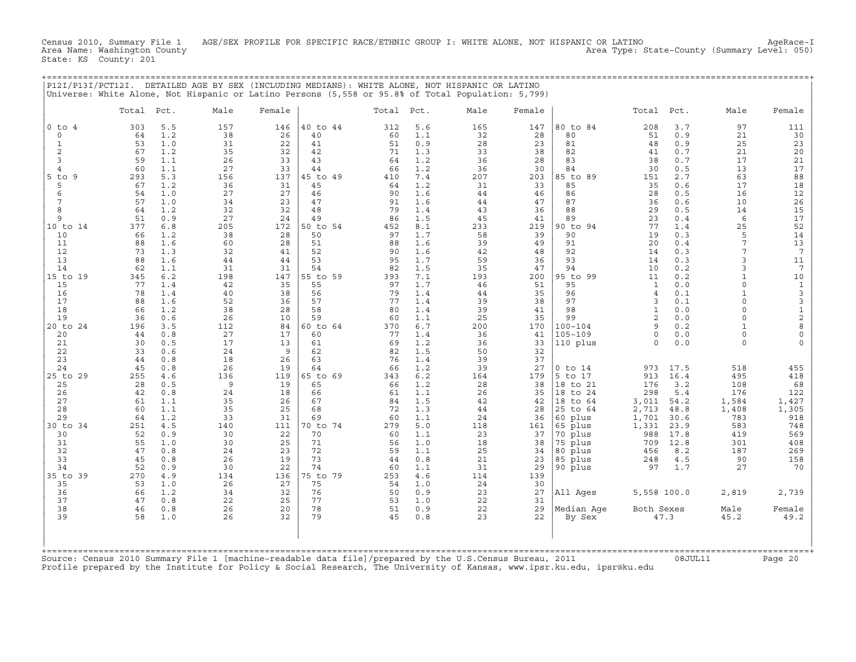Census 2010, Summary File 1 AGE/SEX PROFILE FOR SPECIFIC RACE/ETHNIC GROUP I: WHITE ALONE, NOT HISPANIC OR LATINO AgeRace-I<br>Area Name: Washington County Area Type: State-County (Summary Level: 050) State: KS County: 201

+===================================================================================================================================================+

|                   | Total    | Pct.       | Male     | Female   |          | Total    | Pct.       | Male     | Female   |                      | Total                | Pct.         | Male                     | Female                     |
|-------------------|----------|------------|----------|----------|----------|----------|------------|----------|----------|----------------------|----------------------|--------------|--------------------------|----------------------------|
| $0$ to $4$        | 303      | 5.5        | 157      | 146      | 40 to 44 | 312      | 5.6        | 165      | 147      | 80 to 84             | 208                  | 3.7          | 97                       | 111                        |
| $\circ$           | 64       | 1.2        | 38       | 26       | 40       | 60       | 1.1        | 32       | 28       | 80                   | 51                   | 0.9          | 21                       | 30                         |
| 1<br>$\mathbf{2}$ | 53<br>67 | 1.0<br>1.2 | 31<br>35 | 22<br>32 | 41<br>42 | 51<br>71 | 0.9<br>1.3 | 28<br>33 | 23<br>38 | 81<br>82             | 48<br>41             | 0.9<br>0.7   | 25<br>21                 | 23<br>20                   |
| 3                 | 59       | 1.1        | 26       | 33       | 43       | 64       | 1.2        | 36       | 28       | 83                   | 38                   | 0.7          | 17                       | 21                         |
| $\overline{4}$    | 60       | 1.1        | 27       | 33       | 44       | 66       | 1.2        | 36       | 30       | 84                   | 30                   | 0.5          | 13                       | 17                         |
| $5$ to<br>9       | 293      | 5.3        | 156      | 137      | 45 to 49 | 410      | 7.4        | 207      | 203      | 85 to 89             | 151                  | 2.7          | 63                       | 88                         |
| 5                 | 67       | 1.2        | 36       | 31       | 45       | 64       | 1.2        | 31       | 33       | 85                   | 35                   | 0.6          | 17                       | 18                         |
| 6<br>7            | 54<br>57 | 1.0<br>1.0 | 27<br>34 | 27<br>23 | 46<br>47 | 90<br>91 | 1.6<br>1.6 | 44<br>44 | 46<br>47 | 86<br>87             | 28<br>36             | 0.5<br>0.6   | 16<br>10                 | 12<br>26                   |
| 8                 | 64       | 1.2        | 32       | 32       | 48       | 79       | 1.4        | 43       | 36       | 88                   | 29                   | 0.5          | 14                       | 15                         |
| 9                 | 51       | 0.9        | 27       | 24       | 49       | 86       | 1.5        | 45       | 41       | 89                   | 23                   | 0.4          | 6                        | 17                         |
| 10 to 14          | 377      | 6.8        | 205      | 172      | 50 to 54 | 452      | 8.1        | 233      | 219      | 90 to 94             | 77                   | 1.4          | 25                       | 52                         |
| 10                | 66       | 1.2        | 38       | 28       | 50       | 97       | 1.7        | 58       | 39       | 90                   | 19                   | 0.3          | 5                        | 14                         |
| 11<br>12          | 88<br>73 | 1.6<br>1.3 | 60<br>32 | 28<br>41 | 51<br>52 | 88<br>90 | 1.6<br>1.6 | 39<br>42 | 49<br>48 | 91<br>92             | 20<br>14             | 0.4<br>0.3   | $7\phantom{.0}$<br>7     | 13<br>$7\phantom{.0}$      |
| 13                | 88       | 1.6        | 44       | 44       | 53       | 95       | 1.7        | 59       | 36       | 93                   | 14                   | 0.3          | 3                        | 11                         |
| 14                | 62       | 1.1        | 31       | 31       | 54       | 82       | 1.5        | 35       | 47       | 94                   | 10                   | 0.2          | 3                        | $7\phantom{.0}$            |
| 15 to 19          | 345      | 6.2        | 198      | 147      | 55 to 59 | 393      | 7.1        | 193      | 200      | 95 to 99             | 11                   | 0.2          | $\mathbf{1}$             | 10                         |
| 15                | 77       | 1.4        | 42       | 35       | 55       | 97       | 1.7        | 46       | 51       | 95                   | $\mathbf{1}$         | 0.0          | $\Omega$                 | $\mathbf{1}$               |
| 16<br>17          | 78<br>88 | 1.4<br>1.6 | 40<br>52 | 38<br>36 | 56<br>57 | 79<br>77 | 1.4<br>1.4 | 44<br>39 | 35<br>38 | 96<br>97             | $\overline{4}$<br>3  | 0.1<br>0.1   | $\mathbf{1}$<br>$\Omega$ | $\mathsf 3$<br>$\mathsf 3$ |
| 18                | 66       | 1.2        | 38       | 28       | 58       | 80       | 1.4        | 39       | 41       | 98                   | $\mathbf{1}$         | 0.0          | $\Omega$                 | $\mathbf 1$                |
| 19                | 36       | 0.6        | 26       | 10       | 59       | 60       | 1.1        | 25       | 35       | 99                   | $\overline{c}$       | 0.0          | $\Omega$                 | $\sqrt{2}$                 |
| 20 to 24          | 196      | 3.5        | 112      | 84       | 60 to 64 | 370      | 6.7        | 200      | 170      | $100 - 104$          | 9                    | 0.2          | $\mathbf{1}$             | 8                          |
| 20                | 44       | 0.8        | 27       | 17       | 60       | 77       | 1.4        | 36       | 41       | $105 - 109$          | $\Omega$<br>$\Omega$ | 0.0          | $\Omega$                 | $\mathbf 0$<br>$\Omega$    |
| 21<br>22          | 30<br>33 | 0.5<br>0.6 | 17<br>24 | 13<br>9  | 61<br>62 | 69<br>82 | 1.2<br>1.5 | 36<br>50 | 33<br>32 | 110 plus             |                      | 0.0          | $\Omega$                 |                            |
| 23                | 44       | 0.8        | 18       | 26       | 63       | 76       | 1.4        | 39       | 37       |                      |                      |              |                          |                            |
| 24                | 45       | 0.8        | 26       | 19       | 64       | 66       | 1.2        | 39       | 27       | $0$ to $14$          | 973                  | 17.5         | 518                      | 455                        |
| 25 to 29          | 255      | 4.6        | 136      | 119      | 65 to 69 | 343      | 6.2        | 164      | 179      | 5 to 17              | 913                  | 16.4         | 495                      | 418                        |
| 25                | 28       | 0.5        | 9        | 19<br>18 | 65       | 66       | 1.2        | 28       | 38       | 18 to 21             | 176                  | 3.2          | 108                      | 68                         |
| 26<br>27          | 42<br>61 | 0.8<br>1.1 | 24<br>35 | 26       | 66<br>67 | 61<br>84 | 1.1<br>1.5 | 26<br>42 | 35<br>42 | 18 to 24<br>18 to 64 | 298<br>3,011         | 5.4<br>54.2  | 176<br>1,584             | 122<br>1,427               |
| 28                | 60       | 1.1        | 35       | 25       | 68       | 72       | 1.3        | 44       | 28       | 25 to 64             | 2,713                | 48.8         | 1,408                    | 1,305                      |
| 29                | 64       | 1.2        | 33       | 31       | 69       | 60       | 1.1        | 24       | 36       | 60 plus              | 1,701                | 30.6         | 783                      | 918                        |
| 30 to 34          | 251      | 4.5        | 140      | 111      | 70 to 74 | 279      | 5.0        | 118      | 161      | 65 plus              | 1,331                | 23.9         | 583                      | 748                        |
| 30<br>31          | 52<br>55 | 0.9<br>1.0 | 30<br>30 | 22<br>25 | 70<br>71 | 60<br>56 | 1.1        | 23<br>18 | 37       | 70 plus              | 988<br>709           | 17.8<br>12.8 | 419<br>301               | 569<br>408                 |
| 32                | 47       | 0.8        | 24       | 23       | 72       | 59       | 1.0<br>1.1 | 25       | 38<br>34 | 75 plus<br>80 plus   | 456                  | 8.2          | 187                      | 269                        |
| 33                | 45       | 0.8        | 26       | 19       | 73       | 44       | 0.8        | 21       | 23       | 85 plus              | 248                  | 4.5          | 90                       | 158                        |
| 34                | 52       | 0.9        | 30       | 22       | 74       | 60       | 1.1        | 31       | 29       | 90 plus              | 97                   | 1.7          | 27                       | 70                         |
| 35 to 39          | 270      | 4.9        | 134      | 136      | 75 to 79 | 253      | 4.6        | 114      | 139      |                      |                      |              |                          |                            |
| 35                | 53       | 1.0        | 26       | 27       | 75       | 54       | 1.0        | 24       | 30       |                      |                      |              |                          |                            |
| 36<br>37          | 66<br>47 | 1.2<br>0.8 | 34<br>22 | 32<br>25 | 76<br>77 | 50<br>53 | 0.9<br>1.0 | 23<br>22 | 27<br>31 | All Ages             | 5,558 100.0          |              | 2,819                    | 2,739                      |
| 38                | 46       | 0.8        | 26       | 20       | 78       | 51       | 0.9        | 22       | 29       | Median Aqe           | Both Sexes           |              | Male                     | Female                     |
| 39                | 58       | 1.0        | 26       | 32       | 79       | 45       | 0.8        | 23       | 22       | By Sex               |                      | 47.3         | 45.2                     | 49.2                       |
|                   |          |            |          |          |          |          |            |          |          |                      |                      |              |                          |                            |

Source: Census 2010 Summary File 1 [machine−readable data file]/prepared by the U.S.Census Bureau, 2011 08JUL11 Page 20 Profile prepared by the Institute for Policy & Social Research, The University of Kansas, www.ipsr.ku.edu, ipsr@ku.edu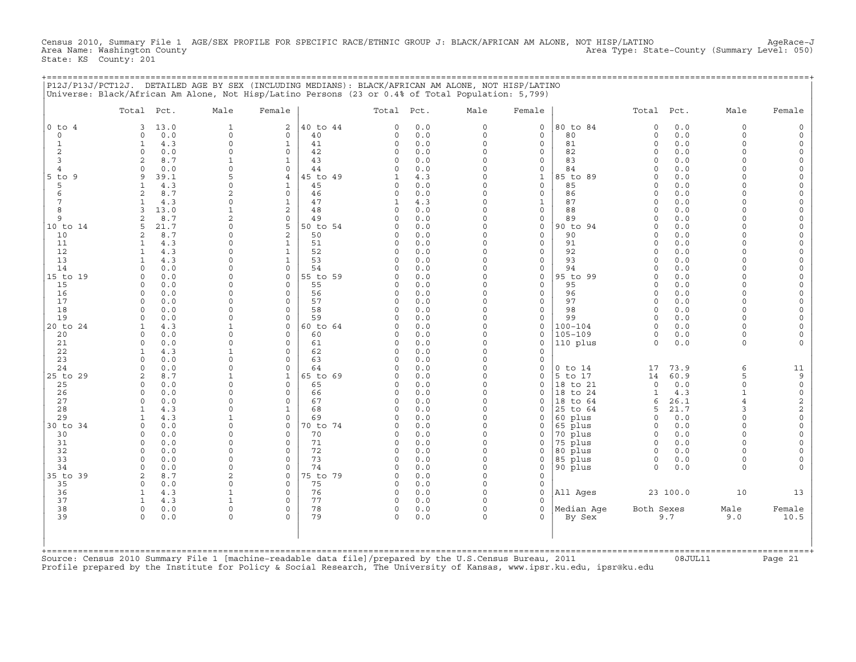Census 2010, Summary File 1 AGE/SEX PROFILE FOR SPECIFIC RACE/ETHNIC GROUP J: BLACK/AFRICAN AM ALONE, NOT HISP/LATINO AgeRace−J Area Type: State-County (Summary Level: 050) State: KS County: 201

+===================================================================================================================================================+

|                   | Total Pct.                            | Male              | Female                       |                | Total Pct.           |            | Male                 | Female                      |                    | Total Pct.           |            | Male                    | Female               |
|-------------------|---------------------------------------|-------------------|------------------------------|----------------|----------------------|------------|----------------------|-----------------------------|--------------------|----------------------|------------|-------------------------|----------------------|
| $0$ to $4$        | 13.0<br>3                             | $\mathbf{1}$      | $\overline{a}$               | 40 to 44       | $\Omega$             | 0.0        | $\circ$              | $\mathsf{O}$                | 80 to 84           | $\Omega$             | 0.0        | $\mathbf 0$             | $\Omega$             |
| 0                 | 0.0<br>0                              | 0                 | 0                            | 40             | 0                    | 0.0        | 0                    | $\mathsf{O}$                | 80                 | $\circ$              | 0.0        | $\mathbf 0$<br>$\Omega$ | $\Omega$             |
| 1<br>$\mathbf{2}$ | 4.3<br>1<br>$\circ$<br>0.0            | $\circ$<br>0      | $\mathbf{1}$<br>$\mathbf 0$  | 41<br>42       | $\Omega$<br>0        | 0.0<br>0.0 | $\circ$<br>$\circ$   | $\mathbf 0$<br>$\mathbf 0$  | 81<br>82           | $\circ$<br>$\Omega$  | 0.0<br>0.0 | $\Omega$                | $\Omega$<br>$\Omega$ |
| 3                 | 8.7<br>2                              | 1                 | $\mathbf{1}$                 | 43             | $\Omega$             | 0.0        | $\Omega$             | 0                           | 83                 | $\Omega$             | 0.0        | $\Omega$                | $\Omega$             |
| $\overline{4}$    | $\cap$<br>0.0                         | $\Omega$          | $\Omega$                     | 44             | $\cap$               | 0.0        | $\Omega$             | $\Omega$                    | 84                 | $\cap$               | 0.0        | $\cap$                  | $\Omega$             |
| $5$ to<br>9       | 9<br>39.1                             | 5                 | $\overline{4}$               | 45 to 49       | 1                    | 4.3        | $\circ$              | $\mathbf{1}$                | 85 to 89           | $\Omega$             | 0.0        | $\Omega$                | $\Omega$             |
| 5                 | 4.3                                   | 0                 | 1                            | 45             | 0                    | 0.0        | $\Omega$             | $\mathsf{O}$                | 85                 | $\Omega$             | 0.0        | $\cap$                  | $\circ$              |
| 6                 | 8.7<br>$\mathfrak{D}$                 | $\overline{a}$    | $\Omega$                     | 46             | $\Omega$             | 0.0        | $\Omega$             | $\Omega$                    | 86                 | $\Omega$             | 0.0        |                         | $\Omega$             |
| 7                 | 4.3<br>-1                             | $\circ$           | $\mathbf{1}$                 | 47             | 1                    | 4.3        | $\Omega$             | $\mathbf{1}$                | 87                 | $\Omega$<br>$\Omega$ | 0.0        | $\cap$                  | $\Omega$             |
| 8<br>9            | 13.0<br>3<br>2<br>8.7                 | $\mathbf 1$<br>2  | $\overline{\mathbf{c}}$<br>0 | 48<br>49       | $\Omega$<br>0        | 0.0<br>0.0 | $\Omega$<br>0        | $\mathbf 0$<br>$\mathsf{O}$ | 88<br>89           | $\Omega$             | 0.0<br>0.0 | $\cap$                  | $\Omega$<br>$\Omega$ |
| 10 to 14          | 21.7<br>5                             | $\Omega$          | 5                            | 50 to 54       | $\Omega$             | 0.0        | $\Omega$             | $\mathbf 0$                 | 90 to 94           | $\Omega$             | 0.0        | $\cap$                  | $\Omega$             |
| 10                | 8.7<br>2                              | 0                 | 2                            | 50             | $\Omega$             | 0.0        | $\circ$              | $\mathbf 0$                 | 90                 | $\Omega$             | 0.0        | $\Omega$                | $\Omega$             |
| 11                | 4.3<br>1                              | 0                 | $\mathbf{1}$                 | 51             | $\Omega$             | 0.0        | $\Omega$             | 0                           | 91                 | $\Omega$             | 0.0        | $\Omega$                | $\Omega$             |
| 12                | 4.3<br>-1                             | $\Omega$          | $\mathbf{1}$                 | 52             | $\Omega$             | 0.0        | $\Omega$             | $\Omega$                    | 92                 | $\cap$               | 0.0        | $\cap$                  | $\Omega$             |
| 13                | 4.3<br>1                              | $\Omega$          | $\mathbf{1}$                 | 53             | 0                    | 0.0        | $\circ$              | $\mathbf 0$                 | 93                 | $\Omega$             | 0.0        | $\Omega$                | $\Omega$             |
| 14                | 0.0<br>$\Omega$                       | 0                 | $\mathbf 0$                  | 54             | $\Omega$             | 0.0        | $\Omega$             | $\mathsf{O}$                | 94                 | $\Omega$             | 0.0        | $\cap$                  | $\Omega$             |
| 15 to 19          | 0.0<br>0<br>$\Omega$                  | 0<br>$\Omega$     | $\mathbf 0$<br>$\Omega$      | 55 to 59<br>55 | O<br>$\Omega$        | 0.0<br>0.0 | $\Omega$<br>$\Omega$ | $\mathbf 0$<br>$\mathbf 0$  | 95 to 99<br>95     | $\Omega$<br>$\Omega$ | 0.0<br>0.0 | $\Omega$<br>$\Omega$    | $\Omega$<br>$\Omega$ |
| 15<br>16          | 0.0<br>$\Omega$<br>0.0                | $\Omega$          | $\mathbf 0$                  | 56             | $\Omega$             | 0.0        | $\Omega$             | $\mathbf 0$                 | 96                 | $\Omega$             | 0.0        | $\Omega$                | $\Omega$             |
| 17                | 0<br>0.0                              | 0                 | 0                            | 57             | 0                    | 0.0        | 0                    | $\mathsf{O}$                | 97                 | $\Omega$             | 0.0        | $\Omega$                | $\Omega$             |
| 18                | 0.0<br>$\Omega$                       | $\Omega$          | $\Omega$                     | 58             | $\Omega$             | 0.0        | $\Omega$             | $\Omega$                    | 98                 | $\Omega$             | 0.0        | $\Omega$                | $\Omega$             |
| 19                | 0.0<br>0                              | $\Omega$          | $\mathbf 0$                  | 59             | $\Omega$             | 0.0        | $\circ$              | $\mathbf 0$                 | 99                 | $\Omega$             | 0.0        | $\Omega$                | $\Omega$             |
| 20 to 24          | 4.3<br>1                              | 1                 | 0                            | 60 to 64       | O.                   | 0.0        | $\Omega$             | $\mathsf{O}$                | $100 - 104$        | $\Omega$             | 0.0        | $\Omega$                | $\Omega$             |
| 20                | $\Omega$<br>0.0                       | $\Omega$          | $\Omega$                     | 60             | U                    | 0.0        | $\Omega$             | $\Omega$                    | $105 - 109$        | $\Omega$             | 0.0        | $\Omega$                | $\Omega$             |
| 21                | 0.0<br>$\Omega$                       | $\Omega$          | $\mathbf 0$                  | 61             | 0                    | 0.0        | $\Omega$             | $\mathbf 0$                 | 110 plus           | $\Omega$             | 0.0        | $\Omega$                |                      |
| 22<br>23          | 4.3<br>-1<br>$\Omega$                 | $\mathbf{1}$<br>0 | $\mathbf 0$<br>0             | 62<br>63       | $\Omega$<br>0        | 0.0<br>0.0 | $\Omega$<br>$\Omega$ | $\mathbf 0$<br>$\mathsf{O}$ |                    |                      |            |                         |                      |
| 24                | 0.0<br>0.0<br>$\Omega$                | $\Omega$          | $\Omega$                     | 64             | O                    | 0.0        | $\Omega$             | $\mathbf 0$                 | $0$ to $14$        | 17                   | 73.9       | 6                       | 11                   |
| 25 to 29          | 2<br>8.7                              | $\mathbf{1}$      | $\mathbf{1}$                 | 65 to 69       | O                    | 0.0        | $\circ$              | $\mathbf 0$                 | 5 to 17            | 14                   | 60.9       | 5                       | 9                    |
| 25                | 0.0<br>$\Omega$                       | 0                 | 0                            | 65             | 0                    | 0.0        | $\Omega$             | $\mathsf{O}$                | 18 to 21           | $\circ$              | 0.0        | $\Omega$                | $\mathsf{O}\xspace$  |
| 26                | $\Omega$<br>0.0                       | $\Omega$          | $\Omega$                     | 66             | $\Omega$             | 0.0        | $\Omega$             | $\Omega$                    | 18 to 24           | $\mathbf{1}$         | 4.3        | $\mathbf{1}$            | $\mathsf{O}\xspace$  |
| 27                | $\circ$<br>0.0                        | $\Omega$          | $\circ$                      | 67             | $\Omega$             | 0.0        | $\circ$              | $\mathbf 0$                 | 18 to 64           | 6                    | 26.1       | $\overline{4}$          | $\sqrt{2}$           |
| 28                | 4.3<br>1                              | $\Omega$          | 1                            | 68             | 0                    | 0.0        | $\Omega$             | $\mathbf 0$                 | 25 to 64           | 5                    | 21.7       | 3                       | $\sqrt{2}$           |
| 29                | 4.3<br>1                              | 1                 | $\mathbf 0$                  | 69             | $\Omega$             | 0.0        | $\Omega$             | $\Omega$                    | 60 plus            | $\Omega$             | 0.0        | $\Omega$<br>$\Omega$    | $\circ$              |
| 30 to 34<br>30    | $\circ$<br>0.0<br>0.0<br>$\Omega$     | 0<br>$\Omega$     | $\mathbf 0$<br>$\mathbf 0$   | 70 to 74<br>70 | $\Omega$<br>$\Omega$ | 0.0<br>0.0 | $\Omega$<br>$\Omega$ | $\mathbf 0$<br>$\mathbf 0$  | 65 plus<br>70 plus | $\Omega$<br>$\Omega$ | 0.0<br>0.0 | $\Omega$                | $\Omega$<br>$\Omega$ |
| 31                | 0.0<br>$\circ$                        | 0                 | $\mathbf 0$                  | 71             | 0                    | 0.0        | $\circ$              | 0                           | 75 plus            | $\Omega$             | 0.0        | $\Omega$                |                      |
| 32                | $\Omega$<br>0.0                       | $\Omega$          | $\Omega$                     | 72             | $\Omega$             | 0.0        | $\Omega$             | $\mathbf 0$                 | 80 plus            | $\Omega$             | 0.0        | $\cap$                  |                      |
| 33                | 0.0<br>$\Omega$                       | $\Omega$          | $\Omega$                     | 73             | $\Omega$             | 0.0        | $\circ$              | $\mathbf 0$                 | 85 plus            | $\Omega$             | 0.0        | $\Omega$                | $\Omega$             |
| 34                | 0.0<br>$\Omega$                       | 0                 | $\Omega$                     | 74             | 0                    | 0.0        | $\Omega$             | $\mathsf{O}$                | 90 plus            | $\Omega$             | 0.0        | $\Omega$                | $\Omega$             |
| 35 to 39          | 2<br>8.7                              | 2                 | $\Omega$                     | 75 to 79       | $\cap$               | 0.0        | $\Omega$             | $\mathbf 0$                 |                    |                      |            |                         |                      |
| 35                | $\circ$<br>0.0                        | $\Omega$          | $\circ$                      | 75             | 0                    | 0.0        | $\circ$              | $\mathbf 0$                 |                    |                      |            |                         |                      |
| 36                | 4.3<br>1                              | 1                 | $\mathbf 0$                  | 76             | 0                    | 0.0        | $\Omega$             | $\mathbf 0$                 | All Ages           |                      | 23 100.0   | 10                      | 13                   |
| 37<br>38          | 4.3<br>$\mathbf{1}$<br>$\circ$<br>0.0 | 1<br>0            | $\mathbf 0$<br>$\mathbf 0$   | 77<br>78       | $\Omega$<br>0        | 0.0<br>0.0 | $\Omega$<br>$\circ$  | $\Omega$<br>$\mathbf 0$     | Median Age         | Both Sexes           |            | Male                    | Female               |
| 39                | $\circ$<br>0.0                        | 0                 | $\Omega$                     | 79             | $\Omega$             | 0.0        | $\circ$              | $\Omega$                    | By Sex             |                      | 9.7        | 9.0                     | 10.5                 |
|                   |                                       |                   |                              |                |                      |            |                      |                             |                    |                      |            |                         |                      |
|                   |                                       |                   |                              |                |                      |            |                      |                             |                    |                      |            |                         |                      |

Source: Census 2010 Summary File 1 [machine−readable data file]/prepared by the U.S.Census Bureau, 2011 08JUL11 Page 21 Profile prepared by the Institute for Policy & Social Research, The University of Kansas, www.ipsr.ku.edu, ipsr@ku.edu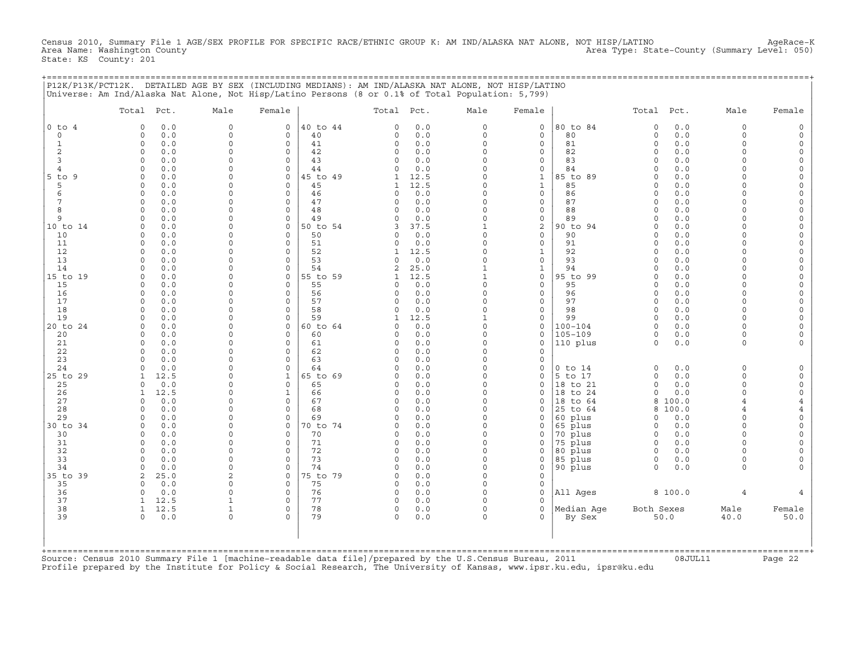Census 2010, Summary File 1 AGE/SEX PROFILE FOR SPECIFIC RACE/ETHNIC GROUP K: AM IND/ALASKA NAT ALONE, NOT HISP/LATINO AgeRace-K<br>Area Name: Washington County Area Name: Washington County Area Type: State−County (Summary Level: 050) State: KS County: 201

+===================================================================================================================================================+

|                | Total Pct.                         | Male          | Female                  |                | Total Pct.           |             | Male                     | Female                       |                    | Total Pct.           |            | Male                 | Female                             |
|----------------|------------------------------------|---------------|-------------------------|----------------|----------------------|-------------|--------------------------|------------------------------|--------------------|----------------------|------------|----------------------|------------------------------------|
| $0$ to $4$     | 0.0<br>$\Omega$                    | $\mathbf 0$   | $\mathbf 0$             | 40 to 44       | $\Omega$             | 0.0         | $\circ$                  | $\mathbf 0$                  | 80 to 84           | $\Omega$             | 0.0        | $\Omega$             | $\Omega$                           |
| $\circ$        | 0.0<br>0                           | 0             | 0                       | 40             | 0                    | 0.0         | 0                        | $\mathsf{O}$                 | 80                 | $\circ$              | 0.0        | $\Omega$             | $\Omega$                           |
| $\mathbf{1}$   | $\circ$<br>0.0                     | $\Omega$<br>0 | $\mathbf 0$             | 41             | 0                    | 0.0         | $\circ$<br>$\circ$       | $\mathbf 0$                  | 81                 | $\circ$<br>$\Omega$  | 0.0        | $\Omega$<br>$\Omega$ | $\mathbf 0$<br>$\circ$             |
| 2<br>3         | 0<br>0.0<br>0.0<br>$\Omega$        | $\Omega$      | 0<br>$\Omega$           | 42<br>43       | 0<br>$\Omega$        | 0.0<br>0.0  | $\Omega$                 | $\mathsf{O}$<br>$\mathbf 0$  | 82<br>83           | $\Omega$             | 0.0<br>0.0 | $\Omega$             | $\Omega$                           |
| $\overline{4}$ | 0.0<br>$\Omega$                    | $\Omega$      | $\Omega$                | 44             | $\Omega$             | 0.0         | $\Omega$                 | $\Omega$                     | 84                 | $\Omega$             | 0.0        | $\cap$               | $\Omega$                           |
| $5$ to<br>- 9  | 0.0<br>0                           | 0             | $\mathbf 0$             | 45 to 49       | 1                    | 12.5        | $\Omega$                 | $\mathbf{1}$                 | 85 to 89           | $\Omega$             | 0.0        | $\Omega$             | $\Omega$                           |
| 5              | 0.0<br>0                           | $\Omega$      | $\mathbf 0$             | 45             | 1                    | 12.5        | $\Omega$                 | $\mathbf{1}$                 | 85                 | $\Omega$             | 0.0        | $\cap$               | $\Omega$                           |
| 6              | 0.0<br>0                           | $\Omega$      | $\mathbf 0$             | 46             | 0                    | 0.0         | $\Omega$                 | $\mathsf{O}$                 | 86                 | $\Omega$             | 0.0        | $\cap$               | $\mathsf O$                        |
| 7              | $\Omega$<br>0.0                    | $\Omega$      | $\Omega$                | 47             | $\Omega$             | 0.0         | $\Omega$                 | $\mathbf 0$                  | 87                 | $\Omega$             | 0.0        | $\cap$               | $\Omega$                           |
| 8<br>9         | $\Omega$<br>0.0<br>$\Omega$        | $\Omega$<br>0 | $\circ$<br>$\mathbf 0$  | 48<br>49       | $\Omega$<br>$\Omega$ | 0.0         | $\circ$<br>$\Omega$      | $\mathbf 0$                  | 88<br>89           | $\Omega$<br>$\Omega$ | 0.0<br>0.0 | $\Omega$             | $\circ$<br>$\circ$                 |
| 10 to 14       | 0.0<br>0.0<br>$\Omega$             | $\Omega$      | $\mathbf 0$             | 50 to 54       | 3                    | 0.0<br>37.5 | $\mathbf{1}$             | $\mathsf{O}$<br>$\mathbf{2}$ | 90 to 94           | $\Omega$             | 0.0        | $\cap$               | $\Omega$                           |
| 10             | 0<br>0.0                           | 0             | 0                       | 50             | 0                    | 0.0         | 0                        | $\mathsf{O}$                 | 90                 | $\Omega$             | 0.0        | $\cap$               | $\mathbf 0$                        |
| 11             | $\Omega$<br>0.0                    | 0             | $\Omega$                | 51             | $\Omega$             | 0.0         | $\Omega$                 | $\mathbf 0$                  | 91                 | $\Omega$             | 0.0        | $\cap$               | $\circ$                            |
| 12             | 0.0<br>$\circ$                     | $\Omega$      | $\mathbf 0$             | 52             | 1                    | 12.5        | $\Omega$                 | $\mathbf{1}$                 | 92                 | $\Omega$             | 0.0        | $\Omega$             | $\Omega$                           |
| 13             | 0.0<br>$\Omega$                    | 0             | $\mathbf 0$             | 53             | $\Omega$             | 0.0         | $\Omega$                 | $\mathsf{O}$                 | 93                 | $\Omega$             | 0.0        |                      | $\Omega$                           |
| 14             | $\Omega$<br>0.0                    | 0             | 0                       | 54             | 2                    | 25.0        | $\mathbf{1}$             | $\mathbf{1}$                 | 94                 | $\Omega$             | 0.0        |                      | $\Omega$                           |
| 15 to 19       | 0.0<br>$\Omega$                    | 0<br>$\Omega$ | 0                       | 55 to 59       | 1                    | 12.5        | $\mathbf{1}$<br>$\Omega$ | $\mathsf{O}$                 | 95 to 99           | $\Omega$             | 0.0        | $\cap$<br>$\cap$     | $\mathbf 0$                        |
| 15<br>16       | $\Omega$<br>0.0<br>$\circ$<br>0.0  | $\Omega$      | $\Omega$<br>$\circ$     | 55<br>56       | $\Omega$<br>$\Omega$ | 0.0<br>0.0  | $\circ$                  | $\mathbf 0$<br>$\mathbf 0$   | 95<br>96           | $\Omega$<br>$\Omega$ | 0.0<br>0.0 | $\Omega$             | $\Omega$<br>$\mathbf 0$            |
| 17             | 0.0<br>$\Omega$                    | $\Omega$      | $\mathbf 0$             | 57             | 0                    | 0.0         | $\Omega$                 | $\mathbf 0$                  | 97                 | $\Omega$             | 0.0        | $\Omega$             | $\circ$                            |
| 18             | 0.0<br>$\Omega$                    | $\Omega$      | $\mathbf 0$             | 58             | $\Omega$             | 0.0         | $\Omega$                 | $\mathbf 0$                  | 98                 | $\Omega$             | 0.0        | $\Omega$             | $\Omega$                           |
| 19             | $\Omega$<br>0.0                    | 0             | $\Omega$                | 59             | 1                    | 12.5        | $\mathbf{1}$             | 0                            | 99                 | $\Omega$             | 0.0        | $\Omega$             | $\mathbf 0$                        |
| 20 to 24       | $\Omega$<br>0.0                    | 0             | $\mathbf 0$             | 60 to 64       | U                    | 0.0         | $\circ$                  | $\mathbf 0$                  | $100 - 104$        | $\Omega$             | 0.0        | $\cap$               | $\circ$                            |
| 20             | 0.0<br>0                           | 0             | $\mathbf 0$             | 60             | O                    | 0.0         | $\circ$                  | $\mathbf 0$                  | $105 - 109$        | 0                    | 0.0        | $\Omega$             | $\Omega$                           |
| 21             | 0.0<br>$\Omega$                    | $\Omega$      | $\mathbf 0$             | 61             | 0                    | 0.0         | $\Omega$                 | $\mathbf 0$                  | 110 plus           | $\circ$              | 0.0        | $\Omega$             |                                    |
| 22<br>23       | 0.0<br>$\circ$<br>0.0<br>$\Omega$  | $\Omega$<br>0 | $\mathbf 0$<br>0        | 62<br>63       | $\Omega$<br>0        | 0.0<br>0.0  | $\circ$<br>$\Omega$      | $\mathbf 0$<br>$\mathsf{O}$  |                    |                      |            |                      |                                    |
| 24             | 0.0<br>$\cap$                      | $\Omega$      | $\Omega$                | 64             | $\cap$               | 0.0         | $\Omega$                 | $\Omega$                     | $0$ to $14$        | $\Omega$             | 0.0        | $\Omega$             | $\mathbf 0$                        |
| 25 to 29       | 12.5<br>1                          | 0             | $\mathbf{1}$            | 65 to 69       | $\Omega$             | 0.0         | $\Omega$                 | $\mathbf 0$                  | 5 to 17            | $\circ$              | 0.0        | $\Omega$             | $\Omega$                           |
| 25             | 0.0<br>$\Omega$                    | $\Omega$      | $\mathbf 0$             | 65             | $\Omega$             | 0.0         | $\circ$                  | $\mathbf 0$                  | 18 to 21           | $\circ$              | 0.0        | $\Omega$             | $\mathsf O$                        |
| 26             | 12.5<br>1                          | 0             | $\mathbf{1}$            | 66             | 0                    | 0.0         | $\circ$                  | $\mathbf 0$                  | 18 to 24           | $\circ$              | 0.0        | $\Omega$             | $\mathsf O$                        |
| 27             | 0.0<br>$\Omega$                    | $\Omega$      | $\Omega$                | 67             | $\Omega$             | 0.0         | $\Omega$                 | $\Omega$                     | 18 to 64           | 8                    | 100.0      |                      | $\overline{4}$                     |
| 28             | 0.0<br>$\Omega$                    | $\Omega$      | $\Omega$                | 68             | $\Omega$             | 0.0         | $\Omega$                 | $\mathbf 0$                  | 25 to 64           | 8                    | 100.0      | $\overline{4}$       | $\overline{4}$                     |
| 29<br>30 to 34 | 0.0<br>$\Omega$<br>0.0<br>$\Omega$ | 0<br>$\Omega$ | $\Omega$<br>$\mathbf 0$ | 69<br>70 to 74 | $\Omega$<br>O        | 0.0<br>0.0  | $\Omega$<br>$\Omega$     | $\mathbf 0$<br>$\Omega$      | 60 plus<br>65 plus | $\Omega$<br>$\Omega$ | 0.0<br>0.0 | $\Omega$<br>$\Omega$ | $\mathsf{O}\xspace$<br>$\mathbf 0$ |
| 30             | 0.0<br>$\circ$                     | 0             | $\mathbf 0$             | 70             | $\Omega$             | 0.0         | 0                        | 0                            | 70 plus            | $\mathbf 0$          | 0.0        | $\Omega$             | $\mathbf 0$                        |
| 31             | $\Omega$<br>0.0                    | $\Omega$      | $\Omega$                | 71             | $\Omega$             | 0.0         | $\circ$                  | $\mathbf 0$                  | 75 plus            | $\mathbf 0$          | 0.0        | $\cap$               | $\circ$                            |
| 32             | 0.0<br>$\Omega$                    | $\Omega$      | $\Omega$                | 72             | $\Omega$             | 0.0         | $\Omega$                 | $\Omega$                     | 80 plus            | $\Omega$             | 0.0        | $\Omega$             | $\Omega$                           |
| 33             | $\Omega$<br>0.0                    | $\mathbf 0$   | $\mathbf 0$             | 73             | $\Omega$             | 0.0         | $\Omega$                 | $\mathsf{O}$                 | 85 plus            | $\Omega$             | 0.0        | $\Omega$             | $\Omega$                           |
| 34             | 0.0<br>$\Omega$                    | $\Omega$      | $\mathbf 0$             | 74             | $\Omega$             | 0.0         | $\circ$                  | $\mathsf{O}$                 | 90 plus            | $\Omega$             | 0.0        | $\Omega$             | $\Omega$                           |
| 35 to 39       | 25.0<br>2                          | 2             | 0                       | 75 to 79       | 0                    | 0.0         | $\Omega$                 | $\mathsf{O}$                 |                    |                      |            |                      |                                    |
| 35<br>36       | 0.0<br>$\Omega$<br>$\circ$<br>0.0  | $\Omega$<br>0 | $\Omega$<br>$\mathbf 0$ | 75<br>76       | $\Omega$<br>0        | 0.0<br>0.0  | $\Omega$<br>$\circ$      | $\mathbf 0$<br>$\mathbf 0$   |                    |                      | 8 100.0    | $\overline{4}$       |                                    |
| 37             | 12.5<br>1                          | 1             | $\mathbf 0$             | 77             | 0                    | 0.0         | $\Omega$                 | $\Omega$                     | All Ages           |                      |            |                      |                                    |
| 38             | 12.5<br>1                          | 1             | 0                       | 78             | 0                    | 0.0         | $\Omega$                 | $\mathbf 0$                  | Median Age         | Both Sexes           |            | Male                 | Female                             |
| 39             | 0.0<br>$\circ$                     | 0             | $\mathbf 0$             | 79             | 0                    | 0.0         | 0                        | $\mathbf 0$                  | By Sex             |                      | 50.0       | 40.0                 | 50.0                               |
|                |                                    |               |                         |                |                      |             |                          |                              |                    |                      |            |                      |                                    |
|                |                                    |               |                         |                |                      |             |                          |                              |                    |                      |            |                      |                                    |

Profile prepared by the Institute for Policy & Social Research, The University of Kansas, www.ipsr.ku.edu, ipsr@ku.edu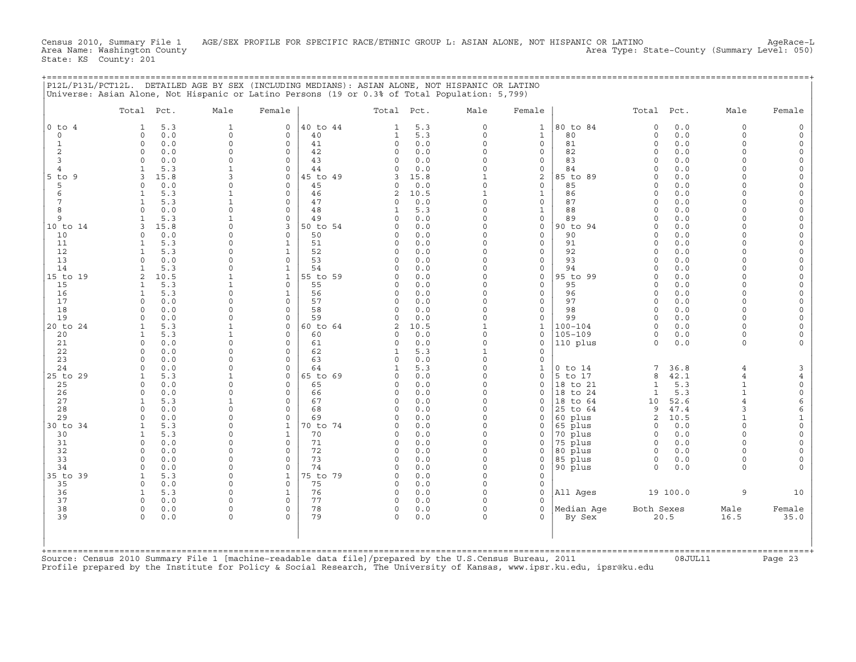Census 2010, Summary File 1 AGE/SEX PROFILE FOR SPECIFIC RACE/ETHNIC GROUP L: ASIAN ALONE, NOT HISPANIC OR LATINO AgeRace-L<br>Area Name: Washington County Area Name: Washington County Area Type: State−County (Summary Level: 050) State: KS County: 201

+===================================================================================================================================================+

|                     | Total Pct.                         | Male                     | Female                       |                | Total Pct.           |             | Male                    | Female                      |                            | Total Pct.           |              | Male                 | Female                    |
|---------------------|------------------------------------|--------------------------|------------------------------|----------------|----------------------|-------------|-------------------------|-----------------------------|----------------------------|----------------------|--------------|----------------------|---------------------------|
| $0$ to $4$          | 5.3<br>1                           | $\mathbf{1}$             | $\mathbf 0$                  | 40 to 44       | 1                    | 5.3         | $\circ$                 | $\mathbf{1}$                | 80 to 84                   | $\circ$              | 0.0          | $\Omega$             | $\Omega$                  |
| $\mathbf 0$         | $\circ$<br>0.0                     | $\mathsf{O}\xspace$      | 0                            | 40             | $\mathbf{1}$         | 5.3         | $\circ$                 | $\mathbf{1}$                | 80                         | $\circ$              | $0.0$        | $\Omega$             | $\circ$                   |
| 1                   | $\circ$<br>0.0                     | $\circ$                  | $\mathbf 0$                  | 41             | 0                    | 0.0         | $\circ$                 | $\mathbf 0$                 | 81                         | $\circ$              | 0.0          | $\Omega$             | $\circ$                   |
| 2                   | 0<br>0.0                           | 0                        | 0                            | 42             | 0                    | 0.0         | $\circ$                 | $\mathsf{O}$                | 82                         | $\Omega$             | 0.0          | $\Omega$             | $\mathsf O$               |
| 3<br>$\overline{4}$ | 0.0<br>$\Omega$<br>5.3             | $\Omega$<br>$\mathbf{1}$ | $\Omega$<br>$\Omega$         | 43<br>44       | $\Omega$<br>$\Omega$ | 0.0<br>0.0  | $\Omega$<br>$\Omega$    | $\mathbf 0$<br>$\mathbf 0$  | 83<br>84                   | $\Omega$<br>$\Omega$ | 0.0<br>0.0   | $\Omega$<br>$\Omega$ | $\Omega$<br>$\circ$       |
| $5$ to<br>- 9       | 3<br>15.8                          | 3                        | $\mathbf 0$                  | 45 to 49       | 3                    | 15.8        | $\mathbf{1}$            | 2                           | 85 to 89                   | $\Omega$             | 0.0          | $\Omega$             | $\Omega$                  |
| 5                   | 0.0<br>$\Omega$                    | $\Omega$                 | $\mathbf 0$                  | 45             | 0                    | 0.0         | $\circ$                 | $\mathbf 0$                 | 85                         | $\Omega$             | 0.0          | $\cap$               | $\Omega$                  |
| 6                   | 5.3<br>1                           | $\mathbf{1}$             | $\mathbf 0$                  | 46             | 2                    | 10.5        | $\mathbf{1}$            | $\mathbf{1}$                | 86                         | $\Omega$             | 0.0          | $\cap$               | $\mathsf O$               |
| 7                   | 5.3<br>-1                          | $\mathbf{1}$             | $\Omega$                     | 47             | $\Omega$             | 0.0         | $\Omega$                | $\mathbf 0$                 | 87                         | $\Omega$             | 0.0          | $\cap$               | $\Omega$                  |
| 8                   | $\Omega$<br>0.0                    | $\Omega$                 | $\Omega$                     | 48             | 1                    | 5.3         | $\Omega$                | $\mathbf{1}$                | 88                         | $\Omega$             | 0.0          | $\Omega$             | $\circ$                   |
| 9                   | 5.3                                | 1                        | $\mathbf 0$                  | 49             | $\Omega$             | 0.0         | $\Omega$                | $\mathsf{O}$                | 89                         | $\Omega$             | 0.0          | $\cap$               | $\circ$                   |
| 10 to 14            | $\mathbf{z}$<br>15.8               | $\Omega$                 | 3                            | 50 to 54       | $\Omega$             | 0.0         | $\Omega$                | $\mathbf 0$                 | 90 to 94                   | $\Omega$             | 0.0          | $\cap$               | $\Omega$                  |
| 10                  | 0.0<br>$\Omega$                    | 0                        | 0                            | 50             | 0                    | 0.0         | 0                       | $\mathsf{O}$                | 90                         | $\Omega$             | 0.0          | $\cap$               | $\mathbf 0$               |
| 11<br>12            | 5.3<br>-1<br>5.3<br>1              | $\Omega$<br>$\Omega$     | $\mathbf{1}$<br>$\mathbf{1}$ | 51<br>52       | $\Omega$<br>$\Omega$ | 0.0<br>0.0  | $\Omega$<br>$\Omega$    | $\mathbf 0$<br>$\mathbf 0$  | 91<br>92                   | $\Omega$<br>$\Omega$ | 0.0<br>0.0   | $\cap$<br>$\Omega$   | $\circ$<br>$\Omega$       |
| 13                  | 0.0<br>$\Omega$                    | $\Omega$                 | $\circ$                      | 53             | $\Omega$             | 0.0         | $\Omega$                | $\mathbf 0$                 | 93                         | $\Omega$             | 0.0          | $\Omega$             | $\Omega$                  |
| 14                  | 5.3<br>-1                          | 0                        | $\mathbf{1}$                 | 54             | $\Omega$             | 0.0         | $\Omega$                | $\mathbf 0$                 | 94                         | $\Omega$             | 0.0          | $\cap$               | $\circ$                   |
| 15 to 19            | 10.5<br>2                          | 1                        | $\mathbf{1}$                 | 55 to 59       | $\Omega$             | 0.0         | 0                       | $\mathsf{O}$                | 95 to 99                   | $\Omega$             | 0.0          | $\cap$               | $\mathsf O$               |
| 15                  | 5.3<br>$\mathbf{1}$                | 1                        | $\Omega$                     | 55             | $\Omega$             | 0.0         | $\Omega$                | $\Omega$                    | 95                         | $\cap$               | 0.0          | $\cap$               | $\circ$                   |
| 16                  | $\mathbf{1}$<br>5.3                | $\Omega$                 | $\mathbf{1}$                 | 56             | $\Omega$             | 0.0         | $\circ$                 | $\mathbf 0$                 | 96                         | $\Omega$             | 0.0          | $\Omega$             | $\mathsf{O}\xspace$       |
| 17                  | 0.0<br>0                           | 0                        | $\circ$                      | 57             | 0                    | 0.0         | $\Omega$                | $\mathbf 0$                 | 97                         | $\Omega$             | 0.0          | $\Omega$             | $\circ$                   |
| 18                  | 0.0<br>$\Omega$                    | $\Omega$                 | $\Omega$                     | 58             | $\Omega$             | 0.0         | $\Omega$                | $\mathbf 0$                 | 98                         | $\Omega$             | 0.0          | $\Omega$             | $\circ$                   |
| 19                  | 0.0<br>$\Omega$                    | 0                        | $\mathbf 0$                  | 59             | 0                    | 0.0         | $\Omega$                | 0                           | 99                         | $\Omega$             | 0.0          | $\Omega$             | $\mathbf 0$               |
| 20 to 24            | 5.3<br>$\mathbf{1}$                | $\mathbf{1}$<br>1        | $\circ$<br>$\mathbf 0$       | 60 to 64<br>60 | $\mathfrak{D}$       | 10.5<br>0.0 | $\mathbf{1}$<br>$\circ$ | $\mathbf{1}$<br>$\mathbf 0$ | $100 - 104$<br>$105 - 109$ | $\Omega$<br>$\circ$  | 0.0<br>0.0   | $\cap$<br>$\Omega$   | $\circ$<br>$\Omega$       |
| 20<br>21            | 5.3<br>1<br>$\circ$<br>0.0         | $\Omega$                 | $\mathbf 0$                  | 61             | 0<br>0               | 0.0         | $\circ$                 | $\mathbf 0$                 | 110 plus                   | $\Omega$             | 0.0          | $\Omega$             |                           |
| 22                  | $\circ$<br>0.0                     | $\Omega$                 | $\mathbf 0$                  | 62             | 1                    | 5.3         | $\mathbf{1}$            | $\mathbf 0$                 |                            |                      |              |                      |                           |
| 23                  | 0.0<br>$\Omega$                    | 0                        | $\mathbf 0$                  | 63             | 0                    | 0.0         | 0                       | $\mathsf{O}$                |                            |                      |              |                      |                           |
| 24                  | $\cap$<br>0.0                      | $\Omega$                 | $\Omega$                     | 64             | 1                    | 5.3         | $\Omega$                | $\mathbf 1$                 | $0$ to $14$                | 7                    | 36.8         | $\overline{4}$       | 3                         |
| 25 to 29            | 5.3<br>1                           | $\mathbf 1$              | $\mathbf 0$                  | 65 to 69       | $\Omega$             | 0.0         | $\circ$                 | $\mathbf 0$                 | 5 to 17                    | 8                    | 42.1         | $\overline{4}$       | $\overline{4}$            |
| 25                  | $\Omega$<br>0.0                    | 0                        | $\mathbf 0$                  | 65             | 0                    | 0.0         | $\circ$                 | $\mathbf 0$                 | 18 to 21                   | $\mathbf{1}$         | 5.3          | $\mathbf{1}$         | $\mathsf{O}\xspace$       |
| 26                  | 0.0<br>$\mathbf 0$                 | 0                        | $\mathbf 0$                  | 66             | 0                    | 0.0         | $\circ$                 | $\mathbf 0$                 | 18 to 24                   | 1                    | 5.3          | $\mathbf{1}$         | $\mathsf{O}\xspace$       |
| 27                  | 5.3<br>-1                          | $\mathbf{1}$<br>$\Omega$ | $\Omega$                     | 67             | $\Omega$<br>$\Omega$ | 0.0         | $\Omega$<br>$\Omega$    | $\Omega$                    | 18 to 64                   | 10                   | 52.6         | $\overline{4}$<br>3  | 6                         |
| 28<br>29            | $\Omega$<br>0.0<br>0.0<br>$\Omega$ | 0                        | $\Omega$<br>$\Omega$         | 68<br>69       | $\Omega$             | 0.0<br>0.0  | $\Omega$                | $\mathbf 0$<br>$\mathbf 0$  | 25 to 64<br>60 plus        | 9<br>$\overline{c}$  | 47.4<br>10.5 | $\mathbf{1}$         | $\epsilon$<br>$\mathbf 1$ |
| 30 to 34            | 5.3<br>$\mathbf{1}$                | $\Omega$                 | $\mathbf{1}$                 | 70 to 74       | $\Omega$             | 0.0         | $\Omega$                | $\mathbf 0$                 | 65 plus                    | $\circ$              | 0.0          | $\Omega$             | $\mathsf{O}\xspace$       |
| 30                  | 5.3<br>1                           | $\Omega$                 | $\mathbf{1}$                 | 70             | 0                    | 0.0         | $\circ$                 | 0                           | 70 plus                    | $\mathbf 0$          | 0.0          | $\Omega$             | $\mathbf 0$               |
| 31                  | $\Omega$<br>0.0                    | $\Omega$                 | $\Omega$                     | 71             | $\Omega$             | 0.0         | $\circ$                 | $\mathbf 0$                 | 75 plus                    | $\Omega$             | 0.0          | $\Omega$             | $\circ$                   |
| 32                  | 0.0<br>$\Omega$                    | $\Omega$                 | $\Omega$                     | 72             | $\Omega$             | 0.0         | $\Omega$                | $\Omega$                    | 80 plus                    | $\Omega$             | 0.0          | $\Omega$             | $\Omega$                  |
| 33                  | 0.0<br>$\Omega$                    | $\Omega$                 | $\mathbf 0$                  | 73             | $\Omega$             | 0.0         | $\Omega$                | $\mathsf{O}\xspace$         | 85 plus                    | 0                    | 0.0          | $\Omega$             | $\mathsf O$               |
| 34                  | 0.0<br>$\Omega$                    | $\Omega$                 | $\mathbf 0$                  | 74             | $\Omega$             | 0.0         | $\circ$                 | $\mathsf{O}\xspace$         | 90 plus                    | $\circ$              | 0.0          | $\Omega$             | $\Omega$                  |
| 35 to 39            | 5.3<br>1                           | 0                        | $\mathbf{1}$                 | 75 to 79       | 0                    | 0.0         | $\circ$                 | $\mathsf{O}$                |                            |                      |              |                      |                           |
| 35                  | $\Omega$<br>0.0                    | $\Omega$                 | $\Omega$                     | 75             | $\Omega$             | 0.0         | $\Omega$                | $\mathbf 0$                 |                            |                      |              |                      |                           |
| 36<br>37            | 5.3<br>$\mathbf{1}$                | 0<br>0                   | $\mathbf{1}$                 | 76<br>77       | 0                    | 0.0         | $\Omega$<br>$\Omega$    | $\mathbf 0$                 | All Ages                   |                      | 19 100.0     | 9                    | 10                        |
| 38                  | 0.0<br>0<br>$\mathbf 0$<br>0.0     | $\Omega$                 | $\mathbf 0$<br>0             | 78             | $\Omega$<br>0        | 0.0<br>0.0  | $\Omega$                | $\Omega$<br>$\Omega$        | Median Age                 | Both Sexes           |              | Male                 | Female                    |
| 39                  | $\mathbf 0$<br>0.0                 | 0                        | $\Omega$                     | 79             | 0                    | 0.0         | 0                       | $\mathbf 0$                 | By Sex                     |                      | 20.5         | 16.5                 | 35.0                      |
|                     |                                    |                          |                              |                |                      |             |                         |                             |                            |                      |              |                      |                           |
|                     |                                    |                          |                              |                |                      |             |                         |                             |                            |                      |              |                      |                           |

Profile prepared by the Institute for Policy & Social Research, The University of Kansas, www.ipsr.ku.edu, ipsr@ku.edu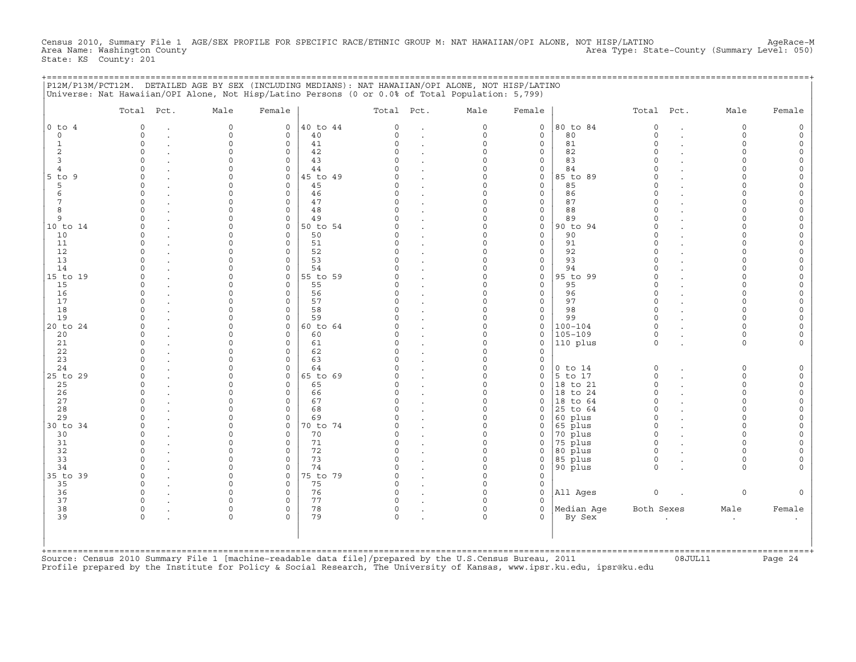Census 2010, Summary File 1 AGE/SEX PROFILE FOR SPECIFIC RACE/ETHNIC GROUP M: NAT HAWAIIAN/OPI ALONE, NOT HISP/LATINO AgeRace−M Area Name: Washington County Area Type: State−County (Summary Level: 050) State: KS County: 201

| P12M/P13M/PCT12M. DETAILED AGE BY SEX (INCLUDING MEDIANS): NAT HAWAIIAN/OPI ALONE, NOT HISP/LATINO |  |
|----------------------------------------------------------------------------------------------------|--|
| Universe: Nat Hawaiian/OPI Alone, Not Hisp/Latino Persons (0 or 0.0% of Total Population: 5,799)   |  |

|                | Total Pct. | Male                 | Female                   |                | Total Pct. | Male                 | Female             |                | Total Pct.  | Male        | Female |
|----------------|------------|----------------------|--------------------------|----------------|------------|----------------------|--------------------|----------------|-------------|-------------|--------|
| $0$ to $4$     | $\Omega$   | $\mathbf 0$          | $\mathbf{0}$             | 40 to 44       | $\Omega$   | $\circ$              | $\mathbf{0}$       | 80 to 84       | $\circ$     | $\mathbf 0$ |        |
| $\circ$        | $\Omega$   | $\mathbf 0$          | $\mathbf{0}$             | 40             | $\Omega$   | $\circ$              | $\mathbf{0}$       | 80             | $\circ$     | $\Omega$    |        |
| $\mathbf{1}$   | $\Omega$   | $\circ$              | $\mathbf{0}$             | 41             | $\Omega$   | $\circ$              | $\circ$            | 81             | $\Omega$    | $\Omega$    |        |
| 2              |            | $\Omega$             | $\mathbf 0$              | 42             | $\cap$     | $\Omega$             | $\mathbf{0}$       | 82             | $\Omega$    |             |        |
| 3              |            | $\Omega$             | $\Omega$                 | 43             |            | $\Omega$             | $\mathbf{0}$       | 83             | $\Omega$    |             |        |
| $\overline{4}$ |            | $\Omega$             | $\mathbf 0$              | 44             |            | $\Omega$             | 0                  | 84             |             |             |        |
| 5 to 9         |            | $\Omega$             | $\Omega$                 | 45 to 49       |            | $\cap$               | $\mathbf{0}$       | 85 to 89       |             |             |        |
| 5              | $\cap$     | $\Omega$             | $\Omega$                 | 45             | C          | $\Omega$             | $\mathbf{0}$       | 85             | $\Omega$    |             |        |
| 6              |            | $\Omega$             | $\Omega$                 | 46             | $\cap$     | $\Omega$             | $\circ$            | 86             | $\Omega$    |             |        |
| 7              | $\cap$     | $\Omega$             | $\mathbf 0$              | 47             | C          | $\Omega$             | $\circ$            | 87             | $\Omega$    |             |        |
| 8              |            | $\Omega$             | $\mathbf 0$              | 48             |            | $\Omega$             | $\mathbf{0}$       | 88             | $\Omega$    |             |        |
| 9              |            | $\Omega$             | $\mathbf 0$              | 49             |            | $\Omega$             | 0                  | 89             | $\Omega$    |             |        |
| 10 to 14<br>10 |            | $\Omega$<br>$\Omega$ | $\mathbf{0}$<br>$\Omega$ | 50 to 54<br>50 |            | $\Omega$<br>$\Omega$ | $\circ$<br>$\circ$ | 90 to 94<br>90 |             |             |        |
| 11             |            | $\Omega$             | $\Omega$                 | 51             |            |                      | $\circ$            | 91             | $\Omega$    |             |        |
| 12             |            | $\Omega$             | $\Omega$                 | 52             | U          | $\Omega$             | $\circ$            | 92             | $\Omega$    |             |        |
| 13             |            | $\Omega$             | $\Omega$                 | 53             |            | $\Omega$             | $\mathbf 0$        | 93             |             |             |        |
| 14             |            | $\Omega$             | $\Omega$                 | 54             |            | $\Omega$             | $\circ$            | 94             |             |             |        |
| 15 to 19       | ∩          | $\Omega$             | 0                        | 55 to 59       |            | $\Omega$             | $\circ$            | 95 to 99       | $\Omega$    |             |        |
| 15             |            | $\cap$               | $\Omega$                 | 55             |            | $\Omega$             | $\mathbf{0}$       | 95             | $\Omega$    |             |        |
| 16             |            | $\Omega$             | $\mathbf 0$              | 56             |            | $\Omega$             | $\mathbf{0}$       | 96             | $\Omega$    |             |        |
| 17             |            | $\Omega$             | $\Omega$                 | 57             | $\cap$     | $\Omega$             | $\circ$            | 97             | $\Omega$    |             |        |
| 18             |            | $\Omega$             | $\mathbf 0$              | 58             | $\Omega$   | $\Omega$             | $\circ$            | 98             | $\Omega$    |             |        |
| 19             |            | $\Omega$             | $\Omega$                 | 59             |            | $\Omega$             | $\mathbf{0}$       | 99             | $\Omega$    |             |        |
| 20 to 24       |            | $\Omega$             | $\mathbf{0}$             | 60 to 64       |            | $\Omega$             | $\circ$            | $100 - 104$    | $\Omega$    |             |        |
| 20             |            | $\Omega$             | $\mathbf 0$              | 60             |            | $\Omega$             | $\mathbf{0}$       | $105 - 109$    | $\Omega$    |             |        |
| 21             |            | $\Omega$             | $\mathbf 0$              | 61             | O          | $\Omega$             | $\mathbf{0}$       | 110 plus       | $\Omega$    | $\Omega$    |        |
| 22             |            | $\Omega$             | $\mathbf 0$              | 62             |            | $\Omega$             | $\Omega$           |                |             |             |        |
| 23             |            | $\Omega$             | $\Omega$                 | 63             |            | $\Omega$             | $\mathbf{0}$       |                |             |             |        |
| 24             |            | $\Omega$             | $\Omega$                 | 64             |            | $\Omega$             | $\mathbf{0}$       | $0$ to $14$    | $\mathbf 0$ | $\Omega$    |        |
| 25 to 29       |            | $\cap$               | $\Omega$                 | 65 to 69       |            | $\cap$               | $\mathbf 0$        | 5 to 17        | $\Omega$    | $\Omega$    |        |
| 25             | $\cap$     | $\Omega$             | $\Omega$                 | 65             |            | $\Omega$             | $\circ$            | 18 to 21       | $\Omega$    | $\cap$      |        |
| 26             |            | $\Omega$             | $\Omega$                 | 66             | C          | $\Omega$             | $\mathbf{0}$       | 18 to 24       | $\Omega$    | $\cap$      |        |
| 27             | $\cap$     | $\Omega$             | $\circ$                  | 67             | O          | $\Omega$             | $\mathbf{0}$       | 18 to 64       | $\Omega$    | $\cap$      |        |
| 28             |            | $\Omega$             | $\circ$                  | 68             | U          | $\Omega$             | 0                  | 25 to 64       | $\Omega$    | $\cap$      |        |
| 29             |            | $\Omega$             | $\mathbf 0$              | 69             |            | $\Omega$             | $\mathbf 0$        | 60 plus        | $\Omega$    |             |        |
| 30 to 34       |            | $\Omega$             | $\mathbf 0$              | 70 to 74       |            | $\Omega$             | $\mathbf{0}$       | 65 plus        | $\Omega$    |             |        |
| 30             |            | $\Omega$             | $\Omega$                 | 70             |            | $\Omega$             | $\mathbf{0}$       | 70 plus        | $\Omega$    |             |        |
| 31             |            | $\cap$               | $\Omega$                 | 71             |            | $\Omega$             | $\mathbf 0$        | 75 plus        | $\Omega$    |             |        |
| 32             |            | $\Omega$             | $\mathbf 0$              | 72             |            | $\Omega$             | $\mathbf 0$        | 80 plus        | $\Omega$    |             |        |
| 33             |            | $\Omega$             | $\mathbf 0$              | 73             |            | $\Omega$             | 0                  | 85 plus        | $\Omega$    | $\Omega$    |        |
| 34             |            | $\Omega$             | $\Omega$                 | 74             | U          | $\Omega$             | $\mathbf{0}$       | 90 plus        | $\Omega$    | $\cap$      |        |
| 35 to 39       | $\cap$     | $\Omega$             | $\mathbf 0$              | 75 to 79       | C          | $\Omega$             | $\mathbf{0}$       |                |             |             |        |
| 35             | $\Omega$   | $\Omega$             | $\Omega$                 | 75             | $\cap$     | $\Omega$             | $\mathbf{0}$       |                |             |             |        |
| 36             | $\cap$     | $\Omega$             | $\mathbf 0$              | 76             | $\Omega$   | $\Omega$             | $\circ$            | All Ages       | $\circ$     | $\Omega$    |        |
| 37             |            | $\cap$               | $\Omega$                 | 77             |            |                      | $\Omega$           |                |             |             |        |
| 38             | $\Omega$   | $\Omega$             | $\mathbf 0$              | 78             | 0          | $\Omega$             | $\mathbf{0}$       | Median Aqe     | Both Sexes  | Male        | Female |
| 39             |            | $\Omega$             | $\Omega$                 | 79             | $\Omega$   | $\Omega$             | $\Omega$           | By Sex         |             | $\cdot$     |        |
|                |            |                      |                          |                |            |                      |                    |                |             |             |        |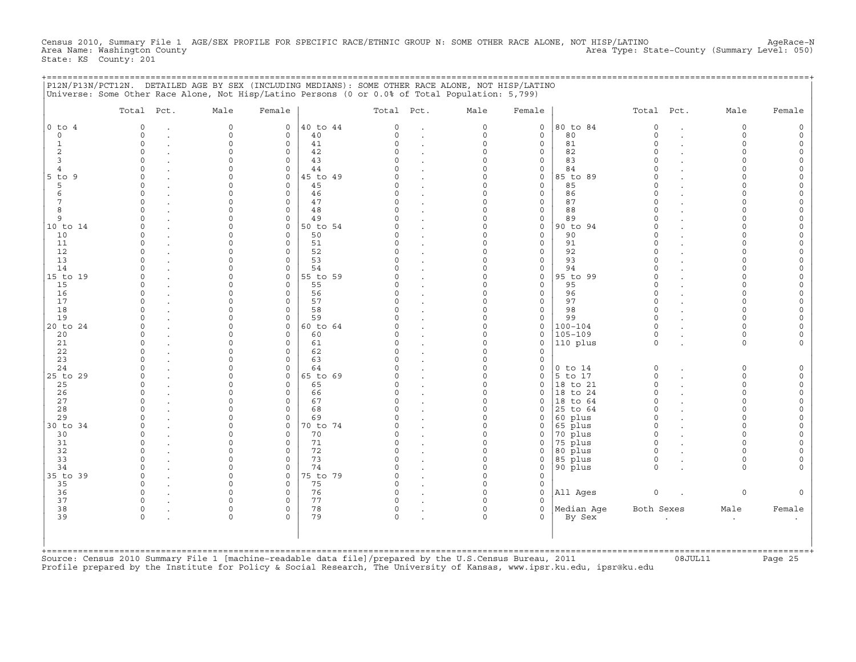Census 2010, Summary File 1 AGE/SEX PROFILE FOR SPECIFIC RACE/ETHNIC GROUP N: SOME OTHER RACE ALONE, NOT HISP/LATINO AgeRace−N Area Name: Washington County Area Type: State−County (Summary Level: 050) State: KS County: 201

| P12N/P13N/PCT12N. DETAILED AGE BY SEX (INCLUDING MEDIANS): SOME OTHER RACE ALONE, NOT HISP/LATINO |  |
|---------------------------------------------------------------------------------------------------|--|
| Universe: Some Other Race Alone, Not Hisp/Latino Persons (0 or 0.0% of Total Population: 5,799)   |  |
|                                                                                                   |  |

| $0$ to $4$<br>$5$ to $9$ | $\Omega$<br>$\Omega$<br>0<br>$\Omega$<br>$\Omega$<br>$\cap$<br>$\Omega$<br>$\Omega$ | $\Omega$<br>$\Omega$<br>$\Omega$<br>$\Omega$<br>U<br>U | $\circ$<br>$\Omega$<br>$\circ$<br>$\Omega$<br>$\Omega$ | 40 to 44<br>40<br>41<br>42 | $\Omega$<br>$\Omega$<br>$\Omega$ | $\circ$              | $\mathbf 0$                 | 80 to 84           | $\Omega$    | $\overline{a}$ | $\mathbf 0$ |        |
|--------------------------|-------------------------------------------------------------------------------------|--------------------------------------------------------|--------------------------------------------------------|----------------------------|----------------------------------|----------------------|-----------------------------|--------------------|-------------|----------------|-------------|--------|
|                          |                                                                                     |                                                        |                                                        |                            |                                  |                      |                             |                    |             |                |             |        |
|                          |                                                                                     |                                                        |                                                        |                            |                                  | $\circ$              | $\mathbf 0$                 | 80                 | $\Omega$    |                | $\Omega$    |        |
|                          |                                                                                     |                                                        |                                                        |                            |                                  | $\Omega$             | $\mathbf 0$                 | 81                 | $\Omega$    |                |             |        |
|                          |                                                                                     |                                                        |                                                        |                            | $\cap$                           | $\Omega$             | $\mathbf 0$                 | 82                 | $\Omega$    |                |             |        |
|                          |                                                                                     |                                                        |                                                        | 43                         |                                  | $\Omega$             | $\mathbf 0$                 | 83                 |             |                |             |        |
|                          |                                                                                     |                                                        | $\circ$                                                | 44                         |                                  | $\Omega$             | 0                           | 84                 |             |                |             |        |
|                          |                                                                                     | U                                                      | $\Omega$                                               | 45 to 49                   |                                  | $\cap$               | $\mathbf 0$                 | 85 to 89           |             |                |             |        |
|                          |                                                                                     | U                                                      | $\Omega$                                               | 45                         |                                  | $\Omega$             | $\mathsf{O}\xspace$         | 85                 |             |                |             |        |
|                          |                                                                                     | U                                                      | $\Omega$                                               | 46                         | $\cap$                           | $\cap$               | $\mathbf 0$                 | 86                 |             |                |             |        |
|                          | $\Omega$                                                                            |                                                        | $\circ$                                                | 47                         |                                  | $\Omega$             | $\mathsf{O}\xspace$         | 87                 |             |                |             |        |
|                          | $\Omega$                                                                            |                                                        | $\Omega$                                               | 48                         |                                  | $\Omega$             | $\mathsf{O}\xspace$         | 88                 |             |                |             |        |
|                          | $\Omega$                                                                            |                                                        | $\circ$                                                | 49                         |                                  | $\Omega$             | 0                           | 89                 |             |                |             |        |
| 10 to 14                 |                                                                                     |                                                        | $\circ$                                                | 50 to 54                   |                                  | $\Omega$             | $\mathsf{O}\xspace$         | 90 to 94           |             |                |             |        |
| 10                       | $\Omega$                                                                            |                                                        | $\Omega$                                               | 50                         |                                  | $\Omega$             | $\mathbf 0$                 | 90                 |             |                |             |        |
| 11                       | $\Omega$                                                                            |                                                        | $\Omega$                                               | 51                         |                                  | $\Omega$             | $\mathbf 0$                 | 91                 |             |                |             |        |
| 12                       | $\Omega$                                                                            |                                                        | $\Omega$                                               | 52                         |                                  | $\Omega$             | $\mathbf 0$                 | 92                 |             |                |             |        |
| 13                       | O                                                                                   |                                                        | $\Omega$                                               | 53                         |                                  | $\Omega$             | $\mathsf{O}\xspace$         | 93                 |             |                |             |        |
| 14                       |                                                                                     |                                                        | $\Omega$                                               | 54                         |                                  | $\Omega$             | $\mathsf{O}\xspace$         | 94                 |             |                |             |        |
| 15 to 19                 | $\Omega$                                                                            |                                                        | $\circ$                                                | 55 to 59                   |                                  | $\Omega$             | $\mathsf{O}\xspace$         | 95 to 99           | $\Omega$    |                |             |        |
| 15                       | O                                                                                   | U                                                      | $\Omega$                                               | 55                         |                                  | $\Omega$             | $\mathbf 0$                 | 95                 |             |                |             |        |
| 16                       | $\Omega$                                                                            |                                                        | $\circ$                                                | 56                         |                                  | $\Omega$             | $\mathsf{O}\xspace$         | 96                 |             |                |             |        |
| 17                       | $\Omega$                                                                            | U                                                      | $\Omega$                                               | 57                         |                                  | $\Omega$             | $\mathbf 0$                 | 97                 | $\Omega$    |                |             |        |
| 18                       | $\Omega$                                                                            |                                                        | $\Omega$                                               | 58                         | $\Omega$                         | $\Omega$             | $\mathbf 0$                 | 98                 | $\Omega$    |                |             |        |
| 19                       |                                                                                     |                                                        | $\Omega$                                               | 59                         |                                  | $\Omega$             | $\mathsf{O}\xspace$         | 99                 | $\cap$      |                |             |        |
| 20 to 24                 |                                                                                     |                                                        | $\circ$                                                | 60 to 64                   |                                  | $\Omega$             | $\mathbf 0$                 | $100 - 104$        |             |                |             |        |
| 20                       | $\Omega$                                                                            |                                                        | $\Omega$                                               | 60                         |                                  | $\Omega$             | $\mathbf 0$                 | $105 - 109$        | $\Omega$    |                |             |        |
| 21                       | $\Omega$                                                                            |                                                        | $\Omega$                                               | 61                         | $\cap$                           | $\Omega$             | $\mathbf 0$                 | $ 110\rangle$ plus | $\Omega$    |                | $\Omega$    |        |
| 22                       | $\Omega$                                                                            |                                                        | $\Omega$                                               | 62                         |                                  | $\Omega$             | 0                           |                    |             |                |             |        |
| 23                       | O                                                                                   |                                                        | $\Omega$                                               | 63                         |                                  | $\Omega$             | $\mathbf 0$                 |                    |             |                |             |        |
| 24                       | $\Omega$                                                                            |                                                        | $\Omega$                                               | 64                         |                                  | $\Omega$             | $\mathsf{O}\xspace$         | $0$ to $14$        | $\Omega$    |                | $\Omega$    |        |
| 25 to 29                 | $\cap$                                                                              | U                                                      | $\Omega$                                               | 65 to 69                   |                                  | $\Omega$             | $\mathbf 0$                 | 5 to 17            | $\Omega$    |                | $\Omega$    |        |
| 25                       | $\Omega$                                                                            |                                                        | $\Omega$                                               | 65                         |                                  | $\Omega$             | $\mathbf 0$                 | $ 18$ to $21$      | $\Omega$    |                | $\cap$      |        |
| 26                       | $\Omega$                                                                            | ∩                                                      | $\Omega$                                               | 66                         | $\cap$                           | $\Omega$             | $\mathbf 0$                 | 18 to 24           |             |                |             |        |
| 27                       | $\Omega$                                                                            |                                                        | $\circ$                                                |                            | $\Omega$                         | $\Omega$             |                             |                    | $\Omega$    |                |             |        |
| 28                       | U                                                                                   |                                                        | $\Omega$                                               | 67<br>68                   |                                  | $\Omega$             | $\mathsf{O}$<br>$\mathbf 0$ | $ 18$ to $64$      |             |                |             |        |
| 29                       |                                                                                     |                                                        |                                                        |                            |                                  |                      |                             | 25 to 64           |             |                |             |        |
|                          |                                                                                     |                                                        | $\Omega$                                               | 69                         |                                  | $\Omega$<br>$\Omega$ | $\mathbf 0$                 | 60 plus            | $\Omega$    |                |             |        |
| 30 to 34<br>30           | $\Omega$                                                                            | U                                                      | $\Omega$                                               | 70 to 74                   |                                  |                      | $\mathbf 0$                 | $65$ plus          |             |                |             |        |
|                          | $\Omega$                                                                            |                                                        | $\Omega$                                               | 70                         | $\Omega$                         | $\Omega$             | $\mathbf 0$                 | 70 plus            | $\Omega$    |                |             |        |
|                          | $\circ$                                                                             |                                                        | $\Omega$                                               | 71                         |                                  | $\Omega$             | $\mathbf 0$                 | 75 plus            | $\Omega$    |                |             |        |
| 32                       | $\Omega$                                                                            |                                                        | $\Omega$                                               | 72                         |                                  | $\Omega$             | $\circ$                     | 80 plus            | $\Omega$    |                |             |        |
| 33                       | $\Omega$                                                                            |                                                        | $\circ$                                                | 73                         | $\cap$                           | $\Omega$             | 0                           | 85 plus            | $\Omega$    |                |             |        |
| 34                       | $\Omega$                                                                            | U                                                      | $\Omega$                                               | 74                         |                                  | $\Omega$             | $\mathsf{O}\xspace$         | 90 plus            | $\Omega$    |                | $\cap$      |        |
| 35 to 39                 | $\Omega$                                                                            | U                                                      | $\circ$                                                | 75 to 79                   |                                  | $\Omega$             | $\mathbf 0$                 |                    |             |                |             |        |
| 35                       | $\cap$                                                                              | $\cap$                                                 | $\Omega$                                               | 75                         | $\cap$                           | $\Omega$             | $\mathbf 0$                 |                    |             |                |             |        |
| 36                       | $\Omega$                                                                            | U                                                      | $\Omega$                                               | 76                         | $\Omega$                         | $\Omega$             | $\mathbf 0$                 | All Ages           | $\mathbf 0$ |                | $\mathbf 0$ |        |
| 37                       | $\Omega$                                                                            |                                                        | $\Omega$                                               | 77                         |                                  |                      | $\Omega$                    |                    |             |                |             |        |
| 38                       | $\Omega$                                                                            | 0                                                      | $\mathbf 0$                                            | 78                         | $\Omega$                         | $\Omega$             | $\mathsf{O}\xspace$         | Median Aqe         | Both Sexes  |                | Male        | Female |
| 39                       |                                                                                     | $\Omega$                                               | $\Omega$                                               | 79                         | $\Omega$                         | $\Omega$             | $\Omega$                    | By Sex             |             |                | $\bullet$   |        |
|                          |                                                                                     |                                                        |                                                        |                            |                                  |                      |                             |                    |             |                |             |        |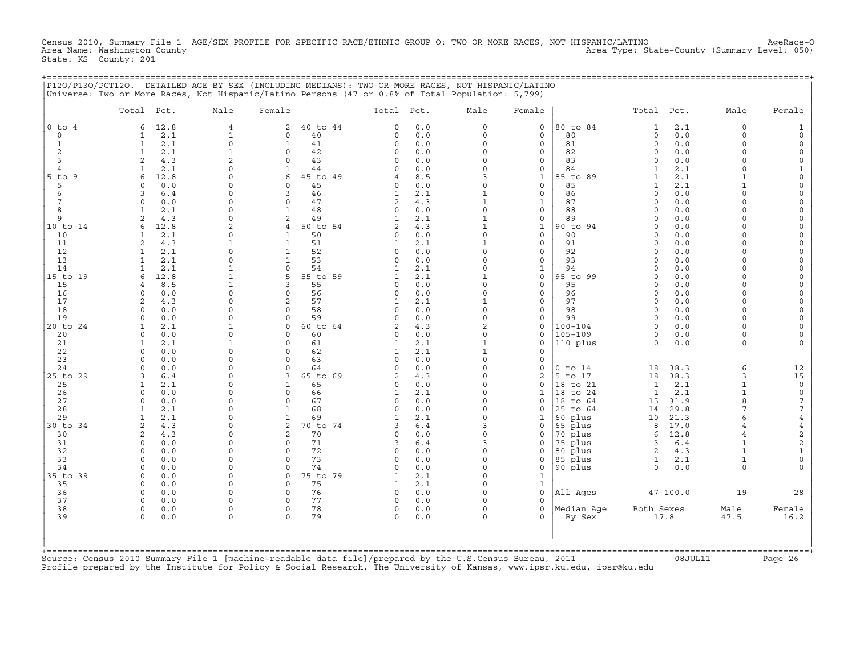Census 2010, Summary File 1 AGE/SEX PROFILE FOR SPECIFIC RACE/ETHNIC GROUP O: TWO OR MORE RACES, NOT HISPANIC/LATINO AgeRace-O<br>Area Name: Washington County Area Type: State-County (Summary Level: 050) State: KS County: 201

+===================================================================================================================================================+

|                | Total Pct.                         | Male                       | Female                         |                | Total Pct.     |            | Male                         | Female                      |                    | Total Pct.           |              | Male                 | Female               |
|----------------|------------------------------------|----------------------------|--------------------------------|----------------|----------------|------------|------------------------------|-----------------------------|--------------------|----------------------|--------------|----------------------|----------------------|
| $0$ to $4$     | 12.8<br>6                          | $\overline{4}$             | 2                              | 40 to 44       | $\Omega$       | 0.0        | 0                            | $\mathsf{O}$                | 80 to 84           | 1                    | 2.1          | $\mathbf 0$          |                      |
| $\circ$        | 2.1<br>1                           | $\mathbf 1$                | $\mathbf{0}$                   | 40             | 0              | 0.0        | $\circ$                      | $\mathbf 0$                 | 80                 | $\circ$              | 0.0          | $\Omega$<br>$\Omega$ |                      |
| 1<br>2         | 2.1<br>$\mathbf{1}$<br>2.1<br>1    | $\mathbf 0$<br>$\mathbf 1$ | $\mathbf{1}$<br>$\mathbf 0$    | 41<br>42       | 0<br>0         | 0.0<br>0.0 | $\circ$<br>$\circ$           | $\mathbf 0$<br>$\mathbf 0$  | 81<br>82           | $\circ$<br>$\Omega$  | 0.0<br>0.0   | $\Omega$             | $\Omega$             |
| 3              | $\overline{a}$<br>4.3              | 2                          | $\mathbf 0$                    | 43             | $\Omega$       | 0.0        | $\Omega$                     | $\mathbf 0$                 | 83                 | $\Omega$             | 0.0          | $\cap$               | $\Omega$             |
| $\overline{4}$ | 2.1                                | $\Omega$                   | $\mathbf{1}$                   | 44             | $\cap$         | 0.0        | $\Omega$                     | $\Omega$                    | 84                 | 1                    | 2.1          | $\cap$               |                      |
| $5$ to<br>9    | 12.8<br>6                          | $\Omega$                   | 6                              | 45 to 49       | 4              | 8.5        | 3                            | $\mathbf{1}$                | 85 to 89           | $\mathbf{1}$         | 2.1          |                      | $\Omega$             |
| 5              | 0.0<br>$\Omega$                    | $\Omega$                   | $\Omega$                       | 45             | 0              | 0.0        | $\circ$                      | $\mathbf{0}$                | 85                 | $\mathbf{1}$         | 2.1          |                      | $\Omega$             |
| 6              | 6.4<br>3                           | $\Omega$                   | 3                              | 46             | 1              | 2.1        | $\mathbf{1}$                 | $\mathbf 0$                 | 86                 | $\Omega$             | 0.0          |                      |                      |
| 7              | $\Omega$<br>0.0                    | 0                          | $\mathbf 0$                    | 47             | 2              | 4.3        | $\mathbf{1}$                 | $\mathbf{1}$                | 87                 | $\Omega$             | 0.0          | $\cap$               |                      |
| 8<br>9         | 2.1<br>$\overline{a}$<br>4.3       | $\Omega$<br>$\Omega$       | $\mathbf{1}$<br>$\overline{2}$ | 48<br>49       | $\Omega$       | 0.0<br>2.1 | $\circ$<br>$\mathbf{1}$      | $\mathbf 0$<br>$\mathbf 0$  | 88<br>89           | $\Omega$<br>$\Omega$ | 0.0<br>0.0   | $\cap$               | $\Omega$<br>$\Omega$ |
| 10 to 14       | 12.8<br>6                          | 2                          | 4                              | 50 to 54       | 2              | 4.3        | $\mathbf{1}$                 | $\mathbf 1$                 | 90 to 94           | $\Omega$             | 0.0          |                      |                      |
| 10             | 2.1<br>-1                          | $\Omega$                   | 1                              | 50             | $\Omega$       | 0.0        | $\circ$                      | $\mathbf 0$                 | 90                 | <sup>0</sup>         | 0.0          | ∩                    |                      |
| 11             | 2<br>4.3                           | 1                          | $\mathbf{1}$                   | 51             | $\mathbf{1}$   | 2.1        | $\mathbf{1}$                 | $\mathsf{O}$                | 91                 | $\Omega$             | 0.0          | U                    | $\Omega$             |
| 12             | 2.1<br>$\mathbf{1}$                | 0                          | $\mathbf{1}$                   | 52             | 0              | 0.0        | $\Omega$                     | $\mathbf 0$                 | 92                 | $\Omega$             | 0.0          | $\cap$               | $\Omega$             |
| 13             | 2.1<br>-1                          | $\Omega$                   | $\mathbf{1}$                   | 53             | $\Omega$       | 0.0        | $\circ$                      | $\mathbf 0$                 | 93                 | $\Omega$             | 0.0          | $\cap$               | $\Omega$             |
| 14             | 2.1                                |                            | $\circ$                        | 54             | 1              | 2.1        | $\Omega$                     | $\mathbf{1}$                | 94                 | $\Omega$             | 0.0          | $\cap$               | $\Omega$             |
| 15 to 19<br>15 | 12.8<br>6<br>8.5<br>$\overline{4}$ | 1<br>1                     | 5<br>3                         | 55 to 59<br>55 | 1<br>$\Omega$  | 2.1<br>0.0 | $\mathbf{1}$<br>$\Omega$     | $\mathbf 0$<br>$\mathbf 0$  | 95 to 99<br>95     | $\Omega$<br>$\Omega$ | 0.0<br>0.0   | $\Omega$<br>$\cap$   | $\Omega$<br>$\Omega$ |
| 16             | 0.0<br>$\Omega$                    | $\Omega$                   | $\circ$                        | 56             | 0              | 0.0        | $\Omega$                     | $\mathbf 0$                 | 96                 | $\Omega$             | 0.0          | $\cap$               | $\Omega$             |
| 17             | 4.3<br>2                           | $\Omega$                   | $\overline{2}$                 | 57             | 1              | 2.1        | $\mathbf{1}$                 | $\mathsf{O}$                | 97                 | $\Omega$             | 0.0          | $\Omega$             |                      |
| 18             | 0.0<br>$\Omega$                    | $\Omega$                   | $\Omega$                       | 58             | $\Omega$       | 0.0        | $\Omega$                     | $\Omega$                    | 98                 | $\Omega$             | 0.0          |                      |                      |
| 19             | 0.0<br>$\Omega$                    | $\Omega$                   | $\Omega$                       | 59             | $\Omega$       | 0.0        | $\circ$                      | $\mathbf 0$                 | 99                 | $\Omega$             | 0.0          | $\Omega$             |                      |
| 20 to 24       | 2.1<br>1                           | 1                          | 0                              | 60 to 64       | $\overline{2}$ | 4.3        | $\overline{c}$               | $\mathsf{O}$                | 100-104            | $\Omega$             | 0.0          | $\cap$               | $\Omega$             |
| 20             | 0.0<br>$\Omega$                    | $\Omega$                   | $\Omega$                       | 60             | $\Omega$       | 0.0        | $\Omega$                     | $\Omega$                    | $105 - 109$        | $\Omega$             | 0.0          | $\cap$               |                      |
| 21<br>22       | 2.1<br>1<br>0.0<br>0               | 1<br>$\Omega$              | $\mathbf 0$<br>$\mathbf 0$     | 61<br>62       | 1<br>1         | 2.1<br>2.1 | $\mathbf{1}$<br>$\mathbf{1}$ | $\mathbf 0$<br>$\mathbf 0$  | 110 plus           | $\Omega$             | 0.0          | $\Omega$             |                      |
| 23             | 0.0<br>$\Omega$                    | $\Omega$                   | $\Omega$                       | 63             | $\Omega$       | 0.0        | $\Omega$                     | $\Omega$                    |                    |                      |              |                      |                      |
| 24             | 0.0<br>$\Omega$                    | $\Omega$                   | $\Omega$                       | 64             | $\Omega$       | 0.0        | $\Omega$                     | $\mathsf{O}$                | $0$ to $14$        | 18                   | 38.3         | 6                    | 12                   |
| 25 to 29       | 6.4<br>3                           | $\Omega$                   | 3                              | 65 to 69       | 2              | 4.3        | $\Omega$                     | 2                           | 5 to 17            | 18                   | 38.3         | 3                    | 15                   |
| 25             | 2.1                                | O                          | $\mathbf{1}$                   | 65             | $\Omega$       | 0.0        | $\Omega$                     | $\mathbf 0$                 | 18 to 21           | $\mathbf{1}$         | 2.1          | $\mathbf{1}$         | $\mathsf{O}\xspace$  |
| 26             | 0.0<br>$\Omega$                    | $\Omega$                   | $\circ$                        | 66             | 1              | 2.1        | $\Omega$                     | $\mathbf 1$                 | 18 to 24           | $\mathbf{1}$         | 2.1          | $\mathbf{1}$         | $\mathsf{O}\xspace$  |
| 27             | 0.0<br>$\Omega$                    | O                          | $\circ$                        | 67             | $\Omega$       | 0.0        | $\Omega$                     | $\mathbf 0$                 | 18 to 64           | 15                   | 31.9         | $\mathsf{R}$         | $\sqrt{ }$           |
| 28<br>29       | 2.1<br>-1.<br>2.1                  | 0<br>$\Omega$              | 1<br>$\mathbf{1}$              | 68<br>69       | $\Omega$<br>1  | 0.0        | $\Omega$<br>$\circ$          | $\Omega$                    | 25 to 64           | 14                   | 29.8         | 7<br>6               | 7<br>$\overline{4}$  |
| 30 to 34       | $\mathbf{1}$<br>2<br>4.3           | $\Omega$                   | 2                              | 70 to 74       | 3              | 2.1<br>6.4 | 3                            | $\mathbf 1$<br>$\mathsf{O}$ | 60 plus<br>65 plus | 10<br>8              | 21.3<br>17.0 | $\overline{4}$       | $\overline{4}$       |
| 30             | 4.3<br>2                           | $\Omega$                   | $\overline{2}$                 | 70             | $\Omega$       | 0.0        | $\Omega$                     | $\mathbf 0$                 | 70 plus            | 6                    | 12.8         | 4                    | $\sqrt{2}$           |
| 31             | 0.0<br>$\Omega$                    | $\Omega$                   | $\mathbf 0$                    | 71             | 3              | 6.4        | 3                            | $\mathbf 0$                 | 75 plus            | 3                    | 6.4          |                      | $\mathbf 2$          |
| 32             | 0.0<br>$\Omega$                    | $\Omega$                   | $\mathbf 0$                    | 72             | 0              | 0.0        | 0                            | $\mathsf{O}\xspace$         | 80 plus            | 2                    | 4.3          | $\mathbf{1}$         | $\mathbf{1}$         |
| 33             | $\Omega$<br>0.0                    | $\Omega$                   | $\Omega$                       | 73             | $\Omega$       | 0.0        | $\circ$                      | $\mathbf{0}$                | 85 plus            | 1                    | 2.1          | $\mathbf{1}$         | $\circ$              |
| 34             | 0.0<br>$\Omega$                    | $\Omega$                   | $\mathbf 0$                    | 74             | $\Omega$       | 0.0        | $\Omega$                     | $\mathbf 0$                 | 90 plus            | $\Omega$             | 0.0          | $\Omega$             |                      |
| 35 to 39       | 0.0<br>$\circ$                     | 0                          | $\mathbf 0$                    | 75 to 79       | 1              | 2.1        | $\Omega$                     | $\mathbf{1}$                |                    |                      |              |                      |                      |
| 35<br>36       | $\Omega$<br>0.0<br>0.0<br>0        | $\Omega$<br>0              | $\Omega$<br>0                  | 75<br>76       | 1<br>0         | 2.1<br>0.0 | $\Omega$<br>$\Omega$         | 1<br>$\mathbf 0$            |                    |                      | 47 100.0     | 19                   | 28                   |
| 37             | 0.0<br>$\Omega$                    | $\Omega$                   | $\mathbf 0$                    | 77             | 0              | 0.0        | $\Omega$                     | $\mathbf 0$                 | All Ages           |                      |              |                      |                      |
| 38             | $\circ$<br>0.0                     | $\Omega$                   | $\mathbf 0$                    | 78             | 0              | 0.0        | 0                            | $\Omega$                    | Median Age         | Both Sexes           |              | Male                 | Female               |
| 39             | $\Omega$<br>0.0                    | $\Omega$                   | $\Omega$                       | 79             | $\Omega$       | 0.0        | $\Omega$                     | $\Omega$                    | By Sex             |                      | 17.8         | 47.5                 | 16.2                 |
|                |                                    |                            |                                |                |                |            |                              |                             |                    |                      |              |                      |                      |
|                |                                    |                            |                                |                |                |            |                              |                             |                    |                      |              |                      |                      |

Source: Census 2010 Summary File 1 [machine−readable data file]/prepared by the U.S.Census Bureau, 2011 08JUL11 Page 26 Profile prepared by the Institute for Policy & Social Research, The University of Kansas, www.ipsr.ku.edu, ipsr@ku.edu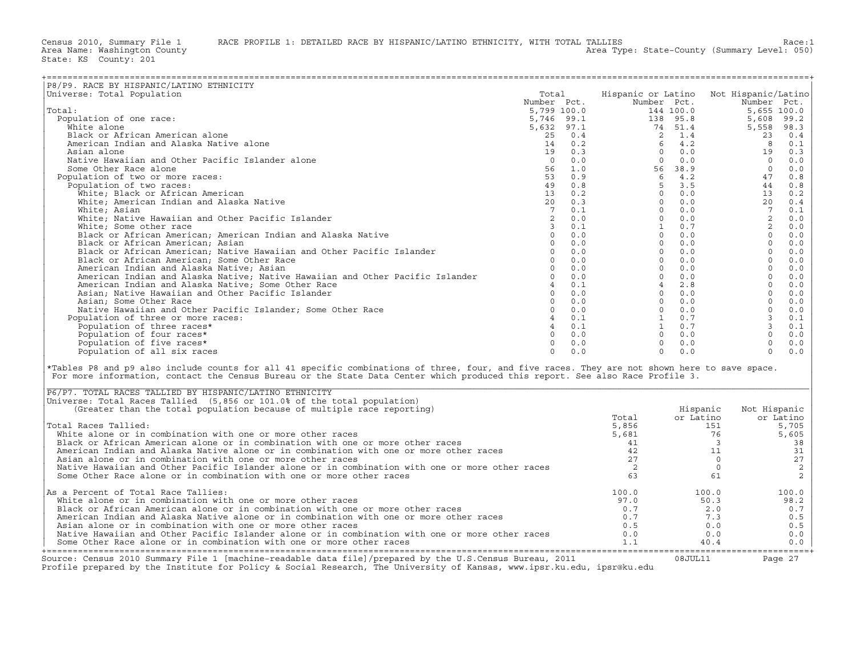| Hispanic or Latino Not Hispanic/Latino<br>Universe: Total Population<br>Total<br>Number Pct.<br>Number Pct.<br>Number Pct.<br>5,799 100.0<br>144 100.0<br>5,655 100.0<br>Total:<br>5,746 99.1<br>5,746 99.1<br>5,632 97.1<br>138 95.8<br>Population of one race:<br>5,608<br>99.2<br>White alone<br>74 51.4<br>5,558<br>98.3<br>Black or African American alone<br>$25$ 0.4<br>14 0.2<br>19 0.3<br>2 1.4<br>23<br>0.4<br>$4.2$<br>0.0<br>American Indian and Alaska Native alone<br>6<br>8<br>0.1<br>$\Omega$<br>0.3<br>Asian alone<br>19<br>Native Hawaiian and Other Pacific Islander alone<br>$\Omega$<br>0.0<br>$\Omega$<br>0.0<br>$\overline{0}$<br>$0.0$<br>Some Other Race alone<br>56<br>1.0<br>56 38.9<br>$\overline{0}$<br>$0.0$<br>Population of two or more races:<br>53 0.9<br>$6\quad 4.2$<br>0.8<br>47<br>$5 \t3.5$<br>Population of two races:<br>49<br>0.8<br>44 0.8<br>$\begin{array}{cc} 13 & 0.2 \\ 20 & 0.3 \end{array}$<br>White; Black or African American<br>$\Omega$<br>0.0<br>13 0.2<br>White; American Indian and Alaska Native<br>$\Omega$<br>0.0<br>20 0.4<br>$7\overline{ }$<br>$\Omega$<br>$7\overline{ }$<br>White; Asian<br>0.1<br>0.0<br>0.1<br>2<br>White; Native Hawaiian and Other Pacific Islander<br>2<br>0.0<br>$\circ$<br>0.0<br>0.0<br>2<br>White; Some other race<br>$\overline{3}$<br>0.1<br>1<br>0.7<br>$0.0$<br>0.0<br>Black or African American; American Indian and Alaska Native<br>0.0<br>$\Omega$<br>0.0<br>$\Omega$<br>Black or African American; Asian<br>$0 \t 0.0$<br>$\Omega$<br>0.0<br>$\circ$<br>$0.0$<br>$\Omega$<br>Black or African American; Native Hawaiian and Other Pacific Islander<br>0.0<br>$\Omega$<br>0.0<br>$\Omega$<br>$0.0$<br>0.0<br>0.0<br>$\Omega$<br>Black or African American; Some Other Race<br>$\Omega$<br>0.0<br>0.0<br>$\Omega$<br>$\circ$<br>American Indian and Alaska Native; Asian<br>0.0<br>0.0<br>$\circ$<br>$\Omega$<br>$\circ$<br>American Indian and Alaska Native; Native Hawaiian and Other Pacific Islander<br>0.0<br>0.0<br>$0.0$<br>American Indian and Alaska Native; Some Other Race<br>$4 \t 0.1$<br>2.8<br>$\Omega$<br>0.0<br>$4\overline{4}$<br>$0 \t 0.0$<br>$0 \t 0.0$<br>$\Omega$<br>Asian; Native Hawaiian and Other Pacific Islander<br>$0.0$<br>$\Omega$<br>$\circ$<br>Asian; Some Other Race<br>0.0<br>$\overline{0}$<br>0.0<br>$0.0$<br>$0 \t 0.0$<br>$\Omega$<br>0.0<br>Native Hawaiian and Other Pacific Islander; Some Other Race<br>$0 \qquad 0.0$<br>$1 \qquad 0.7$<br>$\mathbf{3}$<br>40.1<br>0.1<br>Population of three or more races:<br>$\overline{3}$<br>$\overline{4}$<br>1 0.7<br>Population of three races*<br>0.1<br>0.1<br>$\circ$<br>Population of four races*<br>$\Omega$<br>0.0<br>$\bigcirc$<br>0.0<br>0.0<br>$\Omega$<br>$\Omega$<br>$\circ$<br>Population of five races*<br>0.0<br>0.0<br>0.0<br>$\Omega$<br>$\Omega$<br>Population of all six races<br>$\Omega$<br>0.0<br>0.0<br>0.0<br>*Tables P8 and p9 also include counts for all 41 specific combinations of three, four, and five races. They are not shown here to save space.<br>For more information, contact the Census Bureau or the State Data Center which produced this report. See also Race Profile 3.<br>P6/P7. TOTAL RACES TALLIED BY HISPANIC/LATINO ETHNICITY<br>Universe: Total Races Tallied (5,856 or 101.0% of the total population)<br>(Greater than the total population because of multiple race reporting)<br>Hispanic<br>Not Hispanic<br>or Latino<br>Total<br>or Latino<br>Total Races Tallied:<br>5,856<br>151<br>5,705<br>White alone or in combination with one or more other races<br>5,681<br>76<br>5,605<br>Black or African American alone or in combination with one or more other races<br>41<br>$\overline{\mathbf{3}}$<br>38<br>American Indian and Alaska Native alone or in combination with one or more other races<br>42<br>31<br>11<br>27<br>27<br>Asian alone or in combination with one or more other races<br>$\circ$<br>$\sqrt{2}$<br>Native Hawaiian and Other Pacific Islander alone or in combination with one or more other races<br>2<br>$\circ$<br>$\overline{c}$<br>63<br>Some Other Race alone or in combination with one or more other races<br>61<br>As a Percent of Total Race Tallies:<br>100.0<br>100.0<br>100.0<br>White alone or in combination with one or more other races<br>98.2<br>97.0<br>50.3<br>Black or African American alone or in combination with one or more other races<br>2.0<br>0.7<br>0.7<br>American Indian and Alaska Native alone or in combination with one or more other races<br>0.7<br>7.3<br>0.5<br>Asian alone or in combination with one or more other races<br>0.5<br>0.5<br>0.0<br>Native Hawaiian and Other Pacific Islander alone or in combination with one or more other races<br>0.0<br>0.0<br>0.0<br>Some Other Race alone or in combination with one or more other races<br>1.1<br>0.0<br>40.4 |                                          |  |  |  |
|------------------------------------------------------------------------------------------------------------------------------------------------------------------------------------------------------------------------------------------------------------------------------------------------------------------------------------------------------------------------------------------------------------------------------------------------------------------------------------------------------------------------------------------------------------------------------------------------------------------------------------------------------------------------------------------------------------------------------------------------------------------------------------------------------------------------------------------------------------------------------------------------------------------------------------------------------------------------------------------------------------------------------------------------------------------------------------------------------------------------------------------------------------------------------------------------------------------------------------------------------------------------------------------------------------------------------------------------------------------------------------------------------------------------------------------------------------------------------------------------------------------------------------------------------------------------------------------------------------------------------------------------------------------------------------------------------------------------------------------------------------------------------------------------------------------------------------------------------------------------------------------------------------------------------------------------------------------------------------------------------------------------------------------------------------------------------------------------------------------------------------------------------------------------------------------------------------------------------------------------------------------------------------------------------------------------------------------------------------------------------------------------------------------------------------------------------------------------------------------------------------------------------------------------------------------------------------------------------------------------------------------------------------------------------------------------------------------------------------------------------------------------------------------------------------------------------------------------------------------------------------------------------------------------------------------------------------------------------------------------------------------------------------------------------------------------------------------------------------------------------------------------------------------------------------------------------------------------------------------------------------------------------------------------------------------------------------------------------------------------------------------------------------------------------------------------------------------------------------------------------------------------------------------------------------------------------------------------------------------------------------------------------------------------------------------------------------------------------------------------------------------------------------------------------------------------------------------------------------------------------------------------------------------------------------------------------------------------------------------------------------------------------------------------------------------------------------------------------------------------------------------------------------------------------------------------------------------------------------------------------------------------------------------------------------------------------------------------------------------------------------------------------------------------------------------------------------------------------------------------------------------------------------------------------------------------------------------------------------------------------------------------------------------------------------------------------------------------------------------------------------------------------------------------------------------------------------------------------------------------------------------|------------------------------------------|--|--|--|
|                                                                                                                                                                                                                                                                                                                                                                                                                                                                                                                                                                                                                                                                                                                                                                                                                                                                                                                                                                                                                                                                                                                                                                                                                                                                                                                                                                                                                                                                                                                                                                                                                                                                                                                                                                                                                                                                                                                                                                                                                                                                                                                                                                                                                                                                                                                                                                                                                                                                                                                                                                                                                                                                                                                                                                                                                                                                                                                                                                                                                                                                                                                                                                                                                                                                                                                                                                                                                                                                                                                                                                                                                                                                                                                                                                                                                                                                                                                                                                                                                                                                                                                                                                                                                                                                                                                                                                                                                                                                                                                                                                                                                                                                                                                                                                                                                                                                                          | P8/P9. RACE BY HISPANIC/LATINO ETHNICITY |  |  |  |
|                                                                                                                                                                                                                                                                                                                                                                                                                                                                                                                                                                                                                                                                                                                                                                                                                                                                                                                                                                                                                                                                                                                                                                                                                                                                                                                                                                                                                                                                                                                                                                                                                                                                                                                                                                                                                                                                                                                                                                                                                                                                                                                                                                                                                                                                                                                                                                                                                                                                                                                                                                                                                                                                                                                                                                                                                                                                                                                                                                                                                                                                                                                                                                                                                                                                                                                                                                                                                                                                                                                                                                                                                                                                                                                                                                                                                                                                                                                                                                                                                                                                                                                                                                                                                                                                                                                                                                                                                                                                                                                                                                                                                                                                                                                                                                                                                                                                                          |                                          |  |  |  |
|                                                                                                                                                                                                                                                                                                                                                                                                                                                                                                                                                                                                                                                                                                                                                                                                                                                                                                                                                                                                                                                                                                                                                                                                                                                                                                                                                                                                                                                                                                                                                                                                                                                                                                                                                                                                                                                                                                                                                                                                                                                                                                                                                                                                                                                                                                                                                                                                                                                                                                                                                                                                                                                                                                                                                                                                                                                                                                                                                                                                                                                                                                                                                                                                                                                                                                                                                                                                                                                                                                                                                                                                                                                                                                                                                                                                                                                                                                                                                                                                                                                                                                                                                                                                                                                                                                                                                                                                                                                                                                                                                                                                                                                                                                                                                                                                                                                                                          |                                          |  |  |  |
|                                                                                                                                                                                                                                                                                                                                                                                                                                                                                                                                                                                                                                                                                                                                                                                                                                                                                                                                                                                                                                                                                                                                                                                                                                                                                                                                                                                                                                                                                                                                                                                                                                                                                                                                                                                                                                                                                                                                                                                                                                                                                                                                                                                                                                                                                                                                                                                                                                                                                                                                                                                                                                                                                                                                                                                                                                                                                                                                                                                                                                                                                                                                                                                                                                                                                                                                                                                                                                                                                                                                                                                                                                                                                                                                                                                                                                                                                                                                                                                                                                                                                                                                                                                                                                                                                                                                                                                                                                                                                                                                                                                                                                                                                                                                                                                                                                                                                          |                                          |  |  |  |
|                                                                                                                                                                                                                                                                                                                                                                                                                                                                                                                                                                                                                                                                                                                                                                                                                                                                                                                                                                                                                                                                                                                                                                                                                                                                                                                                                                                                                                                                                                                                                                                                                                                                                                                                                                                                                                                                                                                                                                                                                                                                                                                                                                                                                                                                                                                                                                                                                                                                                                                                                                                                                                                                                                                                                                                                                                                                                                                                                                                                                                                                                                                                                                                                                                                                                                                                                                                                                                                                                                                                                                                                                                                                                                                                                                                                                                                                                                                                                                                                                                                                                                                                                                                                                                                                                                                                                                                                                                                                                                                                                                                                                                                                                                                                                                                                                                                                                          |                                          |  |  |  |
|                                                                                                                                                                                                                                                                                                                                                                                                                                                                                                                                                                                                                                                                                                                                                                                                                                                                                                                                                                                                                                                                                                                                                                                                                                                                                                                                                                                                                                                                                                                                                                                                                                                                                                                                                                                                                                                                                                                                                                                                                                                                                                                                                                                                                                                                                                                                                                                                                                                                                                                                                                                                                                                                                                                                                                                                                                                                                                                                                                                                                                                                                                                                                                                                                                                                                                                                                                                                                                                                                                                                                                                                                                                                                                                                                                                                                                                                                                                                                                                                                                                                                                                                                                                                                                                                                                                                                                                                                                                                                                                                                                                                                                                                                                                                                                                                                                                                                          |                                          |  |  |  |
|                                                                                                                                                                                                                                                                                                                                                                                                                                                                                                                                                                                                                                                                                                                                                                                                                                                                                                                                                                                                                                                                                                                                                                                                                                                                                                                                                                                                                                                                                                                                                                                                                                                                                                                                                                                                                                                                                                                                                                                                                                                                                                                                                                                                                                                                                                                                                                                                                                                                                                                                                                                                                                                                                                                                                                                                                                                                                                                                                                                                                                                                                                                                                                                                                                                                                                                                                                                                                                                                                                                                                                                                                                                                                                                                                                                                                                                                                                                                                                                                                                                                                                                                                                                                                                                                                                                                                                                                                                                                                                                                                                                                                                                                                                                                                                                                                                                                                          |                                          |  |  |  |
|                                                                                                                                                                                                                                                                                                                                                                                                                                                                                                                                                                                                                                                                                                                                                                                                                                                                                                                                                                                                                                                                                                                                                                                                                                                                                                                                                                                                                                                                                                                                                                                                                                                                                                                                                                                                                                                                                                                                                                                                                                                                                                                                                                                                                                                                                                                                                                                                                                                                                                                                                                                                                                                                                                                                                                                                                                                                                                                                                                                                                                                                                                                                                                                                                                                                                                                                                                                                                                                                                                                                                                                                                                                                                                                                                                                                                                                                                                                                                                                                                                                                                                                                                                                                                                                                                                                                                                                                                                                                                                                                                                                                                                                                                                                                                                                                                                                                                          |                                          |  |  |  |
|                                                                                                                                                                                                                                                                                                                                                                                                                                                                                                                                                                                                                                                                                                                                                                                                                                                                                                                                                                                                                                                                                                                                                                                                                                                                                                                                                                                                                                                                                                                                                                                                                                                                                                                                                                                                                                                                                                                                                                                                                                                                                                                                                                                                                                                                                                                                                                                                                                                                                                                                                                                                                                                                                                                                                                                                                                                                                                                                                                                                                                                                                                                                                                                                                                                                                                                                                                                                                                                                                                                                                                                                                                                                                                                                                                                                                                                                                                                                                                                                                                                                                                                                                                                                                                                                                                                                                                                                                                                                                                                                                                                                                                                                                                                                                                                                                                                                                          |                                          |  |  |  |
|                                                                                                                                                                                                                                                                                                                                                                                                                                                                                                                                                                                                                                                                                                                                                                                                                                                                                                                                                                                                                                                                                                                                                                                                                                                                                                                                                                                                                                                                                                                                                                                                                                                                                                                                                                                                                                                                                                                                                                                                                                                                                                                                                                                                                                                                                                                                                                                                                                                                                                                                                                                                                                                                                                                                                                                                                                                                                                                                                                                                                                                                                                                                                                                                                                                                                                                                                                                                                                                                                                                                                                                                                                                                                                                                                                                                                                                                                                                                                                                                                                                                                                                                                                                                                                                                                                                                                                                                                                                                                                                                                                                                                                                                                                                                                                                                                                                                                          |                                          |  |  |  |
|                                                                                                                                                                                                                                                                                                                                                                                                                                                                                                                                                                                                                                                                                                                                                                                                                                                                                                                                                                                                                                                                                                                                                                                                                                                                                                                                                                                                                                                                                                                                                                                                                                                                                                                                                                                                                                                                                                                                                                                                                                                                                                                                                                                                                                                                                                                                                                                                                                                                                                                                                                                                                                                                                                                                                                                                                                                                                                                                                                                                                                                                                                                                                                                                                                                                                                                                                                                                                                                                                                                                                                                                                                                                                                                                                                                                                                                                                                                                                                                                                                                                                                                                                                                                                                                                                                                                                                                                                                                                                                                                                                                                                                                                                                                                                                                                                                                                                          |                                          |  |  |  |
|                                                                                                                                                                                                                                                                                                                                                                                                                                                                                                                                                                                                                                                                                                                                                                                                                                                                                                                                                                                                                                                                                                                                                                                                                                                                                                                                                                                                                                                                                                                                                                                                                                                                                                                                                                                                                                                                                                                                                                                                                                                                                                                                                                                                                                                                                                                                                                                                                                                                                                                                                                                                                                                                                                                                                                                                                                                                                                                                                                                                                                                                                                                                                                                                                                                                                                                                                                                                                                                                                                                                                                                                                                                                                                                                                                                                                                                                                                                                                                                                                                                                                                                                                                                                                                                                                                                                                                                                                                                                                                                                                                                                                                                                                                                                                                                                                                                                                          |                                          |  |  |  |
|                                                                                                                                                                                                                                                                                                                                                                                                                                                                                                                                                                                                                                                                                                                                                                                                                                                                                                                                                                                                                                                                                                                                                                                                                                                                                                                                                                                                                                                                                                                                                                                                                                                                                                                                                                                                                                                                                                                                                                                                                                                                                                                                                                                                                                                                                                                                                                                                                                                                                                                                                                                                                                                                                                                                                                                                                                                                                                                                                                                                                                                                                                                                                                                                                                                                                                                                                                                                                                                                                                                                                                                                                                                                                                                                                                                                                                                                                                                                                                                                                                                                                                                                                                                                                                                                                                                                                                                                                                                                                                                                                                                                                                                                                                                                                                                                                                                                                          |                                          |  |  |  |
|                                                                                                                                                                                                                                                                                                                                                                                                                                                                                                                                                                                                                                                                                                                                                                                                                                                                                                                                                                                                                                                                                                                                                                                                                                                                                                                                                                                                                                                                                                                                                                                                                                                                                                                                                                                                                                                                                                                                                                                                                                                                                                                                                                                                                                                                                                                                                                                                                                                                                                                                                                                                                                                                                                                                                                                                                                                                                                                                                                                                                                                                                                                                                                                                                                                                                                                                                                                                                                                                                                                                                                                                                                                                                                                                                                                                                                                                                                                                                                                                                                                                                                                                                                                                                                                                                                                                                                                                                                                                                                                                                                                                                                                                                                                                                                                                                                                                                          |                                          |  |  |  |
|                                                                                                                                                                                                                                                                                                                                                                                                                                                                                                                                                                                                                                                                                                                                                                                                                                                                                                                                                                                                                                                                                                                                                                                                                                                                                                                                                                                                                                                                                                                                                                                                                                                                                                                                                                                                                                                                                                                                                                                                                                                                                                                                                                                                                                                                                                                                                                                                                                                                                                                                                                                                                                                                                                                                                                                                                                                                                                                                                                                                                                                                                                                                                                                                                                                                                                                                                                                                                                                                                                                                                                                                                                                                                                                                                                                                                                                                                                                                                                                                                                                                                                                                                                                                                                                                                                                                                                                                                                                                                                                                                                                                                                                                                                                                                                                                                                                                                          |                                          |  |  |  |
|                                                                                                                                                                                                                                                                                                                                                                                                                                                                                                                                                                                                                                                                                                                                                                                                                                                                                                                                                                                                                                                                                                                                                                                                                                                                                                                                                                                                                                                                                                                                                                                                                                                                                                                                                                                                                                                                                                                                                                                                                                                                                                                                                                                                                                                                                                                                                                                                                                                                                                                                                                                                                                                                                                                                                                                                                                                                                                                                                                                                                                                                                                                                                                                                                                                                                                                                                                                                                                                                                                                                                                                                                                                                                                                                                                                                                                                                                                                                                                                                                                                                                                                                                                                                                                                                                                                                                                                                                                                                                                                                                                                                                                                                                                                                                                                                                                                                                          |                                          |  |  |  |
|                                                                                                                                                                                                                                                                                                                                                                                                                                                                                                                                                                                                                                                                                                                                                                                                                                                                                                                                                                                                                                                                                                                                                                                                                                                                                                                                                                                                                                                                                                                                                                                                                                                                                                                                                                                                                                                                                                                                                                                                                                                                                                                                                                                                                                                                                                                                                                                                                                                                                                                                                                                                                                                                                                                                                                                                                                                                                                                                                                                                                                                                                                                                                                                                                                                                                                                                                                                                                                                                                                                                                                                                                                                                                                                                                                                                                                                                                                                                                                                                                                                                                                                                                                                                                                                                                                                                                                                                                                                                                                                                                                                                                                                                                                                                                                                                                                                                                          |                                          |  |  |  |
|                                                                                                                                                                                                                                                                                                                                                                                                                                                                                                                                                                                                                                                                                                                                                                                                                                                                                                                                                                                                                                                                                                                                                                                                                                                                                                                                                                                                                                                                                                                                                                                                                                                                                                                                                                                                                                                                                                                                                                                                                                                                                                                                                                                                                                                                                                                                                                                                                                                                                                                                                                                                                                                                                                                                                                                                                                                                                                                                                                                                                                                                                                                                                                                                                                                                                                                                                                                                                                                                                                                                                                                                                                                                                                                                                                                                                                                                                                                                                                                                                                                                                                                                                                                                                                                                                                                                                                                                                                                                                                                                                                                                                                                                                                                                                                                                                                                                                          |                                          |  |  |  |
|                                                                                                                                                                                                                                                                                                                                                                                                                                                                                                                                                                                                                                                                                                                                                                                                                                                                                                                                                                                                                                                                                                                                                                                                                                                                                                                                                                                                                                                                                                                                                                                                                                                                                                                                                                                                                                                                                                                                                                                                                                                                                                                                                                                                                                                                                                                                                                                                                                                                                                                                                                                                                                                                                                                                                                                                                                                                                                                                                                                                                                                                                                                                                                                                                                                                                                                                                                                                                                                                                                                                                                                                                                                                                                                                                                                                                                                                                                                                                                                                                                                                                                                                                                                                                                                                                                                                                                                                                                                                                                                                                                                                                                                                                                                                                                                                                                                                                          |                                          |  |  |  |
|                                                                                                                                                                                                                                                                                                                                                                                                                                                                                                                                                                                                                                                                                                                                                                                                                                                                                                                                                                                                                                                                                                                                                                                                                                                                                                                                                                                                                                                                                                                                                                                                                                                                                                                                                                                                                                                                                                                                                                                                                                                                                                                                                                                                                                                                                                                                                                                                                                                                                                                                                                                                                                                                                                                                                                                                                                                                                                                                                                                                                                                                                                                                                                                                                                                                                                                                                                                                                                                                                                                                                                                                                                                                                                                                                                                                                                                                                                                                                                                                                                                                                                                                                                                                                                                                                                                                                                                                                                                                                                                                                                                                                                                                                                                                                                                                                                                                                          |                                          |  |  |  |
|                                                                                                                                                                                                                                                                                                                                                                                                                                                                                                                                                                                                                                                                                                                                                                                                                                                                                                                                                                                                                                                                                                                                                                                                                                                                                                                                                                                                                                                                                                                                                                                                                                                                                                                                                                                                                                                                                                                                                                                                                                                                                                                                                                                                                                                                                                                                                                                                                                                                                                                                                                                                                                                                                                                                                                                                                                                                                                                                                                                                                                                                                                                                                                                                                                                                                                                                                                                                                                                                                                                                                                                                                                                                                                                                                                                                                                                                                                                                                                                                                                                                                                                                                                                                                                                                                                                                                                                                                                                                                                                                                                                                                                                                                                                                                                                                                                                                                          |                                          |  |  |  |
|                                                                                                                                                                                                                                                                                                                                                                                                                                                                                                                                                                                                                                                                                                                                                                                                                                                                                                                                                                                                                                                                                                                                                                                                                                                                                                                                                                                                                                                                                                                                                                                                                                                                                                                                                                                                                                                                                                                                                                                                                                                                                                                                                                                                                                                                                                                                                                                                                                                                                                                                                                                                                                                                                                                                                                                                                                                                                                                                                                                                                                                                                                                                                                                                                                                                                                                                                                                                                                                                                                                                                                                                                                                                                                                                                                                                                                                                                                                                                                                                                                                                                                                                                                                                                                                                                                                                                                                                                                                                                                                                                                                                                                                                                                                                                                                                                                                                                          |                                          |  |  |  |
|                                                                                                                                                                                                                                                                                                                                                                                                                                                                                                                                                                                                                                                                                                                                                                                                                                                                                                                                                                                                                                                                                                                                                                                                                                                                                                                                                                                                                                                                                                                                                                                                                                                                                                                                                                                                                                                                                                                                                                                                                                                                                                                                                                                                                                                                                                                                                                                                                                                                                                                                                                                                                                                                                                                                                                                                                                                                                                                                                                                                                                                                                                                                                                                                                                                                                                                                                                                                                                                                                                                                                                                                                                                                                                                                                                                                                                                                                                                                                                                                                                                                                                                                                                                                                                                                                                                                                                                                                                                                                                                                                                                                                                                                                                                                                                                                                                                                                          |                                          |  |  |  |
|                                                                                                                                                                                                                                                                                                                                                                                                                                                                                                                                                                                                                                                                                                                                                                                                                                                                                                                                                                                                                                                                                                                                                                                                                                                                                                                                                                                                                                                                                                                                                                                                                                                                                                                                                                                                                                                                                                                                                                                                                                                                                                                                                                                                                                                                                                                                                                                                                                                                                                                                                                                                                                                                                                                                                                                                                                                                                                                                                                                                                                                                                                                                                                                                                                                                                                                                                                                                                                                                                                                                                                                                                                                                                                                                                                                                                                                                                                                                                                                                                                                                                                                                                                                                                                                                                                                                                                                                                                                                                                                                                                                                                                                                                                                                                                                                                                                                                          |                                          |  |  |  |
|                                                                                                                                                                                                                                                                                                                                                                                                                                                                                                                                                                                                                                                                                                                                                                                                                                                                                                                                                                                                                                                                                                                                                                                                                                                                                                                                                                                                                                                                                                                                                                                                                                                                                                                                                                                                                                                                                                                                                                                                                                                                                                                                                                                                                                                                                                                                                                                                                                                                                                                                                                                                                                                                                                                                                                                                                                                                                                                                                                                                                                                                                                                                                                                                                                                                                                                                                                                                                                                                                                                                                                                                                                                                                                                                                                                                                                                                                                                                                                                                                                                                                                                                                                                                                                                                                                                                                                                                                                                                                                                                                                                                                                                                                                                                                                                                                                                                                          |                                          |  |  |  |
|                                                                                                                                                                                                                                                                                                                                                                                                                                                                                                                                                                                                                                                                                                                                                                                                                                                                                                                                                                                                                                                                                                                                                                                                                                                                                                                                                                                                                                                                                                                                                                                                                                                                                                                                                                                                                                                                                                                                                                                                                                                                                                                                                                                                                                                                                                                                                                                                                                                                                                                                                                                                                                                                                                                                                                                                                                                                                                                                                                                                                                                                                                                                                                                                                                                                                                                                                                                                                                                                                                                                                                                                                                                                                                                                                                                                                                                                                                                                                                                                                                                                                                                                                                                                                                                                                                                                                                                                                                                                                                                                                                                                                                                                                                                                                                                                                                                                                          |                                          |  |  |  |
|                                                                                                                                                                                                                                                                                                                                                                                                                                                                                                                                                                                                                                                                                                                                                                                                                                                                                                                                                                                                                                                                                                                                                                                                                                                                                                                                                                                                                                                                                                                                                                                                                                                                                                                                                                                                                                                                                                                                                                                                                                                                                                                                                                                                                                                                                                                                                                                                                                                                                                                                                                                                                                                                                                                                                                                                                                                                                                                                                                                                                                                                                                                                                                                                                                                                                                                                                                                                                                                                                                                                                                                                                                                                                                                                                                                                                                                                                                                                                                                                                                                                                                                                                                                                                                                                                                                                                                                                                                                                                                                                                                                                                                                                                                                                                                                                                                                                                          |                                          |  |  |  |
|                                                                                                                                                                                                                                                                                                                                                                                                                                                                                                                                                                                                                                                                                                                                                                                                                                                                                                                                                                                                                                                                                                                                                                                                                                                                                                                                                                                                                                                                                                                                                                                                                                                                                                                                                                                                                                                                                                                                                                                                                                                                                                                                                                                                                                                                                                                                                                                                                                                                                                                                                                                                                                                                                                                                                                                                                                                                                                                                                                                                                                                                                                                                                                                                                                                                                                                                                                                                                                                                                                                                                                                                                                                                                                                                                                                                                                                                                                                                                                                                                                                                                                                                                                                                                                                                                                                                                                                                                                                                                                                                                                                                                                                                                                                                                                                                                                                                                          |                                          |  |  |  |
|                                                                                                                                                                                                                                                                                                                                                                                                                                                                                                                                                                                                                                                                                                                                                                                                                                                                                                                                                                                                                                                                                                                                                                                                                                                                                                                                                                                                                                                                                                                                                                                                                                                                                                                                                                                                                                                                                                                                                                                                                                                                                                                                                                                                                                                                                                                                                                                                                                                                                                                                                                                                                                                                                                                                                                                                                                                                                                                                                                                                                                                                                                                                                                                                                                                                                                                                                                                                                                                                                                                                                                                                                                                                                                                                                                                                                                                                                                                                                                                                                                                                                                                                                                                                                                                                                                                                                                                                                                                                                                                                                                                                                                                                                                                                                                                                                                                                                          |                                          |  |  |  |
|                                                                                                                                                                                                                                                                                                                                                                                                                                                                                                                                                                                                                                                                                                                                                                                                                                                                                                                                                                                                                                                                                                                                                                                                                                                                                                                                                                                                                                                                                                                                                                                                                                                                                                                                                                                                                                                                                                                                                                                                                                                                                                                                                                                                                                                                                                                                                                                                                                                                                                                                                                                                                                                                                                                                                                                                                                                                                                                                                                                                                                                                                                                                                                                                                                                                                                                                                                                                                                                                                                                                                                                                                                                                                                                                                                                                                                                                                                                                                                                                                                                                                                                                                                                                                                                                                                                                                                                                                                                                                                                                                                                                                                                                                                                                                                                                                                                                                          |                                          |  |  |  |
|                                                                                                                                                                                                                                                                                                                                                                                                                                                                                                                                                                                                                                                                                                                                                                                                                                                                                                                                                                                                                                                                                                                                                                                                                                                                                                                                                                                                                                                                                                                                                                                                                                                                                                                                                                                                                                                                                                                                                                                                                                                                                                                                                                                                                                                                                                                                                                                                                                                                                                                                                                                                                                                                                                                                                                                                                                                                                                                                                                                                                                                                                                                                                                                                                                                                                                                                                                                                                                                                                                                                                                                                                                                                                                                                                                                                                                                                                                                                                                                                                                                                                                                                                                                                                                                                                                                                                                                                                                                                                                                                                                                                                                                                                                                                                                                                                                                                                          |                                          |  |  |  |
|                                                                                                                                                                                                                                                                                                                                                                                                                                                                                                                                                                                                                                                                                                                                                                                                                                                                                                                                                                                                                                                                                                                                                                                                                                                                                                                                                                                                                                                                                                                                                                                                                                                                                                                                                                                                                                                                                                                                                                                                                                                                                                                                                                                                                                                                                                                                                                                                                                                                                                                                                                                                                                                                                                                                                                                                                                                                                                                                                                                                                                                                                                                                                                                                                                                                                                                                                                                                                                                                                                                                                                                                                                                                                                                                                                                                                                                                                                                                                                                                                                                                                                                                                                                                                                                                                                                                                                                                                                                                                                                                                                                                                                                                                                                                                                                                                                                                                          |                                          |  |  |  |
|                                                                                                                                                                                                                                                                                                                                                                                                                                                                                                                                                                                                                                                                                                                                                                                                                                                                                                                                                                                                                                                                                                                                                                                                                                                                                                                                                                                                                                                                                                                                                                                                                                                                                                                                                                                                                                                                                                                                                                                                                                                                                                                                                                                                                                                                                                                                                                                                                                                                                                                                                                                                                                                                                                                                                                                                                                                                                                                                                                                                                                                                                                                                                                                                                                                                                                                                                                                                                                                                                                                                                                                                                                                                                                                                                                                                                                                                                                                                                                                                                                                                                                                                                                                                                                                                                                                                                                                                                                                                                                                                                                                                                                                                                                                                                                                                                                                                                          |                                          |  |  |  |
|                                                                                                                                                                                                                                                                                                                                                                                                                                                                                                                                                                                                                                                                                                                                                                                                                                                                                                                                                                                                                                                                                                                                                                                                                                                                                                                                                                                                                                                                                                                                                                                                                                                                                                                                                                                                                                                                                                                                                                                                                                                                                                                                                                                                                                                                                                                                                                                                                                                                                                                                                                                                                                                                                                                                                                                                                                                                                                                                                                                                                                                                                                                                                                                                                                                                                                                                                                                                                                                                                                                                                                                                                                                                                                                                                                                                                                                                                                                                                                                                                                                                                                                                                                                                                                                                                                                                                                                                                                                                                                                                                                                                                                                                                                                                                                                                                                                                                          |                                          |  |  |  |
|                                                                                                                                                                                                                                                                                                                                                                                                                                                                                                                                                                                                                                                                                                                                                                                                                                                                                                                                                                                                                                                                                                                                                                                                                                                                                                                                                                                                                                                                                                                                                                                                                                                                                                                                                                                                                                                                                                                                                                                                                                                                                                                                                                                                                                                                                                                                                                                                                                                                                                                                                                                                                                                                                                                                                                                                                                                                                                                                                                                                                                                                                                                                                                                                                                                                                                                                                                                                                                                                                                                                                                                                                                                                                                                                                                                                                                                                                                                                                                                                                                                                                                                                                                                                                                                                                                                                                                                                                                                                                                                                                                                                                                                                                                                                                                                                                                                                                          |                                          |  |  |  |
|                                                                                                                                                                                                                                                                                                                                                                                                                                                                                                                                                                                                                                                                                                                                                                                                                                                                                                                                                                                                                                                                                                                                                                                                                                                                                                                                                                                                                                                                                                                                                                                                                                                                                                                                                                                                                                                                                                                                                                                                                                                                                                                                                                                                                                                                                                                                                                                                                                                                                                                                                                                                                                                                                                                                                                                                                                                                                                                                                                                                                                                                                                                                                                                                                                                                                                                                                                                                                                                                                                                                                                                                                                                                                                                                                                                                                                                                                                                                                                                                                                                                                                                                                                                                                                                                                                                                                                                                                                                                                                                                                                                                                                                                                                                                                                                                                                                                                          |                                          |  |  |  |
|                                                                                                                                                                                                                                                                                                                                                                                                                                                                                                                                                                                                                                                                                                                                                                                                                                                                                                                                                                                                                                                                                                                                                                                                                                                                                                                                                                                                                                                                                                                                                                                                                                                                                                                                                                                                                                                                                                                                                                                                                                                                                                                                                                                                                                                                                                                                                                                                                                                                                                                                                                                                                                                                                                                                                                                                                                                                                                                                                                                                                                                                                                                                                                                                                                                                                                                                                                                                                                                                                                                                                                                                                                                                                                                                                                                                                                                                                                                                                                                                                                                                                                                                                                                                                                                                                                                                                                                                                                                                                                                                                                                                                                                                                                                                                                                                                                                                                          |                                          |  |  |  |
|                                                                                                                                                                                                                                                                                                                                                                                                                                                                                                                                                                                                                                                                                                                                                                                                                                                                                                                                                                                                                                                                                                                                                                                                                                                                                                                                                                                                                                                                                                                                                                                                                                                                                                                                                                                                                                                                                                                                                                                                                                                                                                                                                                                                                                                                                                                                                                                                                                                                                                                                                                                                                                                                                                                                                                                                                                                                                                                                                                                                                                                                                                                                                                                                                                                                                                                                                                                                                                                                                                                                                                                                                                                                                                                                                                                                                                                                                                                                                                                                                                                                                                                                                                                                                                                                                                                                                                                                                                                                                                                                                                                                                                                                                                                                                                                                                                                                                          |                                          |  |  |  |
|                                                                                                                                                                                                                                                                                                                                                                                                                                                                                                                                                                                                                                                                                                                                                                                                                                                                                                                                                                                                                                                                                                                                                                                                                                                                                                                                                                                                                                                                                                                                                                                                                                                                                                                                                                                                                                                                                                                                                                                                                                                                                                                                                                                                                                                                                                                                                                                                                                                                                                                                                                                                                                                                                                                                                                                                                                                                                                                                                                                                                                                                                                                                                                                                                                                                                                                                                                                                                                                                                                                                                                                                                                                                                                                                                                                                                                                                                                                                                                                                                                                                                                                                                                                                                                                                                                                                                                                                                                                                                                                                                                                                                                                                                                                                                                                                                                                                                          |                                          |  |  |  |
|                                                                                                                                                                                                                                                                                                                                                                                                                                                                                                                                                                                                                                                                                                                                                                                                                                                                                                                                                                                                                                                                                                                                                                                                                                                                                                                                                                                                                                                                                                                                                                                                                                                                                                                                                                                                                                                                                                                                                                                                                                                                                                                                                                                                                                                                                                                                                                                                                                                                                                                                                                                                                                                                                                                                                                                                                                                                                                                                                                                                                                                                                                                                                                                                                                                                                                                                                                                                                                                                                                                                                                                                                                                                                                                                                                                                                                                                                                                                                                                                                                                                                                                                                                                                                                                                                                                                                                                                                                                                                                                                                                                                                                                                                                                                                                                                                                                                                          |                                          |  |  |  |
|                                                                                                                                                                                                                                                                                                                                                                                                                                                                                                                                                                                                                                                                                                                                                                                                                                                                                                                                                                                                                                                                                                                                                                                                                                                                                                                                                                                                                                                                                                                                                                                                                                                                                                                                                                                                                                                                                                                                                                                                                                                                                                                                                                                                                                                                                                                                                                                                                                                                                                                                                                                                                                                                                                                                                                                                                                                                                                                                                                                                                                                                                                                                                                                                                                                                                                                                                                                                                                                                                                                                                                                                                                                                                                                                                                                                                                                                                                                                                                                                                                                                                                                                                                                                                                                                                                                                                                                                                                                                                                                                                                                                                                                                                                                                                                                                                                                                                          |                                          |  |  |  |
|                                                                                                                                                                                                                                                                                                                                                                                                                                                                                                                                                                                                                                                                                                                                                                                                                                                                                                                                                                                                                                                                                                                                                                                                                                                                                                                                                                                                                                                                                                                                                                                                                                                                                                                                                                                                                                                                                                                                                                                                                                                                                                                                                                                                                                                                                                                                                                                                                                                                                                                                                                                                                                                                                                                                                                                                                                                                                                                                                                                                                                                                                                                                                                                                                                                                                                                                                                                                                                                                                                                                                                                                                                                                                                                                                                                                                                                                                                                                                                                                                                                                                                                                                                                                                                                                                                                                                                                                                                                                                                                                                                                                                                                                                                                                                                                                                                                                                          |                                          |  |  |  |
|                                                                                                                                                                                                                                                                                                                                                                                                                                                                                                                                                                                                                                                                                                                                                                                                                                                                                                                                                                                                                                                                                                                                                                                                                                                                                                                                                                                                                                                                                                                                                                                                                                                                                                                                                                                                                                                                                                                                                                                                                                                                                                                                                                                                                                                                                                                                                                                                                                                                                                                                                                                                                                                                                                                                                                                                                                                                                                                                                                                                                                                                                                                                                                                                                                                                                                                                                                                                                                                                                                                                                                                                                                                                                                                                                                                                                                                                                                                                                                                                                                                                                                                                                                                                                                                                                                                                                                                                                                                                                                                                                                                                                                                                                                                                                                                                                                                                                          |                                          |  |  |  |
|                                                                                                                                                                                                                                                                                                                                                                                                                                                                                                                                                                                                                                                                                                                                                                                                                                                                                                                                                                                                                                                                                                                                                                                                                                                                                                                                                                                                                                                                                                                                                                                                                                                                                                                                                                                                                                                                                                                                                                                                                                                                                                                                                                                                                                                                                                                                                                                                                                                                                                                                                                                                                                                                                                                                                                                                                                                                                                                                                                                                                                                                                                                                                                                                                                                                                                                                                                                                                                                                                                                                                                                                                                                                                                                                                                                                                                                                                                                                                                                                                                                                                                                                                                                                                                                                                                                                                                                                                                                                                                                                                                                                                                                                                                                                                                                                                                                                                          |                                          |  |  |  |
|                                                                                                                                                                                                                                                                                                                                                                                                                                                                                                                                                                                                                                                                                                                                                                                                                                                                                                                                                                                                                                                                                                                                                                                                                                                                                                                                                                                                                                                                                                                                                                                                                                                                                                                                                                                                                                                                                                                                                                                                                                                                                                                                                                                                                                                                                                                                                                                                                                                                                                                                                                                                                                                                                                                                                                                                                                                                                                                                                                                                                                                                                                                                                                                                                                                                                                                                                                                                                                                                                                                                                                                                                                                                                                                                                                                                                                                                                                                                                                                                                                                                                                                                                                                                                                                                                                                                                                                                                                                                                                                                                                                                                                                                                                                                                                                                                                                                                          |                                          |  |  |  |
|                                                                                                                                                                                                                                                                                                                                                                                                                                                                                                                                                                                                                                                                                                                                                                                                                                                                                                                                                                                                                                                                                                                                                                                                                                                                                                                                                                                                                                                                                                                                                                                                                                                                                                                                                                                                                                                                                                                                                                                                                                                                                                                                                                                                                                                                                                                                                                                                                                                                                                                                                                                                                                                                                                                                                                                                                                                                                                                                                                                                                                                                                                                                                                                                                                                                                                                                                                                                                                                                                                                                                                                                                                                                                                                                                                                                                                                                                                                                                                                                                                                                                                                                                                                                                                                                                                                                                                                                                                                                                                                                                                                                                                                                                                                                                                                                                                                                                          |                                          |  |  |  |
|                                                                                                                                                                                                                                                                                                                                                                                                                                                                                                                                                                                                                                                                                                                                                                                                                                                                                                                                                                                                                                                                                                                                                                                                                                                                                                                                                                                                                                                                                                                                                                                                                                                                                                                                                                                                                                                                                                                                                                                                                                                                                                                                                                                                                                                                                                                                                                                                                                                                                                                                                                                                                                                                                                                                                                                                                                                                                                                                                                                                                                                                                                                                                                                                                                                                                                                                                                                                                                                                                                                                                                                                                                                                                                                                                                                                                                                                                                                                                                                                                                                                                                                                                                                                                                                                                                                                                                                                                                                                                                                                                                                                                                                                                                                                                                                                                                                                                          |                                          |  |  |  |
|                                                                                                                                                                                                                                                                                                                                                                                                                                                                                                                                                                                                                                                                                                                                                                                                                                                                                                                                                                                                                                                                                                                                                                                                                                                                                                                                                                                                                                                                                                                                                                                                                                                                                                                                                                                                                                                                                                                                                                                                                                                                                                                                                                                                                                                                                                                                                                                                                                                                                                                                                                                                                                                                                                                                                                                                                                                                                                                                                                                                                                                                                                                                                                                                                                                                                                                                                                                                                                                                                                                                                                                                                                                                                                                                                                                                                                                                                                                                                                                                                                                                                                                                                                                                                                                                                                                                                                                                                                                                                                                                                                                                                                                                                                                                                                                                                                                                                          |                                          |  |  |  |
|                                                                                                                                                                                                                                                                                                                                                                                                                                                                                                                                                                                                                                                                                                                                                                                                                                                                                                                                                                                                                                                                                                                                                                                                                                                                                                                                                                                                                                                                                                                                                                                                                                                                                                                                                                                                                                                                                                                                                                                                                                                                                                                                                                                                                                                                                                                                                                                                                                                                                                                                                                                                                                                                                                                                                                                                                                                                                                                                                                                                                                                                                                                                                                                                                                                                                                                                                                                                                                                                                                                                                                                                                                                                                                                                                                                                                                                                                                                                                                                                                                                                                                                                                                                                                                                                                                                                                                                                                                                                                                                                                                                                                                                                                                                                                                                                                                                                                          |                                          |  |  |  |
|                                                                                                                                                                                                                                                                                                                                                                                                                                                                                                                                                                                                                                                                                                                                                                                                                                                                                                                                                                                                                                                                                                                                                                                                                                                                                                                                                                                                                                                                                                                                                                                                                                                                                                                                                                                                                                                                                                                                                                                                                                                                                                                                                                                                                                                                                                                                                                                                                                                                                                                                                                                                                                                                                                                                                                                                                                                                                                                                                                                                                                                                                                                                                                                                                                                                                                                                                                                                                                                                                                                                                                                                                                                                                                                                                                                                                                                                                                                                                                                                                                                                                                                                                                                                                                                                                                                                                                                                                                                                                                                                                                                                                                                                                                                                                                                                                                                                                          |                                          |  |  |  |
|                                                                                                                                                                                                                                                                                                                                                                                                                                                                                                                                                                                                                                                                                                                                                                                                                                                                                                                                                                                                                                                                                                                                                                                                                                                                                                                                                                                                                                                                                                                                                                                                                                                                                                                                                                                                                                                                                                                                                                                                                                                                                                                                                                                                                                                                                                                                                                                                                                                                                                                                                                                                                                                                                                                                                                                                                                                                                                                                                                                                                                                                                                                                                                                                                                                                                                                                                                                                                                                                                                                                                                                                                                                                                                                                                                                                                                                                                                                                                                                                                                                                                                                                                                                                                                                                                                                                                                                                                                                                                                                                                                                                                                                                                                                                                                                                                                                                                          |                                          |  |  |  |
|                                                                                                                                                                                                                                                                                                                                                                                                                                                                                                                                                                                                                                                                                                                                                                                                                                                                                                                                                                                                                                                                                                                                                                                                                                                                                                                                                                                                                                                                                                                                                                                                                                                                                                                                                                                                                                                                                                                                                                                                                                                                                                                                                                                                                                                                                                                                                                                                                                                                                                                                                                                                                                                                                                                                                                                                                                                                                                                                                                                                                                                                                                                                                                                                                                                                                                                                                                                                                                                                                                                                                                                                                                                                                                                                                                                                                                                                                                                                                                                                                                                                                                                                                                                                                                                                                                                                                                                                                                                                                                                                                                                                                                                                                                                                                                                                                                                                                          |                                          |  |  |  |
|                                                                                                                                                                                                                                                                                                                                                                                                                                                                                                                                                                                                                                                                                                                                                                                                                                                                                                                                                                                                                                                                                                                                                                                                                                                                                                                                                                                                                                                                                                                                                                                                                                                                                                                                                                                                                                                                                                                                                                                                                                                                                                                                                                                                                                                                                                                                                                                                                                                                                                                                                                                                                                                                                                                                                                                                                                                                                                                                                                                                                                                                                                                                                                                                                                                                                                                                                                                                                                                                                                                                                                                                                                                                                                                                                                                                                                                                                                                                                                                                                                                                                                                                                                                                                                                                                                                                                                                                                                                                                                                                                                                                                                                                                                                                                                                                                                                                                          |                                          |  |  |  |

| Universe: Total Races Tallied (5,856 or 101.0% of the total population)                                                                                                                                                           |       |           |              |
|-----------------------------------------------------------------------------------------------------------------------------------------------------------------------------------------------------------------------------------|-------|-----------|--------------|
| (Greater than the total population because of multiple race reporting)                                                                                                                                                            |       | Hispanic  | Not Hispanic |
|                                                                                                                                                                                                                                   | Total | or Latino | or Latino    |
| Total Races Tallied:                                                                                                                                                                                                              | 5,856 | 151       | 5,705        |
| White alone or in combination with one or more other races                                                                                                                                                                        | 5,681 | 76        | 5,605        |
| Black or African American alone or in combination with one or more other races                                                                                                                                                    | 41    |           | 38           |
| American Indian and Alaska Native alone or in combination with one or more other races                                                                                                                                            |       |           |              |
| Asian alone or in combination with one or more other races                                                                                                                                                                        |       |           | 27           |
| Native Hawaiian and Other Pacific Islander alone or in combination with one or more other races                                                                                                                                   |       |           |              |
| Some Other Race alone or in combination with one or more other races                                                                                                                                                              | 63    | 61        |              |
| As a Percent of Total Race Tallies:                                                                                                                                                                                               | 100.0 | 100.0     | 100.0        |
| White alone or in combination with one or more other races                                                                                                                                                                        | 97.0  | 50.3      | 98.2         |
| Black or African American alone or in combination with one or more other races                                                                                                                                                    | 0.7   | 2.0       | 0.7          |
| American Indian and Alaska Native alone or in combination with one or more other races                                                                                                                                            | 0.7   | 7.3       | 0.5          |
| Asian alone or in combination with one or more other races                                                                                                                                                                        | 0.5   | 0.0       | 0.5          |
| Native Hawaiian and Other Pacific Islander alone or in combination with one or more other races                                                                                                                                   | 0.0   | 0.0       | 0.0          |
| Some Other Race alone or in combination with one or more other races                                                                                                                                                              | 1.1   | 40.4      | 0.0          |
| Source: Census 2010 Summary File 1 [machine-readable data file]/prepared by the U.S.Census Bureau, 2011<br>Profile prepared by the Institute for Policy & Social Research, The University of Kansas, www.ipsr.ku.edu, ipsr@ku.edu |       | 08JUL11   | Page 27      |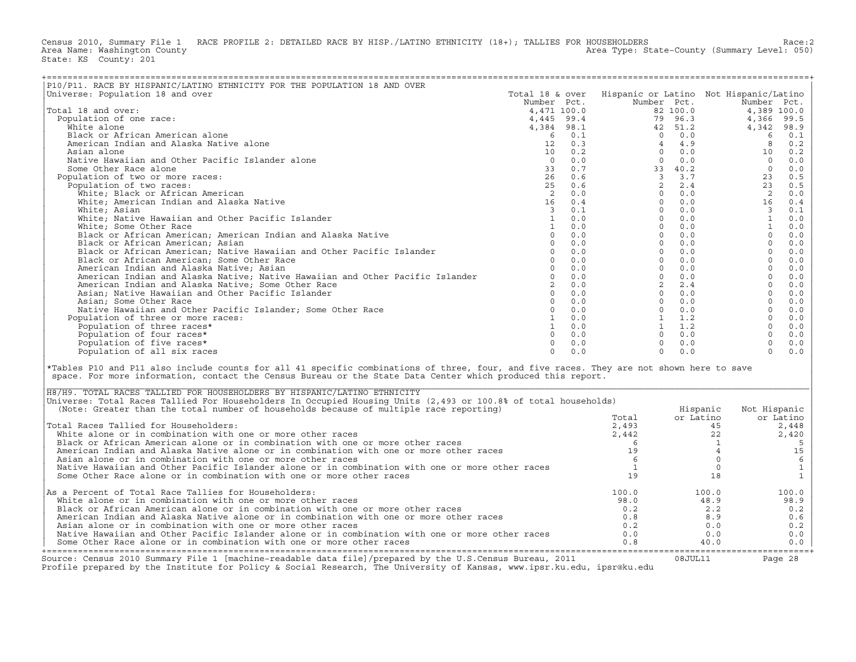Census 2010, Summary File 1 RACE PROFILE 2: DETAILED RACE BY HISP./LATINO ETHNICITY (18+); TALLIES FOR HOUSEHOLDERS<br>Area Name: Washington County (summary Level: 050) Area Type: State-County (Summary Level: 050) State: KS County: 201

| P10/P11. RACE BY HISPANIC/LATINO ETHNICITY FOR THE POPULATION 18 AND OVER                                                                                                                                                                                                            |                                                                                                                                                                                                       |                |                                        |               |                         |              |
|--------------------------------------------------------------------------------------------------------------------------------------------------------------------------------------------------------------------------------------------------------------------------------------|-------------------------------------------------------------------------------------------------------------------------------------------------------------------------------------------------------|----------------|----------------------------------------|---------------|-------------------------|--------------|
| Universe: Population 18 and over                                                                                                                                                                                                                                                     | Total 18 & over                                                                                                                                                                                       |                | Hispanic or Latino Not Hispanic/Latino |               |                         |              |
|                                                                                                                                                                                                                                                                                      |                                                                                                                                                                                                       |                | Number Pct.                            |               | Number Pct.             |              |
| Total 18 and over:                                                                                                                                                                                                                                                                   | $\begin{array}{r} 18 \text{ }\alpha \\ 18 \text{ }\gamma \\ 4,471 \text{ } 100.0 \\ 4,445 \text{ }\, 99.4 \\ 4,384 \text{ }\, 98.1 \\ 6 \text{ }\quad 0.1 \\ 12 \text{ }\quad 0.3 \\ 0.2 \end{array}$ |                |                                        | 82 100.0      |                         | 4,389 100.0  |
| Population of one race:                                                                                                                                                                                                                                                              |                                                                                                                                                                                                       |                |                                        | 79 96.3       | 4,366                   | 99.5         |
| White alone                                                                                                                                                                                                                                                                          |                                                                                                                                                                                                       |                |                                        | 42 51.2       | 4,342                   | 98.9         |
| Black or African American alone                                                                                                                                                                                                                                                      |                                                                                                                                                                                                       |                |                                        | $0 \quad 0.0$ | 6                       | 0.1          |
| American Indian and Alaska Native alone                                                                                                                                                                                                                                              |                                                                                                                                                                                                       |                | $\overline{4}$                         | 4.9           | 8                       | 0.2          |
| Asian alone                                                                                                                                                                                                                                                                          |                                                                                                                                                                                                       |                | $\Omega$                               | 0.0           | 10                      | 0.2          |
| Native Hawaiian and Other Pacific Islander alone                                                                                                                                                                                                                                     | $\Omega$                                                                                                                                                                                              | 0.0            | $\Omega$                               | 0.0           | $\overline{0}$          | 0.0          |
| Some Other Race alone                                                                                                                                                                                                                                                                | 33                                                                                                                                                                                                    | 0.7            |                                        | 33 40.2       | $\circ$                 | 0.0          |
| Population of two or more races:                                                                                                                                                                                                                                                     | 26                                                                                                                                                                                                    | 0.6            |                                        | 3 3.7         | 23                      | 0.5          |
| Population of two races:                                                                                                                                                                                                                                                             | 25                                                                                                                                                                                                    | 0.6            | $\overline{2}$                         | 2.4           | 23                      | 0.5          |
| White; Black or African American                                                                                                                                                                                                                                                     | 2                                                                                                                                                                                                     |                | $\Omega$                               | 0.0           | $\overline{2}$          | 0.0          |
| White; American Indian and Alaska Native                                                                                                                                                                                                                                             | 16                                                                                                                                                                                                    | $0.0$<br>$0.4$ | $\Omega$                               | 0.0           | 16                      | 0.4          |
| White; Asian                                                                                                                                                                                                                                                                         | $\overline{3}$                                                                                                                                                                                        | 0.1            | $\Omega$                               | 0.0           | $\overline{\mathbf{3}}$ | 0.1          |
| White; Native Hawaiian and Other Pacific Islander                                                                                                                                                                                                                                    | $\mathbf{1}$                                                                                                                                                                                          | 0.0            | $\Omega$                               | 0.0           | <sup>1</sup>            | 0.0          |
| White; Some Other Race                                                                                                                                                                                                                                                               | 1                                                                                                                                                                                                     | 0.0            | $\Omega$                               | 0.0           | $\mathbf{1}$            |              |
|                                                                                                                                                                                                                                                                                      | $\Omega$                                                                                                                                                                                              |                | $\Omega$                               |               | $\Omega$                | 0.0          |
| Black or African American; American Indian and Alaska Native                                                                                                                                                                                                                         |                                                                                                                                                                                                       | 0.0            |                                        | 0.0           |                         | 0.0          |
| Black or African American; Asian                                                                                                                                                                                                                                                     | $\Omega$                                                                                                                                                                                              | 0.0            | $\Omega$                               | 0.0           | $\Omega$                | 0.0          |
| Black or African American; Native Hawaiian and Other Pacific Islander                                                                                                                                                                                                                | $\Omega$                                                                                                                                                                                              | 0.0            | $\Omega$                               | 0.0           | $\circ$                 | 0.0          |
| Black or African American; Some Other Race                                                                                                                                                                                                                                           | $\Omega$                                                                                                                                                                                              | 0.0            | $\Omega$                               | 0.0           | $\Omega$                | 0.0          |
| American Indian and Alaska Native; Asian                                                                                                                                                                                                                                             | $\Omega$                                                                                                                                                                                              | 0.0            | $\circ$                                | 0.0           | $\circ$                 | $0.0$        |
| American Indian and Alaska Native; Native Hawaiian and Other Pacific Islander                                                                                                                                                                                                        |                                                                                                                                                                                                       | $0 \t 0.0$     | $\Omega$                               | 0.0           | $\Omega$                | 0.0          |
| American Indian and Alaska Native; Some Other Race                                                                                                                                                                                                                                   |                                                                                                                                                                                                       | $2 \t 0.0$     | $\overline{2}$                         | 2.4           | $\circ$                 | 0.0          |
| Asian; Native Hawaiian and Other Pacific Islander                                                                                                                                                                                                                                    |                                                                                                                                                                                                       | $0 \t 0.0$     |                                        | $0 \t 0.0$    | $\Omega$                | 0.0          |
| Asian; Some Other Race                                                                                                                                                                                                                                                               | $\Omega$                                                                                                                                                                                              | 0.0            |                                        | $0 \t 0.0$    | $\Omega$                | 0.0          |
| Native Hawaiian and Other Pacific Islander; Some Other Race                                                                                                                                                                                                                          | $\circ$                                                                                                                                                                                               | 0.0            |                                        | $0 \t 0.0$    | $\circ$                 | 0.0          |
| Population of three or more races:                                                                                                                                                                                                                                                   |                                                                                                                                                                                                       | $1 \ 0.0$      |                                        | 1 1.2         | $\Omega$                | 0.0          |
| Population of three races*                                                                                                                                                                                                                                                           |                                                                                                                                                                                                       | $1 \t 0.0$     |                                        | $1 \quad 1.2$ | $\Omega$                | 0.0          |
| Population of four races*                                                                                                                                                                                                                                                            | $\Omega$                                                                                                                                                                                              | 0.0            |                                        | $0 \t 0.0$    | $\circ$                 | 0.0          |
| Population of five races*                                                                                                                                                                                                                                                            | $\Omega$                                                                                                                                                                                              | 0.0            | $\Omega$                               | 0.0           | $\circ$                 | 0.0          |
| Population of all six races                                                                                                                                                                                                                                                          | $\Omega$                                                                                                                                                                                              | 0.0            | $\Omega$                               | 0.0           | $\Omega$                | 0.0          |
| *Tables P10 and P11 also include counts for all 41 specific combinations of three, four, and five races. They are not shown here to save<br>space. For more information, contact the Census Bureau or the State Data Center which produced this report.                              |                                                                                                                                                                                                       |                |                                        |               |                         |              |
| H8/H9. TOTAL RACES TALLIED FOR HOUSEHOLDERS BY HISPANIC/LATINO ETHNICITY<br>Universe: Total Races Tallied For Householders In Occupied Housing Units (2,493 or 100.8% of total households)<br>(Note: Greater than the total number of households because of multiple race reporting) |                                                                                                                                                                                                       |                |                                        | Hispanic      | Not Hispanic            |              |
|                                                                                                                                                                                                                                                                                      |                                                                                                                                                                                                       |                | Total                                  | or Latino     |                         | or Latino    |
| Total Races Tallied for Householders:                                                                                                                                                                                                                                                |                                                                                                                                                                                                       |                | 2,493                                  |               | 45                      | 2,448        |
| White alone or in combination with one or more other races                                                                                                                                                                                                                           |                                                                                                                                                                                                       |                | 2,442                                  |               | 22                      | 2,420        |
| Black or African American alone or in combination with one or more other races                                                                                                                                                                                                       |                                                                                                                                                                                                       |                | - 6                                    |               | <sup>1</sup>            | 5            |
| American Indian and Alaska Native alone or in combination with one or more other races                                                                                                                                                                                               |                                                                                                                                                                                                       |                | 19                                     |               | $\overline{4}$          | 15           |
| Asian alone or in combination with one or more other races                                                                                                                                                                                                                           |                                                                                                                                                                                                       |                | 6                                      |               | $\Omega$                | $\epsilon$   |
|                                                                                                                                                                                                                                                                                      |                                                                                                                                                                                                       |                |                                        |               | $\circ$                 |              |
| Native Hawaiian and Other Pacific Islander alone or in combination with one or more other races                                                                                                                                                                                      |                                                                                                                                                                                                       |                | $\mathbf{1}$                           |               |                         | $\mathtt 1$  |
| Some Other Race alone or in combination with one or more other races                                                                                                                                                                                                                 |                                                                                                                                                                                                       |                | 19                                     |               | 18                      | $\mathbf{1}$ |
| As a Percent of Total Race Tallies for Householders:                                                                                                                                                                                                                                 |                                                                                                                                                                                                       |                | 100.0                                  | 100.0         |                         | 100.0        |
| White alone or in combination with one or more other races                                                                                                                                                                                                                           |                                                                                                                                                                                                       |                | 98.0                                   |               | 48.9                    | 98.9         |
| Black or African American alone or in combination with one or more other races                                                                                                                                                                                                       |                                                                                                                                                                                                       |                | 0.2                                    |               | 2.2                     | 0.2          |
| American Indian and Alaska Native alone or in combination with one or more other races                                                                                                                                                                                               |                                                                                                                                                                                                       |                | 0.8                                    |               | 8.9                     | 0.6          |
| Asian alone or in combination with one or more other races                                                                                                                                                                                                                           |                                                                                                                                                                                                       |                | 0.2                                    |               | 0.0                     | 0.2          |
| Native Hawaiian and Other Pacific Islander alone or in combination with one or more other races                                                                                                                                                                                      |                                                                                                                                                                                                       |                | 0.0                                    |               | 0.0                     | 0.0          |
| Some Other Race alone or in combination with one or more other races                                                                                                                                                                                                                 |                                                                                                                                                                                                       |                | 0.8                                    |               | 40.0                    | 0.0          |

| H8/H9. TOTAL RACES TALLIED FOR HOUSEHOLDERS BY HISPANIC/LATINO ETHNICITY                                                                                                                                                          |       |           |              |
|-----------------------------------------------------------------------------------------------------------------------------------------------------------------------------------------------------------------------------------|-------|-----------|--------------|
| Universe: Total Races Tallied For Householders In Occupied Housing Units (2,493 or 100.8% of total households)                                                                                                                    |       |           |              |
| (Note: Greater than the total number of households because of multiple race reporting)                                                                                                                                            |       | Hispanic  | Not Hispanic |
|                                                                                                                                                                                                                                   | Total | or Latino | or Latino    |
| Total Races Tallied for Householders:                                                                                                                                                                                             | 2,493 | 45        | 2,448        |
| White alone or in combination with one or more other races                                                                                                                                                                        | 2,442 |           | 2,420        |
| Black or African American alone or in combination with one or more other races                                                                                                                                                    |       |           |              |
| American Indian and Alaska Native alone or in combination with one or more other races                                                                                                                                            |       |           |              |
| Asian alone or in combination with one or more other races                                                                                                                                                                        |       |           |              |
| Native Hawaiian and Other Pacific Islander alone or in combination with one or more other races                                                                                                                                   |       |           |              |
| Some Other Race alone or in combination with one or more other races                                                                                                                                                              |       |           |              |
| As a Percent of Total Race Tallies for Householders:                                                                                                                                                                              | 100.0 | 100.0     | 100.0        |
| White alone or in combination with one or more other races                                                                                                                                                                        | 98.0  | 48.9      | 98.9         |
| Black or African American alone or in combination with one or more other races                                                                                                                                                    | 0.2   | 2.2       | 0.2          |
| American Indian and Alaska Native alone or in combination with one or more other races                                                                                                                                            | 0.8   | 8.9       | 0.6          |
| Asian alone or in combination with one or more other races                                                                                                                                                                        | 0.2   | 0.0       | 0.2          |
| Native Hawaiian and Other Pacific Islander alone or in combination with one or more other races                                                                                                                                   | 0.0   | 0.0       | 0.0          |
| Some Other Race alone or in combination with one or more other races                                                                                                                                                              | 0.8   | 40.0      | 0.0          |
|                                                                                                                                                                                                                                   |       |           |              |
| Source: Census 2010 Summary File 1 [machine-readable data file]/prepared by the U.S.Census Bureau, 2011<br>Profile prepared by the Institute for Policy & Social Research, The University of Kansas, www.ipsr.ku.edu, ipsr@ku.edu |       | 08JUL11   | Page 28      |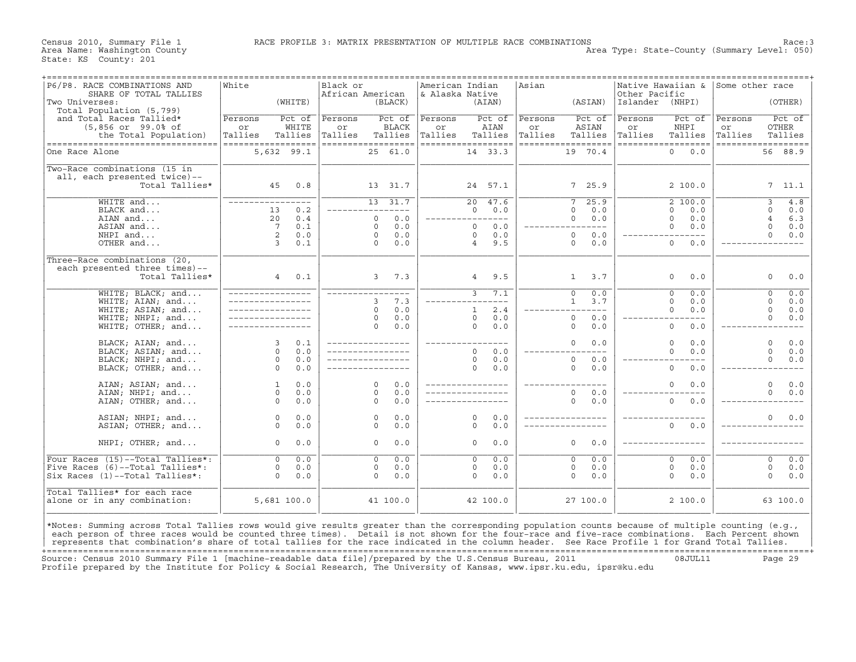Census 2010, Summary File 1 RACE PROFILE 3: MATRIX PRESENTATION OF MULTIPLE RACE COMBINATIONS Race:3 Area Type: State-County (Summary Level: 050)

| P6/P8. RACE COMBINATIONS AND<br>SHARE OF TOTAL TALLIES                                                                                                                                                                                                                                              | White                                    | Black or  | African American              | American Indian<br>& Alaska Native |                               | Asian   |                               | Native Hawaiian &<br>Other Pacific       | Some other race                  |
|-----------------------------------------------------------------------------------------------------------------------------------------------------------------------------------------------------------------------------------------------------------------------------------------------------|------------------------------------------|-----------|-------------------------------|------------------------------------|-------------------------------|---------|-------------------------------|------------------------------------------|----------------------------------|
| Two Universes:<br>Total Population (5,799)                                                                                                                                                                                                                                                          | (WHITE)                                  |           | (BLACK)                       |                                    | (AIAN)                        |         | (ASIAN)                       | Islander (NHPI)                          | (OTHER)                          |
| and Total Races Tallied*                                                                                                                                                                                                                                                                            | Persons<br>Pct of                        | Persons   | Pct of                        | Persons                            | Pct of                        | Persons | Pct of                        | Persons<br>Pct of                        | Pct of<br>Persons                |
| $(5,856$ or $99.0$ of                                                                                                                                                                                                                                                                               | WHITE<br>or                              | or        | BLACK                         | or                                 | AIAN                          | or      | ASIAN                         | NHPI<br>or                               | OTHER<br>or                      |
| the Total Population)                                                                                                                                                                                                                                                                               | Tallies<br>Tallies<br>================== | Tallies   | Tallies<br>================== | Tallies                            | Tallies<br>================== | Tallies | Tallies<br>================== | Tallies<br>Tallies<br>================== | Tallies<br>Tallies               |
| -----------------------------------<br>One Race Alone                                                                                                                                                                                                                                               | 5,632 99.1                               |           | 25 61.0                       |                                    | 14 33.3                       |         | 19 70.4                       | $\circ$<br>0.0                           | ==================<br>56 88.9    |
| Two-Race combinations (15 in                                                                                                                                                                                                                                                                        |                                          |           |                               |                                    |                               |         |                               |                                          |                                  |
| all, each presented twice)--                                                                                                                                                                                                                                                                        |                                          |           |                               |                                    |                               |         |                               |                                          |                                  |
| Total Tallies*                                                                                                                                                                                                                                                                                      | 45                                       | 0.8       | 13 31.7                       |                                    | 24 57.1                       |         | 7, 25.9                       | 2 100.0                                  | 7, 11.1                          |
| $WHITE$ and                                                                                                                                                                                                                                                                                         |                                          | $- - - -$ | $13 \overline{31.7}$          |                                    | $\overline{20}$<br>47.6       |         | $\overline{25.9}$<br>7        | 2,100.0                                  | 4.8<br>$\overline{3}$            |
| BLACK and                                                                                                                                                                                                                                                                                           | 13                                       | 0.2       | $- - -$                       |                                    | $\Omega$<br>0.0               |         | 0.0<br>$\Omega$               | $\Omega$<br>0.0                          | $\Omega$<br>0.0                  |
| AIAN and                                                                                                                                                                                                                                                                                            | 20                                       | 0.4       | 0.0<br>$\mathbf 0$            |                                    | -----------                   |         | 0<br>0.0                      | $\mathbf 0$<br>0.0                       | $\overline{4}$<br>6.3            |
| ASIAN and                                                                                                                                                                                                                                                                                           | $7\overline{ }$                          | 0.1       | 0.0<br>$\circ$                |                                    | $\Omega$<br>0.0               |         | _________                     | $\mathbf{0}$<br>0.0                      | $\circ$<br>0.0                   |
| NHPI and                                                                                                                                                                                                                                                                                            | 2                                        | 0.0       | 0.0<br>$\Omega$               |                                    | $\Omega$<br>0.0               |         | $\Omega$<br>0.0               | $---$                                    | $\Omega$<br>0.0                  |
| OTHER and                                                                                                                                                                                                                                                                                           | $\overline{3}$                           | 0.1       | $\Omega$<br>0.0               |                                    | 9.5<br>$\overline{4}$         |         | $\Omega$<br>0.0               | $\mathbf{0}$<br>0.0                      |                                  |
| Three-Race combinations (20,                                                                                                                                                                                                                                                                        |                                          |           |                               |                                    |                               |         |                               |                                          |                                  |
| each presented three times)--                                                                                                                                                                                                                                                                       |                                          |           |                               |                                    |                               |         |                               |                                          |                                  |
| Total Tallies*                                                                                                                                                                                                                                                                                      | 4                                        | 0.1       | $3^{\circ}$<br>7.3            |                                    | 9.5<br>$4\overline{ }$        |         | 3.7<br>1                      | $\mathbf{0}$<br>0.0                      | 0.0<br>0                         |
| WHITE; BLACK; and                                                                                                                                                                                                                                                                                   |                                          |           |                               |                                    | 3<br>7.1                      |         | $\Omega$<br>0.0               | $\Omega$<br>0.0                          | 0.0<br>$\Omega$                  |
| WHITE; AIAN; and                                                                                                                                                                                                                                                                                    |                                          |           | 7.3<br>3                      |                                    | $- - - -$                     |         | 3.7<br>1                      | $\Omega$<br>0.0                          | $0.0$<br>$\Omega$                |
| WHITE; ASIAN; and                                                                                                                                                                                                                                                                                   |                                          |           | 0.0<br>$\Omega$               |                                    | 2.4<br>$\mathbf{1}$           |         | $- - -$                       | $\mathbf 0$<br>0.0                       | $\circ$<br>0.0                   |
| WHITE; NHPI; and                                                                                                                                                                                                                                                                                    |                                          |           | 0.0<br>$\Omega$               |                                    | $\Omega$<br>0.0               |         | $\circ$<br>0.0                |                                          | $\circ$<br>0.0                   |
| WHITE; OTHER; and                                                                                                                                                                                                                                                                                   |                                          |           | 0.0<br>$\Omega$               |                                    | $\circ$<br>0.0                |         | $\circ$<br>0.0                | $\mathsf{O}\xspace$<br>0.0               |                                  |
| BLACK; AIAN; and                                                                                                                                                                                                                                                                                    | 3                                        | 0.1       |                               |                                    | $- - - -$                     |         | $\Omega$<br>0.0               | $\Omega$<br>0.0                          | $\mathbf 0$<br>0.0               |
| BLACK; ASIAN; and                                                                                                                                                                                                                                                                                   | $\circ$                                  | 0.0       |                               |                                    | $\Omega$<br>0.0               |         |                               | $\circ$<br>0.0                           | $\Omega$<br>$0.0$                |
| BLACK; NHPI; and                                                                                                                                                                                                                                                                                    | $\circ$                                  | 0.0       |                               |                                    | $\Omega$<br>0.0               |         | 0.0<br>$\circ$                |                                          | $\Omega$<br>0.0                  |
| BLACK; OTHER; and                                                                                                                                                                                                                                                                                   | $\Omega$                                 | 0.0       |                               |                                    | $\Omega$<br>0.0               |         | $\Omega$<br>0.0               | $\Omega$<br>0.0                          |                                  |
| AIAN; ASIAN; and                                                                                                                                                                                                                                                                                    | $\mathbf{1}$                             | 0.0       | $\Omega$<br>0.0               |                                    |                               |         |                               | $\Omega$<br>0.0                          | $\Omega$<br>0.0                  |
| AIAN; NHPI; and                                                                                                                                                                                                                                                                                     | $\circ$                                  | 0.0       | 0.0<br>$\Omega$               |                                    |                               |         | $\circ$<br>0.0                |                                          | $\Omega$<br>0.0                  |
| AIAN; OTHER; and                                                                                                                                                                                                                                                                                    | $\circ$                                  | 0.0       | $\Omega$<br>0.0               |                                    |                               |         | $\Omega$<br>0.0               | $\circ$<br>0.0                           |                                  |
| ASIAN; NHPI; and                                                                                                                                                                                                                                                                                    | $\circ$                                  | $0.0$     | 0.0<br>$\circ$                |                                    | $\Omega$<br>0.0               |         |                               |                                          | 0.0<br>$\Omega$                  |
| ASIAN; OTHER; and                                                                                                                                                                                                                                                                                   | $\Omega$                                 | 0.0       | 0.0<br>$\Omega$               |                                    | $\Omega$<br>0.0               |         |                               | $\Omega$<br>0.0                          |                                  |
| NHPI; OTHER; and                                                                                                                                                                                                                                                                                    | $\circ$                                  | 0.0       | $\circ$<br>0.0                |                                    | $\circ$<br>0.0                |         | $\circ$<br>0.0                |                                          |                                  |
| Four Races (15)--Total Tallies*:                                                                                                                                                                                                                                                                    | $\overline{0}$                           | 0.0       | $\overline{0}$<br>0.0         |                                    | 0.0<br>$\overline{0}$         |         | 0.0<br>$\overline{0}$         | $\overline{0}$<br>0.0                    | 0.0<br>$\overline{\mathfrak{o}}$ |
| Five Races (6)--Total Tallies*:                                                                                                                                                                                                                                                                     | $\circ$                                  | 0.0       | 0.0<br>$\circ$                |                                    | 0.0<br>$\Omega$               |         | $\mathbf 0$<br>0.0            | $\mathbf 0$<br>0.0                       | $\mathbf 0$<br>0.0               |
| Six Races (1)--Total Tallies*:                                                                                                                                                                                                                                                                      | $\Omega$                                 | 0.0       | $\circ$<br>0.0                |                                    | $\Omega$<br>0.0               |         | $\circ$<br>0.0                | $\mathbf{0}$<br>0.0                      | $\circ$<br>0.0                   |
|                                                                                                                                                                                                                                                                                                     |                                          |           |                               |                                    |                               |         |                               |                                          |                                  |
| Total Tallies* for each race<br>alone or in any combination:                                                                                                                                                                                                                                        | 5,681 100.0                              |           | 41 100.0                      |                                    | 42 100.0                      |         | 27 100.0                      | 2 100.0                                  | 63 100.0                         |
|                                                                                                                                                                                                                                                                                                     |                                          |           |                               |                                    |                               |         |                               |                                          |                                  |
|                                                                                                                                                                                                                                                                                                     |                                          |           |                               |                                    |                               |         |                               |                                          |                                  |
| *Notes: Summing across Total Tallies rows would give results greater than the corresponding population counts because of multiple counting (e.g.,<br>each person of three races would be counted three times). Detail is not shown for the four-race and five-race combinations. Each Percent shown |                                          |           |                               |                                    |                               |         |                               |                                          |                                  |
| represents that combination's share of total tallies for the race indicated in the column header. See Race Profile 1 for Grand Total Tallies.                                                                                                                                                       |                                          |           |                               |                                    |                               |         |                               |                                          |                                  |

+===================================================================================================================================================+Source: Census 2010 Summary File 1 [machine−readable data file]/prepared by the U.S.Census Bureau, 2011 08JUL11 Page 29 Profile prepared by the Institute for Policy & Social Research, The University of Kansas, www.ipsr.ku.edu, ipsr@ku.edu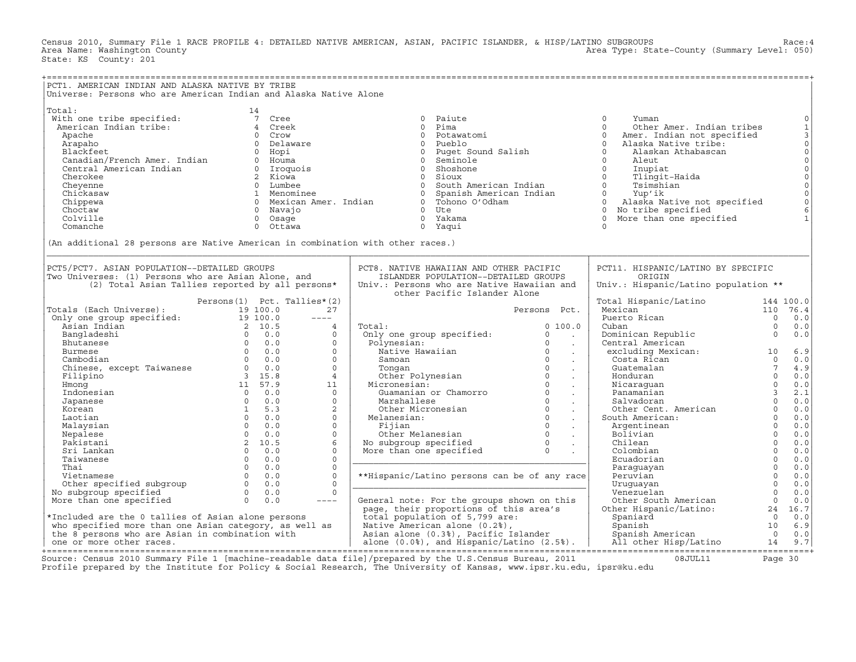Census 2010, Summary File 1 RACE PROFILE 4: DETAILED NATIVE AMERICAN, ASIAN, PACIFIC ISLANDER, & HISP/LATINO SUBGROUPS Race:4 Area Type: State-County (Summary Level: 050) State: KS County: 201

| PCT1. AMERICAN INDIAN AND ALASKA NATIVE BY TRIBE<br>Universe: Persons who are American Indian and Alaska Native Alone                                                                                                                                  |                                   |                                                                                                                                                                                                                                                                                                                                                                                                    |                                                                                                                                                                                                                                                   |                                                          |                                                                                                    |                                                  |                                                                                                                                                                        |
|--------------------------------------------------------------------------------------------------------------------------------------------------------------------------------------------------------------------------------------------------------|-----------------------------------|----------------------------------------------------------------------------------------------------------------------------------------------------------------------------------------------------------------------------------------------------------------------------------------------------------------------------------------------------------------------------------------------------|---------------------------------------------------------------------------------------------------------------------------------------------------------------------------------------------------------------------------------------------------|----------------------------------------------------------|----------------------------------------------------------------------------------------------------|--------------------------------------------------|------------------------------------------------------------------------------------------------------------------------------------------------------------------------|
| (An additional 28 persons are Native American in combination with other races.)                                                                                                                                                                        |                                   |                                                                                                                                                                                                                                                                                                                                                                                                    |                                                                                                                                                                                                                                                   |                                                          |                                                                                                    |                                                  | $\mathbb O$<br>$\begin{bmatrix} 1 \\ 3 \\ 0 \\ 0 \end{bmatrix}$<br>$_{\rm 0}^{\rm 0}$<br>$\mathsf{O}\xspace$<br>$\mathbb O$<br>$\circ$<br>$\circ$<br>6<br>$\mathbf{1}$ |
| PCT5/PCT7. ASIAN POPULATION--DETAILED GROUPS<br>Two Universes: (1) Persons who are Asian Alone, and<br>(2) Total Asian Tallies reported by all persons*                                                                                                |                                   |                                                                                                                                                                                                                                                                                                                                                                                                    | PCT8. NATIVE HAWAIIAN AND OTHER PACIFIC<br>ISLANDER POPULATION--DETAILED GROUPS<br>Univ.: Persons who are Native Hawaiian and                                                                                                                     |                                                          | PCT11. HISPANIC/LATINO BY SPECIFIC<br>ORIGIN<br>Univ.: Hispanic/Latino population **               |                                                  |                                                                                                                                                                        |
| Persons (1) PCL. Tailles<br>Only one group specified: 19 100.0<br>Asian Indian<br>Bangladeshi<br>Bangladeshi<br>Bhutanese 0 0.0<br>Clumese 0 0.0<br>Clumese 0 0.0<br>Clumese 0 0.0<br>Clumese 0 0.0<br>Clumese 0 0.0<br>Clumese 0 0.0<br>Clumese 0 0.0 | Persons $(1)$ Pct. Tallies* $(2)$ | 27<br>$\frac{1}{2} \frac{1}{2} \frac{1}{2} \frac{1}{2} \frac{1}{2} \frac{1}{2} \frac{1}{2} \frac{1}{2} \frac{1}{2} \frac{1}{2} \frac{1}{2} \frac{1}{2} \frac{1}{2} \frac{1}{2} \frac{1}{2} \frac{1}{2} \frac{1}{2} \frac{1}{2} \frac{1}{2} \frac{1}{2} \frac{1}{2} \frac{1}{2} \frac{1}{2} \frac{1}{2} \frac{1}{2} \frac{1}{2} \frac{1}{2} \frac{1}{2} \frac{1}{2} \frac{1}{2} \frac{1}{2} \frac{$ | other Pacific Islander Alone                                                                                                                                                                                                                      | Persons Pct.                                             | Total Hispanic/Latino<br>Mexican<br>Puerto Rican                                                   | $\overline{0}$                                   | 144 100.0<br>110 76.4<br>0.0                                                                                                                                           |
|                                                                                                                                                                                                                                                        |                                   | $\overline{4}$<br>$\Omega$<br>$\circ$<br>$\Omega$                                                                                                                                                                                                                                                                                                                                                  | Total:<br>Total: 01<br>Only one group specified: 01<br>Polynesian: 00<br>Native Hawaiian 00<br>Samoan 00<br>Tongan 01<br>Other Polynesian 00<br>Micronesian: 00<br>Micronesian: 00<br>Marshallese 01<br>Other Micronesian 00<br>Other Micronesian | 0, 100.0<br><b>Contract</b><br>$\sim 10^{11}$ km $^{-1}$ | Cuban<br>Cominican Republic<br>Dominican excluding Mexican: 10<br>Costa Rican 10<br>Costa Rican 10 | $\overline{0}$                                   | 0.0<br>0.0<br>6.9                                                                                                                                                      |
|                                                                                                                                                                                                                                                        |                                   | $\Omega$<br>$\Omega$<br>$\overline{4}$                                                                                                                                                                                                                                                                                                                                                             |                                                                                                                                                                                                                                                   | $\sim 100$<br>$\sim 100$<br>$\sim$                       | Guatemalan                                                                                         | $\overline{7}$                                   | $0 \qquad 0.0$<br>4.9<br>0.0                                                                                                                                           |
| 9 15.0<br>11 57.9<br>0 0.0<br>0 0.0<br>1 5.3<br>0 0.0<br>Hmonq<br>Indonesian<br>Japanese                                                                                                                                                               |                                   | 11<br>$\Omega$<br>$\circ$                                                                                                                                                                                                                                                                                                                                                                          |                                                                                                                                                                                                                                                   | $\sim 10$<br>$\sim 100$<br>$\sim 100$                    | Honduran<br>Nicaraguan 0<br>Panamanian 3<br>Salvadoran 0                                           |                                                  | 0.0<br>2.1<br>0.0                                                                                                                                                      |
| Korean<br>Laotian                                                                                                                                                                                                                                      | $0 \t 0.0$                        | 2<br>$\circ$<br>$\circ$                                                                                                                                                                                                                                                                                                                                                                            |                                                                                                                                                                                                                                                   |                                                          | ranaman----<br>Salvadoran<br>Other Cent. American 0<br>South American: 0<br>Argentinean 0<br>0     |                                                  | 0.0<br>0.0<br>0.0                                                                                                                                                      |
|                                                                                                                                                                                                                                                        |                                   | $\Omega$<br>6<br>$\Omega$                                                                                                                                                                                                                                                                                                                                                                          | Marshallese 0<br>Other Micronesian<br>Melanesian: 0<br>Fijian 0<br>Other Melanesian 0<br>No subgroup specified 0<br>More than one specified 0<br>.                                                                                                |                                                          | Chilean<br>Colombian                                                                               | $\begin{bmatrix} 0 \\ 0 \\ 0 \\ 0 \end{bmatrix}$ | 0.0<br>0.0<br>0.0                                                                                                                                                      |
|                                                                                                                                                                                                                                                        |                                   | $\circ$<br>$\Omega$<br>$\Omega$                                                                                                                                                                                                                                                                                                                                                                    | **Hispanic/Latino persons can be of any race                                                                                                                                                                                                      |                                                          | Ecuadorian<br>Paraquayan<br>Peruvian                                                               | $\overline{0}$<br>$\Omega$<br>$\overline{0}$     | 0.0<br>0.0<br>0.0                                                                                                                                                      |
| Laotian<br>Malaysian<br>Mepalese 0 0.0<br>Nepalese 0 0.0<br>Pakistani 2 10.5<br>Sri Lankan 2 10.5<br>Sri Lankan 0 0.0<br>Thai<br>Thaimese 0 0.0<br>Vietnamese 0 0.0<br>Other specified 0 0.0<br>No subgroup specified 0 0.0<br>Nore than one specified |                                   | $\Omega$<br>$\Omega$                                                                                                                                                                                                                                                                                                                                                                               |                                                                                                                                                                                                                                                   |                                                          | Uruquayan<br>Venezuelan                                                                            | $\overline{0}$<br>$\Omega$                       | 0.0<br>0.0                                                                                                                                                             |
|                                                                                                                                                                                                                                                        |                                   |                                                                                                                                                                                                                                                                                                                                                                                                    |                                                                                                                                                                                                                                                   |                                                          |                                                                                                    |                                                  |                                                                                                                                                                        |
|                                                                                                                                                                                                                                                        |                                   |                                                                                                                                                                                                                                                                                                                                                                                                    |                                                                                                                                                                                                                                                   |                                                          |                                                                                                    |                                                  |                                                                                                                                                                        |

Source: Census 2010 Summary File 1 [machine−readable data file]/prepared by the U.S.Census Bureau, 2011 08JUL11 Page 30 Profile prepared by the Institute for Policy & Social Research, The University of Kansas, www.ipsr.ku.edu, ipsr@ku.edu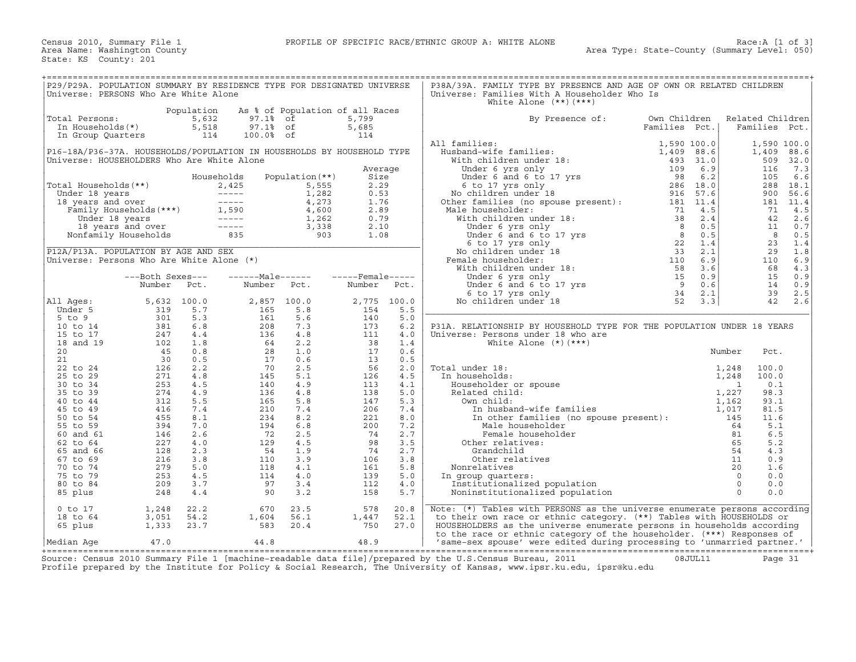| P29/P29A. POPULATION SUMMARY BY RESIDENCE TYPE FOR DESIGNATED UNIVERSE<br>Universe: PERSONS Who Are White Alone                                                                                                                                            |                                                                                                                                                                               |            |                                                                                                                                                                |                                                                                                       |                |             | P38A/39A. FAMILY TYPE BY PRESENCE AND AGE OF OWN OR RELATED CHILDREN<br>Universe: Families With A Householder Who Is<br>White Alone $(**)$ $(***)$                                                                                         |               |                  |       |             |
|------------------------------------------------------------------------------------------------------------------------------------------------------------------------------------------------------------------------------------------------------------|-------------------------------------------------------------------------------------------------------------------------------------------------------------------------------|------------|----------------------------------------------------------------------------------------------------------------------------------------------------------------|-------------------------------------------------------------------------------------------------------|----------------|-------------|--------------------------------------------------------------------------------------------------------------------------------------------------------------------------------------------------------------------------------------------|---------------|------------------|-------|-------------|
|                                                                                                                                                                                                                                                            |                                                                                                                                                                               | Population |                                                                                                                                                                | As % of Population of all Races                                                                       |                |             |                                                                                                                                                                                                                                            |               |                  |       |             |
| Total Persons:                                                                                                                                                                                                                                             |                                                                                                                                                                               |            | 97.1% of                                                                                                                                                       |                                                                                                       | 5,799          |             | By Presence of: Own Children                                                                                                                                                                                                               |               | Related Children |       |             |
|                                                                                                                                                                                                                                                            |                                                                                                                                                                               |            |                                                                                                                                                                |                                                                                                       |                |             |                                                                                                                                                                                                                                            |               |                  |       |             |
| otal Persons: 5,632<br>In Households(*) 5,518<br>In Group Quarters 114                                                                                                                                                                                     |                                                                                                                                                                               |            | 97.1% of                                                                                                                                                       |                                                                                                       | 5,685          |             |                                                                                                                                                                                                                                            | Families Pct. | Families Pct.    |       |             |
|                                                                                                                                                                                                                                                            |                                                                                                                                                                               |            | 100.0% of                                                                                                                                                      |                                                                                                       | 114            |             |                                                                                                                                                                                                                                            |               |                  |       |             |
|                                                                                                                                                                                                                                                            |                                                                                                                                                                               |            |                                                                                                                                                                |                                                                                                       |                |             | All families:                                                                                                                                                                                                                              |               |                  |       | 1,590 100.0 |
| P16-18A/P36-37A. HOUSEHOLDS/POPULATION IN HOUSEHOLDS BY HOUSEHOLD TYPE                                                                                                                                                                                     |                                                                                                                                                                               |            |                                                                                                                                                                |                                                                                                       |                |             |                                                                                                                                                                                                                                            |               |                  |       | 1,409 88.6  |
| Universe: HOUSEHOLDERS Who Are White Alone                                                                                                                                                                                                                 |                                                                                                                                                                               |            |                                                                                                                                                                |                                                                                                       |                |             |                                                                                                                                                                                                                                            |               |                  |       | 509 32.0    |
|                                                                                                                                                                                                                                                            |                                                                                                                                                                               |            |                                                                                                                                                                |                                                                                                       |                |             |                                                                                                                                                                                                                                            |               |                  |       |             |
|                                                                                                                                                                                                                                                            |                                                                                                                                                                               |            |                                                                                                                                                                |                                                                                                       | Average        |             |                                                                                                                                                                                                                                            |               |                  |       | 7.3         |
|                                                                                                                                                                                                                                                            |                                                                                                                                                                               |            | Households                                                                                                                                                     | Population (**)                                                                                       | Size           |             |                                                                                                                                                                                                                                            |               |                  |       | 6.6         |
|                                                                                                                                                                                                                                                            |                                                                                                                                                                               |            |                                                                                                                                                                |                                                                                                       | 2.29           |             |                                                                                                                                                                                                                                            |               |                  |       | 288 18.1    |
|                                                                                                                                                                                                                                                            |                                                                                                                                                                               |            |                                                                                                                                                                | $\begin{bmatrix} 1,282&0.53\ 4,273&1.76\ 4,600&2.89\ 1,262&0.79\ 3,338&2.10\ 903&1.08\ \end{bmatrix}$ | 0.53           |             |                                                                                                                                                                                                                                            |               |                  |       | 56.6        |
| Total Households (**)<br>Under 18 years<br>1, 2,425 5,555<br>18 years and over<br>Family Households (***)<br>Under 18 years<br>Family Households (***)<br>1,590 4,600<br>Under 18 years<br>1,262<br>1,262<br>1,262<br>Nonfamily Households<br>2,338<br>Non |                                                                                                                                                                               |            |                                                                                                                                                                |                                                                                                       |                |             |                                                                                                                                                                                                                                            |               |                  |       | 181 11.4    |
|                                                                                                                                                                                                                                                            |                                                                                                                                                                               |            |                                                                                                                                                                |                                                                                                       |                |             |                                                                                                                                                                                                                                            |               |                  |       |             |
|                                                                                                                                                                                                                                                            |                                                                                                                                                                               |            |                                                                                                                                                                |                                                                                                       |                |             | Male householder:                                                                                                                                                                                                                          |               |                  |       | 4.5         |
|                                                                                                                                                                                                                                                            |                                                                                                                                                                               |            |                                                                                                                                                                |                                                                                                       |                |             |                                                                                                                                                                                                                                            |               |                  |       | 42 2.6      |
|                                                                                                                                                                                                                                                            |                                                                                                                                                                               |            |                                                                                                                                                                |                                                                                                       |                |             |                                                                                                                                                                                                                                            |               |                  |       | 11 0.7      |
|                                                                                                                                                                                                                                                            |                                                                                                                                                                               |            |                                                                                                                                                                |                                                                                                       |                |             |                                                                                                                                                                                                                                            |               |                  |       | 0.5         |
|                                                                                                                                                                                                                                                            |                                                                                                                                                                               |            |                                                                                                                                                                |                                                                                                       |                |             |                                                                                                                                                                                                                                            |               |                  |       | 23 1.4      |
|                                                                                                                                                                                                                                                            |                                                                                                                                                                               |            |                                                                                                                                                                |                                                                                                       |                |             |                                                                                                                                                                                                                                            |               |                  |       |             |
| P12A/P13A. POPULATION BY AGE AND SEX                                                                                                                                                                                                                       |                                                                                                                                                                               |            |                                                                                                                                                                | <u>a sa salawan sa san</u>                                                                            |                |             |                                                                                                                                                                                                                                            |               |                  |       | 1.8         |
| Universe: Persons Who Are White Alone (*)                                                                                                                                                                                                                  |                                                                                                                                                                               |            |                                                                                                                                                                |                                                                                                       |                |             |                                                                                                                                                                                                                                            |               |                  |       | 6.9         |
|                                                                                                                                                                                                                                                            |                                                                                                                                                                               |            |                                                                                                                                                                |                                                                                                       |                |             |                                                                                                                                                                                                                                            |               |                  |       | 4.3         |
|                                                                                                                                                                                                                                                            | ---Both Sexes---                                                                                                                                                              |            |                                                                                                                                                                |                                                                                                       |                |             |                                                                                                                                                                                                                                            |               |                  |       | 0.9         |
|                                                                                                                                                                                                                                                            | Number                                                                                                                                                                        | Pct.       |                                                                                                                                                                | Number Pct. Number Pct.                                                                               |                |             |                                                                                                                                                                                                                                            |               |                  |       | 14 0.9      |
|                                                                                                                                                                                                                                                            |                                                                                                                                                                               |            |                                                                                                                                                                |                                                                                                       |                |             |                                                                                                                                                                                                                                            |               |                  |       |             |
|                                                                                                                                                                                                                                                            |                                                                                                                                                                               |            |                                                                                                                                                                |                                                                                                       |                |             |                                                                                                                                                                                                                                            |               |                  |       | 2.5         |
| All Aqes:                                                                                                                                                                                                                                                  | $5,632$ 100.0                                                                                                                                                                 |            | 2,857 100.0                                                                                                                                                    |                                                                                                       |                | 2,775 100.0 |                                                                                                                                                                                                                                            |               |                  |       | 42 2.6      |
| Under 5                                                                                                                                                                                                                                                    |                                                                                                                                                                               |            |                                                                                                                                                                | 5.8                                                                                                   |                | 5.5         |                                                                                                                                                                                                                                            |               |                  |       |             |
| $5$ to $9$                                                                                                                                                                                                                                                 |                                                                                                                                                                               |            | $\begin{array}{cc} 0.0 & 2,857 \\ 5.7 & 165 \\ 5.3 & 161 \\ 6.8 & 208 \\ 1.8 & 136 \\ 0.8 & 28 \\ 2.2 & 70 \\ 4.8 & 145 \\ 4.5 & 140 \\ 5.5 & 165 \end{array}$ | 5.6                                                                                                   | $2,775$<br>154 | 5.0         | All families:<br>Husband–wife families:<br>Husband–wife families:<br>With children under 18:<br>Under 6 yrs only<br>Under 6 and 6 to 17 yrs<br>We to 17 yrs and the serve of the serve of the serve of the serve of the serve of the serve |               |                  |       |             |
| 10 to 14                                                                                                                                                                                                                                                   |                                                                                                                                                                               | 6.8        |                                                                                                                                                                | 7.3                                                                                                   |                | 6.2         | P31A. RELATIONSHIP BY HOUSEHOLD TYPE FOR THE POPULATION UNDER 18 YEARS                                                                                                                                                                     |               |                  |       |             |
| 15 to 17                                                                                                                                                                                                                                                   |                                                                                                                                                                               |            |                                                                                                                                                                | 4.8                                                                                                   |                | 4.0         | Universe: Persons under 18 who are                                                                                                                                                                                                         |               |                  |       |             |
| 18 and 19                                                                                                                                                                                                                                                  |                                                                                                                                                                               |            |                                                                                                                                                                | 2.2                                                                                                   |                | 1.4         | White Alone $(*)$ $(***)$                                                                                                                                                                                                                  |               |                  |       |             |
|                                                                                                                                                                                                                                                            |                                                                                                                                                                               |            |                                                                                                                                                                |                                                                                                       |                |             |                                                                                                                                                                                                                                            |               |                  |       |             |
| 20                                                                                                                                                                                                                                                         |                                                                                                                                                                               |            |                                                                                                                                                                | 1.0                                                                                                   |                | 0.6         |                                                                                                                                                                                                                                            |               | Number           | Pct.  |             |
| 21                                                                                                                                                                                                                                                         |                                                                                                                                                                               |            |                                                                                                                                                                | 0.6                                                                                                   |                | 0.5         |                                                                                                                                                                                                                                            |               |                  |       |             |
| 22 to 24                                                                                                                                                                                                                                                   |                                                                                                                                                                               |            |                                                                                                                                                                | 2.5                                                                                                   |                | 2.0         | Total under 18:                                                                                                                                                                                                                            |               |                  | 100.0 |             |
| 25 to 29                                                                                                                                                                                                                                                   |                                                                                                                                                                               |            |                                                                                                                                                                | 5.1                                                                                                   |                | 4.5         | In households:                                                                                                                                                                                                                             |               |                  | 100.0 |             |
| 30 to 34                                                                                                                                                                                                                                                   |                                                                                                                                                                               |            |                                                                                                                                                                | 4.9                                                                                                   |                | 4.1         |                                                                                                                                                                                                                                            |               |                  | 0.1   |             |
| 35 to 39                                                                                                                                                                                                                                                   |                                                                                                                                                                               |            |                                                                                                                                                                | 4.8                                                                                                   |                | 5.0         |                                                                                                                                                                                                                                            |               |                  | 98.3  |             |
| 40 to 44                                                                                                                                                                                                                                                   |                                                                                                                                                                               | 5.5        |                                                                                                                                                                | 5.8                                                                                                   |                | 5.3         |                                                                                                                                                                                                                                            |               |                  | 93.1  |             |
|                                                                                                                                                                                                                                                            |                                                                                                                                                                               |            |                                                                                                                                                                |                                                                                                       |                |             |                                                                                                                                                                                                                                            |               |                  |       |             |
| 45 to 49                                                                                                                                                                                                                                                   |                                                                                                                                                                               | 7.4        |                                                                                                                                                                | 7.4                                                                                                   |                | 7.4         |                                                                                                                                                                                                                                            |               |                  | 81.5  |             |
| 50 to 54                                                                                                                                                                                                                                                   |                                                                                                                                                                               | 8.1        |                                                                                                                                                                | 8.2                                                                                                   |                | 8.0         |                                                                                                                                                                                                                                            |               |                  | 11.6  |             |
| 55 to 59                                                                                                                                                                                                                                                   |                                                                                                                                                                               | 7.0        |                                                                                                                                                                | 6.8                                                                                                   |                | 7.2         | Norm child:<br>Own child:<br>In husband-wife fan<br>In other families (<br>Male householder<br>Female householde<br>Other relatives:<br>Crandchild                                                                                         |               |                  | 5.1   |             |
| 60 and 61                                                                                                                                                                                                                                                  |                                                                                                                                                                               | 2.6        |                                                                                                                                                                | 2.5                                                                                                   |                | 2.7         |                                                                                                                                                                                                                                            |               |                  | 6.5   |             |
| 62 to 64                                                                                                                                                                                                                                                   |                                                                                                                                                                               | 4.0        |                                                                                                                                                                | 4.5                                                                                                   |                | 3.5         |                                                                                                                                                                                                                                            |               | 65               | 5.2   |             |
| 65 and 66                                                                                                                                                                                                                                                  |                                                                                                                                                                               | 2.3        |                                                                                                                                                                | 1.9                                                                                                   |                | 2.7         |                                                                                                                                                                                                                                            |               |                  | 4.3   |             |
|                                                                                                                                                                                                                                                            |                                                                                                                                                                               |            |                                                                                                                                                                |                                                                                                       |                |             |                                                                                                                                                                                                                                            |               |                  |       |             |
| 67 to 69                                                                                                                                                                                                                                                   |                                                                                                                                                                               | 3.8        |                                                                                                                                                                | 3.9                                                                                                   |                | 3.8         |                                                                                                                                                                                                                                            |               |                  | 0.9   |             |
| 70 to 74                                                                                                                                                                                                                                                   |                                                                                                                                                                               | 5.0        |                                                                                                                                                                | 4.1                                                                                                   |                | 5.8         | Nonrelatives                                                                                                                                                                                                                               |               |                  | 1.6   |             |
| 75 to 79                                                                                                                                                                                                                                                   |                                                                                                                                                                               | 4.5        | $1165$<br>$210$<br>$234$<br>$194$<br>$129$<br>$54$<br>$110$<br>$118$<br>$114$<br>$97$<br>$90$                                                                  | 4.0                                                                                                   |                | 5.0         | In group quarters:                                                                                                                                                                                                                         |               |                  | 0.0   |             |
| 80 to 84                                                                                                                                                                                                                                                   |                                                                                                                                                                               | 3.7        |                                                                                                                                                                | 3.4                                                                                                   |                | 4.0         |                                                                                                                                                                                                                                            |               |                  | 0.0   |             |
| 85 plus                                                                                                                                                                                                                                                    |                                                                                                                                                                               | 4.4        |                                                                                                                                                                | 3.2                                                                                                   |                | 5.7         |                                                                                                                                                                                                                                            |               |                  | 0.0   |             |
|                                                                                                                                                                                                                                                            | $\begin{array}{r} 5,632\\ 319\\ 301\\ 381\\ 247\\ 102\\ 45\\ 30\\ 26\\ 271\\ 253\\ 274\\ 312\\ 416\\ 455\\ 394\\ 146\\ 227\\ 128\\ 216\\ 279\\ 253\\ 209\\ 248\\ \end{array}$ |            |                                                                                                                                                                |                                                                                                       |                |             |                                                                                                                                                                                                                                            |               |                  |       |             |
| $0$ to $17$                                                                                                                                                                                                                                                | 1,248                                                                                                                                                                         | 22.2       | $670$<br>1,604<br>583                                                                                                                                          | 23.5                                                                                                  | 578            | 20.8        | Note: (*) Tables with PERSONS as the universe enumerate persons according                                                                                                                                                                  |               |                  |       |             |
| 18 to 64                                                                                                                                                                                                                                                   |                                                                                                                                                                               | 54.2       |                                                                                                                                                                | 56.1                                                                                                  |                | 52.1        | to their own race or ethnic category. (**) Tables with HOUSEHOLDS or                                                                                                                                                                       |               |                  |       |             |
|                                                                                                                                                                                                                                                            | $\frac{1}{3}$ , 051<br>1, 333                                                                                                                                                 |            |                                                                                                                                                                |                                                                                                       | 1,447<br>750   |             |                                                                                                                                                                                                                                            |               |                  |       |             |
| 65 plus                                                                                                                                                                                                                                                    |                                                                                                                                                                               | 23.7       |                                                                                                                                                                | 20.4                                                                                                  |                | 27.0        | HOUSEHOLDERS as the universe enumerate persons in households according                                                                                                                                                                     |               |                  |       |             |
|                                                                                                                                                                                                                                                            |                                                                                                                                                                               |            |                                                                                                                                                                |                                                                                                       |                |             | to the race or ethnic category of the householder. (***) Responses of                                                                                                                                                                      |               |                  |       |             |
| Median Aqe                                                                                                                                                                                                                                                 | 47.0                                                                                                                                                                          |            | 44.8                                                                                                                                                           |                                                                                                       | 48.9           |             | 'same-sex spouse' were edited during processing to 'unmarried partner.'                                                                                                                                                                    |               |                  |       |             |

+===================================================================================================================================================+ Source: Census 2010 Summary File 1 [machine−readable data file]/prepared by the U.S.Census Bureau, 2011 08JUL11 Page 31 Profile prepared by the Institute for Policy & Social Research, The University of Kansas, www.ipsr.ku.edu, ipsr@ku.edu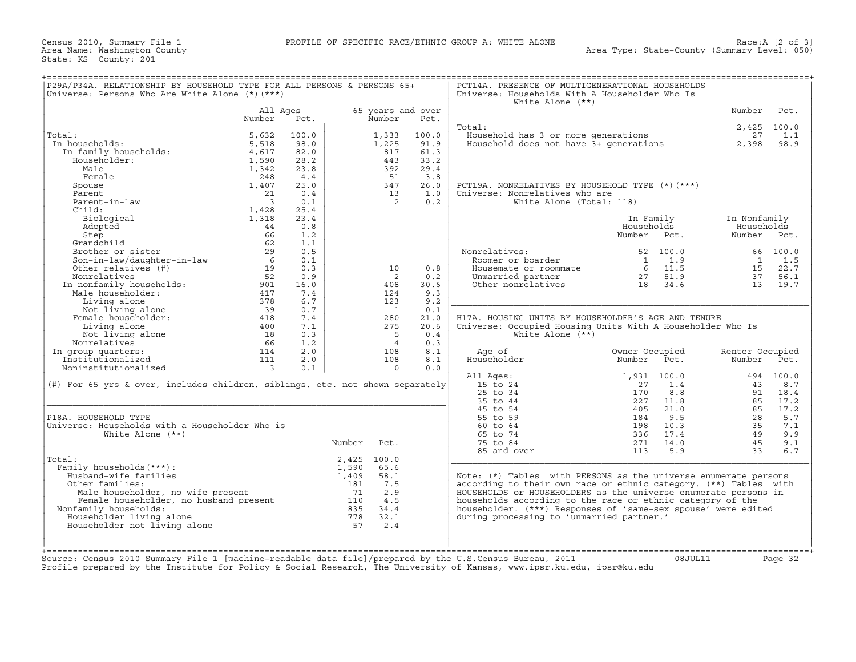|                                                                                                             |                                                                                                                                                                                     |                                                                                                                             |                                                               |                                                                                                                                                                                                                                                                                                                                                               | White Alone $(**)$                                                                                  |                                                                                                                            |                                                                                                                                                                                                                                                                                                                                                                                                  |                                                                                                                                                                                                                                                                                                                                                                                                                                                                                                                                                                                                                                         |
|-------------------------------------------------------------------------------------------------------------|-------------------------------------------------------------------------------------------------------------------------------------------------------------------------------------|-----------------------------------------------------------------------------------------------------------------------------|---------------------------------------------------------------|---------------------------------------------------------------------------------------------------------------------------------------------------------------------------------------------------------------------------------------------------------------------------------------------------------------------------------------------------------------|-----------------------------------------------------------------------------------------------------|----------------------------------------------------------------------------------------------------------------------------|--------------------------------------------------------------------------------------------------------------------------------------------------------------------------------------------------------------------------------------------------------------------------------------------------------------------------------------------------------------------------------------------------|-----------------------------------------------------------------------------------------------------------------------------------------------------------------------------------------------------------------------------------------------------------------------------------------------------------------------------------------------------------------------------------------------------------------------------------------------------------------------------------------------------------------------------------------------------------------------------------------------------------------------------------------|
| Number                                                                                                      | Pct.                                                                                                                                                                                |                                                                                                                             |                                                               | Pct.                                                                                                                                                                                                                                                                                                                                                          |                                                                                                     |                                                                                                                            | Number                                                                                                                                                                                                                                                                                                                                                                                           | Pct.                                                                                                                                                                                                                                                                                                                                                                                                                                                                                                                                                                                                                                    |
| 5,632<br>5,518<br>4,617<br>1,590                                                                            | 100.0<br>98.0<br>82.0<br>28.2<br>23.8                                                                                                                                               |                                                                                                                             | 1,333<br>1,225<br>817<br>443<br>392                           | 100.0<br>91.9<br>61.3<br>33.2<br>29.4                                                                                                                                                                                                                                                                                                                         |                                                                                                     |                                                                                                                            | 27<br>2,398                                                                                                                                                                                                                                                                                                                                                                                      | 1.1<br>98.9                                                                                                                                                                                                                                                                                                                                                                                                                                                                                                                                                                                                                             |
| 248<br>1,407<br>21<br>$\overline{\mathbf{3}}$<br>1,428                                                      | 4.4<br>25.0<br>0.4<br>0.1<br>25.4                                                                                                                                                   |                                                                                                                             | 51<br>347<br>13<br>$\overline{2}$                             | 3.8<br>26.0<br>1.0<br>0.2                                                                                                                                                                                                                                                                                                                                     |                                                                                                     |                                                                                                                            |                                                                                                                                                                                                                                                                                                                                                                                                  |                                                                                                                                                                                                                                                                                                                                                                                                                                                                                                                                                                                                                                         |
| 1,318<br>44<br>66                                                                                           | 23.4<br>0.8<br>1.2                                                                                                                                                                  |                                                                                                                             |                                                               |                                                                                                                                                                                                                                                                                                                                                               |                                                                                                     | In Family<br>Households<br>Number Pct.                                                                                     | In Nonfamily<br>Households<br>Number Pct.                                                                                                                                                                                                                                                                                                                                                        |                                                                                                                                                                                                                                                                                                                                                                                                                                                                                                                                                                                                                                         |
| 29<br>Son-in-law/daughter-in-law<br>Other relatives (#)<br>$6\overline{6}$<br>19<br>52<br>901<br>417<br>378 | 0.5<br>0.1<br>0.3<br>0.9<br>16.0<br>7.4<br>6.7                                                                                                                                      |                                                                                                                             | 10<br>$\overline{2}$<br>408<br>124<br>123                     | 0.8<br>0.2<br>30.6<br>9.3<br>9.2                                                                                                                                                                                                                                                                                                                              | Nonrelatives:<br>Roomer or boarder                                                                  | 52 100.0<br>1.9<br>$\overline{1}$                                                                                          | $\mathbf{1}$<br>37                                                                                                                                                                                                                                                                                                                                                                               | 66 100.0<br>1.5<br>15 22.7<br>56.1<br>13 19.7                                                                                                                                                                                                                                                                                                                                                                                                                                                                                                                                                                                           |
| 39<br>418<br>400<br>$\frac{18}{66}$<br>66                                                                   | 0.7<br>7.4<br>7.1<br>0.3<br>1.2                                                                                                                                                     |                                                                                                                             | $\overline{1}$<br>280<br>275<br>$5^{\circ}$<br>$\overline{4}$ | 0.1<br>21.0<br>20.6<br>0.4<br>0.3                                                                                                                                                                                                                                                                                                                             | White Alone $(**)$                                                                                  |                                                                                                                            |                                                                                                                                                                                                                                                                                                                                                                                                  |                                                                                                                                                                                                                                                                                                                                                                                                                                                                                                                                                                                                                                         |
| 111<br>$\overline{\phantom{a}}$                                                                             | 2.0<br>0.1                                                                                                                                                                          |                                                                                                                             | 108<br>$\overline{0}$                                         | 8.1<br>0.0                                                                                                                                                                                                                                                                                                                                                    | Householder                                                                                         | Number<br>Pct.                                                                                                             | Number                                                                                                                                                                                                                                                                                                                                                                                           | Pct.                                                                                                                                                                                                                                                                                                                                                                                                                                                                                                                                                                                                                                    |
|                                                                                                             |                                                                                                                                                                                     |                                                                                                                             |                                                               |                                                                                                                                                                                                                                                                                                                                                               | 15 to 24<br>25 to 34<br>35 to 44                                                                    | 1.4<br>27<br>8.8<br>170<br>227<br>11.8                                                                                     | 43<br>91<br>85                                                                                                                                                                                                                                                                                                                                                                                   | 494 100.0<br>8.7<br>18.4<br>17.2<br>17.2                                                                                                                                                                                                                                                                                                                                                                                                                                                                                                                                                                                                |
|                                                                                                             |                                                                                                                                                                                     |                                                                                                                             |                                                               |                                                                                                                                                                                                                                                                                                                                                               | 55 to 59<br>60 to 64<br>65 to 74<br>75 to 84<br>85 and over                                         | 9.5<br>184<br>10.3<br>198<br>336<br>17.4<br>14.0<br>271<br>113<br>5.9                                                      | 28<br>35<br>49<br>45<br>33                                                                                                                                                                                                                                                                                                                                                                       | 5.7<br>7.1<br>9.9<br>9.1<br>6.7                                                                                                                                                                                                                                                                                                                                                                                                                                                                                                                                                                                                         |
| Householder not living alone                                                                                |                                                                                                                                                                                     | 1,590<br>1,409<br>$\begin{array}{c} 181 \\ 71 \end{array}$                                                                  | 65.6<br>58.1<br>7.5<br>2.9<br>4.5<br>32.1<br>2.4              |                                                                                                                                                                                                                                                                                                                                                               |                                                                                                     |                                                                                                                            |                                                                                                                                                                                                                                                                                                                                                                                                  |                                                                                                                                                                                                                                                                                                                                                                                                                                                                                                                                                                                                                                         |
|                                                                                                             | 1,342<br>62<br>Nonrelatives<br>In nonfamily households:<br>Male householder:<br>Living alone<br>Not living alone<br>Female householder:<br>$\begin{array}{c} 66 \\ 114 \end{array}$ | Universe: Persons Who Are White Alone (*) (***)<br>All Ages<br>1.1<br>2.0<br>Universe: Households with a Householder Who is |                                                               | Number<br>108<br>Number Pct.<br>2,425 100.0<br>The mail is:<br>Male householder, no wife present and the male householder, no husband present and the sense of the family households:<br>Family households: 235<br>ouseholder living alone 378<br>ouseholder not living alone 57<br>34.4<br>$\begin{array}{c} \n \overline{\phantom{0}} \\  57\n \end{array}$ | P29A/P34A. RELATIONSHIP BY HOUSEHOLD TYPE FOR ALL PERSONS & PERSONS 65+<br>65 years and over<br>8.1 | Total:<br>Age of<br>All Ages:<br>(#) For 65 yrs & over, includes children, siblings, etc. not shown separately<br>45 to 54 | Universe: Households With A Householder Who Is<br>Household has 3 or more generations<br>PCT19A. NONRELATIVES BY HOUSEHOLD TYPE (*)(***)<br>Universe: Nonrelatives who are<br>White Alone (Total: 118)<br>Housemate or roommate 6 11.5<br>Unmarried partner 6 27 51.9<br>Other nonrelatives 18 34.6<br>Owner Occupied<br>1,931 100.0<br>405<br>21.0<br>during processing to 'unmarried partner.' | PCT14A. PRESENCE OF MULTIGENERATIONAL HOUSEHOLDS<br>2,425 100.0<br>Household has 3 or more generations<br>Household does not have 3+ generations<br>H17A. HOUSING UNITS BY HOUSEHOLDER'S AGE AND TENURE<br>Universe: Occupied Housing Units With A Householder Who Is<br>Renter Occupied<br>85<br>Note: (*) Tables with PERSONS as the universe enumerate persons<br>according to their own race or ethnic category. (**) Tables with<br>HOUSEHOLDS or HOUSEHOLDERS as the universe enumerate persons in<br>households according to the race or ethnic category of the<br>householder. (***) Responses of 'same-sex spouse' were edited |

Source: Census 2010 Summary File 1 [machine−readable data file]/prepared by the U.S.Census Bureau, 2011 08JUL11 Page 32 Profile prepared by the Institute for Policy & Social Research, The University of Kansas, www.ipsr.ku.edu, ipsr@ku.edu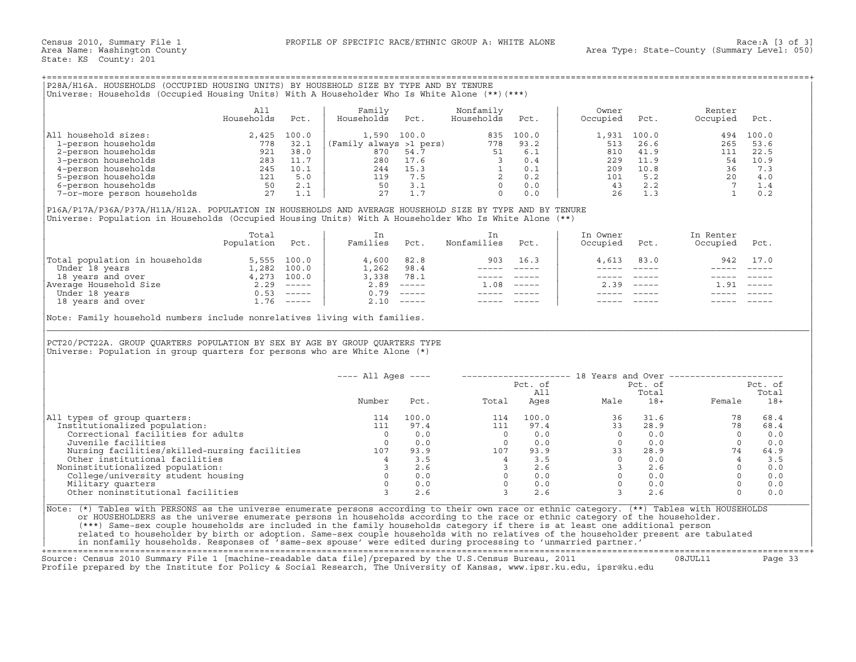## +===================================================================================================================================================+

|                             | All<br>Households | Pct.  | Family<br>Households    | Pct.  | Nonfamily<br>Households | Pct.  | Owner<br>Occupied | Pct.        | Renter<br>Occupied | Pct.  |
|-----------------------------|-------------------|-------|-------------------------|-------|-------------------------|-------|-------------------|-------------|--------------------|-------|
| household sizes:<br> All    | 2,425             | 100.0 | 1,590                   | 100.0 | 835                     | 100.0 |                   | 1,931 100.0 | 494                | 100.0 |
| 1-person households         | 778               | 32.1  | (Family always >1 pers) |       | 778                     | 93.2  | 513               | 26.6        | 265                | 53.6  |
| 2-person households         | 921               | 38.0  | 870                     | 54.7  |                         | 6.1   | 810               | 41.9        | 111                | 22.5  |
| 3-person households         | 283               | 11.7  | 280                     | 17.6  |                         | 0.4   | 229               | 11.9        | 54                 | 10.9  |
| 4-person households         | 245               | 10.1  | 244                     | 15.3  |                         | 0.1   | 209               | 10.8        | 36                 | 7.3   |
| 5-person households         | 121               | 5.0   | 119                     | 7.5   |                         | 0.2   | 101               | 5.2         | 20                 | 4.0   |
| 6-person households         | 50                | 2.1   | 50                      |       |                         | 0.0   | 43                | 2.2         |                    |       |
| 7-or-more person households | 27                |       | 27                      |       |                         | 0.0   | 26                | 1.3         |                    | 0.2   |

|                                | Total<br>Population | Pct.          | Families | Pct.                      | Nonfamilies | Pct.     | In Owner<br>Occupied | Pct.                      | In Renter<br>Occupied | Pct.     |
|--------------------------------|---------------------|---------------|----------|---------------------------|-------------|----------|----------------------|---------------------------|-----------------------|----------|
| Total population in households |                     | 5,555 100.0   | 4,600    | 82.8                      | 903         | 16.3     | 4,613                | 83.0                      | 942                   | 17.0     |
| Under 18 years                 | 1,282               | 100.0         | 1,262    | 98.4                      |             |          |                      |                           |                       |          |
| 18 years and over              | 4,273               | 100.0         | 3,338    | 78.1                      |             |          |                      |                           |                       |          |
| Average Household Size         | 2.29                | $------$      | 2.89     |                           | ⊥.08        | $------$ | 2.39                 | $\qquad \qquad - - - - -$ | g.                    | $------$ |
| Under 18 years                 | 0.53                | $\frac{1}{2}$ | 0.79     |                           |             |          |                      |                           |                       |          |
| 18 years and over              | .76                 | $------$      | 2.10     | $\qquad \qquad - - - - -$ |             |          |                      |                           |                       |          |

| P28A/H16A. HOUSEHOLDS (OCCUPIED HOUSING UNITS) BY HOUSEHOLD SIZE BY TYPE AND BY TENURE<br>Universe: Households (Occupied Housing Units) With A Householder Who Is White Alone (**) (***)                                                                                 |                          |       |                                                                                                                                           |                                                          |                                                                                                                                    |                                                                                                        |                                                                     |                                                                                         |                                                           |                                    |
|--------------------------------------------------------------------------------------------------------------------------------------------------------------------------------------------------------------------------------------------------------------------------|--------------------------|-------|-------------------------------------------------------------------------------------------------------------------------------------------|----------------------------------------------------------|------------------------------------------------------------------------------------------------------------------------------------|--------------------------------------------------------------------------------------------------------|---------------------------------------------------------------------|-----------------------------------------------------------------------------------------|-----------------------------------------------------------|------------------------------------|
|                                                                                                                                                                                                                                                                          | All<br>Households        | Pct.  | Family<br>Households                                                                                                                      | Pct.                                                     | Nonfamily<br>Households                                                                                                            | Pct.                                                                                                   | Owner<br>Occupied                                                   | Pct.                                                                                    | Renter<br>Occupied                                        | Pct.                               |
| All household sizes:<br>1 - person households<br>2 - person households<br>3 - person households<br>3 - person households<br>3 - person households<br>5 - person households<br>5 - person households<br>6 - person households<br>7 - or - more person households<br>7 - 0 | 2,425                    | 100.0 | $(Family\ always\ >1\ pers)\n 870\hspace{0.5cm}54.7$                                                                                      | 1,590 100.0<br>280 17.6<br>244 15.3<br>119 7.5<br>50 3.1 | 778<br>51<br>$\begin{array}{cccc} 3 & 0.1 \\ 3 & 0.4 \\ 1 & 0.1 \\ 2 & 0.2 \\ 0 & 0.0 \\ 0 & 0.0 \end{array}$                      | 835 100.0<br>93.2<br>6.1                                                                               | 1,931<br>513<br>810<br>229<br>209<br>101                            | 100.0<br>26.6<br>41.9<br>11.9<br>10.8<br>5.2                                            | 494 100.0<br>265<br>111<br>54<br>36                       | 53.6<br>22.5<br>10.9<br>7.3<br>4.0 |
|                                                                                                                                                                                                                                                                          |                          |       | 27                                                                                                                                        | 1.7                                                      |                                                                                                                                    |                                                                                                        | 43<br>26                                                            | 2.2<br>1.3                                                                              | $\begin{array}{c} 20 \\ 7 \\ 1 \end{array}$               | 1.4<br>0.2                         |
| P16A/P17A/P36A/P37A/H11A/H12A. POPULATION IN HOUSEHOLDS AND AVERAGE HOUSEHOLD SIZE BY TYPE AND BY TENURE<br>Universe: Population in Households (Occupied Housing Units) With A Householder Who Is White Alone (**)                                                       |                          |       |                                                                                                                                           |                                                          |                                                                                                                                    |                                                                                                        |                                                                     |                                                                                         |                                                           |                                    |
|                                                                                                                                                                                                                                                                          | Total<br>Population Pct. |       | In<br>Families Pct.                                                                                                                       |                                                          | In<br>Nonfamilies                                                                                                                  | Pct.                                                                                                   | In Owner<br>Occupied                                                | Pct.                                                                                    | In Renter<br>Occupied Pct.                                |                                    |
| Total population in households 5,555 100.0<br>Under 18 years 1,282 100.0<br>18 years and over 4,273 100.0<br>Average Household Size 2.29 -----<br>Under 18 years and over 1.76 -----<br>18 years and over 1.76 -----                                                     |                          |       | 4,600 82.8<br>$1,262$ 98.4<br>$1,202$ 90.4<br>3,338 78.1                                                                                  |                                                          | 903<br>----- -----<br>$\begin{array}{cccccc} - & - & - & - & - & - & - \\ & - & - & - & - & - \\ & & - & - & - & - \\ \end{array}$ | 16.3                                                                                                   | 4,613<br>$- - - - -$<br>------                                      | 83.0<br>$------$<br>$\qquad \qquad - - - - -$                                           | 942                                                       | 17.0                               |
|                                                                                                                                                                                                                                                                          |                          |       | $2.89$ -----                                                                                                                              | $0.79$ -----<br>$2.10$ -----                             | $1.08$ -----<br>$------$<br>$------$                                                                                               |                                                                                                        |                                                                     | $2.39$ -----                                                                            | $1.91$ -----                                              |                                    |
| Note: Family household numbers include nonrelatives living with families.                                                                                                                                                                                                |                          |       |                                                                                                                                           |                                                          |                                                                                                                                    |                                                                                                        |                                                                     |                                                                                         |                                                           |                                    |
| PCT20/PCT22A. GROUP QUARTERS POPULATION BY SEX BY AGE BY GROUP QUARTERS TYPE<br>Universe: Population in group quarters for persons who are White Alone (*)                                                                                                               |                          |       |                                                                                                                                           |                                                          |                                                                                                                                    |                                                                                                        |                                                                     |                                                                                         |                                                           |                                    |
|                                                                                                                                                                                                                                                                          |                          |       | $---$ All Ages $---$                                                                                                                      |                                                          |                                                                                                                                    | Pct. of                                                                                                |                                                                     | Pct. of                                                                                 | -------------------- 18 Years and Over ------------------ | Pct. of                            |
|                                                                                                                                                                                                                                                                          |                          |       | Number                                                                                                                                    | Pct.                                                     | Total                                                                                                                              | All<br>Ages                                                                                            | Male                                                                | Total<br>$18+$                                                                          | Female                                                    | Total<br>$18+$                     |
| All types of group quarters:<br>Institutionalized population:<br>Correctional facilities for adults                                                                                                                                                                      |                          |       | 114<br>111<br>$\overline{0}$                                                                                                              | 100.0<br>97.4<br>0.0                                     | 114<br>111<br>$\overline{0}$                                                                                                       | 100.0<br>97.4                                                                                          | 36<br>33                                                            | 31.6<br>28.9<br>0.0                                                                     | 78<br>78<br>$\Omega$                                      | 68.4<br>68.4<br>0.0                |
| Juvenile facilities                                                                                                                                                                                                                                                      |                          |       |                                                                                                                                           |                                                          | $\overline{0}$                                                                                                                     |                                                                                                        |                                                                     | 0.0                                                                                     | $\overline{0}$                                            | 0.0                                |
| Nursing facilities/skilled-nursing facilities<br>Other institutional facilities<br>Other institutional facilities                                                                                                                                                        |                          |       |                                                                                                                                           |                                                          | 107                                                                                                                                |                                                                                                        | $\begin{array}{ccc} 0.0 & 0 \\ 0.0 & 0 \\ 93.9 & 33 \\ \end{array}$ | 28.9                                                                                    | 74<br>4                                                   | 64.9<br>3.5                        |
| Noninstitutionalized population:<br>College/university student housing<br>Military quarters<br>Other noninstitutional facilities                                                                                                                                         |                          |       | $\begin{array}{ccc} & & 0\, .\\ 1\, 0\, 7 & & 93\, .\, 9\\ 4 & & 3\, .\, 5\\ 3 & & 2\\ 0 & & & \end{array}$<br>$\Omega$<br>$\overline{3}$ | 0.0<br>2.6                                               | $\mathbf{3}$                                                                                                                       | $\begin{array}{cccc} 2 & 3 & 5 \\ 4 & 3 & 5 \\ 3 & 2 & 6 \\ 0 & 0 & 0 \\ 0 & 0 & 0 \end{array}$<br>2.6 | $\sim$ 3                                                            | $\begin{array}{ccc} 0 & 0.0 \\ 3 & 2.6 \\ 0 & 0.0 \end{array}$<br>$0 \qquad 0.0$<br>2.6 | $\Omega$<br>$\Omega$<br>$\Omega$<br>$\Omega$              | 0.0<br>0.0<br>0.0<br>0.0           |

+===================================================================================================================================================+Source: Census 2010 Summary File 1 [machine−readable data file]/prepared by the U.S.Census Bureau, 2011 08JUL11 Page 33 Profile prepared by the Institute for Policy & Social Research, The University of Kansas, www.ipsr.ku.edu, ipsr@ku.edu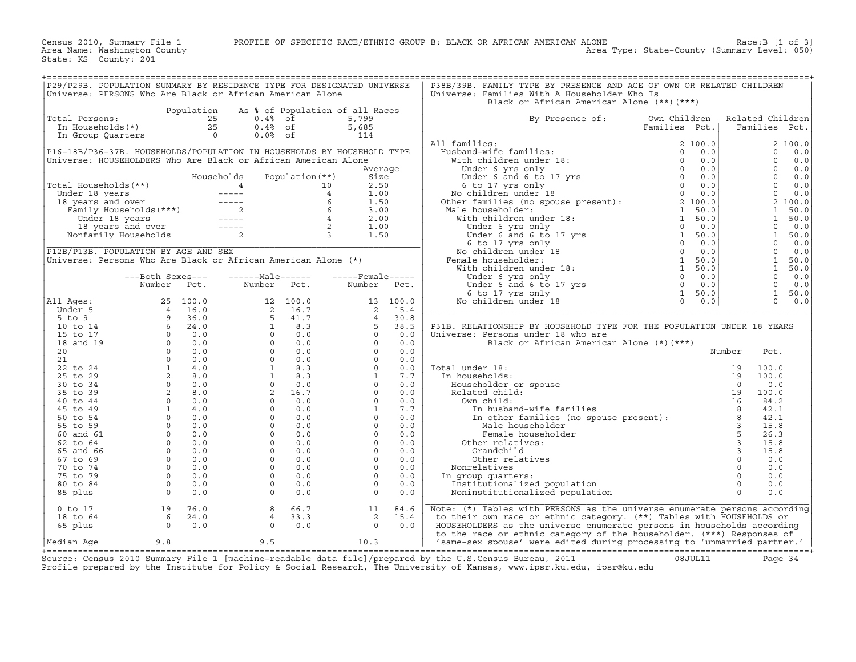Census 2010, Summary File 1 PROFILE OF SPECIFIC RACE/ETHNIC GROUP B: BLACK OR AFRICAN AMERICAN ALONE Race:B [1 of 3]<br>Area Name: Washington County

State: KS County: 201

| P29/P29B. POPULATION SUMMARY BY RESIDENCE TYPE FOR DESIGNATED UNIVERSE                                                                                                                                                                               |                      |            |                                                                                                                                                                                                                                                                                                                                                       |                   |                                 |          | P38B/39B. FAMILY TYPE BY PRESENCE AND AGE OF OWN OR RELATED CHILDREN                                                                                                                                                                               |               |                       |
|------------------------------------------------------------------------------------------------------------------------------------------------------------------------------------------------------------------------------------------------------|----------------------|------------|-------------------------------------------------------------------------------------------------------------------------------------------------------------------------------------------------------------------------------------------------------------------------------------------------------------------------------------------------------|-------------------|---------------------------------|----------|----------------------------------------------------------------------------------------------------------------------------------------------------------------------------------------------------------------------------------------------------|---------------|-----------------------|
| Universe: PERSONS Who Are Black or African American Alone                                                                                                                                                                                            |                      |            |                                                                                                                                                                                                                                                                                                                                                       |                   |                                 |          | Universe: Families With A Householder Who Is                                                                                                                                                                                                       |               |                       |
|                                                                                                                                                                                                                                                      |                      |            |                                                                                                                                                                                                                                                                                                                                                       |                   |                                 |          | Black or African American Alone (**)(***)                                                                                                                                                                                                          |               |                       |
|                                                                                                                                                                                                                                                      |                      | Population |                                                                                                                                                                                                                                                                                                                                                       |                   | As % of Population of all Races |          |                                                                                                                                                                                                                                                    |               |                       |
| Total Persons:                                                                                                                                                                                                                                       |                      |            | $0.4%$ of                                                                                                                                                                                                                                                                                                                                             |                   | 5,799                           |          | By Presence of:                                                                                                                                                                                                                                    | Own Children  | Related Children      |
|                                                                                                                                                                                                                                                      |                      |            | $0.4%$ of                                                                                                                                                                                                                                                                                                                                             |                   | 5,685                           |          |                                                                                                                                                                                                                                                    | Families Pct. | Families Pct.         |
| ULAL PERSONS: 25<br>In Households(*) 25<br>In Group Quarters (1990)                                                                                                                                                                                  |                      |            | $0.0%$ of                                                                                                                                                                                                                                                                                                                                             |                   | 114                             |          |                                                                                                                                                                                                                                                    |               |                       |
|                                                                                                                                                                                                                                                      |                      |            |                                                                                                                                                                                                                                                                                                                                                       |                   |                                 |          | All families:                                                                                                                                                                                                                                      |               | 2100.0                |
| P16-18B/P36-37B. HOUSEHOLDS/POPULATION IN HOUSEHOLDS BY HOUSEHOLD TYPE                                                                                                                                                                               |                      |            |                                                                                                                                                                                                                                                                                                                                                       |                   |                                 |          |                                                                                                                                                                                                                                                    |               | $\Omega$<br>0.0       |
|                                                                                                                                                                                                                                                      |                      |            |                                                                                                                                                                                                                                                                                                                                                       |                   |                                 |          |                                                                                                                                                                                                                                                    |               | $\Omega$              |
| Universe: HOUSEHOLDERS Who Are Black or African American Alone                                                                                                                                                                                       |                      |            |                                                                                                                                                                                                                                                                                                                                                       |                   |                                 |          |                                                                                                                                                                                                                                                    |               | 0.0                   |
|                                                                                                                                                                                                                                                      |                      |            |                                                                                                                                                                                                                                                                                                                                                       |                   | Average                         |          |                                                                                                                                                                                                                                                    |               | $\Omega$<br>0.0       |
|                                                                                                                                                                                                                                                      |                      |            | Households                                                                                                                                                                                                                                                                                                                                            | Population $(**)$ | Size                            |          |                                                                                                                                                                                                                                                    |               | $\Omega$<br>0.0       |
|                                                                                                                                                                                                                                                      |                      |            |                                                                                                                                                                                                                                                                                                                                                       |                   | 2.50                            |          |                                                                                                                                                                                                                                                    |               | $\Omega$<br>0.0       |
|                                                                                                                                                                                                                                                      |                      |            |                                                                                                                                                                                                                                                                                                                                                       |                   | 1.00                            |          |                                                                                                                                                                                                                                                    |               | $\overline{0}$<br>0.0 |
|                                                                                                                                                                                                                                                      |                      |            |                                                                                                                                                                                                                                                                                                                                                       |                   | 1.50                            |          |                                                                                                                                                                                                                                                    |               | 2 100.0               |
|                                                                                                                                                                                                                                                      |                      |            |                                                                                                                                                                                                                                                                                                                                                       |                   | 3.00                            |          |                                                                                                                                                                                                                                                    |               | $\mathbf{1}$<br>50.0  |
|                                                                                                                                                                                                                                                      |                      |            |                                                                                                                                                                                                                                                                                                                                                       |                   | 2.00                            |          |                                                                                                                                                                                                                                                    |               | 1<br>50.0             |
| Total Households (**)<br>Under 18 years<br>18 years and over<br>Tamily Households (***)<br>18 years and over<br>Tamily Households (***)<br>18 years and over<br>18 years and over<br>18 years and over<br>18 years and over<br>2<br>Nonfamily Househ |                      |            |                                                                                                                                                                                                                                                                                                                                                       |                   | 1.00                            |          | All families:<br>Husband-wife families:<br>With children under 18:<br>Under 6 yrs only<br>Under 6 and 6 to 17 yrs<br>6 to 17 yrs only<br>6 to 17 yrs only<br>No children under 18<br>No children under 18<br>No children under 18:<br>Male househo |               | $\Omega$<br>0.0       |
|                                                                                                                                                                                                                                                      |                      |            |                                                                                                                                                                                                                                                                                                                                                       |                   | 1.50                            |          |                                                                                                                                                                                                                                                    |               | 1<br>50.0             |
|                                                                                                                                                                                                                                                      |                      |            |                                                                                                                                                                                                                                                                                                                                                       |                   |                                 |          |                                                                                                                                                                                                                                                    |               | $\overline{0}$<br>0.0 |
| P12B/P13B. POPULATION BY AGE AND SEX                                                                                                                                                                                                                 |                      |            |                                                                                                                                                                                                                                                                                                                                                       |                   |                                 |          |                                                                                                                                                                                                                                                    |               | $\Omega$<br>0.0       |
| Universe: Persons Who Are Black or African American Alone (*)                                                                                                                                                                                        |                      |            |                                                                                                                                                                                                                                                                                                                                                       |                   |                                 |          |                                                                                                                                                                                                                                                    |               | 1<br>50.0             |
|                                                                                                                                                                                                                                                      |                      |            |                                                                                                                                                                                                                                                                                                                                                       |                   |                                 |          |                                                                                                                                                                                                                                                    |               | <sup>1</sup><br>50.0  |
|                                                                                                                                                                                                                                                      |                      |            |                                                                                                                                                                                                                                                                                                                                                       |                   |                                 |          |                                                                                                                                                                                                                                                    |               |                       |
|                                                                                                                                                                                                                                                      | ---Both Sexes---     |            | $---Male----$                                                                                                                                                                                                                                                                                                                                         |                   | $---$ Female -----              |          |                                                                                                                                                                                                                                                    |               | $\circ$<br>0.0        |
|                                                                                                                                                                                                                                                      | Number Pct.          |            | Number Pct.                                                                                                                                                                                                                                                                                                                                           |                   | Number                          | Pct.     |                                                                                                                                                                                                                                                    |               | $\circ$<br>0.0        |
|                                                                                                                                                                                                                                                      |                      |            |                                                                                                                                                                                                                                                                                                                                                       |                   |                                 |          |                                                                                                                                                                                                                                                    |               | 1<br>50.0             |
| All Ages:                                                                                                                                                                                                                                            |                      |            |                                                                                                                                                                                                                                                                                                                                                       |                   |                                 | 13 100.0 |                                                                                                                                                                                                                                                    |               | $\Omega$<br>0.0       |
| Under 5                                                                                                                                                                                                                                              |                      |            |                                                                                                                                                                                                                                                                                                                                                       |                   |                                 | 15.4     |                                                                                                                                                                                                                                                    |               |                       |
| $5$ to $9$                                                                                                                                                                                                                                           |                      |            |                                                                                                                                                                                                                                                                                                                                                       |                   |                                 | 30.8     |                                                                                                                                                                                                                                                    |               |                       |
| 10 to 14                                                                                                                                                                                                                                             |                      |            |                                                                                                                                                                                                                                                                                                                                                       |                   |                                 | 38.5     | P31B. RELATIONSHIP BY HOUSEHOLD TYPE FOR THE POPULATION UNDER 18 YEARS                                                                                                                                                                             |               |                       |
| 15 to 17                                                                                                                                                                                                                                             |                      |            |                                                                                                                                                                                                                                                                                                                                                       |                   |                                 | 0.0      | Universe: Persons under 18 who are                                                                                                                                                                                                                 |               |                       |
| 18 and 19                                                                                                                                                                                                                                            |                      |            |                                                                                                                                                                                                                                                                                                                                                       |                   |                                 | 0.0      |                                                                                                                                                                                                                                                    |               |                       |
| 20                                                                                                                                                                                                                                                   |                      |            |                                                                                                                                                                                                                                                                                                                                                       |                   |                                 | 0.0      |                                                                                                                                                                                                                                                    |               |                       |
| 21                                                                                                                                                                                                                                                   |                      |            |                                                                                                                                                                                                                                                                                                                                                       |                   |                                 | 0.0      |                                                                                                                                                                                                                                                    |               |                       |
| 22 to 24                                                                                                                                                                                                                                             |                      |            |                                                                                                                                                                                                                                                                                                                                                       |                   |                                 | 0.0      | Total under 18:                                                                                                                                                                                                                                    |               |                       |
| 25 to 29                                                                                                                                                                                                                                             |                      |            |                                                                                                                                                                                                                                                                                                                                                       |                   |                                 | 7.7      | In households:                                                                                                                                                                                                                                     |               |                       |
| 30 to 34                                                                                                                                                                                                                                             |                      |            |                                                                                                                                                                                                                                                                                                                                                       |                   |                                 | 0.0      | Householder or spouse                                                                                                                                                                                                                              |               |                       |
| 35 to 39                                                                                                                                                                                                                                             |                      |            |                                                                                                                                                                                                                                                                                                                                                       |                   |                                 | 0.0      | Related child:                                                                                                                                                                                                                                     |               |                       |
|                                                                                                                                                                                                                                                      |                      |            |                                                                                                                                                                                                                                                                                                                                                       |                   |                                 |          |                                                                                                                                                                                                                                                    |               |                       |
| 40 to 44                                                                                                                                                                                                                                             |                      |            |                                                                                                                                                                                                                                                                                                                                                       |                   |                                 | 0.0      | Own child:                                                                                                                                                                                                                                         |               |                       |
| 45 to 49                                                                                                                                                                                                                                             |                      |            |                                                                                                                                                                                                                                                                                                                                                       |                   |                                 | 7.7      |                                                                                                                                                                                                                                                    |               |                       |
| 50 to 54                                                                                                                                                                                                                                             |                      |            |                                                                                                                                                                                                                                                                                                                                                       |                   |                                 | 0.0      |                                                                                                                                                                                                                                                    |               |                       |
| 55 to 59                                                                                                                                                                                                                                             |                      |            |                                                                                                                                                                                                                                                                                                                                                       |                   |                                 | 0.0      |                                                                                                                                                                                                                                                    |               |                       |
| 60 and 61                                                                                                                                                                                                                                            |                      |            |                                                                                                                                                                                                                                                                                                                                                       |                   |                                 | 0.0      | Female houser<br>:Other relatives                                                                                                                                                                                                                  |               |                       |
| 62 to 64                                                                                                                                                                                                                                             |                      |            |                                                                                                                                                                                                                                                                                                                                                       |                   |                                 | 0.0      |                                                                                                                                                                                                                                                    |               |                       |
| 65 and 66                                                                                                                                                                                                                                            |                      |            |                                                                                                                                                                                                                                                                                                                                                       |                   |                                 | 0.0      |                                                                                                                                                                                                                                                    |               |                       |
| 67 to 69                                                                                                                                                                                                                                             |                      |            |                                                                                                                                                                                                                                                                                                                                                       |                   |                                 | 0.0      |                                                                                                                                                                                                                                                    |               |                       |
| 70 to 74                                                                                                                                                                                                                                             |                      |            |                                                                                                                                                                                                                                                                                                                                                       |                   |                                 | 0.0      | Nonrelatives                                                                                                                                                                                                                                       |               |                       |
| 75 to 79                                                                                                                                                                                                                                             |                      |            |                                                                                                                                                                                                                                                                                                                                                       |                   |                                 | 0.0      | In group quarters:                                                                                                                                                                                                                                 |               |                       |
| 80 to 84                                                                                                                                                                                                                                             |                      |            |                                                                                                                                                                                                                                                                                                                                                       |                   |                                 | 0.0      | Institutionalized population                                                                                                                                                                                                                       |               |                       |
| 85 plus                                                                                                                                                                                                                                              |                      |            |                                                                                                                                                                                                                                                                                                                                                       |                   |                                 | 0.0      | Noninstitutionalized population                                                                                                                                                                                                                    |               |                       |
|                                                                                                                                                                                                                                                      |                      |            |                                                                                                                                                                                                                                                                                                                                                       |                   |                                 |          |                                                                                                                                                                                                                                                    |               |                       |
| $0$ to $17$                                                                                                                                                                                                                                          | 19 76.0              |            | $\begin{tabular}{cccc} {\bf number} & {\bf Pct.} & {\bf Number} & {\bf Pct.} & {\bf Number} \\ & 25 & 100.0 & 12 & 100.0 & 13 & \vdots \\ & 4 & 16.0 & 2 & 16.7 & 2 \\ & 9 & 36.0 & 5 & 41.7 & 4 \\ & 6 & 24.0 & 1 & 8.3 & 5 \\ & 0 & 0.0 & 1 & 0.0 & 0 \\ & 0 & 0.0 & 0 & 0.0 & 0 \\ & 0 & 0.0 & 0 & 0.0 & 0 \\ & 1 & 4.0 & 1 & 8.3 & 0 \\ & 2 & 8.$ | 8 66.7            | 11                              | 84.6     | Note: $(*)$ Tables with PERSONS as the universe enumerate persons according                                                                                                                                                                        |               |                       |
|                                                                                                                                                                                                                                                      |                      |            |                                                                                                                                                                                                                                                                                                                                                       |                   |                                 |          |                                                                                                                                                                                                                                                    |               |                       |
| 18 to 64                                                                                                                                                                                                                                             | $6 \t 24.0$<br>0 0.0 |            | $4\phantom{0}$                                                                                                                                                                                                                                                                                                                                        | 33.3              | 2                               | 15.4     | to their own race or ethnic category. (**) Tables with HOUSEHOLDS or                                                                                                                                                                               |               |                       |
| 65 plus                                                                                                                                                                                                                                              |                      |            | $\Omega$                                                                                                                                                                                                                                                                                                                                              | 0.0               | $\Omega$                        | 0.0      | HOUSEHOLDERS as the universe enumerate persons in households according                                                                                                                                                                             |               |                       |
|                                                                                                                                                                                                                                                      |                      |            |                                                                                                                                                                                                                                                                                                                                                       |                   |                                 |          | to the race or ethnic category of the householder. (***) Responses of                                                                                                                                                                              |               |                       |
| Median Age                                                                                                                                                                                                                                           | 9.8                  |            | 9.5                                                                                                                                                                                                                                                                                                                                                   |                   | 10.3                            |          | 'same-sex spouse' were edited during processing to 'unmarried partner.'                                                                                                                                                                            |               |                       |

+===================================================================================================================================================+ Source: Census 2010 Summary File 1 [machine−readable data file]/prepared by the U.S.Census Bureau, 2011 08JUL11 Page 34 Profile prepared by the Institute for Policy & Social Research, The University of Kansas, www.ipsr.ku.edu, ipsr@ku.edu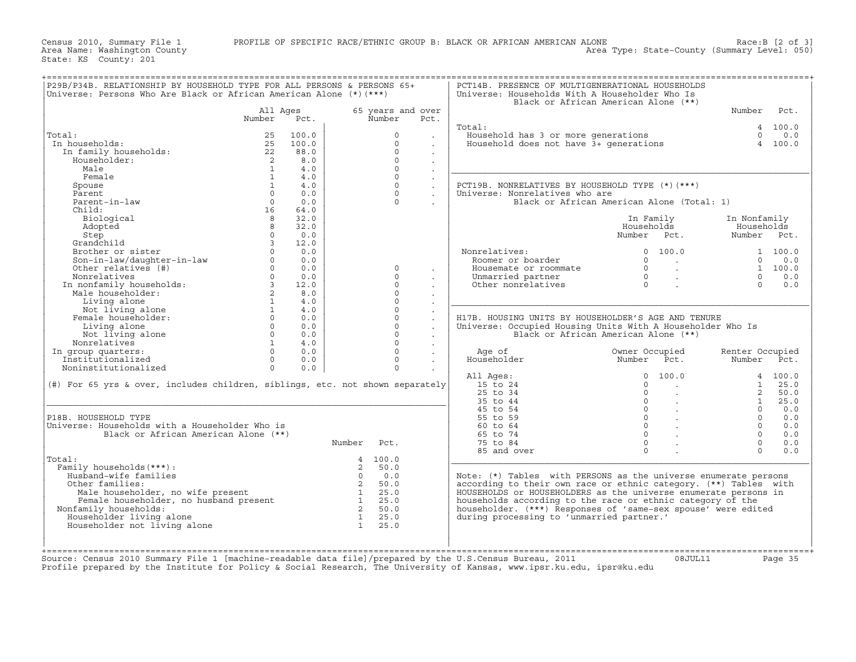Census 2010, Summary File 1 PROFILE OF SPECIFIC RACE/ETHNIC GROUP B: BLACK OR AFRICAN AMERICAN ALONE County<br>Area Name: Washington County

State: KS County: 201

|                                                                                                                                                                                                                                                                                                                                                                                                                                                                                            |                                  |          |                |                   |                      |                                                                                                                                | Black or African American Alone (**)            |                 |                   |
|--------------------------------------------------------------------------------------------------------------------------------------------------------------------------------------------------------------------------------------------------------------------------------------------------------------------------------------------------------------------------------------------------------------------------------------------------------------------------------------------|----------------------------------|----------|----------------|-------------------|----------------------|--------------------------------------------------------------------------------------------------------------------------------|-------------------------------------------------|-----------------|-------------------|
|                                                                                                                                                                                                                                                                                                                                                                                                                                                                                            | All Ages                         |          |                | 65 years and over |                      |                                                                                                                                |                                                 | Number Pct.     |                   |
|                                                                                                                                                                                                                                                                                                                                                                                                                                                                                            | Number                           | Pct.     |                | Number            | Pct.                 |                                                                                                                                |                                                 |                 |                   |
|                                                                                                                                                                                                                                                                                                                                                                                                                                                                                            |                                  |          |                |                   |                      | Total:                                                                                                                         |                                                 |                 | 4 100.0           |
| Total:                                                                                                                                                                                                                                                                                                                                                                                                                                                                                     | 25                               | 100.0    |                | $\Omega$          |                      |                                                                                                                                |                                                 |                 |                   |
| In households:                                                                                                                                                                                                                                                                                                                                                                                                                                                                             |                                  | 25 100.0 |                | $\Omega$          |                      | bousehold has 3 or more generations and the contract of the series of $\begin{array}{ccc} 0.0 \\ 0.0 \\ 4 & 100.0 \end{array}$ |                                                 |                 |                   |
| In family households:                                                                                                                                                                                                                                                                                                                                                                                                                                                                      | $rac{22}{2}$                     | 88.0     |                | $\Omega$          | $\ddot{\phantom{0}}$ |                                                                                                                                |                                                 |                 |                   |
| Householder:                                                                                                                                                                                                                                                                                                                                                                                                                                                                               | $\overline{\mathbf{c}}$          | 8.0      |                | $\Omega$          | $\ddot{\phantom{0}}$ |                                                                                                                                |                                                 |                 |                   |
| Male                                                                                                                                                                                                                                                                                                                                                                                                                                                                                       | $\overline{1}$                   | 4.0      |                | $\Omega$          |                      |                                                                                                                                |                                                 |                 |                   |
| Female                                                                                                                                                                                                                                                                                                                                                                                                                                                                                     | $\overline{1}$                   | 4.0      |                | $\Omega$          | $\ddot{\phantom{0}}$ |                                                                                                                                |                                                 |                 |                   |
| Spouse                                                                                                                                                                                                                                                                                                                                                                                                                                                                                     | 1                                | 4.0      |                | $\Omega$          | $\sim$               | PCT19B. NONRELATIVES BY HOUSEHOLD TYPE (*) (***)                                                                               |                                                 |                 |                   |
| Parent                                                                                                                                                                                                                                                                                                                                                                                                                                                                                     | $\bigcap$                        | 0.0      |                | $\Omega$          |                      | Universe: Nonrelatives who are                                                                                                 |                                                 |                 |                   |
| Parent-in-law                                                                                                                                                                                                                                                                                                                                                                                                                                                                              | $\overline{0}$                   | 0.0      |                | $\Omega$          |                      |                                                                                                                                | Black or African American Alone (Total: 1)      |                 |                   |
| Child:                                                                                                                                                                                                                                                                                                                                                                                                                                                                                     | 16                               | 64.0     |                |                   |                      |                                                                                                                                |                                                 |                 |                   |
| Biological                                                                                                                                                                                                                                                                                                                                                                                                                                                                                 | 8 <sup>8</sup>                   | 32.0     |                |                   |                      |                                                                                                                                | In Family                                       | In Nonfamily    |                   |
| Adopted                                                                                                                                                                                                                                                                                                                                                                                                                                                                                    | 8                                | 32.0     |                |                   |                      |                                                                                                                                | Households                                      | Households      |                   |
| Step                                                                                                                                                                                                                                                                                                                                                                                                                                                                                       | $\Omega$                         | 0.0      |                |                   |                      |                                                                                                                                | Number Pct.                                     | Number Pct.     |                   |
| Grandchild                                                                                                                                                                                                                                                                                                                                                                                                                                                                                 | $\overline{3}$                   | 12.0     |                |                   |                      |                                                                                                                                |                                                 |                 |                   |
|                                                                                                                                                                                                                                                                                                                                                                                                                                                                                            |                                  |          |                |                   |                      | Nonrelatives:<br>nrelatives:<br>Roomer or boarder                                                                              | 0 100.0                                         |                 | 1 100.0           |
|                                                                                                                                                                                                                                                                                                                                                                                                                                                                                            |                                  |          |                |                   |                      |                                                                                                                                | $0 \qquad \qquad .$                             |                 | $0 \t 0.0$        |
| $\begin{tabular}{llllllll} \multicolumn{3}{l}{{\bf Grandchild}} & & & 3 & 12.0 \\ {\bf Brother~ or~ sister} & & 0 & 0.0 \\ {\bf Son-in-law/daugther-in-law} & & 0 & 0.0 \\ {\bf Other~relatives} & & 0 & 0.0 \\ {\bf Nonrelatives} & & 0 & 0.0 \\ {\bf Nonrelatives} & & 0 & 0.0 \\ {\bf In nonfamily~households:} & & 3 & 12.0 \\ {\bf Male~householder:} & & 2 & 8.0 \\ {\bf Liuing~alone} & & 1 & 4.0 \\ {\bf Female~householder:} & & 0 & 0.0 \\ {\bf Liuing~alone} & & 1 & 4.0 \\ {\$ |                                  |          |                | $\Omega$          |                      | A COMET OF boarder<br>Roomer or boarder<br>Housemate or roommate<br>Unmarried partner<br>Other nonrelatives<br>$0$ .           |                                                 | 1 100.0         |                   |
|                                                                                                                                                                                                                                                                                                                                                                                                                                                                                            |                                  |          |                | $\Omega$          | $\sim$               |                                                                                                                                |                                                 | $\overline{0}$  | 0.0               |
|                                                                                                                                                                                                                                                                                                                                                                                                                                                                                            |                                  |          |                | $\cap$            |                      |                                                                                                                                |                                                 | $\Omega$        | 0.0               |
|                                                                                                                                                                                                                                                                                                                                                                                                                                                                                            |                                  |          |                | $\Omega$          | $\sim$               |                                                                                                                                |                                                 |                 |                   |
|                                                                                                                                                                                                                                                                                                                                                                                                                                                                                            |                                  |          |                | $\cap$            | $\sim$               |                                                                                                                                |                                                 |                 |                   |
|                                                                                                                                                                                                                                                                                                                                                                                                                                                                                            |                                  |          |                | $\Omega$          | $\sim$               |                                                                                                                                |                                                 |                 |                   |
|                                                                                                                                                                                                                                                                                                                                                                                                                                                                                            |                                  |          |                | $\Omega$          |                      | H17B. HOUSING UNITS BY HOUSEHOLDER'S AGE AND TENURE                                                                            |                                                 |                 |                   |
|                                                                                                                                                                                                                                                                                                                                                                                                                                                                                            |                                  |          |                | $\Omega$          | $\mathcal{L}^{\pm}$  | Universe: Occupied Housing Units With A Householder Who Is                                                                     |                                                 |                 |                   |
|                                                                                                                                                                                                                                                                                                                                                                                                                                                                                            |                                  |          |                | $\Omega$          | $\sim$               |                                                                                                                                | Black or African American Alone (**)            |                 |                   |
|                                                                                                                                                                                                                                                                                                                                                                                                                                                                                            | $\sim$ 1                         | 4.0      |                | $\Omega$          |                      |                                                                                                                                |                                                 |                 |                   |
| Not tring word<br>Nonrelatives:<br>In group quarters:<br>The finalized                                                                                                                                                                                                                                                                                                                                                                                                                     | $\begin{matrix}0\\0\end{matrix}$ | 0.0      |                | $\Omega$          |                      | Age of                                                                                                                         | Owner Occupied<br>Number Pct.<br>Owner Occupied | Renter Occupied |                   |
|                                                                                                                                                                                                                                                                                                                                                                                                                                                                                            |                                  | 0.0      |                | $\Omega$          |                      | Householder                                                                                                                    |                                                 | Number Pct.     |                   |
| Noninstitutionalized                                                                                                                                                                                                                                                                                                                                                                                                                                                                       | $\Omega$                         | 0.0      |                | $\Omega$          |                      |                                                                                                                                |                                                 |                 |                   |
|                                                                                                                                                                                                                                                                                                                                                                                                                                                                                            |                                  |          |                |                   |                      | All Ages:                                                                                                                      |                                                 |                 | 4 100.0           |
| (#) For 65 yrs & over, includes children, siblings, etc. not shown separately                                                                                                                                                                                                                                                                                                                                                                                                              |                                  |          |                |                   |                      | 15 to 24                                                                                                                       |                                                 |                 | $1 \t 25.0$       |
|                                                                                                                                                                                                                                                                                                                                                                                                                                                                                            |                                  |          |                |                   |                      | 25 to 34                                                                                                                       |                                                 |                 | 2, 50.0           |
|                                                                                                                                                                                                                                                                                                                                                                                                                                                                                            |                                  |          |                |                   |                      | 35 to 44                                                                                                                       |                                                 | 1               | 25.0              |
| P18B. HOUSEHOLD TYPE                                                                                                                                                                                                                                                                                                                                                                                                                                                                       |                                  |          |                |                   |                      | 45 to 54<br>55 to 59                                                                                                           |                                                 | $\Omega$        | $0 \t 0.0$<br>0.0 |
| Universe: Households with a Householder Who is                                                                                                                                                                                                                                                                                                                                                                                                                                             |                                  |          |                |                   |                      | 60 to 64                                                                                                                       |                                                 | $\Omega$        | 0.0               |
| Black or African American Alone (**)                                                                                                                                                                                                                                                                                                                                                                                                                                                       |                                  |          |                |                   |                      | 65 to 74                                                                                                                       |                                                 | $\cap$          | 0.0               |
|                                                                                                                                                                                                                                                                                                                                                                                                                                                                                            |                                  |          | Number Pct.    |                   |                      | 75 to 84                                                                                                                       |                                                 | $\Omega$        | 0.0               |
|                                                                                                                                                                                                                                                                                                                                                                                                                                                                                            |                                  |          |                |                   |                      | 85 and over                                                                                                                    | $\Omega$                                        | $\Omega$        | 0.0               |
| Total:                                                                                                                                                                                                                                                                                                                                                                                                                                                                                     |                                  |          |                | 4 100.0           |                      |                                                                                                                                |                                                 |                 |                   |
| Family households (***) :                                                                                                                                                                                                                                                                                                                                                                                                                                                                  |                                  |          | $\overline{2}$ | 50.0              |                      |                                                                                                                                |                                                 |                 |                   |
| Husband-wife families                                                                                                                                                                                                                                                                                                                                                                                                                                                                      |                                  |          |                |                   |                      | Note: (*) Tables with PERSONS as the universe enumerate persons                                                                |                                                 |                 |                   |
| Other families:                                                                                                                                                                                                                                                                                                                                                                                                                                                                            |                                  |          |                |                   |                      | according to their own race or ethnic category. (**) Tables with                                                               |                                                 |                 |                   |
|                                                                                                                                                                                                                                                                                                                                                                                                                                                                                            |                                  |          |                |                   |                      | HOUSEHOLDS or HOUSEHOLDERS as the universe enumerate persons in                                                                |                                                 |                 |                   |
|                                                                                                                                                                                                                                                                                                                                                                                                                                                                                            |                                  |          |                |                   |                      | households according to the race or ethnic category of the                                                                     |                                                 |                 |                   |
| Nonfamily households:                                                                                                                                                                                                                                                                                                                                                                                                                                                                      |                                  |          |                |                   |                      | householder. (***) Responses of 'same-sex spouse' were edited                                                                  |                                                 |                 |                   |
|                                                                                                                                                                                                                                                                                                                                                                                                                                                                                            |                                  |          |                |                   |                      | during processing to 'unmarried partner.'                                                                                      |                                                 |                 |                   |
|                                                                                                                                                                                                                                                                                                                                                                                                                                                                                            |                                  |          |                |                   |                      |                                                                                                                                |                                                 |                 |                   |
| Variant Units of the Tamilies<br>Units of the families:<br>Units the present<br>Male householder, no wife present<br>2 50.0<br>1 25.0<br>Female householder, no husband present<br>1 25.0<br>1 25.0<br>2 50.0<br>2 50.0<br>2 50.0<br>2 50.0<br>2 50.0<br>2<br>Householder living alone<br>Householder not living alone                                                                                                                                                                     |                                  |          |                |                   |                      |                                                                                                                                |                                                 |                 |                   |

Source: Census 2010 Summary File 1 [machine−readable data file]/prepared by the U.S.Census Bureau, 2011 08JUL11 Page 35 Profile prepared by the Institute for Policy & Social Research, The University of Kansas, www.ipsr.ku.edu, ipsr@ku.edu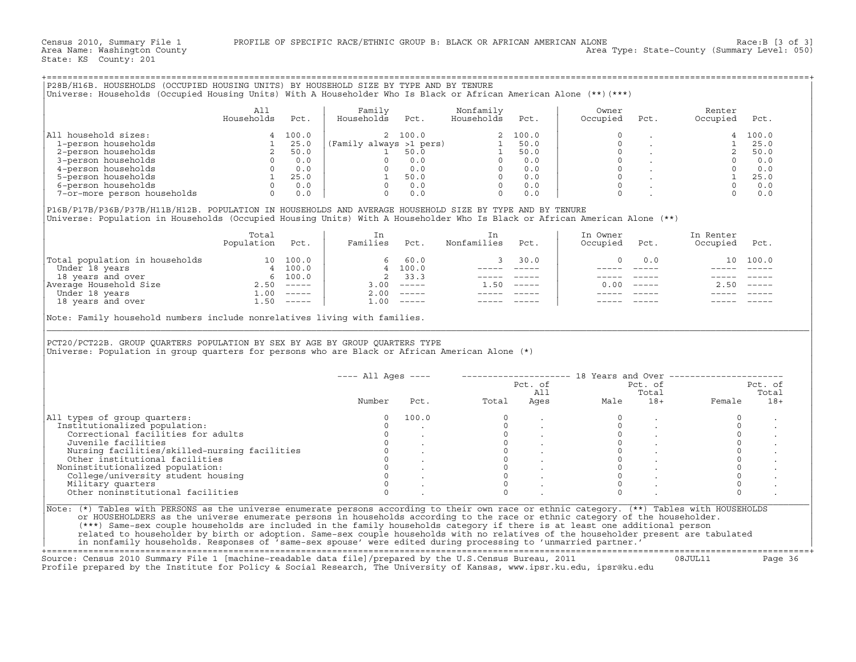|                                                                                                                                                                                                                                                                                                                                                                                                                                                                                                                                                                                                                                                                                                                | A11<br>Households                                                                      | Pct.    | Family<br>Households Pct. |                              | Nonfamily<br>Households Pct.     |                | Owner<br>Occupied                                                                                                                                                                                                              | Pct.                                         | Renter<br>Occupied Pct.    |              |
|----------------------------------------------------------------------------------------------------------------------------------------------------------------------------------------------------------------------------------------------------------------------------------------------------------------------------------------------------------------------------------------------------------------------------------------------------------------------------------------------------------------------------------------------------------------------------------------------------------------------------------------------------------------------------------------------------------------|----------------------------------------------------------------------------------------|---------|---------------------------|------------------------------|----------------------------------|----------------|--------------------------------------------------------------------------------------------------------------------------------------------------------------------------------------------------------------------------------|----------------------------------------------|----------------------------|--------------|
| All household sizes:                                                                                                                                                                                                                                                                                                                                                                                                                                                                                                                                                                                                                                                                                           | $\begin{array}{ccc} 1 & 50 & 0 \\ 2 & 50 & 0 \\ 0 & 0 & 0 \\ 0 & 0 & 0 \\ \end{array}$ | 4 100.0 |                           | 2 100.0                      |                                  | 2 100.0        | $\Omega$                                                                                                                                                                                                                       | <b>Service</b>                               |                            | 4 100.0      |
| 1-person households                                                                                                                                                                                                                                                                                                                                                                                                                                                                                                                                                                                                                                                                                            |                                                                                        |         |                           |                              |                                  |                |                                                                                                                                                                                                                                |                                              |                            |              |
| 2-person households                                                                                                                                                                                                                                                                                                                                                                                                                                                                                                                                                                                                                                                                                            |                                                                                        |         |                           |                              |                                  |                |                                                                                                                                                                                                                                |                                              |                            |              |
| 3-person households                                                                                                                                                                                                                                                                                                                                                                                                                                                                                                                                                                                                                                                                                            |                                                                                        |         |                           |                              |                                  |                |                                                                                                                                                                                                                                |                                              |                            |              |
| 4-person households                                                                                                                                                                                                                                                                                                                                                                                                                                                                                                                                                                                                                                                                                            |                                                                                        |         |                           |                              |                                  |                |                                                                                                                                                                                                                                |                                              |                            |              |
| 5-person households                                                                                                                                                                                                                                                                                                                                                                                                                                                                                                                                                                                                                                                                                            |                                                                                        |         |                           |                              |                                  |                |                                                                                                                                                                                                                                |                                              |                            |              |
| 6-person households                                                                                                                                                                                                                                                                                                                                                                                                                                                                                                                                                                                                                                                                                            |                                                                                        |         |                           |                              |                                  |                |                                                                                                                                                                                                                                |                                              |                            |              |
| 7-or-more person households                                                                                                                                                                                                                                                                                                                                                                                                                                                                                                                                                                                                                                                                                    | $\begin{matrix}0&0.0\end{matrix}$                                                      |         |                           |                              |                                  |                | $\cap$                                                                                                                                                                                                                         |                                              | $\overline{0}$             | 0.0          |
| Universe: Population in Households (Occupied Housing Units) With A Householder Who Is Black or African American Alone (**)                                                                                                                                                                                                                                                                                                                                                                                                                                                                                                                                                                                     | Total<br>Population Pct.                                                               |         | In<br>Families Pct.       |                              | In<br>Nonfamilies Pct.           |                | In Owner<br>Occupied                                                                                                                                                                                                           | Pct.                                         | In Renter<br>Occupied Pct. |              |
|                                                                                                                                                                                                                                                                                                                                                                                                                                                                                                                                                                                                                                                                                                                |                                                                                        |         |                           | 660.0                        | 3                                | 30.0           | $\Omega$                                                                                                                                                                                                                       | 0.0                                          |                            | 10 100.0     |
|                                                                                                                                                                                                                                                                                                                                                                                                                                                                                                                                                                                                                                                                                                                |                                                                                        |         |                           |                              |                                  |                |                                                                                                                                                                                                                                |                                              |                            |              |
|                                                                                                                                                                                                                                                                                                                                                                                                                                                                                                                                                                                                                                                                                                                |                                                                                        |         |                           | 4 100.0                      |                                  | ----- ----- -  |                                                                                                                                                                                                                                |                                              | ------ -----               |              |
|                                                                                                                                                                                                                                                                                                                                                                                                                                                                                                                                                                                                                                                                                                                |                                                                                        |         |                           | $2 \t 33.3$                  |                                  | ______________ |                                                                                                                                                                                                                                |                                              |                            |              |
|                                                                                                                                                                                                                                                                                                                                                                                                                                                                                                                                                                                                                                                                                                                |                                                                                        |         |                           | $3.00$ -----                 | $1.50$ -----                     |                |                                                                                                                                                                                                                                | $0.00$ -----                                 |                            | $2.50$ ----- |
|                                                                                                                                                                                                                                                                                                                                                                                                                                                                                                                                                                                                                                                                                                                |                                                                                        |         |                           | $2.00$ -----<br>$1.00$ ----- | ----- -----                      |                |                                                                                                                                                                                                                                |                                              |                            |              |
|                                                                                                                                                                                                                                                                                                                                                                                                                                                                                                                                                                                                                                                                                                                |                                                                                        |         |                           |                              |                                  |                |                                                                                                                                                                                                                                |                                              |                            |              |
|                                                                                                                                                                                                                                                                                                                                                                                                                                                                                                                                                                                                                                                                                                                |                                                                                        |         |                           |                              |                                  |                |                                                                                                                                                                                                                                |                                              |                            |              |
| $\begin{tabular}{ l l } \hline \texttt{Total population in households} & \multicolumn{3}{ l } {10} & 100.0 \\ \hline \texttt{Under 18 years} & \multicolumn{3}{ l } {4} & 100.0 \\ \hline 18 years and over & \multicolumn{3}{ l } {6} & 100.0 \\ \hline \texttt{Nverage Household Size} & \multicolumn{3}{ l } {2.50} & \multicolumn{3}{ l } {1.00} & \multicolumn{3}{ l } {1.00} & \multicolumn{3}{ l } {1.00} & \multicolumn{3}{ l } {1.00}$<br>Note: Family household numbers include nonrelatives living with families.<br>PCT20/PCT22B. GROUP OUARTERS POPULATION BY SEX BY AGE BY GROUP OUARTERS TYPE<br>Universe: Population in group quarters for persons who are Black or African American Alone (*) |                                                                                        |         |                           |                              |                                  |                | ---- All Ages ----    ---------------------    18 Years and Over ---------------------                                                                                                                                         |                                              |                            |              |
|                                                                                                                                                                                                                                                                                                                                                                                                                                                                                                                                                                                                                                                                                                                |                                                                                        |         |                           |                              |                                  |                |                                                                                                                                                                                                                                |                                              |                            |              |
|                                                                                                                                                                                                                                                                                                                                                                                                                                                                                                                                                                                                                                                                                                                |                                                                                        |         |                           |                              |                                  |                |                                                                                                                                                                                                                                |                                              |                            |              |
|                                                                                                                                                                                                                                                                                                                                                                                                                                                                                                                                                                                                                                                                                                                |                                                                                        |         | Number                    |                              |                                  |                | Pct. of Pct. of Pct. of Pct. of Pct. of All Total Total Total Pct. Contrast Pct. of Pct. of Pct. of Pct. of Pct. of Pct. of Pct. of Pct. of Pct. of Pct. of Pct. of Pct. of Pct. of Pct. of Pct. of Pct. of Pct. of Pct. of Pc |                                              |                            |              |
|                                                                                                                                                                                                                                                                                                                                                                                                                                                                                                                                                                                                                                                                                                                |                                                                                        |         |                           |                              |                                  |                |                                                                                                                                                                                                                                |                                              |                            |              |
|                                                                                                                                                                                                                                                                                                                                                                                                                                                                                                                                                                                                                                                                                                                |                                                                                        |         | $\Omega$                  | 100.0                        | $\sim$ 0                         |                | $\Omega$                                                                                                                                                                                                                       |                                              | $\Omega$                   |              |
| Institutionalized population:                                                                                                                                                                                                                                                                                                                                                                                                                                                                                                                                                                                                                                                                                  |                                                                                        |         | $\circ$                   |                              |                                  |                | $\circ$                                                                                                                                                                                                                        |                                              | $\circ$                    |              |
| Correctional facilities for adults                                                                                                                                                                                                                                                                                                                                                                                                                                                                                                                                                                                                                                                                             |                                                                                        |         | $\circ$                   |                              |                                  |                |                                                                                                                                                                                                                                |                                              | $\circ$                    |              |
| Juvenile facilities                                                                                                                                                                                                                                                                                                                                                                                                                                                                                                                                                                                                                                                                                            |                                                                                        |         |                           |                              |                                  |                | $\begin{matrix} 0 & & \\ 0 & & \end{matrix}$                                                                                                                                                                                   |                                              | $\Omega$                   |              |
| Nursing facilities/skilled-nursing facilities                                                                                                                                                                                                                                                                                                                                                                                                                                                                                                                                                                                                                                                                  |                                                                                        |         |                           |                              |                                  |                |                                                                                                                                                                                                                                |                                              | $\circ$                    |              |
| Other institutional facilities                                                                                                                                                                                                                                                                                                                                                                                                                                                                                                                                                                                                                                                                                 |                                                                                        |         |                           |                              |                                  |                | $\Omega$                                                                                                                                                                                                                       | $\begin{matrix}0& &\\0& &\\0& &\end{matrix}$ | $\circ$                    |              |
| Noninstitutionalized population:                                                                                                                                                                                                                                                                                                                                                                                                                                                                                                                                                                                                                                                                               |                                                                                        |         |                           |                              |                                  |                | $\overline{0}$                                                                                                                                                                                                                 |                                              | $\circ$                    |              |
| All types of group quarters:<br>College/university student housing                                                                                                                                                                                                                                                                                                                                                                                                                                                                                                                                                                                                                                             |                                                                                        |         |                           |                              | $\overline{0}$<br>$\overline{0}$ |                | $\Omega$                                                                                                                                                                                                                       |                                              | $\circ$<br>$\circ$         |              |
| Military quarters<br>Other noninstitutional facilities                                                                                                                                                                                                                                                                                                                                                                                                                                                                                                                                                                                                                                                         |                                                                                        |         | $\Omega$                  |                              | $\cap$                           |                | $\cap$                                                                                                                                                                                                                         |                                              | $\Omega$                   |              |

|                                               | $--- All A$ |       |       | -------------------<br>Pct. of<br>All | 18 Years and Over | Pct. of<br>Total |        | Pct. of<br>Total |
|-----------------------------------------------|-------------|-------|-------|---------------------------------------|-------------------|------------------|--------|------------------|
|                                               | Number      | Pct.  | Total | Ages                                  | Male              | $18+$            | Female | $18+$            |
| All types of group quarters:                  |             | 100.0 |       |                                       |                   |                  |        |                  |
| Institutionalized population:                 |             |       |       |                                       |                   |                  |        |                  |
| Correctional facilities for adults            |             |       |       |                                       |                   |                  |        |                  |
| Juvenile facilities                           |             |       |       |                                       |                   |                  |        |                  |
| Nursing facilities/skilled-nursing facilities |             |       |       |                                       |                   |                  |        |                  |
| Other institutional facilities                |             |       |       |                                       |                   |                  |        |                  |
| Noninstitutionalized population:              |             |       |       |                                       |                   |                  |        |                  |
| College/university student housing            |             |       |       |                                       |                   |                  |        |                  |
| Military quarters                             |             |       |       |                                       |                   |                  |        |                  |
| Other noninstitutional facilities             |             |       |       |                                       |                   |                  |        |                  |

+===================================================================================================================================================+ Source: Census 2010 Summary File 1 [machine−readable data file]/prepared by the U.S.Census Bureau, 2011 08JUL11 Page 36

Profile prepared by the Institute for Policy & Social Research, The University of Kansas, www.ipsr.ku.edu, ipsr@ku.edu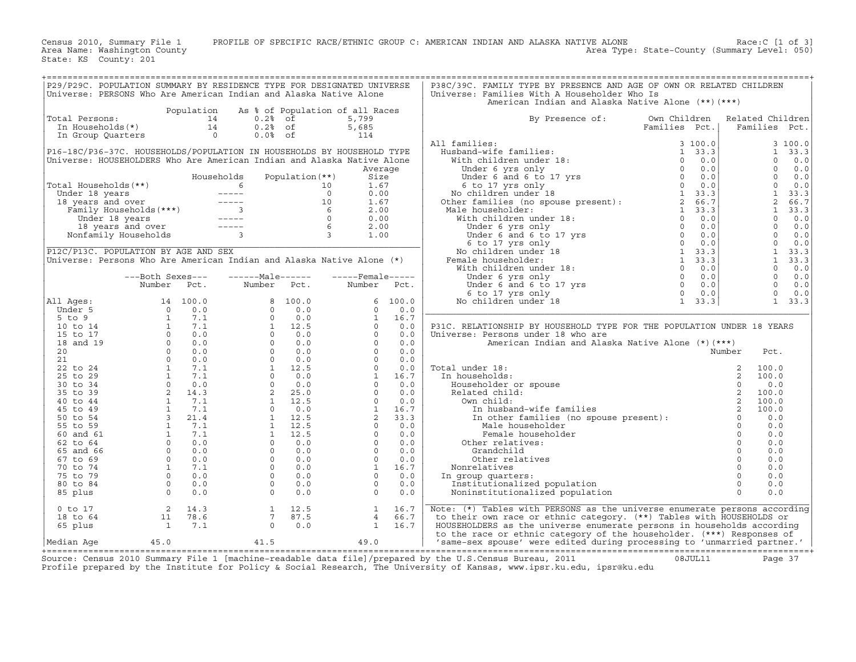Census 2010, Summary File 1 PROFILE OF SPECIFIC RACE/ETHNIC GROUP C: AMERICAN INDIAN AND ALASKA NATIVE ALONE Race:C [1 of 3]<br>Area Name: Washington County Level: 050) Area Type: State-County (Summary Level: 050)

State: KS County: 201

| P29/P29C. POPULATION SUMMARY BY RESIDENCE TYPE FOR DESIGNATED UNIVERSE |                                            |       | P38C/39C. FAMILY TYPE BY PRESENCE AND AGE OF OWN OR RELATED CHILDREN |                |                               |
|------------------------------------------------------------------------|--------------------------------------------|-------|----------------------------------------------------------------------|----------------|-------------------------------|
| Universe: PERSONS Who Are American Indian and Alaska Native Alone      |                                            |       | Universe: Families With A Householder Who Is                         |                |                               |
|                                                                        |                                            |       | American Indian and Alaska Native Alone (**) (***)                   |                |                               |
|                                                                        | Population As % of Population of all Races |       |                                                                      |                |                               |
| Total Persons:                                                         | 0.2% of                                    | 5,799 | By Presence of:                                                      |                | Own Children Related Children |
| In Households(*)                                                       | $0.2$ % of                                 | 5,685 |                                                                      | Families Pct.l | Families Pct.                 |

| Family Households (***) |  | 2.00 |
|-------------------------|--|------|
| Under 18 years          |  | 0.00 |
| 18 years and over       |  | 2.00 |
| Nonfamily Households    |  | 1.00 |
|                         |  |      |

|                                                          | P29/P29C. POPULATION SUMMARY BY RESIDENCE TYPE FOR DESIGNATED UNIVERSE<br>Universe: PERSONS Who Are American Indian and Alaska Native Alone |                  |                                              |                 |                                                          |              | P38C/39C. FAMILY TYPE BY PRESENCE AND AGE OF OWN OR RELATED CHILDREN<br>Universe: Families With A Householder Who Is                           |                                                |                |                                |                 |
|----------------------------------------------------------|---------------------------------------------------------------------------------------------------------------------------------------------|------------------|----------------------------------------------|-----------------|----------------------------------------------------------|--------------|------------------------------------------------------------------------------------------------------------------------------------------------|------------------------------------------------|----------------|--------------------------------|-----------------|
|                                                          |                                                                                                                                             |                  |                                              |                 |                                                          |              | American Indian and Alaska Native Alone (**) (***)                                                                                             |                                                |                |                                |                 |
| Total Persons:<br>In Households (*)<br>In Group Quarters |                                                                                                                                             | Population<br>14 | 0.2%<br>14<br>$0.2$ % of<br>$\Omega$<br>0.0% | of<br>оf        | As % of Population of all Races<br>5,799<br>5,685<br>114 |              | By Presence of:                                                                                                                                | Own Children<br>Families Pct.                  |                | Related Children<br>Families   | Pct.            |
|                                                          | P16-18C/P36-37C. HOUSEHOLDS/POPULATION IN HOUSEHOLDS BY HOUSEHOLD TYPE                                                                      |                  |                                              |                 |                                                          |              | All families:<br>Husband-wife families:                                                                                                        | 3 100.0<br>33.3<br>$\mathbf{1}$                |                | $\mathbf{1}$                   | 3 100.0<br>33.3 |
|                                                          | Universe: HOUSEHOLDERS Who Are American Indian and Alaska Native Alone                                                                      |                  |                                              |                 |                                                          |              | With children under 18:                                                                                                                        | 0.0<br>$\Omega$                                |                | $\Omega$                       | 0.0             |
|                                                          |                                                                                                                                             |                  |                                              |                 |                                                          | Average      | Under 6 yrs only                                                                                                                               | $\mathbf 0$<br>0.0                             |                | 0                              | 0.0             |
|                                                          |                                                                                                                                             |                  | Households                                   | Population (**) | Size                                                     |              | Under 6 and 6 to 17 yrs                                                                                                                        | $\circ$<br>0.0                                 |                | $\Omega$                       | 0.0             |
| Total Households (**)                                    |                                                                                                                                             |                  | 6                                            |                 | 1.67<br>10                                               |              | 6 to 17 yrs only                                                                                                                               | $\Omega$<br>0.0                                |                | $\Omega$                       | 0.0             |
| Under 18 years                                           |                                                                                                                                             |                  | $\frac{1}{2}$<br>$\qquad \qquad - - - - -$   |                 | $\circ$<br>0.00<br>10<br>1.67                            |              | No children under 18                                                                                                                           | $\mathbf{1}$<br>33.3<br>$\overline{2}$<br>66.7 |                | $\mathbf{1}$<br>$\overline{a}$ | 33.3<br>66.7    |
| 18 years and over                                        | Family Households (***)                                                                                                                     |                  | $\overline{3}$                               |                 | 6<br>2.00                                                |              | Other families (no spouse present):<br>Male householder:                                                                                       | 33.3<br>$\mathbf{1}$                           |                | $\mathbf{1}$                   | 33.3            |
|                                                          | Under 18 years                                                                                                                              |                  | $------$                                     |                 | $\circ$<br>0.00                                          |              | With children under 18:                                                                                                                        | 0.0<br>$\Omega$                                |                | $\Omega$                       | 0.0             |
|                                                          | 18 years and over                                                                                                                           |                  |                                              |                 | 6<br>2.00                                                |              | Under 6 yrs only                                                                                                                               | $\Omega$<br>0.0                                |                | $\Omega$                       | 0.0             |
|                                                          | Nonfamily Households                                                                                                                        |                  | $\overline{3}$                               |                 | $\overline{3}$<br>1.00                                   |              | Under 6 and 6 to 17 yrs                                                                                                                        | $\circ$<br>0.0                                 |                | $\Omega$                       | 0.0             |
|                                                          |                                                                                                                                             |                  |                                              |                 |                                                          |              | 6 to 17 yrs only                                                                                                                               | $\circ$<br>0.0                                 |                | $\mathbf{0}$                   | 0.0             |
|                                                          | P12C/P13C. POPULATION BY AGE AND SEX                                                                                                        |                  |                                              |                 |                                                          |              | No children under 18                                                                                                                           | $\mathbf{1}$<br>33.3                           |                | $\mathbf{1}$                   | 33.3            |
|                                                          | Universe: Persons Who Are American Indian and Alaska Native Alone (*)                                                                       |                  |                                              |                 |                                                          |              | Female householder:                                                                                                                            | $\mathbf{1}$<br>33.3                           |                | $\mathbf{1}$                   | 33.3            |
|                                                          |                                                                                                                                             |                  |                                              |                 |                                                          |              | With children under 18:                                                                                                                        | $\circ$<br>0.0<br>$\circ$                      |                | $\mathbf 0$<br>$\mathbf{0}$    | 0.0             |
|                                                          | ---Both Sexes---<br>Number                                                                                                                  | Pct.             | $---Male----$<br>Number                      | Pct.            | $---$ Female -----<br>Number                             | Pct.         | Under 6 yrs only<br>Under 6 and 6 to 17 yrs                                                                                                    | 0.0<br>$\circ$<br>0.0                          |                | $\Omega$                       | 0.0<br>0.0      |
|                                                          |                                                                                                                                             |                  |                                              |                 |                                                          |              | 6 to 17 yrs only                                                                                                                               | $\Omega$<br>0.0                                |                | $\Omega$                       | 0.0             |
| All Ages:                                                |                                                                                                                                             | 14 100.0         | 8                                            | 100.0           | 6                                                        | 100.0        | No children under 18                                                                                                                           | $\mathbf{1}$<br>33.3                           |                | $\mathbf{1}$                   | 33.3            |
| Under 5                                                  | $\circ$                                                                                                                                     | 0.0              | $\circ$                                      | 0.0             | $\circ$                                                  | 0.0          |                                                                                                                                                |                                                |                |                                |                 |
| $5$ to $9$                                               | <sup>1</sup>                                                                                                                                | 7.1              | $\Omega$                                     | 0.0             | 1                                                        | 16.7         |                                                                                                                                                |                                                |                |                                |                 |
| 10 to 14                                                 | $\mathbf{1}$                                                                                                                                | 7.1              | $\mathbf{1}$                                 | 12.5            | $\Omega$                                                 | 0.0          | P31C. RELATIONSHIP BY HOUSEHOLD TYPE FOR THE POPULATION UNDER 18 YEARS                                                                         |                                                |                |                                |                 |
| 15 to 17                                                 | $\circ$                                                                                                                                     | 0.0              | $\circ$                                      | 0.0             | $\circ$                                                  | 0.0          | Universe: Persons under 18 who are                                                                                                             |                                                |                |                                |                 |
| 18 and 19<br>20                                          | $\circ$<br>$\Omega$                                                                                                                         | 0.0<br>0.0       | $\Omega$<br>$\Omega$                         | 0.0<br>0.0      | $\Omega$<br>$\Omega$                                     | 0.0<br>0.0   | American Indian and Alaska Native Alone (*) (***)                                                                                              |                                                |                |                                |                 |
| 21                                                       | $\Omega$                                                                                                                                    | 0.0              | $\Omega$                                     | 0.0             | $\Omega$                                                 | 0.0          |                                                                                                                                                |                                                | Number         | Pct.                           |                 |
| 22 to 24                                                 | <sup>1</sup>                                                                                                                                | 7.1              | $\mathbf{1}$                                 | 12.5            | $\Omega$                                                 | 0.0          | Total under 18:                                                                                                                                |                                                | 2              | 100.0                          |                 |
| 25 to 29                                                 | $\mathbf{1}$                                                                                                                                | 7.1              | $\Omega$                                     | 0.0             | $\mathbf{1}$                                             | 16.7         | In households:                                                                                                                                 |                                                | 2              | 100.0                          |                 |
| 30 to 34                                                 | $\circ$                                                                                                                                     | 0.0              | $\Omega$                                     | 0.0             | $\circ$                                                  | 0.0          | Householder or spouse                                                                                                                          |                                                | $\Omega$       | 0.0                            |                 |
| 35 to 39                                                 | 2                                                                                                                                           | 14.3             | 2                                            | 25.0            | $\Omega$                                                 | 0.0          | Related child:                                                                                                                                 |                                                |                | 100.0                          |                 |
| 40 to 44                                                 | $\mathbf{1}$                                                                                                                                | 7.1              | $\mathbf{1}$                                 | 12.5            | $\circ$                                                  | 0.0          | Own child:                                                                                                                                     |                                                | $\overline{c}$ | 100.0                          |                 |
| 45 to 49                                                 | <sup>1</sup>                                                                                                                                | 7.1              | $\circ$                                      | 0.0             | $\mathbf{1}$                                             | 16.7         | In husband-wife families                                                                                                                       |                                                |                | 100.0                          |                 |
| 50 to 54                                                 | $\overline{3}$                                                                                                                              | 21.4<br>7.1      | $\mathbf{1}$                                 | 12.5            | 2<br>$\Omega$                                            | 33.3         | In other families (no spouse present):                                                                                                         |                                                | $\Omega$       | 0.0                            |                 |
| 55 to 59<br>60 and 61                                    | <sup>1</sup><br>$\mathbf{1}$                                                                                                                | 7.1              | $\mathbf{1}$<br>$\mathbf{1}$                 | 12.5<br>12.5    | $\circ$                                                  | 0.0<br>0.0   | Male householder<br>Female householder                                                                                                         |                                                |                | 0.0<br>0.0                     |                 |
| 62 to 64                                                 | $\Omega$                                                                                                                                    | 0.0              | $\Omega$                                     | 0.0             | $\Omega$                                                 | 0.0          | Other relatives:                                                                                                                               |                                                |                | 0.0                            |                 |
| 65 and 66                                                | $\Omega$                                                                                                                                    | 0.0              | $\Omega$                                     | 0.0             | $\Omega$                                                 | 0.0          | Grandchild                                                                                                                                     |                                                | $\Omega$       | 0.0                            |                 |
| 67 to 69                                                 | $\circ$                                                                                                                                     | 0.0              | $\circ$                                      | 0.0             | $\circ$                                                  | 0.0          | Other relatives                                                                                                                                |                                                |                | 0.0                            |                 |
| 70 to 74                                                 | $\mathbf{1}$                                                                                                                                | 7.1              | $\Omega$                                     | 0.0             | $\mathbf{1}$                                             | 16.7         | Nonrelatives                                                                                                                                   |                                                | $\circ$        | 0.0                            |                 |
| 75 to 79                                                 | $\Omega$                                                                                                                                    | 0.0              | $\Omega$                                     | 0.0             | $\circ$                                                  | 0.0          | In group quarters:                                                                                                                             |                                                | $\Omega$       | 0.0                            |                 |
| 80 to 84                                                 | $\Omega$                                                                                                                                    | 0.0              | $\Omega$                                     | 0.0             | $\Omega$                                                 | 0.0          | Institutionalized population                                                                                                                   |                                                | $\circ$        | 0.0                            |                 |
| 85 plus                                                  | $\mathbf 0$                                                                                                                                 | 0.0              | $\Omega$                                     | 0.0             | $\Omega$                                                 | 0.0          | Noninstitutionalized population                                                                                                                |                                                |                | 0.0                            |                 |
| $0$ to $17$                                              | 2                                                                                                                                           | 14.3             | 1                                            | 12.5            | 1                                                        | 16.7         | Note: (*) Tables with PERSONS as the universe enumerate persons according                                                                      |                                                |                |                                |                 |
| 18 to 64<br>65 plus                                      | 11<br><sup>1</sup>                                                                                                                          | 78.6<br>7.1      | 7<br>$\circ$                                 | 87.5<br>0.0     | $\overline{4}$<br>$\mathbf{1}$                           | 66.7<br>16.7 | to their own race or ethnic category. (**) Tables with HOUSEHOLDS or<br>HOUSEHOLDERS as the universe enumerate persons in households according |                                                |                |                                |                 |
|                                                          |                                                                                                                                             |                  |                                              |                 |                                                          |              | to the race or ethnic category of the householder. (***) Responses of                                                                          |                                                |                |                                |                 |
| Median Aqe                                               | 45.0                                                                                                                                        |                  | 41.5                                         |                 | 49.0                                                     |              | 'same-sex spouse' were edited during processing to 'unmarried partner.'                                                                        |                                                |                |                                |                 |

+===================================================================================================================================================+Source: Census 2010 Summary File 1 [machine−readable data file]/prepared by the U.S.Census Bureau, 2011 08JUL11 Page 37 Profile prepared by the Institute for Policy & Social Research, The University of Kansas, www.ipsr.ku.edu, ipsr@ku.edu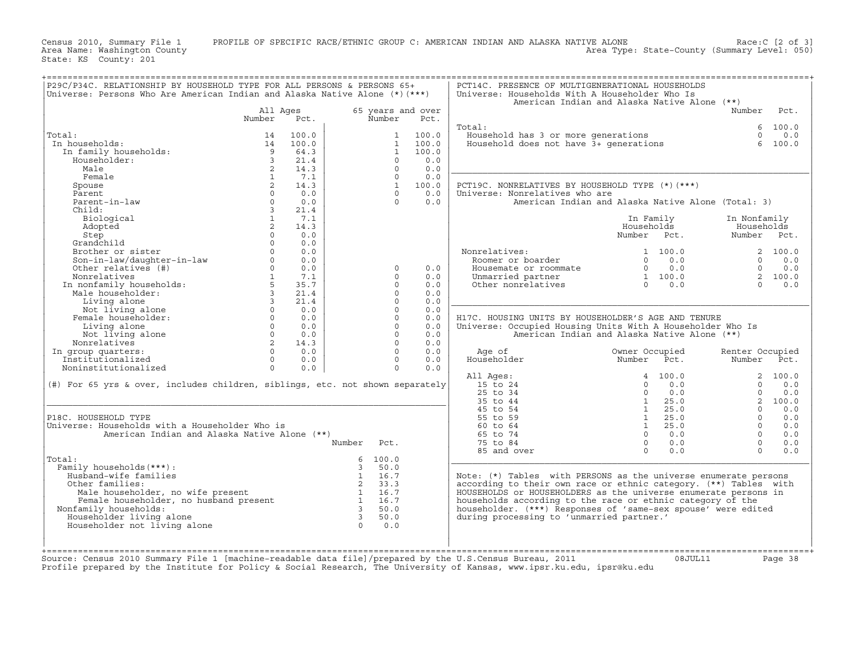Census 2010, Summary File 1 PROFILE OF SPECIFIC RACE/ETHNIC GROUP C: AMERICAN INDIAN AND ALASKA NATIVE ALONE Race:C [2 of 3]<br>Area Name: Washington County Level: 050) Area Type: State-County (Summary Level: 050)

State: KS County: 201

| P29C/P34C. RELATIONSHIP BY HOUSEHOLD TYPE FOR ALL PERSONS & PERSONS 65+<br>Universe: Persons Who Are American Indian and Alaska Native Alone (*) (***) |                |       |                         |                |                   | PCT14C. PRESENCE OF MULTIGENERATIONAL HOUSEHOLDS<br>Universe: Households With A Householder Who Is |                |       |                 |          |
|--------------------------------------------------------------------------------------------------------------------------------------------------------|----------------|-------|-------------------------|----------------|-------------------|----------------------------------------------------------------------------------------------------|----------------|-------|-----------------|----------|
|                                                                                                                                                        |                |       |                         |                |                   | American Indian and Alaska Native Alone (**)                                                       |                |       |                 |          |
|                                                                                                                                                        | All Ages       |       |                         |                | 65 years and over |                                                                                                    |                |       | Number          | Pct.     |
|                                                                                                                                                        | Number         | Pct.  |                         | Number         | Pct.              |                                                                                                    |                |       |                 |          |
|                                                                                                                                                        |                |       |                         |                |                   | Total:                                                                                             |                |       | 6               | 100.0    |
| Total:                                                                                                                                                 | 14             | 100.0 |                         | $\mathbf{1}$   | 100.0             | Household has 3 or more generations                                                                |                |       | $\Omega$        | 0.0      |
| In households:                                                                                                                                         | 14             | 100.0 |                         | $\mathbf{1}$   | 100.0             | Household does not have 3+ generations                                                             |                |       | 6               | 100.0    |
| In family households:                                                                                                                                  | 9              | 64.3  |                         | $\mathbf{1}$   | 100.0             |                                                                                                    |                |       |                 |          |
| Householder:                                                                                                                                           | 3              | 21.4  |                         | $\Omega$       | 0.0               |                                                                                                    |                |       |                 |          |
| Male                                                                                                                                                   | $\overline{2}$ | 14.3  |                         | $\Omega$       | 0.0               |                                                                                                    |                |       |                 |          |
| Female                                                                                                                                                 | $\mathbf{1}$   | 7.1   |                         | $\Omega$       | 0.0               |                                                                                                    |                |       |                 |          |
| Spouse                                                                                                                                                 | $\overline{2}$ | 14.3  |                         | $\overline{1}$ | 100.0             | PCT19C. NONRELATIVES BY HOUSEHOLD TYPE (*) (***)                                                   |                |       |                 |          |
| Parent.                                                                                                                                                | $\Omega$       | 0.0   |                         | $\Omega$       | 0.0               | Universe: Nonrelatives who are                                                                     |                |       |                 |          |
| Parent-in-law                                                                                                                                          | $\Omega$       | 0.0   |                         | $\Omega$       | 0.0               | American Indian and Alaska Native Alone (Total: 3)                                                 |                |       |                 |          |
| Child:                                                                                                                                                 | $\overline{3}$ | 21.4  |                         |                |                   |                                                                                                    |                |       |                 |          |
| Biological                                                                                                                                             | $\mathbf{1}$   | 7.1   |                         |                |                   |                                                                                                    | In Family      |       | In Nonfamily    |          |
| Adopted                                                                                                                                                | $\overline{2}$ | 14.3  |                         |                |                   |                                                                                                    | Households     |       | Households      |          |
| Step                                                                                                                                                   | $\Omega$       | 0.0   |                         |                |                   |                                                                                                    | Number Pct.    |       | Number Pct.     |          |
| Grandchild                                                                                                                                             | $\Omega$       | 0.0   |                         |                |                   |                                                                                                    |                |       |                 |          |
|                                                                                                                                                        | $\Omega$       | 0.0   |                         |                |                   |                                                                                                    |                |       |                 |          |
| Brother or sister                                                                                                                                      |                |       |                         |                |                   | Nonrelatives:                                                                                      | 1 100.0        |       |                 | 2, 100.0 |
| Son-in-law/daughter-in-law                                                                                                                             | $\Omega$       | 0.0   |                         |                |                   | Roomer or boarder                                                                                  | $\Omega$       | 0.0   | $\Omega$        | 0.0      |
| Other relatives (#)                                                                                                                                    | $\Omega$       | 0.0   |                         | $\Omega$       | 0.0               | Housemate or roommate                                                                              | $\Omega$       | 0.0   | $\Omega$        | 0.0      |
| Nonrelatives                                                                                                                                           | $\mathbf{1}$   | 7.1   |                         | $\Omega$       | 0.0               | Unmarried partner                                                                                  | 1 100.0        |       | $\overline{2}$  | 100.0    |
| In nonfamily households:                                                                                                                               | 5              | 35.7  |                         | $\Omega$       | 0.0               | Other nonrelatives                                                                                 | $\cap$         | 0.0   | $\cap$          | 0.0      |
| Male householder:                                                                                                                                      | $\overline{3}$ | 21.4  |                         | $\Omega$       | 0.0               |                                                                                                    |                |       |                 |          |
| Living alone                                                                                                                                           | $\overline{3}$ | 21.4  |                         | $\Omega$       | 0.0               |                                                                                                    |                |       |                 |          |
| Not living alone                                                                                                                                       | $\Omega$       | 0.0   |                         | $\Omega$       | 0.0               |                                                                                                    |                |       |                 |          |
| Female householder:                                                                                                                                    | $\Omega$       | 0.0   |                         | $\Omega$       | 0.0               | H17C. HOUSING UNITS BY HOUSEHOLDER'S AGE AND TENURE                                                |                |       |                 |          |
| Living alone                                                                                                                                           | $\Omega$       | 0.0   |                         | $\Omega$       | 0.0               | Universe: Occupied Housing Units With A Householder Who Is                                         |                |       |                 |          |
| Not living alone                                                                                                                                       | $\Omega$       | 0.0   |                         | $\Omega$       | 0.0               | American Indian and Alaska Native Alone (**)                                                       |                |       |                 |          |
| Nonrelatives                                                                                                                                           | $\overline{2}$ | 14.3  |                         | $\Omega$       | 0.0               |                                                                                                    |                |       |                 |          |
| In group quarters:                                                                                                                                     | $\Omega$       | 0.0   |                         | $\Omega$       | 0.0               | Age of                                                                                             | Owner Occupied |       | Renter Occupied |          |
| Institutionalized                                                                                                                                      | $\circ$        | 0.0   |                         | $\Omega$       | 0.0               | Householder                                                                                        | Number         | Pct.  | Number          | Pct.     |
| Noninstitutionalized                                                                                                                                   | $\circ$        | 0.0   |                         | $\circ$        | 0.0               |                                                                                                    |                |       |                 |          |
|                                                                                                                                                        |                |       |                         |                |                   | All Ages:                                                                                          | 4              | 100.0 | $\overline{a}$  | 100.0    |
| (#) For 65 yrs & over, includes children, siblings, etc. not shown separately                                                                          |                |       |                         |                |                   | 15 to 24                                                                                           | $\Omega$       | 0.0   | $\Omega$        | 0.0      |
|                                                                                                                                                        |                |       |                         |                |                   | 25 to 34                                                                                           | $\Omega$       | 0.0   | $\Omega$        | 0.0      |
|                                                                                                                                                        |                |       |                         |                |                   | 35 to 44                                                                                           | $\mathbf{1}$   | 25.0  | $\overline{2}$  | 100.0    |
|                                                                                                                                                        |                |       |                         |                |                   | 45 to 54                                                                                           | $\mathbf{1}$   | 25.0  | $\Omega$        | 0.0      |
| P18C. HOUSEHOLD TYPE                                                                                                                                   |                |       |                         |                |                   | 55 to 59                                                                                           | $\mathbf{1}$   | 25.0  | $\Omega$        | 0.0      |
| Universe: Households with a Householder Who is                                                                                                         |                |       |                         |                |                   | 60 to 64                                                                                           | 1              | 25.0  | $\Omega$        | 0.0      |
| American Indian and Alaska Native Alone (**)                                                                                                           |                |       |                         |                |                   | 65 to 74                                                                                           | $\Omega$       | 0.0   | $\Omega$        | 0.0      |
|                                                                                                                                                        |                |       | Number                  | Pct.           |                   | 75 to 84                                                                                           | $\circ$        | 0.0   | $\Omega$        | 0.0      |
|                                                                                                                                                        |                |       |                         |                |                   | 85 and over                                                                                        | $\Omega$       | 0.0   | $\Omega$        | 0.0      |
| Total:                                                                                                                                                 |                |       | 6                       | 100.0          |                   |                                                                                                    |                |       |                 |          |
| Family households (***) :                                                                                                                              |                |       | 3                       | 50.0           |                   |                                                                                                    |                |       |                 |          |
| Husband-wife families                                                                                                                                  |                |       | $\mathbf{1}$            | 16.7           |                   | Note: (*) Tables with PERSONS as the universe enumerate persons                                    |                |       |                 |          |
| Other families:                                                                                                                                        |                |       | 2                       | 33.3           |                   | according to their own race or ethnic category. (**) Tables with                                   |                |       |                 |          |
| Male householder, no wife present                                                                                                                      |                |       | $\mathbf{1}$            | 16.7           |                   | HOUSEHOLDS or HOUSEHOLDERS as the universe enumerate persons in                                    |                |       |                 |          |
| Female householder, no husband present                                                                                                                 |                |       | 1                       | 16.7           |                   | households according to the race or ethnic category of the                                         |                |       |                 |          |
| Nonfamily households:                                                                                                                                  |                |       | $\overline{3}$          | 50.0           |                   | householder. (***) Responses of 'same-sex spouse' were edited                                      |                |       |                 |          |
| Householder living alone                                                                                                                               |                |       | $\overline{\mathbf{3}}$ | 50.0           |                   | during processing to 'unmarried partner.'                                                          |                |       |                 |          |
| Householder not living alone                                                                                                                           |                |       | $\Omega$                | 0.0            |                   |                                                                                                    |                |       |                 |          |
|                                                                                                                                                        |                |       |                         |                |                   |                                                                                                    |                |       |                 |          |
|                                                                                                                                                        |                |       |                         |                |                   |                                                                                                    |                |       |                 |          |
|                                                                                                                                                        |                |       |                         |                |                   |                                                                                                    |                |       |                 |          |

+===================================================================================================================================================+

+===================================================================================================================================================+Source: Census 2010 Summary File 1 [machine−readable data file]/prepared by the U.S.Census Bureau, 2011 08JUL11 Page 38 Profile prepared by the Institute for Policy & Social Research, The University of Kansas, www.ipsr.ku.edu, ipsr@ku.edu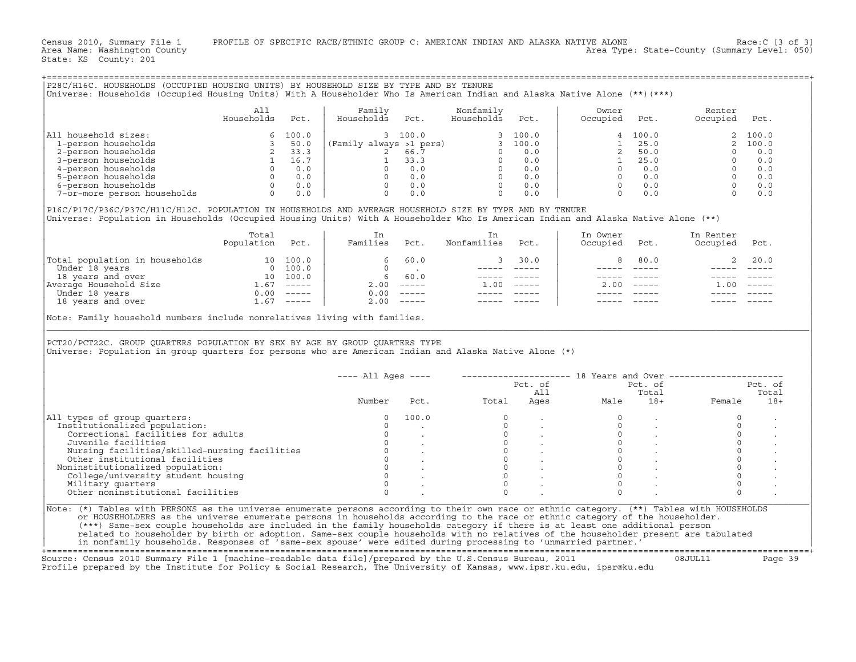Census 2010, Summary File 1 PROFILE OF SPECIFIC RACE/ETHNIC GROUP C: AMERICAN INDIAN AND ALASKA NATIVE ALONE Race:C [3 of 3]<br>Area Name: Washington County Level: 050) Area Type: State-County (Summary Level: 050)

State: KS County: 201

|                                                                                                                                                                                                                                                                                                                                                                                                                                                                                                                                                           | All<br>Households Pct. | Family<br>Households Pct. |                             | Nonfamily<br>Households Pct. |                 | Owner<br>Occupied Pct.                                                                                                                                                                                                                                                                                                                                                            |                                                                                                                                                                                                                                                                                                                                                                                                                                                                                 | Renter<br>Occupied Pct.                                      |                   |
|-----------------------------------------------------------------------------------------------------------------------------------------------------------------------------------------------------------------------------------------------------------------------------------------------------------------------------------------------------------------------------------------------------------------------------------------------------------------------------------------------------------------------------------------------------------|------------------------|---------------------------|-----------------------------|------------------------------|-----------------|-----------------------------------------------------------------------------------------------------------------------------------------------------------------------------------------------------------------------------------------------------------------------------------------------------------------------------------------------------------------------------------|---------------------------------------------------------------------------------------------------------------------------------------------------------------------------------------------------------------------------------------------------------------------------------------------------------------------------------------------------------------------------------------------------------------------------------------------------------------------------------|--------------------------------------------------------------|-------------------|
| All household sizes:                                                                                                                                                                                                                                                                                                                                                                                                                                                                                                                                      |                        |                           |                             |                              |                 |                                                                                                                                                                                                                                                                                                                                                                                   |                                                                                                                                                                                                                                                                                                                                                                                                                                                                                 |                                                              |                   |
|                                                                                                                                                                                                                                                                                                                                                                                                                                                                                                                                                           |                        |                           |                             |                              |                 |                                                                                                                                                                                                                                                                                                                                                                                   |                                                                                                                                                                                                                                                                                                                                                                                                                                                                                 |                                                              |                   |
|                                                                                                                                                                                                                                                                                                                                                                                                                                                                                                                                                           |                        |                           |                             |                              |                 |                                                                                                                                                                                                                                                                                                                                                                                   |                                                                                                                                                                                                                                                                                                                                                                                                                                                                                 |                                                              |                   |
|                                                                                                                                                                                                                                                                                                                                                                                                                                                                                                                                                           |                        |                           |                             |                              |                 |                                                                                                                                                                                                                                                                                                                                                                                   |                                                                                                                                                                                                                                                                                                                                                                                                                                                                                 |                                                              |                   |
|                                                                                                                                                                                                                                                                                                                                                                                                                                                                                                                                                           |                        |                           |                             |                              |                 |                                                                                                                                                                                                                                                                                                                                                                                   |                                                                                                                                                                                                                                                                                                                                                                                                                                                                                 |                                                              |                   |
|                                                                                                                                                                                                                                                                                                                                                                                                                                                                                                                                                           |                        |                           |                             |                              |                 |                                                                                                                                                                                                                                                                                                                                                                                   |                                                                                                                                                                                                                                                                                                                                                                                                                                                                                 |                                                              |                   |
|                                                                                                                                                                                                                                                                                                                                                                                                                                                                                                                                                           |                        |                           |                             |                              |                 |                                                                                                                                                                                                                                                                                                                                                                                   |                                                                                                                                                                                                                                                                                                                                                                                                                                                                                 |                                                              |                   |
|                                                                                                                                                                                                                                                                                                                                                                                                                                                                                                                                                           |                        |                           |                             |                              |                 |                                                                                                                                                                                                                                                                                                                                                                                   |                                                                                                                                                                                                                                                                                                                                                                                                                                                                                 |                                                              |                   |
| P16C/P17C/P36C/P37C/H11C/H12C. POPULATION IN HOUSEHOLDS AND AVERAGE HOUSEHOLD SIZE BY TYPE AND BY TENURE<br>Universe: Population in Households (Occupied Housing Units) With A Householder Who Is American Indian and Alaska Native Alone (**)                                                                                                                                                                                                                                                                                                            | Total                  | In                        |                             | In<br>Nonfamilies Pct.       |                 | In Owner                                                                                                                                                                                                                                                                                                                                                                          |                                                                                                                                                                                                                                                                                                                                                                                                                                                                                 | In Renter                                                    |                   |
|                                                                                                                                                                                                                                                                                                                                                                                                                                                                                                                                                           | Population Pct.        | Families Pct.             |                             |                              |                 | Occupied Pct.                                                                                                                                                                                                                                                                                                                                                                     |                                                                                                                                                                                                                                                                                                                                                                                                                                                                                 | Occupied Pct.                                                |                   |
|                                                                                                                                                                                                                                                                                                                                                                                                                                                                                                                                                           |                        |                           |                             |                              | 3 30.0 $\vert$  |                                                                                                                                                                                                                                                                                                                                                                                   |                                                                                                                                                                                                                                                                                                                                                                                                                                                                                 | 8 80.0<br>2, 20.0                                            |                   |
|                                                                                                                                                                                                                                                                                                                                                                                                                                                                                                                                                           |                        |                           |                             |                              |                 |                                                                                                                                                                                                                                                                                                                                                                                   |                                                                                                                                                                                                                                                                                                                                                                                                                                                                                 |                                                              |                   |
|                                                                                                                                                                                                                                                                                                                                                                                                                                                                                                                                                           |                        |                           | $6\quad 60.0$<br>2.00 ----- |                              |                 |                                                                                                                                                                                                                                                                                                                                                                                   |                                                                                                                                                                                                                                                                                                                                                                                                                                                                                 |                                                              |                   |
|                                                                                                                                                                                                                                                                                                                                                                                                                                                                                                                                                           |                        |                           |                             | $1.00$ -----                 |                 |                                                                                                                                                                                                                                                                                                                                                                                   | $2.00$ -----                                                                                                                                                                                                                                                                                                                                                                                                                                                                    | $1.00 - - - -$                                               |                   |
|                                                                                                                                                                                                                                                                                                                                                                                                                                                                                                                                                           |                        |                           |                             |                              | ______ _____    |                                                                                                                                                                                                                                                                                                                                                                                   | $\begin{tabular}{lllll} \multicolumn{2}{l}{} & \multicolumn{2}{l}{} & \multicolumn{2}{l}{} & \multicolumn{2}{l}{} & \multicolumn{2}{l}{} & \multicolumn{2}{l}{} & \multicolumn{2}{l}{} & \multicolumn{2}{l}{} & \multicolumn{2}{l}{} & \multicolumn{2}{l}{} & \multicolumn{2}{l}{} & \multicolumn{2}{l}{} & \multicolumn{2}{l}{} & \multicolumn{2}{l}{} & \multicolumn{2}{l}{} & \multicolumn{2}{l}{} & \multicolumn{2}{l}{} & \multicolumn{2}{l}{} & \multicolumn{2}{l}{} & \$ |                                                              |                   |
|                                                                                                                                                                                                                                                                                                                                                                                                                                                                                                                                                           |                        |                           |                             |                              | _______________ |                                                                                                                                                                                                                                                                                                                                                                                   |                                                                                                                                                                                                                                                                                                                                                                                                                                                                                 | ----- -----                                                  |                   |
|                                                                                                                                                                                                                                                                                                                                                                                                                                                                                                                                                           |                        |                           |                             |                              |                 |                                                                                                                                                                                                                                                                                                                                                                                   |                                                                                                                                                                                                                                                                                                                                                                                                                                                                                 |                                                              |                   |
| PCT20/PCT22C. GROUP OUARTERS POPULATION BY SEX BY AGE BY GROUP OUARTERS TYPE                                                                                                                                                                                                                                                                                                                                                                                                                                                                              |                        |                           |                             |                              |                 |                                                                                                                                                                                                                                                                                                                                                                                   |                                                                                                                                                                                                                                                                                                                                                                                                                                                                                 |                                                              |                   |
|                                                                                                                                                                                                                                                                                                                                                                                                                                                                                                                                                           |                        | $--- All Aqes ---$        |                             |                              |                 |                                                                                                                                                                                                                                                                                                                                                                                   |                                                                                                                                                                                                                                                                                                                                                                                                                                                                                 | -------------------- 18 Years and Over --------------------- |                   |
|                                                                                                                                                                                                                                                                                                                                                                                                                                                                                                                                                           |                        |                           |                             |                              |                 |                                                                                                                                                                                                                                                                                                                                                                                   |                                                                                                                                                                                                                                                                                                                                                                                                                                                                                 |                                                              | Pct. of           |
| Note: Family household numbers include nonrelatives living with families.<br>Universe: Population in group quarters for persons who are American Indian and Alaska Native Alone (*)                                                                                                                                                                                                                                                                                                                                                                       |                        |                           |                             | Pct.<br>Total                |                 |                                                                                                                                                                                                                                                                                                                                                                                   |                                                                                                                                                                                                                                                                                                                                                                                                                                                                                 | Pct. of<br>All Pct. of<br>Ages Male 18+ Female<br>Female     |                   |
|                                                                                                                                                                                                                                                                                                                                                                                                                                                                                                                                                           |                        |                           |                             |                              |                 |                                                                                                                                                                                                                                                                                                                                                                                   |                                                                                                                                                                                                                                                                                                                                                                                                                                                                                 |                                                              |                   |
|                                                                                                                                                                                                                                                                                                                                                                                                                                                                                                                                                           |                        |                           |                             |                              |                 |                                                                                                                                                                                                                                                                                                                                                                                   |                                                                                                                                                                                                                                                                                                                                                                                                                                                                                 | $\Omega$                                                     |                   |
|                                                                                                                                                                                                                                                                                                                                                                                                                                                                                                                                                           |                        |                           |                             |                              |                 |                                                                                                                                                                                                                                                                                                                                                                                   |                                                                                                                                                                                                                                                                                                                                                                                                                                                                                 |                                                              | $\circ$           |
|                                                                                                                                                                                                                                                                                                                                                                                                                                                                                                                                                           |                        |                           |                             |                              |                 |                                                                                                                                                                                                                                                                                                                                                                                   |                                                                                                                                                                                                                                                                                                                                                                                                                                                                                 |                                                              |                   |
|                                                                                                                                                                                                                                                                                                                                                                                                                                                                                                                                                           |                        |                           |                             |                              |                 |                                                                                                                                                                                                                                                                                                                                                                                   |                                                                                                                                                                                                                                                                                                                                                                                                                                                                                 |                                                              | $\Omega$          |
|                                                                                                                                                                                                                                                                                                                                                                                                                                                                                                                                                           |                        |                           |                             |                              |                 |                                                                                                                                                                                                                                                                                                                                                                                   |                                                                                                                                                                                                                                                                                                                                                                                                                                                                                 |                                                              |                   |
|                                                                                                                                                                                                                                                                                                                                                                                                                                                                                                                                                           |                        |                           |                             |                              |                 |                                                                                                                                                                                                                                                                                                                                                                                   |                                                                                                                                                                                                                                                                                                                                                                                                                                                                                 | $\Omega$                                                     |                   |
|                                                                                                                                                                                                                                                                                                                                                                                                                                                                                                                                                           |                        |                           |                             |                              |                 |                                                                                                                                                                                                                                                                                                                                                                                   |                                                                                                                                                                                                                                                                                                                                                                                                                                                                                 | $\Omega$                                                     | $0 \qquad \qquad$ |
|                                                                                                                                                                                                                                                                                                                                                                                                                                                                                                                                                           |                        |                           |                             |                              |                 |                                                                                                                                                                                                                                                                                                                                                                                   |                                                                                                                                                                                                                                                                                                                                                                                                                                                                                 | $\Omega$                                                     |                   |
|                                                                                                                                                                                                                                                                                                                                                                                                                                                                                                                                                           |                        |                           |                             |                              |                 | $\begin{array}{cccccc} 0 & & \cdot & & & & 0 & & \cdot \\ 0 & & \cdot & & & & 0 & & \cdot \\ 0 & & \cdot & & & & 0 & & \cdot \\ 0 & & \cdot & & & & 0 & & \cdot \\ 0 & & \cdot & & & & 0 & & \cdot \\ 0 & & \cdot & & & & 0 & & \cdot \\ 0 & & & & & & 0 & & \cdot \\ 0 & & & & & & & 0 & & \cdot \\ 0 & & & & & & & 0 & & \cdot \\ 0 & & & & & & & & 0 & & \cdot \\ \end{array}$ |                                                                                                                                                                                                                                                                                                                                                                                                                                                                                 | $\Omega$                                                     |                   |
|                                                                                                                                                                                                                                                                                                                                                                                                                                                                                                                                                           |                        |                           |                             |                              |                 |                                                                                                                                                                                                                                                                                                                                                                                   |                                                                                                                                                                                                                                                                                                                                                                                                                                                                                 |                                                              |                   |
| % types of group quarters:<br>nstitutionalized population:<br>Correctional facilities for adults<br>Juvenile facilities for adults<br>Nursing facilities of the institutional facilities<br>Other institutional facilities<br>Noninstituti<br>All types of group quarters:<br>Note: (*) Tables with PERSONS as the universe enumerate persons according to their own race or ethnic category. (**) Tables with HOUSEHOLDS<br>or HOUSEHOLDERS as the universe enumerate persons in households according to the race or ethnic category of the householder. |                        |                           |                             |                              |                 |                                                                                                                                                                                                                                                                                                                                                                                   |                                                                                                                                                                                                                                                                                                                                                                                                                                                                                 |                                                              |                   |

|                                               | $---$ All Ages $---$ |       | ------------------ |         | 18 Years and Over |         | ______________ |         |  |
|-----------------------------------------------|----------------------|-------|--------------------|---------|-------------------|---------|----------------|---------|--|
|                                               |                      |       |                    | Pct. of |                   | Pct. of |                | Pct. of |  |
|                                               |                      |       |                    | All     |                   | Total   |                | Total   |  |
|                                               | Number               | Pct.  | Total              | Ages    | Male              | $18+$   | Female         | $18+$   |  |
| All types of group quarters:                  |                      | 100.0 |                    |         |                   |         |                |         |  |
| Institutionalized population:                 |                      |       |                    |         |                   |         |                |         |  |
| Correctional facilities for adults            |                      |       |                    |         |                   |         |                |         |  |
| Juvenile facilities                           |                      |       |                    |         |                   |         |                |         |  |
| Nursing facilities/skilled-nursing facilities |                      |       |                    |         |                   |         |                |         |  |
| Other institutional facilities                |                      |       |                    |         |                   |         |                |         |  |
| Noninstitutionalized population:              |                      |       |                    |         |                   |         |                |         |  |
| College/university student housing            |                      |       |                    |         |                   |         |                |         |  |
| Military quarters                             |                      |       |                    |         |                   |         |                |         |  |
| Other noninstitutional facilities             |                      |       |                    |         |                   |         |                |         |  |

+===================================================================================================================================================+

+===================================================================================================================================================+Source: Census 2010 Summary File 1 [machine−readable data file]/prepared by the U.S.Census Bureau, 2011 08JUL11 Page 39 Profile prepared by the Institute for Policy & Social Research, The University of Kansas, www.ipsr.ku.edu, ipsr@ku.edu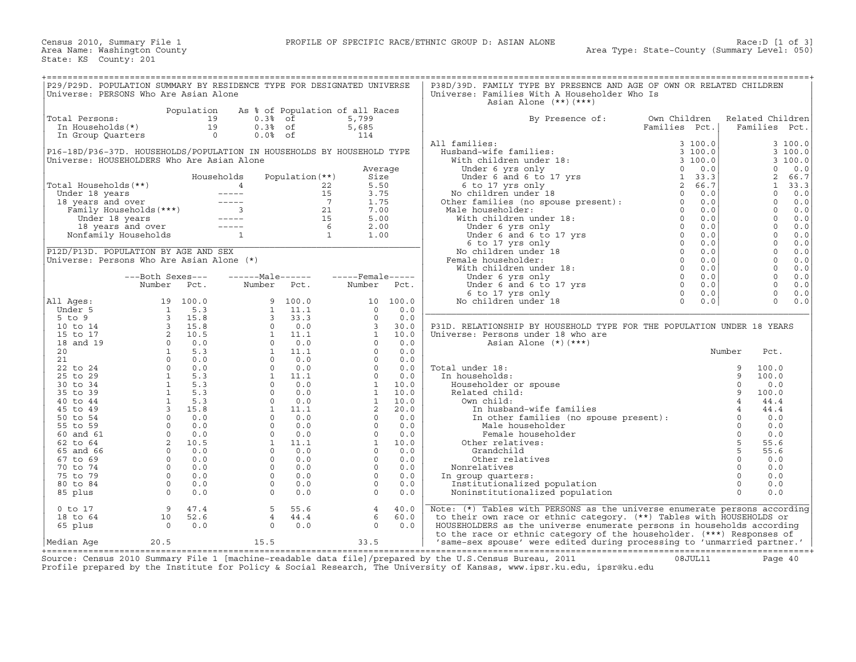| P29/P29D. POPULATION SUMMARY BY RESIDENCE TYPE FOR DESIGNATED UNIVERSE<br>Universe: PERSONS Who Are Asian Alone |                                                                                                                                                           |                |                                 |                                       |                |                         |          | P38D/39D. FAMILY TYPE BY PRESENCE AND AGE OF OWN OR RELATED CHILDREN<br>Universe: Families With A Householder Who Is |                                   |                |                   |              |
|-----------------------------------------------------------------------------------------------------------------|-----------------------------------------------------------------------------------------------------------------------------------------------------------|----------------|---------------------------------|---------------------------------------|----------------|-------------------------|----------|----------------------------------------------------------------------------------------------------------------------|-----------------------------------|----------------|-------------------|--------------|
|                                                                                                                 |                                                                                                                                                           |                |                                 |                                       |                |                         |          | Asian Alone $(**)$ $(***)$                                                                                           |                                   |                |                   |              |
|                                                                                                                 |                                                                                                                                                           | Population     | As % of Population of all Races |                                       |                |                         |          |                                                                                                                      |                                   |                |                   |              |
| Total Persons:                                                                                                  |                                                                                                                                                           | 19             |                                 | $0.3%$ of                             |                | 5,799                   |          | By Presence of:                                                                                                      | Own Children                      |                | Related Children  |              |
| In Households(*)                                                                                                |                                                                                                                                                           | 19             |                                 | $0.3%$ of                             |                | 5,685                   |          |                                                                                                                      | Families Pct.                     |                | Families Pct.     |              |
| In Group Quarters                                                                                               |                                                                                                                                                           | $\overline{0}$ |                                 | $0.0%$ of                             |                | 114                     |          |                                                                                                                      |                                   |                |                   |              |
|                                                                                                                 |                                                                                                                                                           |                |                                 |                                       |                |                         |          | All families:                                                                                                        | 3100.0                            |                |                   | 3 100.0      |
| P16-18D/P36-37D. HOUSEHOLDS/POPULATION IN HOUSEHOLDS BY HOUSEHOLD TYPE                                          |                                                                                                                                                           |                |                                 |                                       |                |                         |          | Husband-wife families:                                                                                               | 3 100.0                           |                |                   | 3 100.0      |
| Universe: HOUSEHOLDERS Who Are Asian Alone                                                                      |                                                                                                                                                           |                |                                 |                                       |                |                         |          | With children under 18:                                                                                              | 3 100.0                           |                |                   | 3 100.0      |
|                                                                                                                 |                                                                                                                                                           |                |                                 |                                       |                | Average                 |          | Under 6 yrs only<br>Under 6 yrs only<br>Under 6 and 6 to 17 yrs                                                      | $\Omega$                          | 0.0            | $\Omega$          | 0.0          |
|                                                                                                                 |                                                                                                                                                           |                | Households                      | Population $(**)$                     |                | Size                    |          |                                                                                                                      | 1, 33.3<br>$\overline{2}$<br>66.7 |                | 2<br>$\mathbf{1}$ | 66.7         |
| Total Households(**)                                                                                            |                                                                                                                                                           |                |                                 |                                       | 22<br>15       | 5.50                    |          | 6 to 17 yrs only<br>No children under 18 0<br>Other families (no spouse present): 0                                  |                                   |                | $\Omega$          | 33.3<br>0.0  |
| Under 18 years                                                                                                  |                                                                                                                                                           |                |                                 |                                       | $\overline{7}$ | 3.75                    |          |                                                                                                                      |                                   | 0.0<br>0.0     | $\mathbf 0$       |              |
| 18 years and over<br>Family Households (***)                                                                    |                                                                                                                                                           |                |                                 |                                       | 21             | 1.75<br>7.00            |          | Male householder:                                                                                                    |                                   | 0.0            | $\Omega$          | $0.0$<br>0.0 |
|                                                                                                                 |                                                                                                                                                           |                |                                 |                                       | 15             | 5.00                    |          | With children under 18:                                                                                              |                                   | 0.0            | $\mathbf 0$       | 0.0          |
| Under 18 years                                                                                                  | Under to you<br>18 years and over -----<br>1. International contract of the state of the state of the state of the state of the state of the state of the |                |                                 |                                       |                | 2.00                    |          | Under 6 yrs only                                                                                                     |                                   | 0.0            | $\mathbf 0$       | $0.0$        |
| Nonfamily Households                                                                                            |                                                                                                                                                           |                |                                 | $\begin{array}{c} 6 \\ 1 \end{array}$ |                | 1.00                    |          | Under 6 and 6 to 17 yrs                                                                                              |                                   | 0.0            | $\Omega$          | $0.0$        |
|                                                                                                                 |                                                                                                                                                           |                |                                 |                                       |                |                         |          | 6 to 17 yrs only                                                                                                     |                                   | 0.0            | $\circ$           | 0.0          |
| P12D/P13D. POPULATION BY AGE AND SEX                                                                            |                                                                                                                                                           |                |                                 |                                       |                |                         |          | No children under 18                                                                                                 |                                   | 0.0            | $\Omega$          | 0.0          |
| Universe: Persons Who Are Asian Alone (*)                                                                       |                                                                                                                                                           |                |                                 |                                       |                |                         |          | Female householder:                                                                                                  |                                   | 0.0            | $\Omega$          | $0.0$        |
|                                                                                                                 |                                                                                                                                                           |                |                                 |                                       |                |                         |          | With children under 18:                                                                                              |                                   | 0.0            | $\mathbf 0$       | 0.0          |
|                                                                                                                 | ---Both Sexes---                                                                                                                                          |                | $---Male----$                   |                                       |                | $---$ Female -----      |          | Under 6 yrs only                                                                                                     |                                   | 0.0            | $\mathbf 0$       | 0.0          |
|                                                                                                                 | Number                                                                                                                                                    | Pct.           | Number                          | Pct.                                  |                | Number                  | Pct.     | Under 6 yrs only<br>Under 6 and 6 to 17 yrs         0                                                                |                                   | 0.0            | $\Omega$          | 0.0          |
|                                                                                                                 |                                                                                                                                                           |                |                                 |                                       |                |                         |          | 6 to 17 yrs only                                                                                                     | $\Omega$                          | 0.0            | $\Omega$          | 0.0          |
| All Ages:                                                                                                       | 19                                                                                                                                                        | 100.0          |                                 | 9<br>100.0                            |                |                         | 10 100.0 | No children under 18                                                                                                 | $\Omega$                          | 0.0            | $\Omega$          | 0.0          |
| Under 5                                                                                                         | $\overline{\mathbf{1}}$                                                                                                                                   | 5.3            |                                 | 11.1                                  |                | $\Omega$                | 0.0      |                                                                                                                      |                                   |                |                   |              |
| $5$ to $9$                                                                                                      | $\overline{\phantom{a}}$                                                                                                                                  | 15.8           |                                 | 33.3                                  |                | $\Omega$                | 0.0      |                                                                                                                      |                                   |                |                   |              |
| 10 to 14                                                                                                        |                                                                                                                                                           |                |                                 | 0.0                                   |                | $\overline{\mathbf{3}}$ | 30.0     | P31D. RELATIONSHIP BY HOUSEHOLD TYPE FOR THE POPULATION UNDER 18 YEARS                                               |                                   |                |                   |              |
| 15 to 17                                                                                                        |                                                                                                                                                           |                |                                 | 11.1                                  |                | $\mathbf{1}$            | 10.0     | Universe: Persons under 18 who are                                                                                   |                                   |                |                   |              |
| 18 and 19                                                                                                       | $\begin{array}{ccc} 3 & 1 & 1 \\ 2 & 10 & 5 \\ 0 & 0 & 0 \\ 0 & 5 & 3 \end{array}$                                                                        |                |                                 | 0.0                                   |                | $\Omega$                | 0.0      | Asian Alone $(*)$ $(***)$                                                                                            |                                   |                |                   |              |
| 20                                                                                                              | $\tilde{1}$                                                                                                                                               | 5.3            |                                 | 11.1                                  |                | $\circ$                 | 0.0      |                                                                                                                      |                                   | Number         | Pct.              |              |
| 21                                                                                                              | $\circ$                                                                                                                                                   | 0.0            |                                 | 0.0                                   |                | $\Omega$                | 0.0      |                                                                                                                      |                                   |                |                   |              |
| 22 to 24                                                                                                        | $\Omega$                                                                                                                                                  | 0.0            |                                 | 0.0                                   |                | $\Omega$                | 0.0      | Total under 18:                                                                                                      |                                   | 9              | 100.0             |              |
| 25 to 29                                                                                                        | $\overline{1}$                                                                                                                                            | 5.3            |                                 | 11.1                                  |                | $\circ$                 | 0.0      | In households:                                                                                                       |                                   | 9              | 100.0             |              |
| 30 to 34                                                                                                        | $\overline{1}$                                                                                                                                            | 5.3            |                                 | 0.0                                   |                | <sup>1</sup>            | 10.0     | Householder or spouse                                                                                                |                                   | $\Omega$       | 0.0               |              |
| 35 to 39                                                                                                        | $\mathbf{1}$                                                                                                                                              | 5.3            |                                 | 0.0                                   |                | $\mathbf{1}$            | 10.0     | Related child:                                                                                                       |                                   | 9              | 100.0             |              |
| 40 to 44                                                                                                        | $\overline{1}$                                                                                                                                            | 5.3            |                                 | $\circ$<br>0.0                        |                | <sup>1</sup>            | 10.0     | Own child:                                                                                                           |                                   |                | 44.4              |              |
| 45 to 49                                                                                                        | $\overline{\mathbf{3}}$                                                                                                                                   | 15.8           |                                 | $\mathbf{1}$<br>11.1                  |                | 2                       | 20.0     | In husband-wife families                                                                                             |                                   | $\overline{4}$ | 44.4              |              |
| 50 to 54                                                                                                        | $\overline{0}$                                                                                                                                            | 0.0            |                                 | $\Omega$<br>0.0                       |                | $\Omega$                | 0.0      | In other families (no spouse present):                                                                               |                                   | $\Omega$       | 0.0               |              |
| 55 to 59                                                                                                        | $\overline{0}$                                                                                                                                            | 0.0            |                                 | $\circ$<br>0.0                        |                | $\circ$                 | 0.0      | Male householder                                                                                                     |                                   | $\circ$        | 0.0               |              |
| 60 and 61                                                                                                       | $\overline{0}$                                                                                                                                            | 0.0            |                                 | $\Omega$<br>0.0                       |                | $\circ$                 | 0.0      | Female householder                                                                                                   |                                   | $\Omega$       | 0.0               |              |
| 62 to 64                                                                                                        | 2                                                                                                                                                         | 10.5           |                                 | 1<br>11.1                             |                | $\mathbf{1}$            | 10.0     | Other relatives:                                                                                                     |                                   | 5              | 55.6              |              |
| 65 and 66                                                                                                       | $\circ$                                                                                                                                                   | 0.0            |                                 | $\Omega$<br>0.0                       |                | $\circ$                 | 0.0      | Grandchild                                                                                                           |                                   | 5              | 55.6              |              |
| 67 to 69                                                                                                        | $\Omega$                                                                                                                                                  | 0.0            |                                 | $\Omega$<br>0.0                       |                | $\Omega$                | 0.0      | Other relatives                                                                                                      |                                   | $\Omega$       | 0.0               |              |
| 70 to 74                                                                                                        | $\overline{0}$                                                                                                                                            | 0.0            |                                 | $\circ$<br>0.0                        |                | $\circ$                 | 0.0      | Nonrelatives                                                                                                         |                                   | $\circ$        | 0.0               |              |
| 75 to 79                                                                                                        | $\Omega$                                                                                                                                                  | 0.0            |                                 | $\Omega$<br>0.0                       |                | $\Omega$                | 0.0      | In group quarters:                                                                                                   |                                   | $\Omega$       | 0.0               |              |
| 80 to 84                                                                                                        | $\circ$                                                                                                                                                   | 0.0            |                                 | $\circ$<br>0.0                        |                | $\Omega$                | 0.0      | Institutionalized population                                                                                         |                                   | $\circ$        | $0.0$             |              |
| 85 plus                                                                                                         | $\Omega$                                                                                                                                                  | 0.0            |                                 | $\Omega$<br>0.0                       |                | $\Omega$                | 0.0      | Noninstitutionalized population                                                                                      |                                   | $\Omega$       | 0.0               |              |
|                                                                                                                 |                                                                                                                                                           |                |                                 |                                       |                |                         |          |                                                                                                                      |                                   |                |                   |              |
| $0$ to $17$                                                                                                     | 9                                                                                                                                                         | 47.4           |                                 | 5<br>55.6                             |                | $\overline{4}$          | 40.0     | Note: (*) Tables with PERSONS as the universe enumerate persons according                                            |                                   |                |                   |              |
| 18 to 64                                                                                                        | 10                                                                                                                                                        | 52.6           |                                 | $\overline{4}$<br>44.4                |                | 6                       | 60.0     | to their own race or ethnic category. (**) Tables with HOUSEHOLDS or                                                 |                                   |                |                   |              |
| 65 plus                                                                                                         | $\overline{0}$                                                                                                                                            | 0.0            |                                 | $\Omega$<br>0.0                       |                | $\Omega$                | 0.0      | HOUSEHOLDERS as the universe enumerate persons in households according                                               |                                   |                |                   |              |
|                                                                                                                 |                                                                                                                                                           |                |                                 |                                       |                |                         |          | to the race or ethnic category of the householder. (***) Responses of                                                |                                   |                |                   |              |
| Median Aqe                                                                                                      | 20.5                                                                                                                                                      |                | 15.5                            |                                       |                | 33.5                    |          | 'same-sex spouse' were edited during processing to 'unmarried partner.'                                              |                                   |                |                   |              |

+===================================================================================================================================================+ Source: Census 2010 Summary File 1 [machine−readable data file]/prepared by the U.S.Census Bureau, 2011 08JUL11 Page 40 Profile prepared by the Institute for Policy & Social Research, The University of Kansas, www.ipsr.ku.edu, ipsr@ku.edu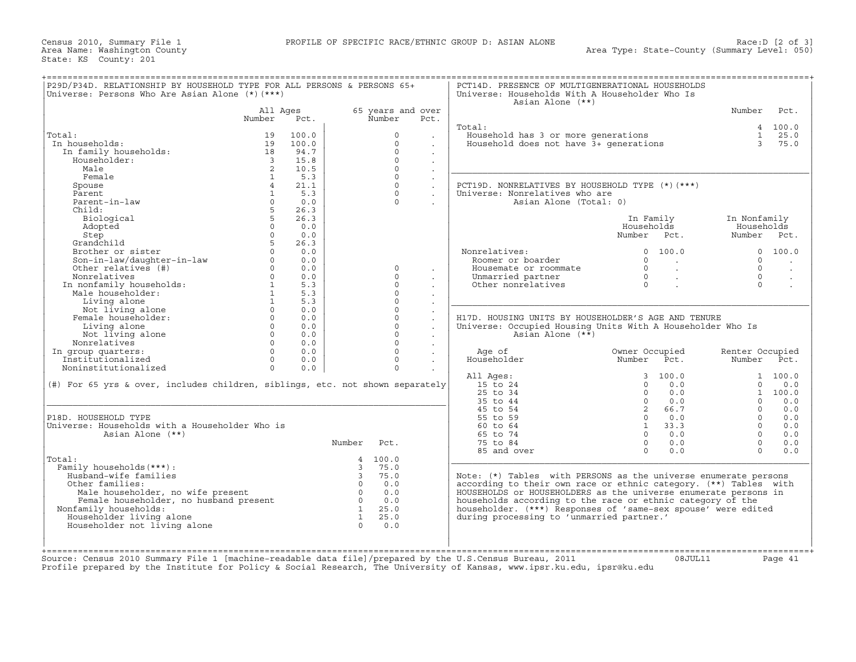Census 2010, Summary File 1 PROFILE OF SPECIFIC RACE/ETHNIC GROUP D: ASIAN ALONE Race:D [2 of 3] State: KS County: 201

| P29D/P34D. RELATIONSHIP BY HOUSEHOLD TYPE FOR ALL PERSONS & PERSONS 65+<br>Universe: Persons Who Are Asian Alone (*) (***) |                         |       |                         |                   |                      | PCT14D. PRESENCE OF MULTIGENERATIONAL HOUSEHOLDS<br>Universe: Households With A Householder Who Is<br>Asian Alone (**) |                |                          |                 |                      |
|----------------------------------------------------------------------------------------------------------------------------|-------------------------|-------|-------------------------|-------------------|----------------------|------------------------------------------------------------------------------------------------------------------------|----------------|--------------------------|-----------------|----------------------|
|                                                                                                                            | All Ages                |       |                         | 65 years and over |                      |                                                                                                                        |                |                          | Number          | Pct.                 |
|                                                                                                                            | Number                  | Pct.  |                         | Number            | Pct.                 |                                                                                                                        |                |                          |                 |                      |
|                                                                                                                            |                         |       |                         |                   |                      | Total:                                                                                                                 |                |                          |                 | 4 100.0              |
| Total:                                                                                                                     | 19                      | 100.0 |                         | $\Omega$          | $\sim$               | Household has 3 or more generations<br>Household does not have 3+ generations                                          |                |                          |                 | $1 \t 25.0$          |
| In households:                                                                                                             | 19                      | 100.0 |                         | $\Omega$          | $\sim$               |                                                                                                                        |                |                          |                 | 3, 75, 0             |
| In family households:                                                                                                      | 18                      | 94.7  |                         | $\Omega$          |                      |                                                                                                                        |                |                          |                 |                      |
| Householder:                                                                                                               | $\overline{\mathbf{3}}$ | 15.8  |                         | $\Omega$          | $\mathbf{r}$         |                                                                                                                        |                |                          |                 |                      |
| Male                                                                                                                       | 2                       | 10.5  |                         | $\Omega$          | $\sim$               |                                                                                                                        |                |                          |                 |                      |
| Female                                                                                                                     | $\mathbf{1}$            | 5.3   |                         | $\Omega$          | $\ddot{\phantom{a}}$ |                                                                                                                        |                |                          |                 |                      |
| Spouse                                                                                                                     | $\overline{4}$          | 21.1  |                         | $\Omega$          | $\sim$               | PCT19D. NONRELATIVES BY HOUSEHOLD TYPE (*) (***)                                                                       |                |                          |                 |                      |
| Parent                                                                                                                     | $\mathbf{1}$            | 5.3   |                         | $\Omega$          | $\mathbf{r}$         | Universe: Nonrelatives who are                                                                                         |                |                          |                 |                      |
| Parent-in-law                                                                                                              | $\Omega$                | 0.0   |                         | $\Omega$          |                      | Asian Alone (Total: 0)                                                                                                 |                |                          |                 |                      |
|                                                                                                                            | 5                       | 26.3  |                         |                   | $\sim$               |                                                                                                                        |                |                          |                 |                      |
| Child:                                                                                                                     |                         |       |                         |                   |                      |                                                                                                                        |                |                          |                 |                      |
| Biological                                                                                                                 |                         | 26.3  |                         |                   |                      |                                                                                                                        | In Family      |                          | In Nonfamily    |                      |
| Adopted                                                                                                                    | $\circ$                 | 0.0   |                         |                   |                      |                                                                                                                        | Households     |                          | Households      |                      |
| Step                                                                                                                       | $\Omega$                | 0.0   |                         |                   |                      |                                                                                                                        | Number Pct.    |                          | Number Pct.     |                      |
| Grandchild                                                                                                                 | 5 <sup>7</sup>          | 26.3  |                         |                   |                      |                                                                                                                        |                |                          |                 |                      |
| Brother or sister                                                                                                          |                         | 0.0   |                         |                   |                      | Nonrelatives:                                                                                                          |                | 0 100.0                  |                 | 0 100.0              |
| Son-in-law/daughter-in-law<br>Other relatives (#)                                                                          | $\Omega$                | 0.0   |                         |                   |                      | Roomer or boarder                                                                                                      | $\Omega$       | <b>Contract Contract</b> | $\Omega$        | $\ddot{\phantom{a}}$ |
| Other relatives (#)                                                                                                        | $\Omega$                | 0.0   |                         | $\Omega$          | $\cdot$              | Housemate or roommate                                                                                                  | $\overline{0}$ | <b>Contract Contract</b> | $\Omega$        | $\sim$               |
| Nonrelatives                                                                                                               | $\Omega$                | 0.0   |                         | $\Omega$          |                      | Unmarried partner                                                                                                      | $\Omega$       | $\sim 100$ km s $^{-1}$  | $\Omega$        | $\sim$               |
| Nonrelatives<br>In nonfamily households:<br>Male householder:                                                              | $\mathbf{1}$            | 5.3   |                         | $\Omega$          |                      | Other nonrelatives                                                                                                     | $\Omega$       |                          | $\Omega$        | $\mathcal{L}$        |
| Male householder:                                                                                                          | $\mathbf{1}$            | 5.3   |                         | $\Omega$          |                      |                                                                                                                        |                |                          |                 |                      |
| Living alone                                                                                                               | 1                       | 5.3   |                         | $\Omega$          |                      |                                                                                                                        |                |                          |                 |                      |
| Not living alone                                                                                                           | $\Omega$                | 0.0   |                         | $\Omega$          |                      |                                                                                                                        |                |                          |                 |                      |
| Female householder:                                                                                                        | $\Omega$                | 0.0   |                         | $\Omega$          |                      | H17D. HOUSING UNITS BY HOUSEHOLDER'S AGE AND TENURE                                                                    |                |                          |                 |                      |
| Living alone                                                                                                               | $\circ$                 | 0.0   |                         | $\Omega$          | $\ddot{\phantom{a}}$ |                                                                                                                        |                |                          |                 |                      |
|                                                                                                                            | $\Omega$                | 0.0   |                         | $\Omega$          |                      | Universe: Occupied Housing Units With A Householder Who Is                                                             |                |                          |                 |                      |
| Not living alone                                                                                                           |                         |       |                         | $\Omega$          | $\Box$               | Asian Alone $(**)$                                                                                                     |                |                          |                 |                      |
| Nonrelatives                                                                                                               | $\circ$                 | 0.0   |                         |                   | $\sim$               |                                                                                                                        |                |                          |                 |                      |
| In group quarters:                                                                                                         | $\Omega$                | 0.0   |                         | $\Omega$          |                      | Age of                                                                                                                 | Owner Occupied |                          | Renter Occupied |                      |
| Institutionalized                                                                                                          | $\circ$                 | 0.0   |                         | $\Omega$          |                      | Householder                                                                                                            | Number         | Pct.                     | Number Pct.     |                      |
| Noninstitutionalized                                                                                                       | $\Omega$                | 0.0   |                         | $\Omega$          |                      |                                                                                                                        |                |                          |                 |                      |
|                                                                                                                            |                         |       |                         |                   |                      | All Ages:                                                                                                              |                | 3 100.0                  |                 | 1, 100, 0            |
| $(\#)$ For 65 yrs & over, includes children, siblings, etc. not shown separately                                           |                         |       |                         |                   |                      | 15 to 24                                                                                                               | $\Omega$       | 0.0                      | $\Omega$        | 0.0                  |
|                                                                                                                            |                         |       |                         |                   |                      | 25 to 34                                                                                                               |                | $0 \t 0.0$               |                 | 1, 100, 0            |
|                                                                                                                            |                         |       |                         |                   |                      | 35 to 44                                                                                                               |                | $0 \t 0.0$               | $\Omega$        | 0.0                  |
|                                                                                                                            |                         |       |                         |                   |                      | 45 to 54                                                                                                               | $\overline{2}$ | 66.7                     | $\Omega$        | 0.0                  |
| P18D. HOUSEHOLD TYPE                                                                                                       |                         |       |                         |                   |                      | 55 to 59                                                                                                               | $\Omega$       | 0.0                      | $\Omega$        | 0.0                  |
| Universe: Households with a Householder Who is                                                                             |                         |       |                         |                   |                      | 60 to 64                                                                                                               |                | $1 \t33.3$               | $\Omega$        | 0.0                  |
| Asian Alone (**)                                                                                                           |                         |       |                         |                   |                      | 65 to 74                                                                                                               | $\Omega$       | 0.0                      | $\Omega$        | 0.0                  |
|                                                                                                                            |                         |       | Number                  | Pct.              |                      | 75 to 84                                                                                                               | $\Omega$       | 0.0                      | $\Omega$        | 0.0                  |
|                                                                                                                            |                         |       |                         |                   |                      |                                                                                                                        | $\Omega$       |                          | $\Omega$        |                      |
|                                                                                                                            |                         |       |                         |                   |                      | 85 and over                                                                                                            |                | 0.0                      |                 | 0.0                  |
| Total:                                                                                                                     |                         |       |                         | 4 100.0           |                      |                                                                                                                        |                |                          |                 |                      |
| Family households (***) :                                                                                                  |                         |       | 3                       | 75.0              |                      |                                                                                                                        |                |                          |                 |                      |
| Husband-wife families                                                                                                      |                         |       | $\overline{\mathbf{3}}$ | 75.0              |                      | Note: (*) Tables with PERSONS as the universe enumerate persons                                                        |                |                          |                 |                      |
| Other families:                                                                                                            |                         |       | $\overline{0}$          | 0.0               |                      | according to their own race or ethnic category. (**) Tables with                                                       |                |                          |                 |                      |
| Male householder, no wife present                                                                                          |                         |       | $\overline{0}$          | 0.0               |                      | HOUSEHOLDS or HOUSEHOLDERS as the universe enumerate persons in                                                        |                |                          |                 |                      |
| Female householder, no husband present                                                                                     |                         |       | $\overline{0}$          | 0.0               |                      | households according to the race or ethnic category of the                                                             |                |                          |                 |                      |
| Nonfamily households:                                                                                                      |                         |       | $\mathbf{1}$            | 25.0              |                      | householder. (***) Responses of 'same-sex spouse' were edited                                                          |                |                          |                 |                      |
| Householder living alone                                                                                                   |                         |       | $\overline{1}$          | 25.0              |                      | during processing to 'unmarried partner.'                                                                              |                |                          |                 |                      |
| Householder not living alone                                                                                               |                         |       | $\Omega$                | 0.0               |                      |                                                                                                                        |                |                          |                 |                      |
|                                                                                                                            |                         |       |                         |                   |                      |                                                                                                                        |                |                          |                 |                      |
|                                                                                                                            |                         |       |                         |                   |                      |                                                                                                                        |                |                          |                 |                      |
|                                                                                                                            |                         |       |                         |                   |                      |                                                                                                                        |                |                          |                 |                      |
| Source: Census 2010 Summary File 1 [machine-readable data file]/prepared by the U.S.Census Bureau, 2011                    |                         |       |                         |                   |                      |                                                                                                                        |                | 08JUL11                  |                 | Page 41              |
|                                                                                                                            |                         |       |                         |                   |                      | Profile prepared by the Institute for Policy & Social Research, The University of Kansas, www.ipsr.ku.edu, ipsr@ku.edu |                |                          |                 |                      |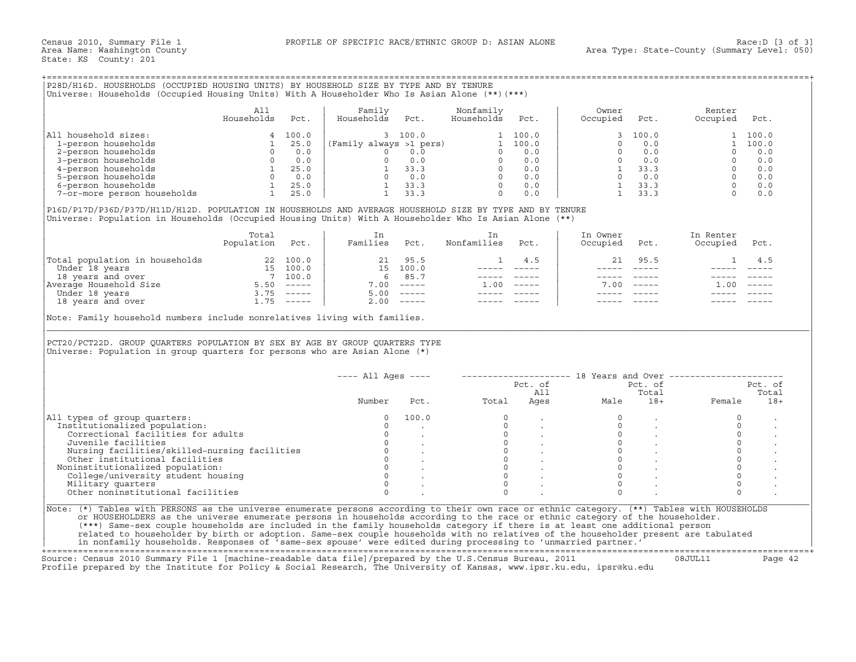## +===================================================================================================================================================+

|                             | All<br>Households | Pct.  | Family<br>Households    | Pct.    | Nonfamily<br>Households | Pct.  | Owner<br>Occupied | Pct.    | Renter<br>Occupied | Pct.  |
|-----------------------------|-------------------|-------|-------------------------|---------|-------------------------|-------|-------------------|---------|--------------------|-------|
| All household sizes:        |                   | 100.0 |                         | 3 100.0 |                         | 100.0 |                   | 3 100.0 |                    | 100.0 |
| 1-person households         |                   | 25.0  | (Family always >1 pers) |         |                         | 100.0 |                   | 0.0     |                    | 100.0 |
| 2-person households         |                   | 0.0   |                         |         |                         | 0.0   |                   | 0.0     |                    | 0.0   |
| 3-person households         |                   | 0.0   |                         | 0.0     |                         | 0.0   |                   | 0.0     |                    | 0.0   |
| 4-person households         |                   | 25.0  |                         | 33.3    |                         | 0.0   |                   | 33.3    |                    | 0.0   |
| 5-person households         |                   | 0.0   |                         | 0.0     |                         | 0.0   |                   | 0.0     |                    | 0.0   |
| 6-person households         |                   | 25.0  |                         | 33.3    |                         | 0.0   |                   | 33.3    |                    | 0.0   |
| 7-or-more person households |                   | 25.0  |                         | 33.3    |                         | 0.0   |                   | 33.3    |                    | 0.0   |

|                                | Total<br>Population | Pct.     | Families | Pct.                                                                                                                                                                                                                                                                                                                                                                                                                                                                                 | Nonfamilies | Pct.                          | In Owner<br>Occupied | Pct.        | In Renter<br>Occupied | Pct.                      |
|--------------------------------|---------------------|----------|----------|--------------------------------------------------------------------------------------------------------------------------------------------------------------------------------------------------------------------------------------------------------------------------------------------------------------------------------------------------------------------------------------------------------------------------------------------------------------------------------------|-------------|-------------------------------|----------------------|-------------|-----------------------|---------------------------|
| Total population in households |                     | 22 100.0 | 21       | 95.5                                                                                                                                                                                                                                                                                                                                                                                                                                                                                 |             | 4.5                           | 21                   | 95.5        |                       |                           |
| Under 18 years                 | 15 -                | 100.0    | 15       | 100.0                                                                                                                                                                                                                                                                                                                                                                                                                                                                                |             |                               |                      |             |                       |                           |
| 18 years and over              |                     | 100.0    | 6.       | 85.7                                                                                                                                                                                                                                                                                                                                                                                                                                                                                 |             |                               |                      |             |                       |                           |
| Average Household Size         | 5.50                | $------$ | 7.00     | $\qquad \qquad - - - - -$                                                                                                                                                                                                                                                                                                                                                                                                                                                            | 1.00        | $\cdots \cdots \cdots \cdots$ | 7.00                 | $- - - - -$ | 1.00                  | $\qquad \qquad - - - - -$ |
| Under 18 years                 | 3.75                | $------$ | 5.00     | $\begin{tabular}{cccccc} \multicolumn{2}{c}{} & \multicolumn{2}{c}{} & \multicolumn{2}{c}{} & \multicolumn{2}{c}{} & \multicolumn{2}{c}{} & \multicolumn{2}{c}{} & \multicolumn{2}{c}{} & \multicolumn{2}{c}{} & \multicolumn{2}{c}{} & \multicolumn{2}{c}{} & \multicolumn{2}{c}{} & \multicolumn{2}{c}{} & \multicolumn{2}{c}{} & \multicolumn{2}{c}{} & \multicolumn{2}{c}{} & \multicolumn{2}{c}{} & \multicolumn{2}{c}{} & \multicolumn{2}{c}{} & \multicolumn{2}{c}{} & \mult$ |             |                               |                      |             |                       |                           |
| 18 years and over              | .75                 | $------$ | 2.00     | $------$                                                                                                                                                                                                                                                                                                                                                                                                                                                                             |             |                               |                      |             |                       |                           |

|                                                                                                                                                                                                                                                                                                                                                                                                                                                                                                                                                                                                                                                                                                                                                                                      | All<br>Households                                                                                                                                                                                                                                                                                               | Pct. | Family<br>Households    | Pct.                                                                                             | Nonfamily<br>Households                                                                                                                                                                                                                                                                                                                                                                      | Pct.          | Owner<br>Occupied    | Pct.                           | Renter<br>Occupied                                                                                                                                                         | Pct.    |
|--------------------------------------------------------------------------------------------------------------------------------------------------------------------------------------------------------------------------------------------------------------------------------------------------------------------------------------------------------------------------------------------------------------------------------------------------------------------------------------------------------------------------------------------------------------------------------------------------------------------------------------------------------------------------------------------------------------------------------------------------------------------------------------|-----------------------------------------------------------------------------------------------------------------------------------------------------------------------------------------------------------------------------------------------------------------------------------------------------------------|------|-------------------------|--------------------------------------------------------------------------------------------------|----------------------------------------------------------------------------------------------------------------------------------------------------------------------------------------------------------------------------------------------------------------------------------------------------------------------------------------------------------------------------------------------|---------------|----------------------|--------------------------------|----------------------------------------------------------------------------------------------------------------------------------------------------------------------------|---------|
| All household sizes:                                                                                                                                                                                                                                                                                                                                                                                                                                                                                                                                                                                                                                                                                                                                                                 | $\begin{array}{c cc} 4 & 1 \\ 1 & 25.0 \\ 0 & 0.0 \\ 0 & 0.0 \\ 1 & 25.0 \\ 0 & 0.0 \\ 1 & 25.0 \\ 1 & 25.0 \\ 1 & 25.0 \\ 25.0 \\ 25.0 \\ 25.0 \\ 25.0 \\ 25.0 \\ 25.0 \\ 25.0 \\ 25.0 \\ 25.0 \\ 25.0 \\ 25.0 \\ 25.0 \\ 25.0 \\ 25.0 \\ 25.0 \\ 25.0 \\ 25.0 \\ 25.0 \\ 25.0 \\ 25.0 \\ 25.0 \\ 25.0 \\ 25.$ |      |                         |                                                                                                  | $\begin{array}{cccc} & 100.0 & & & & \\ \text{sys} & >1 & \text{pers} & & & \\ 0 & 0.0 & & & & \\ 0 & 0.0 & & & & \\ 0 & 0.0 & & & & \\ 1 & 33.3 & & & 0 & 0.0 \\ 1 & 0 & & & & \\ 0 & 0 & & & 0 & 0.0 \\ 0 & & & & & 0 & 0.0 \\ 0 & & & & & 0 & 0.0 \\ \end{array}$                                                                                                                         |               | 3 <sup>1</sup>       | 100.0                          |                                                                                                                                                                            | 1 100.0 |
| 1-person households                                                                                                                                                                                                                                                                                                                                                                                                                                                                                                                                                                                                                                                                                                                                                                  |                                                                                                                                                                                                                                                                                                                 |      | (Family always >1 pers) |                                                                                                  |                                                                                                                                                                                                                                                                                                                                                                                              |               | $\Omega$             | 0.0                            |                                                                                                                                                                            | 1 100.0 |
| 2-person households                                                                                                                                                                                                                                                                                                                                                                                                                                                                                                                                                                                                                                                                                                                                                                  |                                                                                                                                                                                                                                                                                                                 |      |                         |                                                                                                  |                                                                                                                                                                                                                                                                                                                                                                                              |               | $\Omega$             | 0.0                            | $\Omega$                                                                                                                                                                   | 0.0     |
| 3-person households                                                                                                                                                                                                                                                                                                                                                                                                                                                                                                                                                                                                                                                                                                                                                                  |                                                                                                                                                                                                                                                                                                                 |      |                         |                                                                                                  |                                                                                                                                                                                                                                                                                                                                                                                              |               | $\overline{0}$       |                                | $\begin{array}{cccc} 0 & 0.0 & & & & 0 \\ 0 & 0.0 & & & & & 0 \\ 1 & 33.3 & & & & 0 \\ 0 & 0.0 & & & & & 0 \\ 1 & 33.3 & & & & & 0 \\ 1 & 33.3 & & & & & 0 \\ \end{array}$ | 0.0     |
| 4-person households                                                                                                                                                                                                                                                                                                                                                                                                                                                                                                                                                                                                                                                                                                                                                                  |                                                                                                                                                                                                                                                                                                                 |      |                         | $\begin{bmatrix} 1 & 3 & 3 \\ 0 & 0 & 0 \\ 1 & 3 & 3 \end{bmatrix}$                              |                                                                                                                                                                                                                                                                                                                                                                                              |               |                      | $1 \t33.3$                     |                                                                                                                                                                            | 0.0     |
| 5-person households                                                                                                                                                                                                                                                                                                                                                                                                                                                                                                                                                                                                                                                                                                                                                                  |                                                                                                                                                                                                                                                                                                                 |      |                         |                                                                                                  |                                                                                                                                                                                                                                                                                                                                                                                              |               |                      | $0 \qquad 0.0$                 |                                                                                                                                                                            | 0.0     |
| 6-person households                                                                                                                                                                                                                                                                                                                                                                                                                                                                                                                                                                                                                                                                                                                                                                  |                                                                                                                                                                                                                                                                                                                 |      |                         |                                                                                                  |                                                                                                                                                                                                                                                                                                                                                                                              |               |                      |                                |                                                                                                                                                                            | 0.0     |
| 7-or-more person households                                                                                                                                                                                                                                                                                                                                                                                                                                                                                                                                                                                                                                                                                                                                                          |                                                                                                                                                                                                                                                                                                                 |      |                         |                                                                                                  |                                                                                                                                                                                                                                                                                                                                                                                              |               |                      | $1 \quad 33.3$                 | $\Omega$                                                                                                                                                                   | 0.0     |
| P16D/P17D/P36D/P37D/H11D/H12D. POPULATION IN HOUSEHOLDS AND AVERAGE HOUSEHOLD SIZE BY TYPE AND BY TENURE<br>Universe: Population in Households (Occupied Housing Units) With A Householder Who Is Asian Alone (**)                                                                                                                                                                                                                                                                                                                                                                                                                                                                                                                                                                   |                                                                                                                                                                                                                                                                                                                 |      |                         |                                                                                                  |                                                                                                                                                                                                                                                                                                                                                                                              |               | In Owner             |                                |                                                                                                                                                                            |         |
|                                                                                                                                                                                                                                                                                                                                                                                                                                                                                                                                                                                                                                                                                                                                                                                      | Total<br>Population Pct.                                                                                                                                                                                                                                                                                        |      | In<br>Families Pct.     |                                                                                                  | In<br>Nonfamilies                                                                                                                                                                                                                                                                                                                                                                            | Pct.          | Occupied             | Pct.                           | In Renter<br>Occupied                                                                                                                                                      | Pct.    |
|                                                                                                                                                                                                                                                                                                                                                                                                                                                                                                                                                                                                                                                                                                                                                                                      |                                                                                                                                                                                                                                                                                                                 |      |                         | 21 95.5                                                                                          | 1                                                                                                                                                                                                                                                                                                                                                                                            | 4.5           | 21                   | 95.5                           | 1                                                                                                                                                                          | 4.5     |
|                                                                                                                                                                                                                                                                                                                                                                                                                                                                                                                                                                                                                                                                                                                                                                                      |                                                                                                                                                                                                                                                                                                                 |      |                         | 15 100.0                                                                                         |                                                                                                                                                                                                                                                                                                                                                                                              | ------ ------ |                      | $\qquad \qquad - - - - -$      |                                                                                                                                                                            |         |
|                                                                                                                                                                                                                                                                                                                                                                                                                                                                                                                                                                                                                                                                                                                                                                                      |                                                                                                                                                                                                                                                                                                                 |      |                         | 6 85.7                                                                                           |                                                                                                                                                                                                                                                                                                                                                                                              | ----- -----   |                      | $------$                       |                                                                                                                                                                            |         |
|                                                                                                                                                                                                                                                                                                                                                                                                                                                                                                                                                                                                                                                                                                                                                                                      |                                                                                                                                                                                                                                                                                                                 |      |                         |                                                                                                  |                                                                                                                                                                                                                                                                                                                                                                                              | $1.00$ -----  |                      | $7.00 - - - - -$               | 1.00                                                                                                                                                                       |         |
|                                                                                                                                                                                                                                                                                                                                                                                                                                                                                                                                                                                                                                                                                                                                                                                      |                                                                                                                                                                                                                                                                                                                 |      | $7.00$ -----            |                                                                                                  |                                                                                                                                                                                                                                                                                                                                                                                              |               |                      |                                |                                                                                                                                                                            |         |
|                                                                                                                                                                                                                                                                                                                                                                                                                                                                                                                                                                                                                                                                                                                                                                                      |                                                                                                                                                                                                                                                                                                                 |      |                         | $5.00$ -----                                                                                     | $\frac{1}{2} \frac{1}{2} \frac{1}{2} \frac{1}{2} \frac{1}{2} \frac{1}{2} \frac{1}{2} \frac{1}{2} \frac{1}{2} \frac{1}{2} \frac{1}{2} \frac{1}{2} \frac{1}{2} \frac{1}{2} \frac{1}{2} \frac{1}{2} \frac{1}{2} \frac{1}{2} \frac{1}{2} \frac{1}{2} \frac{1}{2} \frac{1}{2} \frac{1}{2} \frac{1}{2} \frac{1}{2} \frac{1}{2} \frac{1}{2} \frac{1}{2} \frac{1}{2} \frac{1}{2} \frac{1}{2} \frac{$ |               |                      |                                |                                                                                                                                                                            |         |
|                                                                                                                                                                                                                                                                                                                                                                                                                                                                                                                                                                                                                                                                                                                                                                                      |                                                                                                                                                                                                                                                                                                                 |      |                         | $2.00$ -----                                                                                     |                                                                                                                                                                                                                                                                                                                                                                                              |               |                      |                                |                                                                                                                                                                            |         |
|                                                                                                                                                                                                                                                                                                                                                                                                                                                                                                                                                                                                                                                                                                                                                                                      |                                                                                                                                                                                                                                                                                                                 |      |                         |                                                                                                  |                                                                                                                                                                                                                                                                                                                                                                                              |               |                      |                                |                                                                                                                                                                            |         |
|                                                                                                                                                                                                                                                                                                                                                                                                                                                                                                                                                                                                                                                                                                                                                                                      |                                                                                                                                                                                                                                                                                                                 |      | $--- All Aqes ---$      |                                                                                                  |                                                                                                                                                                                                                                                                                                                                                                                              |               |                      |                                | -------------------- 18 Years and Over ----------------------                                                                                                              |         |
|                                                                                                                                                                                                                                                                                                                                                                                                                                                                                                                                                                                                                                                                                                                                                                                      |                                                                                                                                                                                                                                                                                                                 |      |                         |                                                                                                  |                                                                                                                                                                                                                                                                                                                                                                                              | Pct. of       |                      | Pct. of                        |                                                                                                                                                                            | Pct. of |
|                                                                                                                                                                                                                                                                                                                                                                                                                                                                                                                                                                                                                                                                                                                                                                                      |                                                                                                                                                                                                                                                                                                                 |      |                         |                                                                                                  |                                                                                                                                                                                                                                                                                                                                                                                              | All           |                      | Total                          |                                                                                                                                                                            | Total   |
|                                                                                                                                                                                                                                                                                                                                                                                                                                                                                                                                                                                                                                                                                                                                                                                      |                                                                                                                                                                                                                                                                                                                 |      | Number                  | Pct.                                                                                             | Total                                                                                                                                                                                                                                                                                                                                                                                        | Ages          | Male                 | $18+$                          | Female                                                                                                                                                                     | $18+$   |
|                                                                                                                                                                                                                                                                                                                                                                                                                                                                                                                                                                                                                                                                                                                                                                                      |                                                                                                                                                                                                                                                                                                                 |      | $\Omega$                | 100.0                                                                                            | $\Omega$                                                                                                                                                                                                                                                                                                                                                                                     |               | $\Omega$             |                                | $\Omega$                                                                                                                                                                   |         |
|                                                                                                                                                                                                                                                                                                                                                                                                                                                                                                                                                                                                                                                                                                                                                                                      |                                                                                                                                                                                                                                                                                                                 |      | $\Omega$                |                                                                                                  | $\Omega$                                                                                                                                                                                                                                                                                                                                                                                     |               | $\Omega$             |                                | $\Omega$                                                                                                                                                                   |         |
| Correctional facilities for adults                                                                                                                                                                                                                                                                                                                                                                                                                                                                                                                                                                                                                                                                                                                                                   |                                                                                                                                                                                                                                                                                                                 |      | $\circ$                 |                                                                                                  |                                                                                                                                                                                                                                                                                                                                                                                              |               | $\circ$              |                                | $\circ$                                                                                                                                                                    |         |
| Juvenile facilities                                                                                                                                                                                                                                                                                                                                                                                                                                                                                                                                                                                                                                                                                                                                                                  |                                                                                                                                                                                                                                                                                                                 |      |                         | $0 \qquad \qquad$<br>$\sim$                                                                      |                                                                                                                                                                                                                                                                                                                                                                                              |               |                      | $\overline{0}$<br>$\mathbf{r}$ | $\circ$                                                                                                                                                                    |         |
|                                                                                                                                                                                                                                                                                                                                                                                                                                                                                                                                                                                                                                                                                                                                                                                      |                                                                                                                                                                                                                                                                                                                 |      |                         |                                                                                                  |                                                                                                                                                                                                                                                                                                                                                                                              |               | $\Omega$             |                                | $\Omega$                                                                                                                                                                   |         |
| Nursing facilities/skilled-nursing facilities                                                                                                                                                                                                                                                                                                                                                                                                                                                                                                                                                                                                                                                                                                                                        |                                                                                                                                                                                                                                                                                                                 |      |                         |                                                                                                  | $\begin{matrix} 0 \\ 0 \\ 0 \end{matrix}$<br>$\overline{0}$                                                                                                                                                                                                                                                                                                                                  |               | $\circ$              |                                | $\circ$                                                                                                                                                                    |         |
| Other institutional facilities                                                                                                                                                                                                                                                                                                                                                                                                                                                                                                                                                                                                                                                                                                                                                       |                                                                                                                                                                                                                                                                                                                 |      |                         |                                                                                                  | $\Omega$                                                                                                                                                                                                                                                                                                                                                                                     |               | $\Omega$             |                                |                                                                                                                                                                            |         |
|                                                                                                                                                                                                                                                                                                                                                                                                                                                                                                                                                                                                                                                                                                                                                                                      |                                                                                                                                                                                                                                                                                                                 |      | $\Omega$                | $\begin{matrix} 0 & & \cdot \\ & 0 & & \cdot \\ & & \cdot & \cdot \\ & & & \cdot & \end{matrix}$ | $\Omega$                                                                                                                                                                                                                                                                                                                                                                                     |               | $\Omega$             |                                | $\circ$                                                                                                                                                                    |         |
| College/university student housing                                                                                                                                                                                                                                                                                                                                                                                                                                                                                                                                                                                                                                                                                                                                                   |                                                                                                                                                                                                                                                                                                                 |      | $\Omega$                |                                                                                                  | $\Omega$                                                                                                                                                                                                                                                                                                                                                                                     |               |                      |                                | $\Omega$                                                                                                                                                                   |         |
| Noninstitutionalized population:<br>Military quarters<br>Other noninstitutional facilities                                                                                                                                                                                                                                                                                                                                                                                                                                                                                                                                                                                                                                                                                           |                                                                                                                                                                                                                                                                                                                 |      | $\Omega$                |                                                                                                  | $\Omega$                                                                                                                                                                                                                                                                                                                                                                                     |               | $\Omega$<br>$\Omega$ |                                | $\Omega$<br>$\Omega$                                                                                                                                                       |         |
| $\begin{tabular}{ l l } \hline \texttt{Total population in households} & \multicolumn{1}{ l }{{\tt{22 }} \quad 100.0} \\ \hline \texttt{Under 18 years} & \multicolumn{1}{ l }{{\tt{30.0}}} \\ \hline \texttt{18 years and over} & \multicolumn{1}{ l }{{\tt{7 }} \quad 100.0} \\ \hline \texttt{Nverage Household Size} & \multicolumn{1}{ l }{{\tt{5.50 }} \quad 222.00000} \\ \hline \texttt{Mverage Household Size} & \multicolumn{1}{ l }{{\tt{5.50 }} \quad 222.0$<br>Note: Family household numbers include nonrelatives living with families.<br>PCT20/PCT22D. GROUP QUARTERS POPULATION BY SEX BY AGE BY GROUP QUARTERS TYPE<br>Universe: Population in group quarters for persons who are Asian Alone (*)<br>All types of group quarters:<br>Institutionalized population: |                                                                                                                                                                                                                                                                                                                 |      |                         |                                                                                                  |                                                                                                                                                                                                                                                                                                                                                                                              |               |                      |                                |                                                                                                                                                                            |         |
|                                                                                                                                                                                                                                                                                                                                                                                                                                                                                                                                                                                                                                                                                                                                                                                      |                                                                                                                                                                                                                                                                                                                 |      |                         |                                                                                                  |                                                                                                                                                                                                                                                                                                                                                                                              |               |                      |                                |                                                                                                                                                                            |         |
|                                                                                                                                                                                                                                                                                                                                                                                                                                                                                                                                                                                                                                                                                                                                                                                      |                                                                                                                                                                                                                                                                                                                 |      |                         |                                                                                                  |                                                                                                                                                                                                                                                                                                                                                                                              |               |                      |                                |                                                                                                                                                                            |         |
|                                                                                                                                                                                                                                                                                                                                                                                                                                                                                                                                                                                                                                                                                                                                                                                      |                                                                                                                                                                                                                                                                                                                 |      |                         |                                                                                                  |                                                                                                                                                                                                                                                                                                                                                                                              |               |                      |                                |                                                                                                                                                                            |         |
|                                                                                                                                                                                                                                                                                                                                                                                                                                                                                                                                                                                                                                                                                                                                                                                      |                                                                                                                                                                                                                                                                                                                 |      |                         |                                                                                                  |                                                                                                                                                                                                                                                                                                                                                                                              |               |                      |                                |                                                                                                                                                                            |         |

+===================================================================================================================================================+Source: Census 2010 Summary File 1 [machine−readable data file]/prepared by the U.S.Census Bureau, 2011 08JUL11 Page 42 Profile prepared by the Institute for Policy & Social Research, The University of Kansas, www.ipsr.ku.edu, ipsr@ku.edu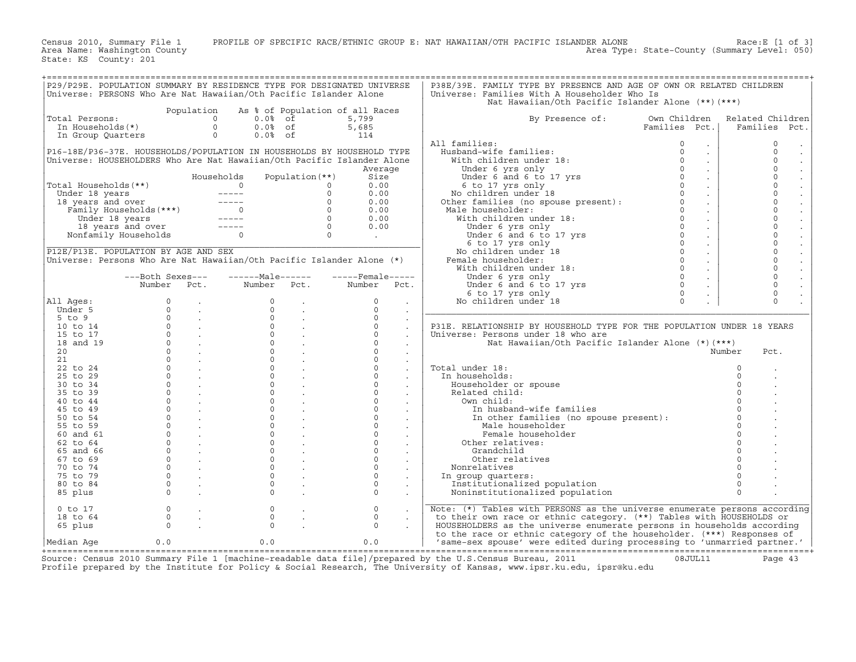Census 2010, Summary File 1 PROFILE OF SPECIFIC RACE/ETHNIC GROUP E: NAT HAWAIIAN/OTH PACIFIC ISLANDER ALONE Race:E [1 of 3]<br>Area Name: Washington County Level: 050) Area Type: State−County (Summary Level: 050) State: KS County: 201 +===================================================================================================================================================+|P29/P29E. POPULATION SUMMARY BY RESIDENCE TYPE FOR DESIGNATED UNIVERSE | P38E/39E. FAMILY TYPE BY PRESENCE AND AGE OF OWN OR RELATED CHILDREN | |Universe: PERSONS Who Are Nat Hawaiian/Oth Pacific Islander Alone | Universe: Families With A Householder Who Is | | | Nat Hawaiian/Oth Pacific Islander Alone (\*\*)(\*\*\*) | | Population As % of Population of all Races | | |Total Persons: 0 0.0% of 5,799 | By Presence of: Own Children Related Children| | In Households(\*) 0 0.0% of 5,685 | Families Pct.| Families Pct.| | In Group Quarters 0 0.0% of 114 | | | | | All families: 0 . | 0 . | |P16−18E/P36−37E. HOUSEHOLDS/POPULATION IN HOUSEHOLDS BY HOUSEHOLD TYPE | Husband−wife families: 0 . | 0 . | |Universe: HOUSEHOLDERS Who Are Nat Hawaiian/Oth Pacific Islander Alone | With children under 18: 0 . | 0 . | | Average | Under 6 yrs only 0 . | 0 . | | Households Population(\*\*) Size | Under 6 and 6 to 17 yrs 0 . | 0 . | |Total Households(\*\*) 0 0 0.00 | 6 to 17 yrs only 0 . | 0 . | | Under 18 years −−−−− 0 0.00 | No children under 18 0 . | 0 . | | 18 years and over −−−−− 0 0.00 | Other families (no spouse present): 0 . | 0 . | | Family Households(\*\*\*) 0 0 0.00 | Male householder: 0 . | 0 . | | Under 18 years −−−−− 0 0.00 | With children under 18: 0 . | 0 . | | 18 years and over −−−−− 0 0.00 | Under 6 yrs only 0 . | 0 . | | Nonfamily Households 0 0 . | Under 6 and 6 to 17 yrs 0 . | 0 . | |\_\_\_\_\_\_\_\_\_\_\_\_\_\_\_\_\_\_\_\_\_\_\_\_\_\_\_\_\_\_\_\_\_\_\_\_\_\_\_\_\_\_\_\_\_\_\_\_\_\_\_\_\_\_\_\_\_\_\_\_\_\_\_\_\_\_\_\_\_\_\_\_| 6 to 17 yrs only 0 . | 0 . | |P12E/P13E. POPULATION BY AGE AND SEX | No children under 18 0 . | 0 . | |Universe: Persons Who Are Nat Hawaiian/Oth Pacific Islander Alone (\*) | Female householder: 0 . | 0 . | | | With children under 18: 0 . | 0 . | | −−−Both Sexes−−− −−−−−−Male−−−−−− −−−−−Female−−−−− | Under 6 yrs only 0 . | 0 . | | Number Pct. Number Pct. Number Pct. | Under 6 and 6 to 17 yrs 0 . | 0 . | | | 6 to 17 yrs only 0 . | 0 . | |All Ages: 0 . 0 . 0 . | No children under 18 0 . | 0 . | | Under 5 0 . 0 . 0 . |\_\_\_\_\_\_\_\_\_\_\_\_\_\_\_\_\_\_\_\_\_\_\_\_\_\_\_\_\_\_\_\_\_\_\_\_\_\_\_\_\_\_\_\_\_\_\_\_\_\_\_\_\_\_\_\_\_\_\_\_\_\_\_\_\_\_\_\_\_\_\_\_\_\_| | 5 to 9 0 . 0 . 0 . | | | 10 to 14 0 . 0 . 0 . | P31E. RELATIONSHIP BY HOUSEHOLD TYPE FOR THE POPULATION UNDER 18 YEARS | | 15 to 17 0 . 0 . 0 . | Universe: Persons under 18 who are | | 18 and 19 0 . 0 . 0 . | Nat Hawaiian/Oth Pacific Islander Alone (\*)(\*\*\*) | | 20 0 . 0 . 0 . | Number Pct. | | 21 0 . 0 . 0 . | | | 22 to 24 0 . 0 . 0 . | Total under 18: 0 . | | 25 to 29 0 . 0 . 0 . | In households: 0 . | | 30 to 34 0 . 0 . 0 . | Householder or spouse 0 . | | 35 to 39 0 . 0 . 0 . | Related child: 0 . | | 40 to 44 0 . 0 . 0 . | Own child: 0 . | | 45 to 49 0 . 0 . 0 . | In husband−wife families 0 . | | 50 to 54 0 . 0 . 0 . | In other families (no spouse present): 0 . | | 55 to 59 0 . 0 . 0 . | Male householder 0 . | | 60 and 61 0 . 0 . 0 . | Female householder 0 . | | 62 to 64 0 . 0 . 0 . | Other relatives: 0 . | | 65 and 66 0 . 0 . 0 . | Grandchild 0 . | | 67 to 69 0 . 0 . 0 . | Other relatives 0 . | | 70 to 74 0 . 0 . 0 . | Nonrelatives 0 . | | 75 to 79 0 . 0 . 0 . | In group quarters: 0 . | | 80 to 84 0 . 0 . 0 . | Institutionalized population 0 . | | 85 plus 0 . 0 . 0 . | Noninstitutionalized population 0 . | | |\_\_\_\_\_\_\_\_\_\_\_\_\_\_\_\_\_\_\_\_\_\_\_\_\_\_\_\_\_\_\_\_\_\_\_\_\_\_\_\_\_\_\_\_\_\_\_\_\_\_\_\_\_\_\_\_\_\_\_\_\_\_\_\_\_\_\_\_\_\_\_\_\_\_| | 0 to 17 0 . 0 . 0 . | Note: (\*) Tables with PERSONS as the universe enumerate persons according| | 18 to 64 0 . 0 . 0 . | to their own race or ethnic category. (\*\*) Tables with HOUSEHOLDS or | | 65 plus 0 . 0 . 0 . | HOUSEHOLDERS as the universe enumerate persons in households according | | | to the race or ethnic category of the householder. (\*\*\*) Responses of | |Median Age 0.0 0.0 0.0 | 'same−sex spouse' were edited during processing to 'unmarried partner.' | +===================================================================================================================================================+

Source: Census 2010 Summary File 1 [machine−readable data file]/prepared by the U.S.Census Bureau, 2011 08JUL11 Page 43 Profile prepared by the Institute for Policy & Social Research, The University of Kansas, www.ipsr.ku.edu, ipsr@ku.edu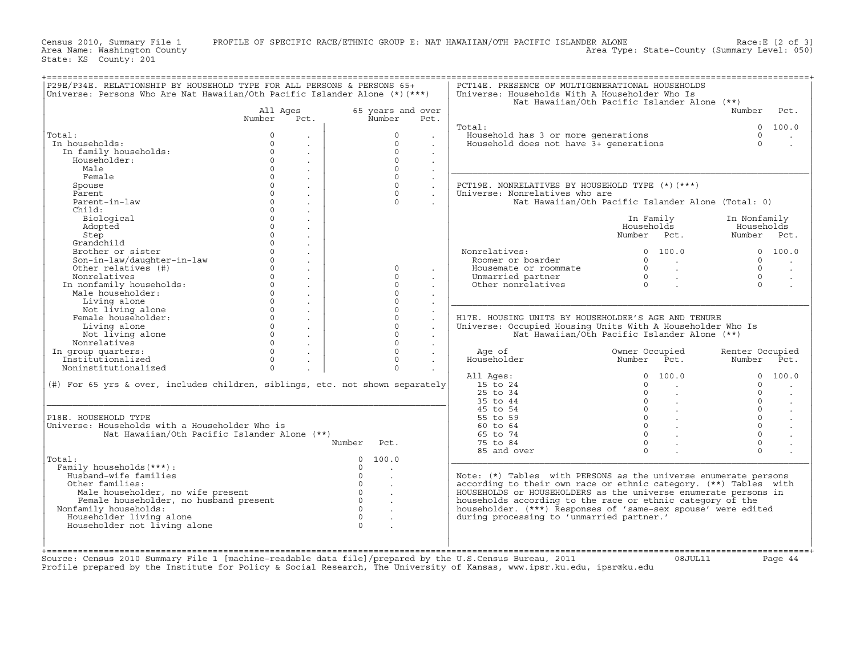Census 2010, Summary File 1 PROFILE OF SPECIFIC RACE/ETHNIC GROUP E: NAT HAWAIIAN/OTH PACIFIC ISLANDER ALONE Race:E [2 of 3]<br>Area Name: Washington County Level: 050) Area Type: State−County (Summary Level: 050)

+===================================================================================================================================================+|P29E/P34E. RELATIONSHIP BY HOUSEHOLD TYPE FOR ALL PERSONS & PERSONS 65+ | PCT14E. PRESENCE OF MULTIGENERATIONAL HOUSEHOLDS | |Universe: Persons Who Are Nat Hawaiian/Oth Pacific Islander Alone (\*)(\*\*\*) | Universe: Households With A Householder Who Is | | | Nat Hawaiian/Oth Pacific Islander Alone (\*\*) | | All Ages 65 years and over | Number Pct. | | Number Pct. Number Pct. | | | | | Total: 0 100.0 | |Total: 0 . | 0 . | Household has 3 or more generations 0 . | | In households: 0 . | 0 . | Household does not have 3+ generations 0 . | | In family households: 0 . | 0 . | | | Householder: 0 . | 0 . | | | Male 0 . | 0 . |\_\_\_\_\_\_\_\_\_\_\_\_\_\_\_\_\_\_\_\_\_\_\_\_\_\_\_\_\_\_\_\_\_\_\_\_\_\_\_\_\_\_\_\_\_\_\_\_\_\_\_\_\_\_\_\_\_\_\_\_\_\_\_\_\_\_\_\_\_| | Female 0 . | 0 . | | | Spouse 0 . | 0 . | PCT19E. NONRELATIVES BY HOUSEHOLD TYPE (\*)(\*\*\*) | | Parent 0 . | 0 . | Universe: Nonrelatives who are | | Parent−in−law 0 . | 0 . | Nat Hawaiian/Oth Pacific Islander Alone (Total: 0) | | Child: 0 . | | | | Biological 0 . | | In Family In Nonfamily | | Adopted 0 . | | Households Households | | Step 0 . | | Number Pct. Number Pct. | | Grandchild 0 . | | | | Brother or sister 0 . | | Nonrelatives: 0 100.0 0 100.0 | | Son−in−law/daughter−in−law 0 . | | Roomer or boarder 0 . 0 . | | Other relatives (#) 0 . | 0 . | Housemate or roommate 0 . 0 . | | Nonrelatives 0 . | 0 . | Unmarried partner 0 . 0 . | | In nonfamily households: 0 . | 0 . | Other nonrelatives 0 . 0 . | | Male householder: 0 . | 0 . | | | Living alone 0 . | 0 . |\_\_\_\_\_\_\_\_\_\_\_\_\_\_\_\_\_\_\_\_\_\_\_\_\_\_\_\_\_\_\_\_\_\_\_\_\_\_\_\_\_\_\_\_\_\_\_\_\_\_\_\_\_\_\_\_\_\_\_\_\_\_\_\_\_\_\_\_\_| | Not living alone 0 . | 0 . | | | Female householder: 0 . | 0 . | H17E. HOUSING UNITS BY HOUSEHOLDER'S AGE AND TENURE | | Living alone 0 . | 0 . | Universe: Occupied Housing Units With A Householder Who Is | | Not living alone 0 . | 0 . | Nat Hawaiian/Oth Pacific Islander Alone (\*\*) | | Nonrelatives 0 . | 0 . | | | In group quarters: 0 . | 0 . | Age of Owner Occupied Renter Occupied | | Institutionalized 0 . | 0 . | Householder Number Pct. Number Pct. | | Noninstitutionalized 0 . | 0 . | | | | All Ages: 0 100.0 0 100.0 | |(#) For 65 yrs & over, includes children, siblings, etc. not shown separately| 15 to 24 0 . 0 . | | | 25 to 34 0 . 0 . | |\_\_\_\_\_\_\_\_\_\_\_\_\_\_\_\_\_\_\_\_\_\_\_\_\_\_\_\_\_\_\_\_\_\_\_\_\_\_\_\_\_\_\_\_\_\_\_\_\_\_\_\_\_\_\_\_\_\_\_\_\_\_\_\_\_\_\_\_\_\_\_\_\_\_\_\_\_| 35 to 44 0 . 0 . | | | 45 to 54 0 . 0 . | |P18E. HOUSEHOLD TYPE | 55 to 59 0 . 0 . | |Universe: Households with a Householder Who is | 60 to 64 0 . 0 . | | Nat Hawaiian/Oth Pacific Islander Alone (\*\*) | 65 to 74 0 . 0 . | | Number Pct. | 75 to 84 0 . 0 . | | | 85 and over 0 . 0 . | |Total: 0 100.0 |\_\_\_\_\_\_\_\_\_\_\_\_\_\_\_\_\_\_\_\_\_\_\_\_\_\_\_\_\_\_\_\_\_\_\_\_\_\_\_\_\_\_\_\_\_\_\_\_\_\_\_\_\_\_\_\_\_\_\_\_\_\_\_\_\_\_\_\_\_| | Family households(\*\*\*): 0 . | | | Husband−wife families 0 . | Note: (\*) Tables with PERSONS as the universe enumerate persons | | Other families: 0 . | according to their own race or ethnic category. (\*\*) Tables with | | Male householder, no wife present 0 . | HOUSEHOLDS or HOUSEHOLDERS as the universe enumerate persons in | | Female householder, no husband present 0 . | households according to the race or ethnic category of the | | Nonfamily households: 0 . | householder. (\*\*\*) Responses of 'same−sex spouse' were edited | | Householder living alone 0 . | during processing to 'unmarried partner.' | | Householder not living alone 0 . | | | | | | | |

Profile prepared by the Institute for Policy & Social Research, The University of Kansas, www.ipsr.ku.edu, ipsr@ku.edu

+===================================================================================================================================================+Source: Census 2010 Summary File 1 [machine−readable data file]/prepared by the U.S.Census Bureau, 2011 08JUL11 Page 44

State: KS County: 201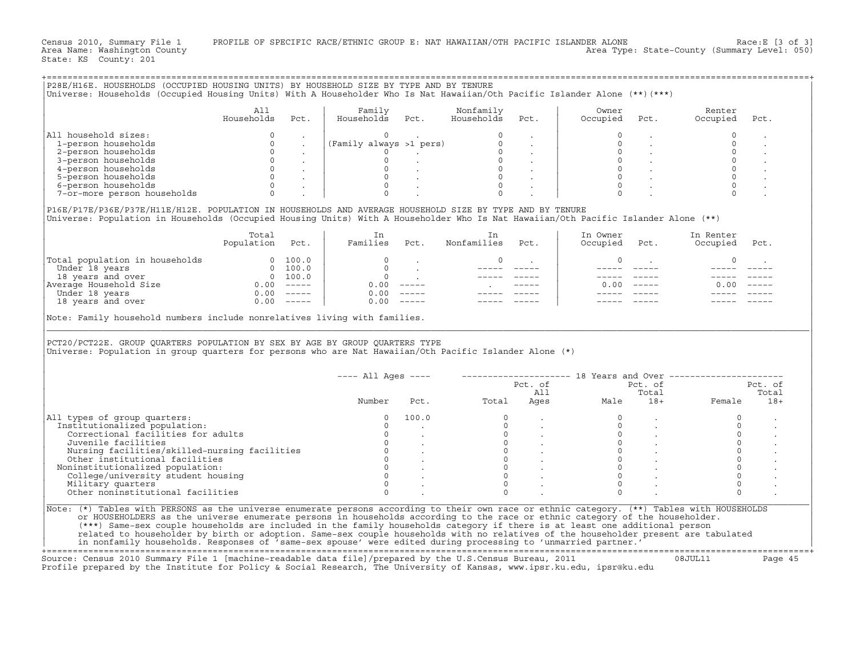Census 2010, Summary File 1 PROFILE OF SPECIFIC RACE/ETHNIC GROUP E: NAT HAWAIIAN/OTH PACIFIC ISLANDER ALONE Race:E [3 of 3]<br>Area Name: Washington County Level: 050) Area Type: State-County (Summary Level: 050) Area Type: State−County (Summary Level: 050)

+===================================================================================================================================================+

State: KS County: 201

|P28E/H16E. HOUSEHOLDS (OCCUPIED HOUSING UNITS) BY HOUSEHOLD SIZE BY TYPE AND BY TENURE | |Universe: Households (Occupied Housing Units) With A Householder Who Is Nat Hawaiian/Oth Pacific Islander Alone (\*\*)(\*\*\*) | | | | All | Family Nonfamily | Owner Renter | | Households Pct. | Households Pct. Households Pct. | Occupied Pct. Occupied Pct. | | | | | |All household sizes: 0 . | 0 . 0 . | 0 . 0 . | | 1−person households 0 . |(Family always >1 pers) 0 . | 0 . 0 . | | 2−person households 0 . | 0 . 0 . | 0 . 0 . | | 3−person households 0 . | 0 . 0 . | 0 . 0 . | | 4−person households 0 . | 0 . 0 . | 0 . 0 . | | 5−person households 0 . | 0 . 0 . | 0 . 0 . | | 6−person households 0 . | 0 . 0 . | 0 . 0 . | | 7−or−more person households 0 . | 0 . 0 . | 0 . 0 . | | | |P16E/P17E/P36E/P37E/H11E/H12E. POPULATION IN HOUSEHOLDS AND AVERAGE HOUSEHOLD SIZE BY TYPE AND BY TENURE | |Universe: Population in Households (Occupied Housing Units) With A Householder Who Is Nat Hawaiian/Oth Pacific Islander Alone (\*\*) | | | | Total | In In | In Owner In Renter | | Population Pct. | Families Pct. Nonfamilies Pct. | Occupied Pct. Occupied Pct. | | | | | |Total population in households 0 100.0 | 0 . 0 . | 0 . 0 . | | Under 18 years 0 100.0 | 0 . −−−−− −−−−− | −−−−− −−−−− −−−−− −−−−− | | 18 years and over 0 100.0 | 0 . −−−−− −−−−− | −−−−− −−−−− −−−−− −−−−− | |Average Household Size 0.00 −−−−− | 0.00 −−−−− . −−−−− | 0.00 −−−−− 0.00 −−−−− | | Under 18 years 0.00 −−−−− | 0.00 −−−−− −−−−− −−−−− | −−−−− −−−−− −−−−− −−−−− | | 18 years and over 0.00 −−−−− | 0.00 −−−−− −−−−− −−−−− | −−−−− −−−−− −−−−− −−−−− | | | |Note: Family household numbers include nonrelatives living with families. | |\_\_\_\_\_\_\_\_\_\_\_\_\_\_\_\_\_\_\_\_\_\_\_\_\_\_\_\_\_\_\_\_\_\_\_\_\_\_\_\_\_\_\_\_\_\_\_\_\_\_\_\_\_\_\_\_\_\_\_\_\_\_\_\_\_\_\_\_\_\_\_\_\_\_\_\_\_\_\_\_\_\_\_\_\_\_\_\_\_\_\_\_\_\_\_\_\_\_\_\_\_\_\_\_\_\_\_\_\_\_\_\_\_\_\_\_\_\_\_\_\_\_\_\_\_\_\_\_\_\_\_\_\_\_\_\_\_\_\_\_\_\_\_\_\_\_\_| | | |PCT20/PCT22E. GROUP QUARTERS POPULATION BY SEX BY AGE BY GROUP QUARTERS TYPE | |Universe: Population in group quarters for persons who are Nat Hawaiian/Oth Pacific Islander Alone (\*) | | | | | | −−−− All Ages −−−− −−−−−−−−−−−−−−−−−−−−− 18 Years and Over −−−−−−−−−−−−−−−−−−−−−− | | Pct. of Pct. of Pct. of | | All Total Total | | Number Pct. Total Ages Male 18+ Female 18+ | | | |All types of group quarters: 0 100.0 0 . 0 . 0 . | | Institutionalized population: 0 . 0 . 0 . 0 . | | Correctional facilities for adults 0 . 0 . 0 . 0 . | | Juvenile facilities 0 . 0 . 0 . 0 . | | Nursing facilities/skilled−nursing facilities 0 . 0 . 0 . 0 . | | Other institutional facilities 0 . 0 . 0 . 0 . | | Noninstitutionalized population: 0 . 0 . 0 . 0 . | | College/university student housing 0 . 0 . 0 . 0 . | | Military quarters 0 . 0 . 0 . 0 . | | Other noninstitutional facilities 0 . 0 . 0 . 0 . | |\_\_\_\_\_\_\_\_\_\_\_\_\_\_\_\_\_\_\_\_\_\_\_\_\_\_\_\_\_\_\_\_\_\_\_\_\_\_\_\_\_\_\_\_\_\_\_\_\_\_\_\_\_\_\_\_\_\_\_\_\_\_\_\_\_\_\_\_\_\_\_\_\_\_\_\_\_\_\_\_\_\_\_\_\_\_\_\_\_\_\_\_\_\_\_\_\_\_\_\_\_\_\_\_\_\_\_\_\_\_\_\_\_\_\_\_\_\_\_\_\_\_\_\_\_\_\_\_\_\_\_\_\_\_\_\_\_\_\_\_\_\_\_\_\_\_\_| |Note: (\*) Tables with PERSONS as the universe enumerate persons according to their own race or ethnic category. (\*\*) Tables with HOUSEHOLDS | | or HOUSEHOLDERS as the universe enumerate persons in households according to the race or ethnic category of the householder. | | (\*\*\*) Same−sex couple households are included in the family households category if there is at least one additional person | | related to householder by birth or adoption. Same−sex couple households with no relatives of the householder present are tabulated | | in nonfamily households. Responses of 'same−sex spouse' were edited during processing to 'unmarried partner.' |

+===================================================================================================================================================+Source: Census 2010 Summary File 1 [machine−readable data file]/prepared by the U.S.Census Bureau, 2011 08JUL11 Page 45 Profile prepared by the Institute for Policy & Social Research, The University of Kansas, www.ipsr.ku.edu, ipsr@ku.edu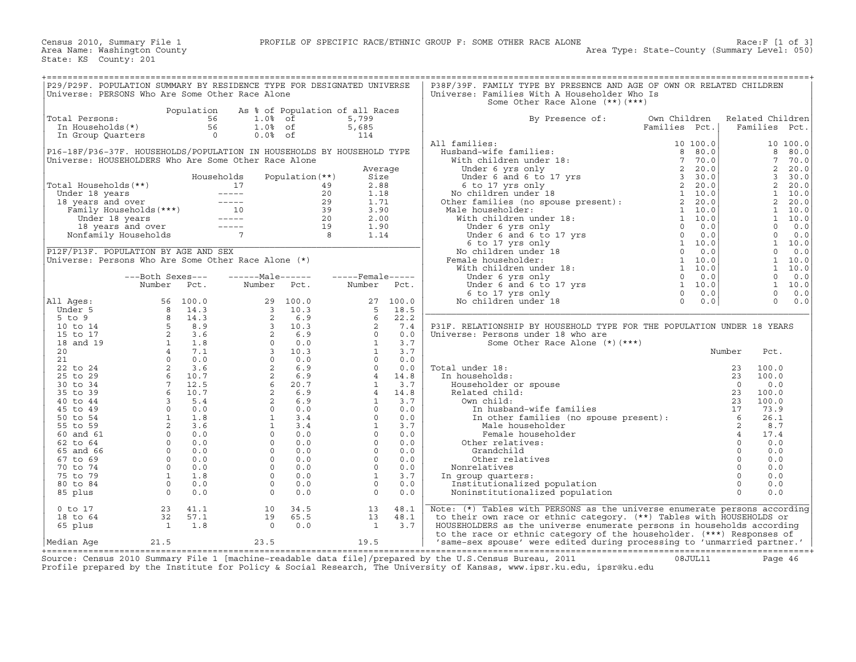| P29/P29F. POPULATION SUMMARY BY RESIDENCE TYPE FOR DESIGNATED UNIVERSE                                                                                                                                                                                     |                                                                     |                                                                                                                                                                                                                                                                                |                   |                   |             | P38F/39F. FAMILY TYPE BY PRESENCE AND AGE OF OWN OR RELATED CHILDREN                                                                                                                                                                                                                                                                                                                                                                                                                                                                                   |               |          |                  |            |
|------------------------------------------------------------------------------------------------------------------------------------------------------------------------------------------------------------------------------------------------------------|---------------------------------------------------------------------|--------------------------------------------------------------------------------------------------------------------------------------------------------------------------------------------------------------------------------------------------------------------------------|-------------------|-------------------|-------------|--------------------------------------------------------------------------------------------------------------------------------------------------------------------------------------------------------------------------------------------------------------------------------------------------------------------------------------------------------------------------------------------------------------------------------------------------------------------------------------------------------------------------------------------------------|---------------|----------|------------------|------------|
| Universe: PERSONS Who Are Some Other Race Alone                                                                                                                                                                                                            |                                                                     |                                                                                                                                                                                                                                                                                |                   |                   |             | Universe: Families With A Householder Who Is                                                                                                                                                                                                                                                                                                                                                                                                                                                                                                           |               |          |                  |            |
|                                                                                                                                                                                                                                                            |                                                                     |                                                                                                                                                                                                                                                                                |                   |                   |             | Some Other Race Alone (**) (***)                                                                                                                                                                                                                                                                                                                                                                                                                                                                                                                       |               |          |                  |            |
|                                                                                                                                                                                                                                                            |                                                                     | Population As % of Population of all Races                                                                                                                                                                                                                                     |                   |                   |             |                                                                                                                                                                                                                                                                                                                                                                                                                                                                                                                                                        |               |          |                  |            |
| Total Persons:                                                                                                                                                                                                                                             |                                                                     |                                                                                                                                                                                                                                                                                |                   | 5,799             |             | By Presence of:                                                                                                                                                                                                                                                                                                                                                                                                                                                                                                                                        | Own Children  |          | Related Children |            |
|                                                                                                                                                                                                                                                            |                                                                     |                                                                                                                                                                                                                                                                                |                   |                   |             |                                                                                                                                                                                                                                                                                                                                                                                                                                                                                                                                                        | Families Pct. |          | Families Pct.    |            |
| otal Persons:<br>In Households(*)<br>In Group Quarters<br>$\begin{array}{ccc} 56 & 1.08 & 65 \\ 1.08 & 65 \\ \text{In Group Quarterly} & 56 & 1.08 \\ 0 & 0.08 & 65 \\ \end{array}$                                                                        |                                                                     |                                                                                                                                                                                                                                                                                |                   | 5,685<br>114      |             |                                                                                                                                                                                                                                                                                                                                                                                                                                                                                                                                                        |               |          |                  |            |
|                                                                                                                                                                                                                                                            |                                                                     |                                                                                                                                                                                                                                                                                |                   |                   |             | 10 100.0<br>Husband-wife families:<br>With children under 18:<br>Under 6 yrs only<br>Under 6 and 6 to 17 yrs<br>6 to 17 yrs 11<br>No children under 18<br>Other families (no spouse present):<br>2 20.0<br>Mo children under 18<br>2 20.0<br>Mo chil                                                                                                                                                                                                                                                                                                   |               |          |                  |            |
|                                                                                                                                                                                                                                                            |                                                                     |                                                                                                                                                                                                                                                                                |                   |                   |             | All families:                                                                                                                                                                                                                                                                                                                                                                                                                                                                                                                                          |               |          |                  | 10 100.0   |
| P16-18F/P36-37F. HOUSEHOLDS/POPULATION IN HOUSEHOLDS BY HOUSEHOLD TYPE                                                                                                                                                                                     |                                                                     |                                                                                                                                                                                                                                                                                |                   |                   |             |                                                                                                                                                                                                                                                                                                                                                                                                                                                                                                                                                        |               |          | 8                | 80.0       |
| Universe: HOUSEHOLDERS Who Are Some Other Race Alone                                                                                                                                                                                                       |                                                                     |                                                                                                                                                                                                                                                                                |                   |                   |             |                                                                                                                                                                                                                                                                                                                                                                                                                                                                                                                                                        |               |          | $7^{\circ}$      | 70.0       |
|                                                                                                                                                                                                                                                            |                                                                     |                                                                                                                                                                                                                                                                                |                   |                   | Average     |                                                                                                                                                                                                                                                                                                                                                                                                                                                                                                                                                        |               |          | 2                | 20.0       |
|                                                                                                                                                                                                                                                            |                                                                     | Households                                                                                                                                                                                                                                                                     | Population $(**)$ |                   | Size        |                                                                                                                                                                                                                                                                                                                                                                                                                                                                                                                                                        |               |          | 3 <sup>7</sup>   | 30.0       |
|                                                                                                                                                                                                                                                            |                                                                     |                                                                                                                                                                                                                                                                                |                   |                   | 2.88        |                                                                                                                                                                                                                                                                                                                                                                                                                                                                                                                                                        |               |          | $\overline{2}$   | 20.0       |
|                                                                                                                                                                                                                                                            |                                                                     |                                                                                                                                                                                                                                                                                |                   |                   | 1.18        |                                                                                                                                                                                                                                                                                                                                                                                                                                                                                                                                                        |               |          | $\mathbf{1}$     | 10.0       |
|                                                                                                                                                                                                                                                            |                                                                     |                                                                                                                                                                                                                                                                                |                   |                   | 1.71        |                                                                                                                                                                                                                                                                                                                                                                                                                                                                                                                                                        |               |          | $\overline{a}$   | 20.0       |
|                                                                                                                                                                                                                                                            |                                                                     |                                                                                                                                                                                                                                                                                |                   |                   | 3.90        | Male householder:                                                                                                                                                                                                                                                                                                                                                                                                                                                                                                                                      |               |          |                  | 1 10.0     |
|                                                                                                                                                                                                                                                            |                                                                     |                                                                                                                                                                                                                                                                                |                   |                   | 2.00        |                                                                                                                                                                                                                                                                                                                                                                                                                                                                                                                                                        |               |          |                  | 1 10.0     |
| Total Households (**)<br>Total Households (**)<br>Under 18 years<br>17 19<br>18 years and over<br>Family Households (***)<br>Under 18 years<br>10 39<br>Under 18 years<br>18 years and over<br>19 19<br>Nonfamily Households<br>7 39<br>20<br>Nonfamily Ho |                                                                     |                                                                                                                                                                                                                                                                                |                   |                   | 1.90        | ner ramiles (no spouse present):<br>lale householder:<br>With children under 18:<br>Under 6 yrs only<br>Under 6 and 6 to 17 yrs<br>6 to 17 yrs (no 0 0.0)<br>No children under 18<br>We alle householder:<br>With children under 18:<br>(emale h                                                                                                                                                                                                                                                                                                       |               |          | $\Omega$         | 0.0        |
|                                                                                                                                                                                                                                                            |                                                                     |                                                                                                                                                                                                                                                                                |                   |                   | 1.14        |                                                                                                                                                                                                                                                                                                                                                                                                                                                                                                                                                        |               |          | $\Omega$         | 0.0        |
|                                                                                                                                                                                                                                                            |                                                                     |                                                                                                                                                                                                                                                                                |                   |                   |             |                                                                                                                                                                                                                                                                                                                                                                                                                                                                                                                                                        |               |          |                  | 1 10.0     |
| P12F/P13F. POPULATION BY AGE AND SEX                                                                                                                                                                                                                       |                                                                     |                                                                                                                                                                                                                                                                                |                   |                   |             |                                                                                                                                                                                                                                                                                                                                                                                                                                                                                                                                                        |               |          | $\overline{0}$   |            |
|                                                                                                                                                                                                                                                            |                                                                     |                                                                                                                                                                                                                                                                                |                   |                   |             |                                                                                                                                                                                                                                                                                                                                                                                                                                                                                                                                                        |               |          |                  | 0.0        |
| Universe: Persons Who Are Some Other Race Alone $(*)$                                                                                                                                                                                                      |                                                                     |                                                                                                                                                                                                                                                                                |                   |                   |             | Female householder:                                                                                                                                                                                                                                                                                                                                                                                                                                                                                                                                    |               |          |                  | 1 10.0     |
|                                                                                                                                                                                                                                                            |                                                                     |                                                                                                                                                                                                                                                                                |                   |                   |             |                                                                                                                                                                                                                                                                                                                                                                                                                                                                                                                                                        |               |          |                  | 1 10.0     |
|                                                                                                                                                                                                                                                            | ---Both Sexes---                                                    | $---Male----$                                                                                                                                                                                                                                                                  |                   | $---$ Female----- |             |                                                                                                                                                                                                                                                                                                                                                                                                                                                                                                                                                        |               |          |                  | 0 0.0      |
|                                                                                                                                                                                                                                                            | Number Pct.                                                         | Number Pct.                                                                                                                                                                                                                                                                    |                   |                   | Number Pct. |                                                                                                                                                                                                                                                                                                                                                                                                                                                                                                                                                        |               |          |                  | 1 10.0     |
|                                                                                                                                                                                                                                                            |                                                                     |                                                                                                                                                                                                                                                                                |                   |                   |             |                                                                                                                                                                                                                                                                                                                                                                                                                                                                                                                                                        |               |          |                  | $0 \t 0.0$ |
| All Ages:                                                                                                                                                                                                                                                  |                                                                     |                                                                                                                                                                                                                                                                                |                   |                   |             |                                                                                                                                                                                                                                                                                                                                                                                                                                                                                                                                                        |               |          | $\Omega$         | 0.0        |
| Under 5                                                                                                                                                                                                                                                    |                                                                     |                                                                                                                                                                                                                                                                                |                   |                   |             |                                                                                                                                                                                                                                                                                                                                                                                                                                                                                                                                                        |               |          |                  |            |
| $5$ to $9$                                                                                                                                                                                                                                                 |                                                                     |                                                                                                                                                                                                                                                                                |                   |                   |             |                                                                                                                                                                                                                                                                                                                                                                                                                                                                                                                                                        |               |          |                  |            |
| 10 to 14                                                                                                                                                                                                                                                   |                                                                     |                                                                                                                                                                                                                                                                                |                   |                   |             | P31F. RELATIONSHIP BY HOUSEHOLD TYPE FOR THE POPULATION UNDER 18 YEARS                                                                                                                                                                                                                                                                                                                                                                                                                                                                                 |               |          |                  |            |
| 15 to 17                                                                                                                                                                                                                                                   |                                                                     |                                                                                                                                                                                                                                                                                |                   |                   |             | Universe: Persons under 18 who are                                                                                                                                                                                                                                                                                                                                                                                                                                                                                                                     |               |          |                  |            |
| 18 and 19                                                                                                                                                                                                                                                  |                                                                     |                                                                                                                                                                                                                                                                                |                   |                   |             | Some Other Race Alone (*) (***)                                                                                                                                                                                                                                                                                                                                                                                                                                                                                                                        |               |          |                  |            |
| 20                                                                                                                                                                                                                                                         |                                                                     |                                                                                                                                                                                                                                                                                |                   |                   |             |                                                                                                                                                                                                                                                                                                                                                                                                                                                                                                                                                        |               | Number   | Pct.             |            |
| 21                                                                                                                                                                                                                                                         |                                                                     |                                                                                                                                                                                                                                                                                |                   |                   |             |                                                                                                                                                                                                                                                                                                                                                                                                                                                                                                                                                        |               |          |                  |            |
| 22 to 24                                                                                                                                                                                                                                                   |                                                                     |                                                                                                                                                                                                                                                                                |                   |                   |             |                                                                                                                                                                                                                                                                                                                                                                                                                                                                                                                                                        |               |          | 100.0            |            |
| 25 to 29                                                                                                                                                                                                                                                   |                                                                     |                                                                                                                                                                                                                                                                                |                   |                   |             |                                                                                                                                                                                                                                                                                                                                                                                                                                                                                                                                                        |               |          | 100.0            |            |
|                                                                                                                                                                                                                                                            |                                                                     |                                                                                                                                                                                                                                                                                |                   |                   |             |                                                                                                                                                                                                                                                                                                                                                                                                                                                                                                                                                        |               |          |                  |            |
| 30 to 34                                                                                                                                                                                                                                                   |                                                                     |                                                                                                                                                                                                                                                                                |                   |                   |             |                                                                                                                                                                                                                                                                                                                                                                                                                                                                                                                                                        |               |          | 0.0              |            |
| 35 to 39                                                                                                                                                                                                                                                   |                                                                     |                                                                                                                                                                                                                                                                                |                   |                   |             |                                                                                                                                                                                                                                                                                                                                                                                                                                                                                                                                                        |               |          | 100.0            |            |
| 40 to 44                                                                                                                                                                                                                                                   |                                                                     |                                                                                                                                                                                                                                                                                |                   |                   |             |                                                                                                                                                                                                                                                                                                                                                                                                                                                                                                                                                        |               |          | 100.0            |            |
| 45 to 49                                                                                                                                                                                                                                                   |                                                                     | Number Pct. Number Pct. Number Pct.<br>56 100.0<br>8 14.3<br>8 14.3<br>2 6.9<br>5 6 22.2<br>5 8.9<br>2 3.6<br>2 6.9<br>0 0.0<br>1 1.8<br>6 10.7<br>2 6.9<br>4 4<br>6 10.7<br>2 6.9<br>4 14.8<br>9 6 10.7<br>2 6.9<br>4 14.8<br>9 6 10.7<br>2 6.9<br>4 14.8<br>9 6 10.7<br>2 6. |                   |                   |             | $\begin{tabular}{ l l } \hline \texttt{Total under 18:} & \texttt{23} \\ \hline In households: & \texttt{23} \\ \texttt{Householder or spouse} & \texttt{0} \\ \texttt{Related child:} & \texttt{23} \\ \texttt{Our child:} & \texttt{23} \\ \texttt{In number of families} & \texttt{23} \\ \texttt{In other families (no spouse present):} & \texttt{6} \\ \texttt{Male householder} & \texttt{2} \\ \texttt{Male householder} & \texttt{4} \\ \texttt{Other relatedives:} & \texttt{4} \\ \texttt{Grandchild} & \texttt{0} \\ \hline \end{tabular}$ |               |          | 73.9             |            |
| 50 to 54                                                                                                                                                                                                                                                   |                                                                     |                                                                                                                                                                                                                                                                                |                   |                   |             |                                                                                                                                                                                                                                                                                                                                                                                                                                                                                                                                                        |               |          | 26.1             |            |
| 55 to 59                                                                                                                                                                                                                                                   |                                                                     |                                                                                                                                                                                                                                                                                |                   |                   |             |                                                                                                                                                                                                                                                                                                                                                                                                                                                                                                                                                        |               |          | 8.7              |            |
| 60 and 61                                                                                                                                                                                                                                                  |                                                                     |                                                                                                                                                                                                                                                                                |                   |                   |             |                                                                                                                                                                                                                                                                                                                                                                                                                                                                                                                                                        |               |          | 17.4             |            |
| 62 to 64                                                                                                                                                                                                                                                   |                                                                     |                                                                                                                                                                                                                                                                                |                   |                   |             |                                                                                                                                                                                                                                                                                                                                                                                                                                                                                                                                                        |               |          | 0.0              |            |
| 65 and 66                                                                                                                                                                                                                                                  |                                                                     |                                                                                                                                                                                                                                                                                |                   |                   |             | Grandchild                                                                                                                                                                                                                                                                                                                                                                                                                                                                                                                                             |               | $\circ$  | 0.0              |            |
| 67 to 69                                                                                                                                                                                                                                                   |                                                                     |                                                                                                                                                                                                                                                                                |                   |                   |             | Other relatives                                                                                                                                                                                                                                                                                                                                                                                                                                                                                                                                        |               | $\circ$  | 0.0              |            |
| 70 to 74                                                                                                                                                                                                                                                   |                                                                     |                                                                                                                                                                                                                                                                                |                   |                   |             | Nonrelatives                                                                                                                                                                                                                                                                                                                                                                                                                                                                                                                                           |               | $\circ$  | 0.0              |            |
| 75 to 79                                                                                                                                                                                                                                                   |                                                                     |                                                                                                                                                                                                                                                                                |                   |                   |             | In group quarters:                                                                                                                                                                                                                                                                                                                                                                                                                                                                                                                                     |               | $\Omega$ | 0.0              |            |
| 80 to 84                                                                                                                                                                                                                                                   |                                                                     |                                                                                                                                                                                                                                                                                |                   |                   |             | Institutionalized population                                                                                                                                                                                                                                                                                                                                                                                                                                                                                                                           |               | $\Omega$ | 0.0              |            |
| 85 plus                                                                                                                                                                                                                                                    |                                                                     |                                                                                                                                                                                                                                                                                |                   |                   |             | Noninstitutionalized population                                                                                                                                                                                                                                                                                                                                                                                                                                                                                                                        |               | $\Omega$ | 0.0              |            |
|                                                                                                                                                                                                                                                            |                                                                     |                                                                                                                                                                                                                                                                                |                   |                   |             |                                                                                                                                                                                                                                                                                                                                                                                                                                                                                                                                                        |               |          |                  |            |
|                                                                                                                                                                                                                                                            |                                                                     | 10 34.5                                                                                                                                                                                                                                                                        |                   | 13                | 48.1        |                                                                                                                                                                                                                                                                                                                                                                                                                                                                                                                                                        |               |          |                  |            |
| $0$ to 17                                                                                                                                                                                                                                                  | $\begin{array}{rrrr} 23 & 41.1 \\ 32 & 57.1 \\ 1 & 1.8 \end{array}$ |                                                                                                                                                                                                                                                                                |                   |                   |             | Note: (*) Tables with PERSONS as the universe enumerate persons according                                                                                                                                                                                                                                                                                                                                                                                                                                                                              |               |          |                  |            |
| 18 to 64                                                                                                                                                                                                                                                   |                                                                     | 19                                                                                                                                                                                                                                                                             | 65.5              | 13                | 48.1        | to their own race or ethnic category. (**) Tables with HOUSEHOLDS or                                                                                                                                                                                                                                                                                                                                                                                                                                                                                   |               |          |                  |            |
| 65 plus                                                                                                                                                                                                                                                    |                                                                     | $\overline{0}$                                                                                                                                                                                                                                                                 | 0.0               | $\overline{1}$    | 3.7         | HOUSEHOLDERS as the universe enumerate persons in households according                                                                                                                                                                                                                                                                                                                                                                                                                                                                                 |               |          |                  |            |
|                                                                                                                                                                                                                                                            |                                                                     |                                                                                                                                                                                                                                                                                |                   |                   |             | to the race or ethnic category of the householder. (***) Responses of                                                                                                                                                                                                                                                                                                                                                                                                                                                                                  |               |          |                  |            |
| Median Aqe                                                                                                                                                                                                                                                 | 21.5                                                                | 23.5                                                                                                                                                                                                                                                                           |                   | 19.5              |             | 'same-sex spouse' were edited during processing to 'unmarried partner.'                                                                                                                                                                                                                                                                                                                                                                                                                                                                                |               |          |                  |            |

+===================================================================================================================================================+ Source: Census 2010 Summary File 1 [machine−readable data file]/prepared by the U.S.Census Bureau, 2011 08JUL11 Page 46 Profile prepared by the Institute for Policy & Social Research, The University of Kansas, www.ipsr.ku.edu, ipsr@ku.edu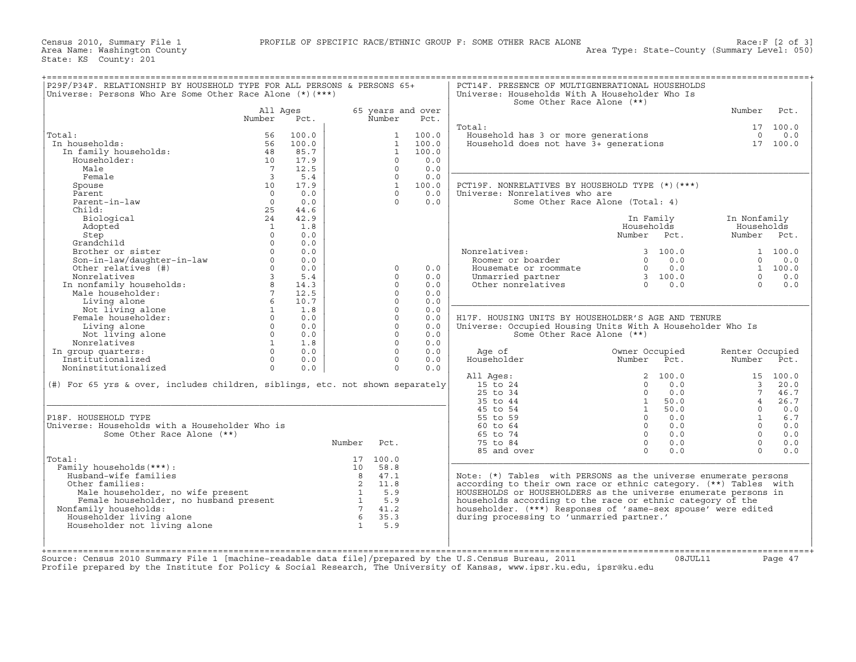|                                                                                                                                                                                                             |                         |                         |                       |                   | Some Other Race Alone (**)                                                                                                                             |                                                                |                           |                  |
|-------------------------------------------------------------------------------------------------------------------------------------------------------------------------------------------------------------|-------------------------|-------------------------|-----------------------|-------------------|--------------------------------------------------------------------------------------------------------------------------------------------------------|----------------------------------------------------------------|---------------------------|------------------|
|                                                                                                                                                                                                             | All Ages                |                         | Number                | 65 years and over |                                                                                                                                                        |                                                                | Number                    | Pct.             |
|                                                                                                                                                                                                             | Number                  | Pct.                    |                       | Pct.              | Total:                                                                                                                                                 |                                                                |                           | 17 100.0         |
| Total:                                                                                                                                                                                                      | 100.0<br>56             |                         | 1                     | 100.0             | University of the Household has 3 or more generations and the contractions of the model of the Household does not have $3+$ generations and $17$ 100.0 |                                                                |                           |                  |
| In households:                                                                                                                                                                                              | 100.0<br>56             |                         | 1                     | 100.0             |                                                                                                                                                        |                                                                |                           |                  |
| In family households:                                                                                                                                                                                       | 48<br>85.7              |                         | 1                     | 100.0             |                                                                                                                                                        |                                                                |                           |                  |
| Householder:                                                                                                                                                                                                | 10                      | 17.9                    | $\Omega$              | 0.0               |                                                                                                                                                        |                                                                |                           |                  |
| Male                                                                                                                                                                                                        | $\overline{7}$          | 12.5                    | $\Omega$              | 0.0               |                                                                                                                                                        |                                                                |                           |                  |
| Female                                                                                                                                                                                                      | $\overline{\mathbf{3}}$ | 5.4                     | $\Omega$              | 0.0               |                                                                                                                                                        |                                                                |                           |                  |
| Spouse                                                                                                                                                                                                      | 10                      | 17.9                    |                       | 1 100.0           | PCT19F. NONRELATIVES BY HOUSEHOLD TYPE (*) (***)                                                                                                       |                                                                |                           |                  |
| Parent                                                                                                                                                                                                      | $\bigcap$               | 0.0                     | $\Omega$              | 0.0               | Universe: Nonrelatives who are                                                                                                                         |                                                                |                           |                  |
| Parent-in-law                                                                                                                                                                                               | $\Omega$                | 0.0                     | $\Omega$              | 0.0               | Some Other Race Alone (Total: 4)                                                                                                                       |                                                                |                           |                  |
| Child:                                                                                                                                                                                                      | 25                      | 44.6                    |                       |                   |                                                                                                                                                        |                                                                |                           |                  |
| Biological                                                                                                                                                                                                  | 24                      | 42.9                    |                       |                   |                                                                                                                                                        | In Family                                                      | In Nonfamily              |                  |
| Adopted                                                                                                                                                                                                     | $\overline{1}$          | 1.8                     |                       |                   |                                                                                                                                                        | Households                                                     | Households                |                  |
| Step                                                                                                                                                                                                        | $\Omega$                | 0.0                     |                       |                   |                                                                                                                                                        | Number Pct.                                                    | Number Pct.               |                  |
| Grandchild                                                                                                                                                                                                  | $\Omega$                | 0.0                     |                       |                   |                                                                                                                                                        |                                                                |                           |                  |
| Brother or sister                                                                                                                                                                                           | $\Omega$                | 0.0                     |                       |                   | Nonrelatives:                                                                                                                                          | 3 100.0                                                        |                           | 1 100.0          |
| Son-in-law/daughter-in-law<br>Other relatives (#)                                                                                                                                                           | $\circ$                 | 0.0                     |                       |                   | Roomer or boarder                                                                                                                                      | $0 \t 0.0$                                                     |                           | $0 \t 0.0$       |
|                                                                                                                                                                                                             | $\Omega$                | 0.0                     | $\Omega$              | 0.0               | Housemate or roommate                                                                                                                                  |                                                                |                           | 1 100.0          |
|                                                                                                                                                                                                             | $\overline{3}$          | 5.4                     | $\Omega$              | 0.0               |                                                                                                                                                        | $\begin{array}{ccc} 0 & 0.0 \ 3 & 100.0 \ 0 & 0.0 \end{array}$ | $\Omega$                  | 0.0              |
|                                                                                                                                                                                                             | 8                       | 14.3                    | $\Omega$              | 0.0               | Unmarried partner<br>Other nonrelatives                                                                                                                |                                                                | $\Omega$                  | 0.0              |
|                                                                                                                                                                                                             | 7 <sup>7</sup>          | 12.5                    | $\Omega$              | 0.0               |                                                                                                                                                        |                                                                |                           |                  |
|                                                                                                                                                                                                             | $6\overline{6}$         | 10.7                    | $\Omega$              | 0.0               |                                                                                                                                                        |                                                                |                           |                  |
|                                                                                                                                                                                                             | $\mathbf{1}$            | 1.8                     | $\Omega$              | 0.0               |                                                                                                                                                        |                                                                |                           |                  |
|                                                                                                                                                                                                             | $\Omega$                | 0.0                     | $\Omega$              | 0.0               | H17F. HOUSING UNITS BY HOUSEHOLDER'S AGE AND TENURE                                                                                                    |                                                                |                           |                  |
| -<br>Son-in-law/uau <sub>3</sub><br>Other relatives (#)<br>Nonrelatives<br>In nonfamily households:<br>Male householder:<br>Living alone<br>Not living alone<br>Not living alone<br>Living alone            | $0 \qquad \qquad$       | 0.0                     | $\Omega$              | 0.0               | Universe: Occupied Housing Units With A Householder Who Is                                                                                             |                                                                |                           |                  |
|                                                                                                                                                                                                             | $\overline{0}$          | 0.0                     | $\Omega$              | 0.0               | Some Other Race Alone (**)                                                                                                                             |                                                                |                           |                  |
|                                                                                                                                                                                                             |                         |                         |                       | 0.0               |                                                                                                                                                        |                                                                |                           |                  |
| Not living alone                                                                                                                                                                                            | 1                       | 1.8                     | $\cap$                |                   |                                                                                                                                                        |                                                                |                           |                  |
| Nonrelatives                                                                                                                                                                                                | $\Omega$                | 0.0                     | $\Omega$              | 0.0               |                                                                                                                                                        |                                                                |                           |                  |
| Institutionalized                                                                                                                                                                                           | $\Omega$                | 0.0                     | $\Omega$              | 0.0               | Age of<br>Householder                                                                                                                                  | Owner Occupied<br>Number<br>Pct.                               | Renter Occupied<br>Number |                  |
| Noninstitutionalized                                                                                                                                                                                        | $\Omega$                | 0.0                     | $\Omega$              | 0.0               |                                                                                                                                                        |                                                                |                           |                  |
|                                                                                                                                                                                                             |                         |                         |                       |                   | All Ages:                                                                                                                                              | 2, 100.0                                                       |                           | Pct.<br>15 100.0 |
|                                                                                                                                                                                                             |                         |                         |                       |                   | $15 \text{ to } 24$                                                                                                                                    | $0 \t 0.0$                                                     |                           | 3, 20, 0         |
|                                                                                                                                                                                                             |                         |                         |                       |                   | $25$ to $34$                                                                                                                                           | $0 \t 0.0$                                                     | 7                         | 46.7             |
|                                                                                                                                                                                                             |                         |                         |                       |                   | 35 to 44                                                                                                                                               | 50.0<br>1                                                      | $\overline{4}$            |                  |
|                                                                                                                                                                                                             |                         |                         |                       |                   | 45 to 54                                                                                                                                               | 1 50.0                                                         | $\Omega$                  | 26.7<br>0.0      |
|                                                                                                                                                                                                             |                         |                         |                       |                   | 55 to 59                                                                                                                                               | $0 \qquad 0.0$                                                 | $\mathbf{1}$              | 6.7              |
|                                                                                                                                                                                                             |                         |                         |                       |                   | 60 to 64                                                                                                                                               | $0 \qquad 0.0$                                                 | $\overline{0}$            | 0.0              |
| In group quarters:<br>(#) For 65 yrs & over, includes children, siblings, etc. not shown separately<br>P18F. HOUSEHOLD TYPE<br>Universe: Households with a Householder Who is<br>Some Other Race Alone (**) |                         |                         |                       |                   | 65 to 74                                                                                                                                               | $0 \qquad 0.0$                                                 | $\Omega$                  | 0.0              |
|                                                                                                                                                                                                             |                         | Number                  | Pct.                  |                   | 75 to 84                                                                                                                                               | $0 \qquad 0.0$                                                 | $\Omega$                  | 0.0              |
|                                                                                                                                                                                                             |                         |                         |                       |                   | 85 and over                                                                                                                                            | $\Omega$<br>0.0                                                | $\Omega$                  | 0.0              |
|                                                                                                                                                                                                             |                         |                         | 17 100.0              |                   |                                                                                                                                                        |                                                                |                           |                  |
| Family households (***) :                                                                                                                                                                                   |                         |                         | 10 58.8               |                   |                                                                                                                                                        |                                                                |                           |                  |
| Husband-wife families                                                                                                                                                                                       |                         | 8                       | 47.1                  |                   | Note: (*) Tables with PERSONS as the universe enumerate persons                                                                                        |                                                                |                           |                  |
| Other families:                                                                                                                                                                                             |                         |                         | 11.8                  |                   | according to their own race or ethnic category. (**) Tables with                                                                                       |                                                                |                           |                  |
| Male householder, no wife present                                                                                                                                                                           |                         | $\overline{\mathbf{c}}$ |                       |                   | HOUSEHOLDS or HOUSEHOLDERS as the universe enumerate persons in                                                                                        |                                                                |                           |                  |
|                                                                                                                                                                                                             |                         |                         | $\frac{1}{1}$ 5.9     |                   | households according to the race or ethnic category of the                                                                                             |                                                                |                           |                  |
| Total:<br>Male householder, no wife present<br>Female householder, no husband present<br>Family households:<br>Nonfamily households:                                                                        |                         | $7\overline{)}$         | 41.2                  |                   | householder. (***) Responses of 'same-sex spouse' were edited                                                                                          |                                                                |                           |                  |
| Householder living alone<br>Householder not living alone                                                                                                                                                    |                         | 6 <sup>6</sup>          | 35.3<br>$1 \quad 5.9$ |                   | during processing to 'unmarried partner.'                                                                                                              |                                                                |                           |                  |

Source: Census 2010 Summary File 1 [machine−readable data file]/prepared by the U.S.Census Bureau, 2011 08JUL11 Page 47 Profile prepared by the Institute for Policy & Social Research, The University of Kansas, www.ipsr.ku.edu, ipsr@ku.edu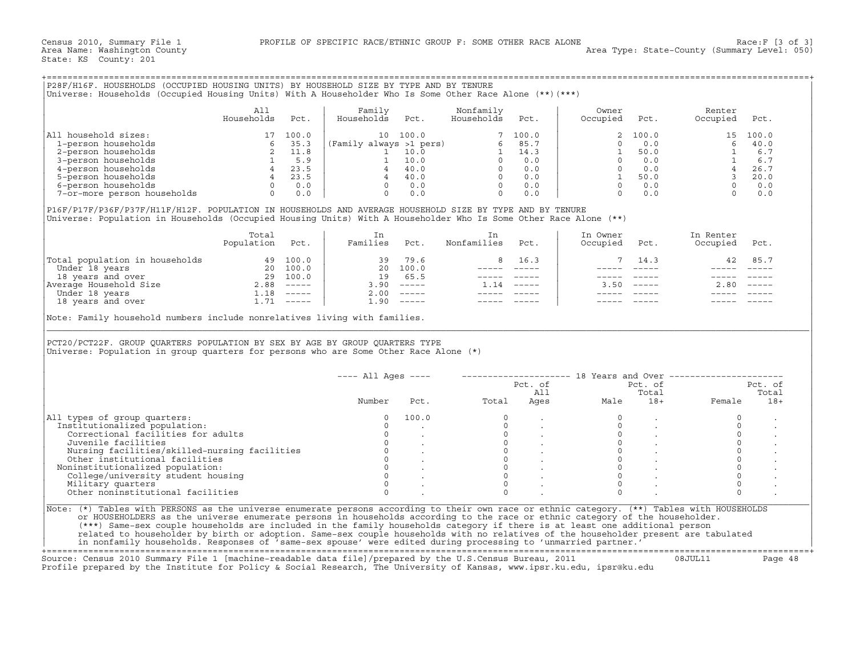+===================================================================================================================================================+

|                                | Total<br>Population | Pct.          | Families | Pct.  | Nonfamilies | Pct.          | In Owner<br>Occupied | Pct.                      | In Renter<br>Occupied | Pct.     |
|--------------------------------|---------------------|---------------|----------|-------|-------------|---------------|----------------------|---------------------------|-----------------------|----------|
| Total population in households | 49                  | 100.0         | 39       | 79.6  |             | 16.3          |                      | 14.3                      | 42                    | 85.7     |
| Under 18 years                 | 20                  | 100.0         | 20       | 100.0 |             |               |                      |                           |                       |          |
| 18 years and over              | 29                  | 100.0         | 19.      | 65.5  |             |               |                      |                           |                       |          |
| Average Household Size         | 2.88                | $\frac{1}{2}$ | 3.90     |       | - 14        | $- - - - - -$ | 3 5 N                | $\qquad \qquad - - - - -$ | 2.80                  | $------$ |
| Under 18 years                 | $\overline{1}$ . 18 | $- - - - - -$ | 2.00     |       |             |               |                      |                           |                       |          |
| 18 years and over              | 1.71                | ------        | ⊥.90     |       |             |               |                      |                           |                       |          |

|                                                                                                                                                                                                                                                                                                                                                                                                           |                                                                                                                                                                       |      |                                                                                                                                                                                                                                                                                                                                                                                                                                                                |                                                          | Universe: Households (Occupied Housing Units) With A Householder Who Is Some Other Race Alone (**) (***)                                                                                                                                                                                                                                                                                     |                |                     |                             |                                                               |              |
|-----------------------------------------------------------------------------------------------------------------------------------------------------------------------------------------------------------------------------------------------------------------------------------------------------------------------------------------------------------------------------------------------------------|-----------------------------------------------------------------------------------------------------------------------------------------------------------------------|------|----------------------------------------------------------------------------------------------------------------------------------------------------------------------------------------------------------------------------------------------------------------------------------------------------------------------------------------------------------------------------------------------------------------------------------------------------------------|----------------------------------------------------------|----------------------------------------------------------------------------------------------------------------------------------------------------------------------------------------------------------------------------------------------------------------------------------------------------------------------------------------------------------------------------------------------|----------------|---------------------|-----------------------------|---------------------------------------------------------------|--------------|
|                                                                                                                                                                                                                                                                                                                                                                                                           | All<br>Households                                                                                                                                                     | Pct. | $\begin{array}{cccccc} \text{Fami}\, \mathbf{1} & & & & & \\ \text{.} & & & & & & \\ \text{.} & & & & & & \\ \text{.} & & & & & & & \\ \text{.} & & & & & & & \\ \text{.} & & & & & & & \\ \text{.} & & & & & & & \\ \text{.} & & & & & & & \\ \text{.} & & & & & & & \\ \text{.} & & & & & & & \\ \text{.} & & & & & & & \\ \text{.} & & & & & & & \\ \text{.} & & & & & & & \\ \text{.} & & & & & & & & \\ \text{.} & & & & & & & & \\ \text{.} & & & & & &$ |                                                          |                                                                                                                                                                                                                                                                                                                                                                                              |                | Owner<br>Occupied   | Pct.                        | Renter<br>Occupied                                            | Pct.         |
| All household sizes:                                                                                                                                                                                                                                                                                                                                                                                      | $\begin{array}{c c} 17 & 100.0 \\ 6 & 35.3 \\ 2 & 11.8 \\ 1 & 5.9 \\ 4 & 23.5 \\ 0 & 0.0 \end{array}$ (Family<br>$\begin{array}{c c} 4 & 23.5 \\ 0 & 0.0 \end{array}$ |      |                                                                                                                                                                                                                                                                                                                                                                                                                                                                |                                                          |                                                                                                                                                                                                                                                                                                                                                                                              |                |                     | 100.0                       |                                                               | 15 100.0     |
| 1-person households                                                                                                                                                                                                                                                                                                                                                                                       |                                                                                                                                                                       |      |                                                                                                                                                                                                                                                                                                                                                                                                                                                                |                                                          |                                                                                                                                                                                                                                                                                                                                                                                              |                | $\Omega$            | 0.0                         | 6                                                             | 40.0         |
| 2-person households                                                                                                                                                                                                                                                                                                                                                                                       |                                                                                                                                                                       |      |                                                                                                                                                                                                                                                                                                                                                                                                                                                                |                                                          |                                                                                                                                                                                                                                                                                                                                                                                              |                | 1                   | 50.0                        |                                                               | 6.7          |
| 3-person households                                                                                                                                                                                                                                                                                                                                                                                       |                                                                                                                                                                       |      |                                                                                                                                                                                                                                                                                                                                                                                                                                                                |                                                          |                                                                                                                                                                                                                                                                                                                                                                                              |                | $\overline{0}$      | 0.0                         |                                                               | 6.7          |
| 4-person households                                                                                                                                                                                                                                                                                                                                                                                       |                                                                                                                                                                       |      |                                                                                                                                                                                                                                                                                                                                                                                                                                                                |                                                          |                                                                                                                                                                                                                                                                                                                                                                                              |                |                     | $0 \qquad 0.0$              |                                                               | 26.7         |
| 5-person households                                                                                                                                                                                                                                                                                                                                                                                       |                                                                                                                                                                       |      |                                                                                                                                                                                                                                                                                                                                                                                                                                                                |                                                          |                                                                                                                                                                                                                                                                                                                                                                                              |                |                     | 1 50.0                      |                                                               | 20.0         |
| 6-person households                                                                                                                                                                                                                                                                                                                                                                                       |                                                                                                                                                                       |      |                                                                                                                                                                                                                                                                                                                                                                                                                                                                |                                                          |                                                                                                                                                                                                                                                                                                                                                                                              |                |                     | $0 \t 0.0$                  |                                                               | 0.0          |
| 7-or-more person households                                                                                                                                                                                                                                                                                                                                                                               | $0 \t 0.0$                                                                                                                                                            |      |                                                                                                                                                                                                                                                                                                                                                                                                                                                                |                                                          |                                                                                                                                                                                                                                                                                                                                                                                              |                | $\overline{0}$      | 0.0                         |                                                               | 0.0          |
| P16F/P17F/P36F/P37F/H11F/H12F. POPULATION IN HOUSEHOLDS AND AVERAGE HOUSEHOLD SIZE BY TYPE AND BY TENURE<br>Universe: Population in Households (Occupied Housing Units) With A Householder Who Is Some Other Race Alone (**)                                                                                                                                                                              |                                                                                                                                                                       |      |                                                                                                                                                                                                                                                                                                                                                                                                                                                                |                                                          |                                                                                                                                                                                                                                                                                                                                                                                              |                |                     |                             |                                                               |              |
|                                                                                                                                                                                                                                                                                                                                                                                                           | Total                                                                                                                                                                 |      | In                                                                                                                                                                                                                                                                                                                                                                                                                                                             |                                                          | In                                                                                                                                                                                                                                                                                                                                                                                           |                | In Owner            |                             | In Renter                                                     |              |
|                                                                                                                                                                                                                                                                                                                                                                                                           | Population                                                                                                                                                            | Pct. | Families Pct.                                                                                                                                                                                                                                                                                                                                                                                                                                                  |                                                          | Nonfamilies                                                                                                                                                                                                                                                                                                                                                                                  | Pct.           | Occupied            | Pct.                        | Occupied                                                      | Pct.         |
| Total population in households<br>Under 18 years<br>18 years and over 29 100.0<br>Nerage Household Size 2.88 -----<br>Under 18 years and over 1.18 -----<br>1.18 -----<br>1.71 -----                                                                                                                                                                                                                      |                                                                                                                                                                       |      |                                                                                                                                                                                                                                                                                                                                                                                                                                                                | 39 79.6                                                  | 8                                                                                                                                                                                                                                                                                                                                                                                            | 16.3           | $7\overline{ }$     | 14.3                        | 42                                                            | 85.7         |
|                                                                                                                                                                                                                                                                                                                                                                                                           |                                                                                                                                                                       |      |                                                                                                                                                                                                                                                                                                                                                                                                                                                                | 20 100.0                                                 |                                                                                                                                                                                                                                                                                                                                                                                              | ______________ |                     | $------$                    |                                                               |              |
|                                                                                                                                                                                                                                                                                                                                                                                                           |                                                                                                                                                                       |      |                                                                                                                                                                                                                                                                                                                                                                                                                                                                | 19 65.5                                                  | ----- -----                                                                                                                                                                                                                                                                                                                                                                                  |                |                     | $------$                    | $\qquad \qquad - - - - -$                                     |              |
|                                                                                                                                                                                                                                                                                                                                                                                                           |                                                                                                                                                                       |      |                                                                                                                                                                                                                                                                                                                                                                                                                                                                | $3.90$ -----                                             | $1.14$ -----                                                                                                                                                                                                                                                                                                                                                                                 |                |                     | $3.50$ $---$                |                                                               | $2.80$ ----- |
|                                                                                                                                                                                                                                                                                                                                                                                                           |                                                                                                                                                                       |      |                                                                                                                                                                                                                                                                                                                                                                                                                                                                | $2.00$ -----                                             | $\frac{1}{2} \frac{1}{2} \frac{1}{2} \frac{1}{2} \frac{1}{2} \frac{1}{2} \frac{1}{2} \frac{1}{2} \frac{1}{2} \frac{1}{2} \frac{1}{2} \frac{1}{2} \frac{1}{2} \frac{1}{2} \frac{1}{2} \frac{1}{2} \frac{1}{2} \frac{1}{2} \frac{1}{2} \frac{1}{2} \frac{1}{2} \frac{1}{2} \frac{1}{2} \frac{1}{2} \frac{1}{2} \frac{1}{2} \frac{1}{2} \frac{1}{2} \frac{1}{2} \frac{1}{2} \frac{1}{2} \frac{$ |                |                     |                             |                                                               |              |
|                                                                                                                                                                                                                                                                                                                                                                                                           |                                                                                                                                                                       |      |                                                                                                                                                                                                                                                                                                                                                                                                                                                                | $1.90$ -----                                             | $------$                                                                                                                                                                                                                                                                                                                                                                                     |                |                     |                             |                                                               |              |
|                                                                                                                                                                                                                                                                                                                                                                                                           |                                                                                                                                                                       |      |                                                                                                                                                                                                                                                                                                                                                                                                                                                                |                                                          |                                                                                                                                                                                                                                                                                                                                                                                              |                |                     |                             |                                                               |              |
| PCT20/PCT22F. GROUP QUARTERS POPULATION BY SEX BY AGE BY GROUP QUARTERS TYPE<br>Universe: Population in group quarters for persons who are Some Other Race Alone (*)                                                                                                                                                                                                                                      |                                                                                                                                                                       |      |                                                                                                                                                                                                                                                                                                                                                                                                                                                                |                                                          |                                                                                                                                                                                                                                                                                                                                                                                              |                |                     |                             |                                                               |              |
|                                                                                                                                                                                                                                                                                                                                                                                                           |                                                                                                                                                                       |      | $--- All Aqes ---$                                                                                                                                                                                                                                                                                                                                                                                                                                             |                                                          |                                                                                                                                                                                                                                                                                                                                                                                              |                |                     |                             | -------------------- 18 Years and Over ---------------------- |              |
|                                                                                                                                                                                                                                                                                                                                                                                                           |                                                                                                                                                                       |      |                                                                                                                                                                                                                                                                                                                                                                                                                                                                |                                                          |                                                                                                                                                                                                                                                                                                                                                                                              |                |                     | Pct. of                     |                                                               | Pct. of      |
|                                                                                                                                                                                                                                                                                                                                                                                                           |                                                                                                                                                                       |      |                                                                                                                                                                                                                                                                                                                                                                                                                                                                |                                                          |                                                                                                                                                                                                                                                                                                                                                                                              | Pct. of<br>All |                     | Total                       |                                                               | Total        |
|                                                                                                                                                                                                                                                                                                                                                                                                           |                                                                                                                                                                       |      | Number                                                                                                                                                                                                                                                                                                                                                                                                                                                         | Pct.                                                     | Total                                                                                                                                                                                                                                                                                                                                                                                        |                | AII<br>Ages<br>Male | $18+$                       | Female                                                        | $18+$        |
|                                                                                                                                                                                                                                                                                                                                                                                                           |                                                                                                                                                                       |      | $\Omega$                                                                                                                                                                                                                                                                                                                                                                                                                                                       | 100.0                                                    | $\Omega$                                                                                                                                                                                                                                                                                                                                                                                     |                | $\Omega$            | $\ddot{\phantom{a}}$        | $\circ$                                                       |              |
|                                                                                                                                                                                                                                                                                                                                                                                                           |                                                                                                                                                                       |      | $\Omega$                                                                                                                                                                                                                                                                                                                                                                                                                                                       |                                                          | $\Omega$                                                                                                                                                                                                                                                                                                                                                                                     |                | $\Omega$            |                             | $\Omega$                                                      |              |
| Correctional facilities for adults                                                                                                                                                                                                                                                                                                                                                                        |                                                                                                                                                                       |      | $\circ$                                                                                                                                                                                                                                                                                                                                                                                                                                                        |                                                          |                                                                                                                                                                                                                                                                                                                                                                                              |                | $\circ$             |                             | $\circ$                                                       |              |
| Juvenile facilities                                                                                                                                                                                                                                                                                                                                                                                       |                                                                                                                                                                       |      | $\overline{0}$                                                                                                                                                                                                                                                                                                                                                                                                                                                 |                                                          |                                                                                                                                                                                                                                                                                                                                                                                              |                |                     | $0 \qquad \qquad$<br>$\sim$ | $\circ$                                                       |              |
|                                                                                                                                                                                                                                                                                                                                                                                                           |                                                                                                                                                                       |      | $\circ$                                                                                                                                                                                                                                                                                                                                                                                                                                                        |                                                          |                                                                                                                                                                                                                                                                                                                                                                                              |                | $\Omega$            |                             | $\Omega$                                                      |              |
| Nursing facilities/skilled-nursing facilities                                                                                                                                                                                                                                                                                                                                                             |                                                                                                                                                                       |      |                                                                                                                                                                                                                                                                                                                                                                                                                                                                |                                                          |                                                                                                                                                                                                                                                                                                                                                                                              |                | $\circ$             |                             | $\circ$                                                       |              |
| Other institutional facilities                                                                                                                                                                                                                                                                                                                                                                            |                                                                                                                                                                       |      |                                                                                                                                                                                                                                                                                                                                                                                                                                                                |                                                          | $\begin{bmatrix} 0 \\ 0 \\ 0 \\ 0 \end{bmatrix}$<br>$\Omega$                                                                                                                                                                                                                                                                                                                                 |                | $\Omega$            |                             |                                                               |              |
| Noninstitutionalized population:                                                                                                                                                                                                                                                                                                                                                                          |                                                                                                                                                                       |      | $\Omega$                                                                                                                                                                                                                                                                                                                                                                                                                                                       | $\begin{matrix} 0 & & \cdot \\ 0 & & \cdot \end{matrix}$ | $\Omega$                                                                                                                                                                                                                                                                                                                                                                                     |                | $\Omega$            |                             | $\mathsf{O}\xspace$<br>$\Omega$                               |              |
| Institutionalized population:<br>College/university student housing                                                                                                                                                                                                                                                                                                                                       |                                                                                                                                                                       |      | $\Omega$                                                                                                                                                                                                                                                                                                                                                                                                                                                       |                                                          | $\Omega$                                                                                                                                                                                                                                                                                                                                                                                     |                | $\Omega$            |                             | $\Omega$                                                      |              |
| Military quarters<br>Other noninstitutional facilities                                                                                                                                                                                                                                                                                                                                                    |                                                                                                                                                                       |      | $\Omega$                                                                                                                                                                                                                                                                                                                                                                                                                                                       |                                                          | $\Omega$                                                                                                                                                                                                                                                                                                                                                                                     |                | $\Omega$            |                             | $\Omega$                                                      |              |
| All types of group quarters:                                                                                                                                                                                                                                                                                                                                                                              |                                                                                                                                                                       |      |                                                                                                                                                                                                                                                                                                                                                                                                                                                                |                                                          |                                                                                                                                                                                                                                                                                                                                                                                              |                |                     |                             |                                                               |              |
| Note: (*) Tables with PERSONS as the universe enumerate persons according to their own race or ethnic category. (**) Tables with HOUSEHOLDS<br>or HOUSEHOLDERS as the universe enumerate persons in households according to the race or ethnic category of the householder.<br>(***) Same-sex couple households are included in the family households category if there is at least one additional person |                                                                                                                                                                       |      |                                                                                                                                                                                                                                                                                                                                                                                                                                                                |                                                          |                                                                                                                                                                                                                                                                                                                                                                                              |                |                     |                             |                                                               |              |
| related to householder by birth or adoption. Same-sex couple households with no relatives of the householder present are tabulated<br>in nonfamily households. Responses of 'same-sex spouse' were edited during processing to 'unmarried partner.'                                                                                                                                                       |                                                                                                                                                                       |      |                                                                                                                                                                                                                                                                                                                                                                                                                                                                |                                                          |                                                                                                                                                                                                                                                                                                                                                                                              |                |                     |                             |                                                               |              |

+===================================================================================================================================================+Source: Census 2010 Summary File 1 [machine−readable data file]/prepared by the U.S.Census Bureau, 2011 08JUL11 Page 48 Profile prepared by the Institute for Policy & Social Research, The University of Kansas, www.ipsr.ku.edu, ipsr@ku.edu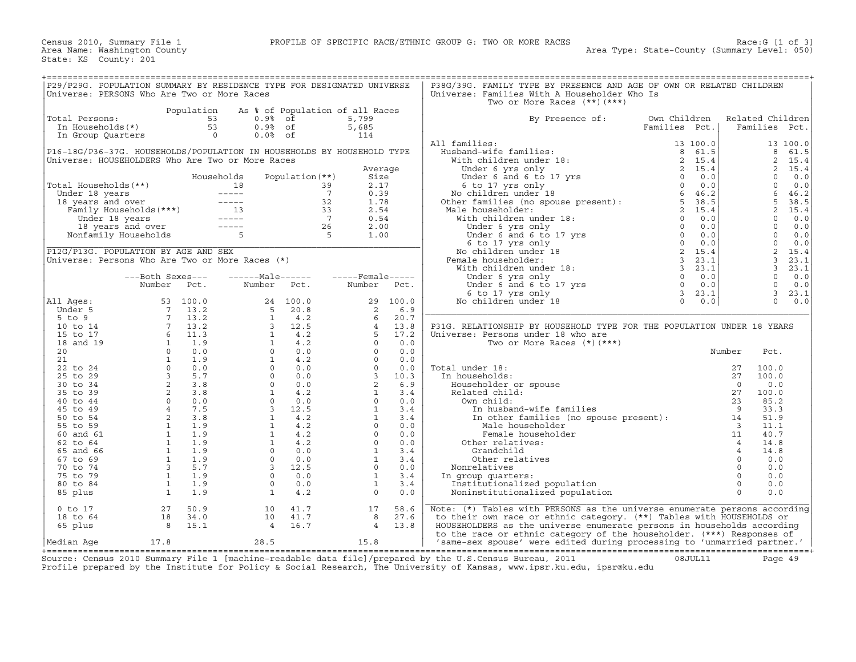| P29/P29G. POPULATION SUMMARY BY RESIDENCE TYPE FOR DESIGNATED UNIVERSE<br>Universe: PERSONS Who Are Two or More Races |                                                                                                                                                                                                                                                                                                                        |                  |                                                                                                                                                                                                                                                                                                                                                   |                                        |                                 |                                 | P38G/39G. FAMILY TYPE BY PRESENCE AND AGE OF OWN OR RELATED CHILDREN<br>Universe: Families With A Householder Who Is<br>Two or More Races $(**)$ $(***)$                                                                                                                |               |                         |                  |          |
|-----------------------------------------------------------------------------------------------------------------------|------------------------------------------------------------------------------------------------------------------------------------------------------------------------------------------------------------------------------------------------------------------------------------------------------------------------|------------------|---------------------------------------------------------------------------------------------------------------------------------------------------------------------------------------------------------------------------------------------------------------------------------------------------------------------------------------------------|----------------------------------------|---------------------------------|---------------------------------|-------------------------------------------------------------------------------------------------------------------------------------------------------------------------------------------------------------------------------------------------------------------------|---------------|-------------------------|------------------|----------|
|                                                                                                                       |                                                                                                                                                                                                                                                                                                                        |                  |                                                                                                                                                                                                                                                                                                                                                   |                                        |                                 |                                 |                                                                                                                                                                                                                                                                         |               |                         |                  |          |
|                                                                                                                       |                                                                                                                                                                                                                                                                                                                        | Population<br>53 |                                                                                                                                                                                                                                                                                                                                                   |                                        | As % of Population of all Races |                                 |                                                                                                                                                                                                                                                                         |               |                         | Related Children |          |
| Total Persons:                                                                                                        |                                                                                                                                                                                                                                                                                                                        | 53               | $0.9%$ of                                                                                                                                                                                                                                                                                                                                         |                                        | 5,799                           |                                 | By Presence of:                                                                                                                                                                                                                                                         | Own Children  |                         |                  |          |
| In Households(*)                                                                                                      |                                                                                                                                                                                                                                                                                                                        |                  | $0.9%$ of                                                                                                                                                                                                                                                                                                                                         |                                        | 5,685                           |                                 |                                                                                                                                                                                                                                                                         | Families Pct. |                         | Families Pct.    |          |
| In Group Quarters                                                                                                     |                                                                                                                                                                                                                                                                                                                        | $\overline{0}$   | $0.0%$ of                                                                                                                                                                                                                                                                                                                                         |                                        | 114                             |                                 |                                                                                                                                                                                                                                                                         |               |                         |                  |          |
|                                                                                                                       |                                                                                                                                                                                                                                                                                                                        |                  |                                                                                                                                                                                                                                                                                                                                                   |                                        |                                 |                                 | All families:<br>11 families:<br>Husband-wife families:<br>With children under 18:<br>Under 6 yrs only<br>Under 6 and 6 to 17 yrs<br>6 to 17 yrs<br>6 to 17 yrs 0<br>(6 to 17 yrs 0<br>6 0 0.0<br>6 to 17 yrs 0<br>(6 0 for families (no spouse present):<br>8 46.2<br> | 13 100.0      |                         |                  | 13 100.0 |
| P16-18G/P36-37G. HOUSEHOLDS/POPULATION IN HOUSEHOLDS BY HOUSEHOLD TYPE                                                |                                                                                                                                                                                                                                                                                                                        |                  |                                                                                                                                                                                                                                                                                                                                                   |                                        |                                 |                                 |                                                                                                                                                                                                                                                                         |               |                         | 8                | 61.5     |
| Universe: HOUSEHOLDERS Who Are Two or More Races                                                                      |                                                                                                                                                                                                                                                                                                                        |                  |                                                                                                                                                                                                                                                                                                                                                   |                                        |                                 |                                 |                                                                                                                                                                                                                                                                         |               |                         | 2                | 15.4     |
|                                                                                                                       |                                                                                                                                                                                                                                                                                                                        |                  |                                                                                                                                                                                                                                                                                                                                                   |                                        |                                 | Average                         |                                                                                                                                                                                                                                                                         |               |                         | 2                | 15.4     |
|                                                                                                                       |                                                                                                                                                                                                                                                                                                                        |                  | Households                                                                                                                                                                                                                                                                                                                                        | Population $(**)$                      |                                 | Size                            |                                                                                                                                                                                                                                                                         |               |                         | $\Omega$         | 0.0      |
| Total Households(**)                                                                                                  |                                                                                                                                                                                                                                                                                                                        |                  |                                                                                                                                                                                                                                                                                                                                                   |                                        | 39                              | 2.17                            |                                                                                                                                                                                                                                                                         |               |                         | $\Omega$         | 0.0      |
| Under 18 years                                                                                                        |                                                                                                                                                                                                                                                                                                                        |                  | 3 years 18<br>8 years and over<br>Family Households (***)<br>Under 18 years and over<br>13 years and over<br>18 years and over<br>18 years and over<br>Nonfamily Households<br>5<br>TP13G. POPULATION THE                                                                                                                                         |                                        | $7^{\circ}$                     | 0.39                            |                                                                                                                                                                                                                                                                         |               |                         | 6                | 46.2     |
| 18 years and over                                                                                                     |                                                                                                                                                                                                                                                                                                                        |                  |                                                                                                                                                                                                                                                                                                                                                   |                                        | 32                              | 1.78                            |                                                                                                                                                                                                                                                                         |               |                         | 5                | 38.5     |
|                                                                                                                       |                                                                                                                                                                                                                                                                                                                        |                  |                                                                                                                                                                                                                                                                                                                                                   |                                        | 33                              | 2.54                            |                                                                                                                                                                                                                                                                         |               |                         | 2                | 15.4     |
|                                                                                                                       |                                                                                                                                                                                                                                                                                                                        |                  |                                                                                                                                                                                                                                                                                                                                                   |                                        | $\overline{7}$                  | 0.54                            |                                                                                                                                                                                                                                                                         |               |                         | $\mathbf 0$      | 0.0      |
|                                                                                                                       |                                                                                                                                                                                                                                                                                                                        |                  |                                                                                                                                                                                                                                                                                                                                                   | $\begin{array}{c} 26 \\ 5 \end{array}$ |                                 | 2.00                            |                                                                                                                                                                                                                                                                         |               |                         | $\Omega$         | 0.0      |
|                                                                                                                       |                                                                                                                                                                                                                                                                                                                        |                  |                                                                                                                                                                                                                                                                                                                                                   |                                        |                                 | 1.00                            |                                                                                                                                                                                                                                                                         |               |                         | $\Omega$         | 0.0      |
|                                                                                                                       |                                                                                                                                                                                                                                                                                                                        |                  |                                                                                                                                                                                                                                                                                                                                                   |                                        |                                 |                                 |                                                                                                                                                                                                                                                                         |               |                         | $\mathbf 0$      | 0.0      |
| P12G/P13G. POPULATION BY AGE AND SEX                                                                                  |                                                                                                                                                                                                                                                                                                                        |                  |                                                                                                                                                                                                                                                                                                                                                   |                                        |                                 |                                 |                                                                                                                                                                                                                                                                         |               |                         | 2                | 15.4     |
| Universe: Persons Who Are Two or More Races (*)                                                                       |                                                                                                                                                                                                                                                                                                                        |                  |                                                                                                                                                                                                                                                                                                                                                   |                                        |                                 |                                 |                                                                                                                                                                                                                                                                         |               |                         | $\overline{3}$   | 23.1     |
|                                                                                                                       |                                                                                                                                                                                                                                                                                                                        |                  |                                                                                                                                                                                                                                                                                                                                                   |                                        |                                 |                                 |                                                                                                                                                                                                                                                                         |               |                         | $\mathbf{3}$     |          |
|                                                                                                                       |                                                                                                                                                                                                                                                                                                                        |                  |                                                                                                                                                                                                                                                                                                                                                   |                                        |                                 |                                 |                                                                                                                                                                                                                                                                         |               |                         |                  | 23.1     |
|                                                                                                                       | ---Both Sexes---                                                                                                                                                                                                                                                                                                       |                  | $---Male----$                                                                                                                                                                                                                                                                                                                                     |                                        | $---$ Female -----              |                                 |                                                                                                                                                                                                                                                                         |               |                         | $\mathbf 0$      | 0.0      |
|                                                                                                                       | Number                                                                                                                                                                                                                                                                                                                 | Pct.             | Number                                                                                                                                                                                                                                                                                                                                            | Pct.                                   | Number                          | Pct.                            |                                                                                                                                                                                                                                                                         |               |                         | $\Omega$         | 0.0      |
|                                                                                                                       |                                                                                                                                                                                                                                                                                                                        |                  |                                                                                                                                                                                                                                                                                                                                                   |                                        |                                 |                                 |                                                                                                                                                                                                                                                                         |               |                         | $\overline{3}$   | 23.1     |
| All Ages:                                                                                                             |                                                                                                                                                                                                                                                                                                                        | 53 100.0         |                                                                                                                                                                                                                                                                                                                                                   | 24 100.0                               |                                 | 29 100.0                        |                                                                                                                                                                                                                                                                         |               |                         | $\Omega$         | 0.0      |
| Under 5                                                                                                               |                                                                                                                                                                                                                                                                                                                        |                  | 5                                                                                                                                                                                                                                                                                                                                                 | 20.8                                   |                                 | 2<br>6.9                        |                                                                                                                                                                                                                                                                         |               |                         |                  |          |
| $5$ to $9$                                                                                                            |                                                                                                                                                                                                                                                                                                                        |                  | $\mathbf{1}$                                                                                                                                                                                                                                                                                                                                      | 4.2                                    |                                 | 6<br>20.7                       |                                                                                                                                                                                                                                                                         |               |                         |                  |          |
| 10 to 14                                                                                                              |                                                                                                                                                                                                                                                                                                                        |                  |                                                                                                                                                                                                                                                                                                                                                   | 3, 12.5                                |                                 | $\overline{4}$<br>13.8          | P31G. RELATIONSHIP BY HOUSEHOLD TYPE FOR THE POPULATION UNDER 18 YEARS                                                                                                                                                                                                  |               |                         |                  |          |
| 15 to 17                                                                                                              |                                                                                                                                                                                                                                                                                                                        |                  |                                                                                                                                                                                                                                                                                                                                                   | 4.2                                    |                                 | 5<br>17.2                       | Universe: Persons under 18 who are                                                                                                                                                                                                                                      |               |                         |                  |          |
| 18 and 19                                                                                                             |                                                                                                                                                                                                                                                                                                                        |                  |                                                                                                                                                                                                                                                                                                                                                   | 4.2                                    |                                 | $\Omega$<br>0.0                 | Two or More Races $(*)$ $(***)$                                                                                                                                                                                                                                         |               |                         |                  |          |
| 20                                                                                                                    |                                                                                                                                                                                                                                                                                                                        |                  |                                                                                                                                                                                                                                                                                                                                                   | 0.0                                    |                                 | $\circ$<br>0.0                  |                                                                                                                                                                                                                                                                         |               | Number                  | Pct.             |          |
| 21                                                                                                                    |                                                                                                                                                                                                                                                                                                                        |                  |                                                                                                                                                                                                                                                                                                                                                   | 4.2                                    |                                 | $\circ$<br>0.0                  |                                                                                                                                                                                                                                                                         |               |                         |                  |          |
| 22 to 24                                                                                                              |                                                                                                                                                                                                                                                                                                                        |                  |                                                                                                                                                                                                                                                                                                                                                   | 0.0                                    |                                 | $\Omega$<br>0.0                 | Total under 18:                                                                                                                                                                                                                                                         |               | 27                      | 100.0            |          |
| 25 to 29                                                                                                              |                                                                                                                                                                                                                                                                                                                        |                  |                                                                                                                                                                                                                                                                                                                                                   | 0.0                                    |                                 | $\overline{\mathbf{3}}$<br>10.3 | In households:                                                                                                                                                                                                                                                          |               | 27                      | 100.0            |          |
| 30 to 34                                                                                                              |                                                                                                                                                                                                                                                                                                                        |                  |                                                                                                                                                                                                                                                                                                                                                   | 0.0                                    |                                 | 2<br>6.9                        | Householder or spouse                                                                                                                                                                                                                                                   |               | n                       | 0.0              |          |
| 35 to 39                                                                                                              |                                                                                                                                                                                                                                                                                                                        |                  |                                                                                                                                                                                                                                                                                                                                                   | 4.2                                    |                                 | $\mathbf{1}$<br>3.4             | Related child:                                                                                                                                                                                                                                                          |               | 27                      | 100.0            |          |
| 40 to 44                                                                                                              |                                                                                                                                                                                                                                                                                                                        |                  |                                                                                                                                                                                                                                                                                                                                                   | 0.0                                    |                                 | $\circ$<br>0.0                  | Own child:                                                                                                                                                                                                                                                              |               | 23                      | 85.2             |          |
| 45 to 49                                                                                                              |                                                                                                                                                                                                                                                                                                                        |                  |                                                                                                                                                                                                                                                                                                                                                   | 12.5                                   |                                 | $\mathbf{1}$<br>3.4             | In husband-wife families                                                                                                                                                                                                                                                |               | - 9                     | 33.3             |          |
| 50 to 54                                                                                                              | $\begin{array}{cccc} 53 & 100.0 \\ 7 & 13.2 \\ 7 & 13.2 \\ 7 & 13.2 \\ 6 & 11.3 \\ 1 & 1.9 \\ 0 & 0.0 \\ 1 & 1.9 \\ 0 & 0.0 \\ 1 & 1.9 \\ 3 & 5.7 \\ 2 & 3.8 \\ 2 & 3.8 \\ 2 & 3.8 \\ 2 & 3.8 \\ 2 & 3.8 \\ 1 & 1.9 \\ 1 & 1.9 \\ 1 & 1.9 \\ 1 & 1.9 \\ 1 & 1.9 \\ 1 & 1.9 \\ 1 & 1.9 \\ 1 & 1.9 \\ 1 & 1.9 \\ 1 & 1.$ |                  | $\begin{bmatrix} 5 & 2 \\ 1 & 3 \\ 3 & 1 \\ 1 & 0 \\ 0 & 0 \\ 0 & 0 \\ 1 & 0 \\ 3 & 1 \\ 1 & 1 \\ 1 & 1 \\ 1 & 1 \\ 0 & 0 \\ 3 & 0 \\ 3 & 0 \\ 3 & 0 \\ 3 & 0 \\ 3 & 0 \\ 3 & 0 \\ 3 & 0 \\ 3 & 0 \\ 3 & 0 \\ 3 & 0 \\ 3 & 0 \\ 3 & 0 \\ 3 & 0 \\ 3 & 0 \\ 3 & 0 \\ 3 & 0 \\ 3 & 0 \\ 3 & 0 \\ 3 & 0 \\ 3 & 0 \\ 3 & 0 \\ 3 & 0 \\ 3 & 0 \\ 3 & $ | 4.2                                    |                                 | $\mathbf{1}$<br>3.4             | In other families (no spouse present) :                                                                                                                                                                                                                                 |               | 14                      | 51.9             |          |
| 55 to 59                                                                                                              |                                                                                                                                                                                                                                                                                                                        |                  |                                                                                                                                                                                                                                                                                                                                                   | 4.2                                    |                                 | $\circ$<br>0.0                  | Male householder                                                                                                                                                                                                                                                        |               | $\overline{\mathbf{3}}$ | 11.1             |          |
| 60 and 61                                                                                                             |                                                                                                                                                                                                                                                                                                                        |                  |                                                                                                                                                                                                                                                                                                                                                   | 4.2                                    |                                 | $\circ$<br>0.0                  | Female householder                                                                                                                                                                                                                                                      |               | 11                      | 40.7             |          |
| 62 to 64                                                                                                              |                                                                                                                                                                                                                                                                                                                        |                  |                                                                                                                                                                                                                                                                                                                                                   | 4.2                                    |                                 | $\Omega$<br>0.0                 | Other relatives:                                                                                                                                                                                                                                                        |               | $\overline{4}$          | 14.8             |          |
| 65 and 66                                                                                                             |                                                                                                                                                                                                                                                                                                                        |                  |                                                                                                                                                                                                                                                                                                                                                   | 0.0                                    |                                 | $\mathbf{1}$<br>3.4             | Grandchild                                                                                                                                                                                                                                                              |               | $4\overline{ }$         | 14.8             |          |
| 67 to 69                                                                                                              |                                                                                                                                                                                                                                                                                                                        |                  |                                                                                                                                                                                                                                                                                                                                                   | 0.0                                    |                                 | $\mathbf{1}$<br>3.4             | Other relatives                                                                                                                                                                                                                                                         |               | $\Omega$                | 0.0              |          |
| 70 to 74                                                                                                              |                                                                                                                                                                                                                                                                                                                        |                  | $\overline{\mathbf{3}}$                                                                                                                                                                                                                                                                                                                           | 12.5                                   |                                 | $\Omega$<br>0.0                 | Nonrelatives                                                                                                                                                                                                                                                            |               | $\Omega$                | 0.0              |          |
| 75 to 79                                                                                                              | $\overline{1}$                                                                                                                                                                                                                                                                                                         | 1.9              | $\Omega$                                                                                                                                                                                                                                                                                                                                          | 0.0                                    |                                 | $\mathbf{1}$<br>3.4             |                                                                                                                                                                                                                                                                         |               | $\Omega$                | 0.0              |          |
|                                                                                                                       |                                                                                                                                                                                                                                                                                                                        |                  |                                                                                                                                                                                                                                                                                                                                                   |                                        |                                 |                                 | In group quarters:                                                                                                                                                                                                                                                      |               |                         |                  |          |
| 80 to 84                                                                                                              | $\mathbf{1}$                                                                                                                                                                                                                                                                                                           | 1.9              | $\circ$                                                                                                                                                                                                                                                                                                                                           | 0.0                                    |                                 | $\mathbf{1}$<br>3.4             | Institutionalized population                                                                                                                                                                                                                                            |               | $\circ$                 | 0.0              |          |
| 85 plus                                                                                                               | $\mathbf{1}$                                                                                                                                                                                                                                                                                                           | 1.9              | $\mathbf{1}$                                                                                                                                                                                                                                                                                                                                      | 4.2                                    |                                 | $\Omega$<br>0.0                 | Noninstitutionalized population                                                                                                                                                                                                                                         |               | $\Omega$                | 0.0              |          |
|                                                                                                                       |                                                                                                                                                                                                                                                                                                                        |                  |                                                                                                                                                                                                                                                                                                                                                   |                                        |                                 |                                 |                                                                                                                                                                                                                                                                         |               |                         |                  |          |
| $0$ to $17$                                                                                                           | 27                                                                                                                                                                                                                                                                                                                     | 50.9             | 10                                                                                                                                                                                                                                                                                                                                                | 41.7                                   | 17                              | 58.6                            | Note: (*) Tables with PERSONS as the universe enumerate persons according                                                                                                                                                                                               |               |                         |                  |          |
| 18 to 64                                                                                                              | 18                                                                                                                                                                                                                                                                                                                     | 34.0             | 10                                                                                                                                                                                                                                                                                                                                                | 41.7                                   |                                 | 8<br>27.6                       | to their own race or ethnic category. (**) Tables with HOUSEHOLDS or                                                                                                                                                                                                    |               |                         |                  |          |
| 65 plus                                                                                                               |                                                                                                                                                                                                                                                                                                                        | 8 15.1           | $\overline{4}$                                                                                                                                                                                                                                                                                                                                    | 16.7                                   |                                 | 13.8<br>$\overline{4}$          | HOUSEHOLDERS as the universe enumerate persons in households according                                                                                                                                                                                                  |               |                         |                  |          |
|                                                                                                                       |                                                                                                                                                                                                                                                                                                                        |                  |                                                                                                                                                                                                                                                                                                                                                   |                                        |                                 |                                 | to the race or ethnic category of the householder. (***) Responses of                                                                                                                                                                                                   |               |                         |                  |          |
| Median Aqe                                                                                                            | 17.8                                                                                                                                                                                                                                                                                                                   |                  | 28.5                                                                                                                                                                                                                                                                                                                                              |                                        | 15.8                            |                                 | 'same-sex spouse' were edited during processing to 'unmarried partner.'                                                                                                                                                                                                 |               |                         |                  |          |

+===================================================================================================================================================+ Source: Census 2010 Summary File 1 [machine−readable data file]/prepared by the U.S.Census Bureau, 2011 08JUL11 Page 49 Profile prepared by the Institute for Policy & Social Research, The University of Kansas, www.ipsr.ku.edu, ipsr@ku.edu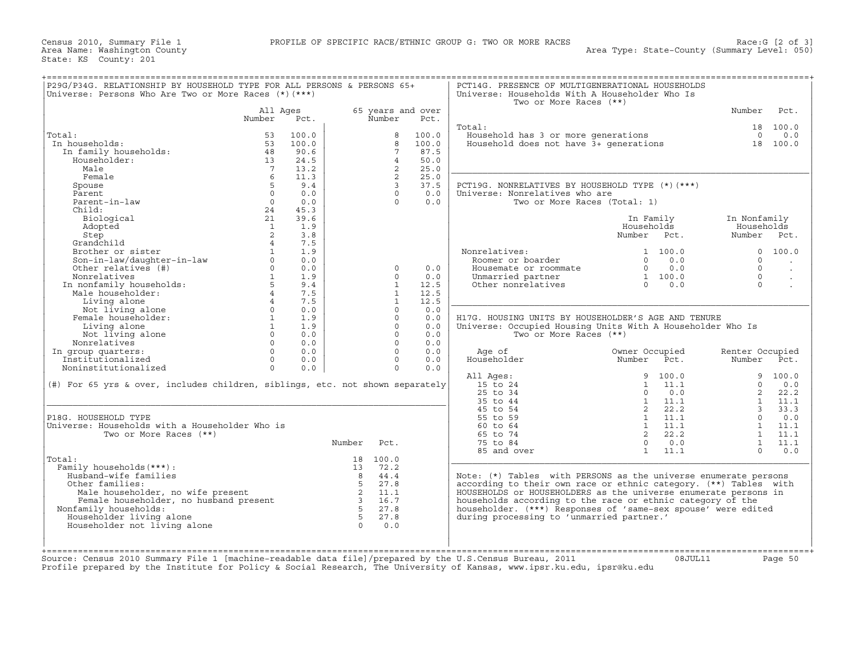| P29G/P34G. RELATIONSHIP BY HOUSEHOLD TYPE FOR ALL PERSONS & PERSONS 65+       |                        |       |             |                 |                   | PCT14G. PRESENCE OF MULTIGENERATIONAL HOUSEHOLDS                              |                |      |                 |                      |
|-------------------------------------------------------------------------------|------------------------|-------|-------------|-----------------|-------------------|-------------------------------------------------------------------------------|----------------|------|-----------------|----------------------|
| Universe: Persons Who Are Two or More Races (*) (***)                         |                        |       |             |                 |                   | Universe: Households With A Householder Who Is<br>Two or More Races (**)      |                |      |                 |                      |
|                                                                               | All Ages               |       |             |                 | 65 years and over |                                                                               |                |      | Number          | Pct.                 |
|                                                                               | Number                 | Pct.  |             | Number          | Pct.              |                                                                               |                |      |                 |                      |
|                                                                               |                        |       |             |                 |                   | Total:                                                                        |                |      |                 | 18 100.0             |
| Total:                                                                        | 53                     | 100.0 |             | 8               | 100.0             |                                                                               |                |      |                 | $0 \t 0.0$           |
| In households:                                                                | 53                     | 100.0 |             | 8               | 100.0             | Household has 3 or more generations<br>Household does not have 3+ generations |                |      |                 | 18 100.0             |
| In family households:                                                         | 48                     | 90.6  |             | $7\overline{ }$ | 87.5              |                                                                               |                |      |                 |                      |
| Householder:                                                                  | 13                     | 24.5  |             | $\overline{4}$  | 50.0              |                                                                               |                |      |                 |                      |
| Male                                                                          | $\overline{7}$         | 13.2  |             | $\overline{2}$  | 25.0              |                                                                               |                |      |                 |                      |
| Female                                                                        | 6                      | 11.3  |             | 2               | 25.0              |                                                                               |                |      |                 |                      |
| Spouse                                                                        | 5                      | 9.4   |             | $\overline{3}$  | 37.5              | PCT19G. NONRELATIVES BY HOUSEHOLD TYPE (*)(***)                               |                |      |                 |                      |
|                                                                               | $\Omega$               | 0.0   |             | $\Omega$        | 0.0               |                                                                               |                |      |                 |                      |
| Parent<br>Parent-in-law                                                       | $\Omega$               | 0.0   |             | $\Omega$        | 0.0               | Universe: Nonrelatives who are                                                |                |      |                 |                      |
| Child.                                                                        |                        |       |             |                 |                   | Two or More Races (Total: 1)                                                  |                |      |                 |                      |
|                                                                               | 24                     | 45.3  |             |                 |                   |                                                                               |                |      |                 |                      |
| Biological                                                                    | 21                     | 39.6  |             |                 |                   |                                                                               | In Family      |      | In Nonfamily    |                      |
| Adopted                                                                       | <sup>1</sup>           | 1.9   |             |                 |                   |                                                                               | Households     |      | Households      |                      |
| Step                                                                          | 2                      | 3.8   |             |                 |                   |                                                                               | Number Pct.    |      | Number Pct.     |                      |
| Grandchild                                                                    | $\overline{4}$         | 7.5   |             |                 |                   |                                                                               |                |      |                 |                      |
| Brother or sister                                                             | $\mathbf{1}$           | 1.9   |             |                 |                   | Nonrelatives:                                                                 | 1 100.0        |      |                 | 0 100.0              |
|                                                                               | $\Omega$               | 0.0   |             |                 |                   | Roomer or boarder                                                             | $\Omega$       | 0.0  | $\Omega$        | $\ddot{\phantom{a}}$ |
| Son-in-law/daughter-in-law<br>Other relatives (#)                             | $\circ$                | 0.0   |             | $\circ$         | 0.0               | Housemate or roommate                                                         | $0 \t 0.0$     |      | $\Omega$        | $\Box$               |
| Nonrelatives                                                                  | $1 \quad \blacksquare$ | 1.9   |             | $\Omega$        | 0.0               | Unmarried partner                                                             | 1 100.0        |      | $\Omega$        | $\bullet$            |
| In nonfamily households:                                                      | $5 -$                  | 9.4   |             | $\mathbf{1}$    | 12.5              | Other nonrelatives                                                            | $\cap$         | 0.0  | $\Omega$        | $\ddot{\phantom{a}}$ |
| Male householder:                                                             | $4\overline{ }$        | 7.5   |             | $\mathbf{1}$    | 12.5              |                                                                               |                |      |                 |                      |
| Living alone                                                                  | $4\degree$             | 7.5   |             | $\mathbf{1}$    | 12.5              |                                                                               |                |      |                 |                      |
| Not living alone                                                              | $0 \qquad \qquad$      | 0.0   |             | $\Omega$        | 0.0               |                                                                               |                |      |                 |                      |
| Female householder:                                                           | <sup>1</sup>           | 1.9   |             | $\Omega$        | 0.0               | H17G. HOUSING UNITS BY HOUSEHOLDER'S AGE AND TENURE                           |                |      |                 |                      |
| Living alone                                                                  | $\mathbf{1}$           | 1.9   |             | $\circ$         | 0.0               | Universe: Occupied Housing Units With A Householder Who Is                    |                |      |                 |                      |
| Not living alone                                                              | $\circ$                | 0.0   |             | $\circ$         | 0.0               | Two or More Races (**)                                                        |                |      |                 |                      |
| Nonrelatives                                                                  | $\Omega$               | 0.0   |             | $\Omega$        | 0.0               |                                                                               |                |      |                 |                      |
| In group quarters:                                                            | $\Omega$               | 0.0   |             | $\Omega$        | 0.0               | Age of                                                                        | Owner Occupied |      | Renter Occupied |                      |
| Institutionalized                                                             | $\Omega$               | 0.0   |             | $\Omega$        | 0.0               | Householder                                                                   | Number         | Pct. | Number Pct.     |                      |
| Noninstitutionalized                                                          | $\Omega$               | 0.0   |             | $\Omega$        | 0.0               |                                                                               |                |      |                 |                      |
|                                                                               |                        |       |             |                 |                   | All Ages:                                                                     | 9 100.0        |      |                 | 9 100.0              |
| (#) For 65 yrs & over, includes children, siblings, etc. not shown separately |                        |       |             |                 |                   | 15 to 24                                                                      | $1 \quad 11.1$ |      | $\circ$         | 0.0                  |
|                                                                               |                        |       |             |                 |                   | 25 to 34                                                                      | $\circ$        | 0.0  | $2^{\circ}$     | 22.2                 |
|                                                                               |                        |       |             |                 |                   | 35 to 44                                                                      | $1 \quad 11.1$ |      |                 | $1 \quad 11.1$       |
|                                                                               |                        |       |             |                 |                   | 45 to 54                                                                      | 2 22.2         |      |                 | 3, 33.3              |
| P18G. HOUSEHOLD TYPE                                                          |                        |       |             |                 |                   | 55 to 59                                                                      | 1 11.1         |      | $\Omega$        | 0.0                  |
| Universe: Households with a Householder Who is                                |                        |       |             |                 |                   | 60 to 64                                                                      | 1 11.1         |      |                 | 1 11.1               |
| Two or More Races (**)                                                        |                        |       |             |                 |                   | 65 to 74                                                                      | 2 22.2         |      |                 | $1 \quad 11.1$       |
|                                                                               |                        |       | Number Pct. |                 |                   | 75 to 84                                                                      | $\overline{0}$ | 0.0  |                 | 1 11.1               |
|                                                                               |                        |       |             |                 |                   | 85 and over                                                                   | 1              | 11.1 | $\Omega$        | 0.0                  |
| Total:                                                                        |                        |       |             | 18 100.0        |                   |                                                                               |                |      |                 |                      |
| Family households (***) :                                                     |                        |       |             | 13 72.2         |                   |                                                                               |                |      |                 |                      |
| Husband-wife families                                                         |                        |       |             | 8 44.4          |                   | Note: (*) Tables with PERSONS as the universe enumerate persons               |                |      |                 |                      |
| Other families:                                                               |                        |       | $5 -$       | 27.8            |                   | according to their own race or ethnic category. (**) Tables with              |                |      |                 |                      |
| Male householder, no wife present                                             |                        |       |             | 2 11.1          |                   | HOUSEHOLDS or HOUSEHOLDERS as the universe enumerate persons in               |                |      |                 |                      |
|                                                                               |                        |       |             | 3 16.7          |                   | households according to the race or ethnic category of the                    |                |      |                 |                      |
| Female householder, no husband present                                        |                        |       |             | 5 27.8          |                   |                                                                               |                |      |                 |                      |
| Nonfamily households:                                                         |                        |       |             |                 |                   | householder. (***) Responses of 'same-sex spouse' were edited                 |                |      |                 |                      |
| Householder living alone                                                      |                        |       | $5^{\circ}$ | 27.8            |                   | during processing to 'unmarried partner.'                                     |                |      |                 |                      |
| Householder not living alone                                                  |                        |       | $\bigcap$   | 0.0             |                   |                                                                               |                |      |                 |                      |
|                                                                               |                        |       |             |                 |                   |                                                                               |                |      |                 |                      |
|                                                                               |                        |       |             |                 |                   |                                                                               |                |      |                 |                      |
|                                                                               |                        |       |             |                 |                   |                                                                               |                |      |                 |                      |

Source: Census 2010 Summary File 1 [machine−readable data file]/prepared by the U.S.Census Bureau, 2011 08JUL11 Page 50 Profile prepared by the Institute for Policy & Social Research, The University of Kansas, www.ipsr.ku.edu, ipsr@ku.edu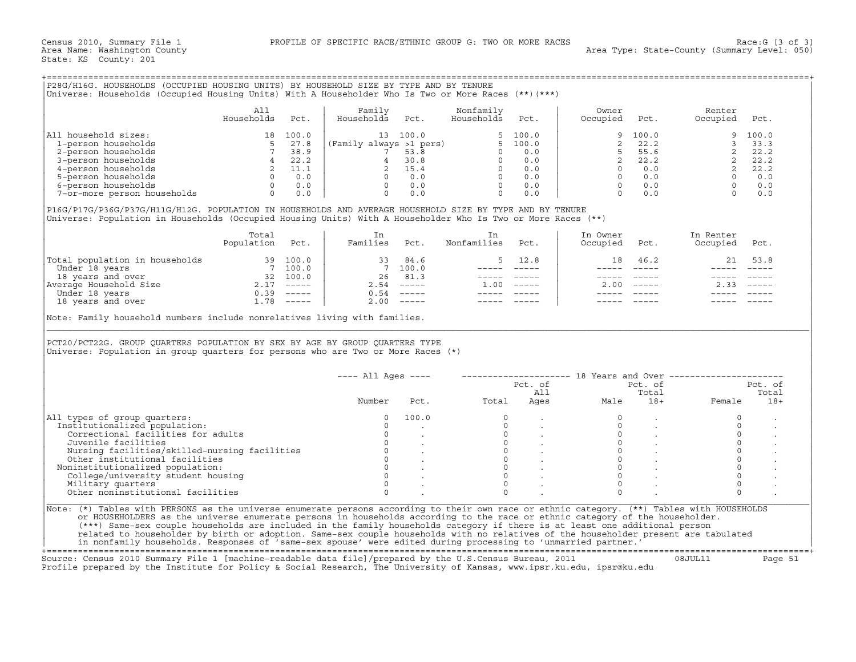## +===================================================================================================================================================+

|                             | Alı        |       | Family                  |          | Nonfamily  |       | Owner    |         | Renter   |         |
|-----------------------------|------------|-------|-------------------------|----------|------------|-------|----------|---------|----------|---------|
|                             | Households | Pct.  | Households              | Pct.     | Households | Pct.  | Occupied | Pct.    | Occupied | Pct.    |
| All household sizes:        | 18.        | 100.0 |                         | 13 100.0 |            | 100.0 |          | 9 100.0 |          | 9 100.0 |
| 1-person households         |            | 27.8  | (Family always >1 pers) |          |            | 100.0 |          | 22.2    |          | 33.3    |
| 2-person households         |            | 38.9  |                         | 53.8     |            | 0.0   |          | 55.6    |          | 22.2    |
| 3-person households         |            | 22.2  |                         | 30.8     |            | 0.0   |          | 22.2    |          | 22.2    |
| 4-person households         |            | 11.1  |                         | 15.4     |            | 0.0   |          | 0.0     |          | 22.2    |
| 5-person households         |            | 0.0   |                         | 0.0      |            | 0.0   |          | 0.0     |          | 0.0     |
| 6-person households         |            | 0.0   |                         | 0.0      |            | 0.0   |          | 0.0     |          | 0.0     |
| 7-or-more person households |            | 0.0   |                         | 0.0      |            | 0.0   |          | 0.0     |          | 0.0     |

|                                | Total<br>Population | Pct.          | Families | Pct.                      | Nonfamilies | Pct.          | In Owner<br>Occupied | Pct.          | In Renter<br>Occupied | Pct.                      |
|--------------------------------|---------------------|---------------|----------|---------------------------|-------------|---------------|----------------------|---------------|-----------------------|---------------------------|
| Total population in households |                     | 39 100.0      | 33       | 84.6                      |             | 12.8          | 18                   | 46.2          | 21                    | 53.8                      |
| Under 18 years                 |                     | 7 100.0       |          | 7 100.0                   |             |               |                      |               |                       |                           |
| 18 years and over              | 32                  | 100.0         | 26       | 81.3                      |             |               |                      |               |                       |                           |
| Average Household Size         |                     | $- - - - - -$ | 2.54     | $\qquad \qquad - - - - -$ | 1.00        | $- - - - - -$ | 2.00                 | $\frac{1}{2}$ | 2.33                  | $\qquad \qquad - - - - -$ |
| Under 18 years                 | 0.39                | $------$      | 0.54     |                           |             |               |                      |               |                       |                           |
| 18 years and over              | ⊥.78                | $------$      | 2.00     | $------$                  |             |               |                      |               |                       |                           |

| All household sizes:<br>$\begin{array}{c cc} 18 & 100.0 & & & \\ 5 & 27.8 & & & \\ 7 & 38.9 & & & \\ 4 & 22.2 & & \\ 2 & 11.1 & & \\ 0 & 0.0 & & \\ 0 & 0.0 & & \\ 0 & 0.0 & & \\ 0 & 0.0 & & \\ 0 & 0.0 & & \\ 0 & 0.0 & & \\ 0 & 0.0 & & \\ 0 & 0.0 & & \\ 0 & 0.0 & & \\ 0 & 0.0 & & \\ 0 & 0.0 & & \\ 0 & 0.0 & & \\ 0 & 0.0 & & \\ 0 & 0.0 & & \\ 0 & 0.0 & & \\ $<br>1-person households<br>2-person households | All<br>Households |            |                                                                                                                                                         |                                                                           |                                                                                                                                                                                                                                                                                                                                                                                              |                           |                           |               |                                                                                               |             |
|-----------------------------------------------------------------------------------------------------------------------------------------------------------------------------------------------------------------------------------------------------------------------------------------------------------------------------------------------------------------------------------------------------------------------|-------------------|------------|---------------------------------------------------------------------------------------------------------------------------------------------------------|---------------------------------------------------------------------------|----------------------------------------------------------------------------------------------------------------------------------------------------------------------------------------------------------------------------------------------------------------------------------------------------------------------------------------------------------------------------------------------|---------------------------|---------------------------|---------------|-----------------------------------------------------------------------------------------------|-------------|
|                                                                                                                                                                                                                                                                                                                                                                                                                       |                   | Pct.       | Family<br>Households                                                                                                                                    | Pct.                                                                      | Nonfamily<br>Households                                                                                                                                                                                                                                                                                                                                                                      | Pct.                      | Owner<br>Occupied         | Pct.          | Renter<br>Occupied                                                                            | Pct.        |
|                                                                                                                                                                                                                                                                                                                                                                                                                       |                   |            |                                                                                                                                                         | 13 100.0                                                                  |                                                                                                                                                                                                                                                                                                                                                                                              | 5, 100.0                  |                           | 100.0         | 9                                                                                             | 100.0       |
|                                                                                                                                                                                                                                                                                                                                                                                                                       |                   |            |                                                                                                                                                         |                                                                           |                                                                                                                                                                                                                                                                                                                                                                                              |                           | 2                         | 22.2          |                                                                                               | 3, 33, 3    |
|                                                                                                                                                                                                                                                                                                                                                                                                                       |                   |            |                                                                                                                                                         |                                                                           |                                                                                                                                                                                                                                                                                                                                                                                              |                           | $5^{\circ}$               | 55.6          | $\overline{2}$                                                                                | 22.2        |
| 3-person households                                                                                                                                                                                                                                                                                                                                                                                                   |                   |            |                                                                                                                                                         |                                                                           |                                                                                                                                                                                                                                                                                                                                                                                              |                           | $2^{\circ}$               | 22.2          |                                                                                               |             |
| 4-person households                                                                                                                                                                                                                                                                                                                                                                                                   |                   |            |                                                                                                                                                         |                                                                           |                                                                                                                                                                                                                                                                                                                                                                                              |                           | $\Omega$                  | 0.0           |                                                                                               |             |
| 5-person households                                                                                                                                                                                                                                                                                                                                                                                                   |                   |            |                                                                                                                                                         |                                                                           |                                                                                                                                                                                                                                                                                                                                                                                              |                           |                           | $0 \t 0.0$    |                                                                                               |             |
| 6-person households                                                                                                                                                                                                                                                                                                                                                                                                   |                   |            |                                                                                                                                                         |                                                                           |                                                                                                                                                                                                                                                                                                                                                                                              |                           |                           | $0 \t 0.0$    |                                                                                               |             |
| 7-or-more person households                                                                                                                                                                                                                                                                                                                                                                                           |                   | $0 \t 0.0$ | (Family always >1 pers)<br>7 53.8<br>0 0.0<br>2 15.4<br>0 0.0<br>0 0.0<br>0 0.0<br>0 0.0<br>0 0.0<br>0 0.0<br>0 0.0<br>0 0.0<br>0 0.0<br>0 0.0<br>0 0.0 |                                                                           |                                                                                                                                                                                                                                                                                                                                                                                              |                           | $\Omega$                  | 0.0           | $\begin{array}{ccc} 2 & 22.2 \\ 2 & 22.2 \\ 2 & 0 & 0.0 \\ 0 & 0.0 \\ 0 & 0.0 \\ \end{array}$ |             |
| P16G/P17G/P36G/P37G/H11G/H12G. POPULATION IN HOUSEHOLDS AND AVERAGE HOUSEHOLD SIZE BY TYPE AND BY TENURE<br>Universe: Population in Households (Occupied Housing Units) With A Householder Who Is Two or More Races (**)                                                                                                                                                                                              |                   |            |                                                                                                                                                         |                                                                           |                                                                                                                                                                                                                                                                                                                                                                                              |                           |                           |               |                                                                                               |             |
|                                                                                                                                                                                                                                                                                                                                                                                                                       | Total             |            | In                                                                                                                                                      |                                                                           | In                                                                                                                                                                                                                                                                                                                                                                                           |                           | In Owner                  |               | In Renter                                                                                     |             |
|                                                                                                                                                                                                                                                                                                                                                                                                                       | Population Pct.   |            | Families Pct.                                                                                                                                           |                                                                           | Nonfamilies                                                                                                                                                                                                                                                                                                                                                                                  | Pct.                      | Occupied                  | Pct.          | Occupied                                                                                      | Pct.        |
| Total population in households<br>Under 18 years 19<br>18 years and over 18 years 18 years and over 18 years 18 years 18 years 18 years 18 years 18 years and over 1.78 −−−−−<br>18 years and over 1.78 −−−−−−−−−−−−−−−−−−−−−−−−−                                                                                                                                                                                     |                   |            |                                                                                                                                                         | 33 84.6                                                                   | 5                                                                                                                                                                                                                                                                                                                                                                                            | 12.8                      | 18                        | 46.2          | 21                                                                                            | 53.8        |
|                                                                                                                                                                                                                                                                                                                                                                                                                       |                   |            |                                                                                                                                                         | 7 100.0                                                                   | $------$                                                                                                                                                                                                                                                                                                                                                                                     | $\qquad \qquad - - - - -$ |                           | $\frac{1}{2}$ |                                                                                               | $- - - - -$ |
|                                                                                                                                                                                                                                                                                                                                                                                                                       |                   |            |                                                                                                                                                         | 26 81.3                                                                   |                                                                                                                                                                                                                                                                                                                                                                                              | ----- -----               | $\qquad \qquad - - - - -$ | $------$      |                                                                                               |             |
|                                                                                                                                                                                                                                                                                                                                                                                                                       |                   |            |                                                                                                                                                         | $2.54$ -----                                                              | $1.00$ -----                                                                                                                                                                                                                                                                                                                                                                                 |                           |                           | $2.00$ -----  | $2.33 - - - - -$                                                                              |             |
|                                                                                                                                                                                                                                                                                                                                                                                                                       |                   |            |                                                                                                                                                         | $0.54$ -----                                                              | $\frac{1}{2} \frac{1}{2} \frac{1}{2} \frac{1}{2} \frac{1}{2} \frac{1}{2} \frac{1}{2} \frac{1}{2} \frac{1}{2} \frac{1}{2} \frac{1}{2} \frac{1}{2} \frac{1}{2} \frac{1}{2} \frac{1}{2} \frac{1}{2} \frac{1}{2} \frac{1}{2} \frac{1}{2} \frac{1}{2} \frac{1}{2} \frac{1}{2} \frac{1}{2} \frac{1}{2} \frac{1}{2} \frac{1}{2} \frac{1}{2} \frac{1}{2} \frac{1}{2} \frac{1}{2} \frac{1}{2} \frac{$ |                           |                           |               |                                                                                               |             |
|                                                                                                                                                                                                                                                                                                                                                                                                                       |                   |            |                                                                                                                                                         | $2.00$ -----                                                              |                                                                                                                                                                                                                                                                                                                                                                                              |                           |                           |               |                                                                                               |             |
|                                                                                                                                                                                                                                                                                                                                                                                                                       |                   |            |                                                                                                                                                         | Note: Family household numbers include nonrelatives living with families. |                                                                                                                                                                                                                                                                                                                                                                                              |                           |                           |               |                                                                                               |             |
| PCT20/PCT22G. GROUP QUARTERS POPULATION BY SEX BY AGE BY GROUP QUARTERS TYPE<br>Universe: Population in group quarters for persons who are Two or More Races (*)                                                                                                                                                                                                                                                      |                   |            |                                                                                                                                                         |                                                                           |                                                                                                                                                                                                                                                                                                                                                                                              |                           |                           |               |                                                                                               |             |
|                                                                                                                                                                                                                                                                                                                                                                                                                       |                   |            | $--- All Aqes ---$                                                                                                                                      |                                                                           |                                                                                                                                                                                                                                                                                                                                                                                              |                           |                           |               | -------------------- 18 Years and Over -------------------                                    |             |
|                                                                                                                                                                                                                                                                                                                                                                                                                       |                   |            |                                                                                                                                                         |                                                                           |                                                                                                                                                                                                                                                                                                                                                                                              |                           |                           | Pct. of       |                                                                                               | Pct. of     |
|                                                                                                                                                                                                                                                                                                                                                                                                                       |                   |            |                                                                                                                                                         |                                                                           |                                                                                                                                                                                                                                                                                                                                                                                              | Pct. of<br>All            |                           | Total         |                                                                                               | Total       |
|                                                                                                                                                                                                                                                                                                                                                                                                                       |                   |            | Number                                                                                                                                                  | Pct.                                                                      | Total                                                                                                                                                                                                                                                                                                                                                                                        | Ages                      | Male                      | $18+$         | Female                                                                                        | $18+$       |
|                                                                                                                                                                                                                                                                                                                                                                                                                       |                   |            | $\Omega$                                                                                                                                                | 100.0                                                                     | $\Omega$                                                                                                                                                                                                                                                                                                                                                                                     |                           |                           |               | $\circ$                                                                                       |             |
|                                                                                                                                                                                                                                                                                                                                                                                                                       |                   |            | $\Omega$                                                                                                                                                |                                                                           | $\Omega$                                                                                                                                                                                                                                                                                                                                                                                     |                           | $\Omega$                  |               | $\Omega$                                                                                      |             |
| Correctional facilities for adults                                                                                                                                                                                                                                                                                                                                                                                    |                   |            | $\Omega$                                                                                                                                                |                                                                           | $\circ$                                                                                                                                                                                                                                                                                                                                                                                      |                           | $\circ$                   |               | $\circ$                                                                                       |             |
| Juvenile facilities                                                                                                                                                                                                                                                                                                                                                                                                   |                   |            | $\Omega$                                                                                                                                                |                                                                           | $\circ$                                                                                                                                                                                                                                                                                                                                                                                      |                           | $\circ$                   |               | $\circ$                                                                                       |             |
|                                                                                                                                                                                                                                                                                                                                                                                                                       |                   |            | $\Omega$                                                                                                                                                |                                                                           | $\Omega$                                                                                                                                                                                                                                                                                                                                                                                     |                           | $\Omega$                  |               | $\mathbf 0$                                                                                   |             |
| Nursing facilities/skilled-nursing facilities                                                                                                                                                                                                                                                                                                                                                                         |                   |            | $\circ$                                                                                                                                                 |                                                                           | $\circ$                                                                                                                                                                                                                                                                                                                                                                                      |                           | $\mathbf{0}$              |               | $\circ$                                                                                       |             |
| Other institutional facilities                                                                                                                                                                                                                                                                                                                                                                                        |                   |            | $\Omega$                                                                                                                                                |                                                                           | $\circ$                                                                                                                                                                                                                                                                                                                                                                                      |                           | $\Omega$                  |               | $\circ$                                                                                       |             |
| Noninstitutionalized population:                                                                                                                                                                                                                                                                                                                                                                                      |                   |            | $\Omega$                                                                                                                                                |                                                                           | $\Omega$                                                                                                                                                                                                                                                                                                                                                                                     |                           | $\Omega$                  |               | $\Omega$                                                                                      |             |
| College/university student housing                                                                                                                                                                                                                                                                                                                                                                                    |                   |            | $\Omega$                                                                                                                                                |                                                                           | $\Omega$                                                                                                                                                                                                                                                                                                                                                                                     |                           | $\Omega$                  |               | $\Omega$                                                                                      |             |
| All types of group quarters:<br>Institutionalized population:<br>Military quarters<br>Other noninstitutional facilities                                                                                                                                                                                                                                                                                               |                   |            | $\Omega$                                                                                                                                                |                                                                           | $\Omega$                                                                                                                                                                                                                                                                                                                                                                                     |                           | $\Omega$                  |               | $\Omega$                                                                                      |             |

+===================================================================================================================================================+Source: Census 2010 Summary File 1 [machine−readable data file]/prepared by the U.S.Census Bureau, 2011 08JUL11 Page 51 Profile prepared by the Institute for Policy & Social Research, The University of Kansas, www.ipsr.ku.edu, ipsr@ku.edu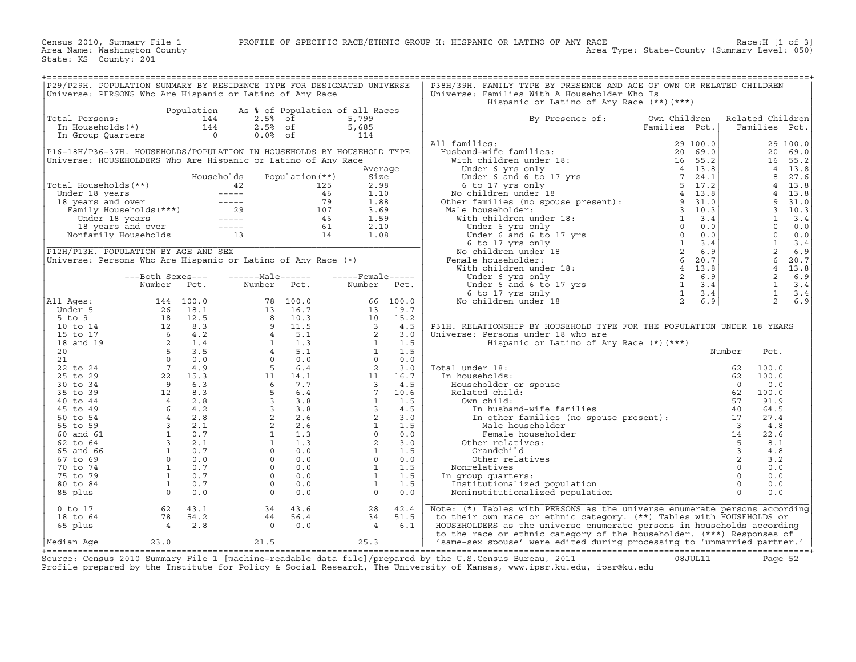Census 2010, Summary File 1 PROFILE OF SPECIFIC RACE/ETHNIC GROUP H: HISPANIC OR LATINO OF ANY RACE RACE RACE:H [1 of 3]<br>Area Name: Washington County

State: KS County: 201

| P29/P29H. POPULATION SUMMARY BY RESIDENCE TYPE FOR DESIGNATED UNIVERSE |                                                                                                                                                                                                                                                                                                                           |                |                                                                                                                                                                                                                                                      |                                         |                                            |       | P38H/39H. FAMILY TYPE BY PRESENCE AND AGE OF OWN OR RELATED CHILDREN                                                                                                                                                                               |               |                         |                  |          |
|------------------------------------------------------------------------|---------------------------------------------------------------------------------------------------------------------------------------------------------------------------------------------------------------------------------------------------------------------------------------------------------------------------|----------------|------------------------------------------------------------------------------------------------------------------------------------------------------------------------------------------------------------------------------------------------------|-----------------------------------------|--------------------------------------------|-------|----------------------------------------------------------------------------------------------------------------------------------------------------------------------------------------------------------------------------------------------------|---------------|-------------------------|------------------|----------|
| Universe: PERSONS Who Are Hispanic or Latino of Any Race               |                                                                                                                                                                                                                                                                                                                           |                |                                                                                                                                                                                                                                                      |                                         |                                            |       | Universe: Families With A Householder Who Is                                                                                                                                                                                                       |               |                         |                  |          |
|                                                                        |                                                                                                                                                                                                                                                                                                                           |                |                                                                                                                                                                                                                                                      |                                         |                                            |       |                                                                                                                                                                                                                                                    |               |                         |                  |          |
|                                                                        |                                                                                                                                                                                                                                                                                                                           |                |                                                                                                                                                                                                                                                      |                                         |                                            |       | Hispanic or Latino of Any Race $(**)$ $(***)$                                                                                                                                                                                                      |               |                         |                  |          |
|                                                                        |                                                                                                                                                                                                                                                                                                                           | Population     | As % of Population of all Races                                                                                                                                                                                                                      |                                         |                                            |       |                                                                                                                                                                                                                                                    |               |                         |                  |          |
| Total Persons:                                                         |                                                                                                                                                                                                                                                                                                                           | 144            | $2.5%$ of                                                                                                                                                                                                                                            |                                         | 5,799                                      |       | By Presence of:                                                                                                                                                                                                                                    | Own Children  |                         | Related Children |          |
| In Households(*)                                                       |                                                                                                                                                                                                                                                                                                                           | 144            | $2.5%$ of                                                                                                                                                                                                                                            |                                         | 5,685                                      |       |                                                                                                                                                                                                                                                    | Families Pct. |                         | Families Pct.    |          |
| In Group Quarters                                                      |                                                                                                                                                                                                                                                                                                                           | $\overline{0}$ | $0.0%$ of                                                                                                                                                                                                                                            |                                         | 114                                        |       |                                                                                                                                                                                                                                                    |               |                         |                  |          |
|                                                                        |                                                                                                                                                                                                                                                                                                                           |                |                                                                                                                                                                                                                                                      |                                         |                                            |       | All families:                                                                                                                                                                                                                                      |               |                         |                  | 29 100.0 |
| P16-18H/P36-37H. HOUSEHOLDS/POPULATION IN HOUSEHOLDS BY HOUSEHOLD TYPE |                                                                                                                                                                                                                                                                                                                           |                |                                                                                                                                                                                                                                                      |                                         |                                            |       |                                                                                                                                                                                                                                                    |               |                         |                  | 20 69.0  |
| Universe: HOUSEHOLDERS Who Are Hispanic or Latino of Any Race          |                                                                                                                                                                                                                                                                                                                           |                |                                                                                                                                                                                                                                                      |                                         |                                            |       |                                                                                                                                                                                                                                                    |               |                         | 16               | 55.2     |
|                                                                        |                                                                                                                                                                                                                                                                                                                           |                |                                                                                                                                                                                                                                                      |                                         | Average                                    |       |                                                                                                                                                                                                                                                    |               |                         | $\overline{4}$   | 13.8     |
|                                                                        |                                                                                                                                                                                                                                                                                                                           |                |                                                                                                                                                                                                                                                      |                                         |                                            |       |                                                                                                                                                                                                                                                    |               |                         | 8                |          |
|                                                                        |                                                                                                                                                                                                                                                                                                                           |                | Households                                                                                                                                                                                                                                           | Population (**)                         | Size                                       |       |                                                                                                                                                                                                                                                    |               |                         |                  | 27.6     |
| Total Households (**)                                                  |                                                                                                                                                                                                                                                                                                                           |                |                                                                                                                                                                                                                                                      | 125                                     | 2.98                                       |       |                                                                                                                                                                                                                                                    |               |                         | $\overline{4}$   | 13.8     |
| Under 18 years                                                         |                                                                                                                                                                                                                                                                                                                           |                |                                                                                                                                                                                                                                                      | 46                                      | 1.10                                       |       |                                                                                                                                                                                                                                                    |               |                         | $\overline{4}$   | 13.8     |
| 18 years and over                                                      |                                                                                                                                                                                                                                                                                                                           |                |                                                                                                                                                                                                                                                      | 79                                      | 1.88                                       |       |                                                                                                                                                                                                                                                    |               |                         | 9                | 31.0     |
|                                                                        |                                                                                                                                                                                                                                                                                                                           |                |                                                                                                                                                                                                                                                      | 107                                     | 3.69                                       |       | Male householder:                                                                                                                                                                                                                                  | $3 \t10.3$    |                         | $\mathbf{3}$     | 10.3     |
|                                                                        |                                                                                                                                                                                                                                                                                                                           |                |                                                                                                                                                                                                                                                      | 46                                      | 1.59                                       |       |                                                                                                                                                                                                                                                    |               |                         | $\mathbf{1}$     | 3.4      |
|                                                                        |                                                                                                                                                                                                                                                                                                                           |                | - years and over<br>Family Households (***)<br>Under 18 years<br>18 years and over<br>18 years and over<br>19 years and over<br>19 years and over<br>19 years and over<br>19 years and over<br>19 years and over<br>19 years and over<br>29 years an |                                         | 2.10                                       |       | ale householder:<br>and householder:<br>With children under 18:<br>Under 6 yrs only<br>Under 6 yrs only<br>Under 6 and 6 to 17 yrs<br>6 to 17 yrs 6 to 17 yrs<br>(a) 0 0.0<br>No children under 18<br>emale householder:<br>With children under 18 |               |                         | $\circ$          | 0.0      |
|                                                                        |                                                                                                                                                                                                                                                                                                                           |                |                                                                                                                                                                                                                                                      | $\begin{array}{c} 61 \\ 14 \end{array}$ | 1.08                                       |       |                                                                                                                                                                                                                                                    |               |                         | $\Omega$         | 0.0      |
|                                                                        |                                                                                                                                                                                                                                                                                                                           |                |                                                                                                                                                                                                                                                      |                                         |                                            |       |                                                                                                                                                                                                                                                    |               |                         | $\mathbf{1}$     | 3.4      |
| P12H/P13H. POPULATION BY AGE AND SEX                                   |                                                                                                                                                                                                                                                                                                                           |                |                                                                                                                                                                                                                                                      |                                         |                                            |       |                                                                                                                                                                                                                                                    |               |                         | 2                | 6.9      |
|                                                                        |                                                                                                                                                                                                                                                                                                                           |                |                                                                                                                                                                                                                                                      |                                         |                                            |       |                                                                                                                                                                                                                                                    |               |                         |                  |          |
| Universe: Persons Who Are Hispanic or Latino of Any Race (*)           |                                                                                                                                                                                                                                                                                                                           |                |                                                                                                                                                                                                                                                      |                                         |                                            |       | Female householder:                                                                                                                                                                                                                                |               |                         | $6\overline{6}$  | 20.7     |
|                                                                        |                                                                                                                                                                                                                                                                                                                           |                |                                                                                                                                                                                                                                                      |                                         |                                            |       |                                                                                                                                                                                                                                                    |               |                         | $4\overline{ }$  | 13.8     |
|                                                                        | ---Both Sexes---                                                                                                                                                                                                                                                                                                          |                | $---Male----$                                                                                                                                                                                                                                        |                                         | $---$ Female -----                         |       |                                                                                                                                                                                                                                                    |               |                         | 2                | 6.9      |
|                                                                        | Number                                                                                                                                                                                                                                                                                                                    | Pct.           | Number                                                                                                                                                                                                                                               | Pct.                                    | Number                                     | Pct.  |                                                                                                                                                                                                                                                    |               |                         | $\mathbf{1}$     | 3.4      |
|                                                                        |                                                                                                                                                                                                                                                                                                                           |                |                                                                                                                                                                                                                                                      |                                         |                                            |       |                                                                                                                                                                                                                                                    |               |                         | $\mathbf{1}$     | 3.4      |
| All Ages:                                                              | 144                                                                                                                                                                                                                                                                                                                       | 100.0          | 78                                                                                                                                                                                                                                                   | 100.0                                   | 66                                         | 100.0 |                                                                                                                                                                                                                                                    |               |                         | 2                | 6.9      |
| Under 5                                                                |                                                                                                                                                                                                                                                                                                                           |                |                                                                                                                                                                                                                                                      |                                         | 13                                         | 19.7  |                                                                                                                                                                                                                                                    |               |                         |                  |          |
| 5 to 9                                                                 | $\begin{array}{cc} 26 & 18.1 \\ 18 & 12.5 \end{array}$                                                                                                                                                                                                                                                                    |                |                                                                                                                                                                                                                                                      |                                         | 10                                         | 15.2  |                                                                                                                                                                                                                                                    |               |                         |                  |          |
|                                                                        |                                                                                                                                                                                                                                                                                                                           |                |                                                                                                                                                                                                                                                      |                                         |                                            |       |                                                                                                                                                                                                                                                    |               |                         |                  |          |
| 10 to 14                                                               |                                                                                                                                                                                                                                                                                                                           |                |                                                                                                                                                                                                                                                      |                                         | $\begin{array}{c} 3 \\ 2 \\ 1 \end{array}$ | 4.5   | P31H. RELATIONSHIP BY HOUSEHOLD TYPE FOR THE POPULATION UNDER 18 YEARS                                                                                                                                                                             |               |                         |                  |          |
| 15 to 17                                                               |                                                                                                                                                                                                                                                                                                                           |                |                                                                                                                                                                                                                                                      |                                         |                                            | 3.0   | Universe: Persons under 18 who are                                                                                                                                                                                                                 |               |                         |                  |          |
| 18 and 19                                                              |                                                                                                                                                                                                                                                                                                                           |                |                                                                                                                                                                                                                                                      |                                         |                                            | 1.5   | Hispanic or Latino of Any Race $(*)$ $(***)$                                                                                                                                                                                                       |               |                         |                  |          |
| 20                                                                     |                                                                                                                                                                                                                                                                                                                           |                |                                                                                                                                                                                                                                                      |                                         |                                            | 1.5   |                                                                                                                                                                                                                                                    |               | Number                  | Pct.             |          |
| 21                                                                     |                                                                                                                                                                                                                                                                                                                           |                |                                                                                                                                                                                                                                                      |                                         |                                            | 0.0   |                                                                                                                                                                                                                                                    |               |                         |                  |          |
| 22 to 24                                                               |                                                                                                                                                                                                                                                                                                                           |                |                                                                                                                                                                                                                                                      |                                         |                                            | 3.0   | Total under 18:                                                                                                                                                                                                                                    |               | 62                      | 100.0            |          |
| 25 to 29                                                               |                                                                                                                                                                                                                                                                                                                           |                |                                                                                                                                                                                                                                                      |                                         |                                            | 16.7  | In households:                                                                                                                                                                                                                                     |               | 62                      | 100.0            |          |
| 30 to 34                                                               |                                                                                                                                                                                                                                                                                                                           |                |                                                                                                                                                                                                                                                      |                                         |                                            | 4.5   | Householder or spouse                                                                                                                                                                                                                              |               | $\Omega$                | 0.0              |          |
| 35 to 39                                                               |                                                                                                                                                                                                                                                                                                                           |                |                                                                                                                                                                                                                                                      |                                         |                                            | 10.6  | Related child:                                                                                                                                                                                                                                     |               | 62                      | 100.0            |          |
|                                                                        |                                                                                                                                                                                                                                                                                                                           |                |                                                                                                                                                                                                                                                      |                                         |                                            |       |                                                                                                                                                                                                                                                    |               |                         |                  |          |
| 40 to 44                                                               | $\begin{array}{cccccc} 18 & 12.5 \\ 12 & 8.3 \\ 6 & 4.2 \\ 2 & 1.4 \\ 2 & 1.4 \\ 5 & 3.5 \\ 0 & 0.0 \\ 7 & 4.9 \\ 22 & 15.3 \\ 9 & 6.3 \\ 2 & 15.3 \\ 9 & 6.3 \\ 2 & 15.3 \\ 9 & 6.3 \\ 2 & 15.3 \\ 9 & 6.3 \\ 2 & 15.3 \\ 9 & 6.3 \\ 2 & 15.3 \\ 1 & 0.2 \\ 1 & 0.7 \\ 3 & 2.1 \\ 1 & 0.7 \\ 0 & 0.0 \\ 1 & 0.7 \\ \end$ |                |                                                                                                                                                                                                                                                      |                                         |                                            | 1.5   | Own child:<br>wn child:<br>In husband-wife families<br>In other families (no spouse present):                                                                                                                                                      |               | 57                      | 91.9             |          |
| 45 to 49                                                               |                                                                                                                                                                                                                                                                                                                           |                |                                                                                                                                                                                                                                                      |                                         |                                            | 4.5   |                                                                                                                                                                                                                                                    |               | 40                      | 64.5             |          |
| 50 to 54                                                               |                                                                                                                                                                                                                                                                                                                           |                |                                                                                                                                                                                                                                                      |                                         |                                            | 3.0   |                                                                                                                                                                                                                                                    |               | 17                      | 27.4             |          |
| 55 to 59                                                               |                                                                                                                                                                                                                                                                                                                           |                |                                                                                                                                                                                                                                                      |                                         |                                            | 1.5   | Male householder                                                                                                                                                                                                                                   |               | $\overline{\mathbf{3}}$ | 4.8              |          |
| 60 and 61                                                              |                                                                                                                                                                                                                                                                                                                           |                |                                                                                                                                                                                                                                                      |                                         |                                            | 0.0   | Female householder                                                                                                                                                                                                                                 |               | 14                      | 22.6             |          |
| 62 to 64                                                               |                                                                                                                                                                                                                                                                                                                           |                |                                                                                                                                                                                                                                                      |                                         |                                            | 3.0   | Other relatives:                                                                                                                                                                                                                                   |               | 5                       | 8.1              |          |
| 65 and 66                                                              |                                                                                                                                                                                                                                                                                                                           |                |                                                                                                                                                                                                                                                      |                                         |                                            | 1.5   | Grandchild                                                                                                                                                                                                                                         |               | $\overline{\mathbf{3}}$ | 4.8              |          |
| 67 to 69                                                               |                                                                                                                                                                                                                                                                                                                           |                |                                                                                                                                                                                                                                                      |                                         |                                            | 0.0   | Other relatives                                                                                                                                                                                                                                    |               | $\overline{2}$          | 3.2              |          |
|                                                                        |                                                                                                                                                                                                                                                                                                                           |                |                                                                                                                                                                                                                                                      |                                         |                                            |       |                                                                                                                                                                                                                                                    |               | $\Omega$                |                  |          |
| 70 to 74                                                               | $\sim$ 1                                                                                                                                                                                                                                                                                                                  |                |                                                                                                                                                                                                                                                      |                                         |                                            | 1.5   | Nonrelatives                                                                                                                                                                                                                                       |               |                         | 0.0              |          |
| 75 to 79                                                               | $\mathbf{1}$                                                                                                                                                                                                                                                                                                              |                |                                                                                                                                                                                                                                                      |                                         |                                            | 1.5   | In group quarters:                                                                                                                                                                                                                                 |               | $\Omega$                | 0.0              |          |
| 80 to 84                                                               | $\overline{1}$                                                                                                                                                                                                                                                                                                            | 0.7            | $\Omega$                                                                                                                                                                                                                                             | 0.0                                     | $\overline{1}$                             | 1.5   | Institutionalized population                                                                                                                                                                                                                       |               | $\overline{0}$          | 0.0              |          |
| 85 plus                                                                | $\circ$                                                                                                                                                                                                                                                                                                                   | 0.0            | $\circ$                                                                                                                                                                                                                                              | 0.0                                     | $\Omega$                                   | 0.0   | Noninstitutionalized population                                                                                                                                                                                                                    |               | $\Omega$                | 0.0              |          |
|                                                                        |                                                                                                                                                                                                                                                                                                                           |                |                                                                                                                                                                                                                                                      |                                         |                                            |       |                                                                                                                                                                                                                                                    |               |                         |                  |          |
| $0$ to $17$                                                            | 62                                                                                                                                                                                                                                                                                                                        | 43.1           | 34                                                                                                                                                                                                                                                   | 43.6                                    | 28                                         | 42.4  | Note: (*) Tables with PERSONS as the universe enumerate persons according                                                                                                                                                                          |               |                         |                  |          |
| 18 to 64                                                               | 78                                                                                                                                                                                                                                                                                                                        | 54.2           | 44                                                                                                                                                                                                                                                   | 56.4                                    | 34                                         | 51.5  | to their own race or ethnic category. (**) Tables with HOUSEHOLDS or                                                                                                                                                                               |               |                         |                  |          |
|                                                                        |                                                                                                                                                                                                                                                                                                                           | 2.8            | $\overline{0}$                                                                                                                                                                                                                                       | 0.0                                     | $\overline{4}$                             | 6.1   | HOUSEHOLDERS as the universe enumerate persons in households according                                                                                                                                                                             |               |                         |                  |          |
| 65 plus                                                                | $\overline{4}$                                                                                                                                                                                                                                                                                                            |                |                                                                                                                                                                                                                                                      |                                         |                                            |       |                                                                                                                                                                                                                                                    |               |                         |                  |          |
|                                                                        |                                                                                                                                                                                                                                                                                                                           |                |                                                                                                                                                                                                                                                      |                                         |                                            |       | to the race or ethnic category of the householder. (***) Responses of                                                                                                                                                                              |               |                         |                  |          |
| Median Age                                                             | 23.0                                                                                                                                                                                                                                                                                                                      |                | 21.5                                                                                                                                                                                                                                                 |                                         | 25.3                                       |       | 'same-sex spouse' were edited during processing to 'unmarried partner.'                                                                                                                                                                            |               |                         |                  |          |

+===================================================================================================================================================+ Source: Census 2010 Summary File 1 [machine−readable data file]/prepared by the U.S.Census Bureau, 2011 08JUL11 Page 52 Profile prepared by the Institute for Policy & Social Research, The University of Kansas, www.ipsr.ku.edu, ipsr@ku.edu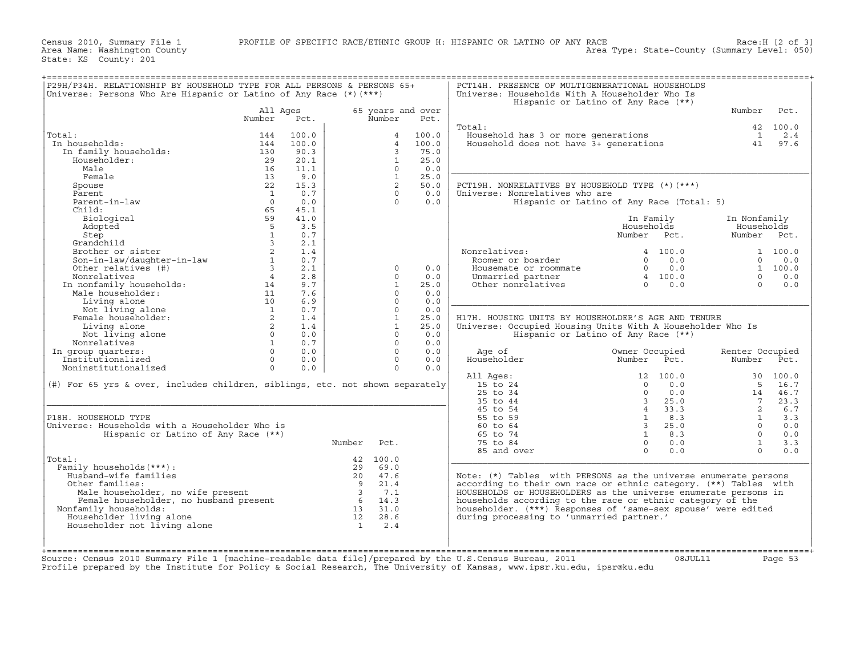Census 2010, Summary File 1 PROFILE OF SPECIFIC RACE/ETHNIC GROUP H: HISPANIC OR LATINO OF ANY RACE<br>؟ Area Name: Washington County RACE Race: Mace: Mace: Race: Mace: Mace: N<br>Area Type: State−County (Summary Level: 050)

| Universe: Persons Who Are Hispanic or Latino of Any Race $(*)$ $(***)$                                                                              |                |       |                                |                         | Universe: Households With A Householder Who Is                   | Hispanic or Latino of Any Race (**)       |                 |              |
|-----------------------------------------------------------------------------------------------------------------------------------------------------|----------------|-------|--------------------------------|-------------------------|------------------------------------------------------------------|-------------------------------------------|-----------------|--------------|
|                                                                                                                                                     | All Ages       |       |                                | 65 years and over       |                                                                  |                                           | Number          | Pct.         |
|                                                                                                                                                     | Number         | Pct.  | Number                         | Pct.                    |                                                                  |                                           |                 |              |
|                                                                                                                                                     |                |       |                                |                         | Total:                                                           |                                           |                 | 42 100.0     |
| Total:                                                                                                                                              | 144            | 100.0 |                                | 100.0<br>$\overline{4}$ | Household has 3 or more generations                              |                                           | $\overline{1}$  | 2.4          |
| In households:                                                                                                                                      | 144            | 100.0 |                                | 100.0<br>$\overline{4}$ | Household does not have 3+ generations                           |                                           | 41              | 97.6         |
| In family households:                                                                                                                               | 130            | 90.3  |                                | 3<br>75.0               |                                                                  |                                           |                 |              |
| Householder:                                                                                                                                        | 29             | 20.1  |                                | $\mathbf{1}$<br>25.0    |                                                                  |                                           |                 |              |
| Male                                                                                                                                                | 16             | 11.1  |                                | $\Omega$<br>0.0         |                                                                  |                                           |                 |              |
| Female                                                                                                                                              | 13             | 9.0   |                                | $\mathbf{1}$<br>25.0    |                                                                  |                                           |                 |              |
| Spouse                                                                                                                                              | 22             | 15.3  |                                | $\overline{2}$<br>50.0  | PCT19H. NONRELATIVES BY HOUSEHOLD TYPE (*) (***)                 |                                           |                 |              |
| Parent.                                                                                                                                             | $\overline{1}$ | 0.7   |                                | 0.0<br>$\Omega$         | Universe: Nonrelatives who are                                   |                                           |                 |              |
| Parent-in-law                                                                                                                                       | $\Omega$       | 0.0   |                                | $\Omega$<br>0.0         |                                                                  | Hispanic or Latino of Any Race (Total: 5) |                 |              |
| Child:                                                                                                                                              | 65             | 45.1  |                                |                         |                                                                  |                                           |                 |              |
| Biological                                                                                                                                          | 59             | 41.0  |                                |                         |                                                                  | In Family                                 | In Nonfamily    |              |
| Adopted                                                                                                                                             | 5              | 3.5   |                                |                         |                                                                  | Households                                | Households      |              |
| Step                                                                                                                                                | $\mathbf{1}$   | 0.7   |                                |                         |                                                                  | Number<br>Pct.                            | Number          | Pct.         |
| Grandchild                                                                                                                                          | $\mathcal{L}$  | 2.1   |                                |                         |                                                                  |                                           |                 |              |
|                                                                                                                                                     |                |       |                                |                         |                                                                  |                                           |                 |              |
| Brother or sister                                                                                                                                   | $\overline{a}$ | 1.4   |                                |                         | Nonrelatives:                                                    | 4 100.0                                   |                 | 1 100.0      |
| Son-in-law/daughter-in-law                                                                                                                          | $\mathbf{1}$   | 0.7   |                                |                         | Roomer or boarder                                                | $\Omega$<br>0.0                           | $\Omega$        | 0.0          |
| Other relatives (#)                                                                                                                                 | $\overline{3}$ | 2.1   |                                | 0.0<br>$\Omega$         | Housemate or roommate                                            | $\Omega$<br>0.0                           |                 | 1 100.0      |
| Nonrelatives                                                                                                                                        | $\overline{4}$ | 2.8   |                                | 0.0<br>$\Omega$         | Unmarried partner                                                | 4 100.0                                   | $\Omega$        | 0.0          |
| In nonfamily households:<br>Male householder.                                                                                                       | 14             | 9.7   |                                | $\mathbf{1}$<br>25.0    | Other nonrelatives                                               | 0.0<br>$\Omega$                           | $\Omega$        | 0.0          |
| Male householder:                                                                                                                                   | 11             | 7.6   |                                | $\Omega$<br>0.0         |                                                                  |                                           |                 |              |
| Living alone                                                                                                                                        | 10             | 6.9   |                                | $\Omega$<br>0.0         |                                                                  |                                           |                 |              |
| Not living alone                                                                                                                                    | $\overline{1}$ | 0.7   |                                | $\Omega$<br>0.0         |                                                                  |                                           |                 |              |
| Female householder:                                                                                                                                 | 2              | 1.4   |                                | $\mathbf{1}$<br>25.0    | H17H. HOUSING UNITS BY HOUSEHOLDER'S AGE AND TENURE              |                                           |                 |              |
| Living alone                                                                                                                                        | 2              | 1.4   |                                | $\mathbf{1}$<br>25.0    | Universe: Occupied Housing Units With A Householder Who Is       |                                           |                 |              |
| Not living alone                                                                                                                                    | $\Omega$       | 0.0   |                                | $\Omega$<br>0.0         |                                                                  | Hispanic or Latino of Any Race (**)       |                 |              |
| Nonrelatives                                                                                                                                        | $\mathbf{1}$   | 0.7   |                                | $\Omega$<br>0.0         |                                                                  |                                           |                 |              |
| In group quarters:                                                                                                                                  | $\Omega$       | 0.0   |                                | $\Omega$<br>0.0         | Age of                                                           | Owner Occupied                            | Renter Occupied |              |
| Institutionalized                                                                                                                                   | $\Omega$       | 0.0   |                                | $\Omega$<br>0.0         | Householder                                                      | Number<br>Pct.                            | Number          | Pct.         |
| Noninstitutionalized                                                                                                                                | $\Omega$       | 0.0   |                                | $\Omega$<br>0.0         |                                                                  |                                           |                 |              |
|                                                                                                                                                     |                |       |                                |                         | All Ages:                                                        | 12 100.0                                  | 30              | 100.0        |
|                                                                                                                                                     |                |       |                                |                         |                                                                  | 0.0<br>$\Omega$                           |                 |              |
| $(\#)$ For 65 yrs & over, includes children, siblings, etc. not shown separately                                                                    |                |       |                                |                         | 15 to 24                                                         |                                           | 5               | 16.7<br>46.7 |
|                                                                                                                                                     |                |       |                                |                         |                                                                  |                                           |                 |              |
|                                                                                                                                                     |                |       |                                |                         | 25 to 34                                                         | $\Omega$<br>0.0                           | 14              |              |
|                                                                                                                                                     |                |       |                                |                         | 35 to 44                                                         | $\overline{3}$<br>25.0                    | $7^{\circ}$     | 23.3         |
|                                                                                                                                                     |                |       |                                |                         | 45 to 54                                                         | $\overline{4}$<br>33.3                    | 2               | 6.7          |
|                                                                                                                                                     |                |       |                                |                         | 55 to 59                                                         | $\overline{1}$<br>8.3                     | $\mathbf{1}$    | 3.3          |
|                                                                                                                                                     |                |       |                                |                         | 60 to 64                                                         | $\mathcal{R}$<br>25.0                     | $\Omega$        | 0.0          |
| Hispanic or Latino of Any Race (**)                                                                                                                 |                |       |                                |                         | 65 to 74                                                         | $\overline{1}$<br>8.3                     | $\Omega$        | 0.0          |
|                                                                                                                                                     |                |       | Number<br>Pct.                 |                         | 75 to 84                                                         | $\Omega$<br>0.0                           | $\mathbf{1}$    | 3.3          |
| P18H. HOUSEHOLD TYPE<br>Universe: Households with a Householder Who is                                                                              |                |       |                                |                         |                                                                  | $\Omega$<br>0.0                           | $\Omega$        | 0.0          |
|                                                                                                                                                     |                |       |                                |                         | 85 and over                                                      |                                           |                 |              |
|                                                                                                                                                     |                |       | 42 100.0                       |                         |                                                                  |                                           |                 |              |
| Family households (***) :                                                                                                                           |                |       | 29 69.0                        |                         |                                                                  |                                           |                 |              |
| Husband-wife families                                                                                                                               |                |       | 20 47.6                        |                         | Note: (*) Tables with PERSONS as the universe enumerate persons  |                                           |                 |              |
| Other families:                                                                                                                                     |                |       | $\overline{9}$<br>21.4         |                         | according to their own race or ethnic category. (**) Tables with |                                           |                 |              |
|                                                                                                                                                     |                |       | $\overline{\mathbf{3}}$<br>7.1 |                         | HOUSEHOLDS or HOUSEHOLDERS as the universe enumerate persons in  |                                           |                 |              |
|                                                                                                                                                     |                |       | $6 \t14.3$                     |                         | households according to the race or ethnic category of the       |                                           |                 |              |
| Nonfamily households:                                                                                                                               |                |       | 13 31.0                        |                         | householder. (***) Responses of 'same-sex spouse' were edited    |                                           |                 |              |
| Total:<br>Householder living alone                                                                                                                  |                |       | 12 28.6                        |                         | during processing to 'unmarried partner.'                        |                                           |                 |              |
| nowear<br>Female householder, no wife present<br>:amily households:<br>useholder living alone<br>useholder not 1:--<br>Householder not living alone |                |       | $\mathbf{1}$<br>2.4            |                         |                                                                  |                                           |                 |              |
|                                                                                                                                                     |                |       |                                |                         |                                                                  |                                           |                 |              |
|                                                                                                                                                     |                |       |                                |                         |                                                                  |                                           |                 |              |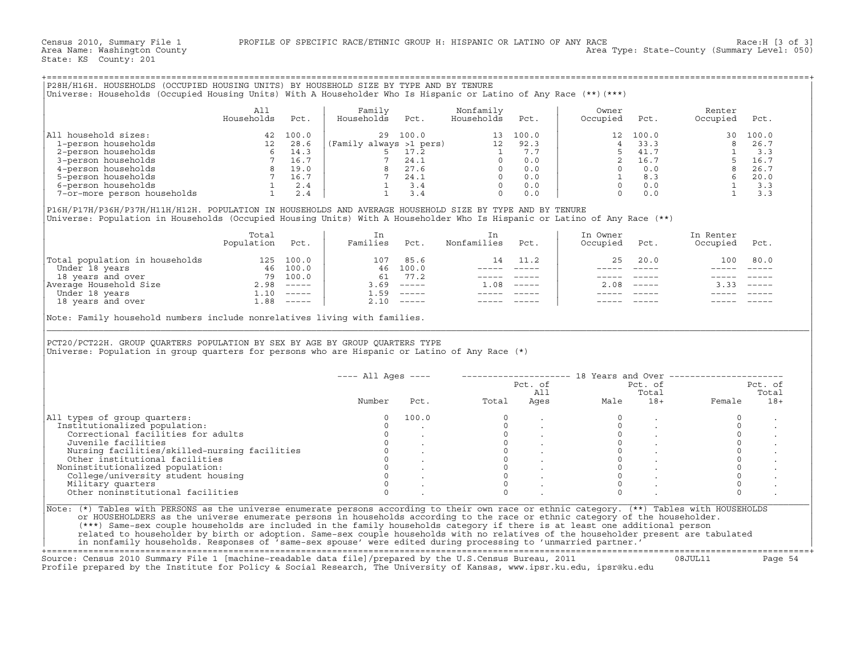|                                                                                                                                                                                                                                                                                                                                                                                                                                                                                                                                                                                                                                                                                                                                             | A11<br>Households                                                                                                                                                                                             | Pct.     | Family<br>Households Pct.                                                                                                                                                                                                                                                                                                                       |                     | Nonfamily<br>Households                                                                                   | Pct.            | Owner<br>Occupied    | Pct.                                                                                                  | Renter<br>Occupied Pct.                                                                                                                                                                                      |               |
|---------------------------------------------------------------------------------------------------------------------------------------------------------------------------------------------------------------------------------------------------------------------------------------------------------------------------------------------------------------------------------------------------------------------------------------------------------------------------------------------------------------------------------------------------------------------------------------------------------------------------------------------------------------------------------------------------------------------------------------------|---------------------------------------------------------------------------------------------------------------------------------------------------------------------------------------------------------------|----------|-------------------------------------------------------------------------------------------------------------------------------------------------------------------------------------------------------------------------------------------------------------------------------------------------------------------------------------------------|---------------------|-----------------------------------------------------------------------------------------------------------|-----------------|----------------------|-------------------------------------------------------------------------------------------------------|--------------------------------------------------------------------------------------------------------------------------------------------------------------------------------------------------------------|---------------|
| All household sizes:                                                                                                                                                                                                                                                                                                                                                                                                                                                                                                                                                                                                                                                                                                                        |                                                                                                                                                                                                               | 42 100.0 |                                                                                                                                                                                                                                                                                                                                                 | 29 100.0            |                                                                                                           | 13 100.0        |                      | 12 100.0                                                                                              |                                                                                                                                                                                                              |               |
| 1-person households                                                                                                                                                                                                                                                                                                                                                                                                                                                                                                                                                                                                                                                                                                                         |                                                                                                                                                                                                               |          | (Family always $>1$ pers) 12 92.3                                                                                                                                                                                                                                                                                                               |                     |                                                                                                           |                 | $\overline{4}$       |                                                                                                       |                                                                                                                                                                                                              |               |
| 2-person households                                                                                                                                                                                                                                                                                                                                                                                                                                                                                                                                                                                                                                                                                                                         |                                                                                                                                                                                                               |          |                                                                                                                                                                                                                                                                                                                                                 |                     |                                                                                                           |                 |                      | 41.7                                                                                                  |                                                                                                                                                                                                              |               |
| 3-person households                                                                                                                                                                                                                                                                                                                                                                                                                                                                                                                                                                                                                                                                                                                         |                                                                                                                                                                                                               |          |                                                                                                                                                                                                                                                                                                                                                 |                     |                                                                                                           |                 |                      | 2 16.7                                                                                                |                                                                                                                                                                                                              |               |
| 4-person households                                                                                                                                                                                                                                                                                                                                                                                                                                                                                                                                                                                                                                                                                                                         |                                                                                                                                                                                                               |          |                                                                                                                                                                                                                                                                                                                                                 |                     |                                                                                                           |                 |                      | $0 \qquad 0.0$                                                                                        |                                                                                                                                                                                                              |               |
| 5-person households                                                                                                                                                                                                                                                                                                                                                                                                                                                                                                                                                                                                                                                                                                                         |                                                                                                                                                                                                               |          |                                                                                                                                                                                                                                                                                                                                                 |                     |                                                                                                           |                 |                      | $\begin{array}{cc} 1 & 8.3 \\ 0 & 0.0 \end{array}$                                                    |                                                                                                                                                                                                              |               |
| 6-person households                                                                                                                                                                                                                                                                                                                                                                                                                                                                                                                                                                                                                                                                                                                         |                                                                                                                                                                                                               |          |                                                                                                                                                                                                                                                                                                                                                 |                     |                                                                                                           |                 |                      |                                                                                                       |                                                                                                                                                                                                              |               |
| 7-or-more person households                                                                                                                                                                                                                                                                                                                                                                                                                                                                                                                                                                                                                                                                                                                 | $\begin{array}{c cc} & & & 12 & & & \\ & 6 & & 14.3 & & & \\ & 7 & & 16.7 & & & \\ & 8 & & 19.0 & & & \\ & 7 & & 16.7 & & & \\ & 7 & & 16.7 & & & \\ & 1 & & 2.4 & & & \\ & & 1 & & 2.4 & & & \\ \end{array}$ |          | $\begin{array}{cccccccc} \text{12} & \text{13} & \text{14} & \text{15} & \text{17} & \text{18} & \text{19} & \text{19} \\ \text{19} & 5 & 17 & 2 & & & & & 1 & 7.7 \\ \text{10} & 7 & 24 & 1 & & & & 0 & 0.0 \\ \text{11} & 3 & 4 & & & 0 & & 0.0 \\ \text{12} & 1 & 3 & 4 & & & 0 & 0.0 \\ \text{13} & 1 & 3 & 4 & & & 0 & 0.0 \\ \end{array}$ |                     |                                                                                                           |                 |                      | $0 \t 0.0$                                                                                            | $\begin{array}{cccc} 100.0 & & & & & 30 & 100.0 \\ 33.3 & & & 8 & 26.7 \\ 41.7 & & 1 & & 3.3 \\ 16.7 & & 5 & 16.7 \\ 0.0 & & 8 & 26.7 \\ 8.3 & & 6 & 20.0 \\ 0.0 & & 1 & 3.3 \\ 0.0 & & 1 & 3.3 \end{array}$ |               |
| Universe: Population in Households (Occupied Housing Units) With A Householder Who Is Hispanic or Latino of Any Race (**)                                                                                                                                                                                                                                                                                                                                                                                                                                                                                                                                                                                                                   | Total<br>Population                                                                                                                                                                                           | Pct.     | In<br>Families                                                                                                                                                                                                                                                                                                                                  | Pct.                | In<br>Nonfamilies                                                                                         | Pct.            | In Owner<br>Occupied | Pct.                                                                                                  | In Renter<br>Occupied                                                                                                                                                                                        | Pct.          |
|                                                                                                                                                                                                                                                                                                                                                                                                                                                                                                                                                                                                                                                                                                                                             |                                                                                                                                                                                                               |          | 107 85.6                                                                                                                                                                                                                                                                                                                                        |                     |                                                                                                           | 14 11.2         | 25                   | 20.0                                                                                                  | 100                                                                                                                                                                                                          | 80.0          |
|                                                                                                                                                                                                                                                                                                                                                                                                                                                                                                                                                                                                                                                                                                                                             |                                                                                                                                                                                                               |          |                                                                                                                                                                                                                                                                                                                                                 |                     |                                                                                                           |                 |                      |                                                                                                       |                                                                                                                                                                                                              |               |
|                                                                                                                                                                                                                                                                                                                                                                                                                                                                                                                                                                                                                                                                                                                                             |                                                                                                                                                                                                               |          |                                                                                                                                                                                                                                                                                                                                                 |                     |                                                                                                           | _______________ |                      |                                                                                                       | $\frac{1}{2}$                                                                                                                                                                                                | $\frac{1}{2}$ |
|                                                                                                                                                                                                                                                                                                                                                                                                                                                                                                                                                                                                                                                                                                                                             |                                                                                                                                                                                                               |          |                                                                                                                                                                                                                                                                                                                                                 | 46 100.0<br>61 77.2 |                                                                                                           | _____________   |                      | ----- ----- -                                                                                         | $\frac{1}{2}$                                                                                                                                                                                                |               |
|                                                                                                                                                                                                                                                                                                                                                                                                                                                                                                                                                                                                                                                                                                                                             |                                                                                                                                                                                                               |          |                                                                                                                                                                                                                                                                                                                                                 | $3.69$ -----        | $1.08$ -----                                                                                              |                 |                      | $2.08$ -----                                                                                          | 3.33                                                                                                                                                                                                         |               |
|                                                                                                                                                                                                                                                                                                                                                                                                                                                                                                                                                                                                                                                                                                                                             |                                                                                                                                                                                                               |          | $1.59$ -----                                                                                                                                                                                                                                                                                                                                    |                     | $\begin{array}{cccccc} - & - & - & - & - & - & - \\ & - & - & - & - & - \\ & & - & - & - & - \end{array}$ |                 | $\frac{1}{2}$        |                                                                                                       |                                                                                                                                                                                                              |               |
|                                                                                                                                                                                                                                                                                                                                                                                                                                                                                                                                                                                                                                                                                                                                             |                                                                                                                                                                                                               |          | $2.10$ -----                                                                                                                                                                                                                                                                                                                                    |                     |                                                                                                           |                 |                      |                                                                                                       |                                                                                                                                                                                                              |               |
| $\begin{tabular}{ l l } \hline \texttt{Total population in households} & \multicolumn{1}{ l }{} \texttt{125} & \multicolumn{1}{ l }{} \texttt{100.0} \\ \hline \texttt{Under 18 years} & \multicolumn{1}{ l }{} \texttt{300.0} \\ \texttt{18 years} & \multicolumn{1}{ l }{} \texttt{300.0} \\ \hline \texttt{Nverage Household Size} & \multicolumn{1}{ l }{} \texttt{2.98} & \multicolumn{1}{ l }{} \texttt{300.0} \\ \hline \texttt{Under 18 years} & \multicolumn{1}{ l $<br>Note: Family household numbers include nonrelatives living with families.<br>PCT20/PCT22H. GROUP OUARTERS POPULATION BY SEX BY AGE BY GROUP OUARTERS TYPE<br>Universe: Population in group quarters for persons who are Hispanic or Latino of Any Race (*) |                                                                                                                                                                                                               |          |                                                                                                                                                                                                                                                                                                                                                 |                     |                                                                                                           |                 |                      |                                                                                                       |                                                                                                                                                                                                              |               |
|                                                                                                                                                                                                                                                                                                                                                                                                                                                                                                                                                                                                                                                                                                                                             |                                                                                                                                                                                                               |          |                                                                                                                                                                                                                                                                                                                                                 |                     | ---- All Ages ----    --------------------    18 Years and Over ---------------------                     |                 |                      |                                                                                                       |                                                                                                                                                                                                              |               |
|                                                                                                                                                                                                                                                                                                                                                                                                                                                                                                                                                                                                                                                                                                                                             |                                                                                                                                                                                                               |          |                                                                                                                                                                                                                                                                                                                                                 |                     |                                                                                                           |                 |                      | Pct. of                                                                                               |                                                                                                                                                                                                              | Pct. of       |
|                                                                                                                                                                                                                                                                                                                                                                                                                                                                                                                                                                                                                                                                                                                                             |                                                                                                                                                                                                               |          |                                                                                                                                                                                                                                                                                                                                                 |                     |                                                                                                           | Pct. of<br>All  |                      | Total                                                                                                 |                                                                                                                                                                                                              | Total         |
|                                                                                                                                                                                                                                                                                                                                                                                                                                                                                                                                                                                                                                                                                                                                             |                                                                                                                                                                                                               |          | Number                                                                                                                                                                                                                                                                                                                                          |                     | Pct. Total Ages                                                                                           |                 |                      |                                                                                                       |                                                                                                                                                                                                              | $18+$         |
|                                                                                                                                                                                                                                                                                                                                                                                                                                                                                                                                                                                                                                                                                                                                             |                                                                                                                                                                                                               |          | $\Omega$                                                                                                                                                                                                                                                                                                                                        | 100.0               | $\Omega$                                                                                                  |                 | $\Omega$             |                                                                                                       | $\Omega$                                                                                                                                                                                                     |               |
| Institutionalized population:                                                                                                                                                                                                                                                                                                                                                                                                                                                                                                                                                                                                                                                                                                               |                                                                                                                                                                                                               |          | $\Omega$                                                                                                                                                                                                                                                                                                                                        |                     | $\Omega$                                                                                                  |                 | $\circ$              | $\sim$                                                                                                | $\Omega$                                                                                                                                                                                                     |               |
| Correctional facilities for adults                                                                                                                                                                                                                                                                                                                                                                                                                                                                                                                                                                                                                                                                                                          |                                                                                                                                                                                                               |          | $\circ$                                                                                                                                                                                                                                                                                                                                         |                     | $\circ$                                                                                                   |                 | $\circ$              |                                                                                                       | $\circ$                                                                                                                                                                                                      |               |
| Juvenile facilities                                                                                                                                                                                                                                                                                                                                                                                                                                                                                                                                                                                                                                                                                                                         |                                                                                                                                                                                                               |          | $\circ$                                                                                                                                                                                                                                                                                                                                         |                     | $\Omega$                                                                                                  |                 | $\Omega$             |                                                                                                       | $\Omega$                                                                                                                                                                                                     |               |
| Nursing facilities/skilled-nursing facilities                                                                                                                                                                                                                                                                                                                                                                                                                                                                                                                                                                                                                                                                                               |                                                                                                                                                                                                               |          | $\circ$                                                                                                                                                                                                                                                                                                                                         |                     | $\circ$                                                                                                   |                 |                      |                                                                                                       | $\circ$                                                                                                                                                                                                      |               |
| Other institutional facilities                                                                                                                                                                                                                                                                                                                                                                                                                                                                                                                                                                                                                                                                                                              |                                                                                                                                                                                                               |          |                                                                                                                                                                                                                                                                                                                                                 |                     | $\circ$                                                                                                   |                 |                      |                                                                                                       | $\circ$                                                                                                                                                                                                      |               |
| Noninstitutionalized population:                                                                                                                                                                                                                                                                                                                                                                                                                                                                                                                                                                                                                                                                                                            |                                                                                                                                                                                                               |          | $\overline{0}$                                                                                                                                                                                                                                                                                                                                  |                     | $\Omega$                                                                                                  |                 | $\Omega$             | $\begin{matrix} 0\\ 0\\ \end{matrix} \qquad \qquad \begin{matrix} \cdot\\ \cdot\\ \cdot \end{matrix}$ | $\circ$                                                                                                                                                                                                      |               |
| College/university student housing                                                                                                                                                                                                                                                                                                                                                                                                                                                                                                                                                                                                                                                                                                          |                                                                                                                                                                                                               |          | $\mathbf{0}$                                                                                                                                                                                                                                                                                                                                    |                     | $\circ$                                                                                                   |                 | $\mathbf{0}$         |                                                                                                       | $\circ$                                                                                                                                                                                                      |               |
| All types of group quarters:<br>Military quarters                                                                                                                                                                                                                                                                                                                                                                                                                                                                                                                                                                                                                                                                                           |                                                                                                                                                                                                               |          | $\circ$                                                                                                                                                                                                                                                                                                                                         |                     | $\Omega$                                                                                                  |                 | $\Omega$             |                                                                                                       | $\mathsf{O}\xspace$                                                                                                                                                                                          |               |
| Other noninstitutional facilities                                                                                                                                                                                                                                                                                                                                                                                                                                                                                                                                                                                                                                                                                                           |                                                                                                                                                                                                               |          | $\Omega$                                                                                                                                                                                                                                                                                                                                        |                     | $\cap$                                                                                                    |                 | $\cap$               |                                                                                                       | $\Omega$                                                                                                                                                                                                     |               |

|                                               | $---$ All Ages $---$ |       |       | Pct. of<br>All | 18 Years and Over | Pct. of<br>Total |        | Pct. of<br>Total |
|-----------------------------------------------|----------------------|-------|-------|----------------|-------------------|------------------|--------|------------------|
|                                               | Number               | Pct.  | Total | Ages           | Male              | $18+$            | Female | $18+$            |
| All types of group quarters:                  |                      | 100.0 |       |                |                   |                  |        |                  |
| Institutionalized population:                 |                      |       |       |                |                   |                  |        |                  |
| Correctional facilities for adults            |                      |       |       |                |                   |                  |        |                  |
| Juvenile facilities                           |                      |       |       |                |                   |                  |        |                  |
| Nursing facilities/skilled-nursing facilities |                      |       |       |                |                   |                  |        |                  |
| Other institutional facilities                |                      |       |       |                |                   |                  |        |                  |
| Noninstitutionalized population:              |                      |       |       |                |                   |                  |        |                  |
| College/university student housing            |                      |       |       |                |                   |                  |        |                  |
| Military quarters                             |                      |       |       |                |                   |                  |        |                  |
| Other noninstitutional facilities             |                      |       |       |                |                   |                  |        |                  |

+===================================================================================================================================================+ Source: Census 2010 Summary File 1 [machine−readable data file]/prepared by the U.S.Census Bureau, 2011 08JUL11 Page 54

Profile prepared by the Institute for Policy & Social Research, The University of Kansas, www.ipsr.ku.edu, ipsr@ku.edu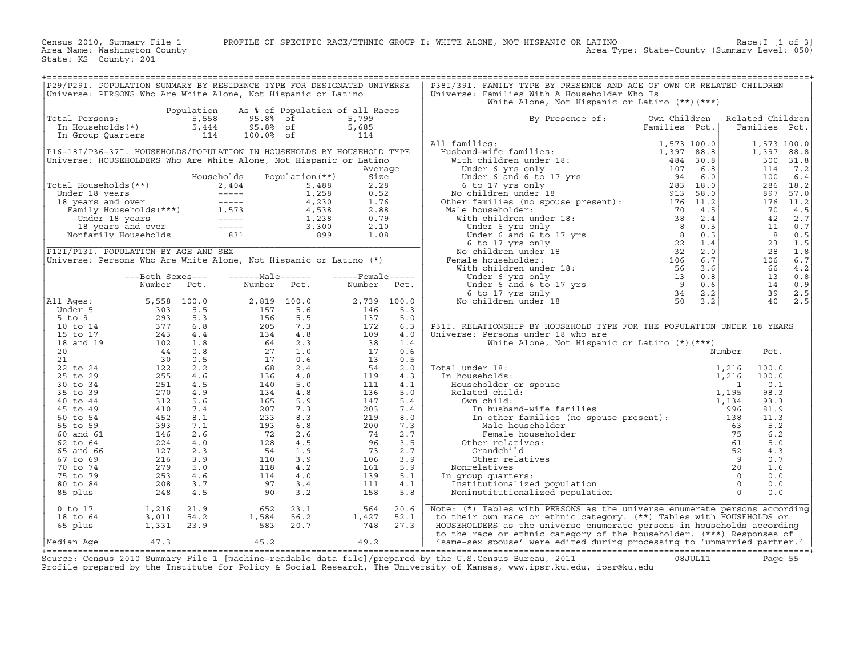Census 2010, Summary File 1 PROFILE OF SPECIFIC RACE/ETHNIC GROUP I: WHITE ALONE, NOT HISPANIC OR LATINO Race:I [1 of 3] Area Name: Washington County Area Type: State−County (Summary Level: 050)

State: KS County: 201

|                                                              | P29/P29I. POPULATION SUMMARY BY RESIDENCE TYPE FOR DESIGNATED UNIVERSE<br>Universe: PERSONS Who Are White Alone, Not Hispanic or Latino      |                                     |                                            |                                              |                                                          |                          | P38I/39I. FAMILY TYPE BY PRESENCE AND AGE OF OWN OR RELATED CHILDREN<br>Universe: Families With A Householder Who Is<br>White Alone, Not Hispanic or Latino $(**)$ $(***)$                                                                                                                                                                                                       |                                              |                                       |                                         |                             |
|--------------------------------------------------------------|----------------------------------------------------------------------------------------------------------------------------------------------|-------------------------------------|--------------------------------------------|----------------------------------------------|----------------------------------------------------------|--------------------------|----------------------------------------------------------------------------------------------------------------------------------------------------------------------------------------------------------------------------------------------------------------------------------------------------------------------------------------------------------------------------------|----------------------------------------------|---------------------------------------|-----------------------------------------|-----------------------------|
| Total Persons:<br>In Households(*)<br>In Group Quarters      |                                                                                                                                              | Population<br>5,558<br>5,444<br>114 | 95.8% of<br>95.8% of<br>100.0% of          |                                              | As % of Population of all Races<br>5,799<br>5,685<br>114 |                          | By Presence of:                                                                                                                                                                                                                                                                                                                                                                  | Own Children<br>Families Pct.                |                                       | Related Children<br>Families Pct.       |                             |
|                                                              | P16-18I/P36-37I. HOUSEHOLDS/POPULATION IN HOUSEHOLDS BY HOUSEHOLD TYPE<br>Universe: HOUSEHOLDERS Who Are White Alone, Not Hispanic or Latino |                                     |                                            |                                              | Average                                                  |                          | All families:<br>Husband-wife families:<br>With children under 18:<br>Under 6 yrs only                                                                                                                                                                                                                                                                                           | 1,573 100.0<br>1,397 88.8<br>484 30.8<br>107 | 6.8                                   | 1,573 100.0<br>1,397 88.8<br>500<br>114 | 31.8<br>7.2                 |
| Total Households (**)<br>Under 18 years<br>18 years and over |                                                                                                                                              |                                     | Households<br>2,404<br>$-----$<br>$------$ | Population $(**)$<br>5,488<br>1,258<br>4,230 | Size<br>2.28<br>0.52<br>1.76                             |                          | Under 6 and 6 to 17 yrs<br>6 to 17 yrs only<br>No children under 18<br>Other families (no spouse present):                                                                                                                                                                                                                                                                       | 94<br>283 18.0<br>913 58.0<br>176 11.2       | 6.0                                   | 100<br>286<br>897<br>176                | 6.4<br>18.2<br>57.0<br>11.2 |
|                                                              | Family Households $(***)$ 1,573<br>Under 18 years<br>18 years and over<br>Nonfamily Households                                               |                                     | $------$<br>$------$<br>831                | 4,538<br>1,238<br>3,300<br>899               | 2.88<br>0.79<br>2.10<br>1.08                             |                          | Male householder:<br>With children under 18:                                                                                                                                                                                                                                                                                                                                     |                                              | 4.5<br>2.4<br>0.5<br>0.5              | 70<br>42<br>11<br>8                     | 4.5<br>2.7<br>0.7<br>0.5    |
|                                                              | P12I/P13I. POPULATION BY AGE AND SEX<br>Universe: Persons Who Are White Alone, Not Hispanic or Latino (*)                                    |                                     |                                            |                                              |                                                          |                          | 1911 1920<br>1920<br>1920<br>1920<br>1920<br>1920<br>1920<br>1920<br>1920<br>1920<br>1920<br>1920<br>1920<br>1920<br>1920<br>1920<br>1920<br>1920<br>1920<br>1920<br>1920<br>1920<br>1930<br>1930<br>1930<br>1930<br>1930<br>1930<br>1930<br>1940<br>1940<br>1940<br>1940<br>1940<br>1940<br>1940<br>1<br>No children under 18<br>Female householder:<br>With children under 18: |                                              | 1.4<br>2.0<br>6.7<br>3.6              | 23<br>28<br>106<br>66                   | 1.5<br>1.8<br>6.7<br>4.2    |
| All Ages:                                                    | ---Both Sexes---<br>Number<br>5,558                                                                                                          | Pct.<br>100.0                       | $---Male----$<br>Number<br>2,819           | Pct.<br>100.0                                | $---$ Female -----<br>Number<br>2,739                    | Pct.<br>100.0            | No children under 18                                                                                                                                                                                                                                                                                                                                                             |                                              | 0.8<br>0.6<br>2.2<br>3.2              | 13<br>14<br>39<br>40                    | 0.8<br>0.9<br>2.5<br>2.5    |
| Under 5<br>5 to 9<br>10 to 14<br>15 to 17                    | 303<br>293<br>377<br>243                                                                                                                     | 5.5<br>5.3<br>6.8<br>4.4            | 157<br>156<br>205<br>134                   | 5.6<br>5.5<br>7.3<br>4.8                     | 146<br>137<br>172<br>109                                 | 5.3<br>5.0<br>6.3<br>4.0 | P31I. RELATIONSHIP BY HOUSEHOLD TYPE FOR THE POPULATION UNDER 18 YEARS<br>Universe: Persons under 18 who are                                                                                                                                                                                                                                                                     |                                              |                                       |                                         |                             |
| 18 and 19<br>20<br>21                                        | 102<br>44<br>30                                                                                                                              | 1.8<br>0.8<br>0.5                   | 64<br>27<br>17                             | 2.3<br>1.0<br>0.6                            | 38<br>17<br>13                                           | 1.4<br>0.6<br>0.5        | White Alone, Not Hispanic or Latino $(*)$ $(***)$                                                                                                                                                                                                                                                                                                                                |                                              | Number                                | Pct.                                    |                             |
| 22 to 24<br>25 to 29<br>30 to 34<br>35 to 39                 | 122<br>255<br>251<br>270                                                                                                                     | 2.2<br>4.6<br>4.5<br>4.9            | 68<br>136<br>140<br>134                    | 2.4<br>4.8<br>5.0<br>4.8                     | 54<br>119<br>111<br>136                                  | 2.0<br>4.3<br>4.1<br>5.0 | Total under 18:<br>In households:<br>Householder or spouse<br>Related child:                                                                                                                                                                                                                                                                                                     |                                              | 1,216<br>1,216<br>1<br>1,195          | 100.0<br>100.0<br>0.1<br>98.3           |                             |
| 40 to 44<br>45 to 49<br>50 to 54<br>55 to 59                 | 312<br>410<br>452<br>393                                                                                                                     | 5.6<br>7.4<br>8.1<br>7.1            | 165<br>207<br>233<br>193                   | 5.9<br>7.3<br>8.3<br>6.8                     | 147<br>203<br>219<br>200                                 | 5.4<br>7.4<br>8.0<br>7.3 | Own child:<br>In husband-wife families<br>In other families (no spouse present):<br>Male householder                                                                                                                                                                                                                                                                             |                                              | 1,134<br>996<br>138<br>63             | 93.3<br>81.9<br>11.3<br>5.2             |                             |
| 60 and 61<br>62 to 64<br>65 and 66<br>67 to 69               | 146<br>224<br>127<br>216                                                                                                                     | 2.6<br>4.0<br>2.3<br>3.9            | 72<br>128<br>54<br>110                     | 2.6<br>4.5<br>1.9<br>3.9                     | 74<br>96<br>73<br>106                                    | 2.7<br>3.5<br>2.7<br>3.9 | Female householder<br>Other relatives:<br>Grandchild<br>Other relatives                                                                                                                                                                                                                                                                                                          |                                              | 75<br>61<br>52<br>- 9                 | 6.2<br>5.0<br>4.3<br>0.7                |                             |
| 70 to 74<br>75 to 79<br>80 to 84<br>85 plus                  | 279<br>253<br>208<br>248                                                                                                                     | 5.0<br>4.6<br>3.7<br>4.5            | 118<br>114<br>97<br>90                     | 4.2<br>4.0<br>3.4<br>3.2                     | 161<br>139<br>111<br>158                                 | 5.9<br>5.1<br>4.1<br>5.8 | Nonrelatives<br>In group quarters:<br>Institutionalized population<br>Noninstitutionalized population                                                                                                                                                                                                                                                                            |                                              | 20<br>$\circ$<br>$\Omega$<br>$\Omega$ | 1.6<br>0.0<br>0.0<br>0.0                |                             |
| $0$ to $17$<br>18 to 64                                      | 1,216<br>3,011                                                                                                                               | 21.9<br>54.2                        | 652<br>1,584                               | 23.1<br>56.2<br>20.7                         | 564<br>1,427                                             | 20.6<br>52.1<br>27.3     | Note: $(*)$ Tables with PERSONS as the universe enumerate persons according<br>to their own race or ethnic category. (**) Tables with HOUSEHOLDS or                                                                                                                                                                                                                              |                                              |                                       |                                         |                             |
| 65 plus<br>Median Aqe                                        | 1,331<br>47.3                                                                                                                                | 23.9                                | 583<br>45.2                                |                                              | 748<br>49.2                                              |                          | HOUSEHOLDERS as the universe enumerate persons in households according<br>to the race or ethnic category of the householder. (***) Responses of<br>'same-sex spouse' were edited during processing to 'unmarried partner.'                                                                                                                                                       |                                              |                                       |                                         |                             |

+===================================================================================================================================================+ Source: Census 2010 Summary File 1 [machine−readable data file]/prepared by the U.S.Census Bureau, 2011 08JUL11 Page 55 Profile prepared by the Institute for Policy & Social Research, The University of Kansas, www.ipsr.ku.edu, ipsr@ku.edu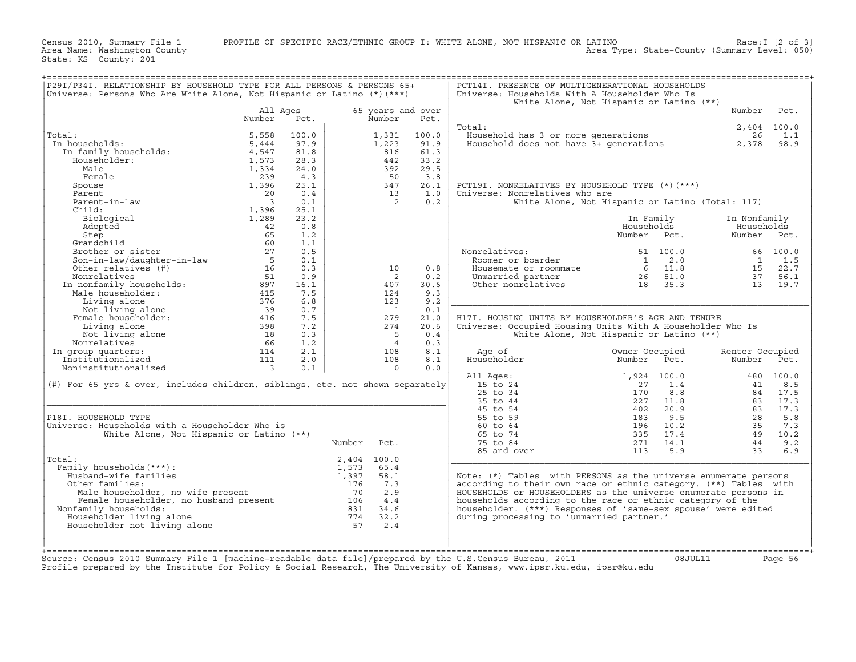Census 2010, Summary File 1 PROFILE OF SPECIFIC RACE/ETHNIC GROUP I: WHITE ALONE, NOT HISPANIC OR LATINO Rea Ty<br>Area Name: Washington County LATINO Race: I [2 of 3]<br>Area Type: State−County (Summary Level: 050)

State: KS County: 201

| P29I/P34I. RELATIONSHIP BY HOUSEHOLD TYPE FOR ALL PERSONS & PERSONS 65+<br>Universe: Persons Who Are White Alone, Not Hispanic or Latino (*) (***)                                                                                   |                          |       |        |                   |       | PCT14I. PRESENCE OF MULTIGENERATIONAL HOUSEHOLDS<br>Universe: Households With A Householder Who Is<br>White Alone, Not Hispanic or Latino (**) |                |             | ======================== |               |
|--------------------------------------------------------------------------------------------------------------------------------------------------------------------------------------------------------------------------------------|--------------------------|-------|--------|-------------------|-------|------------------------------------------------------------------------------------------------------------------------------------------------|----------------|-------------|--------------------------|---------------|
|                                                                                                                                                                                                                                      | All Ages                 |       |        | 65 years and over |       |                                                                                                                                                |                |             | Number                   | Pct.          |
|                                                                                                                                                                                                                                      | Number                   | Pct.  |        | Number            | Pct.  | Total:                                                                                                                                         |                |             |                          | $2,404$ 100.0 |
| Total:                                                                                                                                                                                                                               | 5,558                    | 100.0 |        | 1,331             | 100.0 | Household has 3 or more generations                                                                                                            |                |             | 26                       | 1.1           |
| In households:                                                                                                                                                                                                                       | 5,444                    | 97.9  |        | 1,223             | 91.9  | Household does not have 3+ generations                                                                                                         |                |             | 2,378                    | 98.9          |
| In family households:                                                                                                                                                                                                                | 4,547                    | 81.8  |        | 816               | 61.3  |                                                                                                                                                |                |             |                          |               |
| Householder:                                                                                                                                                                                                                         | 1,573                    | 28.3  |        | 442               | 33.2  |                                                                                                                                                |                |             |                          |               |
| Male                                                                                                                                                                                                                                 | 1,334                    | 24.0  |        | 392               | 29.5  |                                                                                                                                                |                |             |                          |               |
| Female                                                                                                                                                                                                                               | 239                      | 4.3   |        | 50                | 3.8   |                                                                                                                                                |                |             |                          |               |
| Spouse                                                                                                                                                                                                                               | 1,396                    | 25.1  |        | 347               | 26.1  | PCT19I. NONRELATIVES BY HOUSEHOLD TYPE (*)(***)                                                                                                |                |             |                          |               |
| Parent                                                                                                                                                                                                                               | 20                       | 0.4   |        | 13                | 1.0   | Universe: Nonrelatives who are                                                                                                                 |                |             |                          |               |
| Parent-in-law                                                                                                                                                                                                                        | $\overline{\mathbf{3}}$  | 0.1   |        | $\overline{2}$    | 0.2   | White Alone, Not Hispanic or Latino (Total: 117)                                                                                               |                |             |                          |               |
| Child:                                                                                                                                                                                                                               | 1,396                    | 25.1  |        |                   |       |                                                                                                                                                |                |             |                          |               |
| Biological                                                                                                                                                                                                                           | 1,289                    | 23.2  |        |                   |       |                                                                                                                                                | In Family      |             | In Nonfamily             |               |
| Adopted                                                                                                                                                                                                                              | 42                       | 0.8   |        |                   |       |                                                                                                                                                | Households     |             | Households               |               |
| Step                                                                                                                                                                                                                                 | 65                       | 1.2   |        |                   |       |                                                                                                                                                | Number         | Pct.        | Number                   | Pct.          |
| Grandchild                                                                                                                                                                                                                           | 60                       | 1.1   |        |                   |       |                                                                                                                                                |                |             |                          |               |
| Brother or sister                                                                                                                                                                                                                    | 27                       | 0.5   |        |                   |       | Nonrelatives:                                                                                                                                  |                | 51 100.0    |                          | 66 100.0      |
| Son-in-law/daughter-in-law                                                                                                                                                                                                           | $5^{\circ}$              | 0.1   |        |                   |       | Roomer or boarder                                                                                                                              | $\overline{1}$ | 2.0         | $\frac{1}{2}$            | 1.5           |
| Other relatives (#)                                                                                                                                                                                                                  | $1\bar{6}$               | 0.3   |        | 10                | 0.8   | Housemate or roommate                                                                                                                          |                | $6 \t11.8$  | 15                       | 22.7          |
|                                                                                                                                                                                                                                      |                          | 0.9   |        | 2                 | 0.2   | Unmarried partner                                                                                                                              | $26 \t 51.0$   |             | 37                       | 56.1          |
|                                                                                                                                                                                                                                      |                          | 16.1  |        | 407               | 30.6  | Other nonrelatives                                                                                                                             | 18 35.3        |             |                          | 13 19.7       |
|                                                                                                                                                                                                                                      |                          | 7.5   |        | 124               | 9.3   |                                                                                                                                                |                |             |                          |               |
|                                                                                                                                                                                                                                      |                          | 6.8   |        | 123               | 9.2   |                                                                                                                                                |                |             |                          |               |
|                                                                                                                                                                                                                                      |                          | 0.7   |        | $\overline{1}$    | 0.1   |                                                                                                                                                |                |             |                          |               |
| Four-<br>In nonfamily households:<br>In nonfamily households:<br>Male householder:<br>Living alone 376<br>Not living alone 376<br>Female householder:<br>The sample of the 39<br>Female householder:<br>2016<br>2020<br>2020<br>2020 |                          | 7.5   |        | 279               | 21.0  | H17I. HOUSING UNITS BY HOUSEHOLDER'S AGE AND TENURE                                                                                            |                |             |                          |               |
| Living alone                                                                                                                                                                                                                         | $398$<br>$18$<br>$56$    | 7.2   |        | 274               | 20.6  | Universe: Occupied Housing Units With A Householder Who Is                                                                                     |                |             |                          |               |
| Not living alone                                                                                                                                                                                                                     |                          | 0.3   |        | $-5$              | 0.4   | White Alone, Not Hispanic or Latino (**)                                                                                                       |                |             |                          |               |
| Nonrelatives                                                                                                                                                                                                                         | 66                       | 1.2   |        | $\overline{4}$    | 0.3   |                                                                                                                                                |                |             |                          |               |
| In group quarters:                                                                                                                                                                                                                   | 114                      | 2.1   |        | 108               | 8.1   | Age of                                                                                                                                         | Owner Occupied |             | Renter Occupied          |               |
| Institutionalized                                                                                                                                                                                                                    | 111                      | 2.0   |        | 108               | 8.1   | Householder                                                                                                                                    | Number Pct.    |             | Number                   | Pct.          |
| Noninstitutionalized                                                                                                                                                                                                                 | $\overline{\phantom{a}}$ | 0.1   |        | $\Omega$          | 0.0   |                                                                                                                                                |                |             |                          |               |
|                                                                                                                                                                                                                                      |                          |       |        |                   |       | All Ages:                                                                                                                                      |                | 1,924 100.0 |                          | 480 100.0     |
| (#) For 65 yrs & over, includes children, siblings, etc. not shown separately                                                                                                                                                        |                          |       |        |                   |       | 15 to 24                                                                                                                                       | 27             | 1.4         | 41                       | 8.5           |
|                                                                                                                                                                                                                                      |                          |       |        |                   |       | 25 to 34                                                                                                                                       | 170            | 8.8         |                          | 84 17.5       |
|                                                                                                                                                                                                                                      |                          |       |        |                   |       | 35 to 44                                                                                                                                       | 227            | 11.8        | 83                       | 17.3          |
|                                                                                                                                                                                                                                      |                          |       |        |                   |       | 45 to 54                                                                                                                                       | 402            | 20.9        | 83                       | 17.3          |
| P18I. HOUSEHOLD TYPE                                                                                                                                                                                                                 |                          |       |        |                   |       | 55 to 59                                                                                                                                       | 183            | 9.5         | 28                       | 5.8           |
| Universe: Households with a Householder Who is                                                                                                                                                                                       |                          |       |        |                   |       | 60 to 64                                                                                                                                       | 196            | 10.2        | 35                       | 7.3           |
| White Alone, Not Hispanic or Latino (**)                                                                                                                                                                                             |                          |       |        |                   |       | 65 to 74                                                                                                                                       | 335            | 17.4        | 49                       | 10.2          |
|                                                                                                                                                                                                                                      |                          |       | Number | Pct.              |       | 75 to 84                                                                                                                                       | 271            | 14.1        | 44                       | 9.2           |
|                                                                                                                                                                                                                                      |                          |       |        |                   |       | 85 and over                                                                                                                                    | 113            | 5.9         | 33                       | 6.9           |
| Total:                                                                                                                                                                                                                               |                          |       |        | 2,404 100.0       |       |                                                                                                                                                |                |             |                          |               |
| Family households (***) :                                                                                                                                                                                                            |                          |       | 1,573  | 65.4              |       |                                                                                                                                                |                |             |                          |               |
| Husband-wife families                                                                                                                                                                                                                |                          |       | 1,397  | 58.1              |       | Note: (*) Tables with PERSONS as the universe enumerate persons                                                                                |                |             |                          |               |
| Other families:                                                                                                                                                                                                                      |                          |       | 176    | 7.3               |       | according to their own race or ethnic category. (**) Tables with                                                                               |                |             |                          |               |
|                                                                                                                                                                                                                                      |                          |       |        | 2.9               |       | HOUSEHOLDS or HOUSEHOLDERS as the universe enumerate persons in                                                                                |                |             |                          |               |
|                                                                                                                                                                                                                                      |                          |       |        | 4.4               |       | households according to the race or ethnic category of the                                                                                     |                |             |                          |               |
| Nonfamily households:                                                                                                                                                                                                                |                          |       |        | 831 34.6          |       | householder. (***) Responses of 'same-sex spouse' were edited                                                                                  |                |             |                          |               |
| Householder living alone                                                                                                                                                                                                             |                          |       |        | 774 32.2          |       | during processing to 'unmarried partner.'                                                                                                      |                |             |                          |               |
| ther families: 176<br>Male householder, no wife present 70<br>Female householdsr, no husband present 106<br>family households: 106<br>ouseholder living alone 774<br>ouseholder not living alone 57<br>Householder not living alone  |                          |       | 57     | 2.4               |       |                                                                                                                                                |                |             |                          |               |
|                                                                                                                                                                                                                                      |                          |       |        |                   |       |                                                                                                                                                |                |             |                          |               |
|                                                                                                                                                                                                                                      |                          |       |        |                   |       |                                                                                                                                                |                |             |                          |               |
|                                                                                                                                                                                                                                      |                          |       |        |                   |       |                                                                                                                                                |                |             |                          |               |
| Source: Census 2010 Summary File 1 [machine-readable data file]/prepared by the U.S.Census Bureau, 2011                                                                                                                              |                          |       |        |                   |       |                                                                                                                                                |                | 08JUL11     |                          | Page 56       |
| Profile prepared by the Institute for Policy & Social Research, The University of Kansas, www.ipsr.ku.edu, ipsr@ku.edu                                                                                                               |                          |       |        |                   |       |                                                                                                                                                |                |             |                          |               |